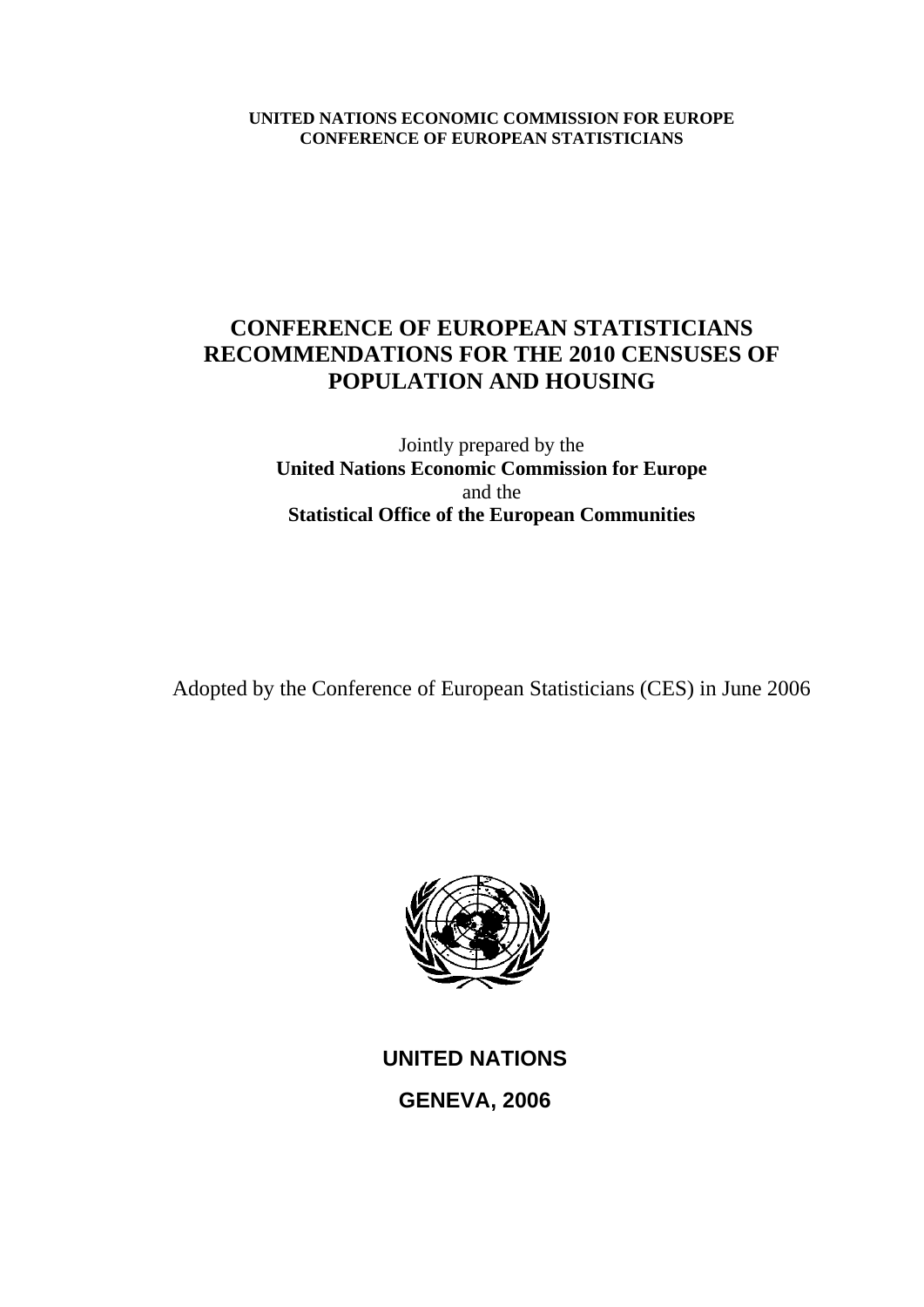#### **UNITED NATIONS ECONOMIC COMMISSION FOR EUROPE CONFERENCE OF EUROPEAN STATISTICIANS**

# **CONFERENCE OF EUROPEAN STATISTICIANS RECOMMENDATIONS FOR THE 2010 CENSUSES OF POPULATION AND HOUSING**

Jointly prepared by the **United Nations Economic Commission for Europe** and the **Statistical Office of the European Communities**

Adopted by the Conference of European Statisticians (CES) in June 2006



**UNITED NATIONS GENEVA, 2006**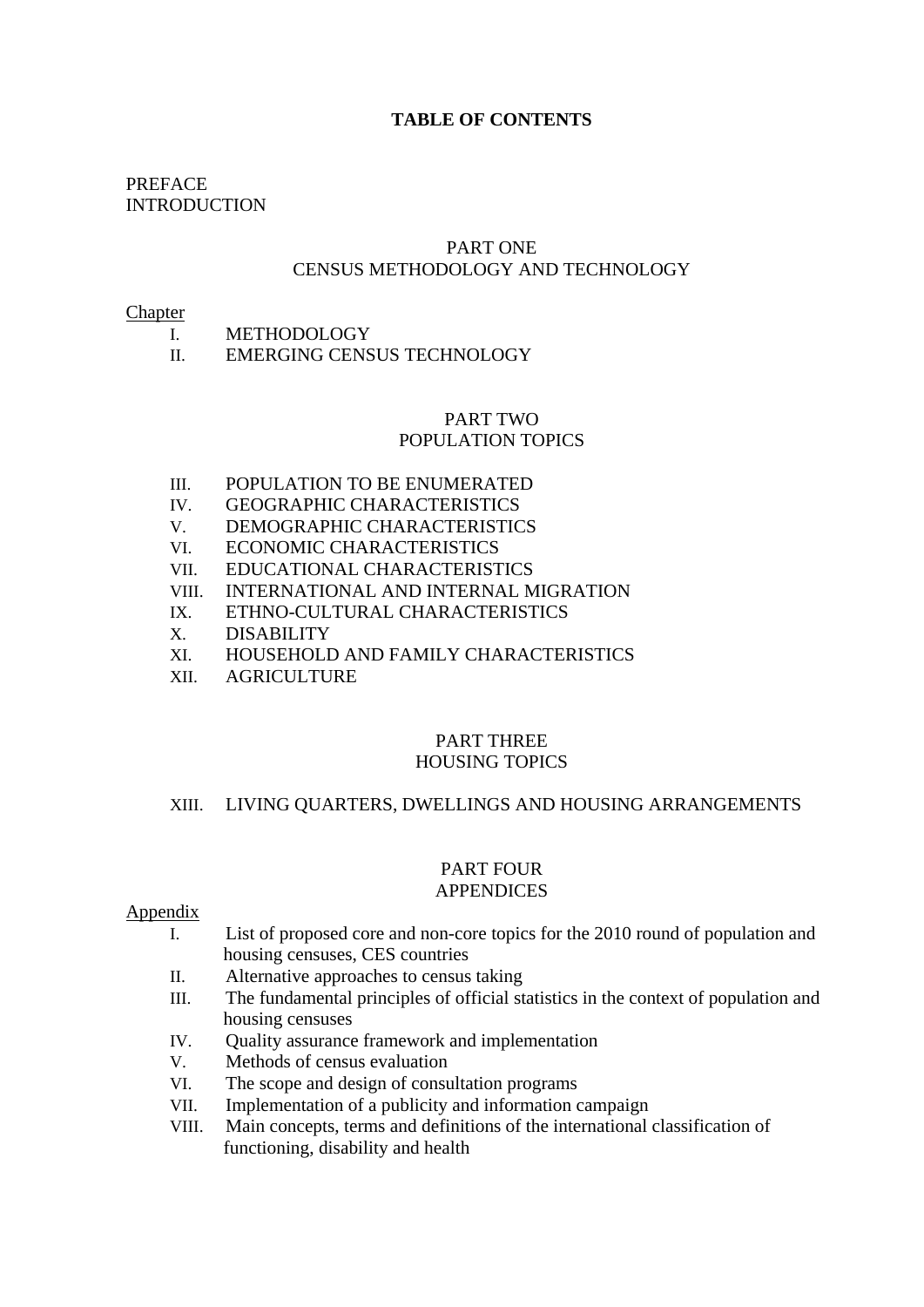### **TABLE OF CONTENTS**

#### **PREFACE** INTRODUCTION

#### PART ONE CENSUS METHODOLOGY AND TECHNOLOGY

#### Chapter

- I. METHODOLOGY
- II. EMERGING CENSUS TECHNOLOGY

#### PART TWO POPULATION TOPICS

- III. POPULATION TO BE ENUMERATED
- IV. GEOGRAPHIC CHARACTERISTICS
- V. DEMOGRAPHIC CHARACTERISTICS
- VI. ECONOMIC CHARACTERISTICS
- VII. EDUCATIONAL CHARACTERISTICS
- VIII. INTERNATIONAL AND INTERNAL MIGRATION
- IX. ETHNO-CULTURAL CHARACTERISTICS
- X. DISABILITY
- XI. HOUSEHOLD AND FAMILY CHARACTERISTICS
- XII. AGRICULTURE

#### PART THREE HOUSING TOPICS

#### XIII. LIVING QUARTERS, DWELLINGS AND HOUSING ARRANGEMENTS

## PART FOUR

#### APPENDICES

#### Appendix

- I. List of proposed core and non-core topics for the 2010 round of population and housing censuses, CES countries
- II. Alternative approaches to census taking
- III. The fundamental principles of official statistics in the context of population and housing censuses
- IV. Quality assurance framework and implementation
- V. Methods of census evaluation
- VI. The scope and design of consultation programs
- VII. Implementation of a publicity and information campaign
- VIII. Main concepts, terms and definitions of the international classification of functioning, disability and health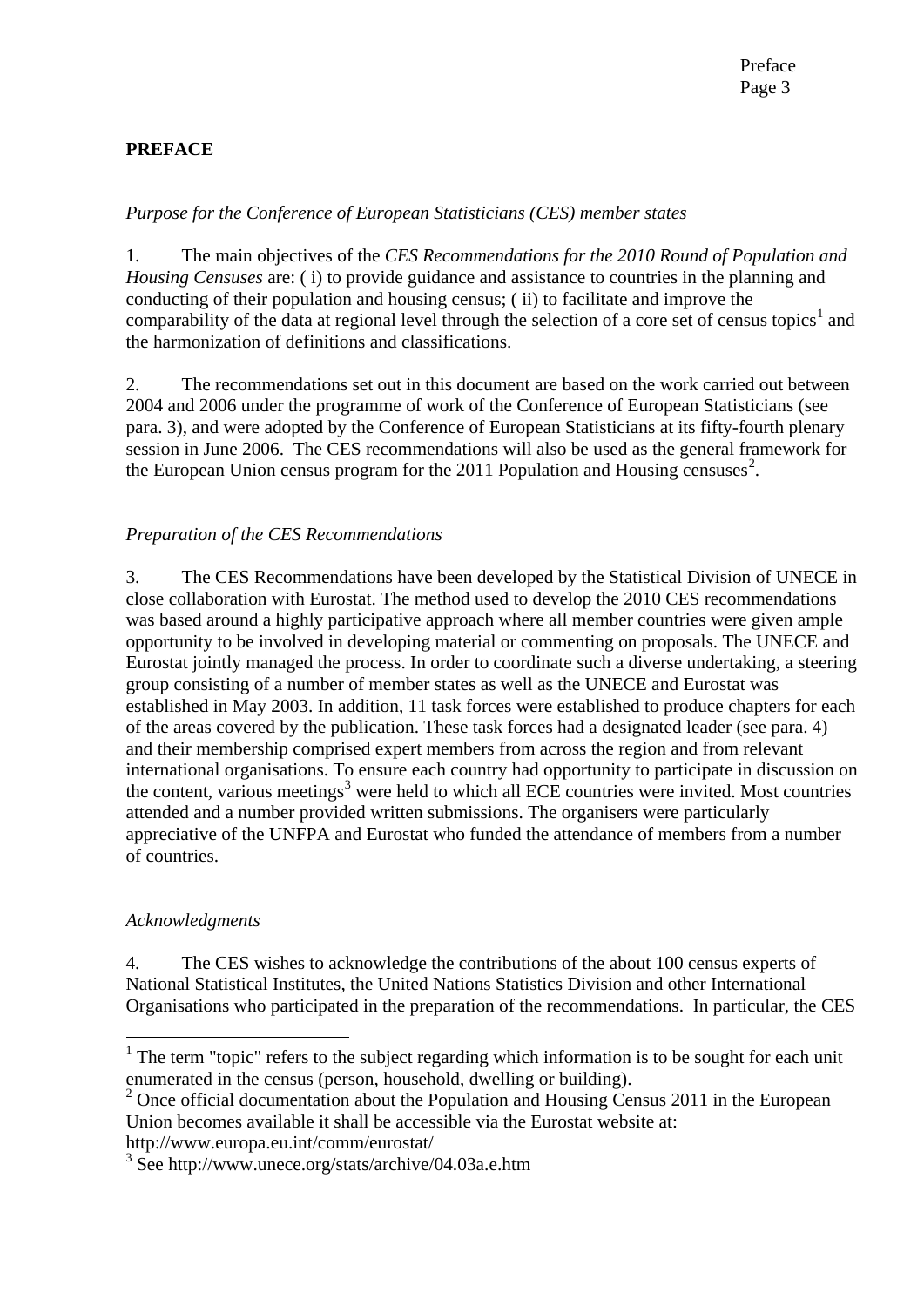## <span id="page-2-1"></span>**PREFACE**

### *Purpose for the Conference of European Statisticians (CES) member states*

1. The main objectives of the *CES Recommendations for the 2010 Round of Population and Housing Censuses* are: ( i) to provide guidance and assistance to countries in the planning and conducting of their population and housing census; ( ii) to facilitate and improve the comparability of the data at regional level through the selection of a core set of census topics<sup>[1](#page-2-0)</sup> and the harmonization of definitions and classifications.

2. The recommendations set out in this document are based on the work carried out between 2004 and 2006 under the programme of work of the Conference of European Statisticians (see para. [3\)](#page-2-1), and were adopted by the Conference of European Statisticians at its fifty-fourth plenary session in June 2006. The CES recommendations will also be used as the general framework for the European Union census program for the [2](#page-2-2)011 Population and Housing censuses<sup>2</sup>.

## *Preparation of the CES Recommendations*

3. The CES Recommendations have been developed by the Statistical Division of UNECE in close collaboration with Eurostat. The method used to develop the 2010 CES recommendations was based around a highly participative approach where all member countries were given ample opportunity to be involved in developing material or commenting on proposals. The UNECE and Eurostat jointly managed the process. In order to coordinate such a diverse undertaking, a steering group consisting of a number of member states as well as the UNECE and Eurostat was established in May 2003. In addition, 11 task forces were established to produce chapters for each of the areas covered by the publication. These task forces had a designated leader (see para. [4\)](#page-3-0) and their membership comprised expert members from across the region and from relevant international organisations. To ensure each country had opportunity to participate in discussion on the content, various meetings<sup>[3](#page-2-3)</sup> were held to which all ECE countries were invited. Most countries attended and a number provided written submissions. The organisers were particularly appreciative of the UNFPA and Eurostat who funded the attendance of members from a number of countries.

### *Acknowledgments*

 $\overline{a}$ 

4. The CES wishes to acknowledge the contributions of the about 100 census experts of National Statistical Institutes, the United Nations Statistics Division and other International Organisations who participated in the preparation of the recommendations. In particular, the CES

http://www.europa.eu.int/comm/eurostat/

<span id="page-2-0"></span> $<sup>1</sup>$  The term "topic" refers to the subject regarding which information is to be sought for each unit</sup> enumerated in the census (person, household, dwelling or building).

<span id="page-2-2"></span><sup>&</sup>lt;sup>2</sup> Once official documentation about the Population and Housing Census 2011 in the European Union becomes available it shall be accessible via the Eurostat website at:

<span id="page-2-3"></span><sup>3</sup> See http://www.unece.org/stats/archive/04.03a.e.htm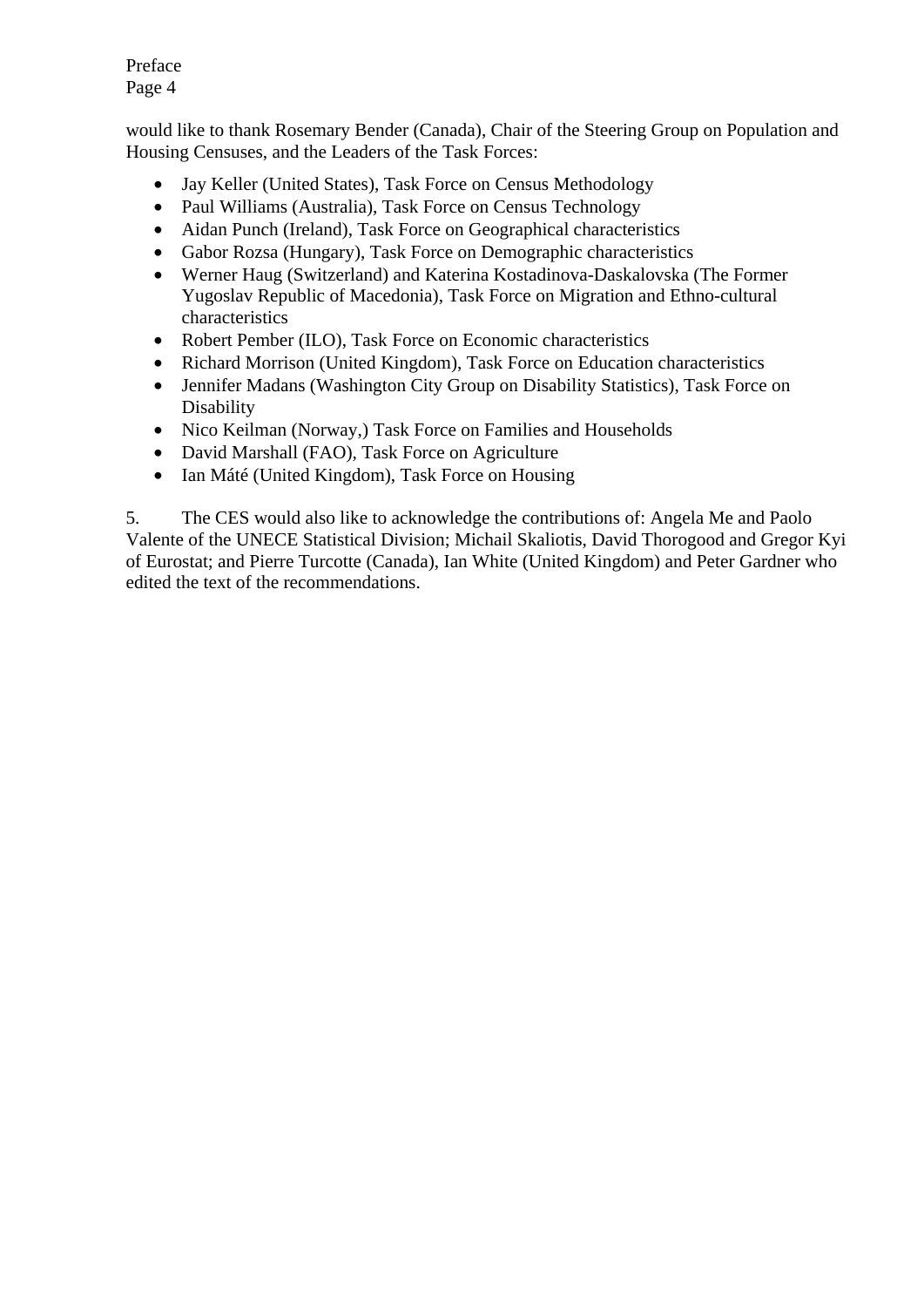<span id="page-3-0"></span>Preface Page 4

would like to thank Rosemary Bender (Canada), Chair of the Steering Group on Population and Housing Censuses, and the Leaders of the Task Forces:

- Jay Keller (United States), Task Force on Census Methodology
- Paul Williams (Australia), Task Force on Census Technology
- Aidan Punch (Ireland), Task Force on Geographical characteristics
- Gabor Rozsa (Hungary), Task Force on Demographic characteristics
- Werner Haug (Switzerland) and Katerina Kostadinova-Daskalovska (The Former Yugoslav Republic of Macedonia), Task Force on Migration and Ethno-cultural characteristics
- Robert Pember (ILO), Task Force on Economic characteristics
- Richard Morrison (United Kingdom), Task Force on Education characteristics
- Jennifer Madans (Washington City Group on Disability Statistics), Task Force on Disability
- Nico Keilman (Norway,) Task Force on Families and Households
- David Marshall (FAO), Task Force on Agriculture
- Ian Máté (United Kingdom), Task Force on Housing

5. The CES would also like to acknowledge the contributions of: Angela Me and Paolo Valente of the UNECE Statistical Division; Michail Skaliotis, David Thorogood and Gregor Kyi of Eurostat; and Pierre Turcotte (Canada), Ian White (United Kingdom) and Peter Gardner who edited the text of the recommendations.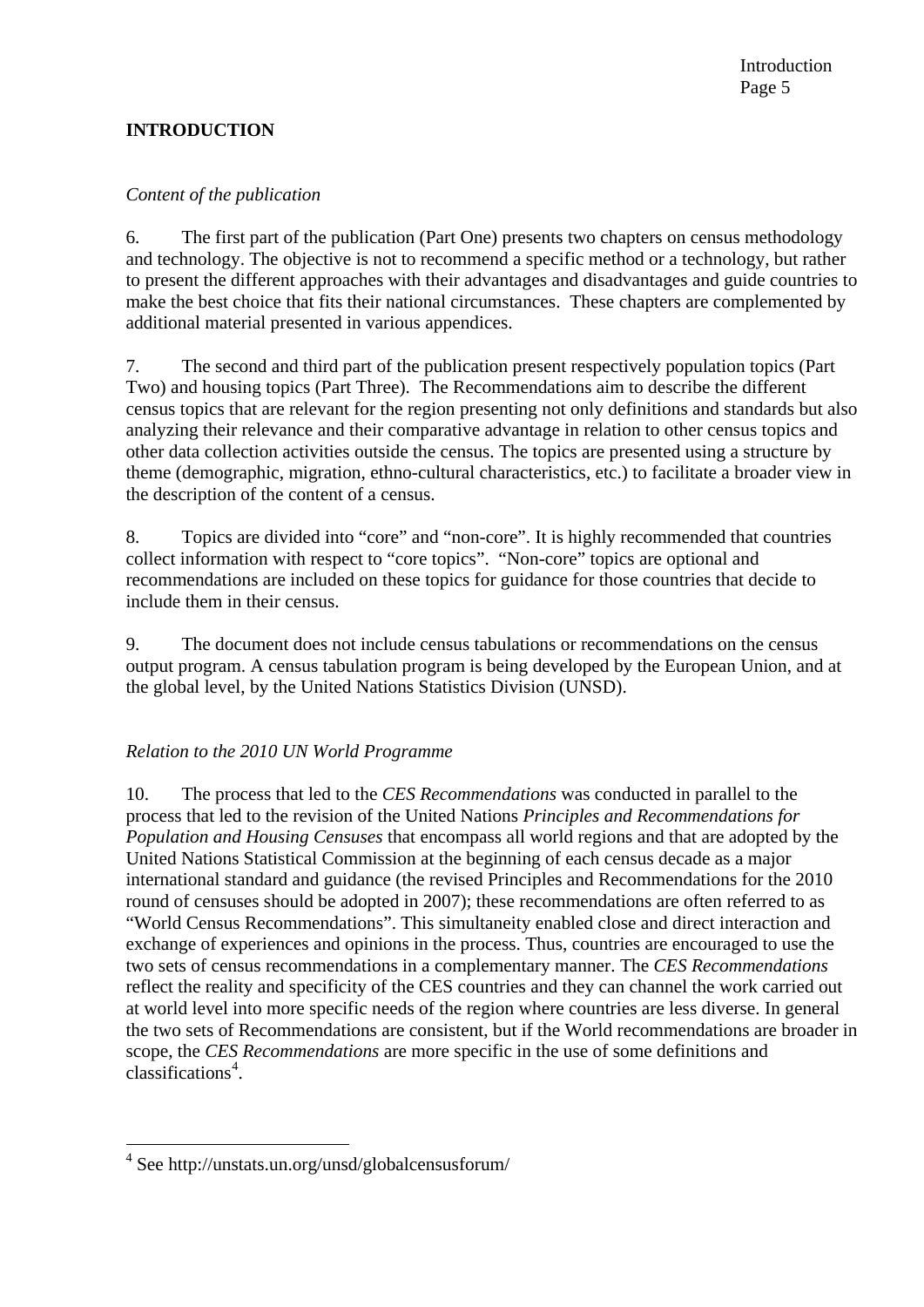#### **INTRODUCTION**

#### *Content of the publication*

6. The first part of the publication (Part One) presents two chapters on census methodology and technology. The objective is not to recommend a specific method or a technology, but rather to present the different approaches with their advantages and disadvantages and guide countries to make the best choice that fits their national circumstances. These chapters are complemented by additional material presented in various appendices.

7. The second and third part of the publication present respectively population topics (Part Two) and housing topics (Part Three). The Recommendations aim to describe the different census topics that are relevant for the region presenting not only definitions and standards but also analyzing their relevance and their comparative advantage in relation to other census topics and other data collection activities outside the census. The topics are presented using a structure by theme (demographic, migration, ethno-cultural characteristics, etc.) to facilitate a broader view in the description of the content of a census.

8. Topics are divided into "core" and "non-core". It is highly recommended that countries collect information with respect to "core topics". "Non-core" topics are optional and recommendations are included on these topics for guidance for those countries that decide to include them in their census.

9. The document does not include census tabulations or recommendations on the census output program. A census tabulation program is being developed by the European Union, and at the global level, by the United Nations Statistics Division (UNSD).

### *Relation to the 2010 UN World Programme*

10. The process that led to the *CES Recommendations* was conducted in parallel to the process that led to the revision of the United Nations *Principles and Recommendations for Population and Housing Censuses* that encompass all world regions and that are adopted by the United Nations Statistical Commission at the beginning of each census decade as a major international standard and guidance (the revised Principles and Recommendations for the 2010 round of censuses should be adopted in 2007); these recommendations are often referred to as "World Census Recommendations". This simultaneity enabled close and direct interaction and exchange of experiences and opinions in the process. Thus, countries are encouraged to use the two sets of census recommendations in a complementary manner. The *CES Recommendations* reflect the reality and specificity of the CES countries and they can channel the work carried out at world level into more specific needs of the region where countries are less diverse. In general the two sets of Recommendations are consistent, but if the World recommendations are broader in scope, the *CES Recommendations* are more specific in the use of some definitions and classifications<sup>[4](#page-4-0)</sup>.

 $\overline{a}$ 

<span id="page-4-0"></span><sup>4</sup> See http://unstats.un.org/unsd/globalcensusforum/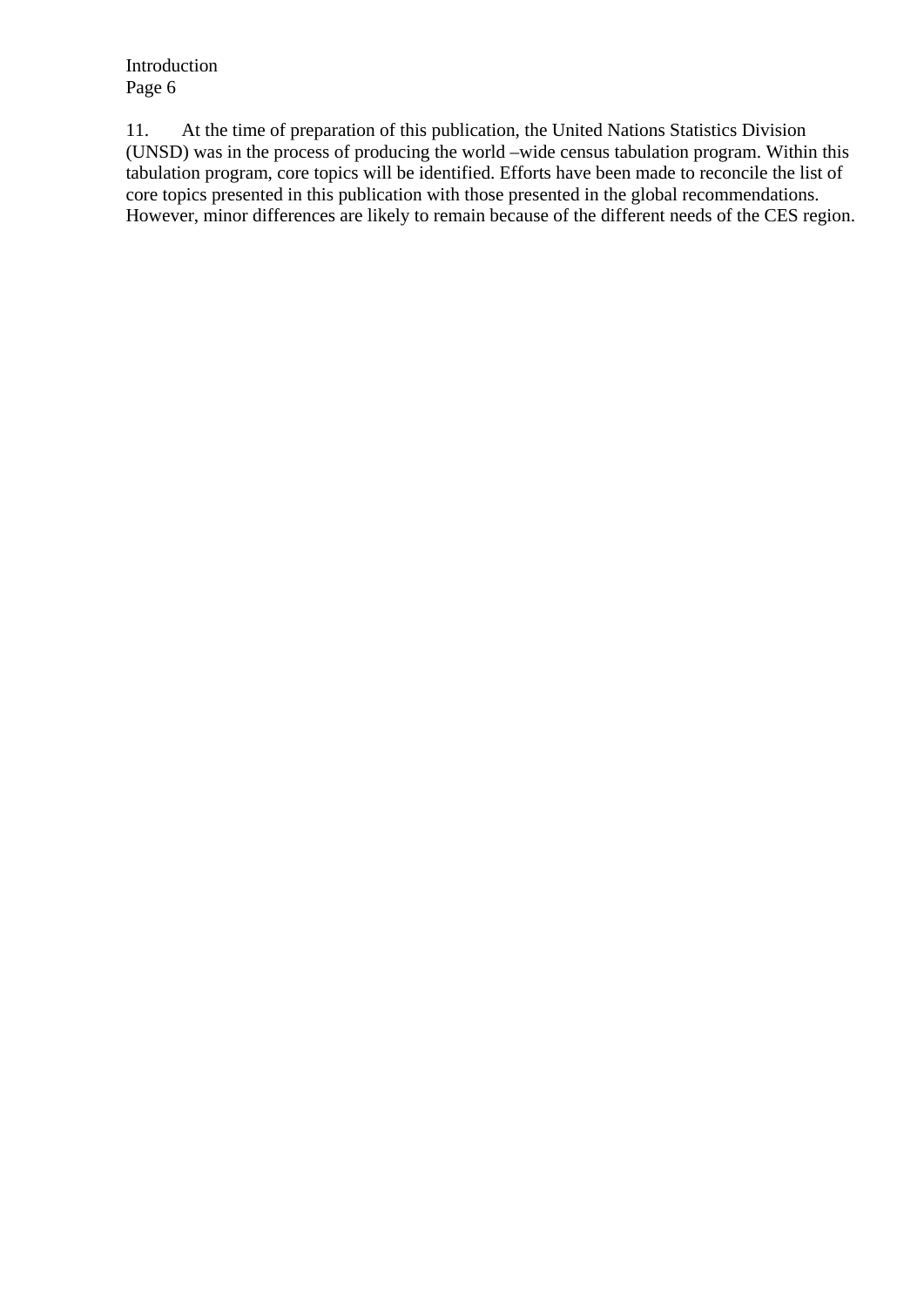11. At the time of preparation of this publication, the United Nations Statistics Division (UNSD) was in the process of producing the world –wide census tabulation program. Within this tabulation program, core topics will be identified. Efforts have been made to reconcile the list of core topics presented in this publication with those presented in the global recommendations. However, minor differences are likely to remain because of the different needs of the CES region.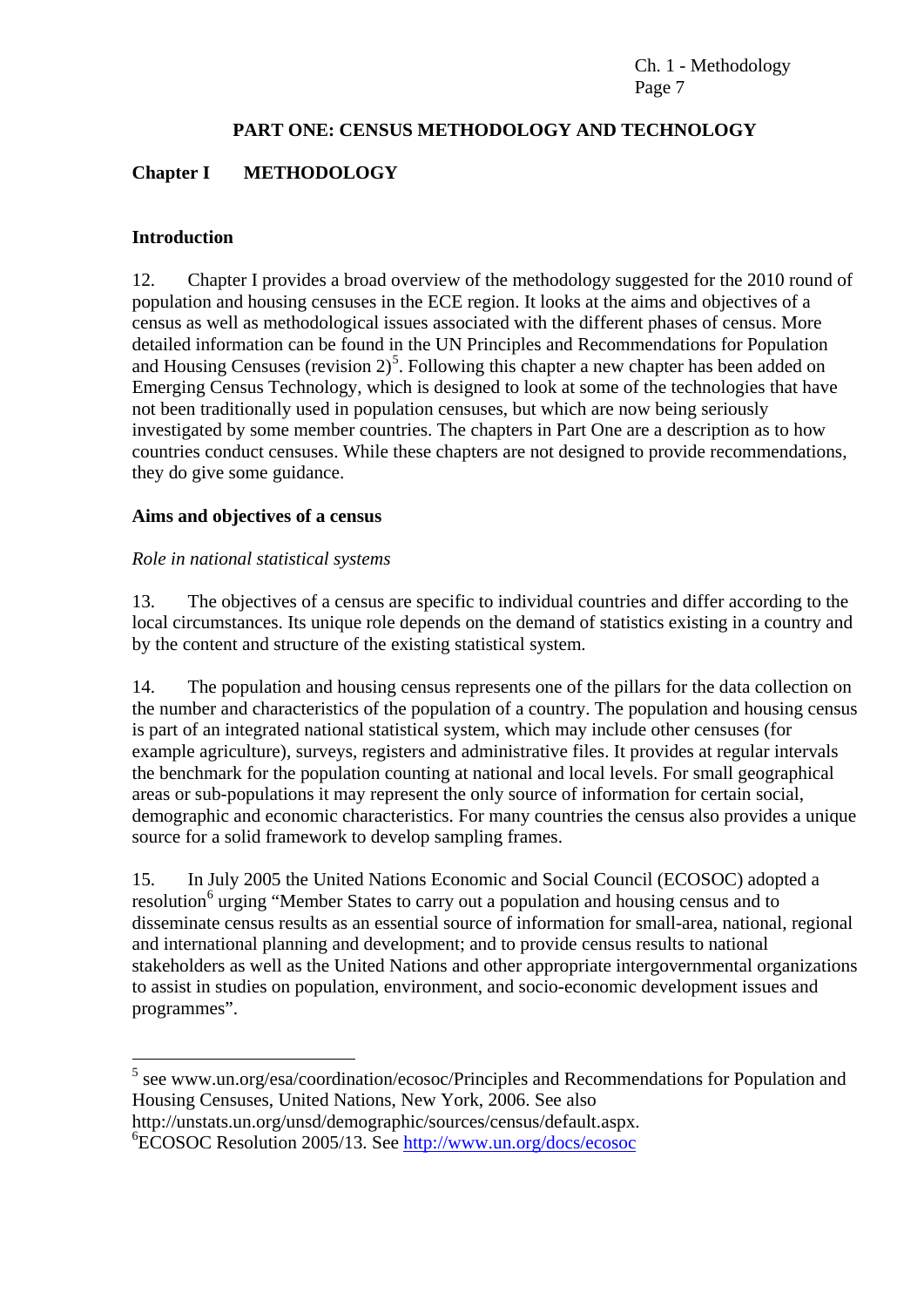### **PART ONE: CENSUS METHODOLOGY AND TECHNOLOGY**

## **Chapter I METHODOLOGY**

### **Introduction**

1

12. Chapter I provides a broad overview of the methodology suggested for the 2010 round of population and housing censuses in the ECE region. It looks at the aims and objectives of a census as well as methodological issues associated with the different phases of census. More detailed information can be found in the UN Principles and Recommendations for Population and Housing Censuses (revision  $2^5$  $2^5$ . Following this chapter a new chapter has been added on Emerging Census Technology, which is designed to look at some of the technologies that have not been traditionally used in population censuses, but which are now being seriously investigated by some member countries. The chapters in Part One are a description as to how countries conduct censuses. While these chapters are not designed to provide recommendations, they do give some guidance.

### **Aims and objectives of a census**

### *Role in national statistical systems*

13. The objectives of a census are specific to individual countries and differ according to the local circumstances. Its unique role depends on the demand of statistics existing in a country and by the content and structure of the existing statistical system.

14. The population and housing census represents one of the pillars for the data collection on the number and characteristics of the population of a country. The population and housing census is part of an integrated national statistical system, which may include other censuses (for example agriculture), surveys, registers and administrative files. It provides at regular intervals the benchmark for the population counting at national and local levels. For small geographical areas or sub-populations it may represent the only source of information for certain social, demographic and economic characteristics. For many countries the census also provides a unique source for a solid framework to develop sampling frames.

15. In July 2005 the United Nations Economic and Social Council (ECOSOC) adopted a resolution<sup>[6](#page-6-1)</sup> urging "Member States to carry out a population and housing census and to disseminate census results as an essential source of information for small-area, national, regional and international planning and development; and to provide census results to national stakeholders as well as the United Nations and other appropriate intergovernmental organizations to assist in studies on population, environment, and socio-economic development issues and programmes".

<span id="page-6-0"></span><sup>5</sup> see www.un.org/esa/coordination/ecosoc/Principles and Recommendations for Population and Housing Censuses, United Nations, New York, 2006. See also http://unstats.un.org/unsd/demographic/sources/census/default.aspx.

<span id="page-6-1"></span>6 ECOSOC Resolution 2005/13. See http://www.un.org/docs/ecosoc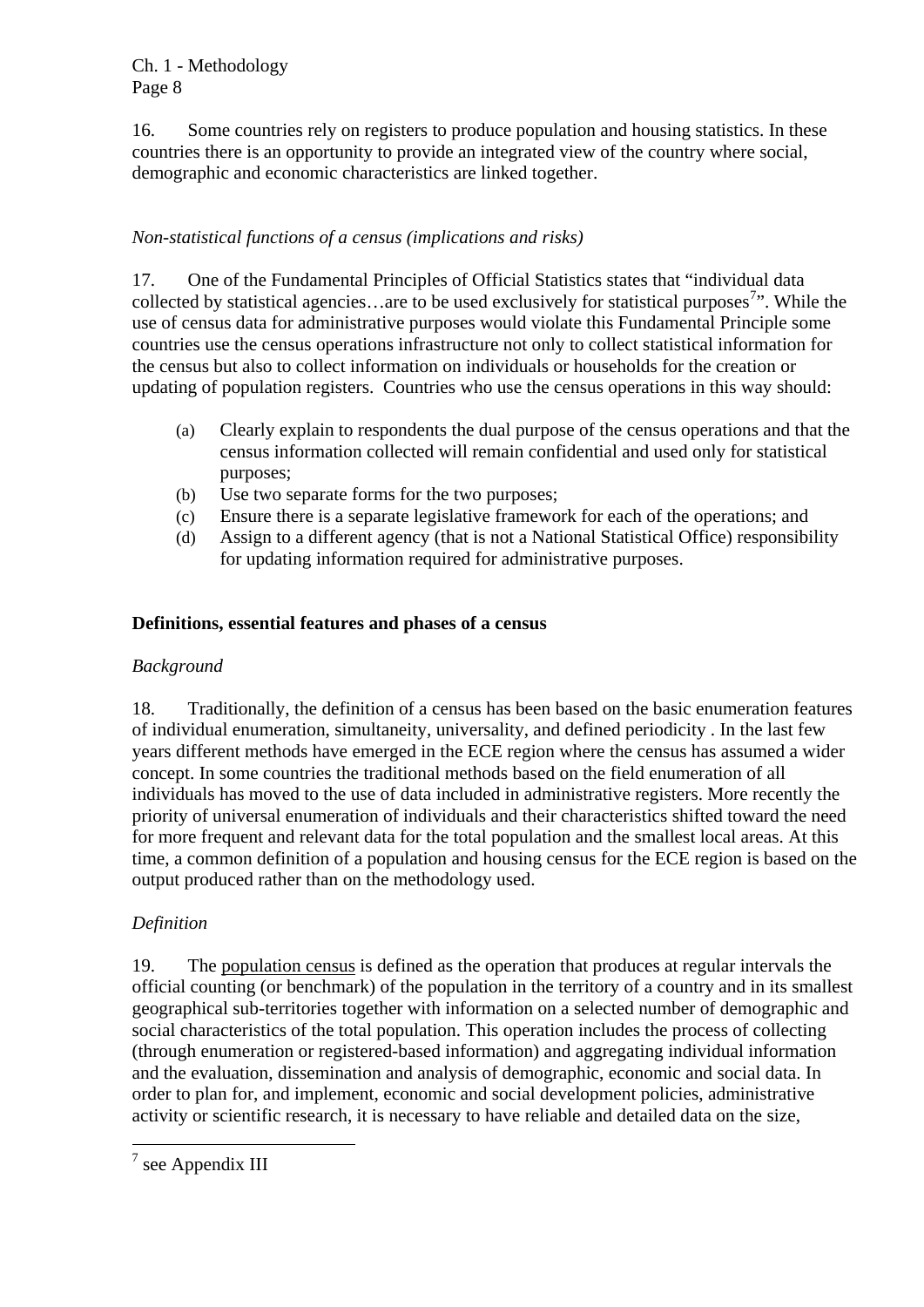Ch. 1 - Methodology Page 8

16. Some countries rely on registers to produce population and housing statistics. In these countries there is an opportunity to provide an integrated view of the country where social, demographic and economic characteristics are linked together.

## *Non-statistical functions of a census (implications and risks)*

17. One of the Fundamental Principles of Official Statistics states that "individual data collected by statistical agencies...are to be used exclusively for statistical purposes<sup>[7](#page-7-0)</sup>. While the use of census data for administrative purposes would violate this Fundamental Principle some countries use the census operations infrastructure not only to collect statistical information for the census but also to collect information on individuals or households for the creation or updating of population registers. Countries who use the census operations in this way should:

- (a) Clearly explain to respondents the dual purpose of the census operations and that the census information collected will remain confidential and used only for statistical purposes;
- (b) Use two separate forms for the two purposes;
- (c) Ensure there is a separate legislative framework for each of the operations; and
- (d) Assign to a different agency (that is not a National Statistical Office) responsibility for updating information required for administrative purposes.

### **Definitions, essential features and phases of a census**

### *Background*

18. Traditionally, the definition of a census has been based on the basic enumeration features of individual enumeration, simultaneity, universality, and defined periodicity . In the last few years different methods have emerged in the ECE region where the census has assumed a wider concept. In some countries the traditional methods based on the field enumeration of all individuals has moved to the use of data included in administrative registers. More recently the priority of universal enumeration of individuals and their characteristics shifted toward the need for more frequent and relevant data for the total population and the smallest local areas. At this time, a common definition of a population and housing census for the ECE region is based on the output produced rather than on the methodology used.

## *Definition*

19. The population census is defined as the operation that produces at regular intervals the official counting (or benchmark) of the population in the territory of a country and in its smallest geographical sub-territories together with information on a selected number of demographic and social characteristics of the total population. This operation includes the process of collecting (through enumeration or registered-based information) and aggregating individual information and the evaluation, dissemination and analysis of demographic, economic and social data. In order to plan for, and implement, economic and social development policies, administrative activity or scientific research, it is necessary to have reliable and detailed data on the size,

<span id="page-7-0"></span> $\frac{1}{7}$  see Appendix III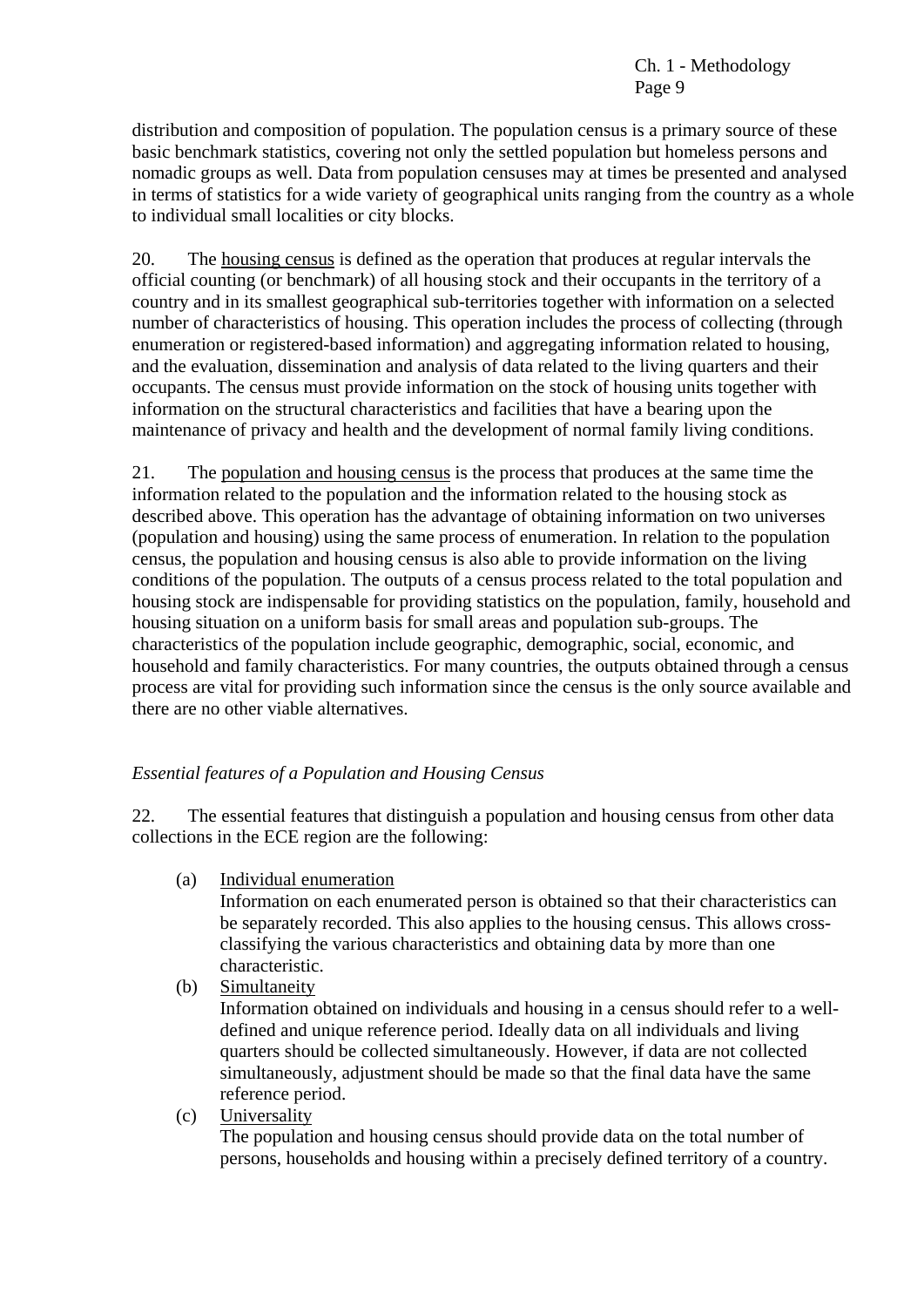distribution and composition of population. The population census is a primary source of these basic benchmark statistics, covering not only the settled population but homeless persons and nomadic groups as well. Data from population censuses may at times be presented and analysed in terms of statistics for a wide variety of geographical units ranging from the country as a whole to individual small localities or city blocks.

20. The housing census is defined as the operation that produces at regular intervals the official counting (or benchmark) of all housing stock and their occupants in the territory of a country and in its smallest geographical sub-territories together with information on a selected number of characteristics of housing. This operation includes the process of collecting (through enumeration or registered-based information) and aggregating information related to housing, and the evaluation, dissemination and analysis of data related to the living quarters and their occupants. The census must provide information on the stock of housing units together with information on the structural characteristics and facilities that have a bearing upon the maintenance of privacy and health and the development of normal family living conditions.

21. The population and housing census is the process that produces at the same time the information related to the population and the information related to the housing stock as described above. This operation has the advantage of obtaining information on two universes (population and housing) using the same process of enumeration. In relation to the population census, the population and housing census is also able to provide information on the living conditions of the population. The outputs of a census process related to the total population and housing stock are indispensable for providing statistics on the population, family, household and housing situation on a uniform basis for small areas and population sub-groups. The characteristics of the population include geographic, demographic, social, economic, and household and family characteristics. For many countries, the outputs obtained through a census process are vital for providing such information since the census is the only source available and there are no other viable alternatives.

### *Essential features of a Population and Housing Census*

22. The essential features that distinguish a population and housing census from other data collections in the ECE region are the following:

(a) Individual enumeration

Information on each enumerated person is obtained so that their characteristics can be separately recorded. This also applies to the housing census. This allows crossclassifying the various characteristics and obtaining data by more than one characteristic.

(b) Simultaneity

Information obtained on individuals and housing in a census should refer to a welldefined and unique reference period. Ideally data on all individuals and living quarters should be collected simultaneously. However, if data are not collected simultaneously, adjustment should be made so that the final data have the same reference period.

(c) Universality

The population and housing census should provide data on the total number of persons, households and housing within a precisely defined territory of a country.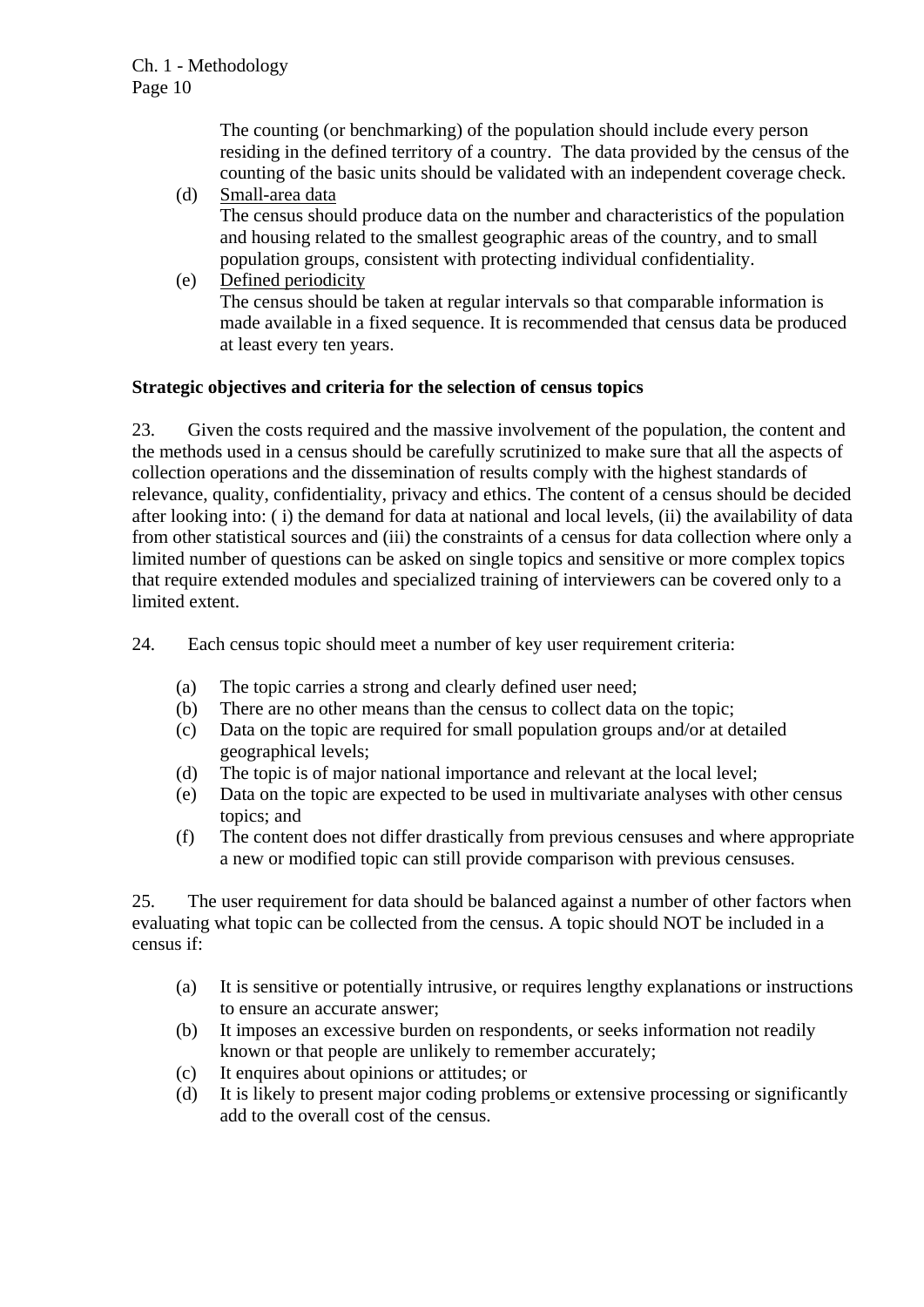<span id="page-9-0"></span>The counting (or benchmarking) of the population should include every person residing in the defined territory of a country. The data provided by the census of the counting of the basic units should be validated with an independent coverage check.

- (d) Small-area data The census should produce data on the number and characteristics of the population and housing related to the smallest geographic areas of the country, and to small population groups, consistent with protecting individual confidentiality.
- (e) Defined periodicity The census should be taken at regular intervals so that comparable information is made available in a fixed sequence. It is recommended that census data be produced at least every ten years.

### **Strategic objectives and criteria for the selection of census topics**

23. Given the costs required and the massive involvement of the population, the content and the methods used in a census should be carefully scrutinized to make sure that all the aspects of collection operations and the dissemination of results comply with the highest standards of relevance, quality, confidentiality, privacy and ethics. The content of a census should be decided after looking into: ( i) the demand for data at national and local levels, (ii) the availability of data from other statistical sources and (iii) the constraints of a census for data collection where only a limited number of questions can be asked on single topics and sensitive or more complex topics that require extended modules and specialized training of interviewers can be covered only to a limited extent.

24. Each census topic should meet a number of key user requirement criteria:

- (a) The topic carries a strong and clearly defined user need;
- (b) There are no other means than the census to collect data on the topic;
- (c) Data on the topic are required for small population groups and/or at detailed geographical levels;
- (d) The topic is of major national importance and relevant at the local level;
- (e) Data on the topic are expected to be used in multivariate analyses with other census topics; and
- (f) The content does not differ drastically from previous censuses and where appropriate a new or modified topic can still provide comparison with previous censuses.

25. The user requirement for data should be balanced against a number of other factors when evaluating what topic can be collected from the census. A topic should NOT be included in a census if:

- (a) It is sensitive or potentially intrusive, or requires lengthy explanations or instructions to ensure an accurate answer;
- (b) It imposes an excessive burden on respondents, or seeks information not readily known or that people are unlikely to remember accurately;
- (c) It enquires about opinions or attitudes; or
- (d) It is likely to present major coding problems or extensive processing or significantly add to the overall cost of the census.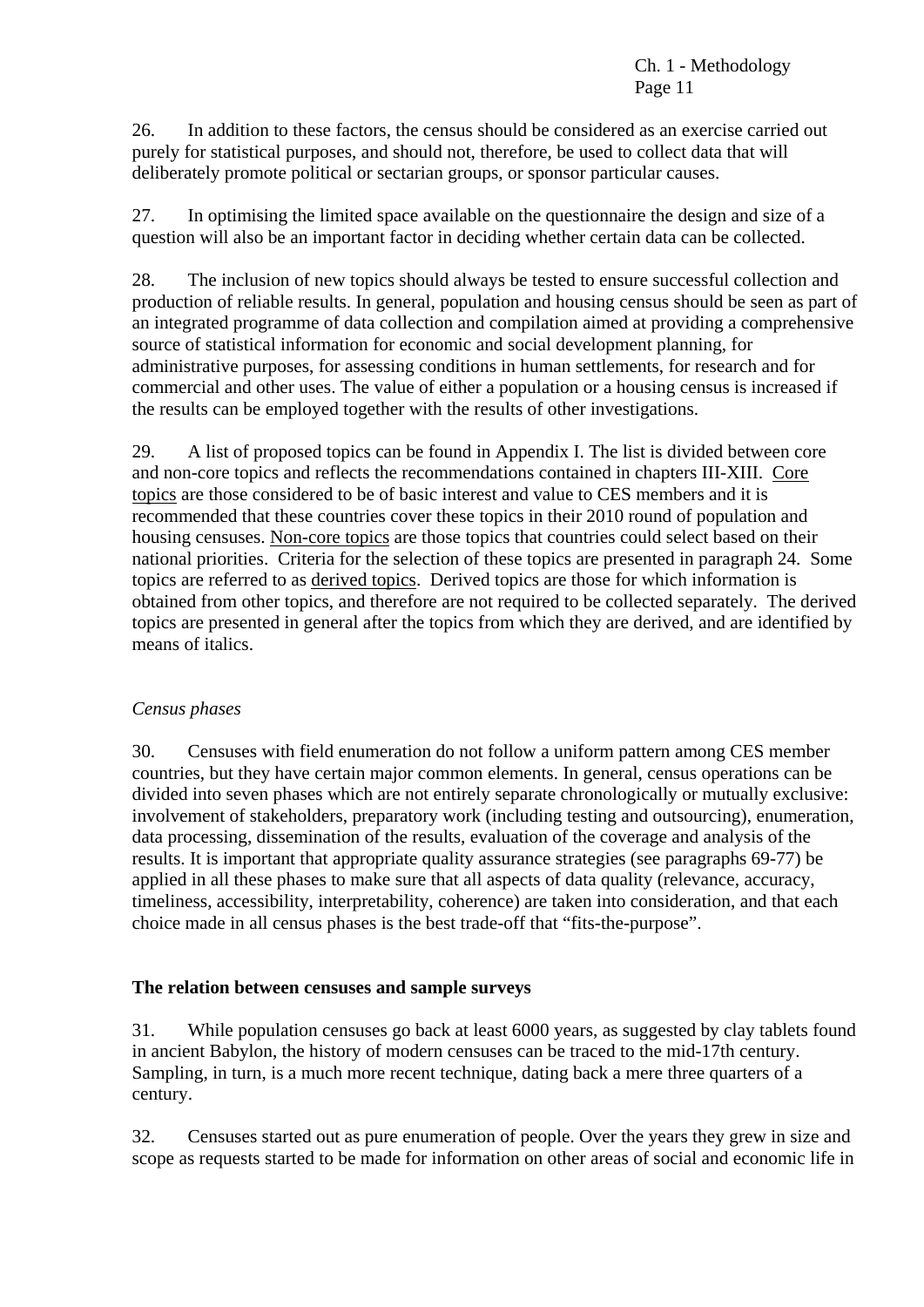26. In addition to these factors, the census should be considered as an exercise carried out purely for statistical purposes, and should not, therefore, be used to collect data that will deliberately promote political or sectarian groups, or sponsor particular causes.

27. In optimising the limited space available on the questionnaire the design and size of a question will also be an important factor in deciding whether certain data can be collected.

28. The inclusion of new topics should always be tested to ensure successful collection and production of reliable results. In general, population and housing census should be seen as part of an integrated programme of data collection and compilation aimed at providing a comprehensive source of statistical information for economic and social development planning, for administrative purposes, for assessing conditions in human settlements, for research and for commercial and other uses. The value of either a population or a housing census is increased if the results can be employed together with the results of other investigations.

29. A list of proposed topics can be found in Appendix I. The list is divided between core and non-core topics and reflects the recommendations contained in chapters III-XIII. Core topics are those considered to be of basic interest and value to CES members and it is recommended that these countries cover these topics in their 2010 round of population and housing censuses. Non-core topics are those topics that countries could select based on their national priorities. Criteria for the selection of these topics are presented in paragraph [24](#page-9-0). Some topics are referred to as derived topics. Derived topics are those for which information is obtained from other topics, and therefore are not required to be collected separately. The derived topics are presented in general after the topics from which they are derived, and are identified by means of italics.

## *Census phases*

30. Censuses with field enumeration do not follow a uniform pattern among CES member countries, but they have certain major common elements. In general, census operations can be divided into seven phases which are not entirely separate chronologically or mutually exclusive: involvement of stakeholders, preparatory work (including testing and outsourcing), enumeration, data processing, dissemination of the results, evaluation of the coverage and analysis of the results. It is important that appropriate quality assurance strategies (see paragraphs [69](#page-18-0)[-77](#page-20-0)) be applied in all these phases to make sure that all aspects of data quality (relevance, accuracy, timeliness, accessibility, interpretability, coherence) are taken into consideration, and that each choice made in all census phases is the best trade-off that "fits-the-purpose".

### **The relation between censuses and sample surveys**

31. While population censuses go back at least 6000 years, as suggested by clay tablets found in ancient Babylon, the history of modern censuses can be traced to the mid-17th century. Sampling, in turn, is a much more recent technique, dating back a mere three quarters of a century.

32. Censuses started out as pure enumeration of people. Over the years they grew in size and scope as requests started to be made for information on other areas of social and economic life in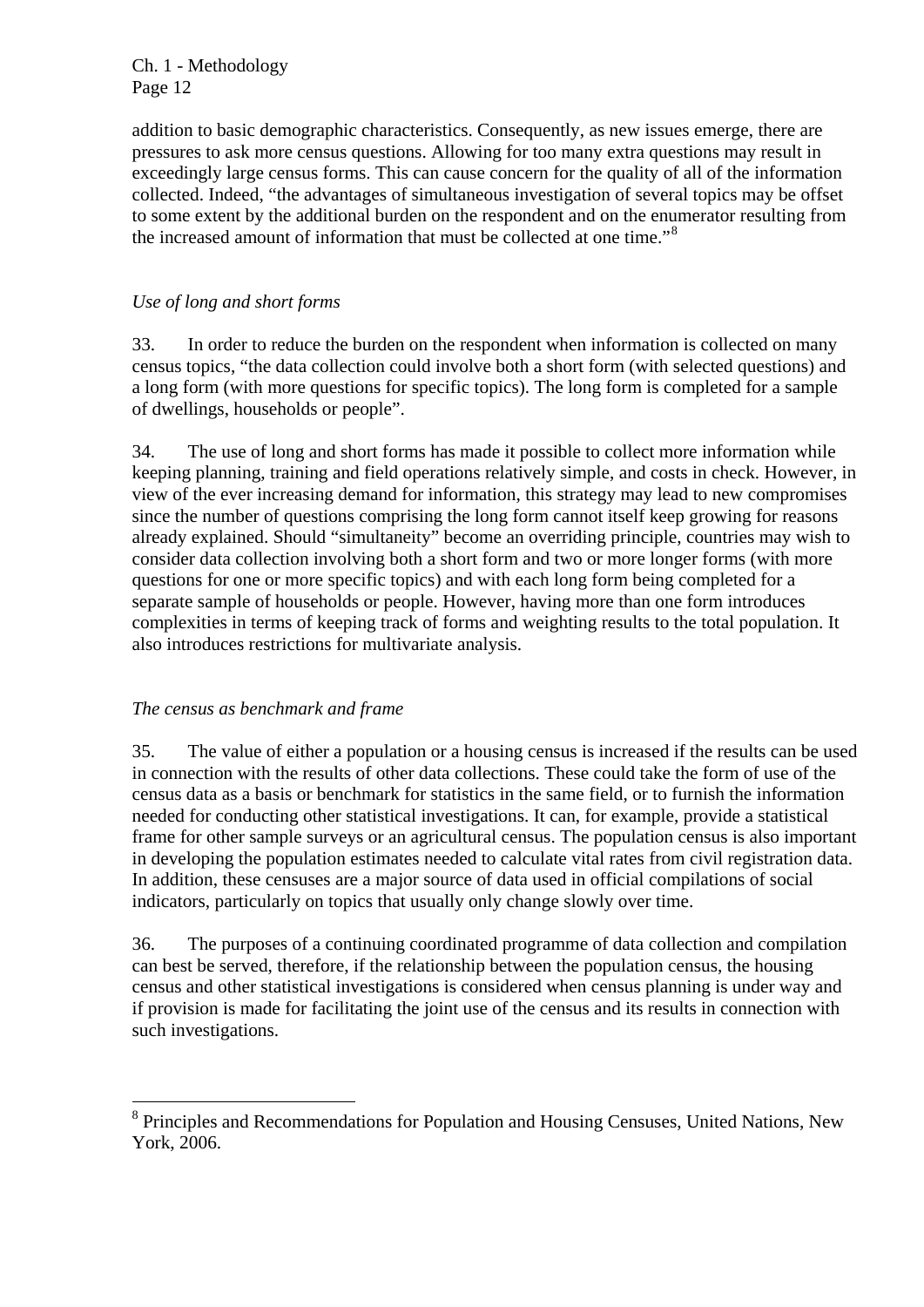Ch. 1 - Methodology Page 12

addition to basic demographic characteristics. Consequently, as new issues emerge, there are pressures to ask more census questions. Allowing for too many extra questions may result in exceedingly large census forms. This can cause concern for the quality of all of the information collected. Indeed, "the advantages of simultaneous investigation of several topics may be offset to some extent by the additional burden on the respondent and on the enumerator resulting from the increased amount of information that must be collected at one time."<sup>[8](#page-11-0)</sup>

### *Use of long and short forms*

33. In order to reduce the burden on the respondent when information is collected on many census topics, "the data collection could involve both a short form (with selected questions) and a long form (with more questions for specific topics). The long form is completed for a sample of dwellings, households or people".

34. The use of long and short forms has made it possible to collect more information while keeping planning, training and field operations relatively simple, and costs in check. However, in view of the ever increasing demand for information, this strategy may lead to new compromises since the number of questions comprising the long form cannot itself keep growing for reasons already explained. Should "simultaneity" become an overriding principle, countries may wish to consider data collection involving both a short form and two or more longer forms (with more questions for one or more specific topics) and with each long form being completed for a separate sample of households or people. However, having more than one form introduces complexities in terms of keeping track of forms and weighting results to the total population. It also introduces restrictions for multivariate analysis.

### *The census as benchmark and frame*

1

35. The value of either a population or a housing census is increased if the results can be used in connection with the results of other data collections. These could take the form of use of the census data as a basis or benchmark for statistics in the same field, or to furnish the information needed for conducting other statistical investigations. It can, for example, provide a statistical frame for other sample surveys or an agricultural census. The population census is also important in developing the population estimates needed to calculate vital rates from civil registration data. In addition, these censuses are a major source of data used in official compilations of social indicators, particularly on topics that usually only change slowly over time.

36. The purposes of a continuing coordinated programme of data collection and compilation can best be served, therefore, if the relationship between the population census, the housing census and other statistical investigations is considered when census planning is under way and if provision is made for facilitating the joint use of the census and its results in connection with such investigations.

<span id="page-11-0"></span><sup>&</sup>lt;sup>8</sup> Principles and Recommendations for Population and Housing Censuses, United Nations, New York, 2006.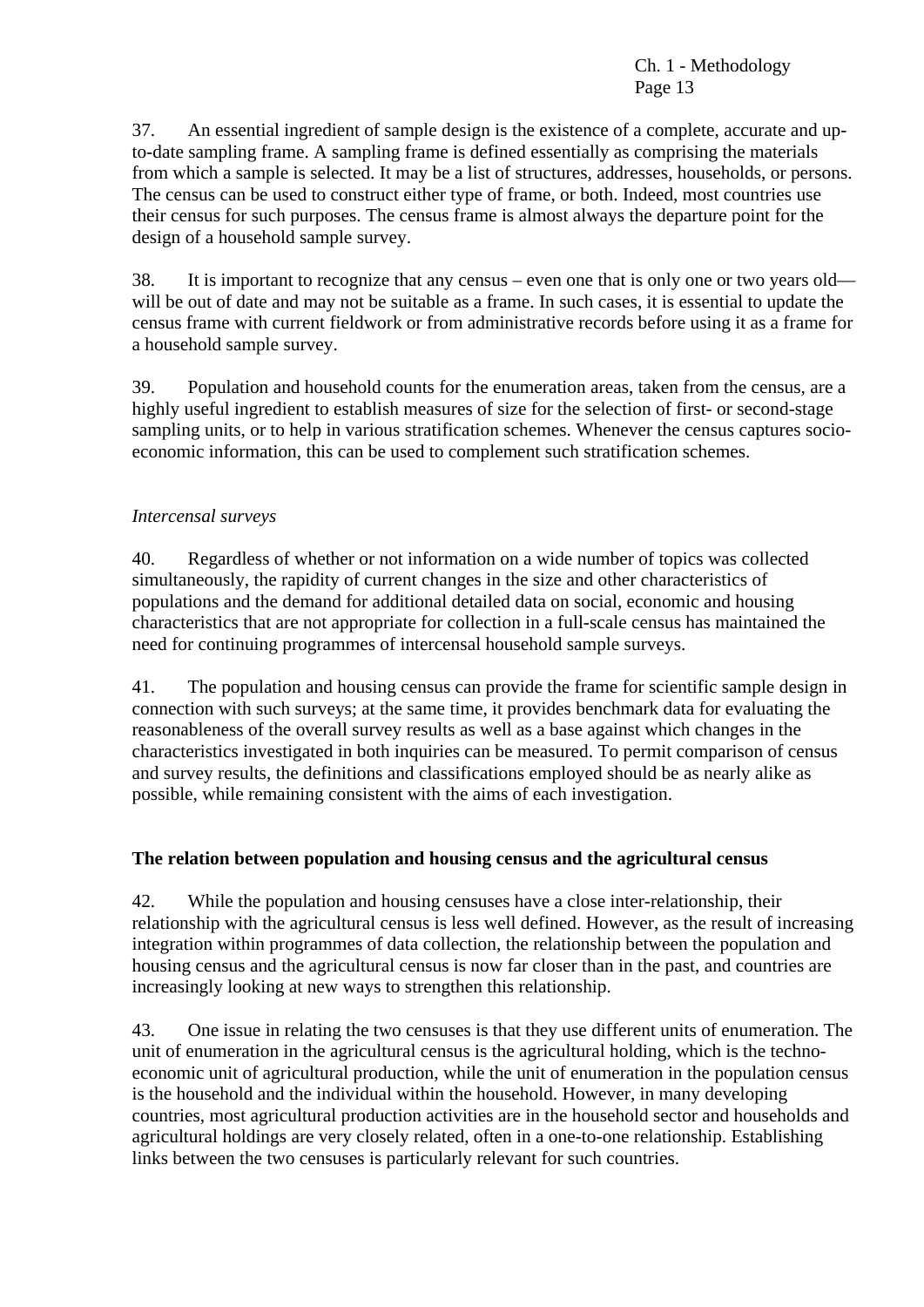Ch. 1 - Methodology Page 13

37. An essential ingredient of sample design is the existence of a complete, accurate and upto-date sampling frame. A sampling frame is defined essentially as comprising the materials from which a sample is selected. It may be a list of structures, addresses, households, or persons. The census can be used to construct either type of frame, or both. Indeed, most countries use their census for such purposes. The census frame is almost always the departure point for the design of a household sample survey.

38. It is important to recognize that any census – even one that is only one or two years old will be out of date and may not be suitable as a frame. In such cases, it is essential to update the census frame with current fieldwork or from administrative records before using it as a frame for a household sample survey.

39. Population and household counts for the enumeration areas, taken from the census, are a highly useful ingredient to establish measures of size for the selection of first- or second-stage sampling units, or to help in various stratification schemes. Whenever the census captures socioeconomic information, this can be used to complement such stratification schemes.

## *Intercensal surveys*

40. Regardless of whether or not information on a wide number of topics was collected simultaneously, the rapidity of current changes in the size and other characteristics of populations and the demand for additional detailed data on social, economic and housing characteristics that are not appropriate for collection in a full-scale census has maintained the need for continuing programmes of intercensal household sample surveys.

41. The population and housing census can provide the frame for scientific sample design in connection with such surveys; at the same time, it provides benchmark data for evaluating the reasonableness of the overall survey results as well as a base against which changes in the characteristics investigated in both inquiries can be measured. To permit comparison of census and survey results, the definitions and classifications employed should be as nearly alike as possible, while remaining consistent with the aims of each investigation.

### **The relation between population and housing census and the agricultural census**

42. While the population and housing censuses have a close inter-relationship, their relationship with the agricultural census is less well defined. However, as the result of increasing integration within programmes of data collection, the relationship between the population and housing census and the agricultural census is now far closer than in the past, and countries are increasingly looking at new ways to strengthen this relationship.

43. One issue in relating the two censuses is that they use different units of enumeration. The unit of enumeration in the agricultural census is the agricultural holding, which is the technoeconomic unit of agricultural production, while the unit of enumeration in the population census is the household and the individual within the household. However, in many developing countries, most agricultural production activities are in the household sector and households and agricultural holdings are very closely related, often in a one-to-one relationship. Establishing links between the two censuses is particularly relevant for such countries.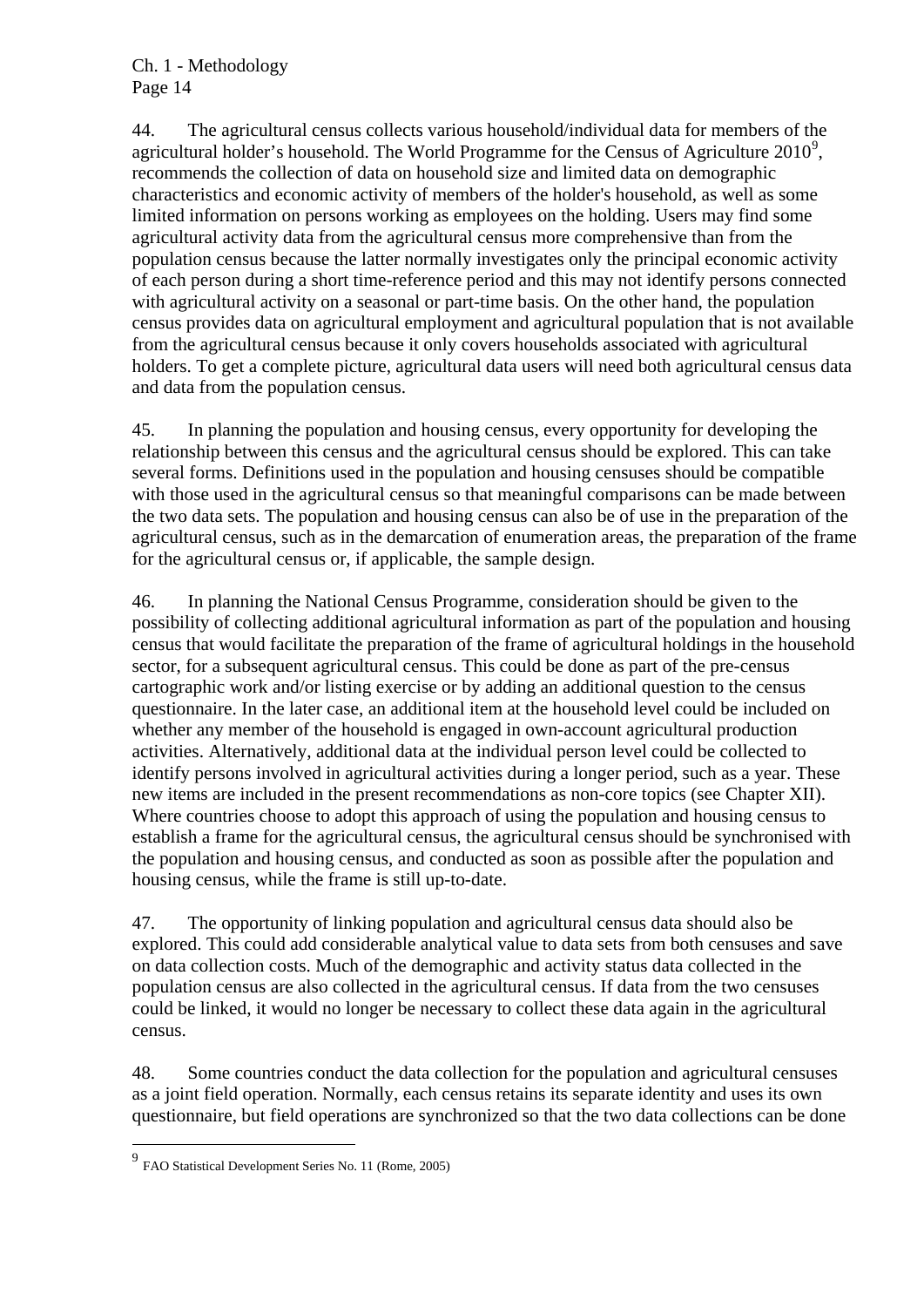44. The agricultural census collects various household/individual data for members of the agricultural holder's household. The World Programme for the Census of Agriculture  $2010^9$  $2010^9$ , recommends the collection of data on household size and limited data on demographic characteristics and economic activity of members of the holder's household, as well as some limited information on persons working as employees on the holding. Users may find some agricultural activity data from the agricultural census more comprehensive than from the population census because the latter normally investigates only the principal economic activity of each person during a short time-reference period and this may not identify persons connected with agricultural activity on a seasonal or part-time basis. On the other hand, the population census provides data on agricultural employment and agricultural population that is not available from the agricultural census because it only covers households associated with agricultural holders. To get a complete picture, agricultural data users will need both agricultural census data and data from the population census.

45. In planning the population and housing census, every opportunity for developing the relationship between this census and the agricultural census should be explored. This can take several forms. Definitions used in the population and housing censuses should be compatible with those used in the agricultural census so that meaningful comparisons can be made between the two data sets. The population and housing census can also be of use in the preparation of the agricultural census, such as in the demarcation of enumeration areas, the preparation of the frame for the agricultural census or, if applicable, the sample design.

46. In planning the National Census Programme, consideration should be given to the possibility of collecting additional agricultural information as part of the population and housing census that would facilitate the preparation of the frame of agricultural holdings in the household sector, for a subsequent agricultural census. This could be done as part of the pre-census cartographic work and/or listing exercise or by adding an additional question to the census questionnaire. In the later case, an additional item at the household level could be included on whether any member of the household is engaged in own-account agricultural production activities. Alternatively, additional data at the individual person level could be collected to identify persons involved in agricultural activities during a longer period, such as a year. These new items are included in the present recommendations as non-core topics (see Chapter XII). Where countries choose to adopt this approach of using the population and housing census to establish a frame for the agricultural census, the agricultural census should be synchronised with the population and housing census, and conducted as soon as possible after the population and housing census, while the frame is still up-to-date.

47. The opportunity of linking population and agricultural census data should also be explored. This could add considerable analytical value to data sets from both censuses and save on data collection costs. Much of the demographic and activity status data collected in the population census are also collected in the agricultural census. If data from the two censuses could be linked, it would no longer be necessary to collect these data again in the agricultural census.

48. Some countries conduct the data collection for the population and agricultural censuses as a joint field operation. Normally, each census retains its separate identity and uses its own questionnaire, but field operations are synchronized so that the two data collections can be done

1

<span id="page-13-0"></span><sup>&</sup>lt;sup>9</sup> FAO Statistical Development Series No. 11 (Rome, 2005)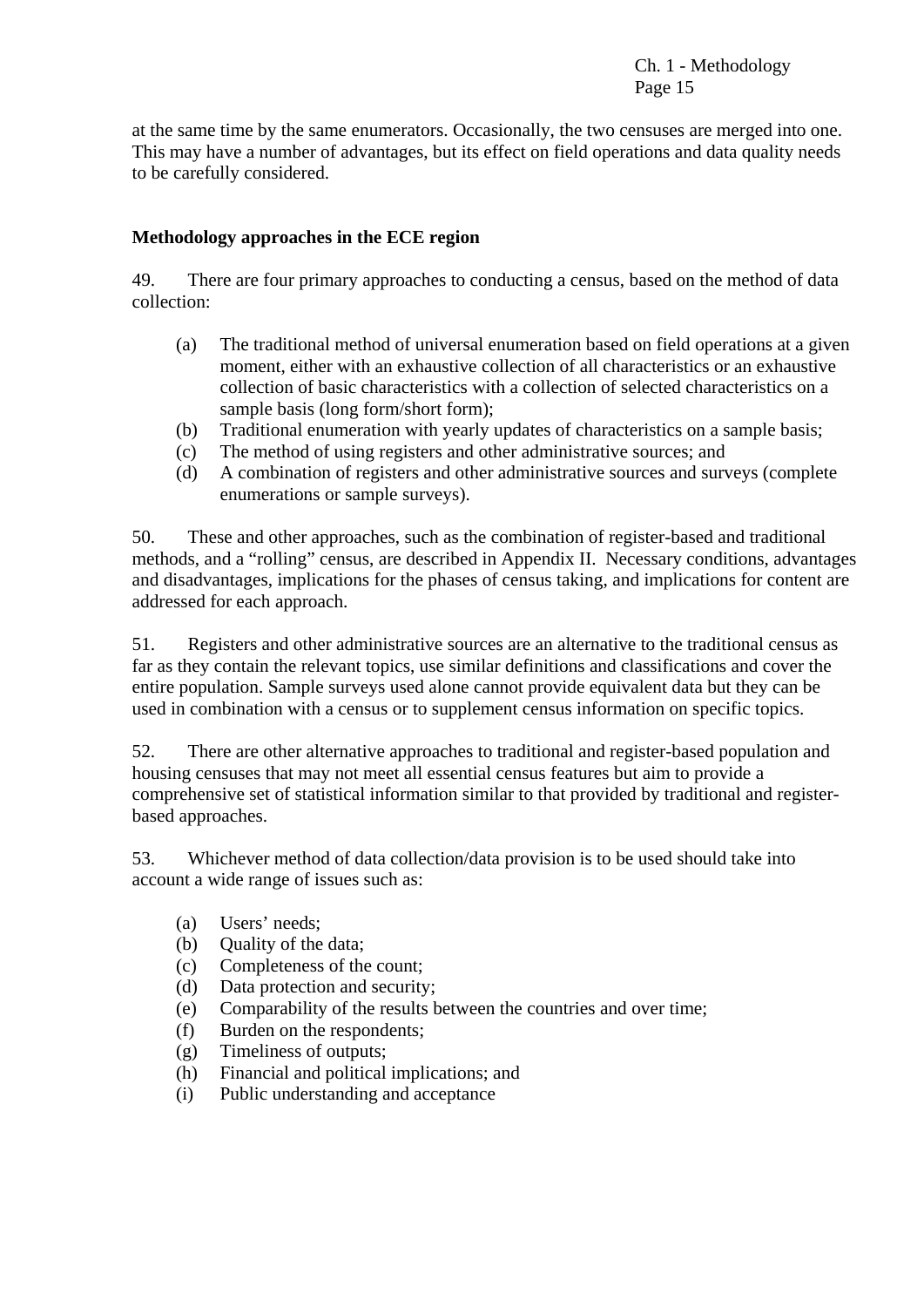Ch. 1 - Methodology Page 15

at the same time by the same enumerators. Occasionally, the two censuses are merged into one. This may have a number of advantages, but its effect on field operations and data quality needs to be carefully considered.

### **Methodology approaches in the ECE region**

49. There are four primary approaches to conducting a census, based on the method of data collection:

- (a) The traditional method of universal enumeration based on field operations at a given moment, either with an exhaustive collection of all characteristics or an exhaustive collection of basic characteristics with a collection of selected characteristics on a sample basis (long form/short form);
- (b) Traditional enumeration with yearly updates of characteristics on a sample basis;
- (c) The method of using registers and other administrative sources; and
- (d) A combination of registers and other administrative sources and surveys (complete enumerations or sample surveys).

50. These and other approaches, such as the combination of register-based and traditional methods, and a "rolling" census, are described in Appendix II. Necessary conditions, advantages and disadvantages, implications for the phases of census taking, and implications for content are addressed for each approach.

51. Registers and other administrative sources are an alternative to the traditional census as far as they contain the relevant topics, use similar definitions and classifications and cover the entire population. Sample surveys used alone cannot provide equivalent data but they can be used in combination with a census or to supplement census information on specific topics.

52. There are other alternative approaches to traditional and register-based population and housing censuses that may not meet all essential census features but aim to provide a comprehensive set of statistical information similar to that provided by traditional and registerbased approaches.

53. Whichever method of data collection/data provision is to be used should take into account a wide range of issues such as:

- (a) Users' needs;
- (b) Ouality of the data;
- (c) Completeness of the count;
- (d) Data protection and security;
- (e) Comparability of the results between the countries and over time;
- (f) Burden on the respondents;
- (g) Timeliness of outputs;
- (h) Financial and political implications; and
- (i) Public understanding and acceptance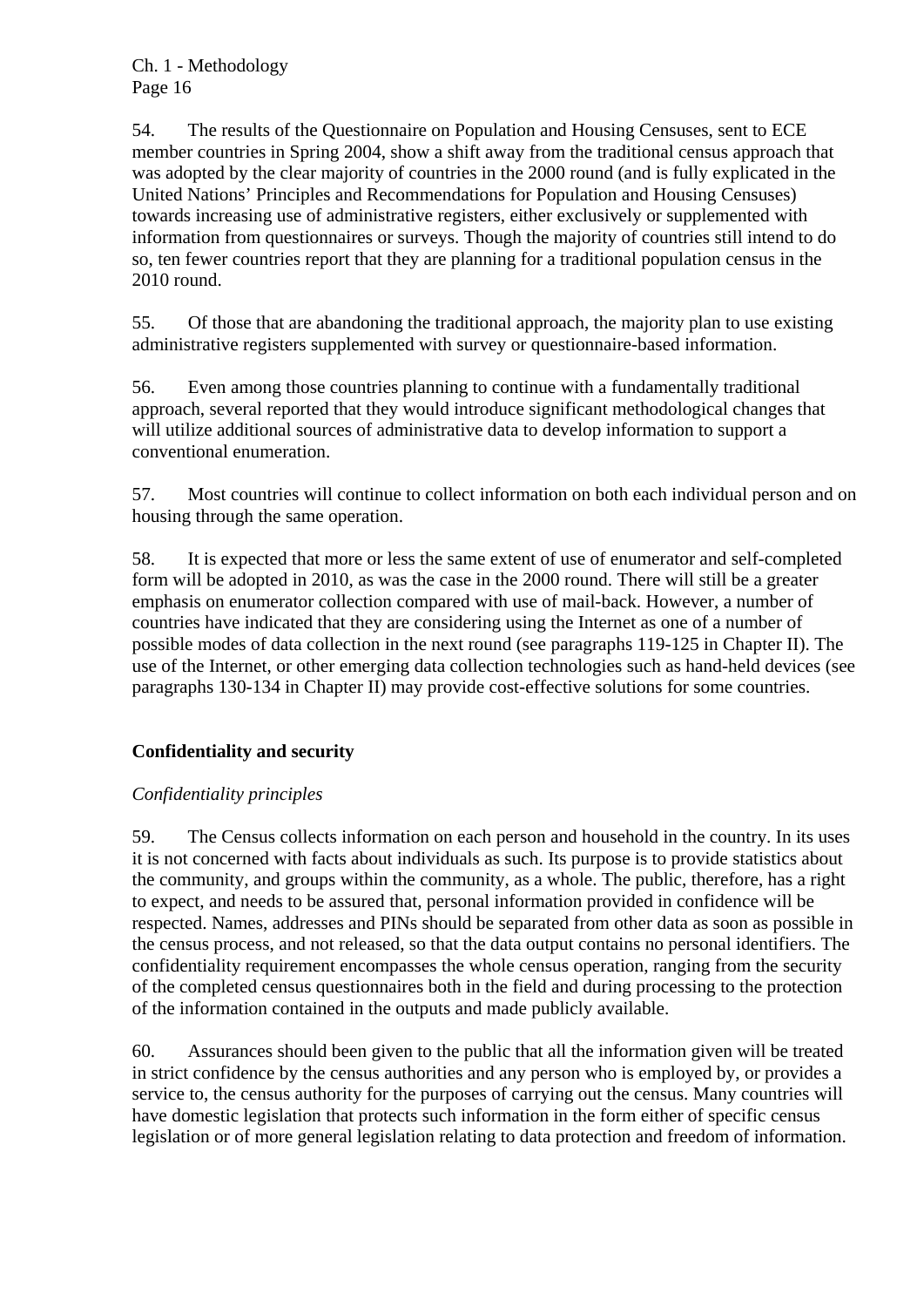<span id="page-15-0"></span>Ch. 1 - Methodology Page 16

54. The results of the Questionnaire on Population and Housing Censuses, sent to ECE member countries in Spring 2004, show a shift away from the traditional census approach that was adopted by the clear majority of countries in the 2000 round (and is fully explicated in the United Nations' Principles and Recommendations for Population and Housing Censuses) towards increasing use of administrative registers, either exclusively or supplemented with information from questionnaires or surveys. Though the majority of countries still intend to do so, ten fewer countries report that they are planning for a traditional population census in the 2010 round.

55. Of those that are abandoning the traditional approach, the majority plan to use existing administrative registers supplemented with survey or questionnaire-based information.

56. Even among those countries planning to continue with a fundamentally traditional approach, several reported that they would introduce significant methodological changes that will utilize additional sources of administrative data to develop information to support a conventional enumeration.

57. Most countries will continue to collect information on both each individual person and on housing through the same operation.

58. It is expected that more or less the same extent of use of enumerator and self-completed form will be adopted in 2010, as was the case in the 2000 round. There will still be a greater emphasis on enumerator collection compared with use of mail-back. However, a number of countries have indicated that they are considering using the Internet as one of a number of possible modes of data collection in the next round (see paragraphs [119-](#page-28-0)[125](#page-30-0) in Chapter II). The use of the Internet, or other emerging data collection technologies such as hand-held devices (see paragraphs [130-](#page-30-0)[134](#page-31-0) in Chapter II) may provide cost-effective solutions for some countries.

## **Confidentiality and security**

## *Confidentiality principles*

59. The Census collects information on each person and household in the country. In its uses it is not concerned with facts about individuals as such. Its purpose is to provide statistics about the community, and groups within the community, as a whole. The public, therefore, has a right to expect, and needs to be assured that, personal information provided in confidence will be respected. Names, addresses and PINs should be separated from other data as soon as possible in the census process, and not released, so that the data output contains no personal identifiers. The confidentiality requirement encompasses the whole census operation, ranging from the security of the completed census questionnaires both in the field and during processing to the protection of the information contained in the outputs and made publicly available.

60. Assurances should been given to the public that all the information given will be treated in strict confidence by the census authorities and any person who is employed by, or provides a service to, the census authority for the purposes of carrying out the census. Many countries will have domestic legislation that protects such information in the form either of specific census legislation or of more general legislation relating to data protection and freedom of information.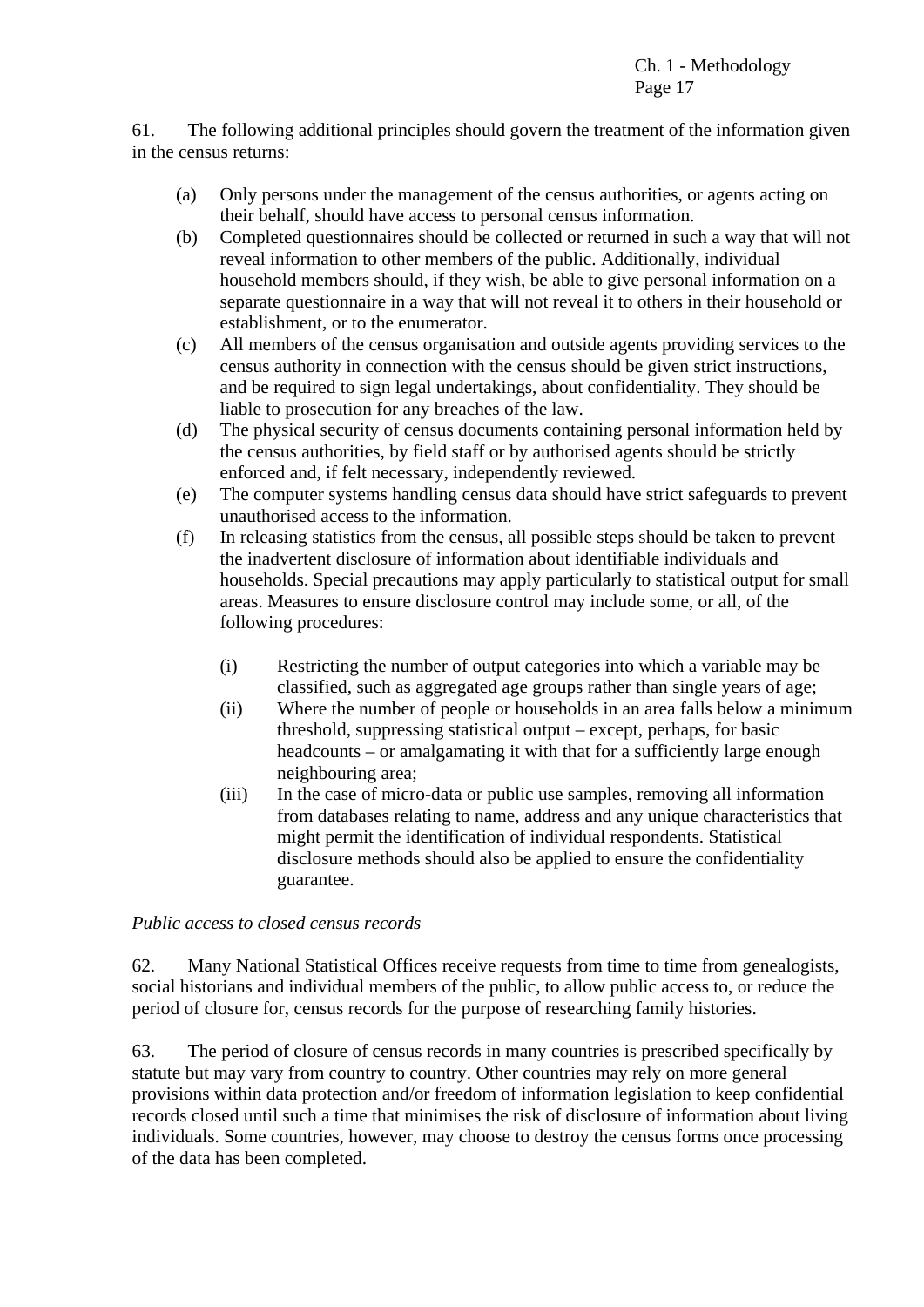<span id="page-16-0"></span>61. The following additional principles should govern the treatment of the information given in the census returns:

- (a) Only persons under the management of the census authorities, or agents acting on their behalf, should have access to personal census information.
- (b) Completed questionnaires should be collected or returned in such a way that will not reveal information to other members of the public. Additionally, individual household members should, if they wish, be able to give personal information on a separate questionnaire in a way that will not reveal it to others in their household or establishment, or to the enumerator.
- (c) All members of the census organisation and outside agents providing services to the census authority in connection with the census should be given strict instructions, and be required to sign legal undertakings, about confidentiality. They should be liable to prosecution for any breaches of the law.
- (d) The physical security of census documents containing personal information held by the census authorities, by field staff or by authorised agents should be strictly enforced and, if felt necessary, independently reviewed.
- (e) The computer systems handling census data should have strict safeguards to prevent unauthorised access to the information.
- (f) In releasing statistics from the census, all possible steps should be taken to prevent the inadvertent disclosure of information about identifiable individuals and households. Special precautions may apply particularly to statistical output for small areas. Measures to ensure disclosure control may include some, or all, of the following procedures:
	- (i) Restricting the number of output categories into which a variable may be classified, such as aggregated age groups rather than single years of age;
	- (ii) Where the number of people or households in an area falls below a minimum threshold, suppressing statistical output – except, perhaps, for basic headcounts – or amalgamating it with that for a sufficiently large enough neighbouring area;
	- (iii) In the case of micro-data or public use samples, removing all information from databases relating to name, address and any unique characteristics that might permit the identification of individual respondents. Statistical disclosure methods should also be applied to ensure the confidentiality guarantee.

### *Public access to closed census records*

62. Many National Statistical Offices receive requests from time to time from genealogists, social historians and individual members of the public, to allow public access to, or reduce the period of closure for, census records for the purpose of researching family histories.

63. The period of closure of census records in many countries is prescribed specifically by statute but may vary from country to country. Other countries may rely on more general provisions within data protection and/or freedom of information legislation to keep confidential records closed until such a time that minimises the risk of disclosure of information about living individuals. Some countries, however, may choose to destroy the census forms once processing of the data has been completed.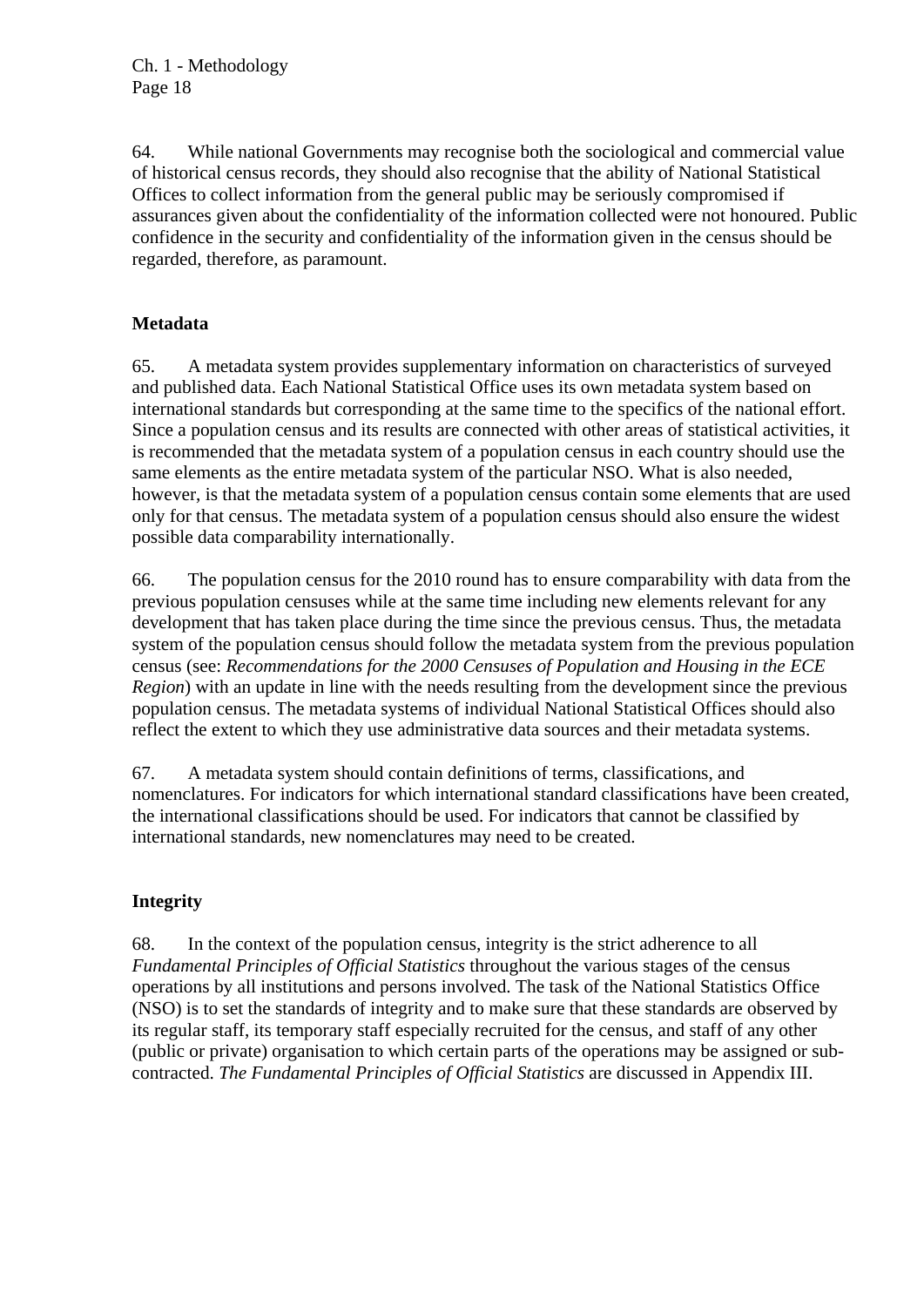64. While national Governments may recognise both the sociological and commercial value of historical census records, they should also recognise that the ability of National Statistical Offices to collect information from the general public may be seriously compromised if assurances given about the confidentiality of the information collected were not honoured. Public confidence in the security and confidentiality of the information given in the census should be regarded, therefore, as paramount.

## **Metadata**

65. A metadata system provides supplementary information on characteristics of surveyed and published data. Each National Statistical Office uses its own metadata system based on international standards but corresponding at the same time to the specifics of the national effort. Since a population census and its results are connected with other areas of statistical activities, it is recommended that the metadata system of a population census in each country should use the same elements as the entire metadata system of the particular NSO. What is also needed, however, is that the metadata system of a population census contain some elements that are used only for that census. The metadata system of a population census should also ensure the widest possible data comparability internationally.

66. The population census for the 2010 round has to ensure comparability with data from the previous population censuses while at the same time including new elements relevant for any development that has taken place during the time since the previous census. Thus, the metadata system of the population census should follow the metadata system from the previous population census (see: *Recommendations for the 2000 Censuses of Population and Housing in the ECE Region*) with an update in line with the needs resulting from the development since the previous population census. The metadata systems of individual National Statistical Offices should also reflect the extent to which they use administrative data sources and their metadata systems.

67. A metadata system should contain definitions of terms, classifications, and nomenclatures. For indicators for which international standard classifications have been created, the international classifications should be used. For indicators that cannot be classified by international standards, new nomenclatures may need to be created.

### **Integrity**

68. In the context of the population census, integrity is the strict adherence to all *Fundamental Principles of Official Statistics* throughout the various stages of the census operations by all institutions and persons involved. The task of the National Statistics Office (NSO) is to set the standards of integrity and to make sure that these standards are observed by its regular staff, its temporary staff especially recruited for the census, and staff of any other (public or private) organisation to which certain parts of the operations may be assigned or subcontracted. *The Fundamental Principles of Official Statistics* are discussed in Appendix III.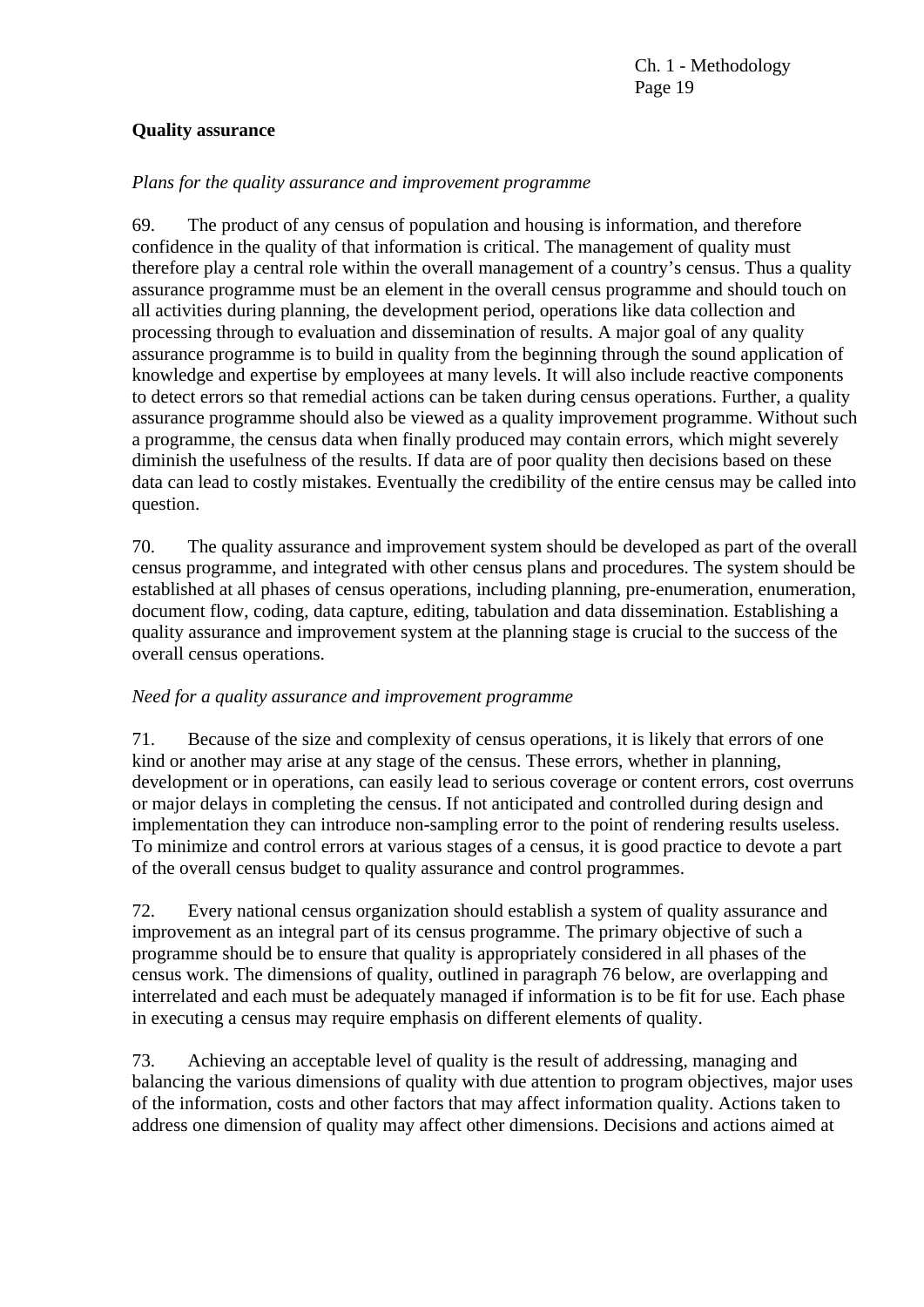#### <span id="page-18-0"></span>**Quality assurance**

### *Plans for the quality assurance and improvement programme*

69. The product of any census of population and housing is information, and therefore confidence in the quality of that information is critical. The management of quality must therefore play a central role within the overall management of a country's census. Thus a quality assurance programme must be an element in the overall census programme and should touch on all activities during planning, the development period, operations like data collection and processing through to evaluation and dissemination of results. A major goal of any quality assurance programme is to build in quality from the beginning through the sound application of knowledge and expertise by employees at many levels. It will also include reactive components to detect errors so that remedial actions can be taken during census operations. Further, a quality assurance programme should also be viewed as a quality improvement programme. Without such a programme, the census data when finally produced may contain errors, which might severely diminish the usefulness of the results. If data are of poor quality then decisions based on these data can lead to costly mistakes. Eventually the credibility of the entire census may be called into question.

70. The quality assurance and improvement system should be developed as part of the overall census programme, and integrated with other census plans and procedures. The system should be established at all phases of census operations, including planning, pre-enumeration, enumeration, document flow, coding, data capture, editing, tabulation and data dissemination. Establishing a quality assurance and improvement system at the planning stage is crucial to the success of the overall census operations.

### *Need for a quality assurance and improvement programme*

71. Because of the size and complexity of census operations, it is likely that errors of one kind or another may arise at any stage of the census. These errors, whether in planning, development or in operations, can easily lead to serious coverage or content errors, cost overruns or major delays in completing the census. If not anticipated and controlled during design and implementation they can introduce non-sampling error to the point of rendering results useless. To minimize and control errors at various stages of a census, it is good practice to devote a part of the overall census budget to quality assurance and control programmes.

72. Every national census organization should establish a system of quality assurance and improvement as an integral part of its census programme. The primary objective of such a programme should be to ensure that quality is appropriately considered in all phases of the census work. The dimensions of quality, outlined in paragraph [76](#page-19-0) below, are overlapping and interrelated and each must be adequately managed if information is to be fit for use. Each phase in executing a census may require emphasis on different elements of quality.

73. Achieving an acceptable level of quality is the result of addressing, managing and balancing the various dimensions of quality with due attention to program objectives, major uses of the information, costs and other factors that may affect information quality. Actions taken to address one dimension of quality may affect other dimensions. Decisions and actions aimed at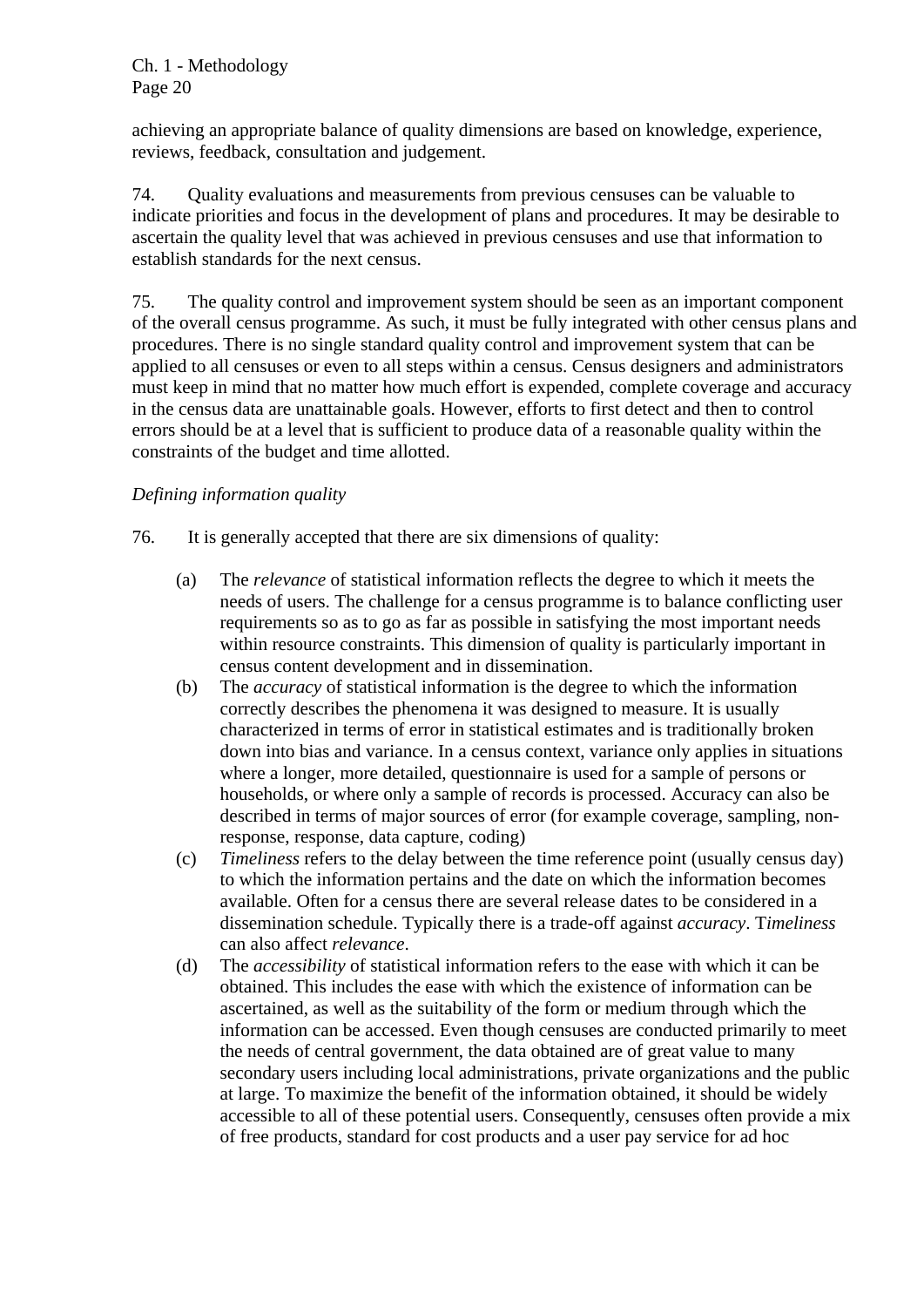<span id="page-19-0"></span>achieving an appropriate balance of quality dimensions are based on knowledge, experience, reviews, feedback, consultation and judgement.

74. Quality evaluations and measurements from previous censuses can be valuable to indicate priorities and focus in the development of plans and procedures. It may be desirable to ascertain the quality level that was achieved in previous censuses and use that information to establish standards for the next census.

75. The quality control and improvement system should be seen as an important component of the overall census programme. As such, it must be fully integrated with other census plans and procedures. There is no single standard quality control and improvement system that can be applied to all censuses or even to all steps within a census. Census designers and administrators must keep in mind that no matter how much effort is expended, complete coverage and accuracy in the census data are unattainable goals. However, efforts to first detect and then to control errors should be at a level that is sufficient to produce data of a reasonable quality within the constraints of the budget and time allotted.

## *Defining information quality*

- 76. It is generally accepted that there are six dimensions of quality:
	- (a) The *relevance* of statistical information reflects the degree to which it meets the needs of users. The challenge for a census programme is to balance conflicting user requirements so as to go as far as possible in satisfying the most important needs within resource constraints. This dimension of quality is particularly important in census content development and in dissemination.
	- (b) The *accuracy* of statistical information is the degree to which the information correctly describes the phenomena it was designed to measure. It is usually characterized in terms of error in statistical estimates and is traditionally broken down into bias and variance. In a census context, variance only applies in situations where a longer, more detailed, questionnaire is used for a sample of persons or households, or where only a sample of records is processed. Accuracy can also be described in terms of major sources of error (for example coverage, sampling, nonresponse, response, data capture, coding)
	- (c) *Timeliness* refers to the delay between the time reference point (usually census day) to which the information pertains and the date on which the information becomes available. Often for a census there are several release dates to be considered in a dissemination schedule. Typically there is a trade-off against *accuracy*. T*imeliness* can also affect *relevance*.
	- (d) The *accessibility* of statistical information refers to the ease with which it can be obtained. This includes the ease with which the existence of information can be ascertained, as well as the suitability of the form or medium through which the information can be accessed. Even though censuses are conducted primarily to meet the needs of central government, the data obtained are of great value to many secondary users including local administrations, private organizations and the public at large. To maximize the benefit of the information obtained, it should be widely accessible to all of these potential users. Consequently, censuses often provide a mix of free products, standard for cost products and a user pay service for ad hoc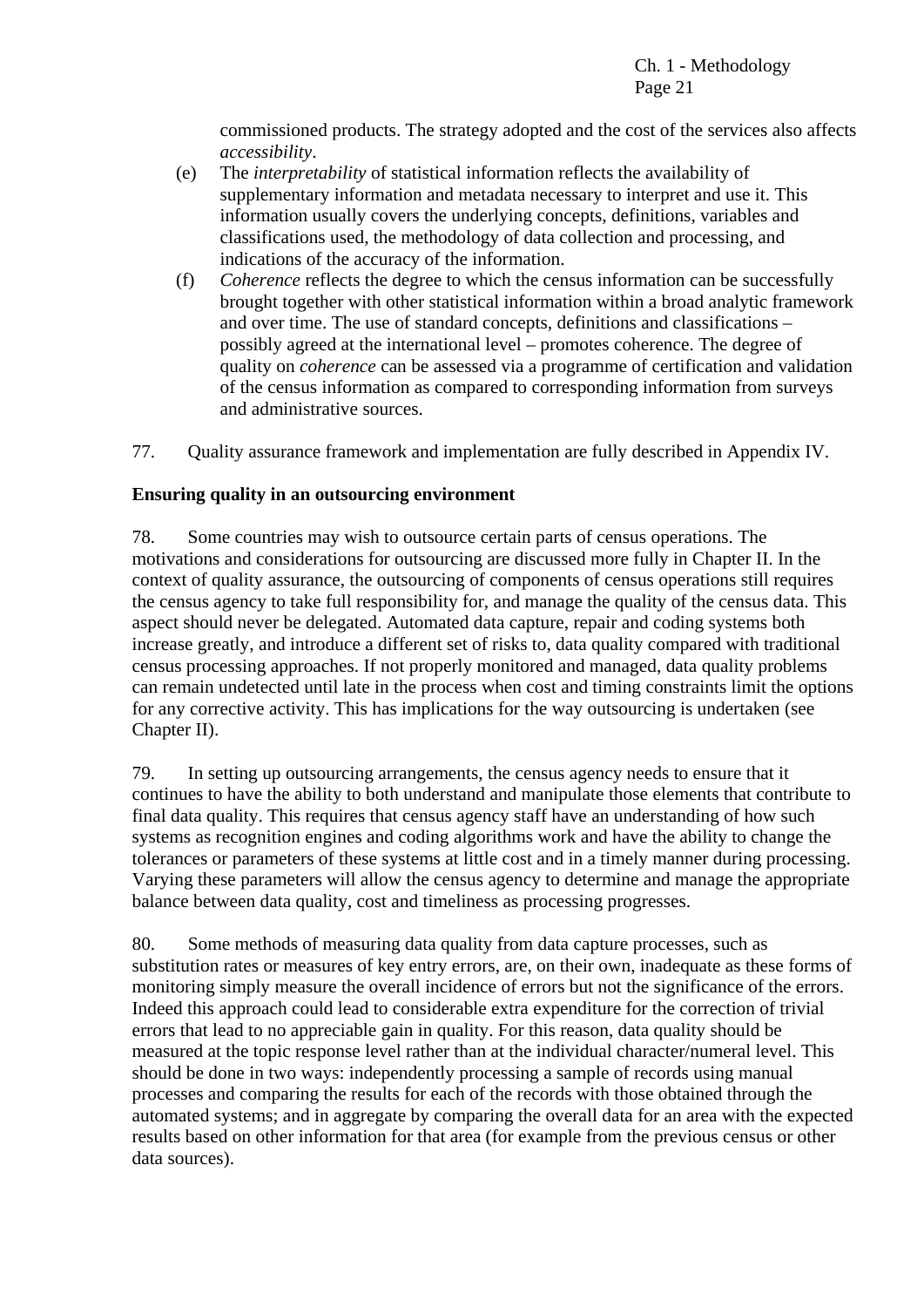commissioned products. The strategy adopted and the cost of the services also affects *accessibility*.

- <span id="page-20-0"></span>(e) The *interpretability* of statistical information reflects the availability of supplementary information and metadata necessary to interpret and use it. This information usually covers the underlying concepts, definitions, variables and classifications used, the methodology of data collection and processing, and indications of the accuracy of the information.
- (f) *Coherence* reflects the degree to which the census information can be successfully brought together with other statistical information within a broad analytic framework and over time. The use of standard concepts, definitions and classifications – possibly agreed at the international level – promotes coherence. The degree of quality on *coherence* can be assessed via a programme of certification and validation of the census information as compared to corresponding information from surveys and administrative sources.
- 77. Quality assurance framework and implementation are fully described in Appendix IV.

### **Ensuring quality in an outsourcing environment**

78. Some countries may wish to outsource certain parts of census operations. The motivations and considerations for outsourcing are discussed more fully in Chapter II. In the context of quality assurance, the outsourcing of components of census operations still requires the census agency to take full responsibility for, and manage the quality of the census data. This aspect should never be delegated. Automated data capture, repair and coding systems both increase greatly, and introduce a different set of risks to, data quality compared with traditional census processing approaches. If not properly monitored and managed, data quality problems can remain undetected until late in the process when cost and timing constraints limit the options for any corrective activity. This has implications for the way outsourcing is undertaken (see Chapter II).

79. In setting up outsourcing arrangements, the census agency needs to ensure that it continues to have the ability to both understand and manipulate those elements that contribute to final data quality. This requires that census agency staff have an understanding of how such systems as recognition engines and coding algorithms work and have the ability to change the tolerances or parameters of these systems at little cost and in a timely manner during processing. Varying these parameters will allow the census agency to determine and manage the appropriate balance between data quality, cost and timeliness as processing progresses.

80. Some methods of measuring data quality from data capture processes, such as substitution rates or measures of key entry errors, are, on their own, inadequate as these forms of monitoring simply measure the overall incidence of errors but not the significance of the errors. Indeed this approach could lead to considerable extra expenditure for the correction of trivial errors that lead to no appreciable gain in quality. For this reason, data quality should be measured at the topic response level rather than at the individual character/numeral level. This should be done in two ways: independently processing a sample of records using manual processes and comparing the results for each of the records with those obtained through the automated systems; and in aggregate by comparing the overall data for an area with the expected results based on other information for that area (for example from the previous census or other data sources).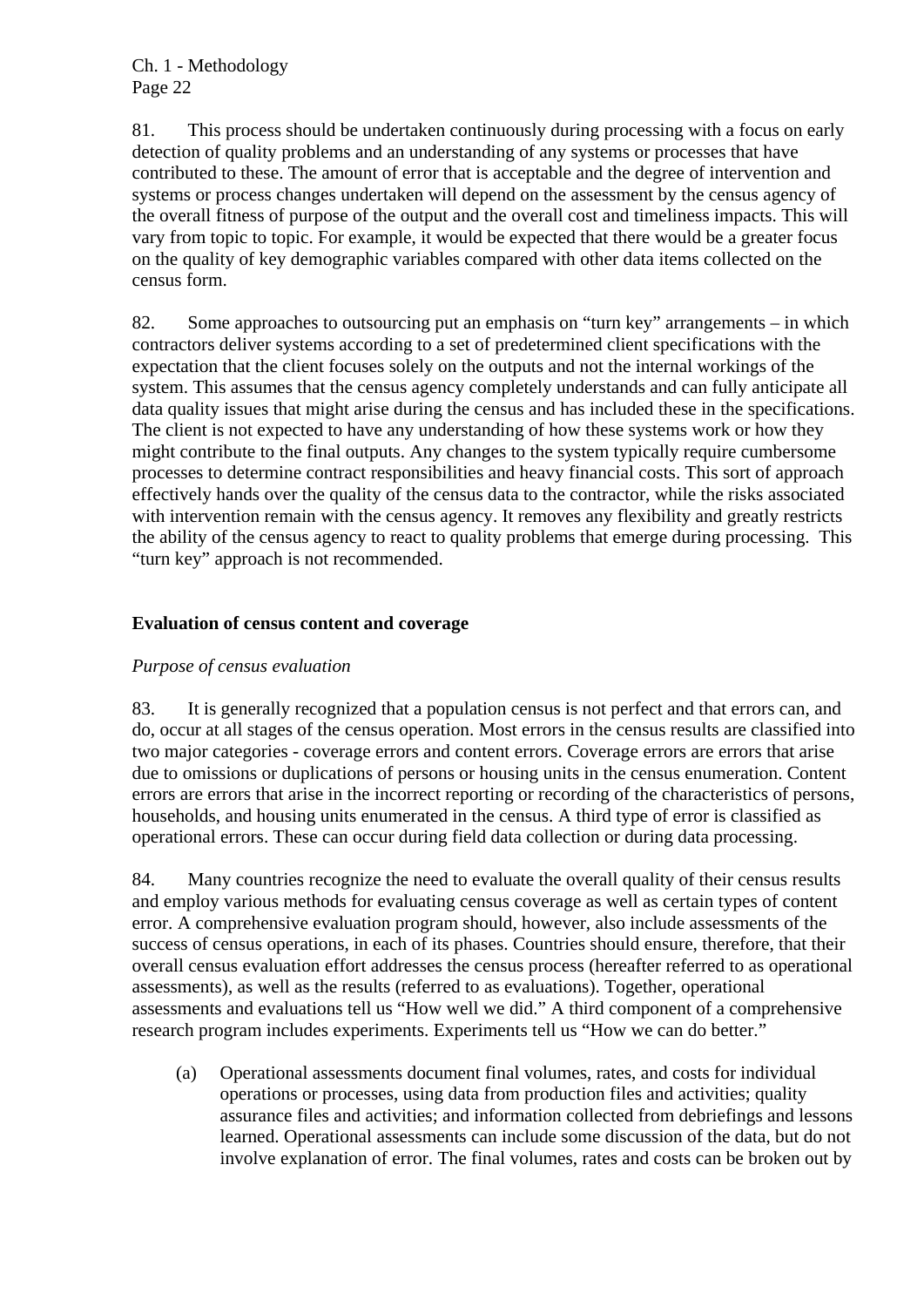81. This process should be undertaken continuously during processing with a focus on early detection of quality problems and an understanding of any systems or processes that have contributed to these. The amount of error that is acceptable and the degree of intervention and systems or process changes undertaken will depend on the assessment by the census agency of the overall fitness of purpose of the output and the overall cost and timeliness impacts. This will vary from topic to topic. For example, it would be expected that there would be a greater focus on the quality of key demographic variables compared with other data items collected on the census form.

82. Some approaches to outsourcing put an emphasis on "turn key" arrangements – in which contractors deliver systems according to a set of predetermined client specifications with the expectation that the client focuses solely on the outputs and not the internal workings of the system. This assumes that the census agency completely understands and can fully anticipate all data quality issues that might arise during the census and has included these in the specifications. The client is not expected to have any understanding of how these systems work or how they might contribute to the final outputs. Any changes to the system typically require cumbersome processes to determine contract responsibilities and heavy financial costs. This sort of approach effectively hands over the quality of the census data to the contractor, while the risks associated with intervention remain with the census agency. It removes any flexibility and greatly restricts the ability of the census agency to react to quality problems that emerge during processing. This "turn key" approach is not recommended.

## **Evaluation of census content and coverage**

## *Purpose of census evaluation*

83. It is generally recognized that a population census is not perfect and that errors can, and do, occur at all stages of the census operation. Most errors in the census results are classified into two major categories - coverage errors and content errors. Coverage errors are errors that arise due to omissions or duplications of persons or housing units in the census enumeration. Content errors are errors that arise in the incorrect reporting or recording of the characteristics of persons, households, and housing units enumerated in the census. A third type of error is classified as operational errors. These can occur during field data collection or during data processing.

84. Many countries recognize the need to evaluate the overall quality of their census results and employ various methods for evaluating census coverage as well as certain types of content error. A comprehensive evaluation program should, however, also include assessments of the success of census operations, in each of its phases. Countries should ensure, therefore, that their overall census evaluation effort addresses the census process (hereafter referred to as operational assessments), as well as the results (referred to as evaluations). Together, operational assessments and evaluations tell us "How well we did." A third component of a comprehensive research program includes experiments. Experiments tell us "How we can do better."

(a) Operational assessments document final volumes, rates, and costs for individual operations or processes, using data from production files and activities; quality assurance files and activities; and information collected from debriefings and lessons learned. Operational assessments can include some discussion of the data, but do not involve explanation of error. The final volumes, rates and costs can be broken out by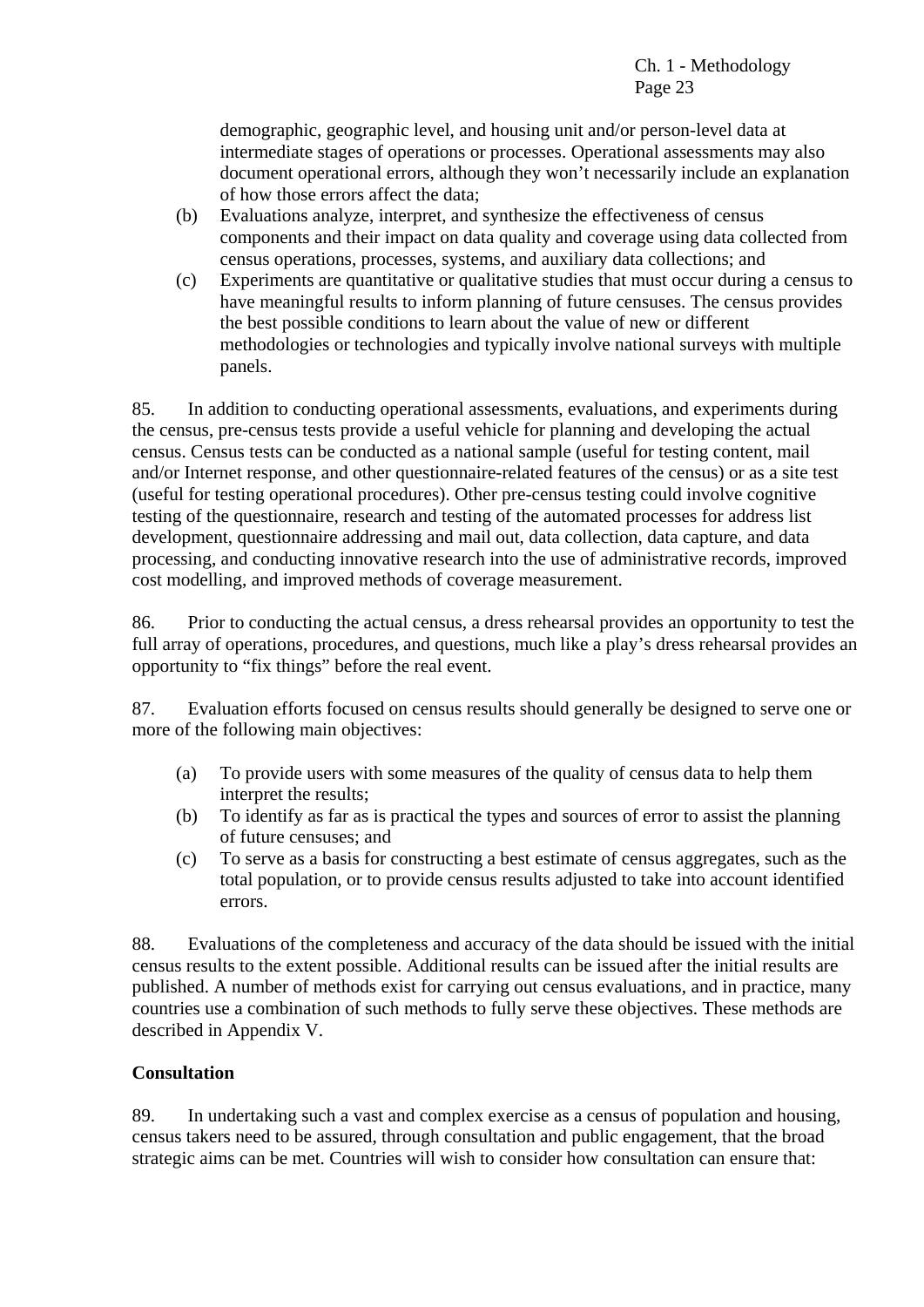demographic, geographic level, and housing unit and/or person-level data at intermediate stages of operations or processes. Operational assessments may also document operational errors, although they won't necessarily include an explanation of how those errors affect the data;

- (b) Evaluations analyze, interpret, and synthesize the effectiveness of census components and their impact on data quality and coverage using data collected from census operations, processes, systems, and auxiliary data collections; and
- (c) Experiments are quantitative or qualitative studies that must occur during a census to have meaningful results to inform planning of future censuses. The census provides the best possible conditions to learn about the value of new or different methodologies or technologies and typically involve national surveys with multiple panels.

85. In addition to conducting operational assessments, evaluations, and experiments during the census, pre-census tests provide a useful vehicle for planning and developing the actual census. Census tests can be conducted as a national sample (useful for testing content, mail and/or Internet response, and other questionnaire-related features of the census) or as a site test (useful for testing operational procedures). Other pre-census testing could involve cognitive testing of the questionnaire, research and testing of the automated processes for address list development, questionnaire addressing and mail out, data collection, data capture, and data processing, and conducting innovative research into the use of administrative records, improved cost modelling, and improved methods of coverage measurement.

86. Prior to conducting the actual census, a dress rehearsal provides an opportunity to test the full array of operations, procedures, and questions, much like a play's dress rehearsal provides an opportunity to "fix things" before the real event.

87. Evaluation efforts focused on census results should generally be designed to serve one or more of the following main objectives:

- (a) To provide users with some measures of the quality of census data to help them interpret the results;
- (b) To identify as far as is practical the types and sources of error to assist the planning of future censuses; and
- (c) To serve as a basis for constructing a best estimate of census aggregates, such as the total population, or to provide census results adjusted to take into account identified errors.

88. Evaluations of the completeness and accuracy of the data should be issued with the initial census results to the extent possible. Additional results can be issued after the initial results are published. A number of methods exist for carrying out census evaluations, and in practice, many countries use a combination of such methods to fully serve these objectives. These methods are described in Appendix V.

### **Consultation**

89. In undertaking such a vast and complex exercise as a census of population and housing, census takers need to be assured, through consultation and public engagement, that the broad strategic aims can be met. Countries will wish to consider how consultation can ensure that: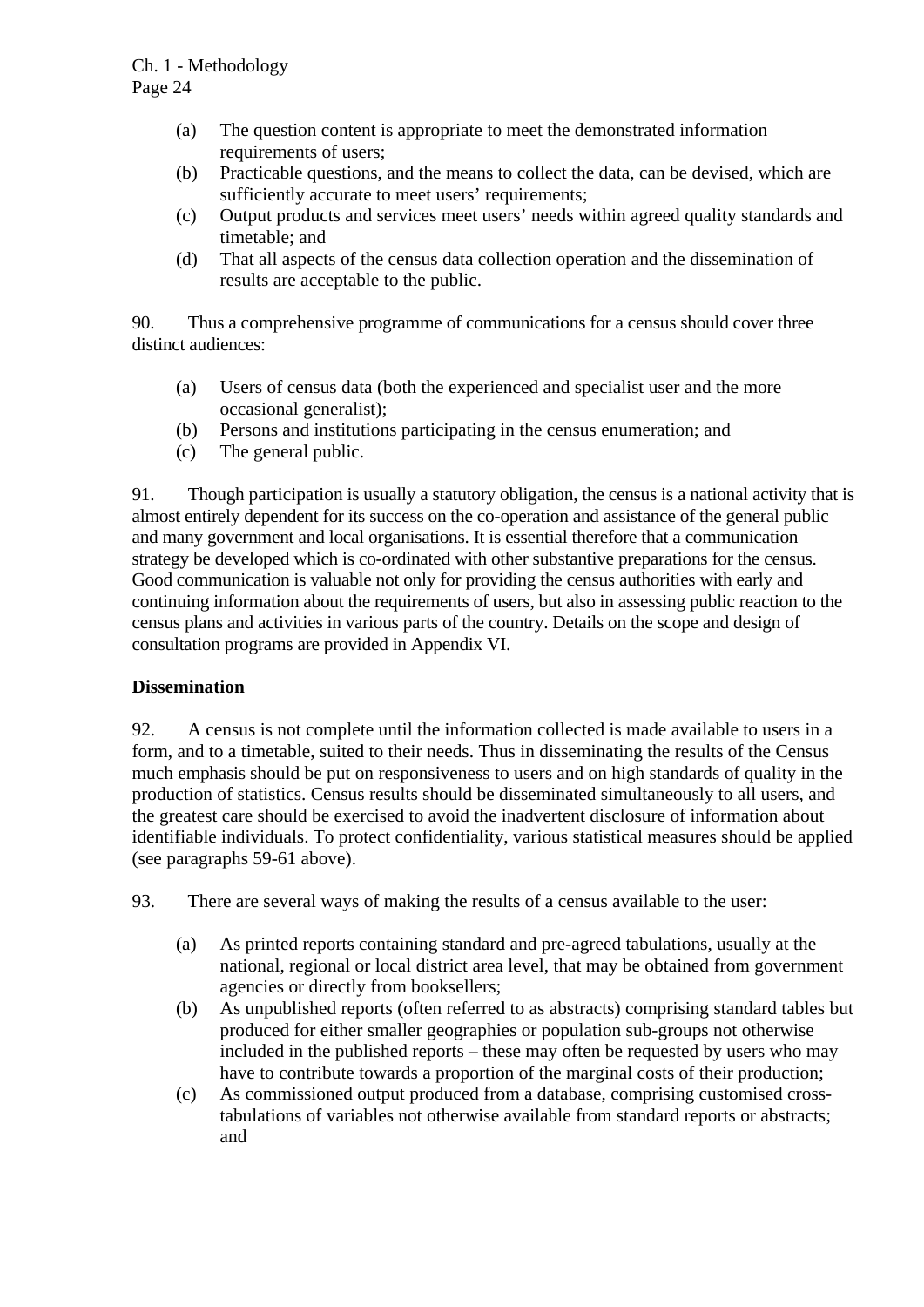- (a) The question content is appropriate to meet the demonstrated information requirements of users;
- (b) Practicable questions, and the means to collect the data, can be devised, which are sufficiently accurate to meet users' requirements;
- (c) Output products and services meet users' needs within agreed quality standards and timetable; and
- (d) That all aspects of the census data collection operation and the dissemination of results are acceptable to the public.

90. Thus a comprehensive programme of communications for a census should cover three distinct audiences:

- (a) Users of census data (both the experienced and specialist user and the more occasional generalist);
- (b) Persons and institutions participating in the census enumeration; and
- (c) The general public.

91. Though participation is usually a statutory obligation, the census is a national activity that is almost entirely dependent for its success on the co-operation and assistance of the general public and many government and local organisations. It is essential therefore that a communication strategy be developed which is co-ordinated with other substantive preparations for the census. Good communication is valuable not only for providing the census authorities with early and continuing information about the requirements of users, but also in assessing public reaction to the census plans and activities in various parts of the country. Details on the scope and design of consultation programs are provided in Appendix VI.

### **Dissemination**

92. A census is not complete until the information collected is made available to users in a form, and to a timetable, suited to their needs. Thus in disseminating the results of the Census much emphasis should be put on responsiveness to users and on high standards of quality in the production of statistics. Census results should be disseminated simultaneously to all users, and the greatest care should be exercised to avoid the inadvertent disclosure of information about identifiable individuals. To protect confidentiality, various statistical measures should be applied (see paragraphs [59](#page-15-0)[-61](#page-16-0) above).

- 93. There are several ways of making the results of a census available to the user:
	- (a) As printed reports containing standard and pre-agreed tabulations, usually at the national, regional or local district area level, that may be obtained from government agencies or directly from booksellers;
	- (b) As unpublished reports (often referred to as abstracts) comprising standard tables but produced for either smaller geographies or population sub-groups not otherwise included in the published reports – these may often be requested by users who may have to contribute towards a proportion of the marginal costs of their production;
	- (c) As commissioned output produced from a database, comprising customised crosstabulations of variables not otherwise available from standard reports or abstracts; and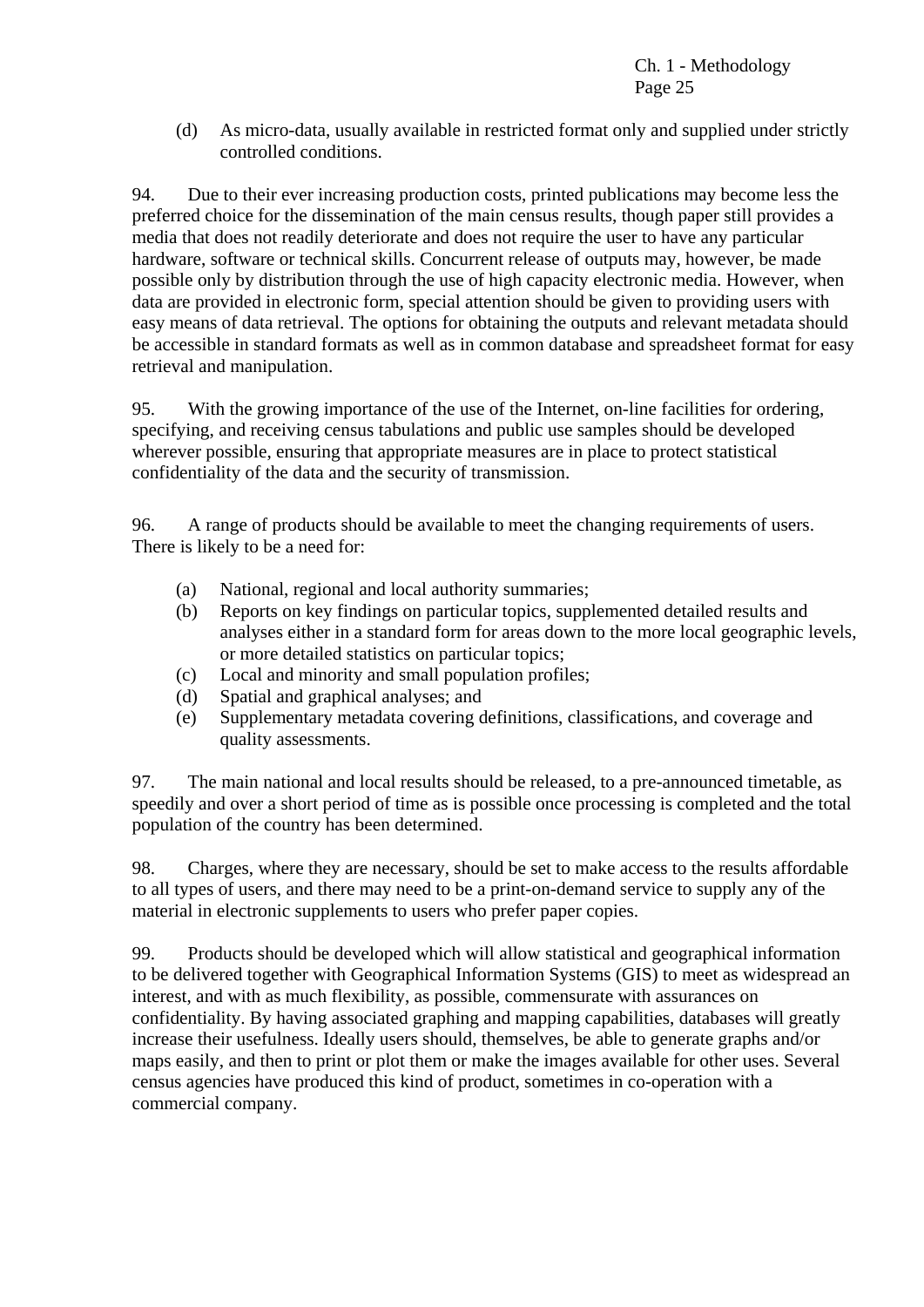(d) As micro-data, usually available in restricted format only and supplied under strictly controlled conditions.

94. Due to their ever increasing production costs, printed publications may become less the preferred choice for the dissemination of the main census results, though paper still provides a media that does not readily deteriorate and does not require the user to have any particular hardware, software or technical skills. Concurrent release of outputs may, however, be made possible only by distribution through the use of high capacity electronic media. However, when data are provided in electronic form, special attention should be given to providing users with easy means of data retrieval. The options for obtaining the outputs and relevant metadata should be accessible in standard formats as well as in common database and spreadsheet format for easy retrieval and manipulation.

95. With the growing importance of the use of the Internet, on-line facilities for ordering, specifying, and receiving census tabulations and public use samples should be developed wherever possible, ensuring that appropriate measures are in place to protect statistical confidentiality of the data and the security of transmission.

96. A range of products should be available to meet the changing requirements of users. There is likely to be a need for:

- (a) National, regional and local authority summaries;
- (b) Reports on key findings on particular topics, supplemented detailed results and analyses either in a standard form for areas down to the more local geographic levels, or more detailed statistics on particular topics;
- (c) Local and minority and small population profiles;
- (d) Spatial and graphical analyses; and
- (e) Supplementary metadata covering definitions, classifications, and coverage and quality assessments.

97. The main national and local results should be released, to a pre-announced timetable, as speedily and over a short period of time as is possible once processing is completed and the total population of the country has been determined.

98. Charges, where they are necessary, should be set to make access to the results affordable to all types of users, and there may need to be a print-on-demand service to supply any of the material in electronic supplements to users who prefer paper copies.

99. Products should be developed which will allow statistical and geographical information to be delivered together with Geographical Information Systems (GIS) to meet as widespread an interest, and with as much flexibility, as possible, commensurate with assurances on confidentiality. By having associated graphing and mapping capabilities, databases will greatly increase their usefulness. Ideally users should, themselves, be able to generate graphs and/or maps easily, and then to print or plot them or make the images available for other uses. Several census agencies have produced this kind of product, sometimes in co-operation with a commercial company.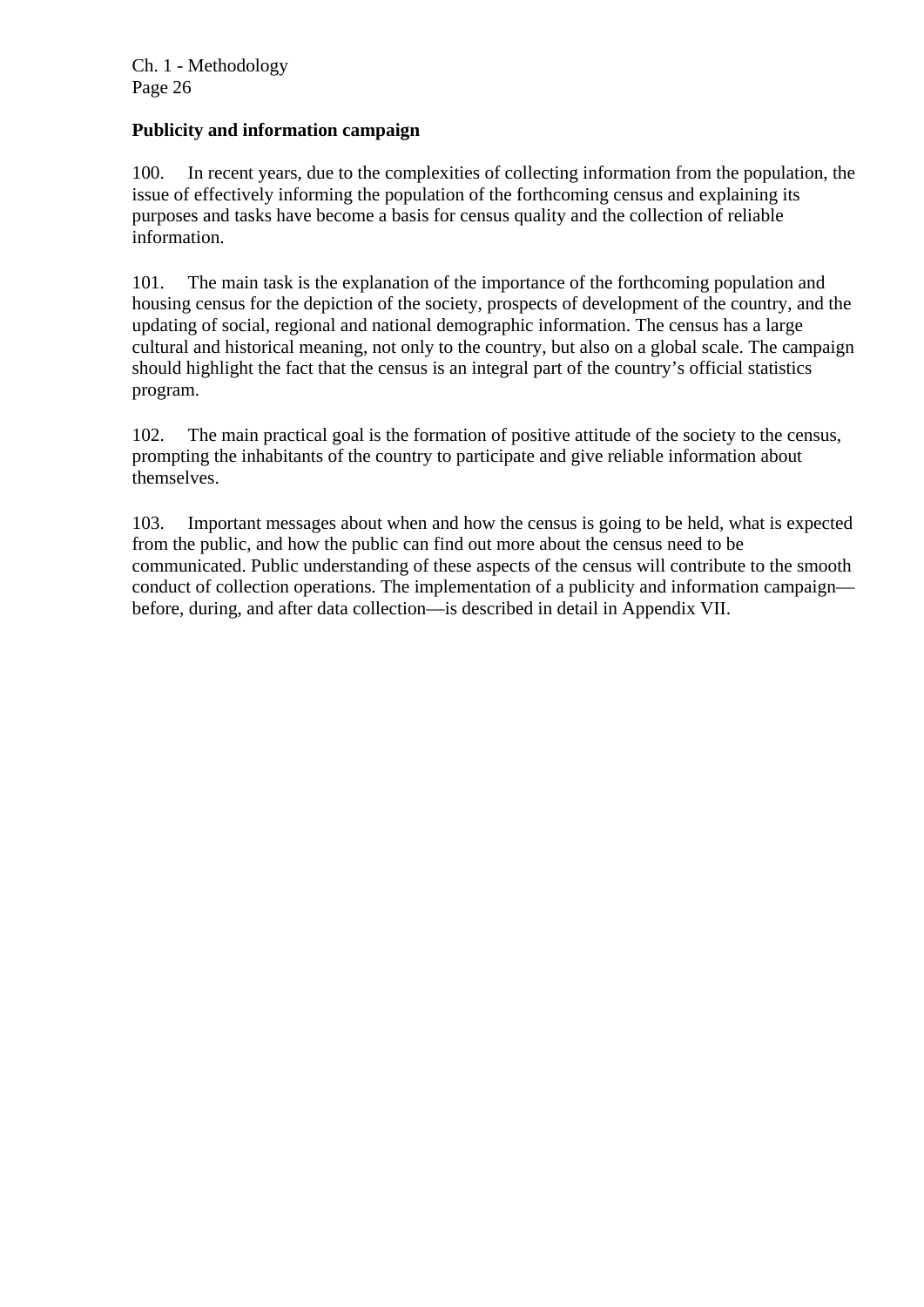### **Publicity and information campaign**

100. In recent years, due to the complexities of collecting information from the population, the issue of effectively informing the population of the forthcoming census and explaining its purposes and tasks have become a basis for census quality and the collection of reliable information.

101. The main task is the explanation of the importance of the forthcoming population and housing census for the depiction of the society, prospects of development of the country, and the updating of social, regional and national demographic information. The census has a large cultural and historical meaning, not only to the country, but also on a global scale. The campaign should highlight the fact that the census is an integral part of the country's official statistics program.

102. The main practical goal is the formation of positive attitude of the society to the census, prompting the inhabitants of the country to participate and give reliable information about themselves.

103. Important messages about when and how the census is going to be held, what is expected from the public, and how the public can find out more about the census need to be communicated. Public understanding of these aspects of the census will contribute to the smooth conduct of collection operations. The implementation of a publicity and information campaign before, during, and after data collection—is described in detail in Appendix VII.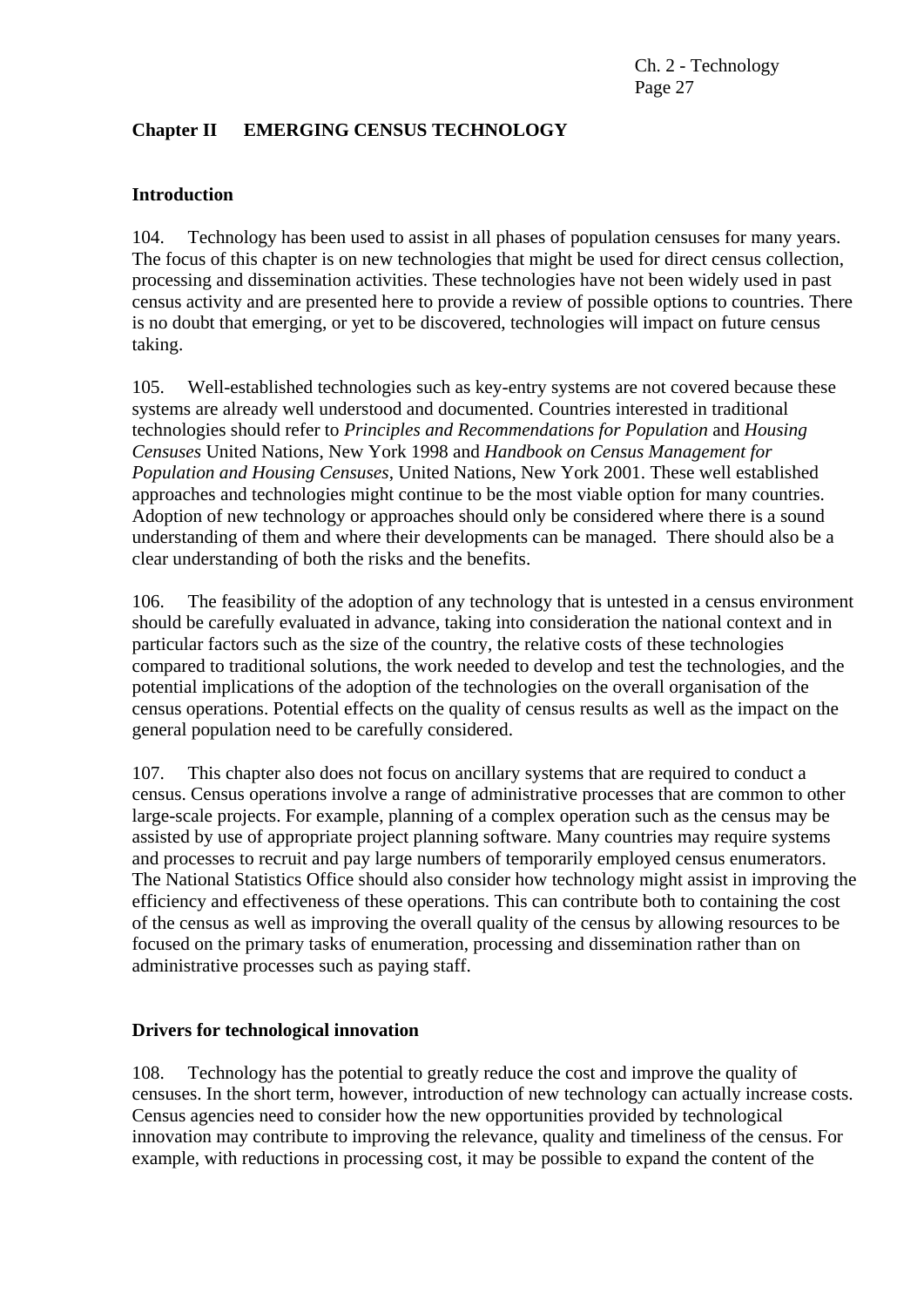## **Chapter II EMERGING CENSUS TECHNOLOGY**

### **Introduction**

104. Technology has been used to assist in all phases of population censuses for many years. The focus of this chapter is on new technologies that might be used for direct census collection, processing and dissemination activities. These technologies have not been widely used in past census activity and are presented here to provide a review of possible options to countries. There is no doubt that emerging, or yet to be discovered, technologies will impact on future census taking.

105. Well-established technologies such as key-entry systems are not covered because these systems are already well understood and documented. Countries interested in traditional technologies should refer to *Principles and Recommendations for Population* and *Housing Censuses* United Nations, New York 1998 and *Handbook on Census Management for Population and Housing Censuses*, United Nations, New York 2001. These well established approaches and technologies might continue to be the most viable option for many countries. Adoption of new technology or approaches should only be considered where there is a sound understanding of them and where their developments can be managed. There should also be a clear understanding of both the risks and the benefits.

106. The feasibility of the adoption of any technology that is untested in a census environment should be carefully evaluated in advance, taking into consideration the national context and in particular factors such as the size of the country, the relative costs of these technologies compared to traditional solutions, the work needed to develop and test the technologies, and the potential implications of the adoption of the technologies on the overall organisation of the census operations. Potential effects on the quality of census results as well as the impact on the general population need to be carefully considered.

107. This chapter also does not focus on ancillary systems that are required to conduct a census. Census operations involve a range of administrative processes that are common to other large-scale projects. For example, planning of a complex operation such as the census may be assisted by use of appropriate project planning software. Many countries may require systems and processes to recruit and pay large numbers of temporarily employed census enumerators. The National Statistics Office should also consider how technology might assist in improving the efficiency and effectiveness of these operations. This can contribute both to containing the cost of the census as well as improving the overall quality of the census by allowing resources to be focused on the primary tasks of enumeration, processing and dissemination rather than on administrative processes such as paying staff.

## **Drivers for technological innovation**

108. Technology has the potential to greatly reduce the cost and improve the quality of censuses. In the short term, however, introduction of new technology can actually increase costs. Census agencies need to consider how the new opportunities provided by technological innovation may contribute to improving the relevance, quality and timeliness of the census. For example, with reductions in processing cost, it may be possible to expand the content of the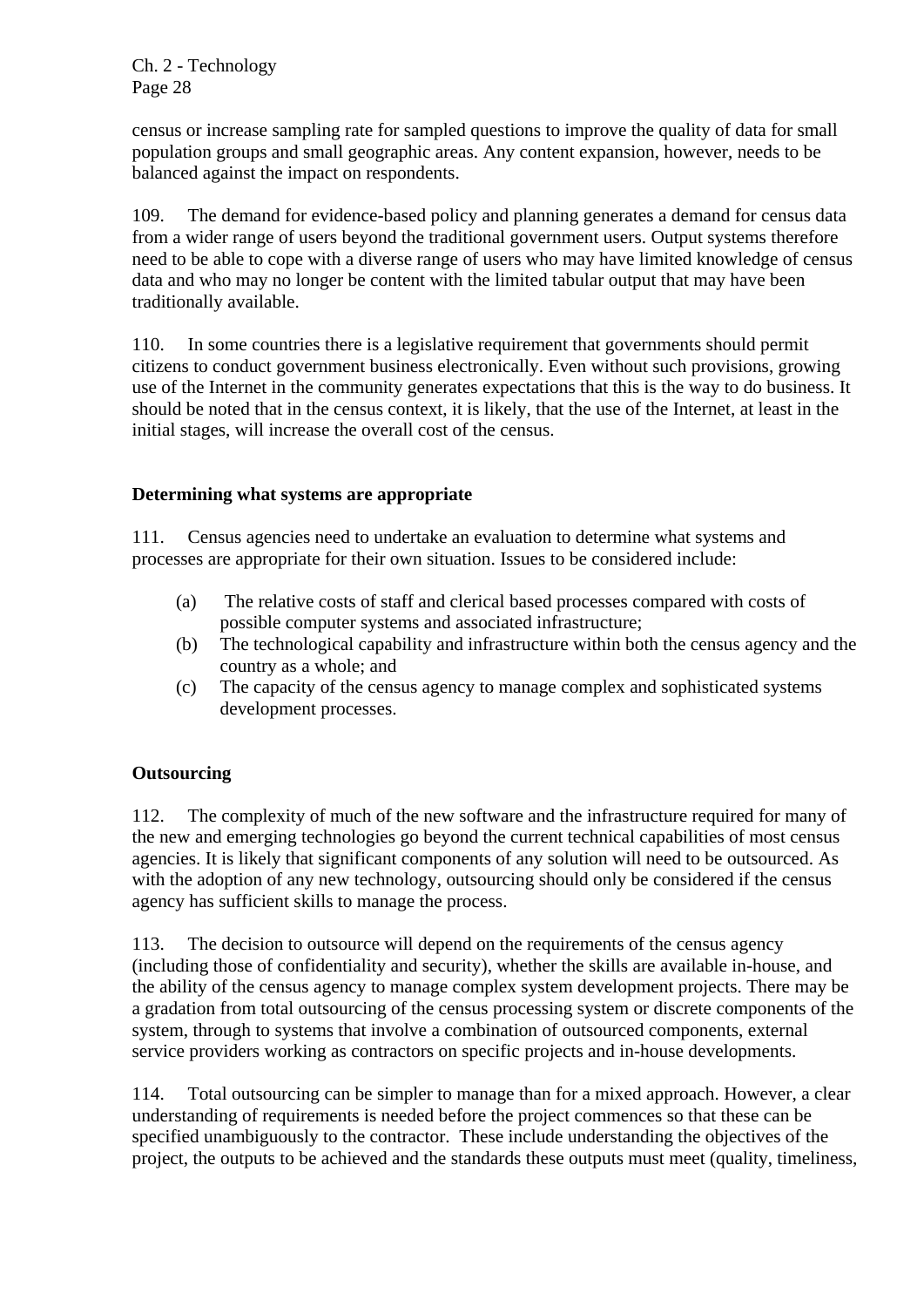<span id="page-27-0"></span>census or increase sampling rate for sampled questions to improve the quality of data for small population groups and small geographic areas. Any content expansion, however, needs to be balanced against the impact on respondents.

109. The demand for evidence-based policy and planning generates a demand for census data from a wider range of users beyond the traditional government users. Output systems therefore need to be able to cope with a diverse range of users who may have limited knowledge of census data and who may no longer be content with the limited tabular output that may have been traditionally available.

110. In some countries there is a legislative requirement that governments should permit citizens to conduct government business electronically. Even without such provisions, growing use of the Internet in the community generates expectations that this is the way to do business. It should be noted that in the census context, it is likely, that the use of the Internet, at least in the initial stages, will increase the overall cost of the census.

### **Determining what systems are appropriate**

111. Census agencies need to undertake an evaluation to determine what systems and processes are appropriate for their own situation. Issues to be considered include:

- (a) The relative costs of staff and clerical based processes compared with costs of possible computer systems and associated infrastructure;
- (b) The technological capability and infrastructure within both the census agency and the country as a whole; and
- (c) The capacity of the census agency to manage complex and sophisticated systems development processes.

### **Outsourcing**

112. The complexity of much of the new software and the infrastructure required for many of the new and emerging technologies go beyond the current technical capabilities of most census agencies. It is likely that significant components of any solution will need to be outsourced. As with the adoption of any new technology, outsourcing should only be considered if the census agency has sufficient skills to manage the process.

113. The decision to outsource will depend on the requirements of the census agency (including those of confidentiality and security), whether the skills are available in-house, and the ability of the census agency to manage complex system development projects. There may be a gradation from total outsourcing of the census processing system or discrete components of the system, through to systems that involve a combination of outsourced components, external service providers working as contractors on specific projects and in-house developments.

114. Total outsourcing can be simpler to manage than for a mixed approach. However, a clear understanding of requirements is needed before the project commences so that these can be specified unambiguously to the contractor. These include understanding the objectives of the project, the outputs to be achieved and the standards these outputs must meet (quality, timeliness,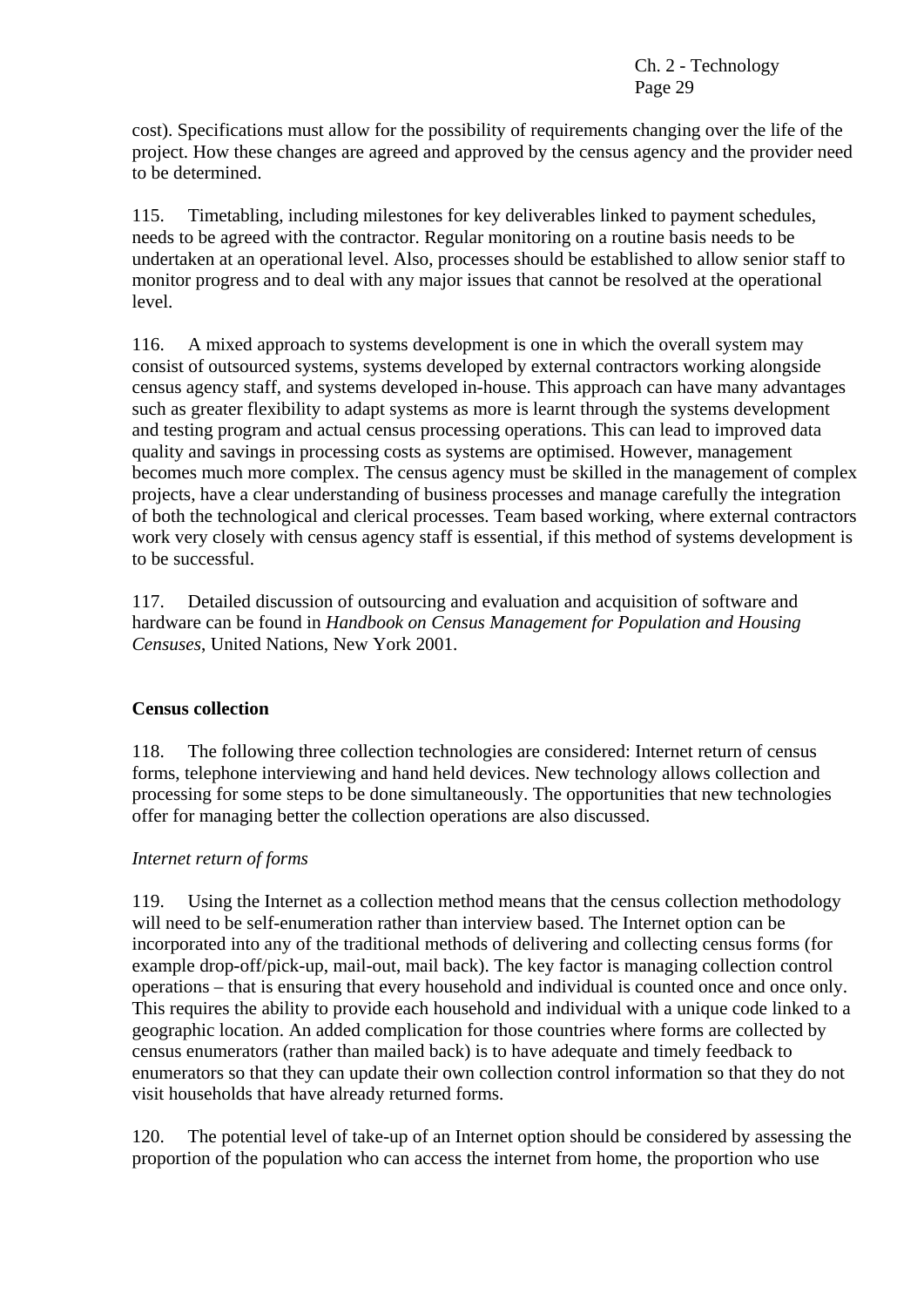<span id="page-28-0"></span>cost). Specifications must allow for the possibility of requirements changing over the life of the project. How these changes are agreed and approved by the census agency and the provider need to be determined.

115. Timetabling, including milestones for key deliverables linked to payment schedules, needs to be agreed with the contractor. Regular monitoring on a routine basis needs to be undertaken at an operational level. Also, processes should be established to allow senior staff to monitor progress and to deal with any major issues that cannot be resolved at the operational level.

116. A mixed approach to systems development is one in which the overall system may consist of outsourced systems, systems developed by external contractors working alongside census agency staff, and systems developed in-house. This approach can have many advantages such as greater flexibility to adapt systems as more is learnt through the systems development and testing program and actual census processing operations. This can lead to improved data quality and savings in processing costs as systems are optimised. However, management becomes much more complex. The census agency must be skilled in the management of complex projects, have a clear understanding of business processes and manage carefully the integration of both the technological and clerical processes. Team based working, where external contractors work very closely with census agency staff is essential, if this method of systems development is to be successful.

117. Detailed discussion of outsourcing and evaluation and acquisition of software and hardware can be found in *Handbook on Census Management for Population and Housing Censuses*, United Nations, New York 2001.

### **Census collection**

118. The following three collection technologies are considered: Internet return of census forms, telephone interviewing and hand held devices. New technology allows collection and processing for some steps to be done simultaneously. The opportunities that new technologies offer for managing better the collection operations are also discussed.

### *Internet return of forms*

119. Using the Internet as a collection method means that the census collection methodology will need to be self-enumeration rather than interview based. The Internet option can be incorporated into any of the traditional methods of delivering and collecting census forms (for example drop-off/pick-up, mail-out, mail back). The key factor is managing collection control operations – that is ensuring that every household and individual is counted once and once only. This requires the ability to provide each household and individual with a unique code linked to a geographic location. An added complication for those countries where forms are collected by census enumerators (rather than mailed back) is to have adequate and timely feedback to enumerators so that they can update their own collection control information so that they do not visit households that have already returned forms.

120. The potential level of take-up of an Internet option should be considered by assessing the proportion of the population who can access the internet from home, the proportion who use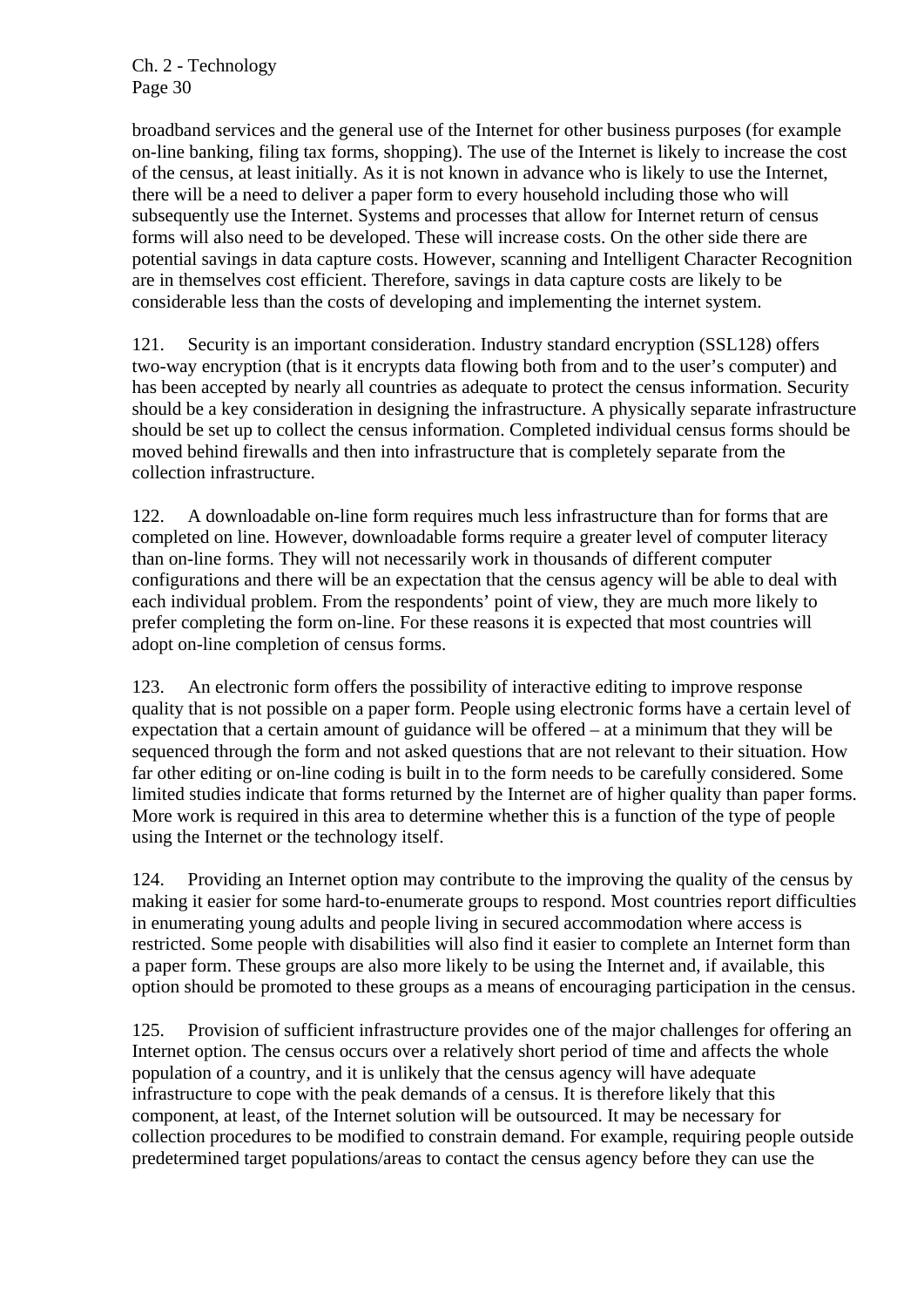broadband services and the general use of the Internet for other business purposes (for example on-line banking, filing tax forms, shopping). The use of the Internet is likely to increase the cost of the census, at least initially. As it is not known in advance who is likely to use the Internet, there will be a need to deliver a paper form to every household including those who will subsequently use the Internet. Systems and processes that allow for Internet return of census forms will also need to be developed. These will increase costs. On the other side there are potential savings in data capture costs. However, scanning and Intelligent Character Recognition are in themselves cost efficient. Therefore, savings in data capture costs are likely to be considerable less than the costs of developing and implementing the internet system.

121. Security is an important consideration. Industry standard encryption (SSL128) offers two-way encryption (that is it encrypts data flowing both from and to the user's computer) and has been accepted by nearly all countries as adequate to protect the census information. Security should be a key consideration in designing the infrastructure. A physically separate infrastructure should be set up to collect the census information. Completed individual census forms should be moved behind firewalls and then into infrastructure that is completely separate from the collection infrastructure.

122. A downloadable on-line form requires much less infrastructure than for forms that are completed on line. However, downloadable forms require a greater level of computer literacy than on-line forms. They will not necessarily work in thousands of different computer configurations and there will be an expectation that the census agency will be able to deal with each individual problem. From the respondents' point of view, they are much more likely to prefer completing the form on-line. For these reasons it is expected that most countries will adopt on-line completion of census forms.

123. An electronic form offers the possibility of interactive editing to improve response quality that is not possible on a paper form. People using electronic forms have a certain level of expectation that a certain amount of guidance will be offered – at a minimum that they will be sequenced through the form and not asked questions that are not relevant to their situation. How far other editing or on-line coding is built in to the form needs to be carefully considered. Some limited studies indicate that forms returned by the Internet are of higher quality than paper forms. More work is required in this area to determine whether this is a function of the type of people using the Internet or the technology itself.

124. Providing an Internet option may contribute to the improving the quality of the census by making it easier for some hard-to-enumerate groups to respond. Most countries report difficulties in enumerating young adults and people living in secured accommodation where access is restricted. Some people with disabilities will also find it easier to complete an Internet form than a paper form. These groups are also more likely to be using the Internet and, if available, this option should be promoted to these groups as a means of encouraging participation in the census.

125. Provision of sufficient infrastructure provides one of the major challenges for offering an Internet option. The census occurs over a relatively short period of time and affects the whole population of a country, and it is unlikely that the census agency will have adequate infrastructure to cope with the peak demands of a census. It is therefore likely that this component, at least, of the Internet solution will be outsourced. It may be necessary for collection procedures to be modified to constrain demand. For example, requiring people outside predetermined target populations/areas to contact the census agency before they can use the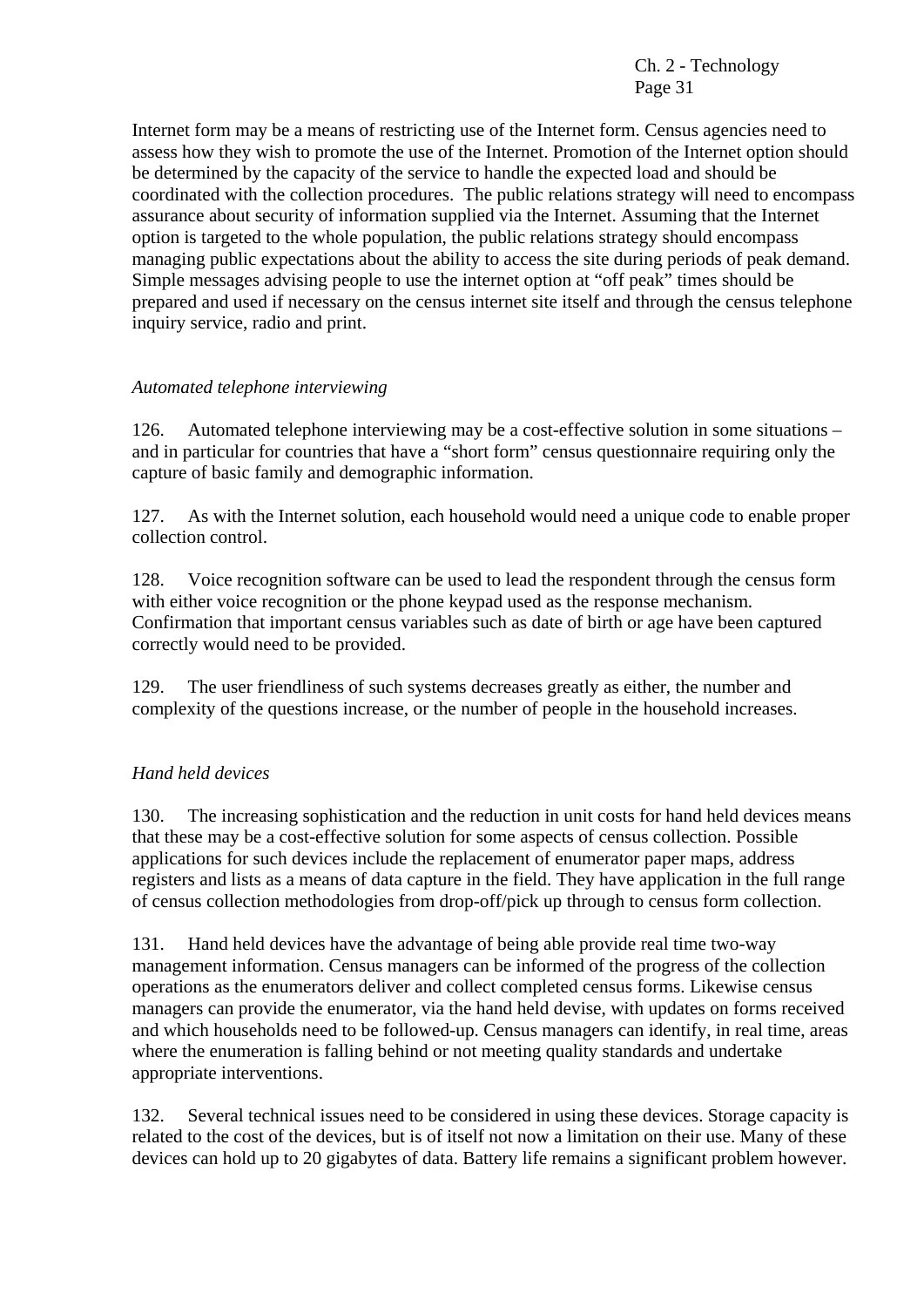<span id="page-30-0"></span>Internet form may be a means of restricting use of the Internet form. Census agencies need to assess how they wish to promote the use of the Internet. Promotion of the Internet option should be determined by the capacity of the service to handle the expected load and should be coordinated with the collection procedures. The public relations strategy will need to encompass assurance about security of information supplied via the Internet. Assuming that the Internet option is targeted to the whole population, the public relations strategy should encompass managing public expectations about the ability to access the site during periods of peak demand. Simple messages advising people to use the internet option at "off peak" times should be prepared and used if necessary on the census internet site itself and through the census telephone inquiry service, radio and print.

#### *Automated telephone interviewing*

126. Automated telephone interviewing may be a cost-effective solution in some situations – and in particular for countries that have a "short form" census questionnaire requiring only the capture of basic family and demographic information.

127. As with the Internet solution, each household would need a unique code to enable proper collection control.

128. Voice recognition software can be used to lead the respondent through the census form with either voice recognition or the phone keypad used as the response mechanism. Confirmation that important census variables such as date of birth or age have been captured correctly would need to be provided.

129. The user friendliness of such systems decreases greatly as either, the number and complexity of the questions increase, or the number of people in the household increases.

### *Hand held devices*

130. The increasing sophistication and the reduction in unit costs for hand held devices means that these may be a cost-effective solution for some aspects of census collection. Possible applications for such devices include the replacement of enumerator paper maps, address registers and lists as a means of data capture in the field. They have application in the full range of census collection methodologies from drop-off/pick up through to census form collection.

131. Hand held devices have the advantage of being able provide real time two-way management information. Census managers can be informed of the progress of the collection operations as the enumerators deliver and collect completed census forms. Likewise census managers can provide the enumerator, via the hand held devise, with updates on forms received and which households need to be followed-up. Census managers can identify, in real time, areas where the enumeration is falling behind or not meeting quality standards and undertake appropriate interventions.

132. Several technical issues need to be considered in using these devices. Storage capacity is related to the cost of the devices, but is of itself not now a limitation on their use. Many of these devices can hold up to 20 gigabytes of data. Battery life remains a significant problem however.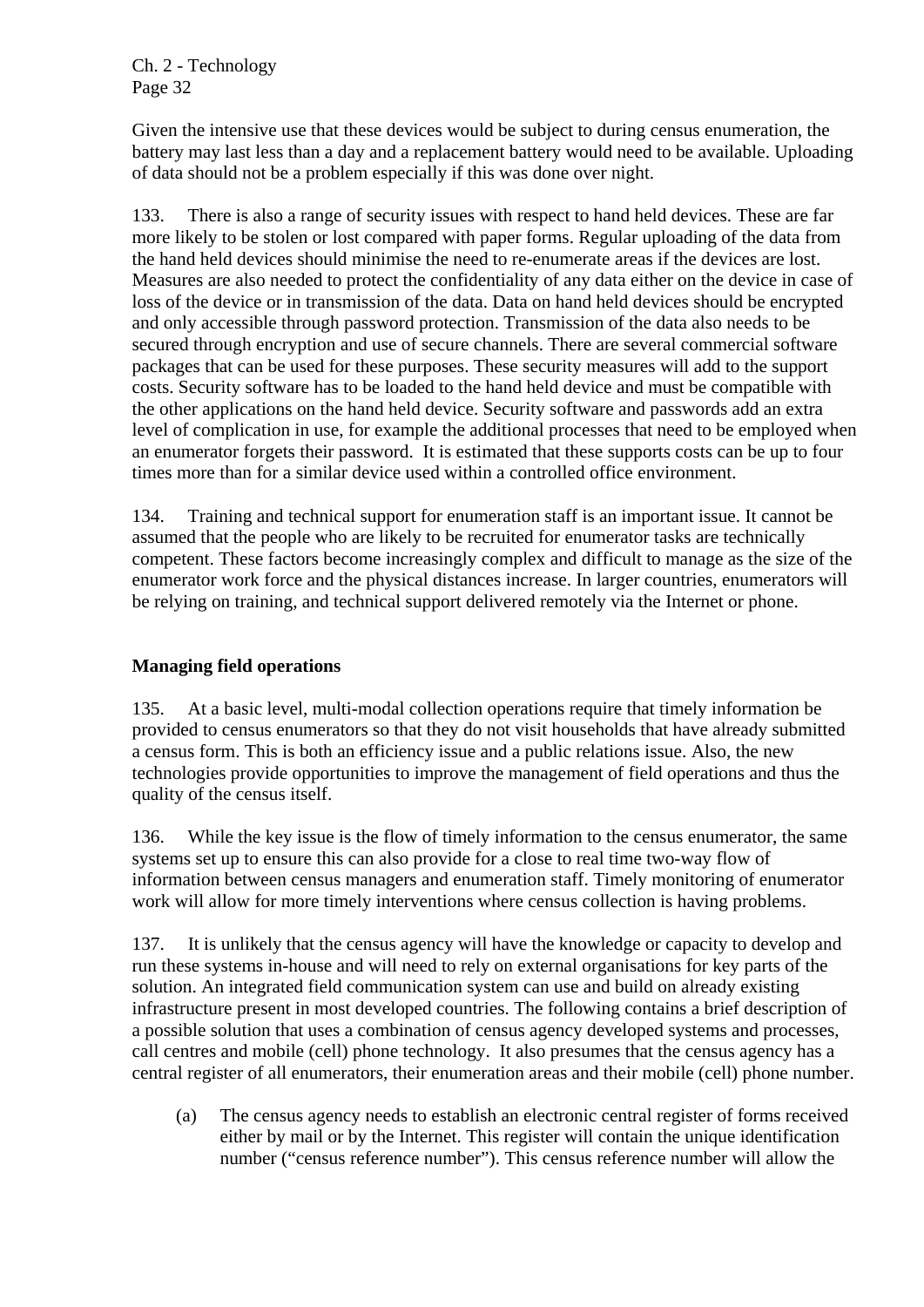<span id="page-31-0"></span>Given the intensive use that these devices would be subject to during census enumeration, the battery may last less than a day and a replacement battery would need to be available. Uploading of data should not be a problem especially if this was done over night.

133. There is also a range of security issues with respect to hand held devices. These are far more likely to be stolen or lost compared with paper forms. Regular uploading of the data from the hand held devices should minimise the need to re-enumerate areas if the devices are lost. Measures are also needed to protect the confidentiality of any data either on the device in case of loss of the device or in transmission of the data. Data on hand held devices should be encrypted and only accessible through password protection. Transmission of the data also needs to be secured through encryption and use of secure channels. There are several commercial software packages that can be used for these purposes. These security measures will add to the support costs. Security software has to be loaded to the hand held device and must be compatible with the other applications on the hand held device. Security software and passwords add an extra level of complication in use, for example the additional processes that need to be employed when an enumerator forgets their password. It is estimated that these supports costs can be up to four times more than for a similar device used within a controlled office environment.

134. Training and technical support for enumeration staff is an important issue. It cannot be assumed that the people who are likely to be recruited for enumerator tasks are technically competent. These factors become increasingly complex and difficult to manage as the size of the enumerator work force and the physical distances increase. In larger countries, enumerators will be relying on training, and technical support delivered remotely via the Internet or phone.

## **Managing field operations**

135. At a basic level, multi-modal collection operations require that timely information be provided to census enumerators so that they do not visit households that have already submitted a census form. This is both an efficiency issue and a public relations issue. Also, the new technologies provide opportunities to improve the management of field operations and thus the quality of the census itself.

136. While the key issue is the flow of timely information to the census enumerator, the same systems set up to ensure this can also provide for a close to real time two-way flow of information between census managers and enumeration staff. Timely monitoring of enumerator work will allow for more timely interventions where census collection is having problems.

137. It is unlikely that the census agency will have the knowledge or capacity to develop and run these systems in-house and will need to rely on external organisations for key parts of the solution. An integrated field communication system can use and build on already existing infrastructure present in most developed countries. The following contains a brief description of a possible solution that uses a combination of census agency developed systems and processes, call centres and mobile (cell) phone technology. It also presumes that the census agency has a central register of all enumerators, their enumeration areas and their mobile (cell) phone number.

(a) The census agency needs to establish an electronic central register of forms received either by mail or by the Internet. This register will contain the unique identification number ("census reference number"). This census reference number will allow the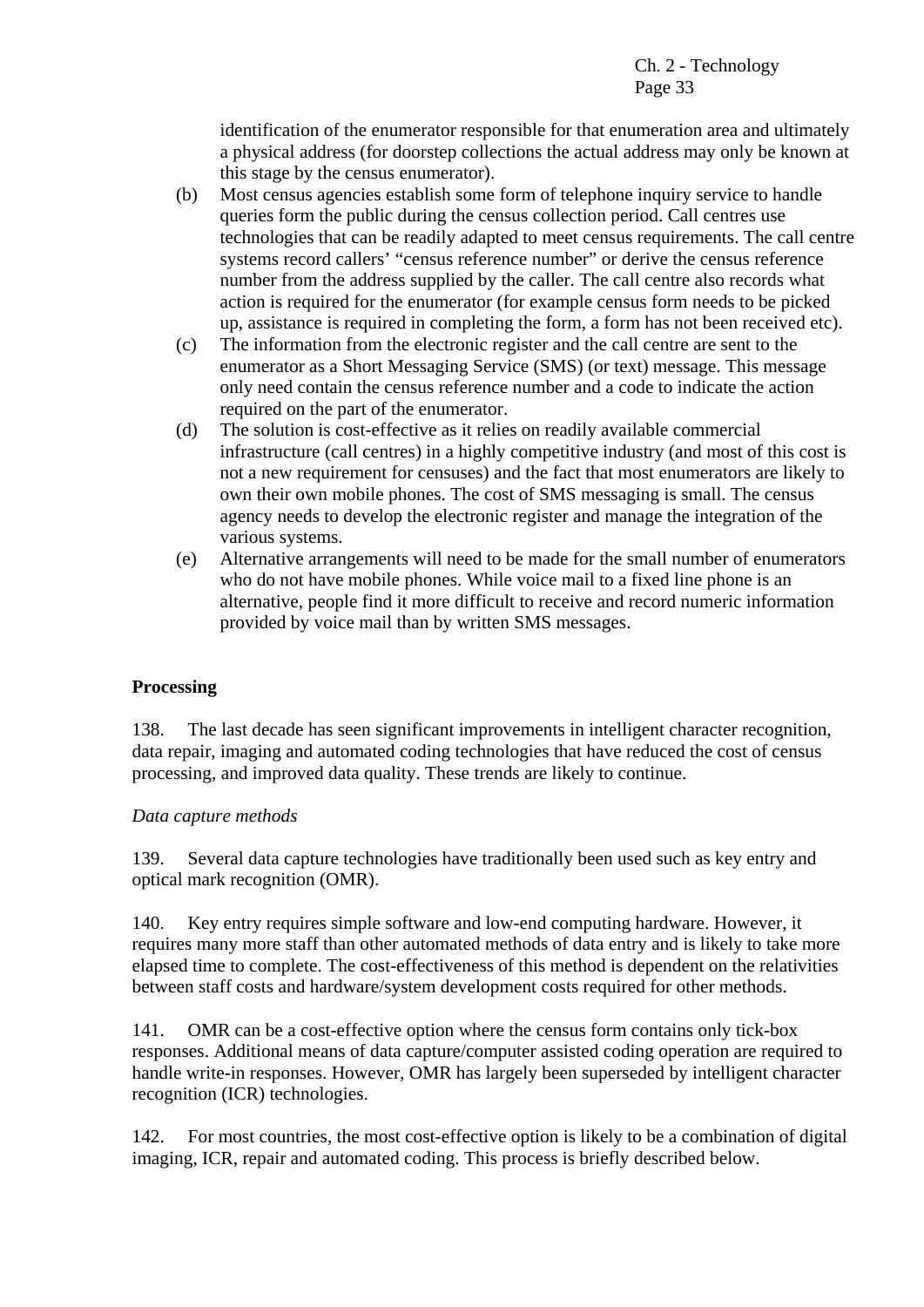identification of the enumerator responsible for that enumeration area and ultimately a physical address (for doorstep collections the actual address may only be known at this stage by the census enumerator).

- (b) Most census agencies establish some form of telephone inquiry service to handle queries form the public during the census collection period. Call centres use technologies that can be readily adapted to meet census requirements. The call centre systems record callers' "census reference number" or derive the census reference number from the address supplied by the caller. The call centre also records what action is required for the enumerator (for example census form needs to be picked up, assistance is required in completing the form, a form has not been received etc).
- (c) The information from the electronic register and the call centre are sent to the enumerator as a Short Messaging Service (SMS) (or text) message. This message only need contain the census reference number and a code to indicate the action required on the part of the enumerator.
- (d) The solution is cost-effective as it relies on readily available commercial infrastructure (call centres) in a highly competitive industry (and most of this cost is not a new requirement for censuses) and the fact that most enumerators are likely to own their own mobile phones. The cost of SMS messaging is small. The census agency needs to develop the electronic register and manage the integration of the various systems.
- (e) Alternative arrangements will need to be made for the small number of enumerators who do not have mobile phones. While voice mail to a fixed line phone is an alternative, people find it more difficult to receive and record numeric information provided by voice mail than by written SMS messages.

### **Processing**

138. The last decade has seen significant improvements in intelligent character recognition, data repair, imaging and automated coding technologies that have reduced the cost of census processing, and improved data quality. These trends are likely to continue.

### *Data capture methods*

139. Several data capture technologies have traditionally been used such as key entry and optical mark recognition (OMR).

140. Key entry requires simple software and low-end computing hardware. However, it requires many more staff than other automated methods of data entry and is likely to take more elapsed time to complete. The cost-effectiveness of this method is dependent on the relativities between staff costs and hardware/system development costs required for other methods.

141. OMR can be a cost-effective option where the census form contains only tick-box responses. Additional means of data capture/computer assisted coding operation are required to handle write-in responses. However, OMR has largely been superseded by intelligent character recognition (ICR) technologies.

142. For most countries, the most cost-effective option is likely to be a combination of digital imaging, ICR, repair and automated coding. This process is briefly described below.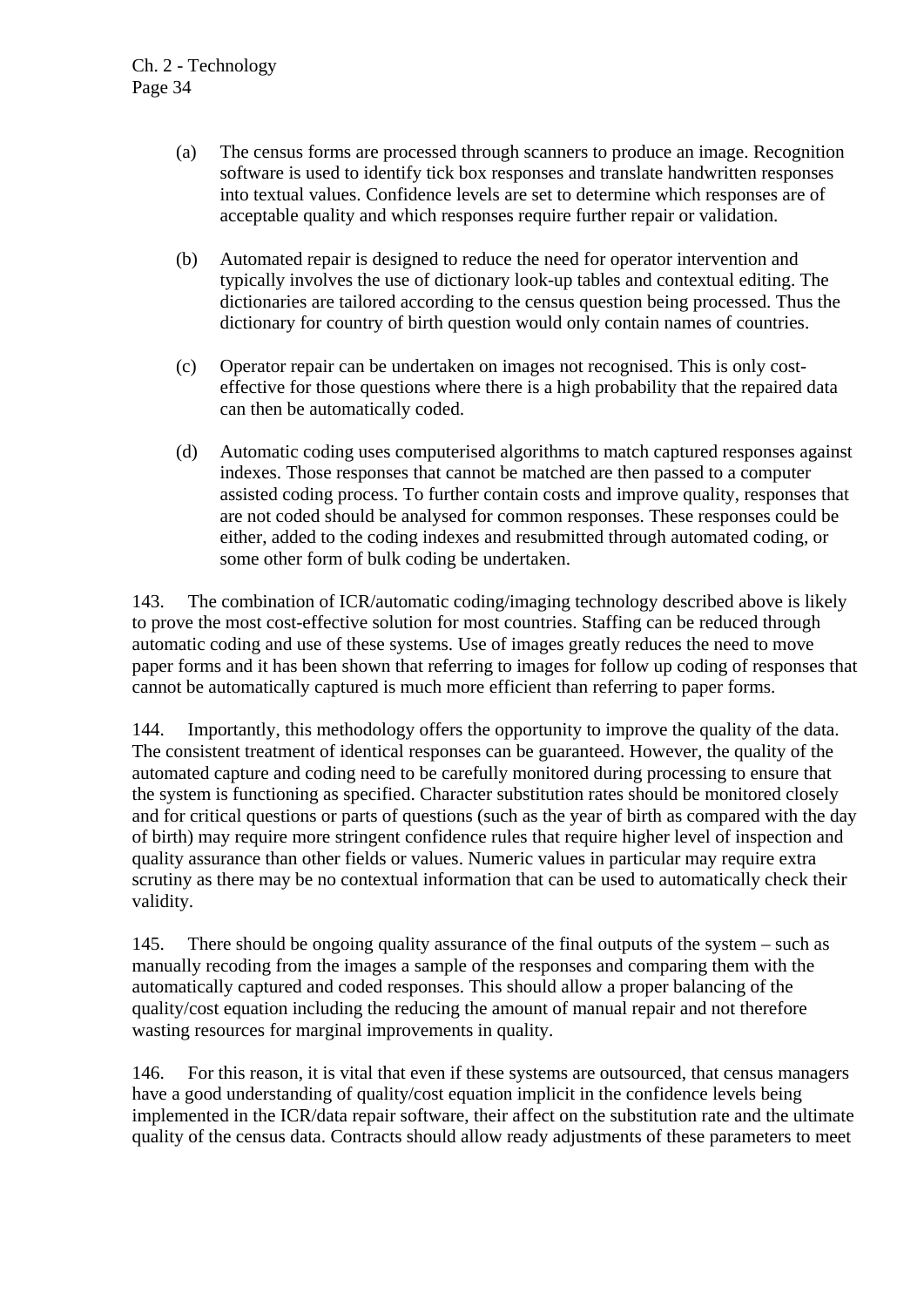- (a) The census forms are processed through scanners to produce an image. Recognition software is used to identify tick box responses and translate handwritten responses into textual values. Confidence levels are set to determine which responses are of acceptable quality and which responses require further repair or validation.
- (b) Automated repair is designed to reduce the need for operator intervention and typically involves the use of dictionary look-up tables and contextual editing. The dictionaries are tailored according to the census question being processed. Thus the dictionary for country of birth question would only contain names of countries.
- (c) Operator repair can be undertaken on images not recognised. This is only costeffective for those questions where there is a high probability that the repaired data can then be automatically coded.
- (d) Automatic coding uses computerised algorithms to match captured responses against indexes. Those responses that cannot be matched are then passed to a computer assisted coding process. To further contain costs and improve quality, responses that are not coded should be analysed for common responses. These responses could be either, added to the coding indexes and resubmitted through automated coding, or some other form of bulk coding be undertaken.

143. The combination of ICR/automatic coding/imaging technology described above is likely to prove the most cost-effective solution for most countries. Staffing can be reduced through automatic coding and use of these systems. Use of images greatly reduces the need to move paper forms and it has been shown that referring to images for follow up coding of responses that cannot be automatically captured is much more efficient than referring to paper forms.

144. Importantly, this methodology offers the opportunity to improve the quality of the data. The consistent treatment of identical responses can be guaranteed. However, the quality of the automated capture and coding need to be carefully monitored during processing to ensure that the system is functioning as specified. Character substitution rates should be monitored closely and for critical questions or parts of questions (such as the year of birth as compared with the day of birth) may require more stringent confidence rules that require higher level of inspection and quality assurance than other fields or values. Numeric values in particular may require extra scrutiny as there may be no contextual information that can be used to automatically check their validity.

145. There should be ongoing quality assurance of the final outputs of the system – such as manually recoding from the images a sample of the responses and comparing them with the automatically captured and coded responses. This should allow a proper balancing of the quality/cost equation including the reducing the amount of manual repair and not therefore wasting resources for marginal improvements in quality.

146. For this reason, it is vital that even if these systems are outsourced, that census managers have a good understanding of quality/cost equation implicit in the confidence levels being implemented in the ICR/data repair software, their affect on the substitution rate and the ultimate quality of the census data. Contracts should allow ready adjustments of these parameters to meet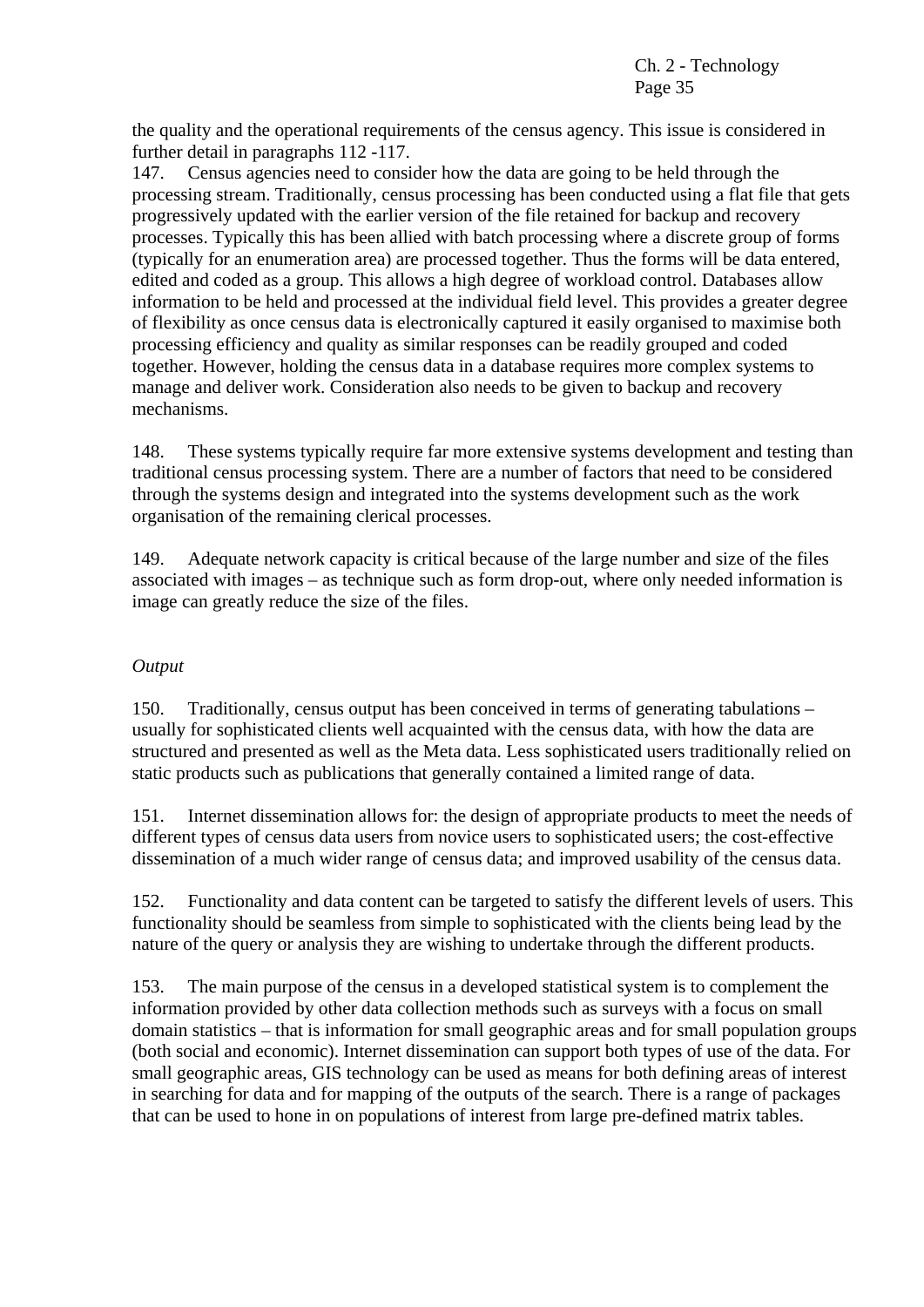the quality and the operational requirements of the census agency. This issue is considered in further detail in paragraphs [112](#page-27-0) [-117](#page-28-0).

147. Census agencies need to consider how the data are going to be held through the processing stream. Traditionally, census processing has been conducted using a flat file that gets progressively updated with the earlier version of the file retained for backup and recovery processes. Typically this has been allied with batch processing where a discrete group of forms (typically for an enumeration area) are processed together. Thus the forms will be data entered, edited and coded as a group. This allows a high degree of workload control. Databases allow information to be held and processed at the individual field level. This provides a greater degree of flexibility as once census data is electronically captured it easily organised to maximise both processing efficiency and quality as similar responses can be readily grouped and coded together. However, holding the census data in a database requires more complex systems to manage and deliver work. Consideration also needs to be given to backup and recovery mechanisms.

148. These systems typically require far more extensive systems development and testing than traditional census processing system. There are a number of factors that need to be considered through the systems design and integrated into the systems development such as the work organisation of the remaining clerical processes.

149. Adequate network capacity is critical because of the large number and size of the files associated with images – as technique such as form drop-out, where only needed information is image can greatly reduce the size of the files.

## *Output*

150. Traditionally, census output has been conceived in terms of generating tabulations – usually for sophisticated clients well acquainted with the census data, with how the data are structured and presented as well as the Meta data. Less sophisticated users traditionally relied on static products such as publications that generally contained a limited range of data.

151. Internet dissemination allows for: the design of appropriate products to meet the needs of different types of census data users from novice users to sophisticated users; the cost-effective dissemination of a much wider range of census data; and improved usability of the census data.

152. Functionality and data content can be targeted to satisfy the different levels of users. This functionality should be seamless from simple to sophisticated with the clients being lead by the nature of the query or analysis they are wishing to undertake through the different products.

153. The main purpose of the census in a developed statistical system is to complement the information provided by other data collection methods such as surveys with a focus on small domain statistics – that is information for small geographic areas and for small population groups (both social and economic). Internet dissemination can support both types of use of the data. For small geographic areas, GIS technology can be used as means for both defining areas of interest in searching for data and for mapping of the outputs of the search. There is a range of packages that can be used to hone in on populations of interest from large pre-defined matrix tables.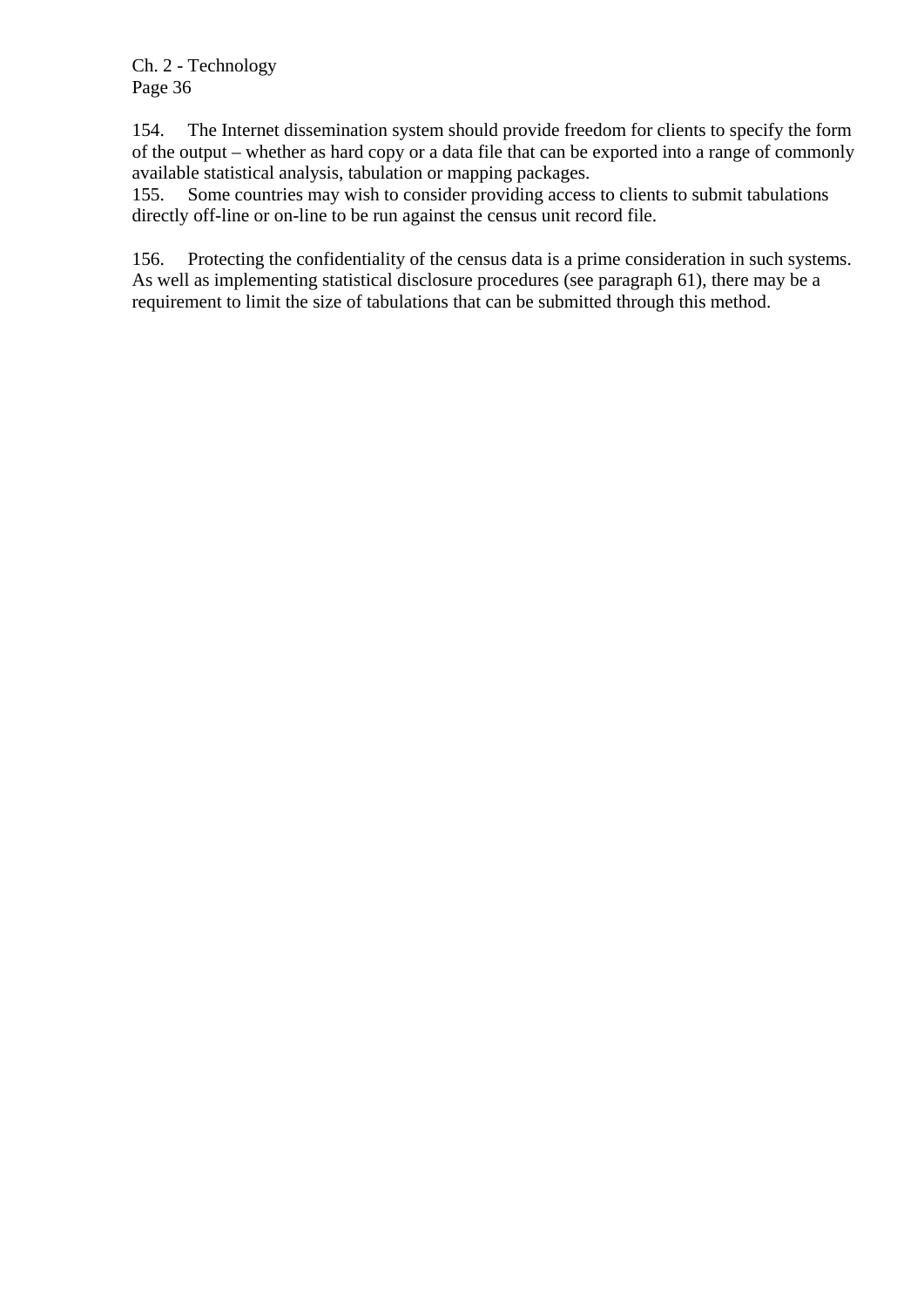154. The Internet dissemination system should provide freedom for clients to specify the form of the output – whether as hard copy or a data file that can be exported into a range of commonly available statistical analysis, tabulation or mapping packages.

155. Some countries may wish to consider providing access to clients to submit tabulations directly off-line or on-line to be run against the census unit record file.

156. Protecting the confidentiality of the census data is a prime consideration in such systems. As well as implementing statistical disclosure procedures (see paragraph [61\)](#page-16-0), there may be a requirement to limit the size of tabulations that can be submitted through this method.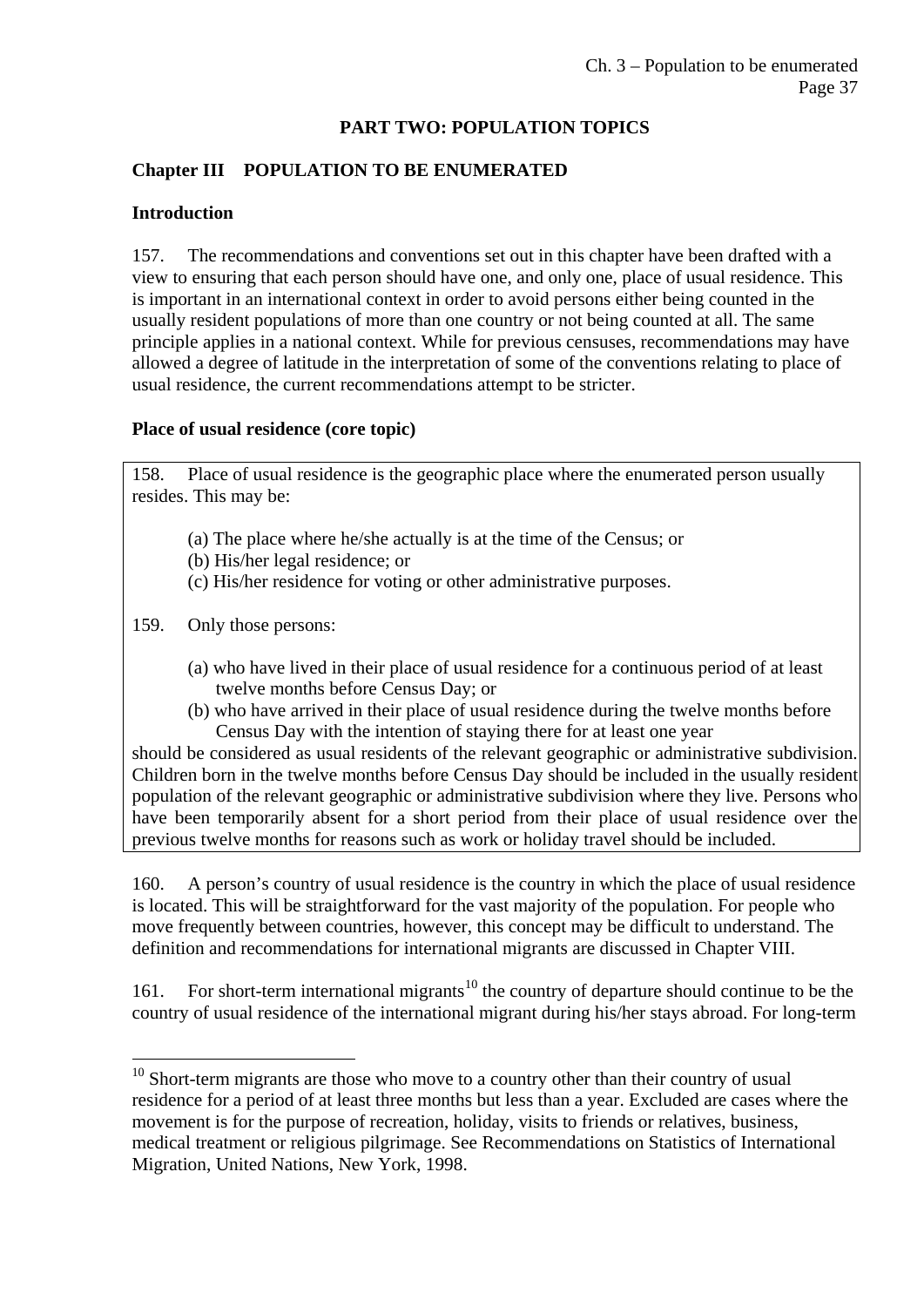# **PART TWO: POPULATION TOPICS**

### <span id="page-36-0"></span>**Chapter III POPULATION TO BE ENUMERATED**

#### **Introduction**

157. The recommendations and conventions set out in this chapter have been drafted with a view to ensuring that each person should have one, and only one, place of usual residence. This is important in an international context in order to avoid persons either being counted in the usually resident populations of more than one country or not being counted at all. The same principle applies in a national context. While for previous censuses, recommendations may have allowed a degree of latitude in the interpretation of some of the conventions relating to place of usual residence, the current recommendations attempt to be stricter.

#### **Place of usual residence (core topic)**

158. Place of usual residence is the geographic place where the enumerated person usually resides. This may be:

- (a) The place where he/she actually is at the time of the Census; or
- (b) His/her legal residence; or
- (c) His/her residence for voting or other administrative purposes.

159. Only those persons:

1

- (a) who have lived in their place of usual residence for a continuous period of at least twelve months before Census Day; or
- (b) who have arrived in their place of usual residence during the twelve months before Census Day with the intention of staying there for at least one year

should be considered as usual residents of the relevant geographic or administrative subdivision. Children born in the twelve months before Census Day should be included in the usually resident population of the relevant geographic or administrative subdivision where they live. Persons who have been temporarily absent for a short period from their place of usual residence over the previous twelve months for reasons such as work or holiday travel should be included.

160. A person's country of usual residence is the country in which the place of usual residence is located. This will be straightforward for the vast majority of the population. For people who move frequently between countries, however, this concept may be difficult to understand. The definition and recommendations for international migrants are discussed in Chapter VIII.

161. For short-term international migrants<sup>[10](#page-36-0)</sup> the country of departure should continue to be the country of usual residence of the international migrant during his/her stays abroad. For long-term

 $10$  Short-term migrants are those who move to a country other than their country of usual residence for a period of at least three months but less than a year. Excluded are cases where the movement is for the purpose of recreation, holiday, visits to friends or relatives, business, medical treatment or religious pilgrimage. See Recommendations on Statistics of International Migration, United Nations, New York, 1998.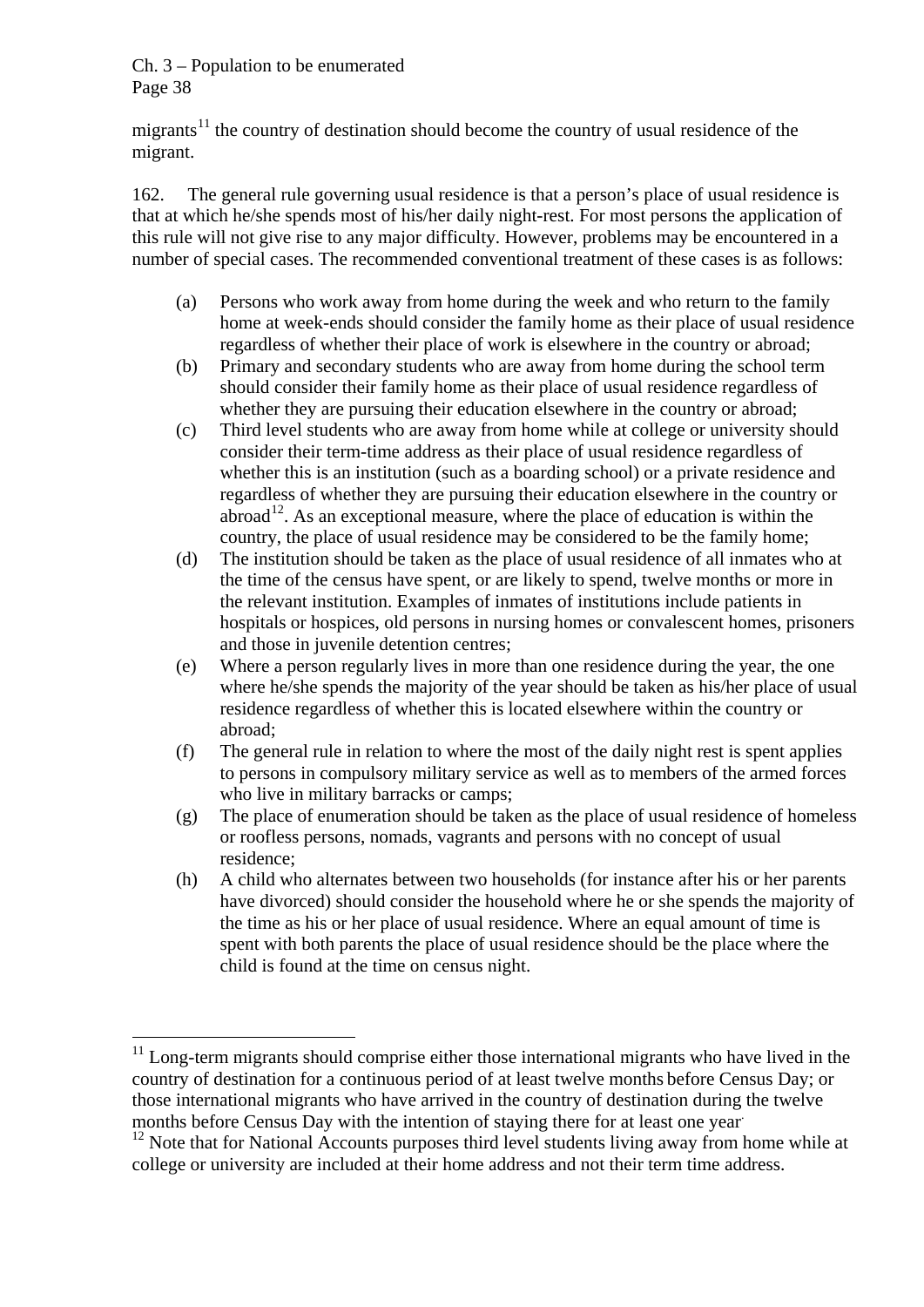### <span id="page-37-0"></span>Ch. 3 – Population to be enumerated Page 38

1

migrants<sup>[11](#page-37-0)</sup> the country of destination should become the country of usual residence of the migrant.

162. The general rule governing usual residence is that a person's place of usual residence is that at which he/she spends most of his/her daily night-rest. For most persons the application of this rule will not give rise to any major difficulty. However, problems may be encountered in a number of special cases. The recommended conventional treatment of these cases is as follows:

- (a) Persons who work away from home during the week and who return to the family home at week-ends should consider the family home as their place of usual residence regardless of whether their place of work is elsewhere in the country or abroad;
- (b) Primary and secondary students who are away from home during the school term should consider their family home as their place of usual residence regardless of whether they are pursuing their education elsewhere in the country or abroad;
- (c) Third level students who are away from home while at college or university should consider their term-time address as their place of usual residence regardless of whether this is an institution (such as a boarding school) or a private residence and regardless of whether they are pursuing their education elsewhere in the country or  $a<sup>12</sup>$  $a<sup>12</sup>$  $a<sup>12</sup>$ . As an exceptional measure, where the place of education is within the country, the place of usual residence may be considered to be the family home;
- (d) The institution should be taken as the place of usual residence of all inmates who at the time of the census have spent, or are likely to spend, twelve months or more in the relevant institution. Examples of inmates of institutions include patients in hospitals or hospices, old persons in nursing homes or convalescent homes, prisoners and those in juvenile detention centres;
- (e) Where a person regularly lives in more than one residence during the year, the one where he/she spends the majority of the year should be taken as his/her place of usual residence regardless of whether this is located elsewhere within the country or abroad;
- (f) The general rule in relation to where the most of the daily night rest is spent applies to persons in compulsory military service as well as to members of the armed forces who live in military barracks or camps;
- (g) The place of enumeration should be taken as the place of usual residence of homeless or roofless persons, nomads, vagrants and persons with no concept of usual residence;
- (h) A child who alternates between two households (for instance after his or her parents have divorced) should consider the household where he or she spends the majority of the time as his or her place of usual residence. Where an equal amount of time is spent with both parents the place of usual residence should be the place where the child is found at the time on census night.

 $11$  Long-term migrants should comprise either those international migrants who have lived in the country of destination for a continuous period of at least twelve months before Census Day; or those international migrants who have arrived in the country of destination during the twelve months before Census Day with the intention of staying there for at least one year.

<sup>&</sup>lt;sup>12</sup> Note that for National Accounts purposes third level students living away from home while at college or university are included at their home address and not their term time address.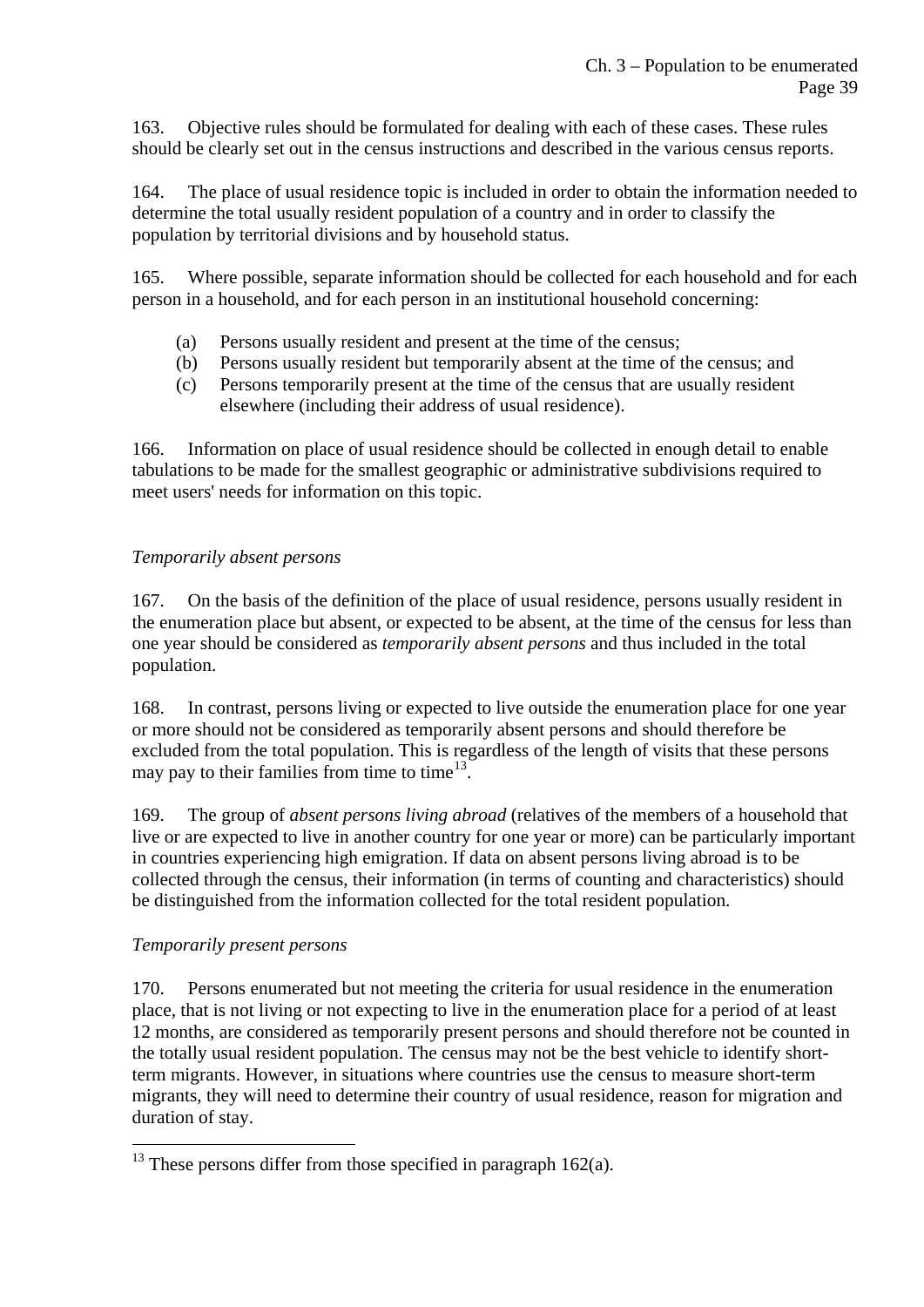<span id="page-38-0"></span>163. Objective rules should be formulated for dealing with each of these cases. These rules should be clearly set out in the census instructions and described in the various census reports.

164. The place of usual residence topic is included in order to obtain the information needed to determine the total usually resident population of a country and in order to classify the population by territorial divisions and by household status.

165. Where possible, separate information should be collected for each household and for each person in a household, and for each person in an institutional household concerning:

- (a) Persons usually resident and present at the time of the census;
- (b) Persons usually resident but temporarily absent at the time of the census; and
- (c) Persons temporarily present at the time of the census that are usually resident elsewhere (including their address of usual residence).

166. Information on place of usual residence should be collected in enough detail to enable tabulations to be made for the smallest geographic or administrative subdivisions required to meet users' needs for information on this topic.

## *Temporarily absent persons*

167. On the basis of the definition of the place of usual residence, persons usually resident in the enumeration place but absent, or expected to be absent, at the time of the census for less than one year should be considered as *temporarily absent persons* and thus included in the total population.

168. In contrast, persons living or expected to live outside the enumeration place for one year or more should not be considered as temporarily absent persons and should therefore be excluded from the total population. This is regardless of the length of visits that these persons may pay to their families from time to time<sup>[13](#page-38-0)</sup>.

169. The group of *absent persons living abroad* (relatives of the members of a household that live or are expected to live in another country for one year or more) can be particularly important in countries experiencing high emigration. If data on absent persons living abroad is to be collected through the census, their information (in terms of counting and characteristics) should be distinguished from the information collected for the total resident population.

# *Temporarily present persons*

1

170. Persons enumerated but not meeting the criteria for usual residence in the enumeration place, that is not living or not expecting to live in the enumeration place for a period of at least 12 months, are considered as temporarily present persons and should therefore not be counted in the totally usual resident population. The census may not be the best vehicle to identify shortterm migrants. However, in situations where countries use the census to measure short-term migrants, they will need to determine their country of usual residence, reason for migration and duration of stay.

 $13$  These persons differ from those specified in paragraph 162(a).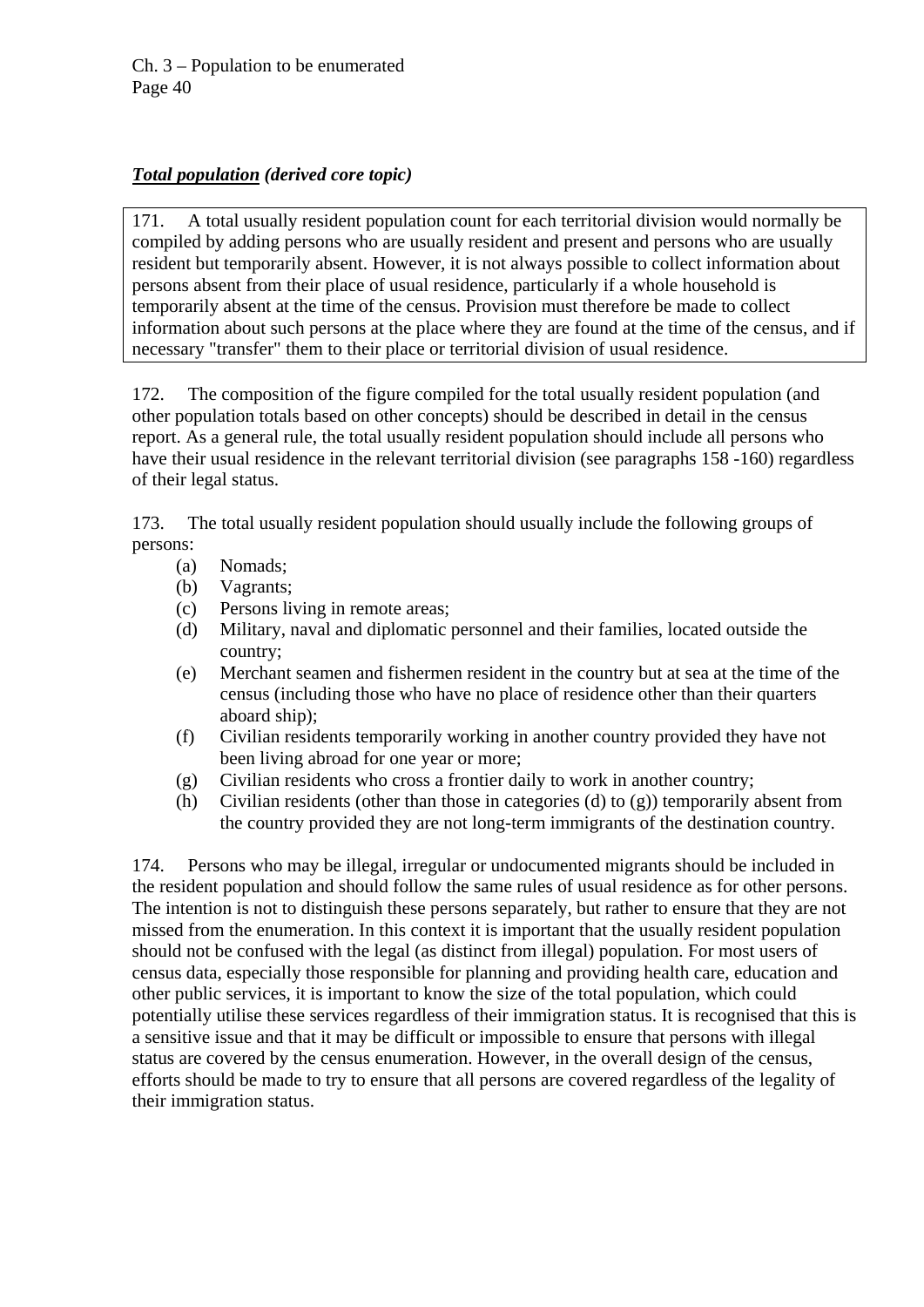# <span id="page-39-0"></span>*Total population (derived core topic)*

171. A total usually resident population count for each territorial division would normally be compiled by adding persons who are usually resident and present and persons who are usually resident but temporarily absent. However, it is not always possible to collect information about persons absent from their place of usual residence, particularly if a whole household is temporarily absent at the time of the census. Provision must therefore be made to collect information about such persons at the place where they are found at the time of the census, and if necessary "transfer" them to their place or territorial division of usual residence.

172. The composition of the figure compiled for the total usually resident population (and other population totals based on other concepts) should be described in detail in the census report. As a general rule, the total usually resident population should include all persons who have their usual residence in the relevant territorial division (see paragraphs [158](#page-36-0) -[160\)](#page-36-0) regardless of their legal status.

173. The total usually resident population should usually include the following groups of persons:

- (a) Nomads;
- (b) Vagrants;
- (c) Persons living in remote areas;
- (d) Military, naval and diplomatic personnel and their families, located outside the country;
- (e) Merchant seamen and fishermen resident in the country but at sea at the time of the census (including those who have no place of residence other than their quarters aboard ship);
- (f) Civilian residents temporarily working in another country provided they have not been living abroad for one year or more;
- (g) Civilian residents who cross a frontier daily to work in another country;
- (h) Civilian residents (other than those in categories (d) to (g)) temporarily absent from the country provided they are not long-term immigrants of the destination country.

174. Persons who may be illegal, irregular or undocumented migrants should be included in the resident population and should follow the same rules of usual residence as for other persons. The intention is not to distinguish these persons separately, but rather to ensure that they are not missed from the enumeration. In this context it is important that the usually resident population should not be confused with the legal (as distinct from illegal) population. For most users of census data, especially those responsible for planning and providing health care, education and other public services, it is important to know the size of the total population, which could potentially utilise these services regardless of their immigration status. It is recognised that this is a sensitive issue and that it may be difficult or impossible to ensure that persons with illegal status are covered by the census enumeration. However, in the overall design of the census, efforts should be made to try to ensure that all persons are covered regardless of the legality of their immigration status.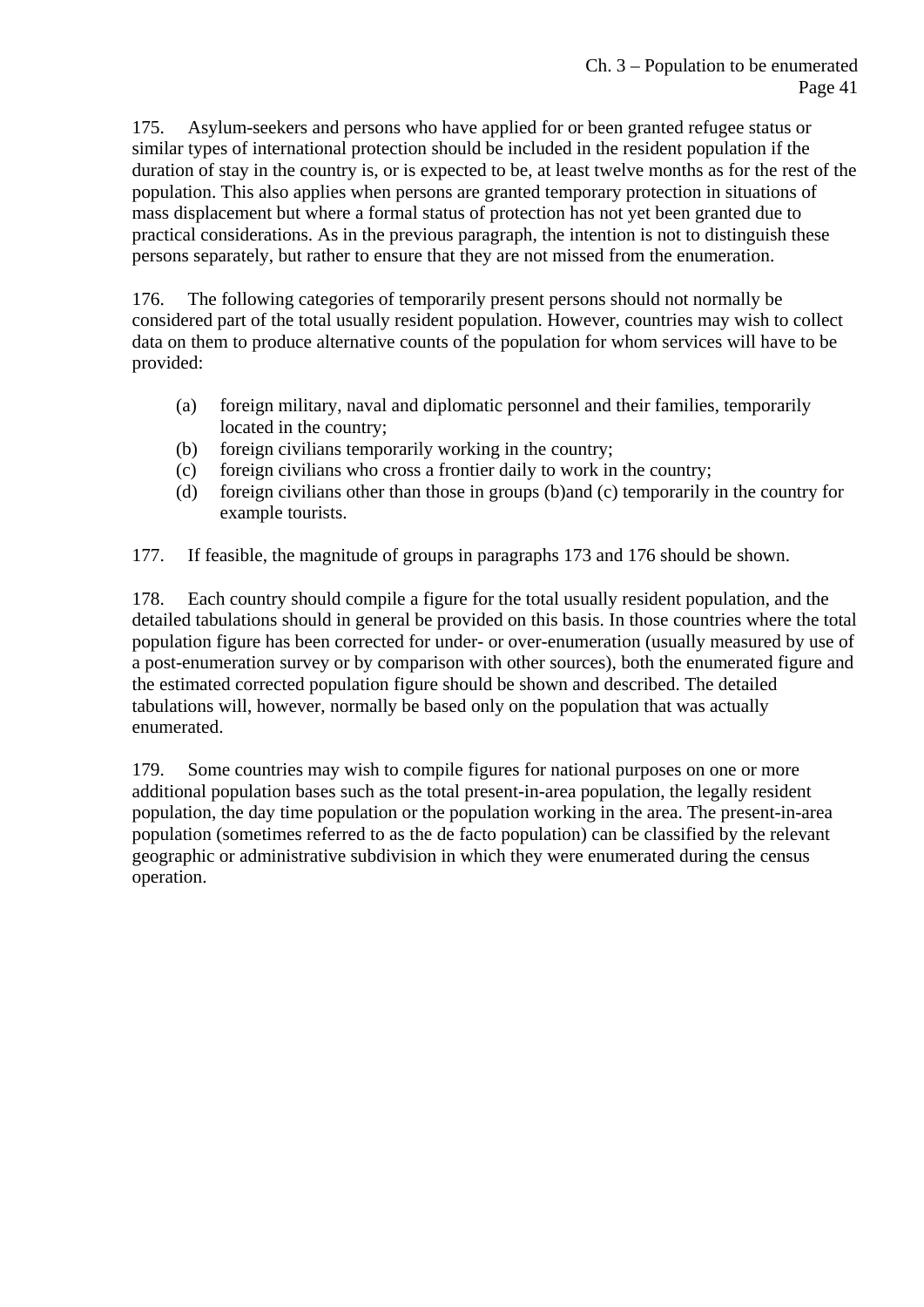<span id="page-40-0"></span>175. Asylum-seekers and persons who have applied for or been granted refugee status or similar types of international protection should be included in the resident population if the duration of stay in the country is, or is expected to be, at least twelve months as for the rest of the population. This also applies when persons are granted temporary protection in situations of mass displacement but where a formal status of protection has not yet been granted due to practical considerations. As in the previous paragraph, the intention is not to distinguish these persons separately, but rather to ensure that they are not missed from the enumeration.

176. The following categories of temporarily present persons should not normally be considered part of the total usually resident population. However, countries may wish to collect data on them to produce alternative counts of the population for whom services will have to be provided:

- (a) foreign military, naval and diplomatic personnel and their families, temporarily located in the country;
- (b) foreign civilians temporarily working in the country;
- (c) foreign civilians who cross a frontier daily to work in the country;
- (d) foreign civilians other than those in groups (b)and (c) temporarily in the country for example tourists.
- 177. If feasible, the magnitude of groups in paragraphs [173](#page-39-0) and [176](#page-40-0) should be shown.

178. Each country should compile a figure for the total usually resident population, and the detailed tabulations should in general be provided on this basis. In those countries where the total population figure has been corrected for under- or over-enumeration (usually measured by use of a post-enumeration survey or by comparison with other sources), both the enumerated figure and the estimated corrected population figure should be shown and described. The detailed tabulations will, however, normally be based only on the population that was actually enumerated.

179. Some countries may wish to compile figures for national purposes on one or more additional population bases such as the total present-in-area population, the legally resident population, the day time population or the population working in the area. The present-in-area population (sometimes referred to as the de facto population) can be classified by the relevant geographic or administrative subdivision in which they were enumerated during the census operation.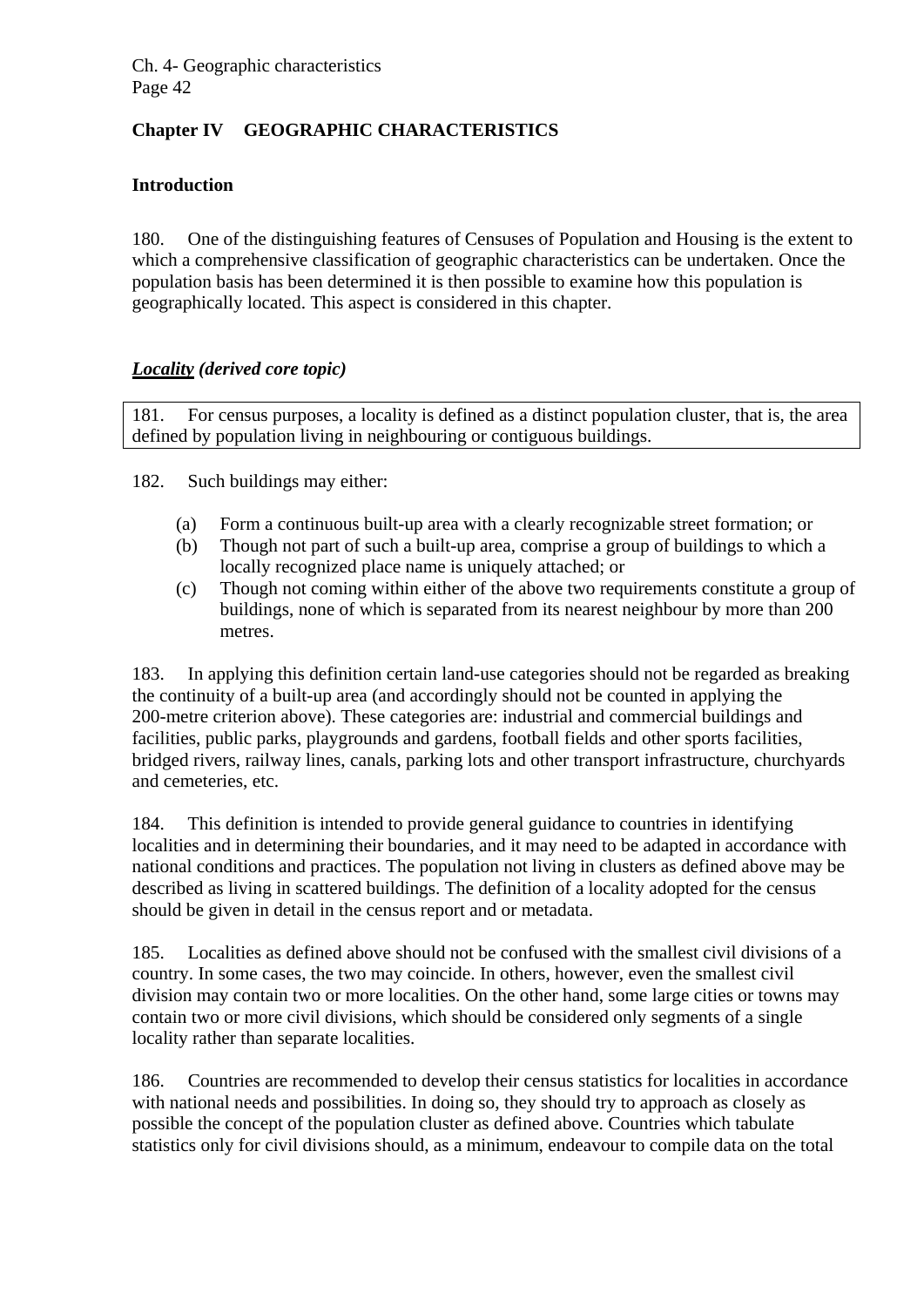# <span id="page-41-0"></span>**Chapter IV GEOGRAPHIC CHARACTERISTICS**

### **Introduction**

180. One of the distinguishing features of Censuses of Population and Housing is the extent to which a comprehensive classification of geographic characteristics can be undertaken. Once the population basis has been determined it is then possible to examine how this population is geographically located. This aspect is considered in this chapter.

### *Locality (derived core topic)*

181. For census purposes, a locality is defined as a distinct population cluster, that is, the area defined by population living in neighbouring or contiguous buildings.

182. Such buildings may either:

- (a) Form a continuous built-up area with a clearly recognizable street formation; or
- (b) Though not part of such a built-up area, comprise a group of buildings to which a locally recognized place name is uniquely attached; or
- (c) Though not coming within either of the above two requirements constitute a group of buildings, none of which is separated from its nearest neighbour by more than 200 metres.

183. In applying this definition certain land-use categories should not be regarded as breaking the continuity of a built-up area (and accordingly should not be counted in applying the 200-metre criterion above). These categories are: industrial and commercial buildings and facilities, public parks, playgrounds and gardens, football fields and other sports facilities, bridged rivers, railway lines, canals, parking lots and other transport infrastructure, churchyards and cemeteries, etc.

184. This definition is intended to provide general guidance to countries in identifying localities and in determining their boundaries, and it may need to be adapted in accordance with national conditions and practices. The population not living in clusters as defined above may be described as living in scattered buildings. The definition of a locality adopted for the census should be given in detail in the census report and or metadata.

185. Localities as defined above should not be confused with the smallest civil divisions of a country. In some cases, the two may coincide. In others, however, even the smallest civil division may contain two or more localities. On the other hand, some large cities or towns may contain two or more civil divisions, which should be considered only segments of a single locality rather than separate localities.

186. Countries are recommended to develop their census statistics for localities in accordance with national needs and possibilities. In doing so, they should try to approach as closely as possible the concept of the population cluster as defined above. Countries which tabulate statistics only for civil divisions should, as a minimum, endeavour to compile data on the total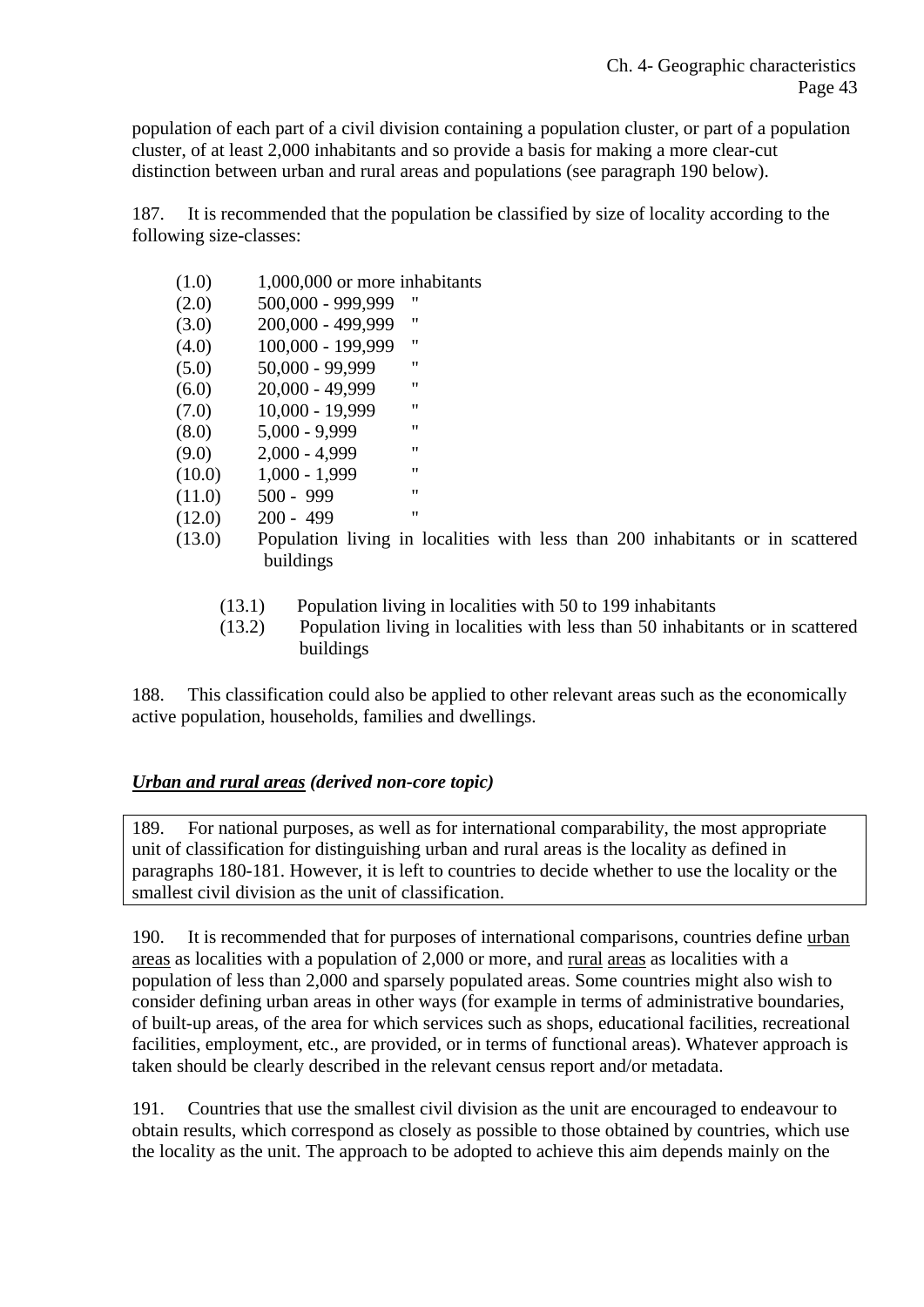<span id="page-42-0"></span>population of each part of a civil division containing a population cluster, or part of a population cluster, of at least 2,000 inhabitants and so provide a basis for making a more clear-cut distinction between urban and rural areas and populations (see paragraph [190](#page-42-0) below).

187. It is recommended that the population be classified by size of locality according to the following size-classes:

- (1.0) 1,000,000 or more inhabitants
- $(2.0)$  500,000 999,999
- $(3.0)$  200,000 499,999
- $(4.0)$  100,000 199,999 "<br> $(5.0)$  50,000,00,000 "
- $(5.0)$   $50,000 99,999$
- $(6.0)$  20,000 49,999 "
- $(7.0)$  10,000 19,999 "
- $(8.0)$   $5,000 9,999$  "<br> $(0.0)$   $2,000 4,000$  "
- $(9.0)$  2,000 4,999 "<br> $(10.0)$  1,000 1,000 "
- $(10.0)$  1,000 1,999
- $(11.0)$  500 999 "
- $(12.0)$  200 499 "
- (13.0) Population living in localities with less than 200 inhabitants or in scattered buildings
	- (13.1) Population living in localities with 50 to 199 inhabitants
	- (13.2) Population living in localities with less than 50 inhabitants or in scattered buildings

188. This classification could also be applied to other relevant areas such as the economically active population, households, families and dwellings.

# *Urban and rural areas (derived non-core topic)*

189. For national purposes, as well as for international comparability, the most appropriate unit of classification for distinguishing urban and rural areas is the locality as defined in paragraphs [180-181.](#page-41-0) However, it is left to countries to decide whether to use the locality or the smallest civil division as the unit of classification.

190. It is recommended that for purposes of international comparisons, countries define urban areas as localities with a population of 2,000 or more, and rural areas as localities with a population of less than 2,000 and sparsely populated areas. Some countries might also wish to consider defining urban areas in other ways (for example in terms of administrative boundaries, of built-up areas, of the area for which services such as shops, educational facilities, recreational facilities, employment, etc., are provided, or in terms of functional areas). Whatever approach is taken should be clearly described in the relevant census report and/or metadata.

191. Countries that use the smallest civil division as the unit are encouraged to endeavour to obtain results, which correspond as closely as possible to those obtained by countries, which use the locality as the unit. The approach to be adopted to achieve this aim depends mainly on the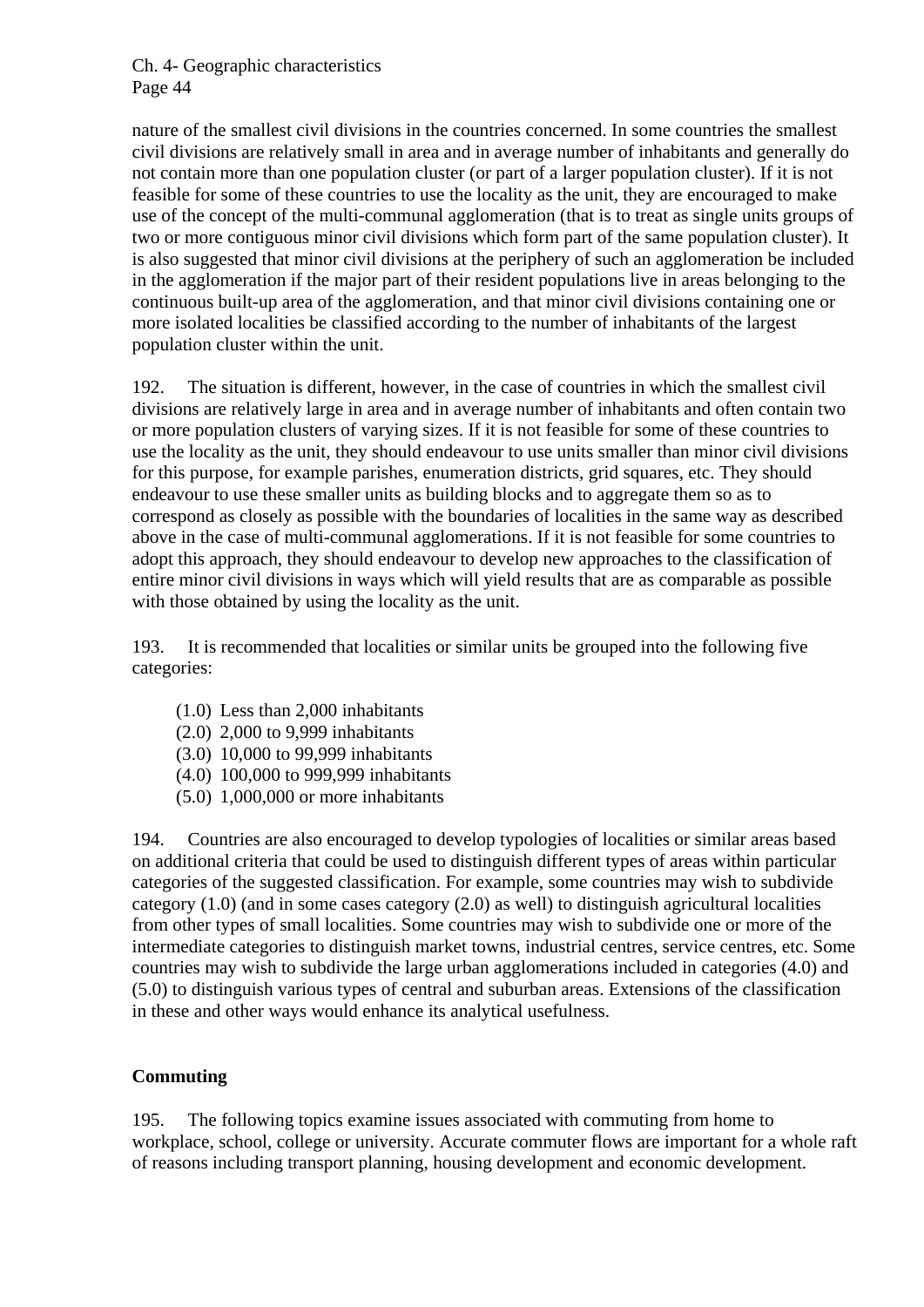Ch. 4- Geographic characteristics Page 44

nature of the smallest civil divisions in the countries concerned. In some countries the smallest civil divisions are relatively small in area and in average number of inhabitants and generally do not contain more than one population cluster (or part of a larger population cluster). If it is not feasible for some of these countries to use the locality as the unit, they are encouraged to make use of the concept of the multi-communal agglomeration (that is to treat as single units groups of two or more contiguous minor civil divisions which form part of the same population cluster). It is also suggested that minor civil divisions at the periphery of such an agglomeration be included in the agglomeration if the major part of their resident populations live in areas belonging to the continuous built-up area of the agglomeration, and that minor civil divisions containing one or more isolated localities be classified according to the number of inhabitants of the largest population cluster within the unit.

192. The situation is different, however, in the case of countries in which the smallest civil divisions are relatively large in area and in average number of inhabitants and often contain two or more population clusters of varying sizes. If it is not feasible for some of these countries to use the locality as the unit, they should endeavour to use units smaller than minor civil divisions for this purpose, for example parishes, enumeration districts, grid squares, etc. They should endeavour to use these smaller units as building blocks and to aggregate them so as to correspond as closely as possible with the boundaries of localities in the same way as described above in the case of multi-communal agglomerations. If it is not feasible for some countries to adopt this approach, they should endeavour to develop new approaches to the classification of entire minor civil divisions in ways which will yield results that are as comparable as possible with those obtained by using the locality as the unit.

193. It is recommended that localities or similar units be grouped into the following five categories:

- (1.0) Less than 2,000 inhabitants
- (2.0) 2,000 to 9,999 inhabitants
- (3.0) 10,000 to 99,999 inhabitants
- (4.0) 100,000 to 999,999 inhabitants
- (5.0) 1,000,000 or more inhabitants

194. Countries are also encouraged to develop typologies of localities or similar areas based on additional criteria that could be used to distinguish different types of areas within particular categories of the suggested classification. For example, some countries may wish to subdivide category (1.0) (and in some cases category (2.0) as well) to distinguish agricultural localities from other types of small localities. Some countries may wish to subdivide one or more of the intermediate categories to distinguish market towns, industrial centres, service centres, etc. Some countries may wish to subdivide the large urban agglomerations included in categories (4.0) and (5.0) to distinguish various types of central and suburban areas. Extensions of the classification in these and other ways would enhance its analytical usefulness.

# **Commuting**

195. The following topics examine issues associated with commuting from home to workplace, school, college or university. Accurate commuter flows are important for a whole raft of reasons including transport planning, housing development and economic development.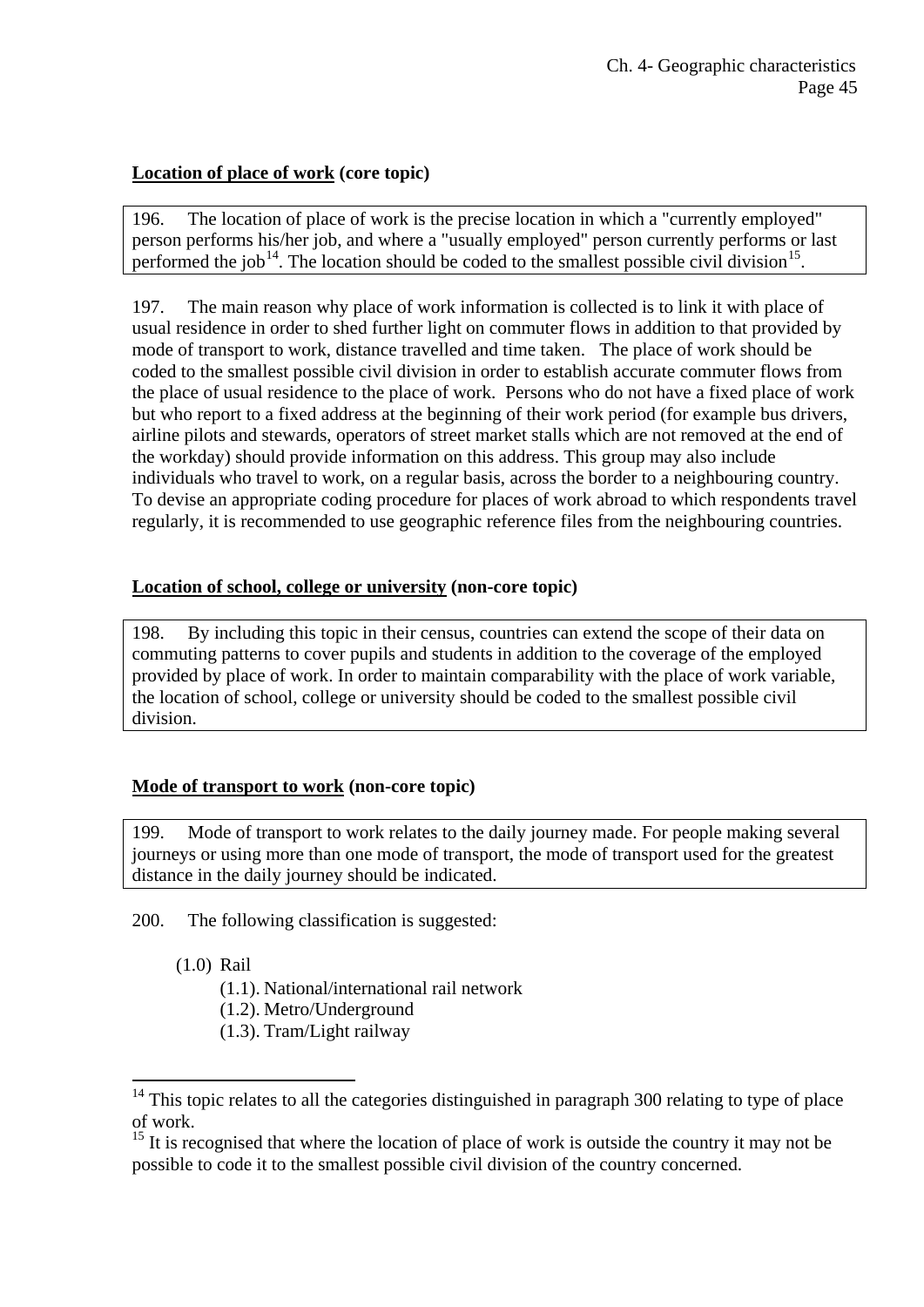### <span id="page-44-0"></span>**Location of place of work (core topic)**

196. The location of place of work is the precise location in which a "currently employed" person performs his/her job, and where a "usually employed" person currently performs or last performed the job<sup>[14](#page-44-0)</sup>. The location should be coded to the smallest possible civil division<sup>[1](#page-44-0)5</sup>.

197. The main reason why place of work information is collected is to link it with place of usual residence in order to shed further light on commuter flows in addition to that provided by mode of transport to work, distance travelled and time taken. The place of work should be coded to the smallest possible civil division in order to establish accurate commuter flows from the place of usual residence to the place of work. Persons who do not have a fixed place of work but who report to a fixed address at the beginning of their work period (for example bus drivers, airline pilots and stewards, operators of street market stalls which are not removed at the end of the workday) should provide information on this address. This group may also include individuals who travel to work, on a regular basis, across the border to a neighbouring country. To devise an appropriate coding procedure for places of work abroad to which respondents travel regularly, it is recommended to use geographic reference files from the neighbouring countries.

### **Location of school, college or university (non-core topic)**

198. By including this topic in their census, countries can extend the scope of their data on commuting patterns to cover pupils and students in addition to the coverage of the employed provided by place of work. In order to maintain comparability with the place of work variable, the location of school, college or university should be coded to the smallest possible civil division.

### **Mode of transport to work (non-core topic)**

199. Mode of transport to work relates to the daily journey made. For people making several journeys or using more than one mode of transport, the mode of transport used for the greatest distance in the daily journey should be indicated.

- 200. The following classification is suggested:
	- (1.0) Rail

1

- (1.1). National/international rail network
- (1.2). Metro/Underground
- (1.3). Tram/Light railway

 $14$  This topic relates to all the categories distinguished in paragraph 300 relating to type of place of work.

 $15$  It is recognised that where the location of place of work is outside the country it may not be possible to code it to the smallest possible civil division of the country concerned.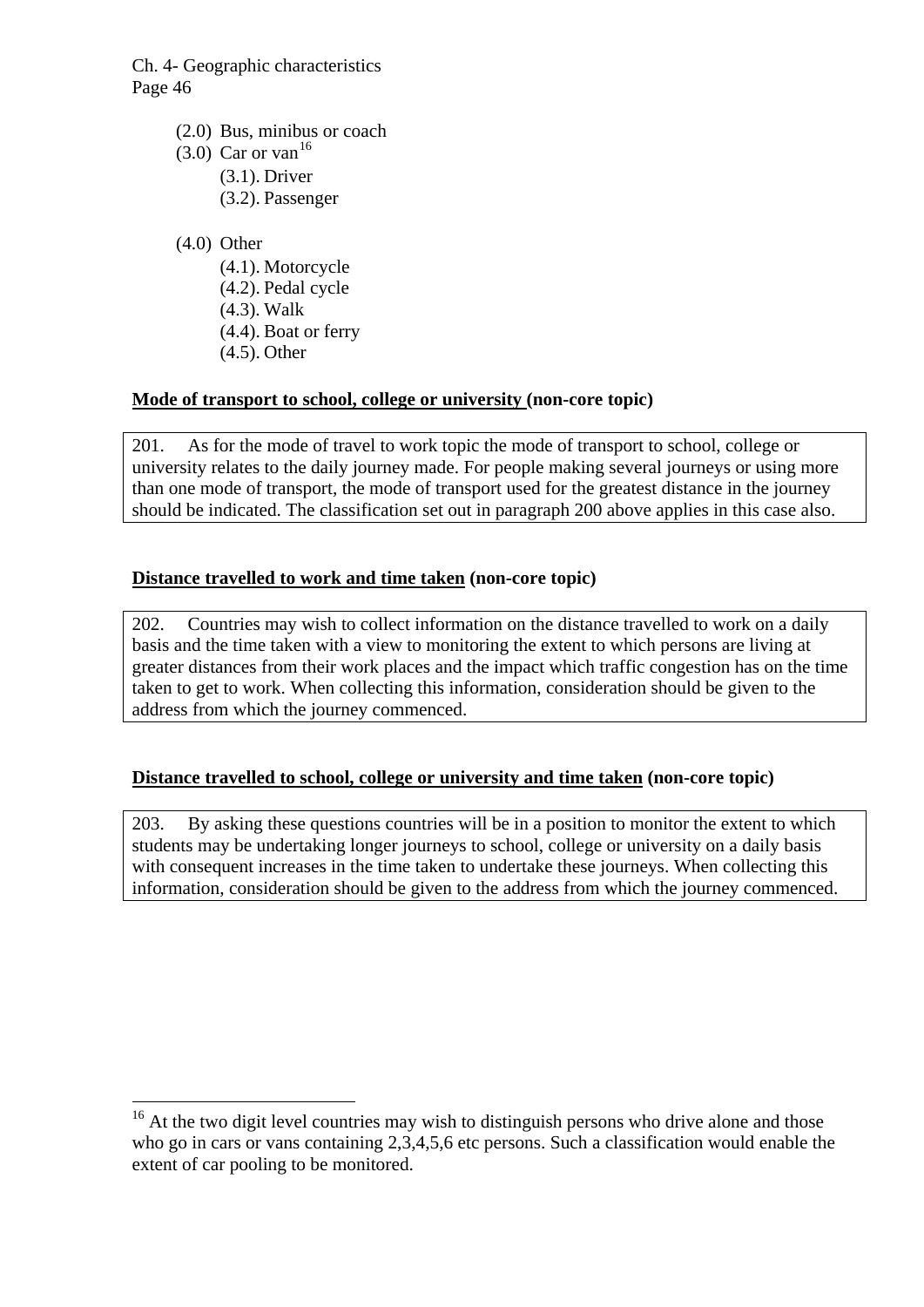<span id="page-45-0"></span>Ch. 4- Geographic characteristics Page 46

- (2.0) Bus, minibus or coach
- $(3.0)$  Car or van<sup>[16](#page-45-0)</sup>
	- (3.1). Driver
		- (3.2). Passenger
- (4.0) Other

1

(4.1). Motorcycle (4.2). Pedal cycle (4.3). Walk (4.4). Boat or ferry (4.5). Other

### **Mode of transport to school, college or university (non-core topic)**

201. As for the mode of travel to work topic the mode of transport to school, college or university relates to the daily journey made. For people making several journeys or using more than one mode of transport, the mode of transport used for the greatest distance in the journey should be indicated. The classification set out in paragraph [200](#page-44-0) above applies in this case also.

#### **Distance travelled to work and time taken (non-core topic)**

202. Countries may wish to collect information on the distance travelled to work on a daily basis and the time taken with a view to monitoring the extent to which persons are living at greater distances from their work places and the impact which traffic congestion has on the time taken to get to work. When collecting this information, consideration should be given to the address from which the journey commenced.

#### **Distance travelled to school, college or university and time taken (non-core topic)**

203. By asking these questions countries will be in a position to monitor the extent to which students may be undertaking longer journeys to school, college or university on a daily basis with consequent increases in the time taken to undertake these journeys. When collecting this information, consideration should be given to the address from which the journey commenced.

 $16$  At the two digit level countries may wish to distinguish persons who drive alone and those who go in cars or vans containing 2,3,4,5,6 etc persons. Such a classification would enable the extent of car pooling to be monitored.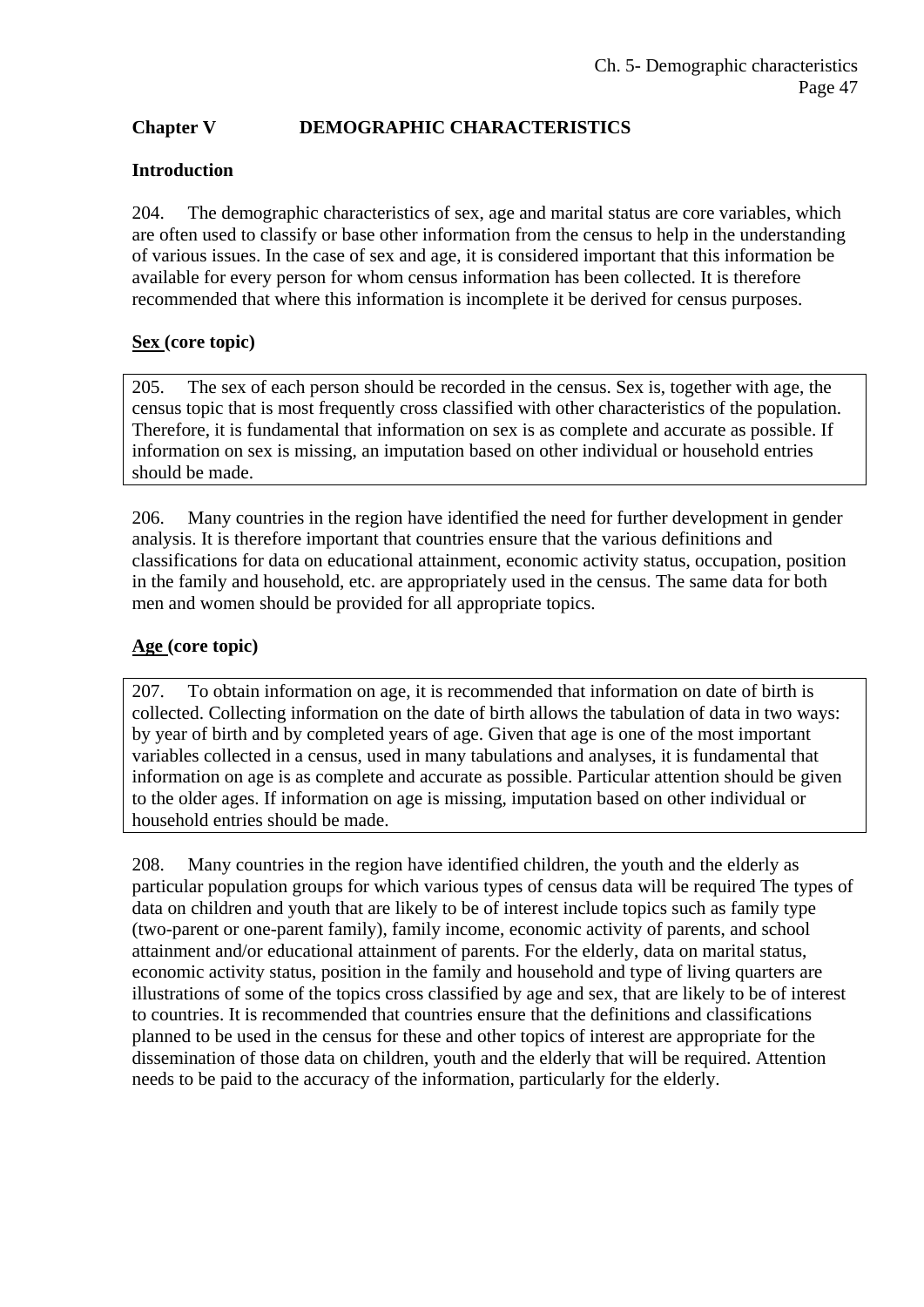### **Chapter V DEMOGRAPHIC CHARACTERISTICS**

### **Introduction**

204. The demographic characteristics of sex, age and marital status are core variables, which are often used to classify or base other information from the census to help in the understanding of various issues. In the case of sex and age, it is considered important that this information be available for every person for whom census information has been collected. It is therefore recommended that where this information is incomplete it be derived for census purposes.

### **Sex (core topic)**

205. The sex of each person should be recorded in the census. Sex is, together with age, the census topic that is most frequently cross classified with other characteristics of the population. Therefore, it is fundamental that information on sex is as complete and accurate as possible. If information on sex is missing, an imputation based on other individual or household entries should be made.

206. Many countries in the region have identified the need for further development in gender analysis. It is therefore important that countries ensure that the various definitions and classifications for data on educational attainment, economic activity status, occupation, position in the family and household, etc. are appropriately used in the census. The same data for both men and women should be provided for all appropriate topics.

### **Age (core topic)**

207. To obtain information on age, it is recommended that information on date of birth is collected. Collecting information on the date of birth allows the tabulation of data in two ways: by year of birth and by completed years of age. Given that age is one of the most important variables collected in a census, used in many tabulations and analyses, it is fundamental that information on age is as complete and accurate as possible. Particular attention should be given to the older ages. If information on age is missing, imputation based on other individual or household entries should be made.

208. Many countries in the region have identified children, the youth and the elderly as particular population groups for which various types of census data will be required The types of data on children and youth that are likely to be of interest include topics such as family type (two-parent or one-parent family), family income, economic activity of parents, and school attainment and/or educational attainment of parents. For the elderly, data on marital status, economic activity status, position in the family and household and type of living quarters are illustrations of some of the topics cross classified by age and sex, that are likely to be of interest to countries. It is recommended that countries ensure that the definitions and classifications planned to be used in the census for these and other topics of interest are appropriate for the dissemination of those data on children, youth and the elderly that will be required. Attention needs to be paid to the accuracy of the information, particularly for the elderly.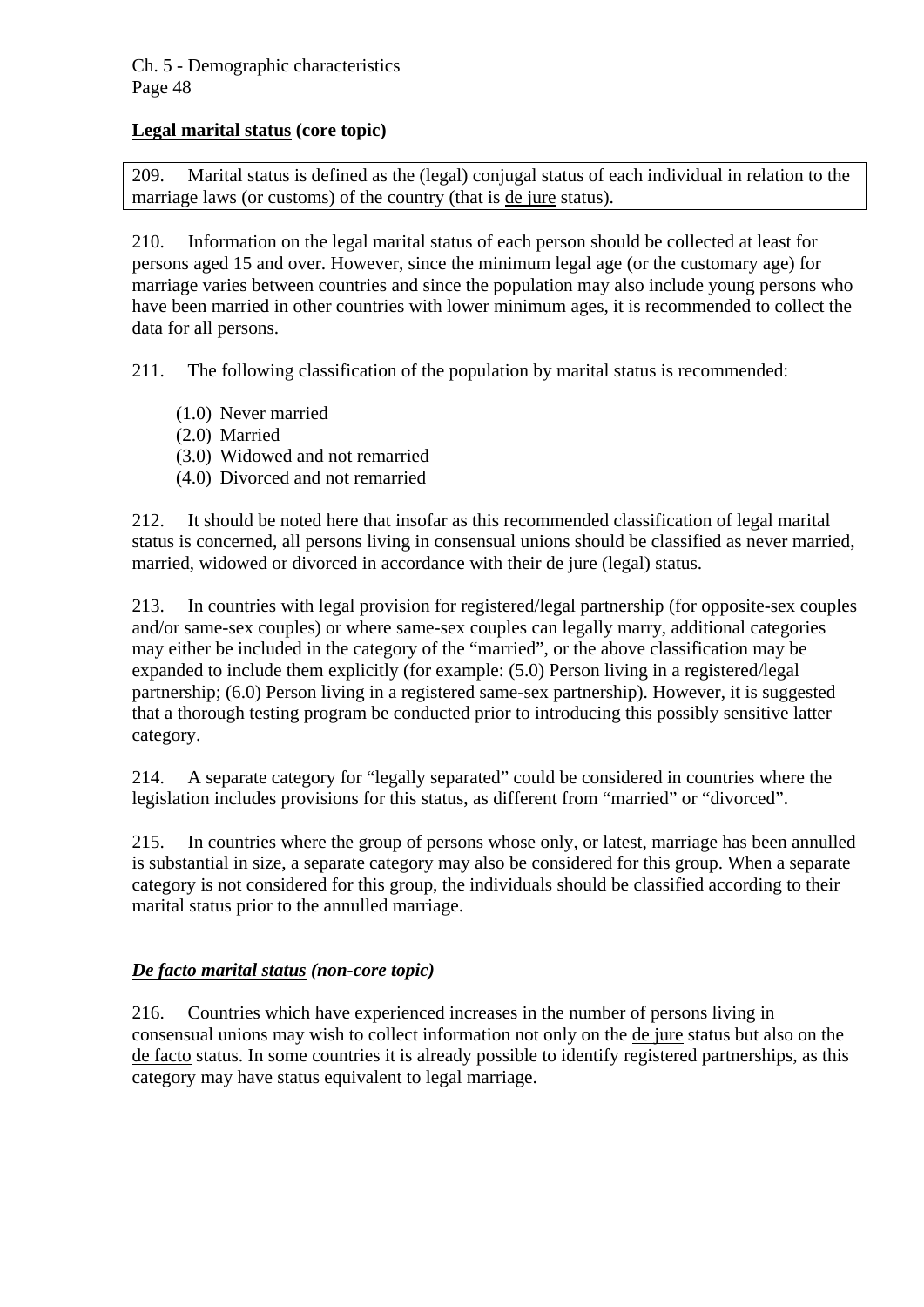## **Legal marital status (core topic)**

209. Marital status is defined as the (legal) conjugal status of each individual in relation to the marriage laws (or customs) of the country (that is de jure status).

210. Information on the legal marital status of each person should be collected at least for persons aged 15 and over. However, since the minimum legal age (or the customary age) for marriage varies between countries and since the population may also include young persons who have been married in other countries with lower minimum ages, it is recommended to collect the data for all persons.

211. The following classification of the population by marital status is recommended:

- (1.0) Never married
- (2.0) Married
- (3.0) Widowed and not remarried
- (4.0) Divorced and not remarried

212. It should be noted here that insofar as this recommended classification of legal marital status is concerned, all persons living in consensual unions should be classified as never married, married, widowed or divorced in accordance with their de jure (legal) status.

213. In countries with legal provision for registered/legal partnership (for opposite-sex couples and/or same-sex couples) or where same-sex couples can legally marry, additional categories may either be included in the category of the "married", or the above classification may be expanded to include them explicitly (for example: (5.0) Person living in a registered/legal partnership; (6.0) Person living in a registered same-sex partnership). However, it is suggested that a thorough testing program be conducted prior to introducing this possibly sensitive latter category.

214. A separate category for "legally separated" could be considered in countries where the legislation includes provisions for this status, as different from "married" or "divorced".

215. In countries where the group of persons whose only, or latest, marriage has been annulled is substantial in size, a separate category may also be considered for this group. When a separate category is not considered for this group, the individuals should be classified according to their marital status prior to the annulled marriage.

### *De facto marital status (non-core topic)*

216. Countries which have experienced increases in the number of persons living in consensual unions may wish to collect information not only on the de jure status but also on the de facto status. In some countries it is already possible to identify registered partnerships, as this category may have status equivalent to legal marriage.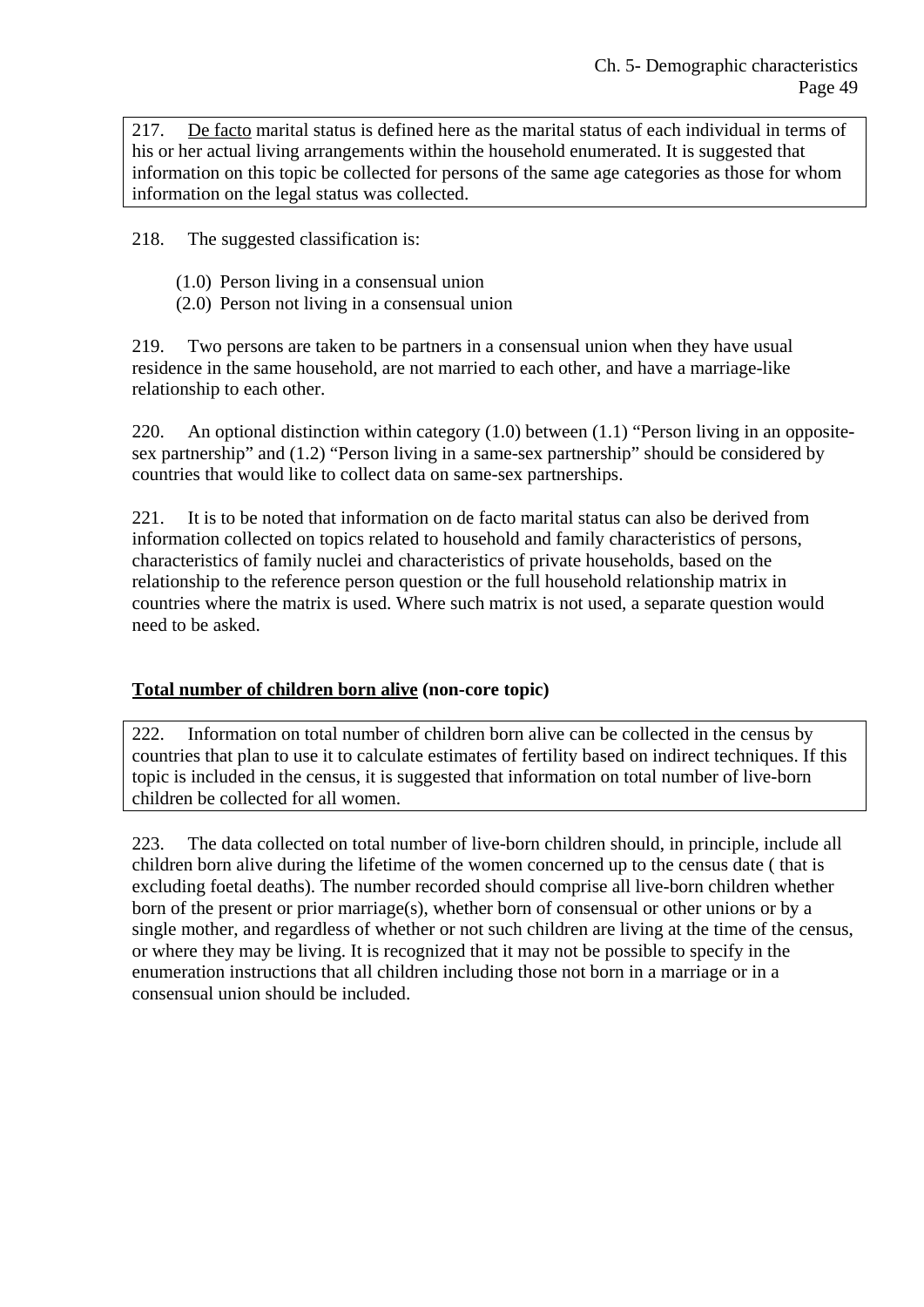217. De facto marital status is defined here as the marital status of each individual in terms of his or her actual living arrangements within the household enumerated. It is suggested that information on this topic be collected for persons of the same age categories as those for whom information on the legal status was collected.

218. The suggested classification is:

- (1.0) Person living in a consensual union
- (2.0) Person not living in a consensual union

219. Two persons are taken to be partners in a consensual union when they have usual residence in the same household, are not married to each other, and have a marriage-like relationship to each other.

220. An optional distinction within category (1.0) between (1.1) "Person living in an oppositesex partnership" and (1.2) "Person living in a same-sex partnership" should be considered by countries that would like to collect data on same-sex partnerships.

221. It is to be noted that information on de facto marital status can also be derived from information collected on topics related to household and family characteristics of persons, characteristics of family nuclei and characteristics of private households, based on the relationship to the reference person question or the full household relationship matrix in countries where the matrix is used. Where such matrix is not used, a separate question would need to be asked.

### **Total number of children born alive (non-core topic)**

222. Information on total number of children born alive can be collected in the census by countries that plan to use it to calculate estimates of fertility based on indirect techniques. If this topic is included in the census, it is suggested that information on total number of live-born children be collected for all women.

223. The data collected on total number of live-born children should, in principle, include all children born alive during the lifetime of the women concerned up to the census date ( that is excluding foetal deaths). The number recorded should comprise all live-born children whether born of the present or prior marriage(s), whether born of consensual or other unions or by a single mother, and regardless of whether or not such children are living at the time of the census, or where they may be living. It is recognized that it may not be possible to specify in the enumeration instructions that all children including those not born in a marriage or in a consensual union should be included.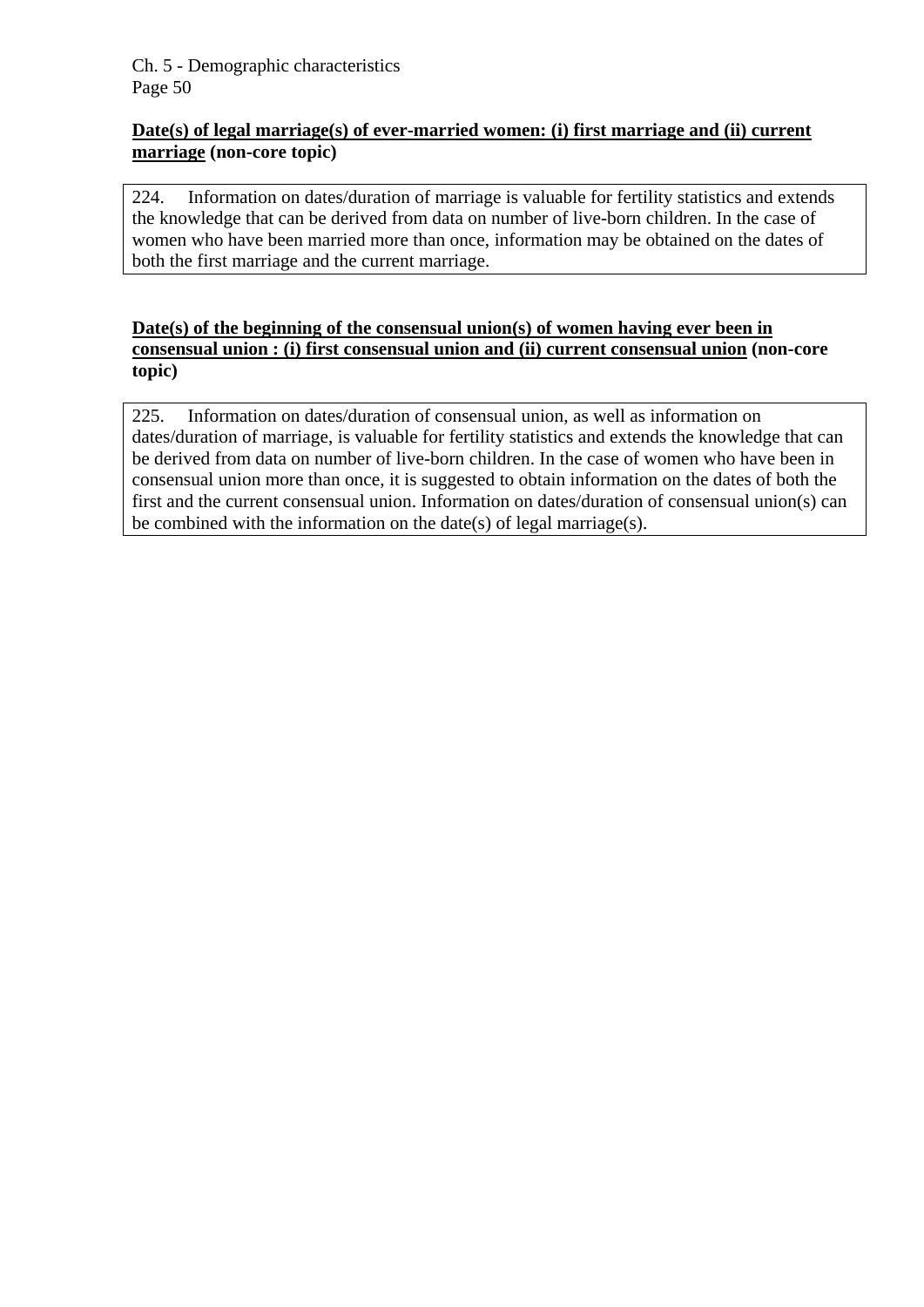## **Date(s) of legal marriage(s) of ever-married women: (i) first marriage and (ii) current marriage (non-core topic)**

224. Information on dates/duration of marriage is valuable for fertility statistics and extends the knowledge that can be derived from data on number of live-born children. In the case of women who have been married more than once, information may be obtained on the dates of both the first marriage and the current marriage.

## **Date(s) of the beginning of the consensual union(s) of women having ever been in consensual union : (i) first consensual union and (ii) current consensual union (non-core topic)**

225. Information on dates/duration of consensual union, as well as information on dates/duration of marriage, is valuable for fertility statistics and extends the knowledge that can be derived from data on number of live-born children. In the case of women who have been in consensual union more than once, it is suggested to obtain information on the dates of both the first and the current consensual union. Information on dates/duration of consensual union(s) can be combined with the information on the date(s) of legal marriage(s).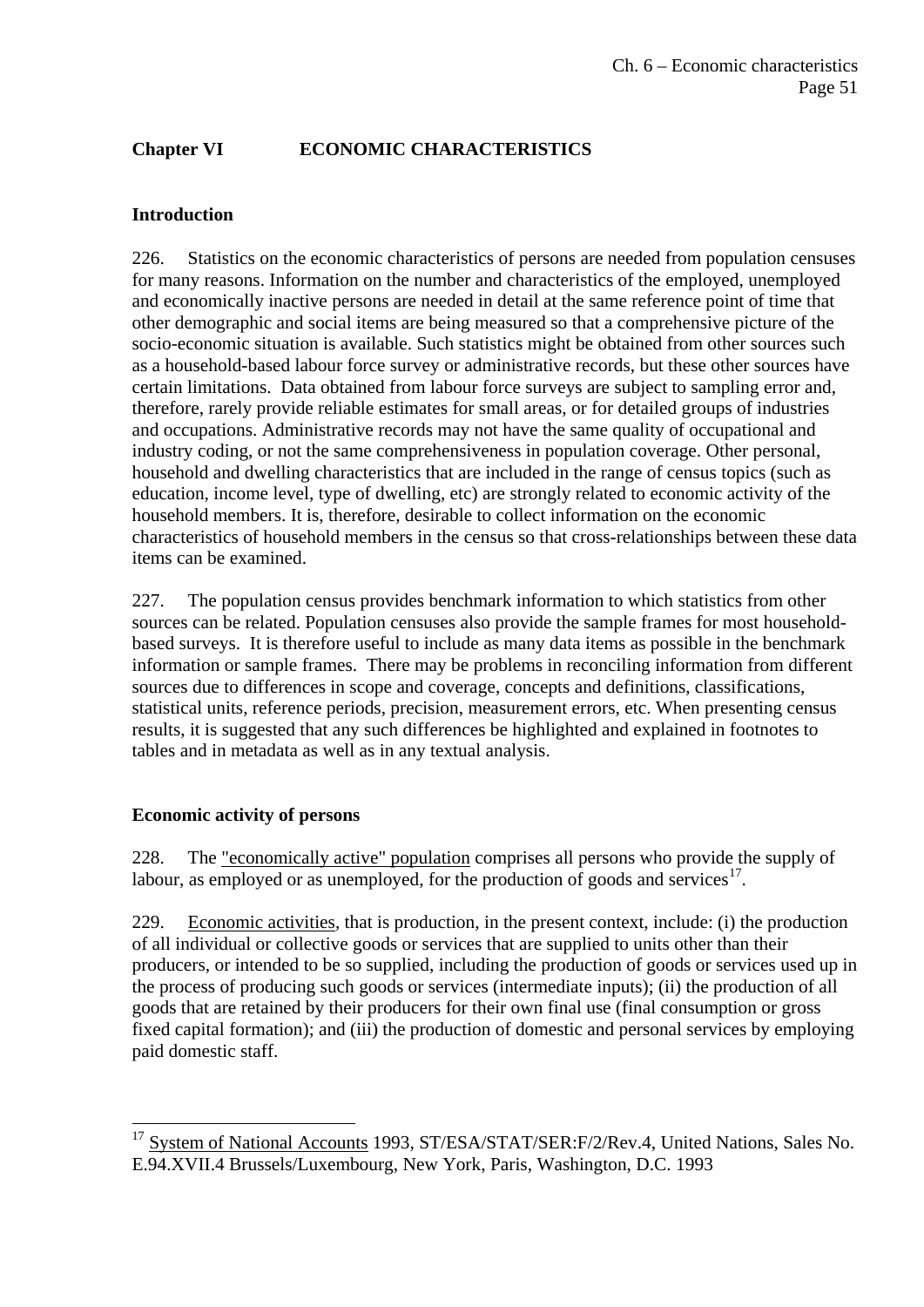# <span id="page-50-0"></span>**Chapter VI ECONOMIC CHARACTERISTICS**

### **Introduction**

226. Statistics on the economic characteristics of persons are needed from population censuses for many reasons. Information on the number and characteristics of the employed, unemployed and economically inactive persons are needed in detail at the same reference point of time that other demographic and social items are being measured so that a comprehensive picture of the socio-economic situation is available. Such statistics might be obtained from other sources such as a household-based labour force survey or administrative records, but these other sources have certain limitations. Data obtained from labour force surveys are subject to sampling error and, therefore, rarely provide reliable estimates for small areas, or for detailed groups of industries and occupations. Administrative records may not have the same quality of occupational and industry coding, or not the same comprehensiveness in population coverage. Other personal, household and dwelling characteristics that are included in the range of census topics (such as education, income level, type of dwelling, etc) are strongly related to economic activity of the household members. It is, therefore, desirable to collect information on the economic characteristics of household members in the census so that cross-relationships between these data items can be examined.

227. The population census provides benchmark information to which statistics from other sources can be related. Population censuses also provide the sample frames for most householdbased surveys. It is therefore useful to include as many data items as possible in the benchmark information or sample frames. There may be problems in reconciling information from different sources due to differences in scope and coverage, concepts and definitions, classifications, statistical units, reference periods, precision, measurement errors, etc. When presenting census results, it is suggested that any such differences be highlighted and explained in footnotes to tables and in metadata as well as in any textual analysis.

### **Economic activity of persons**

228. The "economically active" population comprises all persons who provide the supply of labour, as employed or as unemployed, for the production of goods and services $17$  $17$ .

229. Economic activities, that is production, in the present context, include: (i) the production of all individual or collective goods or services that are supplied to units other than their producers, or intended to be so supplied, including the production of goods or services used up in the process of producing such goods or services (intermediate inputs); (ii) the production of all goods that are retained by their producers for their own final use (final consumption or gross fixed capital formation); and (iii) the production of domestic and personal services by employing paid domestic staff.

<sup>&</sup>lt;u>.</u> <sup>17</sup> System of National Accounts 1993, ST/ESA/STAT/SER:F/2/Rev.4, United Nations, Sales No. E.94.XVII.4 Brussels/Luxembourg, New York, Paris, Washington, D.C. 1993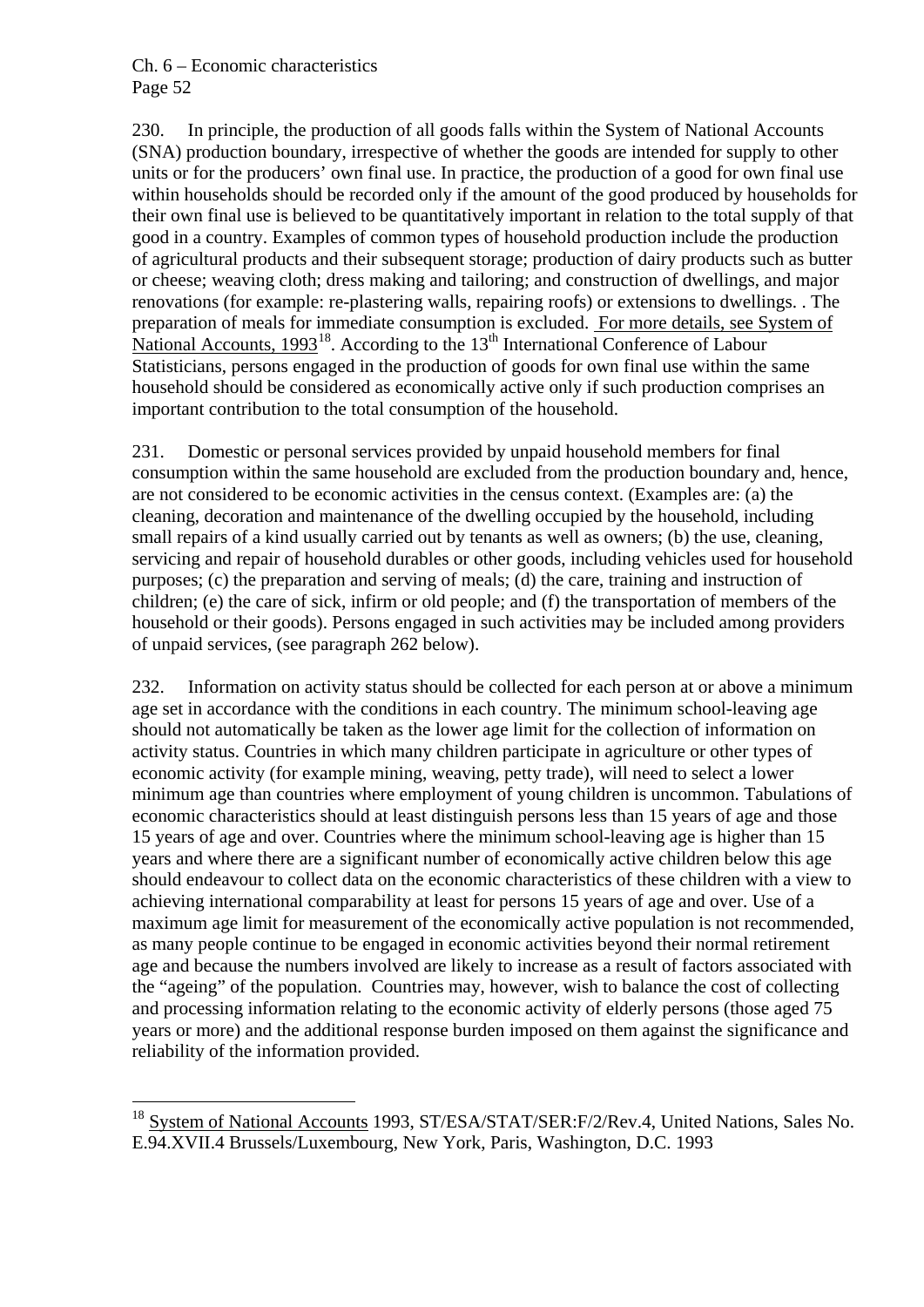#### <span id="page-51-0"></span>Ch. 6 – Economic characteristics Page 52

1

230. In principle, the production of all goods falls within the System of National Accounts (SNA) production boundary, irrespective of whether the goods are intended for supply to other units or for the producers' own final use. In practice, the production of a good for own final use within households should be recorded only if the amount of the good produced by households for their own final use is believed to be quantitatively important in relation to the total supply of that good in a country. Examples of common types of household production include the production of agricultural products and their subsequent storage; production of dairy products such as butter or cheese; weaving cloth; dress making and tailoring; and construction of dwellings, and major renovations (for example: re-plastering walls, repairing roofs) or extensions to dwellings. . The preparation of meals for immediate consumption is excluded. For more details, see System of National Accounts,  $1993^{18}$  $1993^{18}$ . According to the  $13^{th}$  International Conference of Labour Statisticians, persons engaged in the production of goods for own final use within the same household should be considered as economically active only if such production comprises an important contribution to the total consumption of the household.

231. Domestic or personal services provided by unpaid household members for final consumption within the same household are excluded from the production boundary and, hence, are not considered to be economic activities in the census context. (Examples are: (a) the cleaning, decoration and maintenance of the dwelling occupied by the household, including small repairs of a kind usually carried out by tenants as well as owners; (b) the use, cleaning, servicing and repair of household durables or other goods, including vehicles used for household purposes; (c) the preparation and serving of meals; (d) the care, training and instruction of children; (e) the care of sick, infirm or old people; and (f) the transportation of members of the household or their goods). Persons engaged in such activities may be included among providers of unpaid services, (see paragraph [262](#page-61-0) below).

232. Information on activity status should be collected for each person at or above a minimum age set in accordance with the conditions in each country. The minimum school-leaving age should not automatically be taken as the lower age limit for the collection of information on activity status. Countries in which many children participate in agriculture or other types of economic activity (for example mining, weaving, petty trade), will need to select a lower minimum age than countries where employment of young children is uncommon. Tabulations of economic characteristics should at least distinguish persons less than 15 years of age and those 15 years of age and over. Countries where the minimum school-leaving age is higher than 15 years and where there are a significant number of economically active children below this age should endeavour to collect data on the economic characteristics of these children with a view to achieving international comparability at least for persons 15 years of age and over. Use of a maximum age limit for measurement of the economically active population is not recommended, as many people continue to be engaged in economic activities beyond their normal retirement age and because the numbers involved are likely to increase as a result of factors associated with the "ageing" of the population. Countries may, however, wish to balance the cost of collecting and processing information relating to the economic activity of elderly persons (those aged 75 years or more) and the additional response burden imposed on them against the significance and reliability of the information provided.

<sup>&</sup>lt;sup>18</sup> System of National Accounts 1993, ST/ESA/STAT/SER:F/2/Rev.4, United Nations, Sales No. E.94.XVII.4 Brussels/Luxembourg, New York, Paris, Washington, D.C. 1993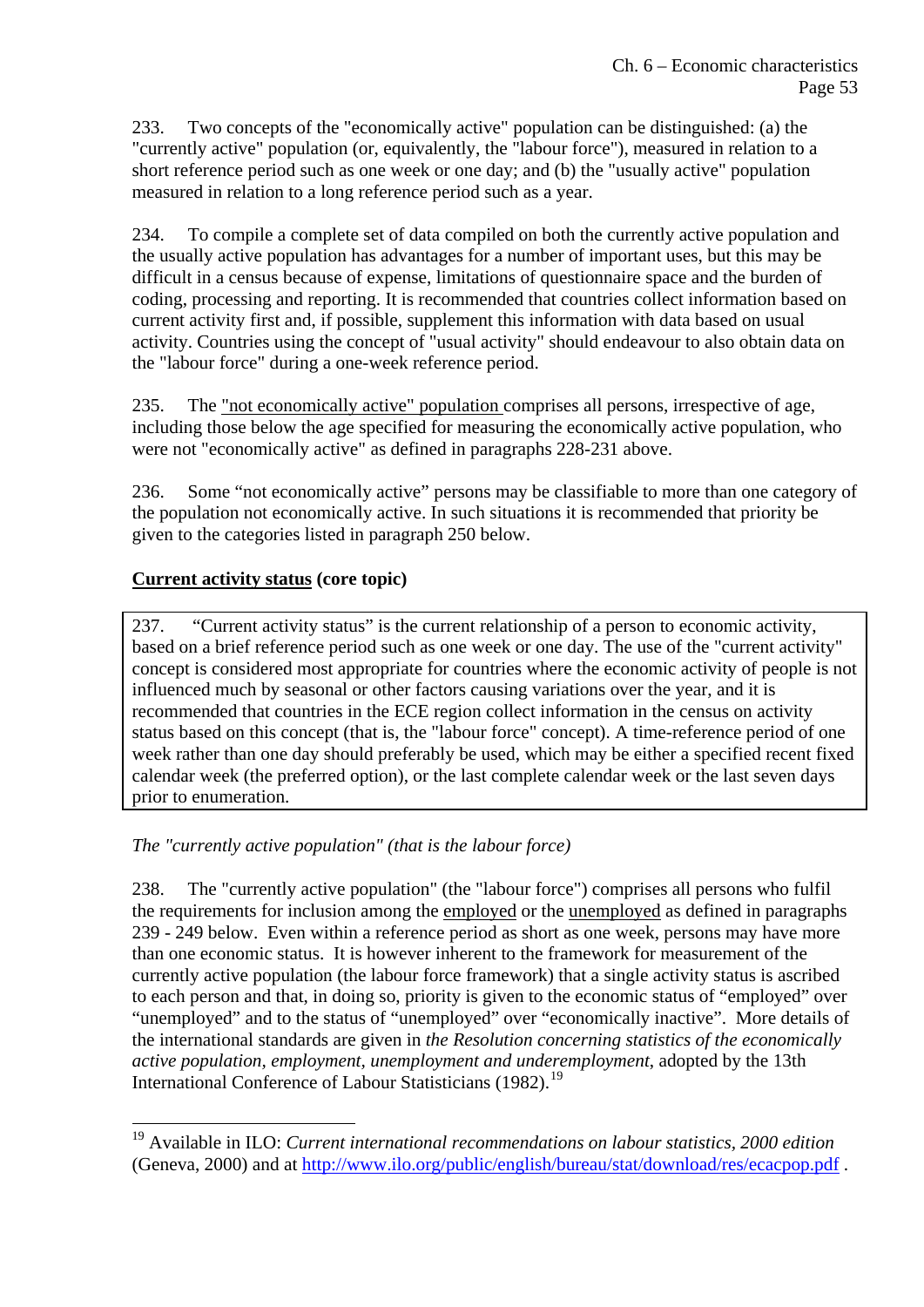<span id="page-52-0"></span>233. Two concepts of the "economically active" population can be distinguished: (a) the "currently active" population (or, equivalently, the "labour force"), measured in relation to a short reference period such as one week or one day; and (b) the "usually active" population measured in relation to a long reference period such as a year.

234. To compile a complete set of data compiled on both the currently active population and the usually active population has advantages for a number of important uses, but this may be difficult in a census because of expense, limitations of questionnaire space and the burden of coding, processing and reporting. It is recommended that countries collect information based on current activity first and, if possible, supplement this information with data based on usual activity. Countries using the concept of "usual activity" should endeavour to also obtain data on the "labour force" during a one-week reference period.

235. The "not economically active" population comprises all persons, irrespective of age, including those below the age specified for measuring the economically active population, who were not "economically active" as defined in paragraphs [228-](#page-50-0)[231](#page-51-0) above.

236. Some "not economically active" persons may be classifiable to more than one category of the population not economically active. In such situations it is recommended that priority be given to the categories listed in paragraph [250](#page-57-0) below.

## **Current activity status (core topic)**

<u>.</u>

237. "Current activity status" is the current relationship of a person to economic activity, based on a brief reference period such as one week or one day. The use of the "current activity" concept is considered most appropriate for countries where the economic activity of people is not influenced much by seasonal or other factors causing variations over the year, and it is recommended that countries in the ECE region collect information in the census on activity status based on this concept (that is, the "labour force" concept). A time-reference period of one week rather than one day should preferably be used, which may be either a specified recent fixed calendar week (the preferred option), or the last complete calendar week or the last seven days prior to enumeration.

# *The "currently active population" (that is the labour force)*

238. The "currently active population" (the "labour force") comprises all persons who fulfil the requirements for inclusion among the employed or the unemployed as defined in paragraphs [239](#page-53-0) - [249](#page-57-0) below. Even within a reference period as short as one week, persons may have more than one economic status. It is however inherent to the framework for measurement of the currently active population (the labour force framework) that a single activity status is ascribed to each person and that, in doing so, priority is given to the economic status of "employed" over "unemployed" and to the status of "unemployed" over "economically inactive". More details of the international standards are given in *the Resolution concerning statistics of the economically active population, employment, unemployment and underemployment*, adopted by the 13th International Conference of Labour Statisticians ([19](#page-52-0)82).<sup>19</sup>

<sup>19</sup> Available in ILO: *Current international recommendations on labour statistics, 2000 edition* (Geneva, 2000) and at http://www.ilo.org/public/english/bureau/stat/download/res/ecacpop.pdf .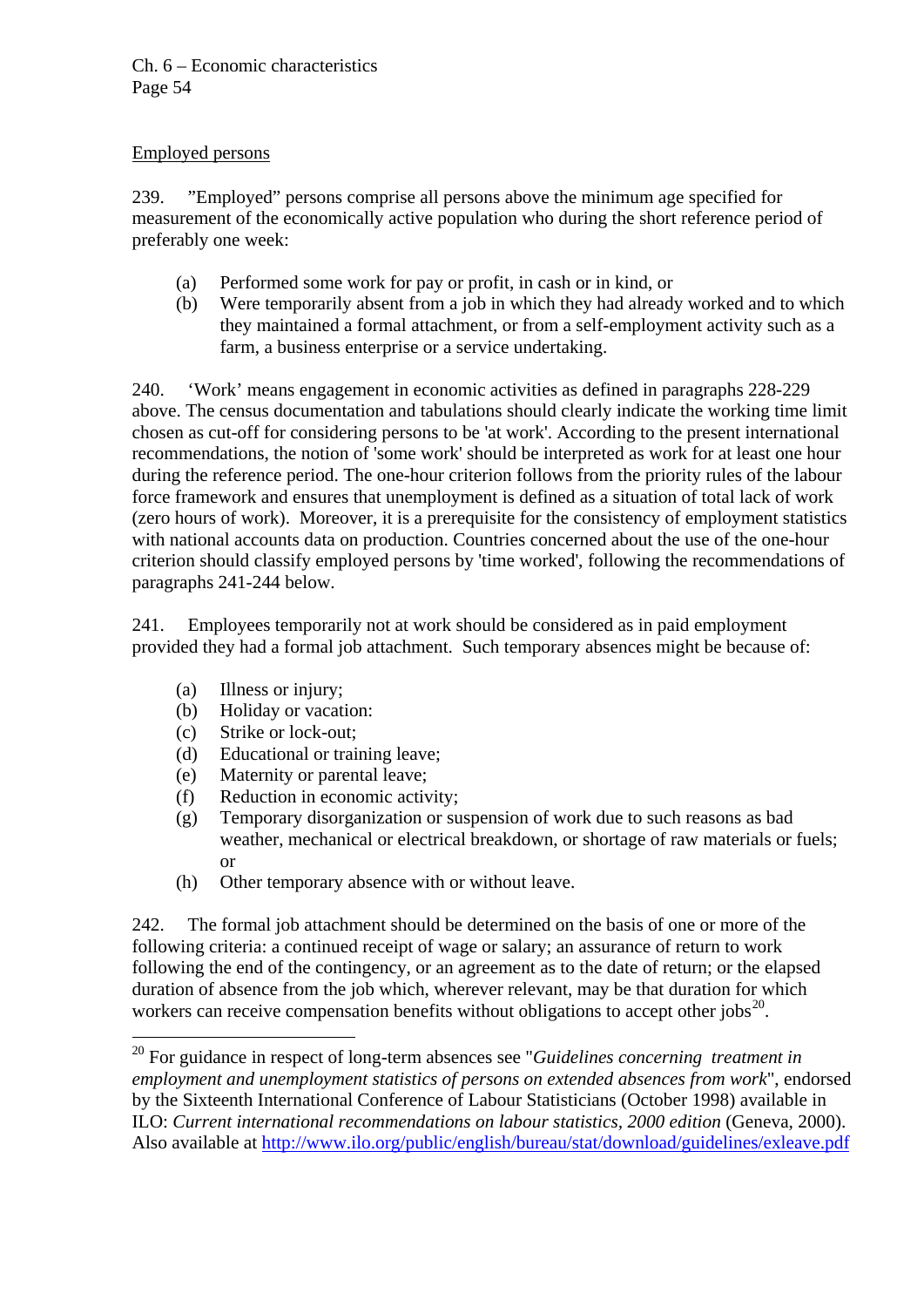### <span id="page-53-0"></span>Employed persons

239. "Employed" persons comprise all persons above the minimum age specified for measurement of the economically active population who during the short reference period of preferably one week:

- (a) Performed some work for pay or profit, in cash or in kind, or
- (b) Were temporarily absent from a job in which they had already worked and to which they maintained a formal attachment, or from a self-employment activity such as a farm, a business enterprise or a service undertaking.

240. 'Work' means engagement in economic activities as defined in paragraphs [228](#page-50-0)[-229](#page-51-0) above. The census documentation and tabulations should clearly indicate the working time limit chosen as cut-off for considering persons to be 'at work'. According to the present international recommendations, the notion of 'some work' should be interpreted as work for at least one hour during the reference period. The one-hour criterion follows from the priority rules of the labour force framework and ensures that unemployment is defined as a situation of total lack of work (zero hours of work). Moreover, it is a prerequisite for the consistency of employment statistics with national accounts data on production. Countries concerned about the use of the one-hour criterion should classify employed persons by 'time worked', following the recommendations of paragraphs [241-](#page-53-0)[244](#page-54-0) below.

241. Employees temporarily not at work should be considered as in paid employment provided they had a formal job attachment. Such temporary absences might be because of:

- (a) Illness or injury;
- (b) Holiday or vacation:
- (c) Strike or lock-out;

1

- (d) Educational or training leave;
- (e) Maternity or parental leave;
- (f) Reduction in economic activity;
- (g) Temporary disorganization or suspension of work due to such reasons as bad weather, mechanical or electrical breakdown, or shortage of raw materials or fuels; or
- (h) Other temporary absence with or without leave.

242. The formal job attachment should be determined on the basis of one or more of the following criteria: a continued receipt of wage or salary; an assurance of return to work following the end of the contingency, or an agreement as to the date of return; or the elapsed duration of absence from the job which, wherever relevant, may be that duration for which workers can receive compensation benefits without obligations to accept other jobs<sup>[20](#page-53-0)</sup>.

<sup>20</sup> For guidance in respect of long-term absences see "*Guidelines concerning treatment in employment and unemployment statistics of persons on extended absences from work*", endorsed by the Sixteenth International Conference of Labour Statisticians (October 1998) available in ILO: *Current international recommendations on labour statistics, 2000 edition* (Geneva, 2000). Also available at http://www.ilo.org/public/english/bureau/stat/download/guidelines/exleave.pdf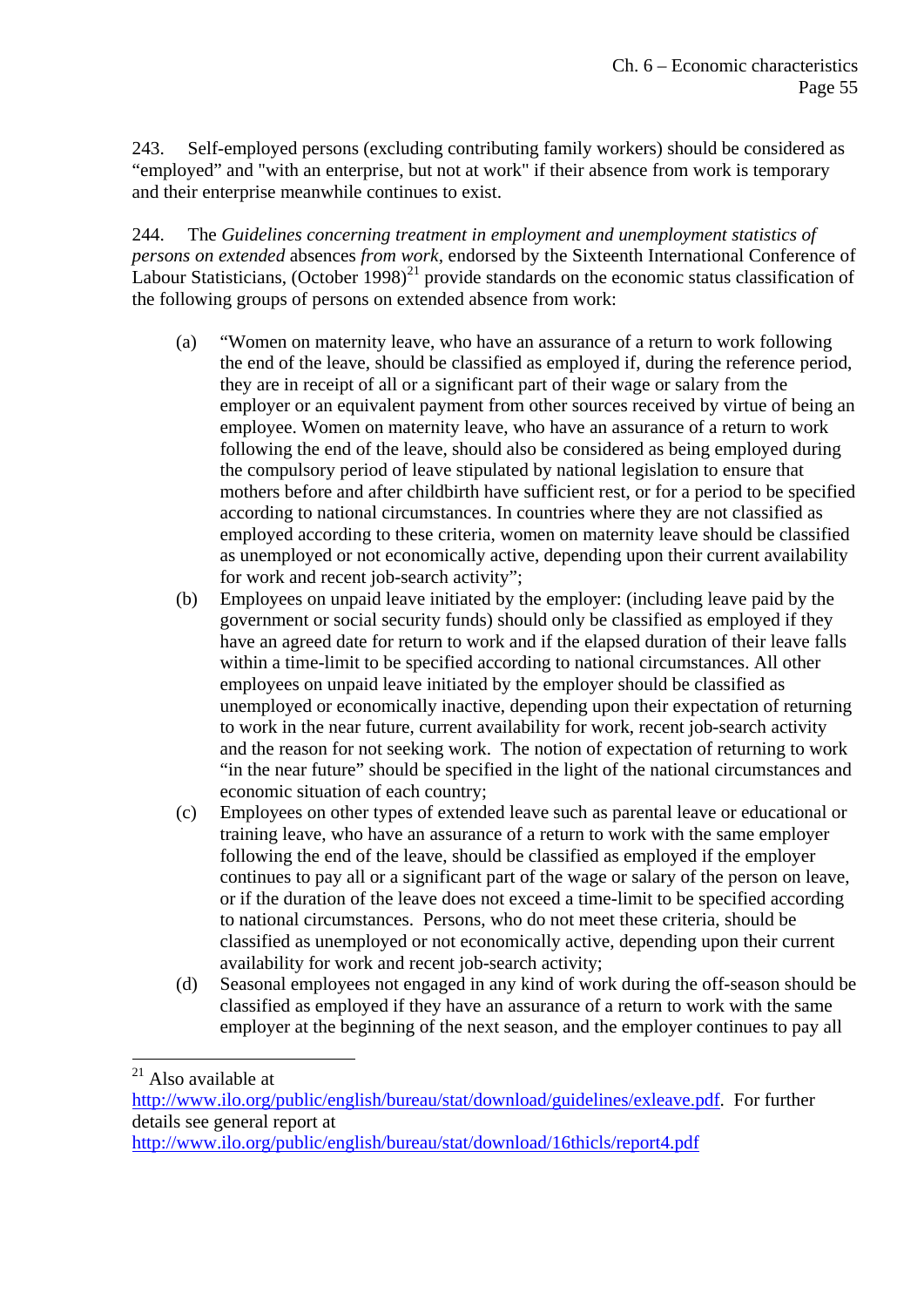<span id="page-54-0"></span>243. Self-employed persons (excluding contributing family workers) should be considered as "employed" and "with an enterprise, but not at work" if their absence from work is temporary and their enterprise meanwhile continues to exist.

244. The *Guidelines concerning treatment in employment and unemployment statistics of persons on extended* absences *from work,* endorsed by the Sixteenth International Conference of Labour Statisticians,  $(October 1998)<sup>21</sup> provide standards on the economic status classification of$  $(October 1998)<sup>21</sup> provide standards on the economic status classification of$  $(October 1998)<sup>21</sup> provide standards on the economic status classification of$ the following groups of persons on extended absence from work:

- (a) "Women on maternity leave, who have an assurance of a return to work following the end of the leave, should be classified as employed if, during the reference period, they are in receipt of all or a significant part of their wage or salary from the employer or an equivalent payment from other sources received by virtue of being an employee. Women on maternity leave, who have an assurance of a return to work following the end of the leave, should also be considered as being employed during the compulsory period of leave stipulated by national legislation to ensure that mothers before and after childbirth have sufficient rest, or for a period to be specified according to national circumstances. In countries where they are not classified as employed according to these criteria, women on maternity leave should be classified as unemployed or not economically active, depending upon their current availability for work and recent job-search activity";
- (b) Employees on unpaid leave initiated by the employer: (including leave paid by the government or social security funds) should only be classified as employed if they have an agreed date for return to work and if the elapsed duration of their leave falls within a time-limit to be specified according to national circumstances. All other employees on unpaid leave initiated by the employer should be classified as unemployed or economically inactive, depending upon their expectation of returning to work in the near future, current availability for work, recent job-search activity and the reason for not seeking work. The notion of expectation of returning to work "in the near future" should be specified in the light of the national circumstances and economic situation of each country;
- (c) Employees on other types of extended leave such as parental leave or educational or training leave, who have an assurance of a return to work with the same employer following the end of the leave, should be classified as employed if the employer continues to pay all or a significant part of the wage or salary of the person on leave, or if the duration of the leave does not exceed a time-limit to be specified according to national circumstances. Persons, who do not meet these criteria, should be classified as unemployed or not economically active, depending upon their current availability for work and recent job-search activity;
- (d) Seasonal employees not engaged in any kind of work during the off-season should be classified as employed if they have an assurance of a return to work with the same employer at the beginning of the next season, and the employer continues to pay all

 $21$  Also available at

1

http://www.ilo.org/public/english/bureau/stat/download/guidelines/exleave.pdf. For further details see general report at

http://www.ilo.org/public/english/bureau/stat/download/16thicls/report4.pdf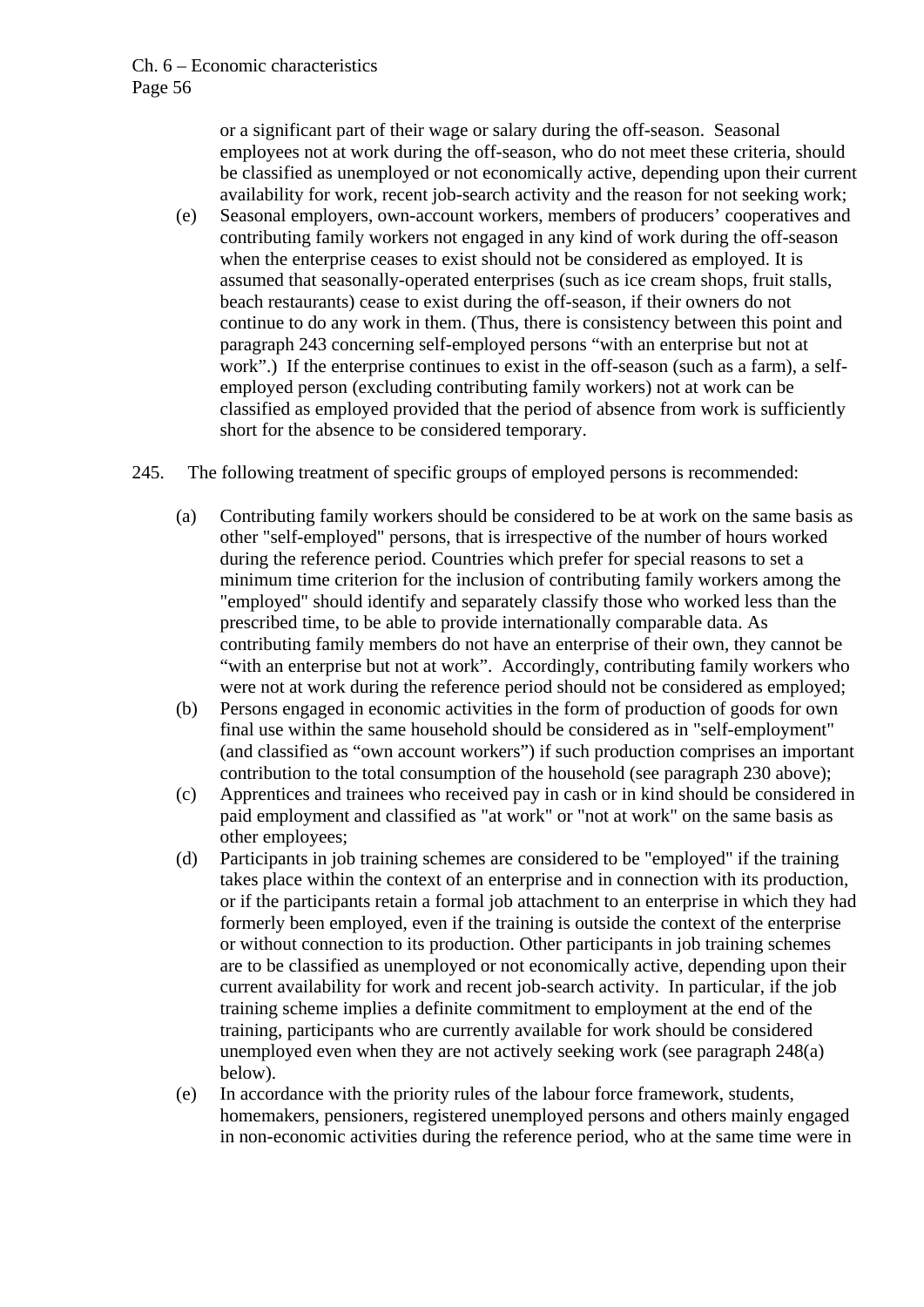or a significant part of their wage or salary during the off-season. Seasonal employees not at work during the off-season, who do not meet these criteria, should be classified as unemployed or not economically active, depending upon their current availability for work, recent job-search activity and the reason for not seeking work;

- (e) Seasonal employers, own-account workers, members of producers' cooperatives and contributing family workers not engaged in any kind of work during the off-season when the enterprise ceases to exist should not be considered as employed. It is assumed that seasonally-operated enterprises (such as ice cream shops, fruit stalls, beach restaurants) cease to exist during the off-season, if their owners do not continue to do any work in them. (Thus, there is consistency between this point and paragraph [243](#page-54-0) concerning self-employed persons "with an enterprise but not at work".) If the enterprise continues to exist in the off-season (such as a farm), a selfemployed person (excluding contributing family workers) not at work can be classified as employed provided that the period of absence from work is sufficiently short for the absence to be considered temporary.
- 245. The following treatment of specific groups of employed persons is recommended:
	- (a) Contributing family workers should be considered to be at work on the same basis as other "self-employed" persons, that is irrespective of the number of hours worked during the reference period. Countries which prefer for special reasons to set a minimum time criterion for the inclusion of contributing family workers among the "employed" should identify and separately classify those who worked less than the prescribed time, to be able to provide internationally comparable data. As contributing family members do not have an enterprise of their own, they cannot be "with an enterprise but not at work". Accordingly, contributing family workers who were not at work during the reference period should not be considered as employed;
	- (b) Persons engaged in economic activities in the form of production of goods for own final use within the same household should be considered as in "self-employment" (and classified as "own account workers") if such production comprises an important contribution to the total consumption of the household (see paragraph [230](#page-51-0) above);
	- (c) Apprentices and trainees who received pay in cash or in kind should be considered in paid employment and classified as "at work" or "not at work" on the same basis as other employees;
	- (d) Participants in job training schemes are considered to be "employed" if the training takes place within the context of an enterprise and in connection with its production, or if the participants retain a formal job attachment to an enterprise in which they had formerly been employed, even if the training is outside the context of the enterprise or without connection to its production. Other participants in job training schemes are to be classified as unemployed or not economically active, depending upon their current availability for work and recent job-search activity. In particular, if the job training scheme implies a definite commitment to employment at the end of the training, participants who are currently available for work should be considered unemployed even when they are not actively seeking work (see paragraph [248\(](#page-57-0)a) below).
	- (e) In accordance with the priority rules of the labour force framework, students, homemakers, pensioners, registered unemployed persons and others mainly engaged in non-economic activities during the reference period, who at the same time were in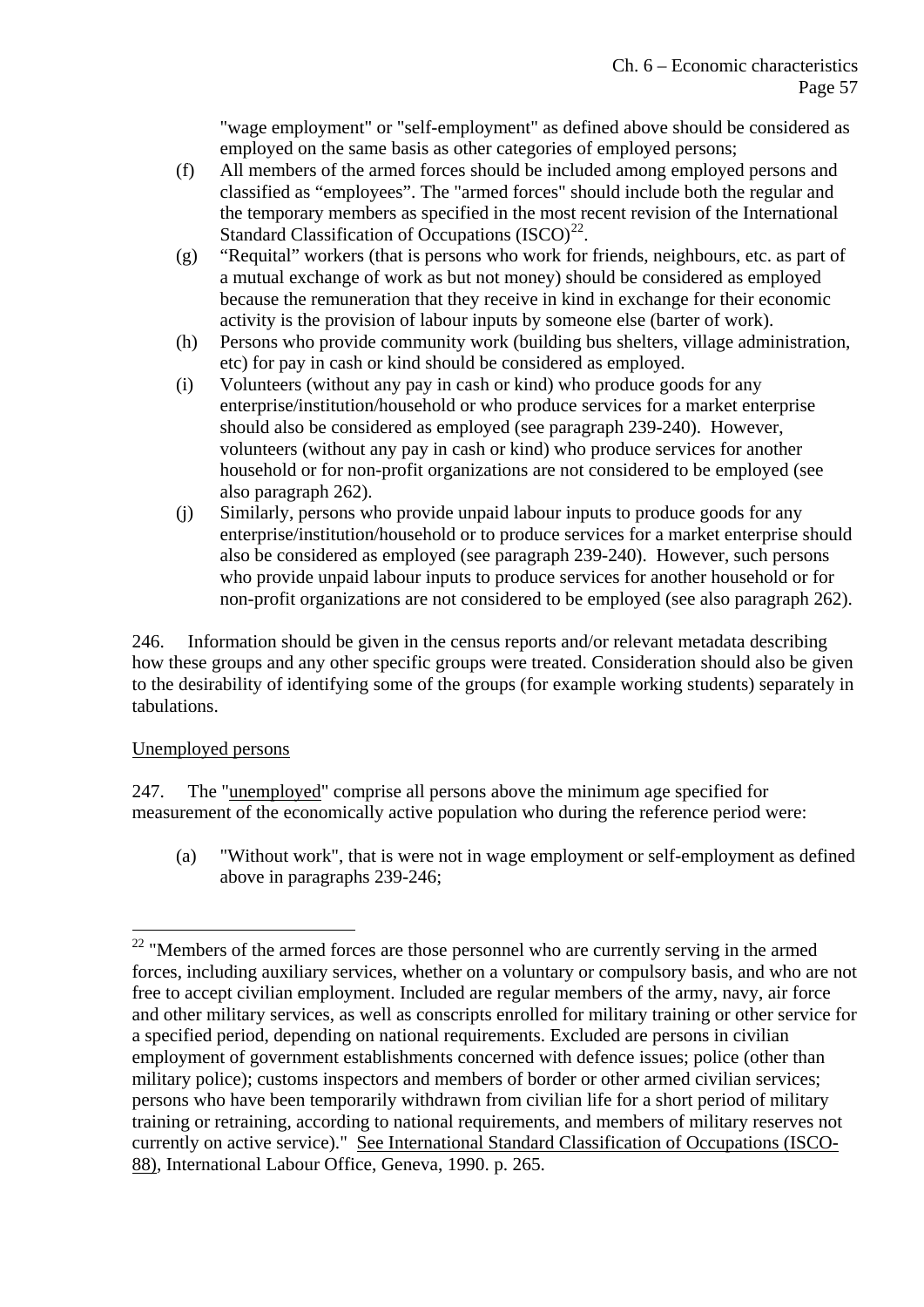"wage employment" or "self-employment" as defined above should be considered as employed on the same basis as other categories of employed persons;

- <span id="page-56-0"></span>(f) All members of the armed forces should be included among employed persons and classified as "employees". The "armed forces" should include both the regular and the temporary members as specified in the most recent revision of the International Standard Classification of Occupations  $(ISCO)^{22}$  $(ISCO)^{22}$  $(ISCO)^{22}$ .
- (g) "Requital" workers (that is persons who work for friends, neighbours, etc. as part of a mutual exchange of work as but not money) should be considered as employed because the remuneration that they receive in kind in exchange for their economic activity is the provision of labour inputs by someone else (barter of work).
- (h) Persons who provide community work (building bus shelters, village administration, etc) for pay in cash or kind should be considered as employed.
- (i) Volunteers (without any pay in cash or kind) who produce goods for any enterprise/institution/household or who produce services for a market enterprise should also be considered as employed (see paragraph [239](#page-53-0)-[240](#page-53-0)). However, volunteers (without any pay in cash or kind) who produce services for another household or for non-profit organizations are not considered to be employed (see also paragraph [262](#page-61-0)).
- (j) Similarly, persons who provide unpaid labour inputs to produce goods for any enterprise/institution/household or to produce services for a market enterprise should also be considered as employed (see paragraph [239-240](#page-53-0)). However, such persons who provide unpaid labour inputs to produce services for another household or for non-profit organizations are not considered to be employed (see also paragraph [262\)](#page-61-0).

246. Information should be given in the census reports and/or relevant metadata describing how these groups and any other specific groups were treated. Consideration should also be given to the desirability of identifying some of the groups (for example working students) separately in tabulations.

### Unemployed persons

1

247. The "unemployed" comprise all persons above the minimum age specified for measurement of the economically active population who during the reference period were:

(a) "Without work", that is were not in wage employment or self-employment as defined above in paragraphs [239](#page-53-0)[-246](#page-56-0);

<sup>&</sup>lt;sup>22</sup> "Members of the armed forces are those personnel who are currently serving in the armed forces, including auxiliary services, whether on a voluntary or compulsory basis, and who are not free to accept civilian employment. Included are regular members of the army, navy, air force and other military services, as well as conscripts enrolled for military training or other service for a specified period, depending on national requirements. Excluded are persons in civilian employment of government establishments concerned with defence issues; police (other than military police); customs inspectors and members of border or other armed civilian services; persons who have been temporarily withdrawn from civilian life for a short period of military training or retraining, according to national requirements, and members of military reserves not currently on active service)." See International Standard Classification of Occupations (ISCO-88), International Labour Office, Geneva, 1990. p. 265.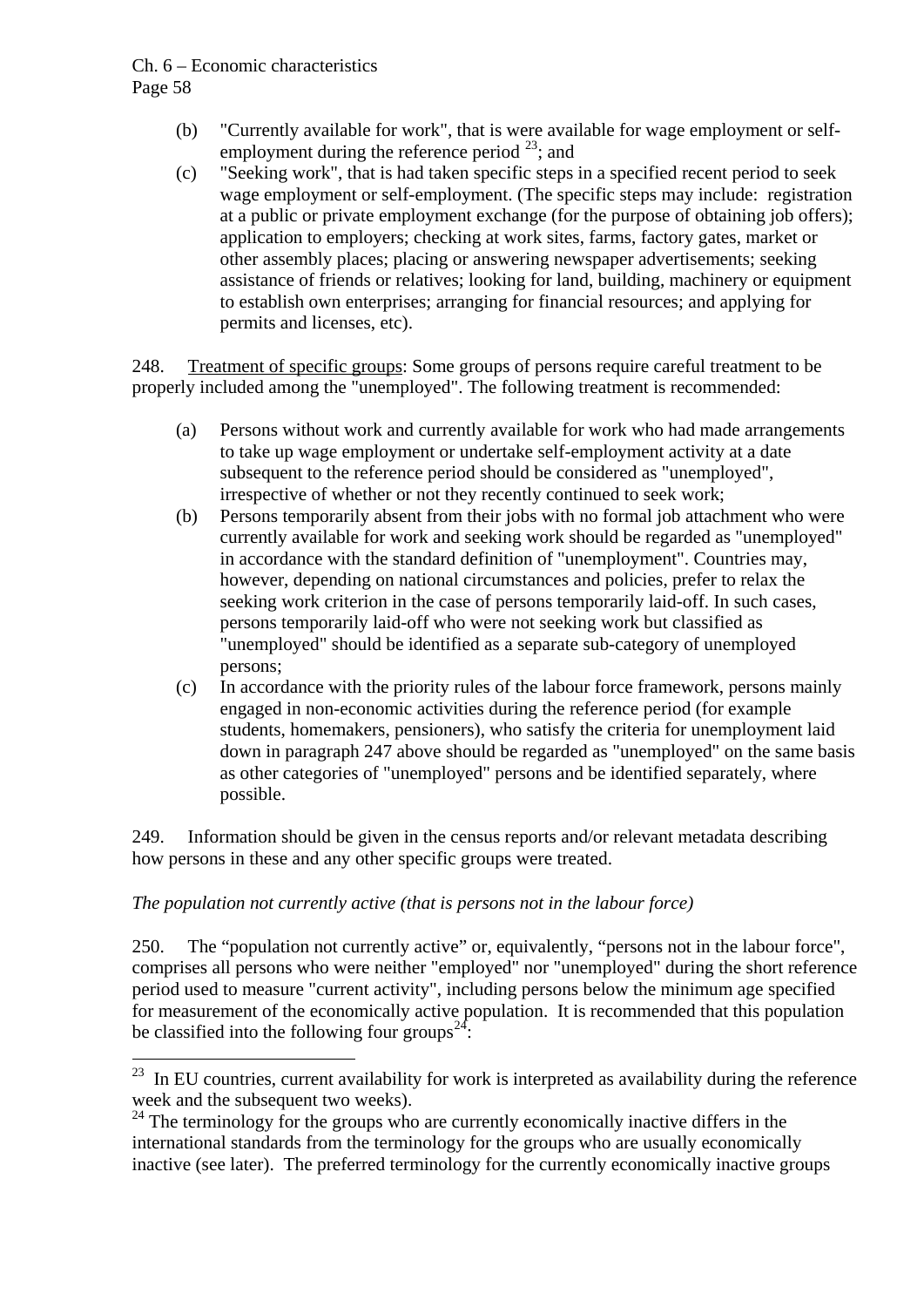### <span id="page-57-0"></span>Ch. 6 – Economic characteristics Page 58

- (b) "Currently available for work", that is were available for wage employment or selfemployment during the reference period  $^{23}$  $^{23}$  $^{23}$ ; and
- (c) "Seeking work", that is had taken specific steps in a specified recent period to seek wage employment or self-employment. (The specific steps may include: registration at a public or private employment exchange (for the purpose of obtaining job offers); application to employers; checking at work sites, farms, factory gates, market or other assembly places; placing or answering newspaper advertisements; seeking assistance of friends or relatives; looking for land, building, machinery or equipment to establish own enterprises; arranging for financial resources; and applying for permits and licenses, etc).

248. Treatment of specific groups: Some groups of persons require careful treatment to be properly included among the "unemployed". The following treatment is recommended:

- (a) Persons without work and currently available for work who had made arrangements to take up wage employment or undertake self-employment activity at a date subsequent to the reference period should be considered as "unemployed", irrespective of whether or not they recently continued to seek work;
- (b) Persons temporarily absent from their jobs with no formal job attachment who were currently available for work and seeking work should be regarded as "unemployed" in accordance with the standard definition of "unemployment". Countries may, however, depending on national circumstances and policies, prefer to relax the seeking work criterion in the case of persons temporarily laid-off. In such cases, persons temporarily laid-off who were not seeking work but classified as "unemployed" should be identified as a separate sub-category of unemployed persons;
- (c) In accordance with the priority rules of the labour force framework, persons mainly engaged in non-economic activities during the reference period (for example students, homemakers, pensioners), who satisfy the criteria for unemployment laid down in paragraph [247](#page-56-0) above should be regarded as "unemployed" on the same basis as other categories of "unemployed" persons and be identified separately, where possible.

249. Information should be given in the census reports and/or relevant metadata describing how persons in these and any other specific groups were treated.

# *The population not currently active (that is persons not in the labour force)*

1

250. The "population not currently active" or, equivalently, "persons not in the labour force", comprises all persons who were neither "employed" nor "unemployed" during the short reference period used to measure "current activity", including persons below the minimum age specified for measurement of the economically active population. It is recommended that this population be classified into the following four groups<sup>[24](#page-57-0)</sup>:

 $^{23}$  In EU countries, current availability for work is interpreted as availability during the reference week and the subsequent two weeks).

 $24$  The terminology for the groups who are currently economically inactive differs in the international standards from the terminology for the groups who are usually economically inactive (see later). The preferred terminology for the currently economically inactive groups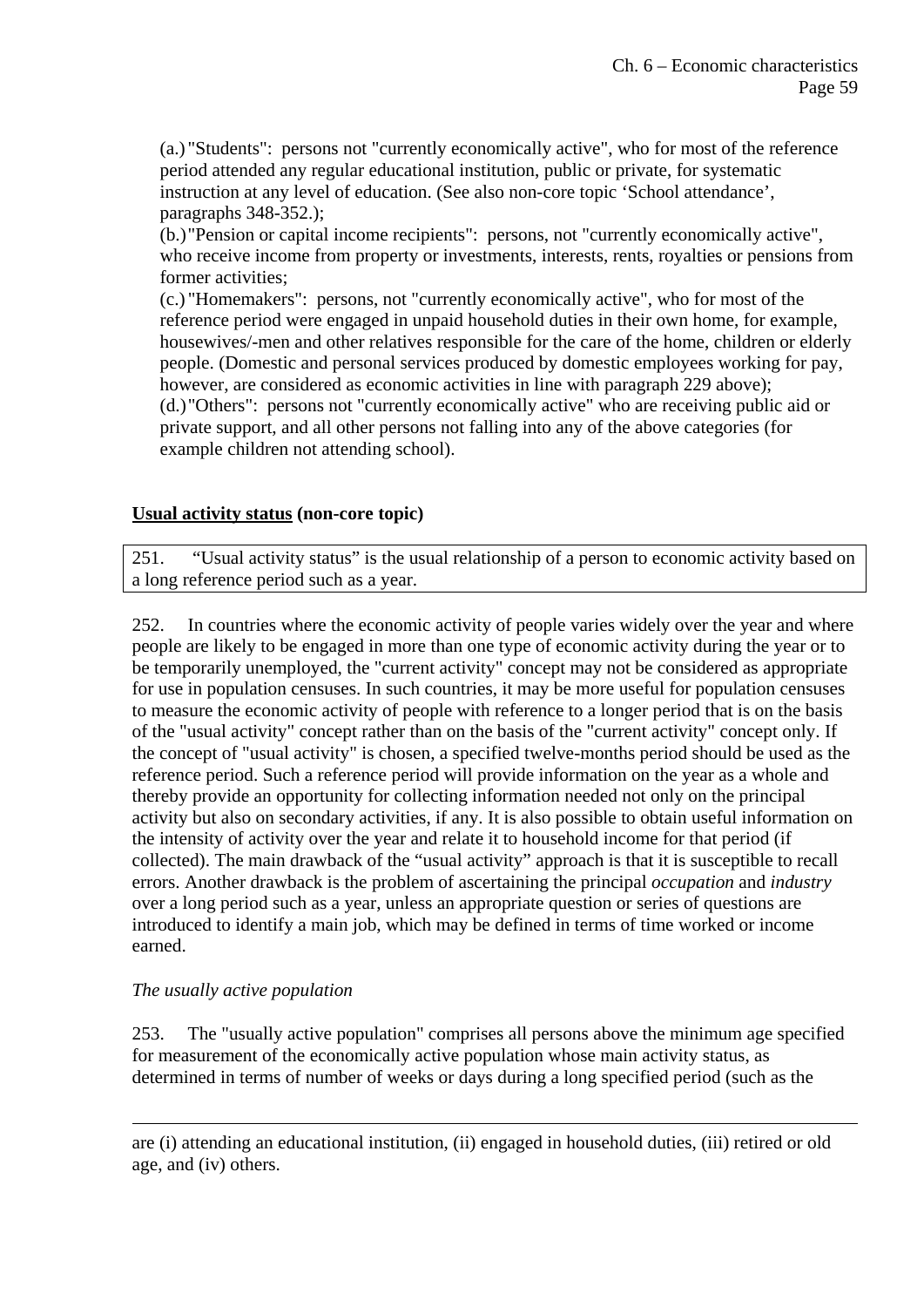(a.) "Students": persons not "currently economically active", who for most of the reference period attended any regular educational institution, public or private, for systematic instruction at any level of education. (See also non-core topic 'School attendance', paragraphs [348-](#page-77-0)[352.](#page-78-0));

(b.) "Pension or capital income recipients": persons, not "currently economically active", who receive income from property or investments, interests, rents, royalties or pensions from former activities;

(c.) "Homemakers": persons, not "currently economically active", who for most of the reference period were engaged in unpaid household duties in their own home, for example, housewives/-men and other relatives responsible for the care of the home, children or elderly people. (Domestic and personal services produced by domestic employees working for pay, however, are considered as economic activities in line with paragraph [229](#page-50-0) above); (d.) "Others": persons not "currently economically active" who are receiving public aid or private support, and all other persons not falling into any of the above categories (for example children not attending school).

## **Usual activity status (non-core topic)**

251. "Usual activity status" is the usual relationship of a person to economic activity based on a long reference period such as a year.

252. In countries where the economic activity of people varies widely over the year and where people are likely to be engaged in more than one type of economic activity during the year or to be temporarily unemployed, the "current activity" concept may not be considered as appropriate for use in population censuses. In such countries, it may be more useful for population censuses to measure the economic activity of people with reference to a longer period that is on the basis of the "usual activity" concept rather than on the basis of the "current activity" concept only. If the concept of "usual activity" is chosen, a specified twelve-months period should be used as the reference period. Such a reference period will provide information on the year as a whole and thereby provide an opportunity for collecting information needed not only on the principal activity but also on secondary activities, if any. It is also possible to obtain useful information on the intensity of activity over the year and relate it to household income for that period (if collected). The main drawback of the "usual activity" approach is that it is susceptible to recall errors. Another drawback is the problem of ascertaining the principal *occupation* and *industry* over a long period such as a year, unless an appropriate question or series of questions are introduced to identify a main job, which may be defined in terms of time worked or income earned.

### *The usually active population*

<u>.</u>

253. The "usually active population" comprises all persons above the minimum age specified for measurement of the economically active population whose main activity status, as determined in terms of number of weeks or days during a long specified period (such as the

are (i) attending an educational institution, (ii) engaged in household duties, (iii) retired or old age, and (iv) others.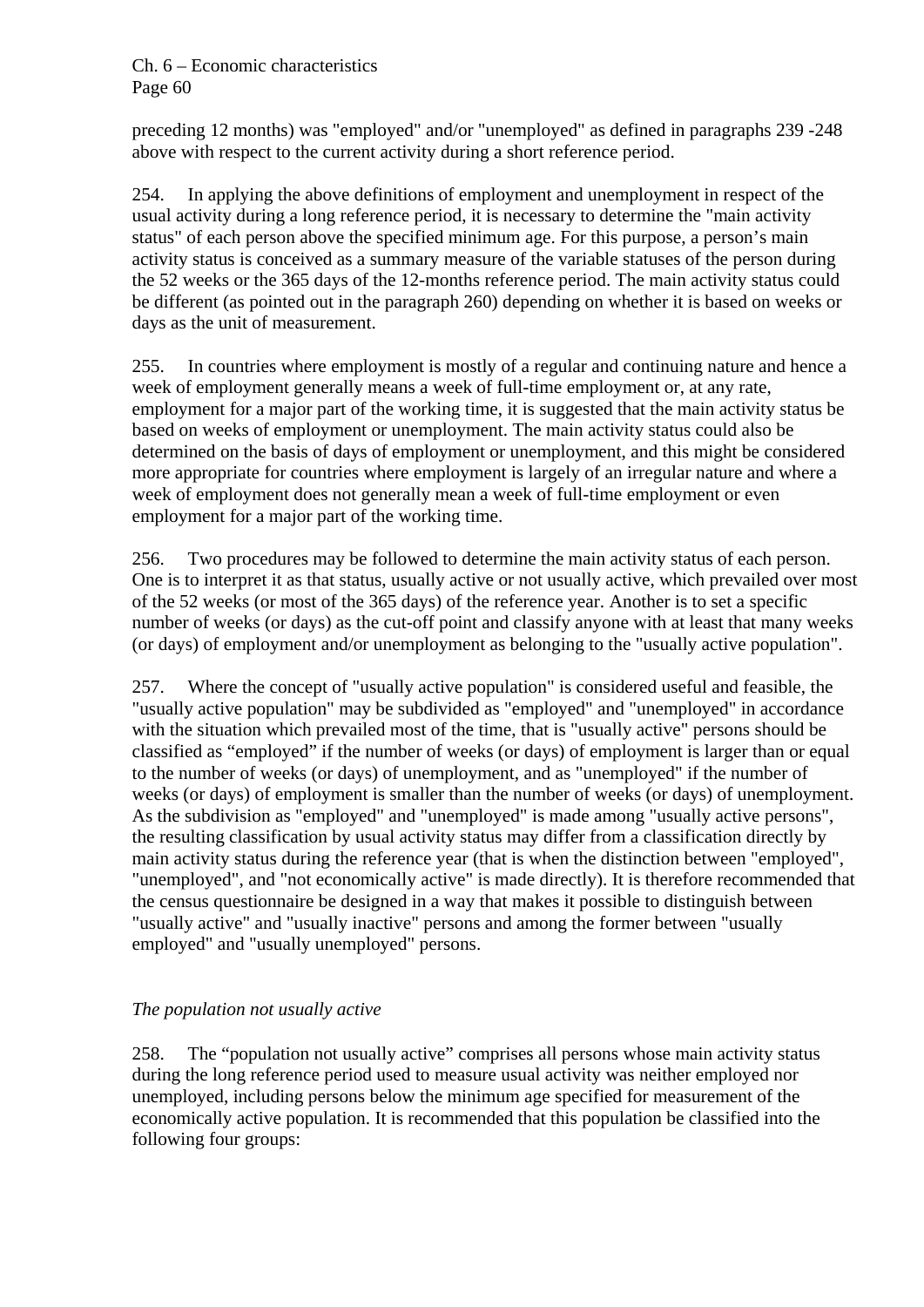<span id="page-59-0"></span>preceding 12 months) was "employed" and/or "unemployed" as defined in paragraphs [239](#page-53-0) [-248](#page-57-0) above with respect to the current activity during a short reference period.

254. In applying the above definitions of employment and unemployment in respect of the usual activity during a long reference period, it is necessary to determine the "main activity status" of each person above the specified minimum age. For this purpose, a person's main activity status is conceived as a summary measure of the variable statuses of the person during the 52 weeks or the 365 days of the 12-months reference period. The main activity status could be different (as pointed out in the paragraph [260\)](#page-60-0) depending on whether it is based on weeks or days as the unit of measurement.

255. In countries where employment is mostly of a regular and continuing nature and hence a week of employment generally means a week of full-time employment or, at any rate, employment for a major part of the working time, it is suggested that the main activity status be based on weeks of employment or unemployment. The main activity status could also be determined on the basis of days of employment or unemployment, and this might be considered more appropriate for countries where employment is largely of an irregular nature and where a week of employment does not generally mean a week of full-time employment or even employment for a major part of the working time.

256. Two procedures may be followed to determine the main activity status of each person. One is to interpret it as that status, usually active or not usually active, which prevailed over most of the 52 weeks (or most of the 365 days) of the reference year. Another is to set a specific number of weeks (or days) as the cut-off point and classify anyone with at least that many weeks (or days) of employment and/or unemployment as belonging to the "usually active population".

257. Where the concept of "usually active population" is considered useful and feasible, the "usually active population" may be subdivided as "employed" and "unemployed" in accordance with the situation which prevailed most of the time, that is "usually active" persons should be classified as "employed" if the number of weeks (or days) of employment is larger than or equal to the number of weeks (or days) of unemployment, and as "unemployed" if the number of weeks (or days) of employment is smaller than the number of weeks (or days) of unemployment. As the subdivision as "employed" and "unemployed" is made among "usually active persons", the resulting classification by usual activity status may differ from a classification directly by main activity status during the reference year (that is when the distinction between "employed", "unemployed", and "not economically active" is made directly). It is therefore recommended that the census questionnaire be designed in a way that makes it possible to distinguish between "usually active" and "usually inactive" persons and among the former between "usually employed" and "usually unemployed" persons.

# *The population not usually active*

258. The "population not usually active" comprises all persons whose main activity status during the long reference period used to measure usual activity was neither employed nor unemployed, including persons below the minimum age specified for measurement of the economically active population. It is recommended that this population be classified into the following four groups: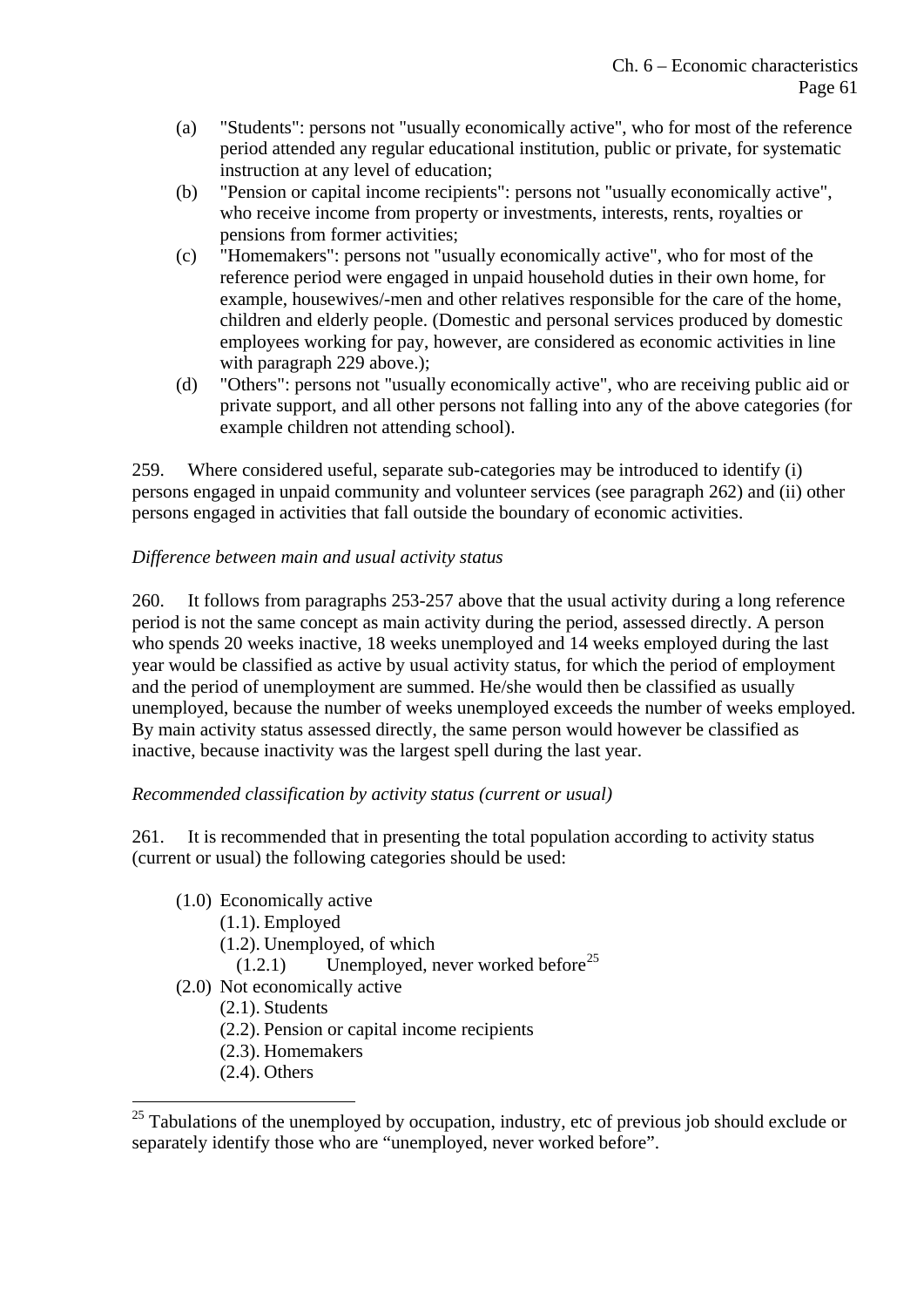- <span id="page-60-0"></span>(a) "Students": persons not "usually economically active", who for most of the reference period attended any regular educational institution, public or private, for systematic instruction at any level of education;
- (b) "Pension or capital income recipients": persons not "usually economically active", who receive income from property or investments, interests, rents, royalties or pensions from former activities;
- (c) "Homemakers": persons not "usually economically active", who for most of the reference period were engaged in unpaid household duties in their own home, for example, housewives/-men and other relatives responsible for the care of the home, children and elderly people. (Domestic and personal services produced by domestic employees working for pay, however, are considered as economic activities in line with paragraph [229](#page-50-0) above.);
- (d) "Others": persons not "usually economically active", who are receiving public aid or private support, and all other persons not falling into any of the above categories (for example children not attending school).

259. Where considered useful, separate sub-categories may be introduced to identify (i) persons engaged in unpaid community and volunteer services (see paragraph [262\)](#page-61-0) and (ii) other persons engaged in activities that fall outside the boundary of economic activities.

## *Difference between main and usual activity status*

260. It follows from paragraphs [253-257](#page-59-0) above that the usual activity during a long reference period is not the same concept as main activity during the period, assessed directly. A person who spends 20 weeks inactive, 18 weeks unemployed and 14 weeks employed during the last year would be classified as active by usual activity status, for which the period of employment and the period of unemployment are summed. He/she would then be classified as usually unemployed, because the number of weeks unemployed exceeds the number of weeks employed. By main activity status assessed directly, the same person would however be classified as inactive, because inactivity was the largest spell during the last year.

# *Recommended classification by activity status (current or usual)*

261. It is recommended that in presenting the total population according to activity status (current or usual) the following categories should be used:

- (1.0) Economically active
	- (1.1). Employed
	- (1.2). Unemployed, of which
		- $(1.2.1)$  $(1.2.1)$  $(1.2.1)$  Unemployed, never worked before<sup>25</sup>
- (2.0) Not economically active
	- (2.1). Students
	- (2.2). Pension or capital income recipients
	- (2.3). Homemakers
	- (2.4). Others

1

 $25$  Tabulations of the unemployed by occupation, industry, etc of previous job should exclude or separately identify those who are "unemployed, never worked before".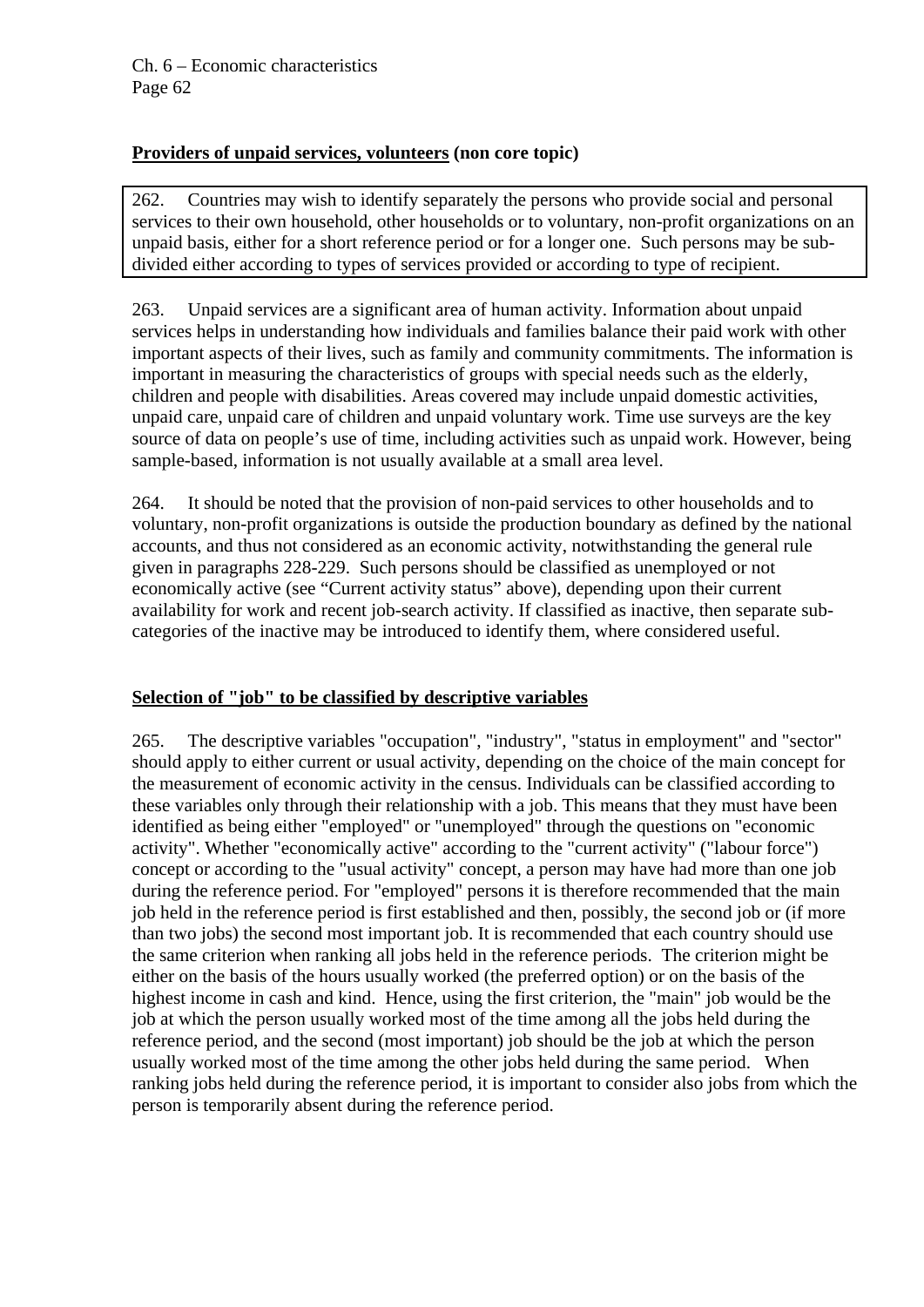# <span id="page-61-0"></span>**Providers of unpaid services, volunteers (non core topic)**

262. Countries may wish to identify separately the persons who provide social and personal services to their own household, other households or to voluntary, non-profit organizations on an unpaid basis, either for a short reference period or for a longer one. Such persons may be subdivided either according to types of services provided or according to type of recipient.

263. Unpaid services are a significant area of human activity. Information about unpaid services helps in understanding how individuals and families balance their paid work with other important aspects of their lives, such as family and community commitments. The information is important in measuring the characteristics of groups with special needs such as the elderly, children and people with disabilities. Areas covered may include unpaid domestic activities, unpaid care, unpaid care of children and unpaid voluntary work. Time use surveys are the key source of data on people's use of time, including activities such as unpaid work. However, being sample-based, information is not usually available at a small area level.

264. It should be noted that the provision of non-paid services to other households and to voluntary, non-profit organizations is outside the production boundary as defined by the national accounts, and thus not considered as an economic activity, notwithstanding the general rule given in paragraphs [228-229.](#page-50-0) Such persons should be classified as unemployed or not economically active (see "Current activity status" above), depending upon their current availability for work and recent job-search activity. If classified as inactive, then separate subcategories of the inactive may be introduced to identify them, where considered useful.

### **Selection of "job" to be classified by descriptive variables**

265. The descriptive variables "occupation", "industry", "status in employment" and "sector" should apply to either current or usual activity, depending on the choice of the main concept for the measurement of economic activity in the census. Individuals can be classified according to these variables only through their relationship with a job. This means that they must have been identified as being either "employed" or "unemployed" through the questions on "economic activity". Whether "economically active" according to the "current activity" ("labour force") concept or according to the "usual activity" concept, a person may have had more than one job during the reference period. For "employed" persons it is therefore recommended that the main job held in the reference period is first established and then, possibly, the second job or (if more than two jobs) the second most important job. It is recommended that each country should use the same criterion when ranking all jobs held in the reference periods. The criterion might be either on the basis of the hours usually worked (the preferred option) or on the basis of the highest income in cash and kind. Hence, using the first criterion, the "main" job would be the job at which the person usually worked most of the time among all the jobs held during the reference period, and the second (most important) job should be the job at which the person usually worked most of the time among the other jobs held during the same period. When ranking jobs held during the reference period, it is important to consider also jobs from which the person is temporarily absent during the reference period.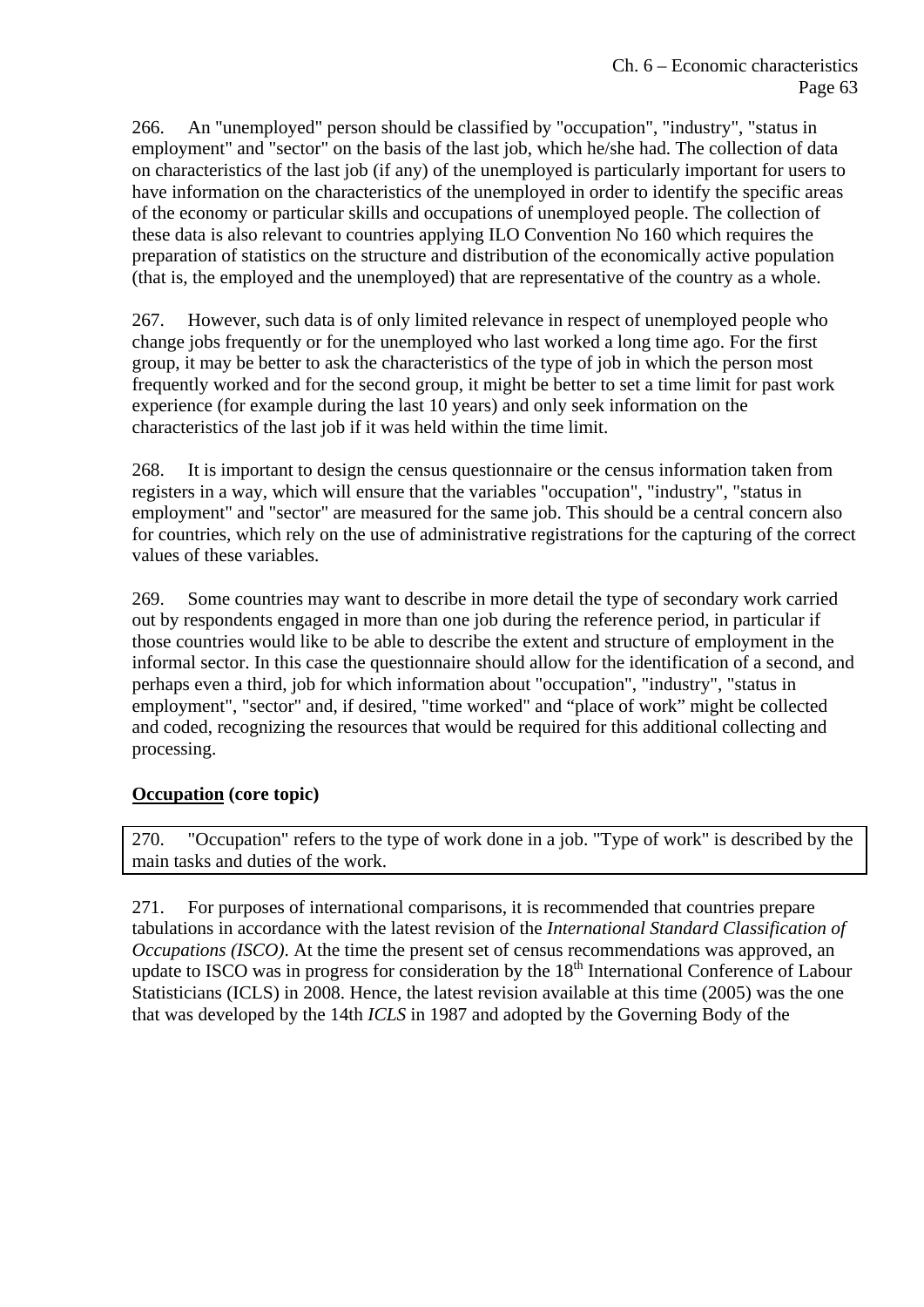266. An "unemployed" person should be classified by "occupation", "industry", "status in employment" and "sector" on the basis of the last job, which he/she had. The collection of data on characteristics of the last job (if any) of the unemployed is particularly important for users to have information on the characteristics of the unemployed in order to identify the specific areas of the economy or particular skills and occupations of unemployed people. The collection of these data is also relevant to countries applying ILO Convention No 160 which requires the preparation of statistics on the structure and distribution of the economically active population (that is, the employed and the unemployed) that are representative of the country as a whole.

267. However, such data is of only limited relevance in respect of unemployed people who change jobs frequently or for the unemployed who last worked a long time ago. For the first group, it may be better to ask the characteristics of the type of job in which the person most frequently worked and for the second group, it might be better to set a time limit for past work experience (for example during the last 10 years) and only seek information on the characteristics of the last job if it was held within the time limit.

268. It is important to design the census questionnaire or the census information taken from registers in a way, which will ensure that the variables "occupation", "industry", "status in employment" and "sector" are measured for the same job. This should be a central concern also for countries, which rely on the use of administrative registrations for the capturing of the correct values of these variables.

269. Some countries may want to describe in more detail the type of secondary work carried out by respondents engaged in more than one job during the reference period, in particular if those countries would like to be able to describe the extent and structure of employment in the informal sector. In this case the questionnaire should allow for the identification of a second, and perhaps even a third, job for which information about "occupation", "industry", "status in employment", "sector" and, if desired, "time worked" and "place of work" might be collected and coded, recognizing the resources that would be required for this additional collecting and processing.

# **Occupation (core topic)**

270. "Occupation" refers to the type of work done in a job. "Type of work" is described by the main tasks and duties of the work.

271. For purposes of international comparisons, it is recommended that countries prepare tabulations in accordance with the latest revision of the *International Standard Classification of Occupations (ISCO)*. At the time the present set of census recommendations was approved, an update to ISCO was in progress for consideration by the  $18<sup>th</sup>$  International Conference of Labour Statisticians (ICLS) in 2008. Hence, the latest revision available at this time (2005) was the one that was developed by the 14th *ICLS* in 1987 and adopted by the Governing Body of the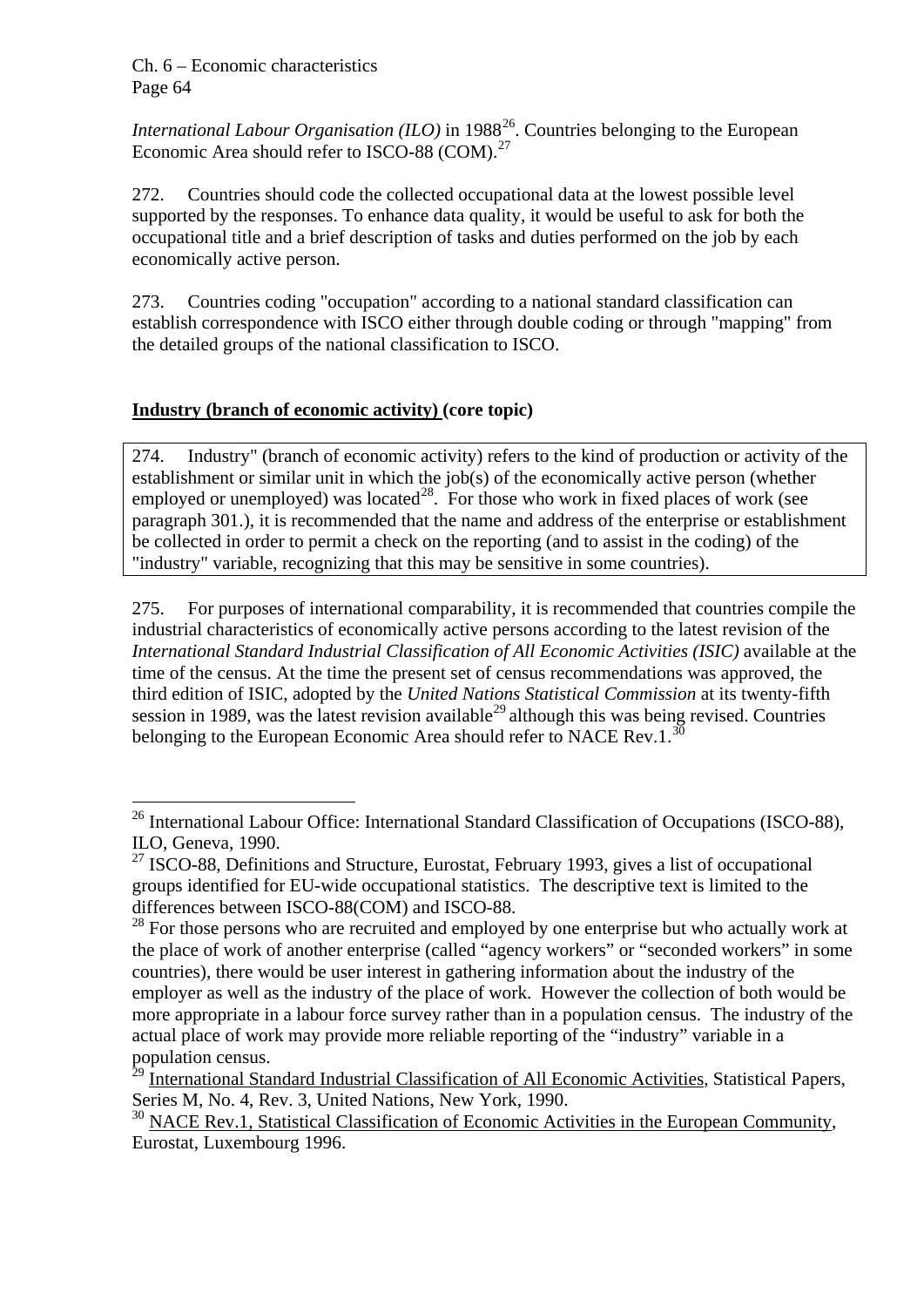<span id="page-63-0"></span>*International Labour Organisation (ILO)* in 1988<sup>[26](#page-63-0)</sup>. Countries belonging to the European Economic Area should refer to ISCO-88 (COM). $27$  $27$ 

272. Countries should code the collected occupational data at the lowest possible level supported by the responses. To enhance data quality, it would be useful to ask for both the occupational title and a brief description of tasks and duties performed on the job by each economically active person.

273. Countries coding "occupation" according to a national standard classification can establish correspondence with ISCO either through double coding or through "mapping" from the detailed groups of the national classification to ISCO.

# **Industry (branch of economic activity) (core topic)**

274. Industry" (branch of economic activity) refers to the kind of production or activity of the establishment or similar unit in which the job(s) of the economically active person (whether employed or unemployed) was located<sup>[28](#page-63-0)</sup>. For those who work in fixed places of work (see paragraph [301](#page-68-0).), it is recommended that the name and address of the enterprise or establishment be collected in order to permit a check on the reporting (and to assist in the coding) of the "industry" variable, recognizing that this may be sensitive in some countries).

275. For purposes of international comparability, it is recommended that countries compile the industrial characteristics of economically active persons according to the latest revision of the *International Standard Industrial Classification of All Economic Activities (ISIC)* available at the time of the census. At the time the present set of census recommendations was approved, the third edition of ISIC, adopted by the *United Nations Statistical Commission* at its twenty-fifth session in 1989, was the latest revision available<sup>[2](#page-63-0)9</sup> although this was being revised. Countries belonging to the European Economic Area should refer to NACE Rev.1.<sup>[30](#page-63-0)</sup>

<sup>&</sup>lt;u>.</u> <sup>26</sup> International Labour Office: International Standard Classification of Occupations (ISCO-88), ILO, Geneva, 1990.

 $^{27}$  ISCO-88, Definitions and Structure, Eurostat, February 1993, gives a list of occupational groups identified for EU-wide occupational statistics. The descriptive text is limited to the differences between ISCO-88(COM) and ISCO-88.

 $28$  For those persons who are recruited and employed by one enterprise but who actually work at the place of work of another enterprise (called "agency workers" or "seconded workers" in some countries), there would be user interest in gathering information about the industry of the employer as well as the industry of the place of work. However the collection of both would be more appropriate in a labour force survey rather than in a population census. The industry of the actual place of work may provide more reliable reporting of the "industry" variable in a population census.

<sup>&</sup>lt;sup>29</sup> International Standard Industrial Classification of All Economic Activities, Statistical Papers, Series M, No. 4, Rev. 3, United Nations, New York, 1990.

<sup>&</sup>lt;sup>30</sup> NACE Rev.1, Statistical Classification of Economic Activities in the European Community, Eurostat, Luxembourg 1996.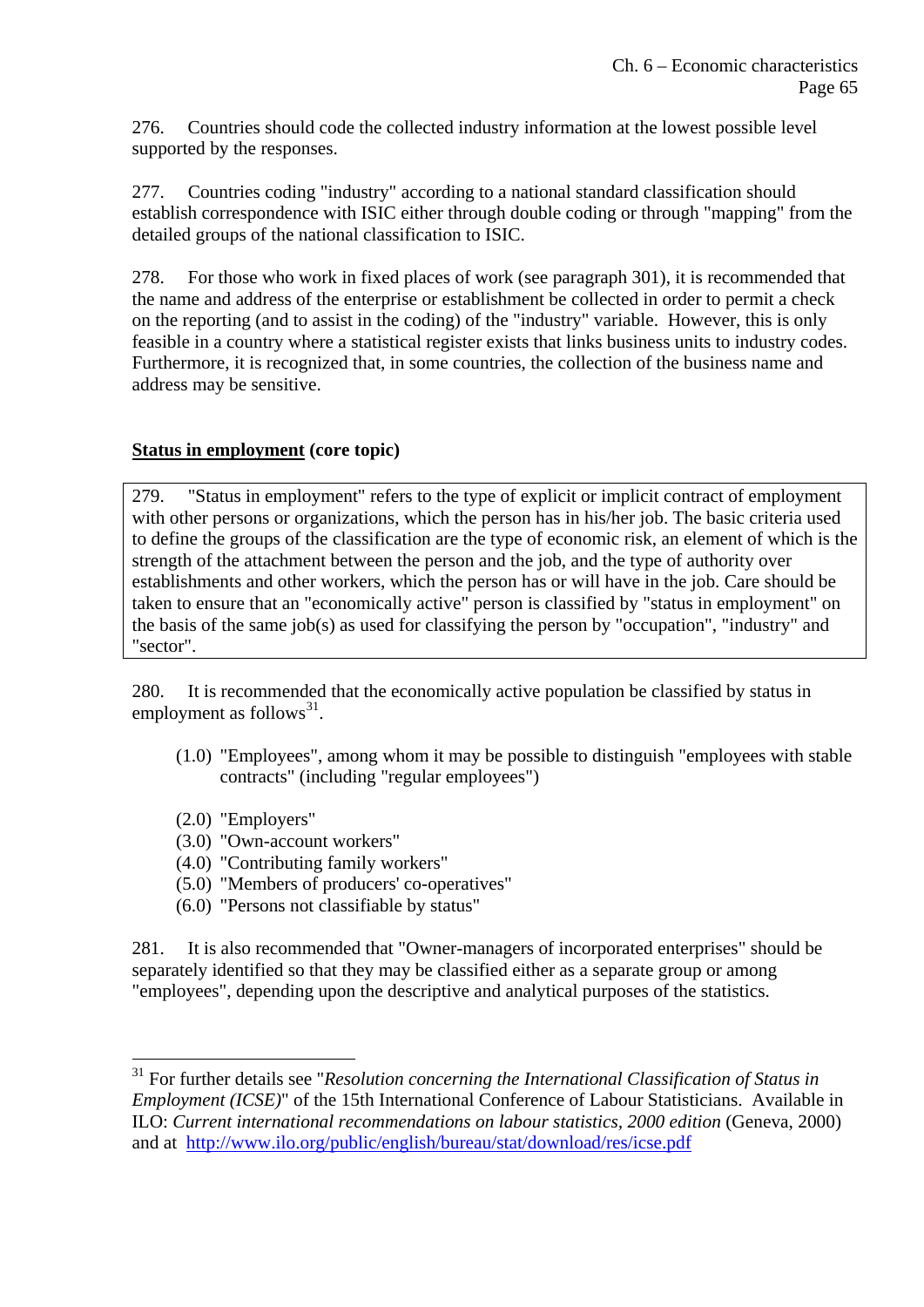<span id="page-64-0"></span>276. Countries should code the collected industry information at the lowest possible level supported by the responses.

277. Countries coding "industry" according to a national standard classification should establish correspondence with ISIC either through double coding or through "mapping" from the detailed groups of the national classification to ISIC.

278. For those who work in fixed places of work (see paragraph [301](#page-68-0)), it is recommended that the name and address of the enterprise or establishment be collected in order to permit a check on the reporting (and to assist in the coding) of the "industry" variable. However, this is only feasible in a country where a statistical register exists that links business units to industry codes. Furthermore, it is recognized that, in some countries, the collection of the business name and address may be sensitive.

### **Status in employment (core topic)**

279. "Status in employment" refers to the type of explicit or implicit contract of employment with other persons or organizations, which the person has in his/her job. The basic criteria used to define the groups of the classification are the type of economic risk, an element of which is the strength of the attachment between the person and the job, and the type of authority over establishments and other workers, which the person has or will have in the job. Care should be taken to ensure that an "economically active" person is classified by "status in employment" on the basis of the same job(s) as used for classifying the person by "occupation", "industry" and "sector".

280. It is recommended that the economically active population be classified by status in employment as follows<sup>[31](#page-64-0)</sup>.

- (1.0) "Employees", among whom it may be possible to distinguish "employees with stable contracts" (including "regular employees")
- (2.0) "Employers"

1

- (3.0) "Own-account workers"
- (4.0) "Contributing family workers"
- (5.0) "Members of producers' co-operatives"
- (6.0) "Persons not classifiable by status"

281. It is also recommended that "Owner-managers of incorporated enterprises" should be separately identified so that they may be classified either as a separate group or among "employees", depending upon the descriptive and analytical purposes of the statistics.

<sup>31</sup> For further details see "*Resolution concerning the International Classification of Status in Employment (ICSE)*" of the 15th International Conference of Labour Statisticians. Available in ILO: *Current international recommendations on labour statistics, 2000 edition* (Geneva, 2000) and at http://www.ilo.org/public/english/bureau/stat/download/res/icse.pdf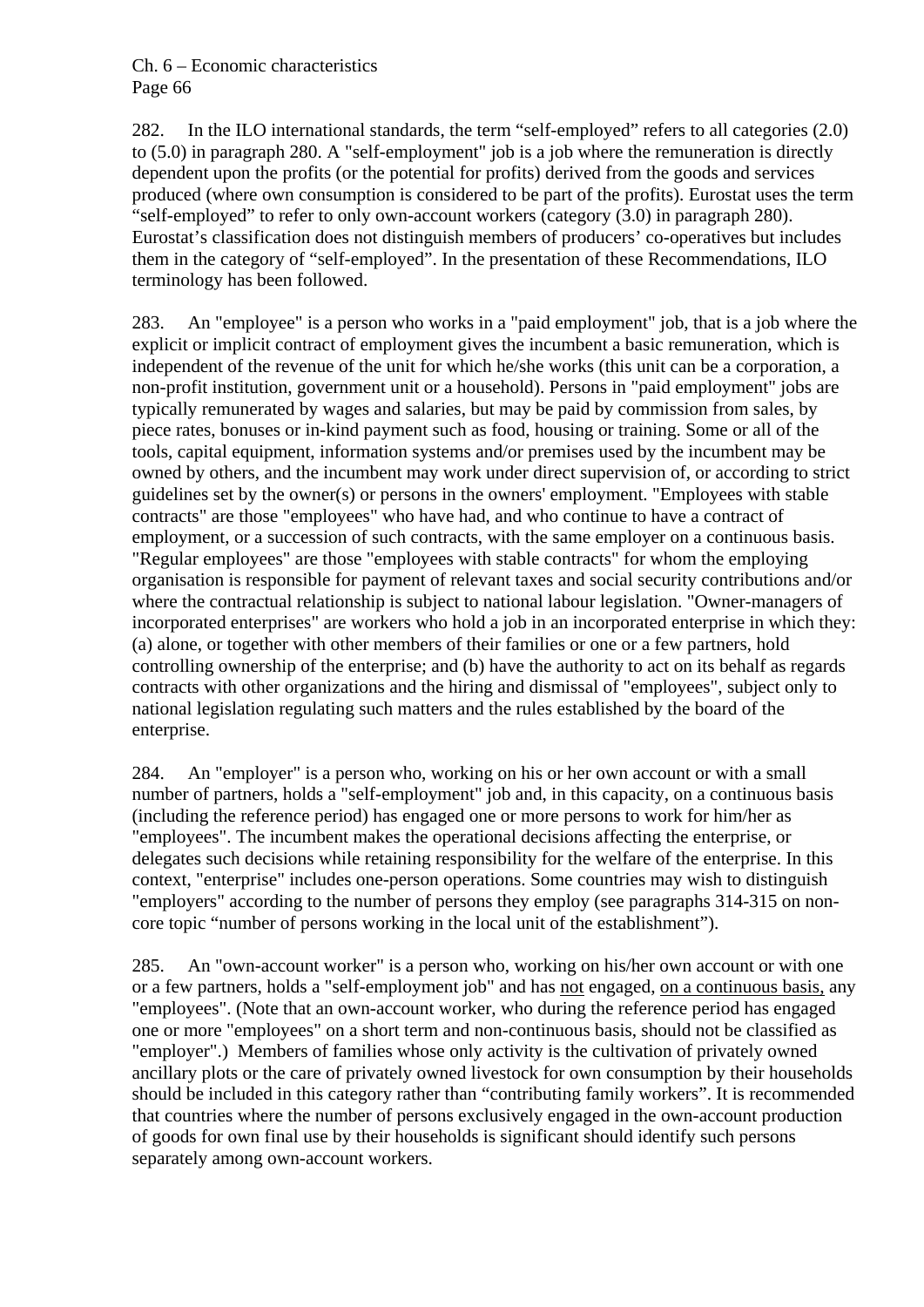Ch. 6 – Economic characteristics Page 66

282. In the ILO international standards, the term "self-employed" refers to all categories (2.0) to (5.0) in paragraph [280.](#page-64-0) A "self-employment" job is a job where the remuneration is directly dependent upon the profits (or the potential for profits) derived from the goods and services produced (where own consumption is considered to be part of the profits). Eurostat uses the term "self-employed" to refer to only own-account workers (category (3.0) in paragraph [280](#page-64-0)). Eurostat's classification does not distinguish members of producers' co-operatives but includes them in the category of "self-employed". In the presentation of these Recommendations, ILO terminology has been followed.

283. An "employee" is a person who works in a "paid employment" job, that is a job where the explicit or implicit contract of employment gives the incumbent a basic remuneration, which is independent of the revenue of the unit for which he/she works (this unit can be a corporation, a non-profit institution, government unit or a household). Persons in "paid employment" jobs are typically remunerated by wages and salaries, but may be paid by commission from sales, by piece rates, bonuses or in-kind payment such as food, housing or training. Some or all of the tools, capital equipment, information systems and/or premises used by the incumbent may be owned by others, and the incumbent may work under direct supervision of, or according to strict guidelines set by the owner(s) or persons in the owners' employment. "Employees with stable contracts" are those "employees" who have had, and who continue to have a contract of employment, or a succession of such contracts, with the same employer on a continuous basis. "Regular employees" are those "employees with stable contracts" for whom the employing organisation is responsible for payment of relevant taxes and social security contributions and/or where the contractual relationship is subject to national labour legislation. "Owner-managers of incorporated enterprises" are workers who hold a job in an incorporated enterprise in which they: (a) alone, or together with other members of their families or one or a few partners, hold controlling ownership of the enterprise; and (b) have the authority to act on its behalf as regards contracts with other organizations and the hiring and dismissal of "employees", subject only to national legislation regulating such matters and the rules established by the board of the enterprise.

284. An "employer" is a person who, working on his or her own account or with a small number of partners, holds a "self-employment" job and, in this capacity, on a continuous basis (including the reference period) has engaged one or more persons to work for him/her as "employees". The incumbent makes the operational decisions affecting the enterprise, or delegates such decisions while retaining responsibility for the welfare of the enterprise. In this context, "enterprise" includes one-person operations. Some countries may wish to distinguish "employers" according to the number of persons they employ (see paragraphs [314-315](#page-72-0) on noncore topic "number of persons working in the local unit of the establishment").

285. An "own-account worker" is a person who, working on his/her own account or with one or a few partners, holds a "self-employment job" and has not engaged, on a continuous basis, any "employees". (Note that an own-account worker, who during the reference period has engaged one or more "employees" on a short term and non-continuous basis, should not be classified as "employer".) Members of families whose only activity is the cultivation of privately owned ancillary plots or the care of privately owned livestock for own consumption by their households should be included in this category rather than "contributing family workers". It is recommended that countries where the number of persons exclusively engaged in the own-account production of goods for own final use by their households is significant should identify such persons separately among own-account workers.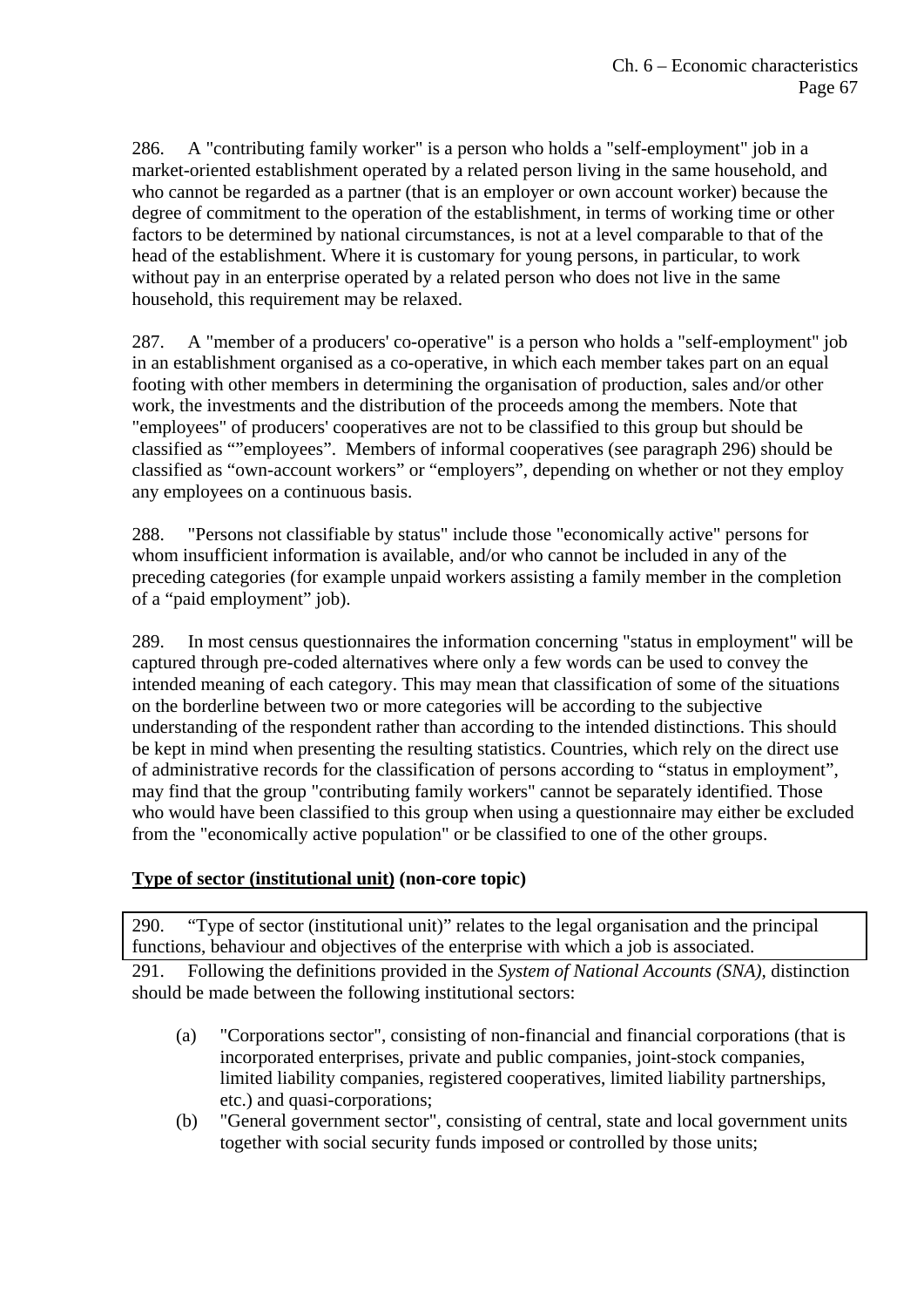286. A "contributing family worker" is a person who holds a "self-employment" job in a market-oriented establishment operated by a related person living in the same household, and who cannot be regarded as a partner (that is an employer or own account worker) because the degree of commitment to the operation of the establishment, in terms of working time or other factors to be determined by national circumstances, is not at a level comparable to that of the head of the establishment. Where it is customary for young persons, in particular, to work without pay in an enterprise operated by a related person who does not live in the same household, this requirement may be relaxed.

287. A "member of a producers' co-operative" is a person who holds a "self-employment" job in an establishment organised as a co-operative, in which each member takes part on an equal footing with other members in determining the organisation of production, sales and/or other work, the investments and the distribution of the proceeds among the members. Note that "employees" of producers' cooperatives are not to be classified to this group but should be classified as ""employees". Members of informal cooperatives (see paragraph [296](#page-68-0)) should be classified as "own-account workers" or "employers", depending on whether or not they employ any employees on a continuous basis.

288. "Persons not classifiable by status" include those "economically active" persons for whom insufficient information is available, and/or who cannot be included in any of the preceding categories (for example unpaid workers assisting a family member in the completion of a "paid employment" job).

289. In most census questionnaires the information concerning "status in employment" will be captured through pre-coded alternatives where only a few words can be used to convey the intended meaning of each category. This may mean that classification of some of the situations on the borderline between two or more categories will be according to the subjective understanding of the respondent rather than according to the intended distinctions. This should be kept in mind when presenting the resulting statistics. Countries, which rely on the direct use of administrative records for the classification of persons according to "status in employment", may find that the group "contributing family workers" cannot be separately identified. Those who would have been classified to this group when using a questionnaire may either be excluded from the "economically active population" or be classified to one of the other groups.

### **Type of sector (institutional unit) (non-core topic)**

290. "Type of sector (institutional unit)" relates to the legal organisation and the principal functions, behaviour and objectives of the enterprise with which a job is associated.

291. Following the definitions provided in the *System of National Accounts (SNA),* distinction should be made between the following institutional sectors:

- (a) "Corporations sector", consisting of non-financial and financial corporations (that is incorporated enterprises, private and public companies, joint-stock companies, limited liability companies, registered cooperatives, limited liability partnerships, etc.) and quasi-corporations;
- (b) "General government sector", consisting of central, state and local government units together with social security funds imposed or controlled by those units;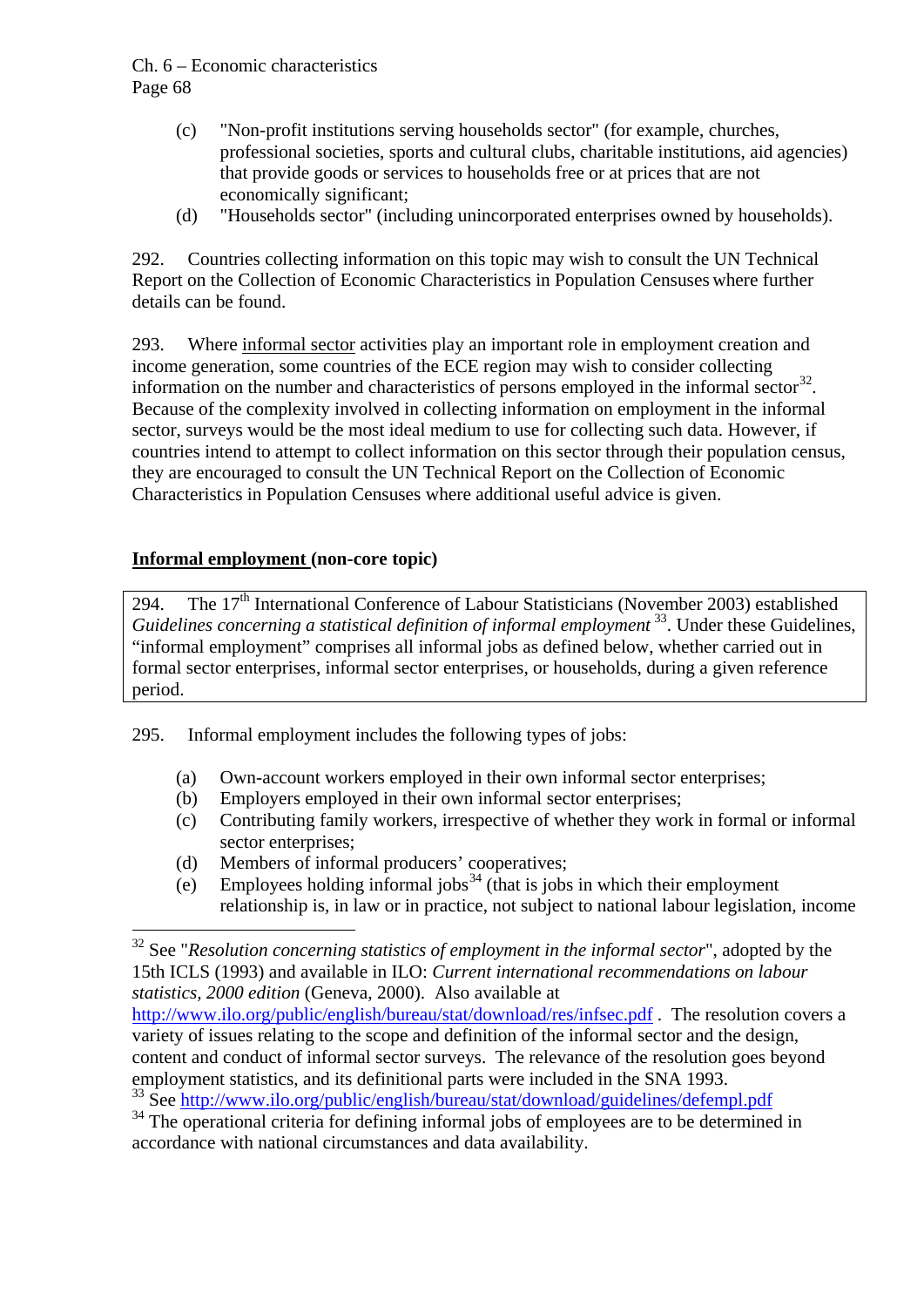- <span id="page-67-0"></span>(c) "Non-profit institutions serving households sector" (for example, churches, professional societies, sports and cultural clubs, charitable institutions, aid agencies) that provide goods or services to households free or at prices that are not economically significant;
- (d) "Households sector" (including unincorporated enterprises owned by households).

292. Countries collecting information on this topic may wish to consult the UN Technical Report on the Collection of Economic Characteristics in Population Censuses where further details can be found.

293. Where informal sector activities play an important role in employment creation and income generation, some countries of the ECE region may wish to consider collecting information on the number and characteristics of persons employed in the informal sector<sup>[3](#page-67-0)2</sup>. Because of the complexity involved in collecting information on employment in the informal sector, surveys would be the most ideal medium to use for collecting such data. However, if countries intend to attempt to collect information on this sector through their population census, they are encouraged to consult the UN Technical Report on the Collection of Economic Characteristics in Population Censuses where additional useful advice is given.

## **Informal employment (non-core topic)**

1

294. The 17<sup>th</sup> International Conference of Labour Statisticians (November 2003) established *Guidelines concerning a statistical definition of informal employment* <sup>[33](#page-67-0)</sup>. Under these Guidelines, "informal employment" comprises all informal jobs as defined below, whether carried out in formal sector enterprises, informal sector enterprises, or households, during a given reference period.

295. Informal employment includes the following types of jobs:

- (a) Own-account workers employed in their own informal sector enterprises;
- (b) Employers employed in their own informal sector enterprises;
- (c) Contributing family workers, irrespective of whether they work in formal or informal sector enterprises;
- (d) Members of informal producers' cooperatives;
- (e) Employees holding informal jobs<sup>[34](#page-67-0)</sup> (that is jobs in which their employment relationship is, in law or in practice, not subject to national labour legislation, income

<sup>&</sup>lt;sup>32</sup> See "*Resolution concerning statistics of employment in the informal sector*", adopted by the 15th ICLS (1993) and available in ILO: *Current international recommendations on labour statistics, 2000 edition* (Geneva, 2000). Also available at

http://www.ilo.org/public/english/bureau/stat/download/res/infsec.pdf . The resolution covers a variety of issues relating to the scope and definition of the informal sector and the design, content and conduct of informal sector surveys. The relevance of the resolution goes beyond employment statistics, and its definitional parts were included in the SNA 1993.

<sup>33</sup> See http://www.ilo.org/public/english/bureau/stat/download/guidelines/defempl.pdf<br><sup>34</sup> The operational criteria for defining informal jobs of employees are to be determined in accordance with national circumstances and data availability.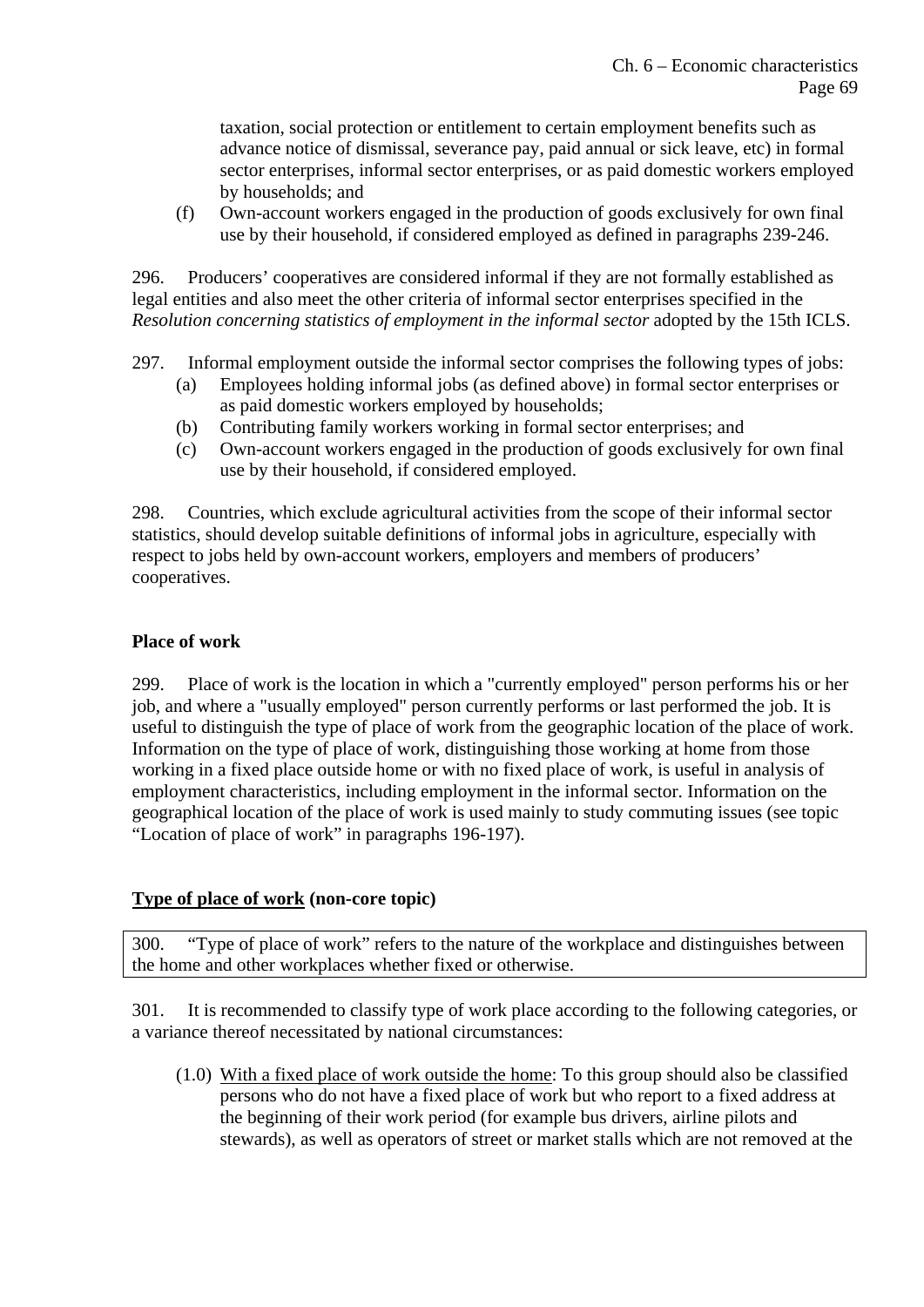<span id="page-68-0"></span>taxation, social protection or entitlement to certain employment benefits such as advance notice of dismissal, severance pay, paid annual or sick leave, etc) in formal sector enterprises, informal sector enterprises, or as paid domestic workers employed by households; and

(f) Own-account workers engaged in the production of goods exclusively for own final use by their household, if considered employed as defined in paragraphs [239-](#page-53-0)[246.](#page-56-0)

296. Producers' cooperatives are considered informal if they are not formally established as legal entities and also meet the other criteria of informal sector enterprises specified in the *Resolution concerning statistics of employment in the informal sector* adopted by the 15th ICLS.

- 297. Informal employment outside the informal sector comprises the following types of jobs:
	- (a) Employees holding informal jobs (as defined above) in formal sector enterprises or as paid domestic workers employed by households;
	- (b) Contributing family workers working in formal sector enterprises; and
	- (c) Own-account workers engaged in the production of goods exclusively for own final use by their household, if considered employed.

298. Countries, which exclude agricultural activities from the scope of their informal sector statistics, should develop suitable definitions of informal jobs in agriculture, especially with respect to jobs held by own-account workers, employers and members of producers' cooperatives.

#### **Place of work**

299. Place of work is the location in which a "currently employed" person performs his or her job, and where a "usually employed" person currently performs or last performed the job. It is useful to distinguish the type of place of work from the geographic location of the place of work. Information on the type of place of work, distinguishing those working at home from those working in a fixed place outside home or with no fixed place of work, is useful in analysis of employment characteristics, including employment in the informal sector. Information on the geographical location of the place of work is used mainly to study commuting issues (see topic "Location of place of work" in paragraphs [196-197](#page-44-0)).

### **Type of place of work (non-core topic)**

300. "Type of place of work" refers to the nature of the workplace and distinguishes between the home and other workplaces whether fixed or otherwise.

301. It is recommended to classify type of work place according to the following categories, or a variance thereof necessitated by national circumstances:

(1.0) With a fixed place of work outside the home: To this group should also be classified persons who do not have a fixed place of work but who report to a fixed address at the beginning of their work period (for example bus drivers, airline pilots and stewards), as well as operators of street or market stalls which are not removed at the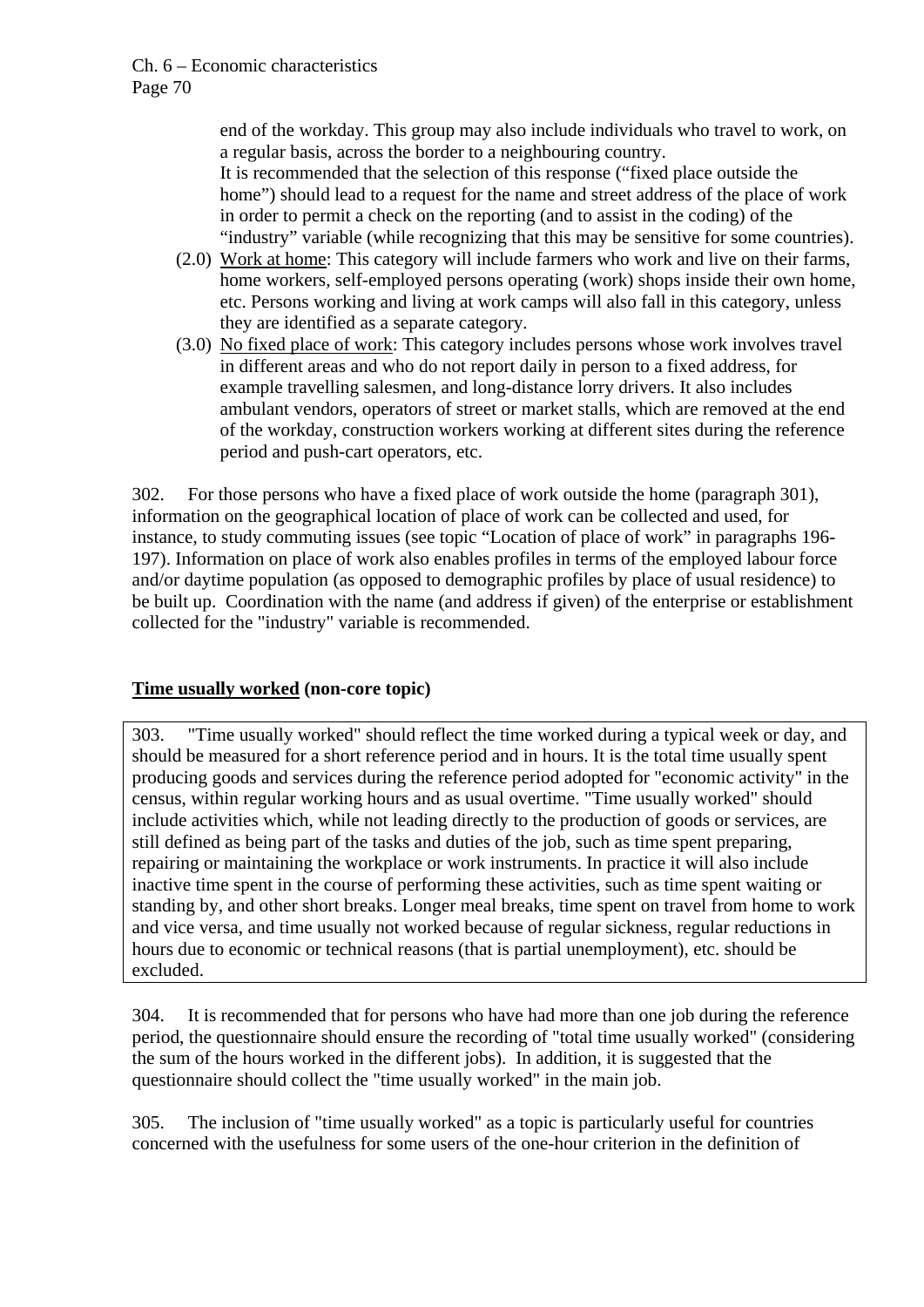<span id="page-69-0"></span>end of the workday. This group may also include individuals who travel to work, on a regular basis, across the border to a neighbouring country.

It is recommended that the selection of this response ("fixed place outside the home") should lead to a request for the name and street address of the place of work in order to permit a check on the reporting (and to assist in the coding) of the "industry" variable (while recognizing that this may be sensitive for some countries).

- (2.0) Work at home: This category will include farmers who work and live on their farms, home workers, self-employed persons operating (work) shops inside their own home, etc. Persons working and living at work camps will also fall in this category, unless they are identified as a separate category.
- (3.0) No fixed place of work: This category includes persons whose work involves travel in different areas and who do not report daily in person to a fixed address, for example travelling salesmen, and long-distance lorry drivers. It also includes ambulant vendors, operators of street or market stalls, which are removed at the end of the workday, construction workers working at different sites during the reference period and push-cart operators, etc.

302. For those persons who have a fixed place of work outside the home (paragraph [301\)](#page-68-0), information on the geographical location of place of work can be collected and used, for instance, to study commuting issues (see topic "Location of place of work" in paragraphs [196-](#page-44-0) [197](#page-44-0)). Information on place of work also enables profiles in terms of the employed labour force and/or daytime population (as opposed to demographic profiles by place of usual residence) to be built up. Coordination with the name (and address if given) of the enterprise or establishment collected for the "industry" variable is recommended.

# **Time usually worked (non-core topic)**

303. "Time usually worked" should reflect the time worked during a typical week or day, and should be measured for a short reference period and in hours. It is the total time usually spent producing goods and services during the reference period adopted for "economic activity" in the census, within regular working hours and as usual overtime. "Time usually worked" should include activities which, while not leading directly to the production of goods or services, are still defined as being part of the tasks and duties of the job, such as time spent preparing, repairing or maintaining the workplace or work instruments. In practice it will also include inactive time spent in the course of performing these activities, such as time spent waiting or standing by, and other short breaks. Longer meal breaks, time spent on travel from home to work and vice versa, and time usually not worked because of regular sickness, regular reductions in hours due to economic or technical reasons (that is partial unemployment), etc. should be excluded.

304. It is recommended that for persons who have had more than one job during the reference period, the questionnaire should ensure the recording of "total time usually worked" (considering the sum of the hours worked in the different jobs). In addition, it is suggested that the questionnaire should collect the "time usually worked" in the main job.

305. The inclusion of "time usually worked" as a topic is particularly useful for countries concerned with the usefulness for some users of the one-hour criterion in the definition of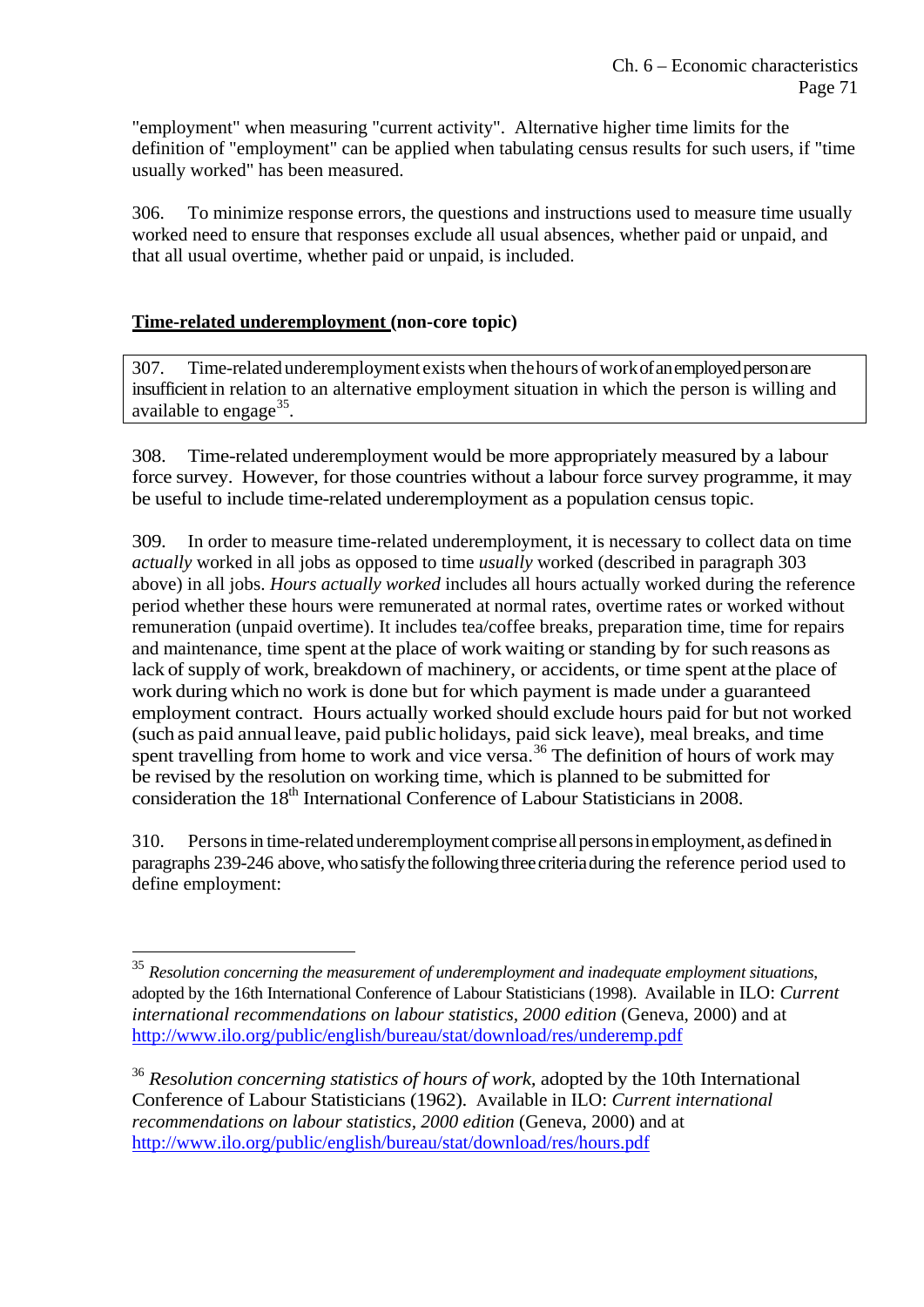<span id="page-70-0"></span>"employment" when measuring "current activity". Alternative higher time limits for the definition of "employment" can be applied when tabulating census results for such users, if "time usually worked" has been measured.

306. To minimize response errors, the questions and instructions used to measure time usually worked need to ensure that responses exclude all usual absences, whether paid or unpaid, and that all usual overtime, whether paid or unpaid, is included.

## **Time-related underemployment (non-core topic)**

1

307. Time-related underemployment exists when the hours of work of an employed person are insufficient in relation to an alternative employment situation in which the person is willing and available to engage  $35$  $35$ .

308. Time-related underemployment would be more appropriately measured by a labour force survey. However, for those countries without a labour force survey programme, it may be useful to include time-related underemployment as a population census topic.

309. In order to measure time-related underemployment, it is necessary to collect data on time *actually* worked in all jobs as opposed to time *usually* worked (described in paragraph [303](#page-69-0)  above) in all jobs. *Hours actually worked* includes all hours actually worked during the reference period whether these hours were remunerated at normal rates, overtime rates or worked without remuneration (unpaid overtime). It includes tea/coffee breaks, preparation time, time for repairs and maintenance, time spent at the place of work waiting or standing by for such reasons as lack of supply of work, breakdown of machinery, or accidents, or time spent atthe place of work during which no work is done but for which payment is made under a guaranteed employment contract. Hours actually worked should exclude hours paid for but not worked (such as paid annualleave, paid public holidays, paid sick leave), meal breaks, and time spent travelling from home to work and vice versa.<sup>[3](#page-70-0)6</sup> The definition of hours of work may be revised by the resolution on working time, which is planned to be submitted for consideration the 18<sup>th</sup> International Conference of Labour Statisticians in 2008.

310. Persons in time-related underemployment comprise all persons in employment, as defined in paragraphs [239](#page-53-0)[-246](#page-56-0) above, who satisfy the following three criteria during the reference period used to define employment:

<sup>35</sup> *Resolution concerning the measurement of underemployment and inadequate employment situations*, adopted by the 16th International Conference of Labour Statisticians (1998). Available in ILO: *Current international recommendations on labour statistics, 2000 edition* (Geneva, 2000) and at http://www.ilo.org/public/english/bureau/stat/download/res/underemp.pdf

<sup>36</sup> *Resolution concerning statistics of hours of work,* adopted by the 10th International Conference of Labour Statisticians (1962). Available in ILO: *Current international recommendations on labour statistics, 2000 edition* (Geneva, 2000) and at http://www.ilo.org/public/english/bureau/stat/download/res/hours.pdf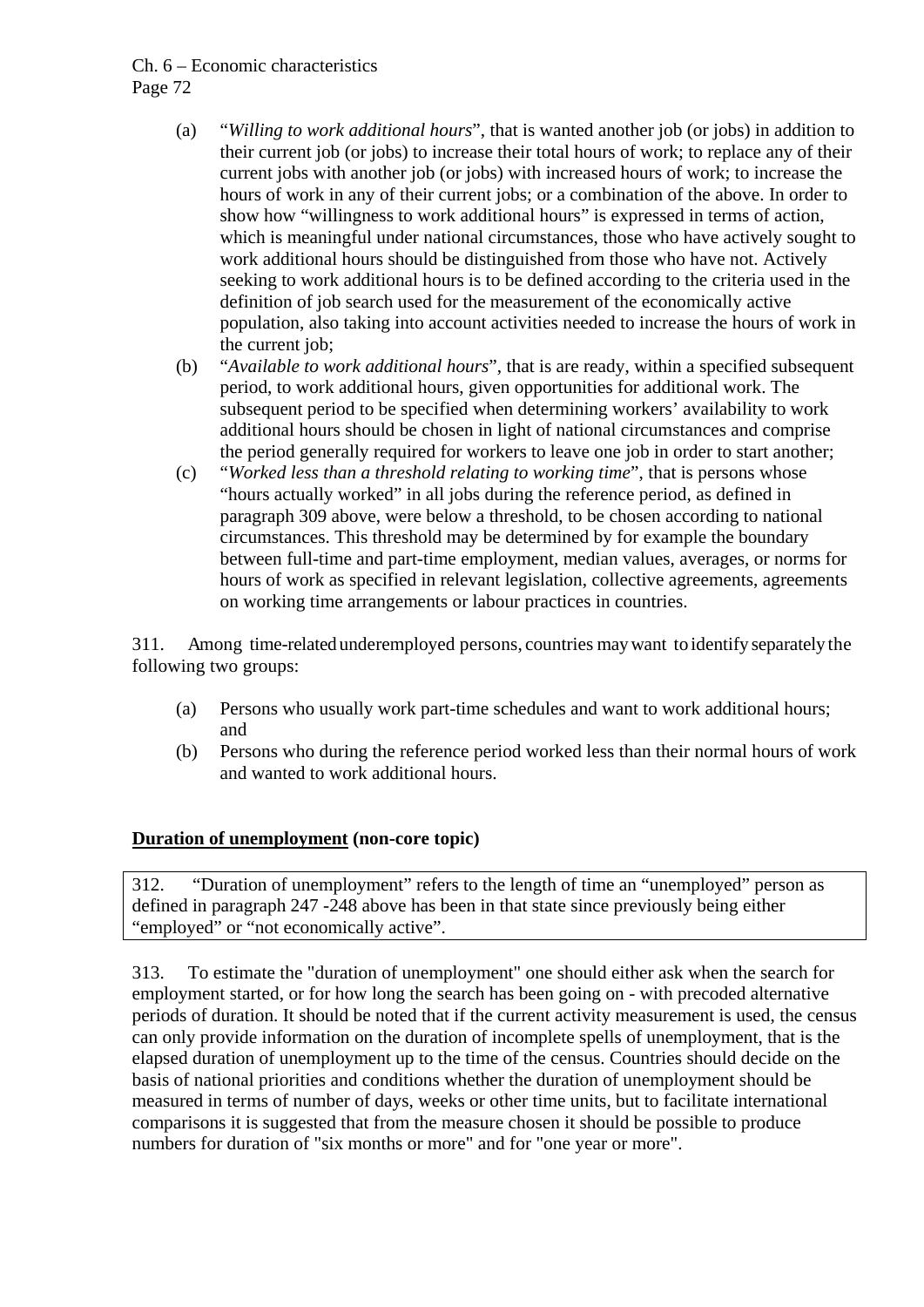### Ch. 6 – Economic characteristics Page 72

- (a) "*Willing to work additional hours*", that is wanted another job (or jobs) in addition to their current job (or jobs) to increase their total hours of work; to replace any of their current jobs with another job (or jobs) with increased hours of work; to increase the hours of work in any of their current jobs; or a combination of the above. In order to show how "willingness to work additional hours" is expressed in terms of action, which is meaningful under national circumstances, those who have actively sought to work additional hours should be distinguished from those who have not. Actively seeking to work additional hours is to be defined according to the criteria used in the definition of job search used for the measurement of the economically active population, also taking into account activities needed to increase the hours of work in the current job;
- (b) "*Available to work additional hours*", that is are ready, within a specified subsequent period, to work additional hours, given opportunities for additional work. The subsequent period to be specified when determining workers' availability to work additional hours should be chosen in light of national circumstances and comprise the period generally required for workers to leave one job in order to start another;
- (c) "*Worked less than a threshold relating to working time*", that is persons whose "hours actually worked" in all jobs during the reference period, as defined in paragraph [309](#page-70-0) above, were below a threshold, to be chosen according to national circumstances. This threshold may be determined by for example the boundary between full-time and part-time employment, median values, averages, or norms for hours of work as specified in relevant legislation, collective agreements, agreements on working time arrangements or labour practices in countries.

311. Among time-related underemployed persons, countries may want to identify separately the following two groups:

- (a) Persons who usually work part-time schedules and want to work additional hours; and
- (b) Persons who during the reference period worked less than their normal hours of work and wanted to work additional hours.

# **Duration of unemployment (non-core topic)**

312. "Duration of unemployment" refers to the length of time an "unemployed" person as defined in paragraph [247](#page-56-0) [-248](#page-57-0) above has been in that state since previously being either "employed" or "not economically active".

313. To estimate the "duration of unemployment" one should either ask when the search for employment started, or for how long the search has been going on - with precoded alternative periods of duration. It should be noted that if the current activity measurement is used, the census can only provide information on the duration of incomplete spells of unemployment, that is the elapsed duration of unemployment up to the time of the census. Countries should decide on the basis of national priorities and conditions whether the duration of unemployment should be measured in terms of number of days, weeks or other time units, but to facilitate international comparisons it is suggested that from the measure chosen it should be possible to produce numbers for duration of "six months or more" and for "one year or more".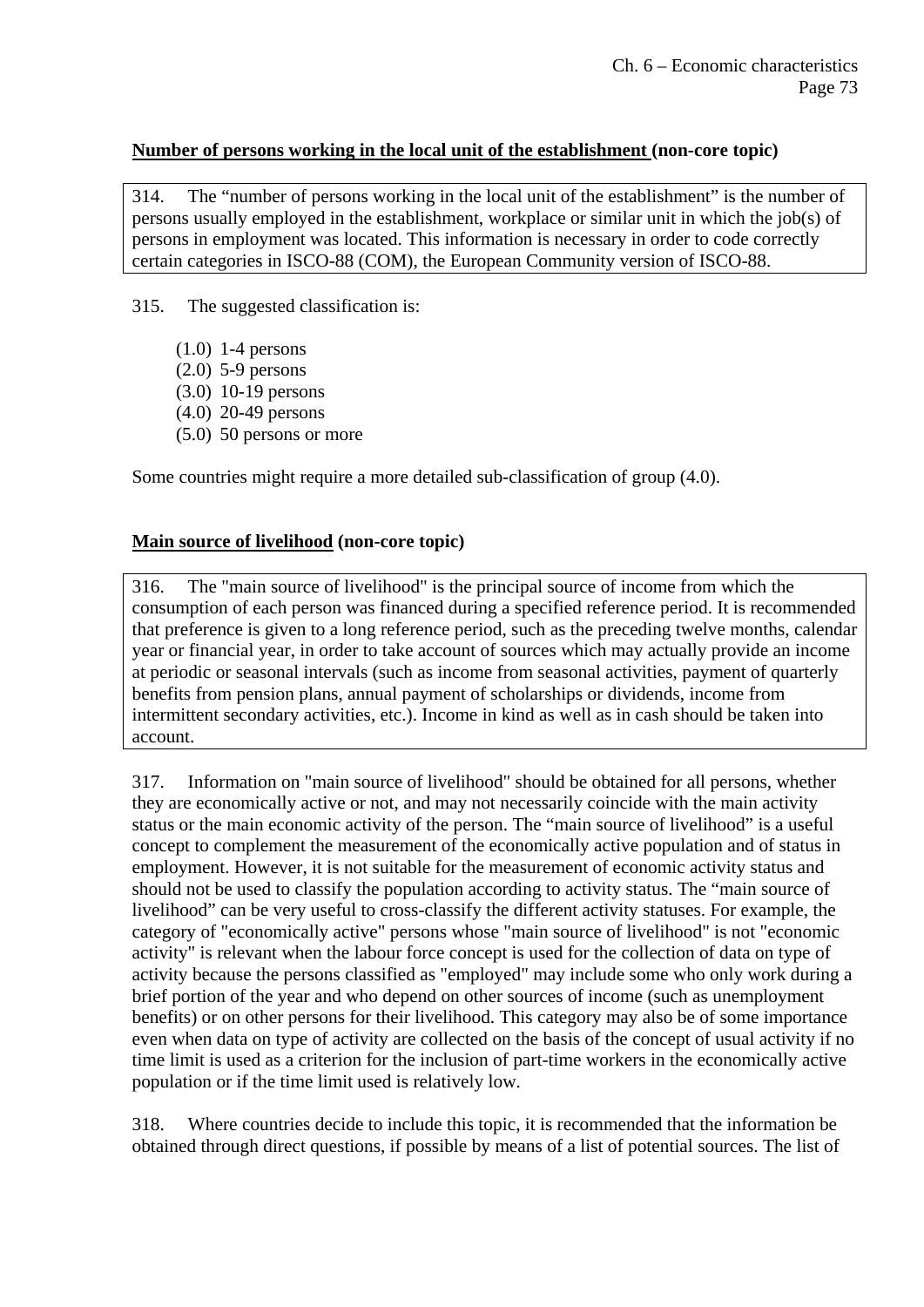### **Number of persons working in the local unit of the establishment (non-core topic)**

314. The "number of persons working in the local unit of the establishment" is the number of persons usually employed in the establishment, workplace or similar unit in which the job(s) of persons in employment was located. This information is necessary in order to code correctly certain categories in ISCO-88 (COM), the European Community version of ISCO-88.

- 315. The suggested classification is:
	- (1.0) 1-4 persons
	- (2.0) 5-9 persons
	- (3.0) 10-19 persons
	- (4.0) 20-49 persons
	- (5.0) 50 persons or more

Some countries might require a more detailed sub-classification of group (4.0).

### **Main source of livelihood (non-core topic)**

316. The "main source of livelihood" is the principal source of income from which the consumption of each person was financed during a specified reference period. It is recommended that preference is given to a long reference period, such as the preceding twelve months, calendar year or financial year, in order to take account of sources which may actually provide an income at periodic or seasonal intervals (such as income from seasonal activities, payment of quarterly benefits from pension plans, annual payment of scholarships or dividends, income from intermittent secondary activities, etc.). Income in kind as well as in cash should be taken into account.

317. Information on "main source of livelihood" should be obtained for all persons, whether they are economically active or not, and may not necessarily coincide with the main activity status or the main economic activity of the person. The "main source of livelihood" is a useful concept to complement the measurement of the economically active population and of status in employment. However, it is not suitable for the measurement of economic activity status and should not be used to classify the population according to activity status. The "main source of livelihood" can be very useful to cross-classify the different activity statuses. For example, the category of "economically active" persons whose "main source of livelihood" is not "economic activity" is relevant when the labour force concept is used for the collection of data on type of activity because the persons classified as "employed" may include some who only work during a brief portion of the year and who depend on other sources of income (such as unemployment benefits) or on other persons for their livelihood. This category may also be of some importance even when data on type of activity are collected on the basis of the concept of usual activity if no time limit is used as a criterion for the inclusion of part-time workers in the economically active population or if the time limit used is relatively low.

318. Where countries decide to include this topic, it is recommended that the information be obtained through direct questions, if possible by means of a list of potential sources. The list of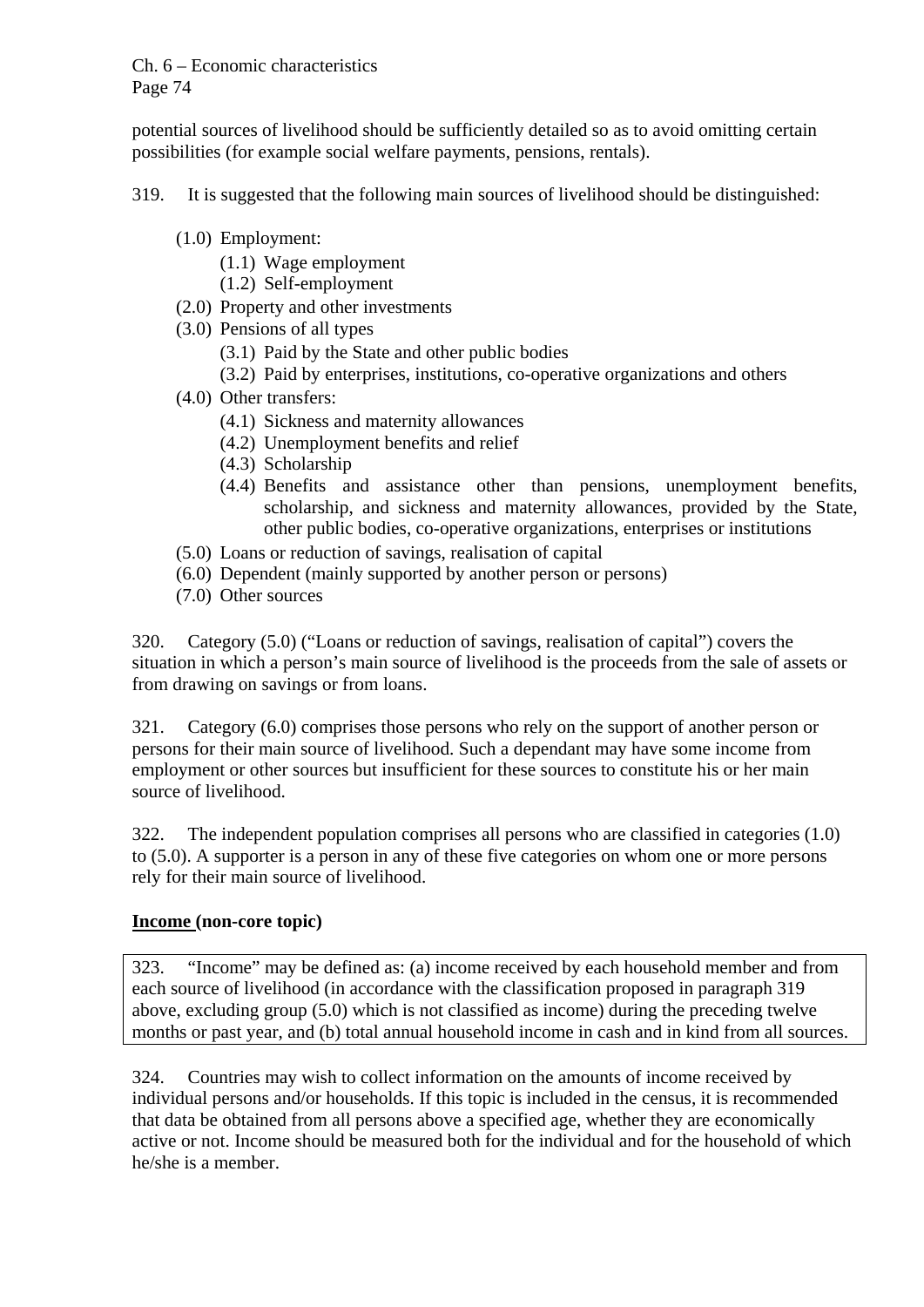<span id="page-73-0"></span>Ch. 6 – Economic characteristics Page 74

potential sources of livelihood should be sufficiently detailed so as to avoid omitting certain possibilities (for example social welfare payments, pensions, rentals).

319. It is suggested that the following main sources of livelihood should be distinguished:

- (1.0) Employment:
	- (1.1) Wage employment
	- (1.2) Self-employment
- (2.0) Property and other investments
- (3.0) Pensions of all types
	- (3.1) Paid by the State and other public bodies
	- (3.2) Paid by enterprises, institutions, co-operative organizations and others
- (4.0) Other transfers:
	- (4.1) Sickness and maternity allowances
	- (4.2) Unemployment benefits and relief
	- (4.3) Scholarship
	- (4.4) Benefits and assistance other than pensions, unemployment benefits, scholarship, and sickness and maternity allowances, provided by the State, other public bodies, co-operative organizations, enterprises or institutions
- (5.0) Loans or reduction of savings, realisation of capital
- (6.0) Dependent (mainly supported by another person or persons)
- (7.0) Other sources

320. Category (5.0) ("Loans or reduction of savings, realisation of capital") covers the situation in which a person's main source of livelihood is the proceeds from the sale of assets or from drawing on savings or from loans.

321. Category (6.0) comprises those persons who rely on the support of another person or persons for their main source of livelihood. Such a dependant may have some income from employment or other sources but insufficient for these sources to constitute his or her main source of livelihood.

322. The independent population comprises all persons who are classified in categories (1.0) to (5.0). A supporter is a person in any of these five categories on whom one or more persons rely for their main source of livelihood.

#### **Income (non-core topic)**

323. "Income" may be defined as: (a) income received by each household member and from each source of livelihood (in accordance with the classification proposed in paragraph [319](#page-73-0)  above, excluding group (5.0) which is not classified as income) during the preceding twelve months or past year, and (b) total annual household income in cash and in kind from all sources.

324. Countries may wish to collect information on the amounts of income received by individual persons and/or households. If this topic is included in the census, it is recommended that data be obtained from all persons above a specified age, whether they are economically active or not. Income should be measured both for the individual and for the household of which he/she is a member.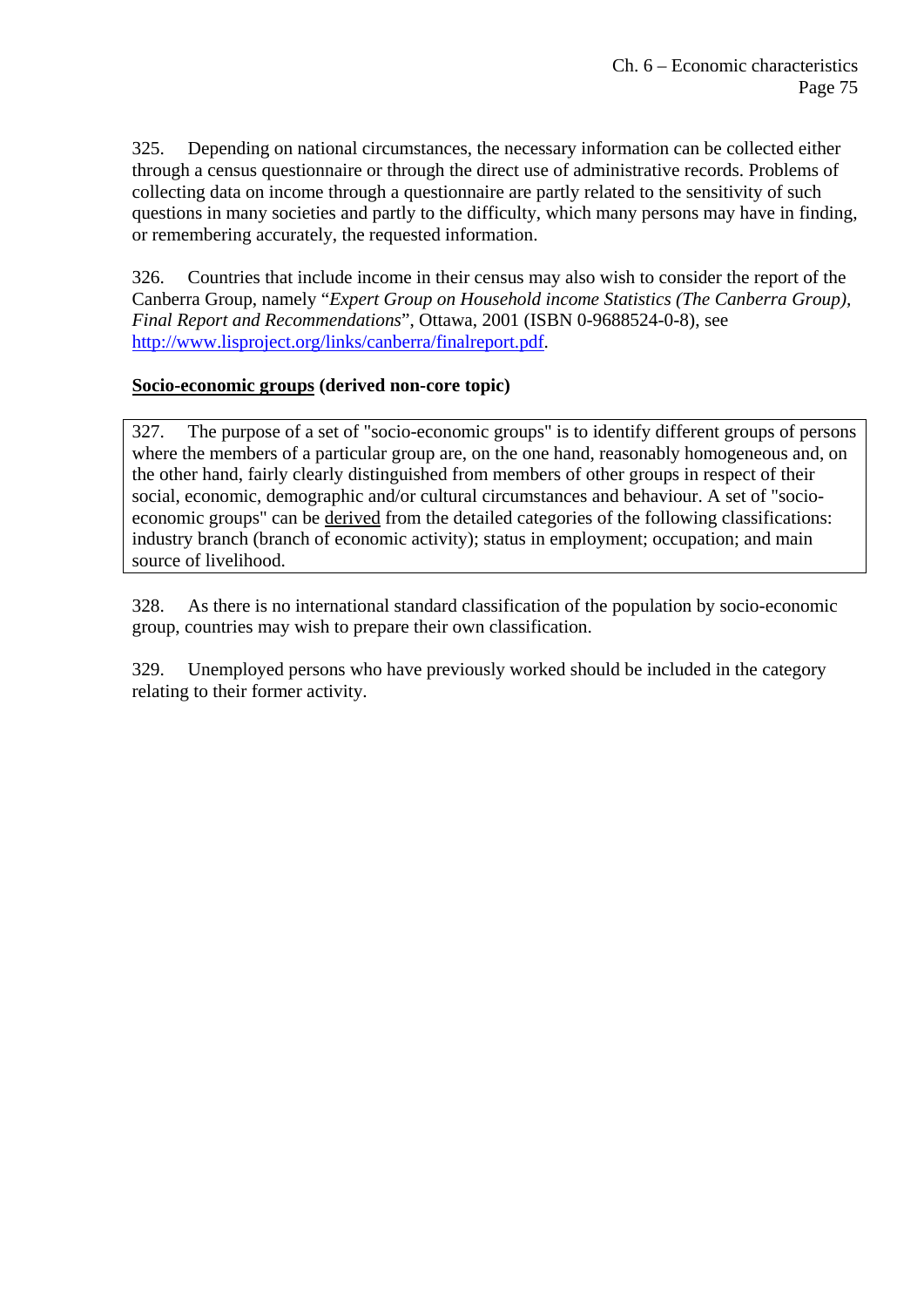325. Depending on national circumstances, the necessary information can be collected either through a census questionnaire or through the direct use of administrative records. Problems of collecting data on income through a questionnaire are partly related to the sensitivity of such questions in many societies and partly to the difficulty, which many persons may have in finding, or remembering accurately, the requested information.

326. Countries that include income in their census may also wish to consider the report of the Canberra Group, namely "*Expert Group on Household income Statistics (The Canberra Group), Final Report and Recommendations*", Ottawa, 2001 (ISBN 0-9688524-0-8), see [http://www.lisproject.org/links/canberra/finalreport.pdf.](http://www.lisproject.org/links/canberra/finalreport.pdf)

#### **Socio-economic groups (derived non-core topic)**

327. The purpose of a set of "socio-economic groups" is to identify different groups of persons where the members of a particular group are, on the one hand, reasonably homogeneous and, on the other hand, fairly clearly distinguished from members of other groups in respect of their social, economic, demographic and/or cultural circumstances and behaviour. A set of "socioeconomic groups" can be derived from the detailed categories of the following classifications: industry branch (branch of economic activity); status in employment; occupation; and main source of livelihood.

328. As there is no international standard classification of the population by socio-economic group, countries may wish to prepare their own classification.

329. Unemployed persons who have previously worked should be included in the category relating to their former activity.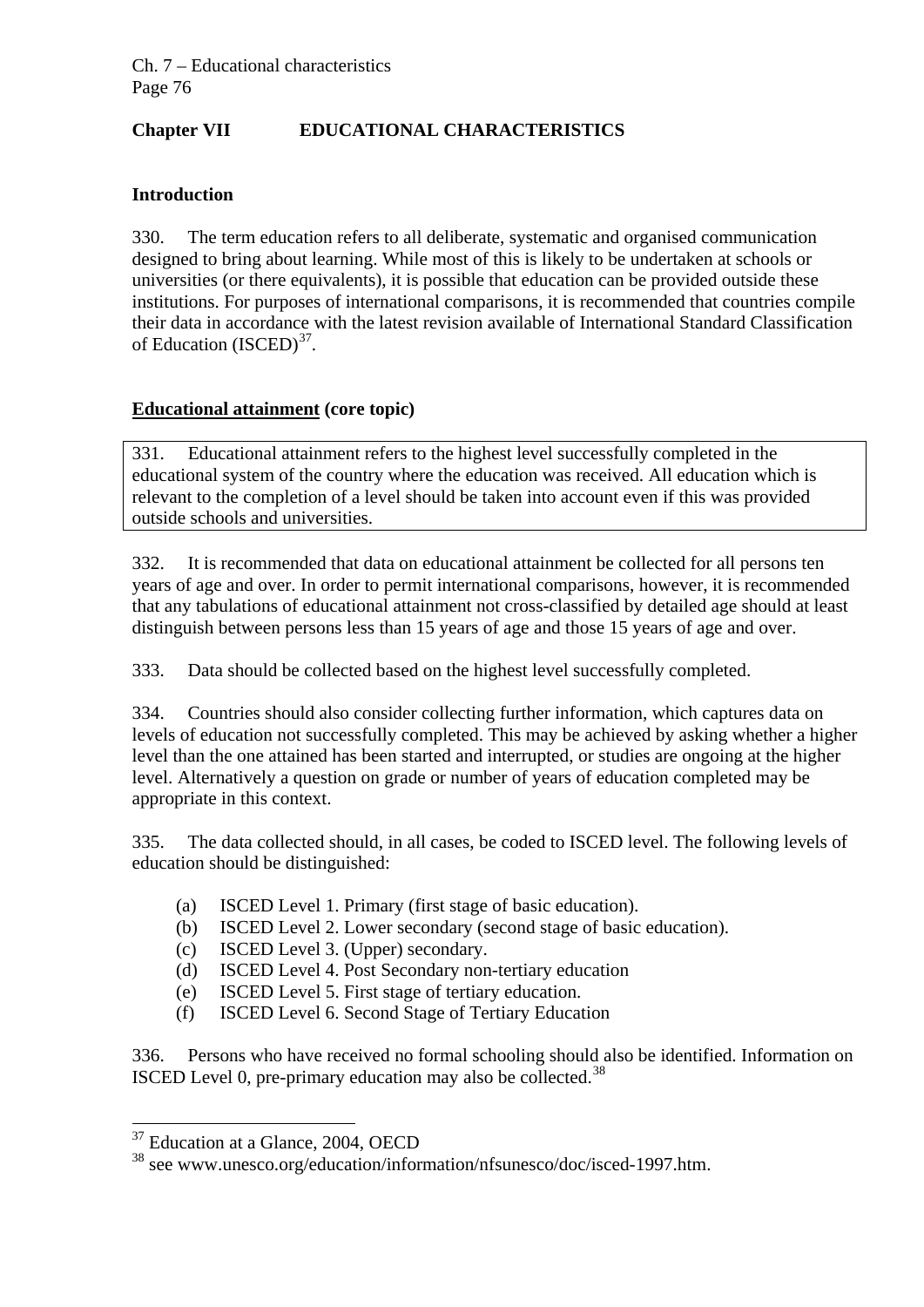# <span id="page-75-0"></span>**Chapter VII EDUCATIONAL CHARACTERISTICS**

# **Introduction**

330. The term education refers to all deliberate, systematic and organised communication designed to bring about learning. While most of this is likely to be undertaken at schools or universities (or there equivalents), it is possible that education can be provided outside these institutions. For purposes of international comparisons, it is recommended that countries compile their data in accordance with the latest revision available of International Standard Classification of Education  $(ISCED)^{37}$  $(ISCED)^{37}$  $(ISCED)^{37}$ .

# **Educational attainment (core topic)**

331. Educational attainment refers to the highest level successfully completed in the educational system of the country where the education was received. All education which is relevant to the completion of a level should be taken into account even if this was provided outside schools and universities.

332. It is recommended that data on educational attainment be collected for all persons ten years of age and over. In order to permit international comparisons, however, it is recommended that any tabulations of educational attainment not cross-classified by detailed age should at least distinguish between persons less than 15 years of age and those 15 years of age and over.

333. Data should be collected based on the highest level successfully completed.

334. Countries should also consider collecting further information, which captures data on levels of education not successfully completed. This may be achieved by asking whether a higher level than the one attained has been started and interrupted, or studies are ongoing at the higher level. Alternatively a question on grade or number of years of education completed may be appropriate in this context.

335. The data collected should, in all cases, be coded to ISCED level. The following levels of education should be distinguished:

- (a) ISCED Level 1. Primary (first stage of basic education).
- (b) ISCED Level 2. Lower secondary (second stage of basic education).
- (c) ISCED Level 3. (Upper) secondary.
- (d) ISCED Level 4. Post Secondary non-tertiary education
- (e) ISCED Level 5. First stage of tertiary education.
- (f) ISCED Level 6. Second Stage of Tertiary Education

336. Persons who have received no formal schooling should also be identified. Information on ISCED Level 0, pre-primary education may also be collected.<sup>[3](#page-75-0)8</sup>

<u>.</u>

<sup>&</sup>lt;sup>37</sup> Education at a Glance, 2004, OECD

<sup>38</sup> see www.unesco.org/education/information/nfsunesco/doc/isced-1997.htm.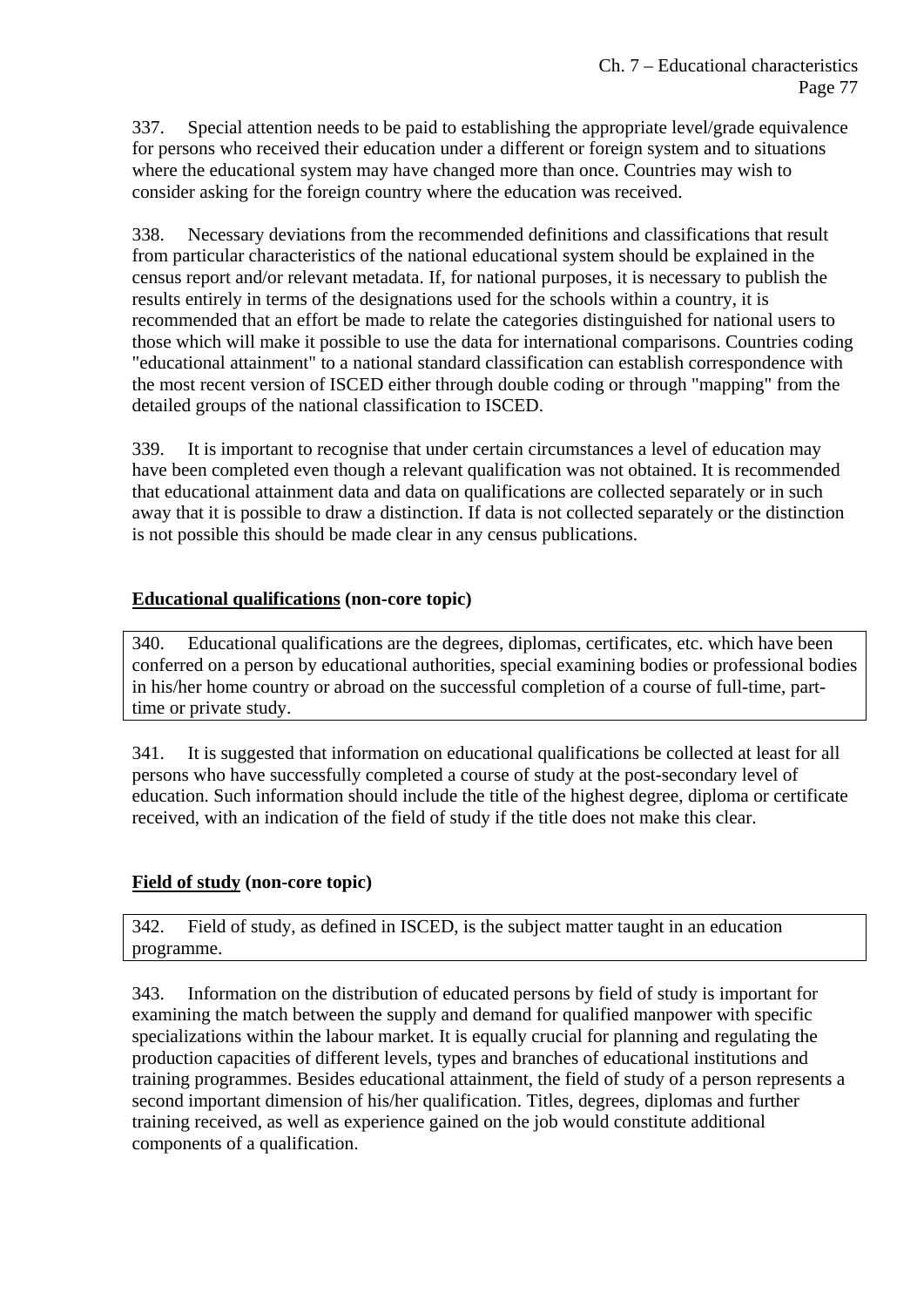337. Special attention needs to be paid to establishing the appropriate level/grade equivalence for persons who received their education under a different or foreign system and to situations where the educational system may have changed more than once. Countries may wish to consider asking for the foreign country where the education was received.

338. Necessary deviations from the recommended definitions and classifications that result from particular characteristics of the national educational system should be explained in the census report and/or relevant metadata. If, for national purposes, it is necessary to publish the results entirely in terms of the designations used for the schools within a country, it is recommended that an effort be made to relate the categories distinguished for national users to those which will make it possible to use the data for international comparisons. Countries coding "educational attainment" to a national standard classification can establish correspondence with the most recent version of ISCED either through double coding or through "mapping" from the detailed groups of the national classification to ISCED.

339. It is important to recognise that under certain circumstances a level of education may have been completed even though a relevant qualification was not obtained. It is recommended that educational attainment data and data on qualifications are collected separately or in such away that it is possible to draw a distinction. If data is not collected separately or the distinction is not possible this should be made clear in any census publications.

### **Educational qualifications (non-core topic)**

340. Educational qualifications are the degrees, diplomas, certificates, etc. which have been conferred on a person by educational authorities, special examining bodies or professional bodies in his/her home country or abroad on the successful completion of a course of full-time, parttime or private study.

341. It is suggested that information on educational qualifications be collected at least for all persons who have successfully completed a course of study at the post-secondary level of education. Such information should include the title of the highest degree, diploma or certificate received, with an indication of the field of study if the title does not make this clear.

### **Field of study (non-core topic)**

342. Field of study, as defined in ISCED, is the subject matter taught in an education programme.

343. Information on the distribution of educated persons by field of study is important for examining the match between the supply and demand for qualified manpower with specific specializations within the labour market. It is equally crucial for planning and regulating the production capacities of different levels, types and branches of educational institutions and training programmes. Besides educational attainment, the field of study of a person represents a second important dimension of his/her qualification. Titles, degrees, diplomas and further training received, as well as experience gained on the job would constitute additional components of a qualification.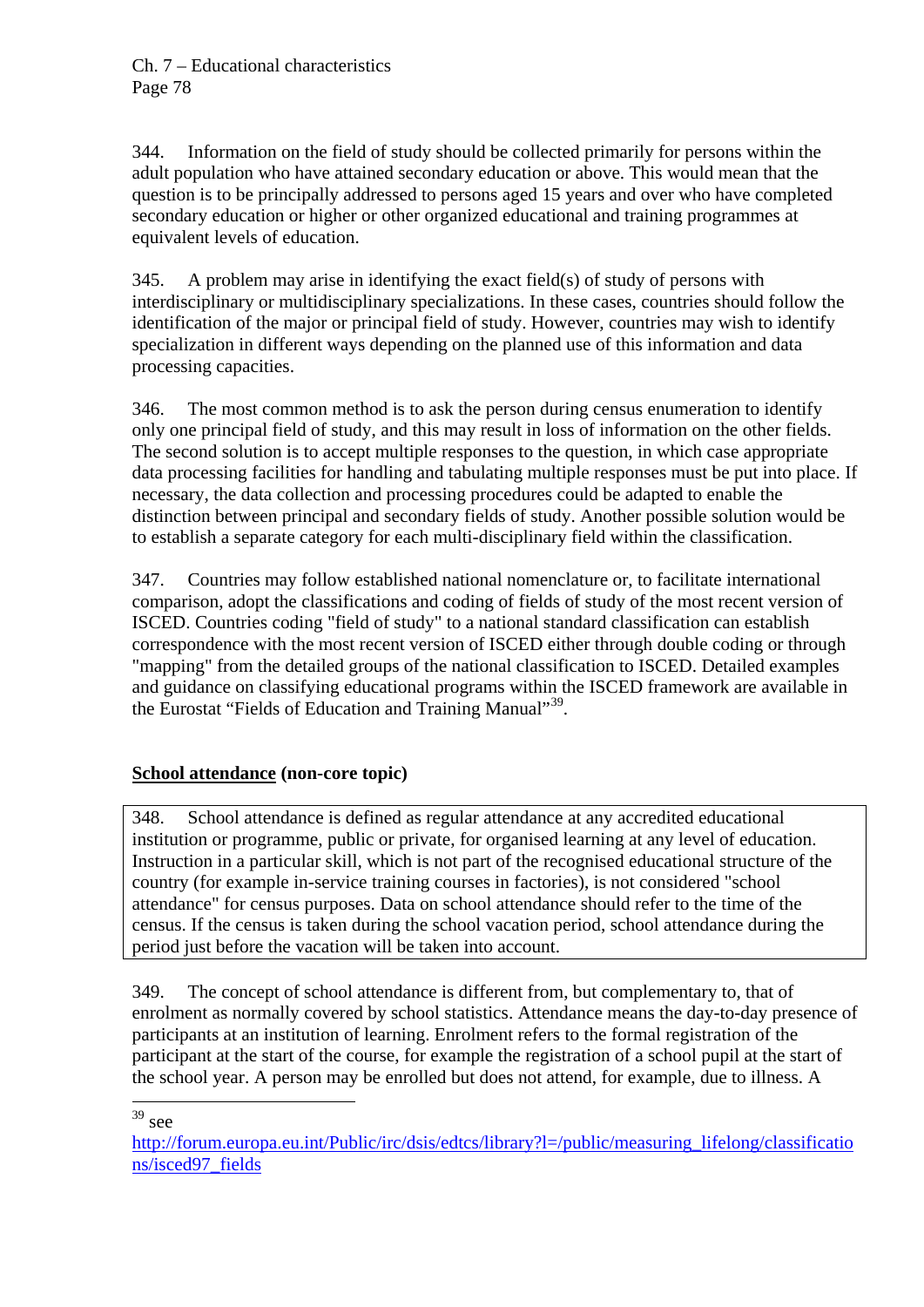<span id="page-77-0"></span>344. Information on the field of study should be collected primarily for persons within the adult population who have attained secondary education or above. This would mean that the question is to be principally addressed to persons aged 15 years and over who have completed secondary education or higher or other organized educational and training programmes at equivalent levels of education.

345. A problem may arise in identifying the exact field(s) of study of persons with interdisciplinary or multidisciplinary specializations. In these cases, countries should follow the identification of the major or principal field of study. However, countries may wish to identify specialization in different ways depending on the planned use of this information and data processing capacities.

346. The most common method is to ask the person during census enumeration to identify only one principal field of study, and this may result in loss of information on the other fields. The second solution is to accept multiple responses to the question, in which case appropriate data processing facilities for handling and tabulating multiple responses must be put into place. If necessary, the data collection and processing procedures could be adapted to enable the distinction between principal and secondary fields of study. Another possible solution would be to establish a separate category for each multi-disciplinary field within the classification.

347. Countries may follow established national nomenclature or, to facilitate international comparison, adopt the classifications and coding of fields of study of the most recent version of ISCED. Countries coding "field of study" to a national standard classification can establish correspondence with the most recent version of ISCED either through double coding or through "mapping" from the detailed groups of the national classification to ISCED. Detailed examples and guidance on classifying educational programs within the ISCED framework are available in the Eurostat "Fields of Education and Training Manual"<sup>[3](#page-77-0)9</sup>.

# **School attendance (non-core topic)**

348. School attendance is defined as regular attendance at any accredited educational institution or programme, public or private, for organised learning at any level of education. Instruction in a particular skill, which is not part of the recognised educational structure of the country (for example in-service training courses in factories), is not considered "school attendance" for census purposes. Data on school attendance should refer to the time of the census. If the census is taken during the school vacation period, school attendance during the period just before the vacation will be taken into account.

349. The concept of school attendance is different from, but complementary to, that of enrolment as normally covered by school statistics. Attendance means the day-to-day presence of participants at an institution of learning. Enrolment refers to the formal registration of the participant at the start of the course, for example the registration of a school pupil at the start of the school year. A person may be enrolled but does not attend, for example, due to illness. A

<sup>1</sup>  $39$  see

http://forum.europa.eu.int/Public/irc/dsis/edtcs/library?l=/public/measuring\_lifelong/classificatio ns/isced97\_fields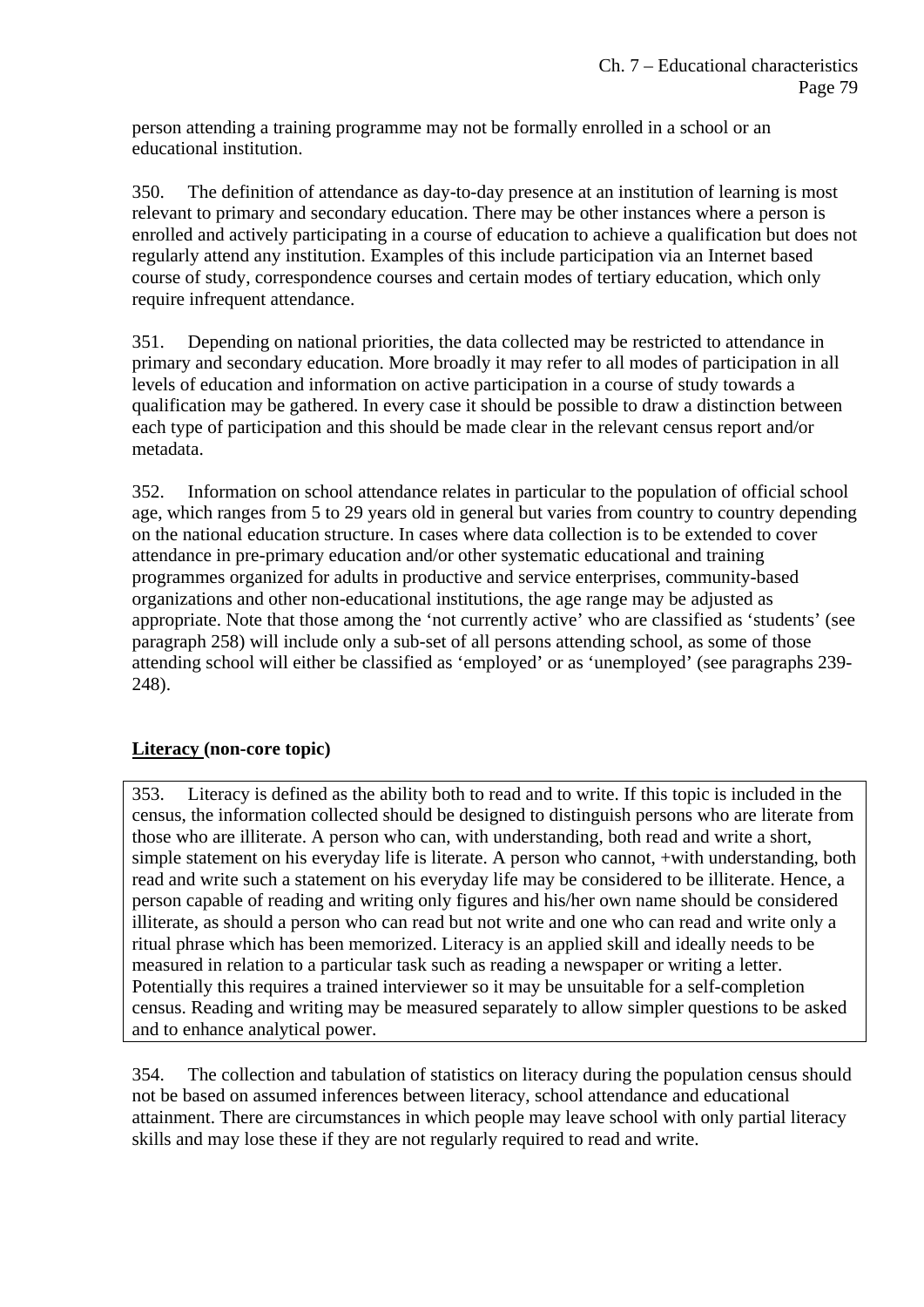person attending a training programme may not be formally enrolled in a school or an educational institution.

350. The definition of attendance as day-to-day presence at an institution of learning is most relevant to primary and secondary education. There may be other instances where a person is enrolled and actively participating in a course of education to achieve a qualification but does not regularly attend any institution. Examples of this include participation via an Internet based course of study, correspondence courses and certain modes of tertiary education, which only require infrequent attendance.

351. Depending on national priorities, the data collected may be restricted to attendance in primary and secondary education. More broadly it may refer to all modes of participation in all levels of education and information on active participation in a course of study towards a qualification may be gathered. In every case it should be possible to draw a distinction between each type of participation and this should be made clear in the relevant census report and/or metadata.

352. Information on school attendance relates in particular to the population of official school age, which ranges from 5 to 29 years old in general but varies from country to country depending on the national education structure. In cases where data collection is to be extended to cover attendance in pre-primary education and/or other systematic educational and training programmes organized for adults in productive and service enterprises, community-based organizations and other non-educational institutions, the age range may be adjusted as appropriate. Note that those among the 'not currently active' who are classified as 'students' (see paragraph [258](#page-59-0)) will include only a sub-set of all persons attending school, as some of those attending school will either be classified as 'employed' or as 'unemployed' (see paragraphs [239](#page-53-0)- [248](#page-57-0)).

# **Literacy (non-core topic)**

353. Literacy is defined as the ability both to read and to write. If this topic is included in the census, the information collected should be designed to distinguish persons who are literate from those who are illiterate. A person who can, with understanding, both read and write a short, simple statement on his everyday life is literate. A person who cannot, +with understanding, both read and write such a statement on his everyday life may be considered to be illiterate. Hence, a person capable of reading and writing only figures and his/her own name should be considered illiterate, as should a person who can read but not write and one who can read and write only a ritual phrase which has been memorized. Literacy is an applied skill and ideally needs to be measured in relation to a particular task such as reading a newspaper or writing a letter. Potentially this requires a trained interviewer so it may be unsuitable for a self-completion census. Reading and writing may be measured separately to allow simpler questions to be asked and to enhance analytical power.

354. The collection and tabulation of statistics on literacy during the population census should not be based on assumed inferences between literacy, school attendance and educational attainment. There are circumstances in which people may leave school with only partial literacy skills and may lose these if they are not regularly required to read and write.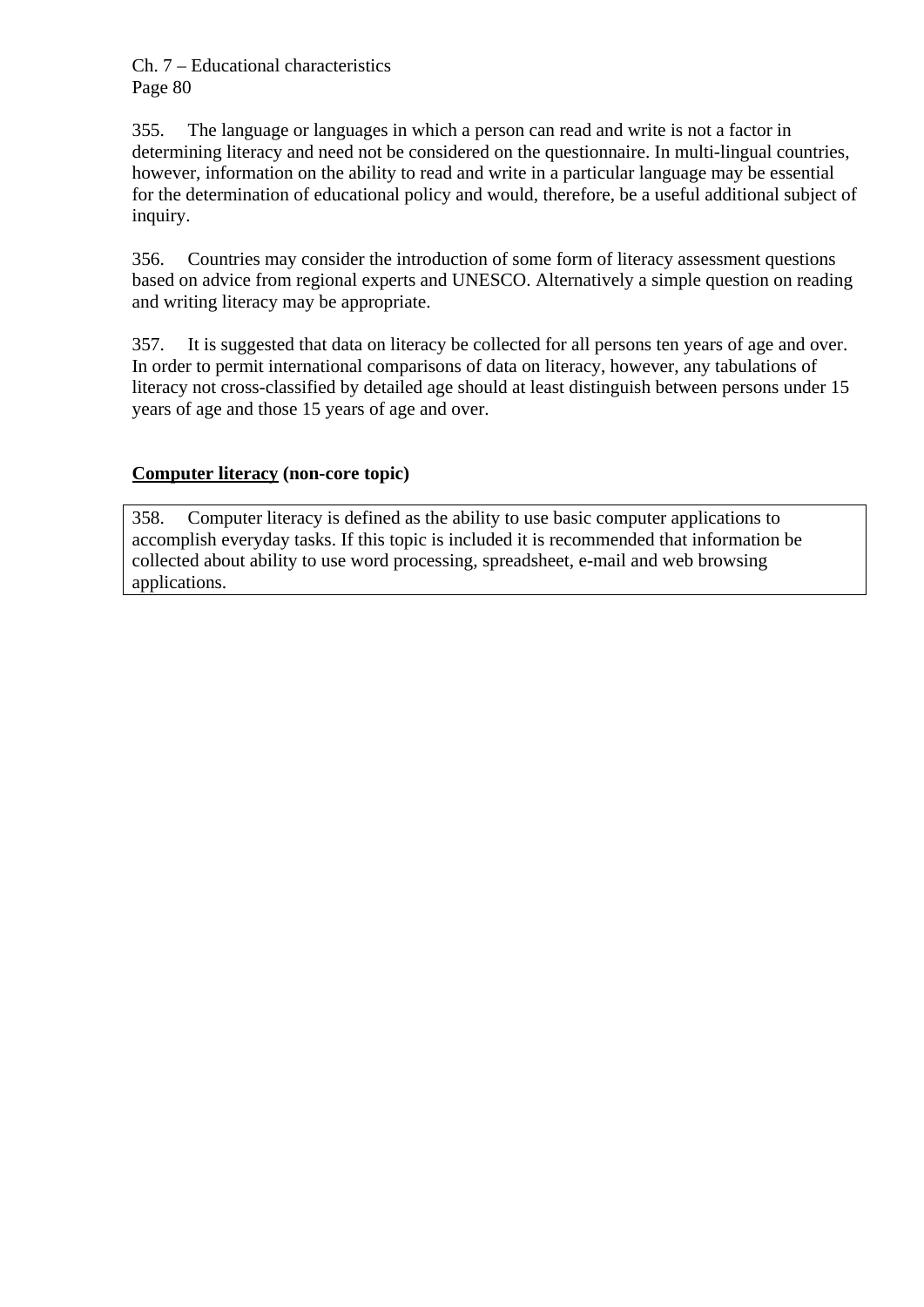Ch. 7 – Educational characteristics Page 80

355. The language or languages in which a person can read and write is not a factor in determining literacy and need not be considered on the questionnaire. In multi-lingual countries, however, information on the ability to read and write in a particular language may be essential for the determination of educational policy and would, therefore, be a useful additional subject of inquiry.

356. Countries may consider the introduction of some form of literacy assessment questions based on advice from regional experts and UNESCO. Alternatively a simple question on reading and writing literacy may be appropriate.

357. It is suggested that data on literacy be collected for all persons ten years of age and over. In order to permit international comparisons of data on literacy, however, any tabulations of literacy not cross-classified by detailed age should at least distinguish between persons under 15 years of age and those 15 years of age and over.

# **Computer literacy (non-core topic)**

358. Computer literacy is defined as the ability to use basic computer applications to accomplish everyday tasks. If this topic is included it is recommended that information be collected about ability to use word processing, spreadsheet, e-mail and web browsing applications.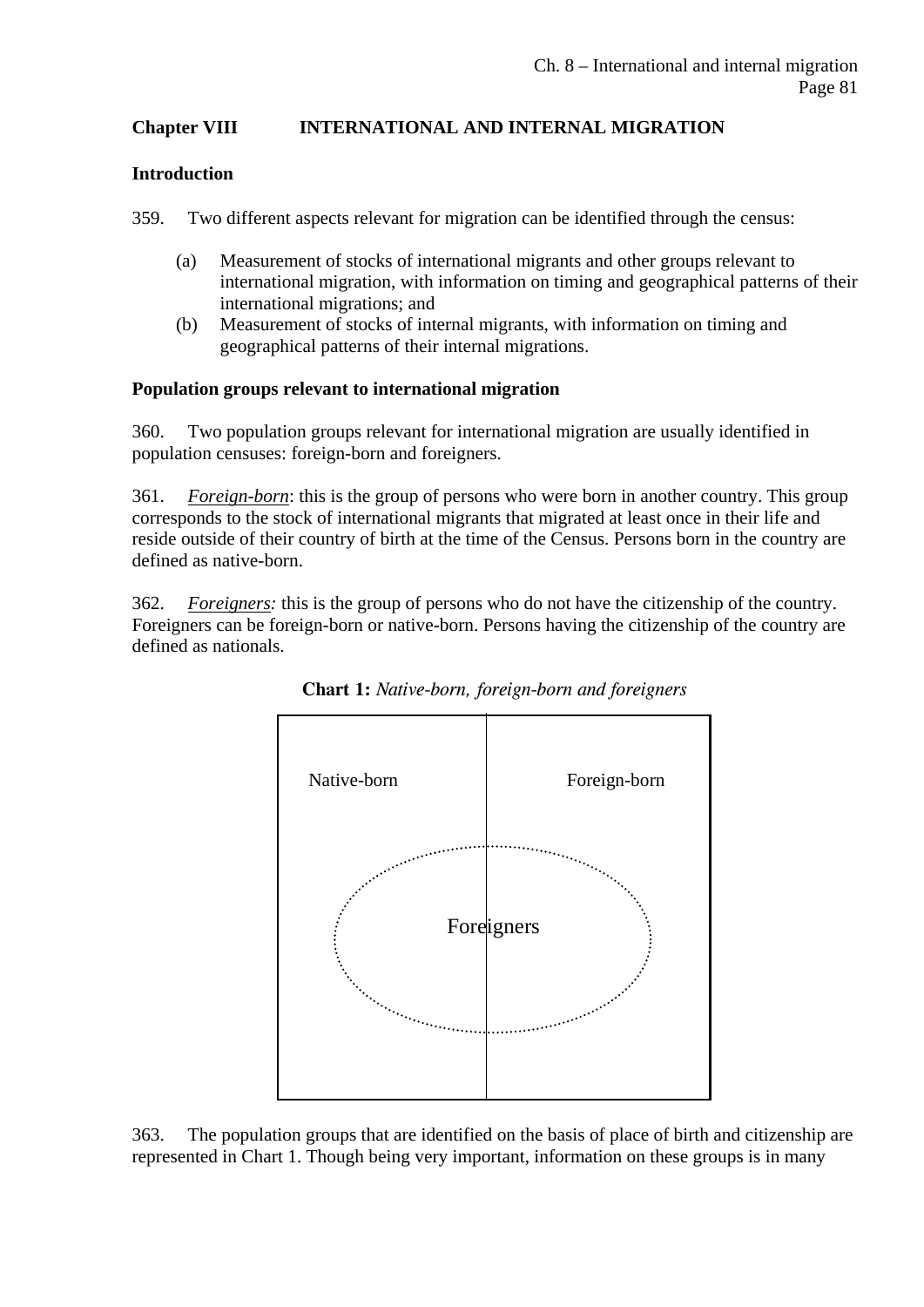# **Chapter VIII INTERNATIONAL AND INTERNAL MIGRATION**

### **Introduction**

359. Two different aspects relevant for migration can be identified through the census:

- (a) Measurement of stocks of international migrants and other groups relevant to international migration, with information on timing and geographical patterns of their international migrations; and
- (b) Measurement of stocks of internal migrants, with information on timing and geographical patterns of their internal migrations.

### **Population groups relevant to international migration**

360. Two population groups relevant for international migration are usually identified in population censuses: foreign-born and foreigners.

361. *Foreign-born*: this is the group of persons who were born in another country. This group corresponds to the stock of international migrants that migrated at least once in their life and reside outside of their country of birth at the time of the Census. Persons born in the country are defined as native-born.

362. *Foreigners:* this is the group of persons who do not have the citizenship of the country. Foreigners can be foreign-born or native-born. Persons having the citizenship of the country are defined as nationals.





363. The population groups that are identified on the basis of place of birth and citizenship are represented in Chart 1. Though being very important, information on these groups is in many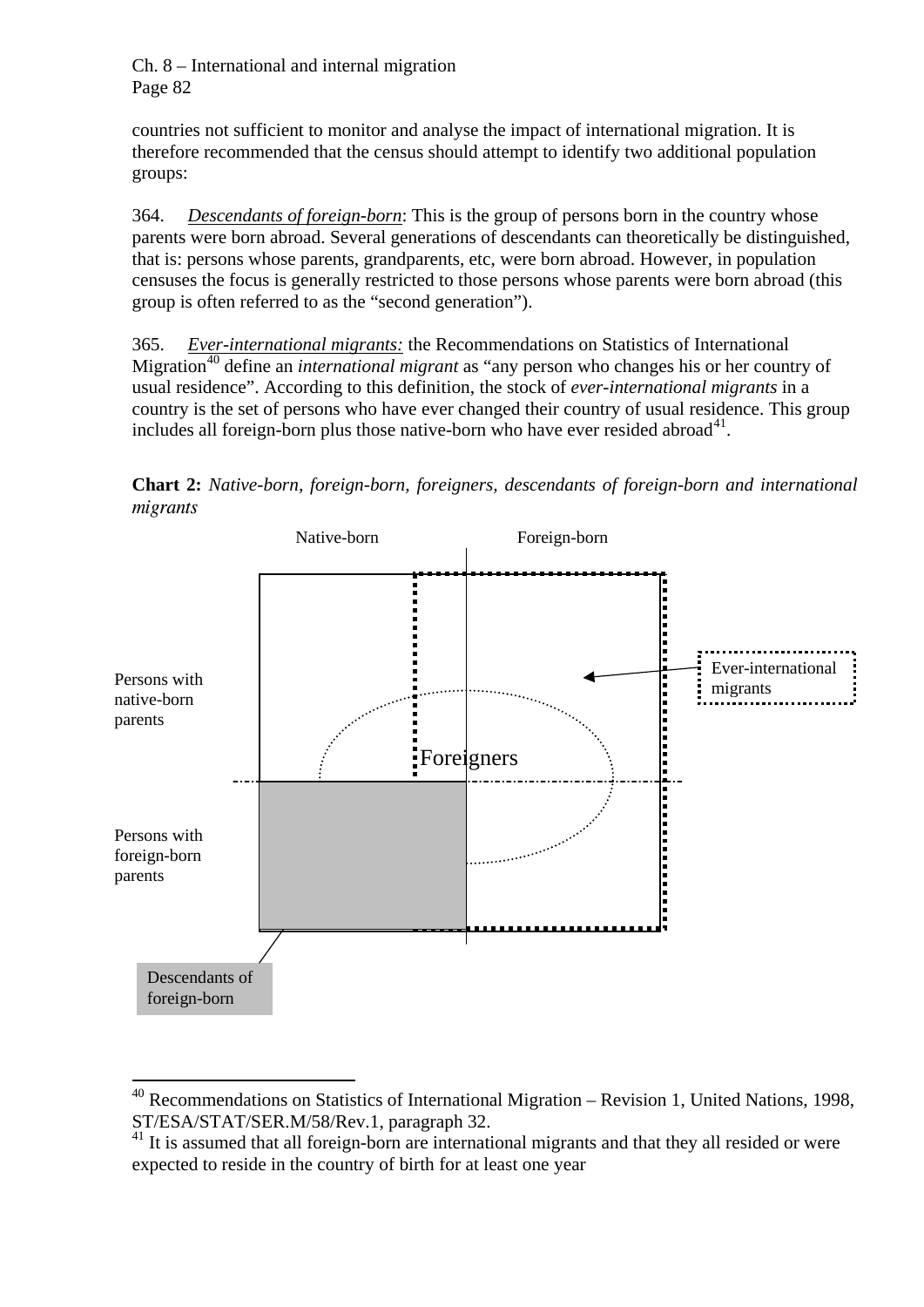<span id="page-81-0"></span>Ch. 8 – International and internal migration Page 82

1

countries not sufficient to monitor and analyse the impact of international migration. It is therefore recommended that the census should attempt to identify two additional population groups:

364. *Descendants of foreign-born*: This is the group of persons born in the country whose parents were born abroad. Several generations of descendants can theoretically be distinguished, that is: persons whose parents, grandparents, etc, were born abroad. However, in population censuses the focus is generally restricted to those persons whose parents were born abroad (this group is often referred to as the "second generation").

365. *Ever-international migrants:* the Recommendations on Statistics of International Migration<sup>[40](#page-81-0)</sup> define an *international migrant* as "any person who changes his or her country of usual residence". According to this definition, the stock of *ever-international migrants* in a country is the set of persons who have ever changed their country of usual residence. This group includes all foreign-born plus those native-born who have ever resided abroad<sup>[4](#page-81-0)1</sup>.

**Chart 2:** *Native-born, foreign-born, foreigners, descendants of foreign-born and international migrants* 



 $40$  Recommendations on Statistics of International Migration – Revision 1, United Nations, 1998, ST/ESA/STAT/SER.M/58/Rev.1, paragraph 32.

<sup>&</sup>lt;sup>41</sup> It is assumed that all foreign-born are international migrants and that they all resided or were expected to reside in the country of birth for at least one year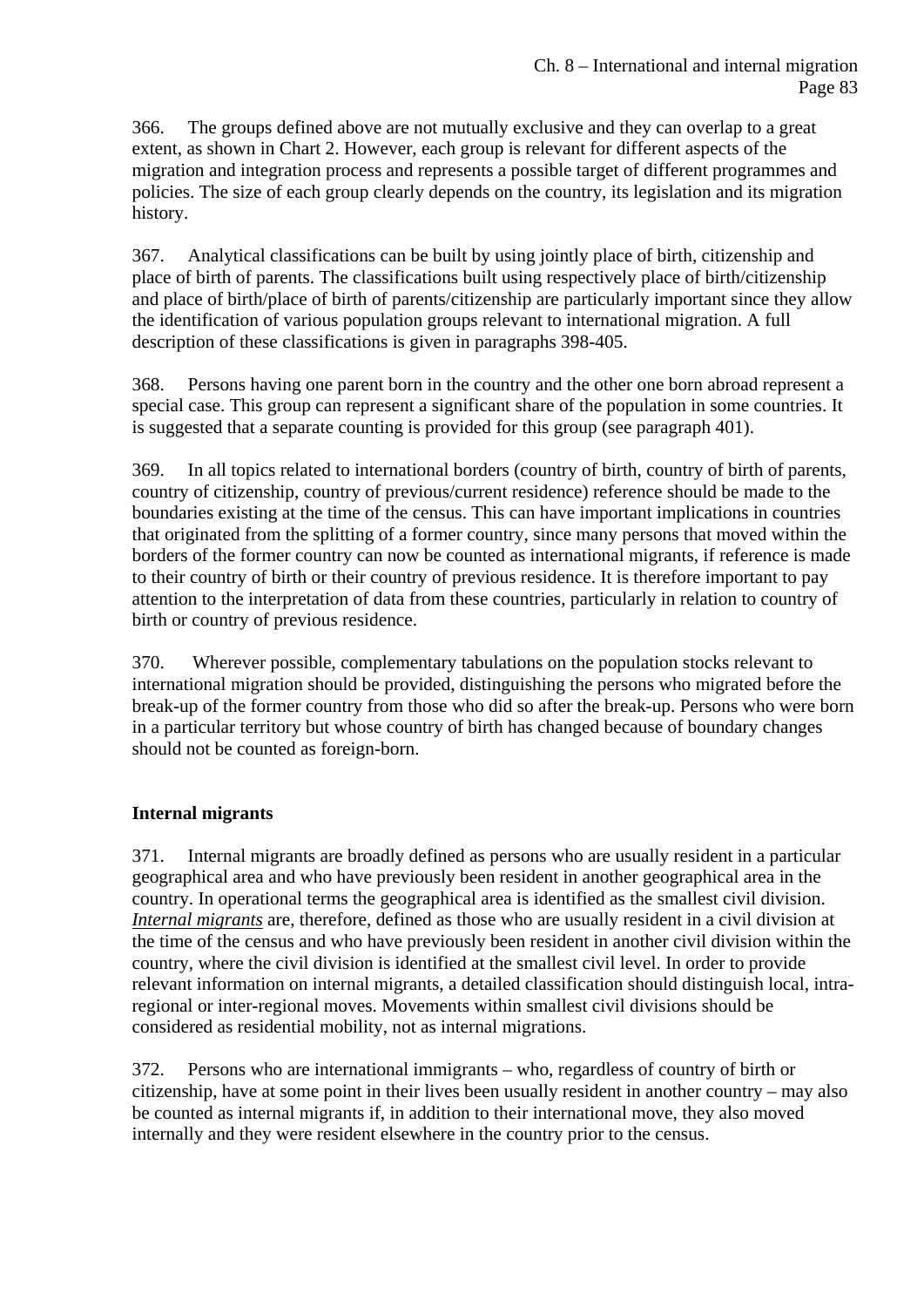<span id="page-82-0"></span>366. The groups defined above are not mutually exclusive and they can overlap to a great extent, as shown in Chart 2. However, each group is relevant for different aspects of the migration and integration process and represents a possible target of different programmes and policies. The size of each group clearly depends on the country, its legislation and its migration history.

367. Analytical classifications can be built by using jointly place of birth, citizenship and place of birth of parents. The classifications built using respectively place of birth/citizenship and place of birth/place of birth of parents/citizenship are particularly important since they allow the identification of various population groups relevant to international migration. A full description of these classifications is given in paragraphs [398-](#page-87-0)[405.](#page-88-0)

368. Persons having one parent born in the country and the other one born abroad represent a special case. This group can represent a significant share of the population in some countries. It is suggested that a separate counting is provided for this group (see paragraph [401](#page-87-0)).

369. In all topics related to international borders (country of birth, country of birth of parents, country of citizenship, country of previous/current residence) reference should be made to the boundaries existing at the time of the census. This can have important implications in countries that originated from the splitting of a former country, since many persons that moved within the borders of the former country can now be counted as international migrants, if reference is made to their country of birth or their country of previous residence. It is therefore important to pay attention to the interpretation of data from these countries, particularly in relation to country of birth or country of previous residence.

370. Wherever possible, complementary tabulations on the population stocks relevant to international migration should be provided, distinguishing the persons who migrated before the break-up of the former country from those who did so after the break-up. Persons who were born in a particular territory but whose country of birth has changed because of boundary changes should not be counted as foreign-born.

# **Internal migrants**

371. Internal migrants are broadly defined as persons who are usually resident in a particular geographical area and who have previously been resident in another geographical area in the country. In operational terms the geographical area is identified as the smallest civil division. *Internal migrants* are, therefore, defined as those who are usually resident in a civil division at the time of the census and who have previously been resident in another civil division within the country, where the civil division is identified at the smallest civil level. In order to provide relevant information on internal migrants, a detailed classification should distinguish local, intraregional or inter-regional moves. Movements within smallest civil divisions should be considered as residential mobility, not as internal migrations.

372. Persons who are international immigrants – who, regardless of country of birth or citizenship, have at some point in their lives been usually resident in another country – may also be counted as internal migrants if, in addition to their international move, they also moved internally and they were resident elsewhere in the country prior to the census.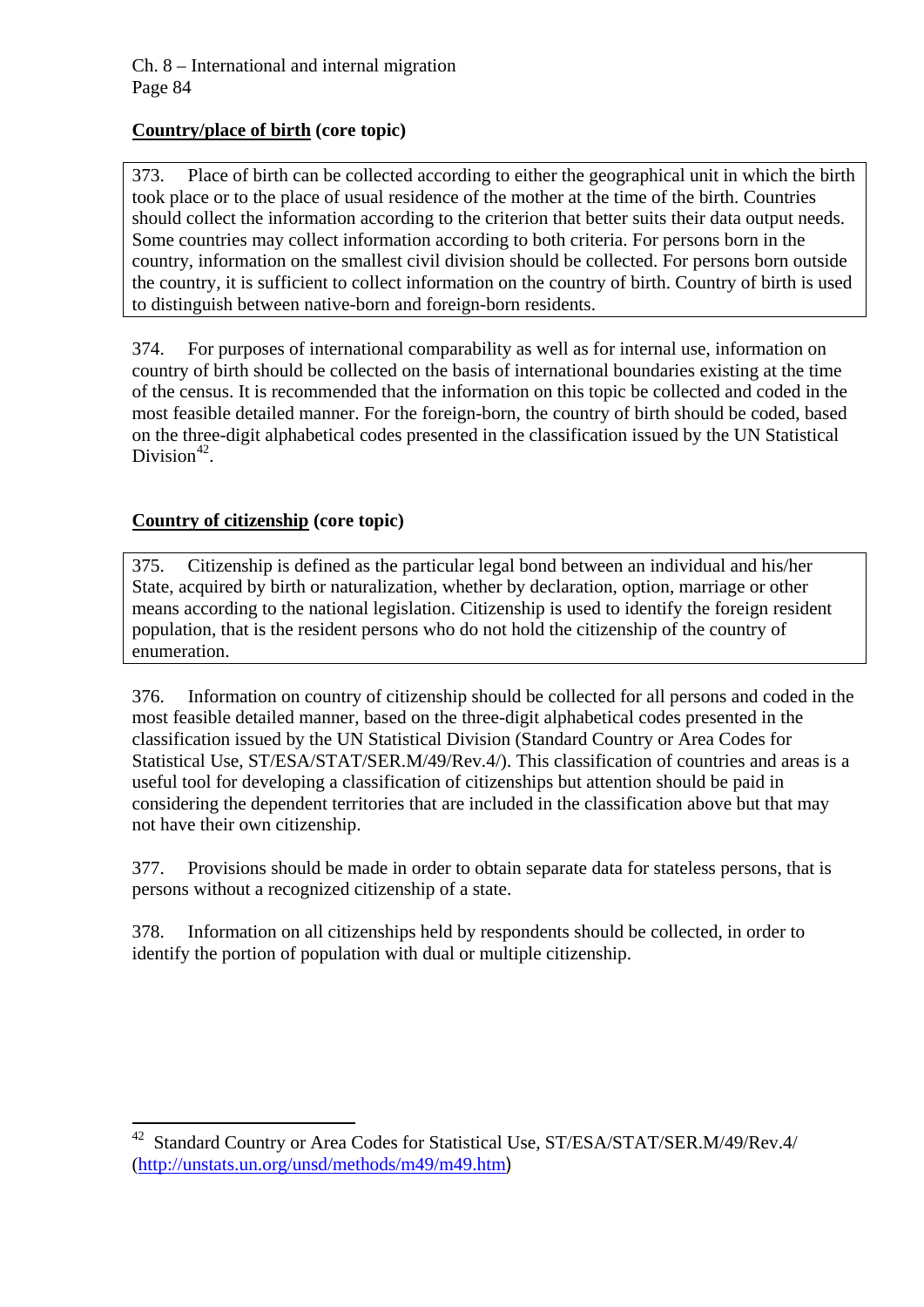# <span id="page-83-0"></span>**Country/place of birth (core topic)**

373. Place of birth can be collected according to either the geographical unit in which the birth took place or to the place of usual residence of the mother at the time of the birth. Countries should collect the information according to the criterion that better suits their data output needs. Some countries may collect information according to both criteria. For persons born in the country, information on the smallest civil division should be collected. For persons born outside the country, it is sufficient to collect information on the country of birth. Country of birth is used to distinguish between native-born and foreign-born residents.

374. For purposes of international comparability as well as for internal use, information on country of birth should be collected on the basis of international boundaries existing at the time of the census. It is recommended that the information on this topic be collected and coded in the most feasible detailed manner. For the foreign-born, the country of birth should be coded, based on the three-digit alphabetical codes presented in the classification issued by the UN Statistical Division $42$ .

# **Country of citizenship (core topic)**

1

375. Citizenship is defined as the particular legal bond between an individual and his/her State, acquired by birth or naturalization, whether by declaration, option, marriage or other means according to the national legislation. Citizenship is used to identify the foreign resident population, that is the resident persons who do not hold the citizenship of the country of enumeration.

376. Information on country of citizenship should be collected for all persons and coded in the most feasible detailed manner, based on the three-digit alphabetical codes presented in the classification issued by the UN Statistical Division (Standard Country or Area Codes for Statistical Use, ST/ESA/STAT/SER.M/49/Rev.4/). This classification of countries and areas is a useful tool for developing a classification of citizenships but attention should be paid in considering the dependent territories that are included in the classification above but that may not have their own citizenship.

377. Provisions should be made in order to obtain separate data for stateless persons, that is persons without a recognized citizenship of a state.

378. Information on all citizenships held by respondents should be collected, in order to identify the portion of population with dual or multiple citizenship.

<sup>&</sup>lt;sup>42</sup> Standard Country or Area Codes for Statistical Use, ST/ESA/STAT/SER.M/49/Rev.4/ (http://unstats.un.org/unsd/methods/m49/m49.htm)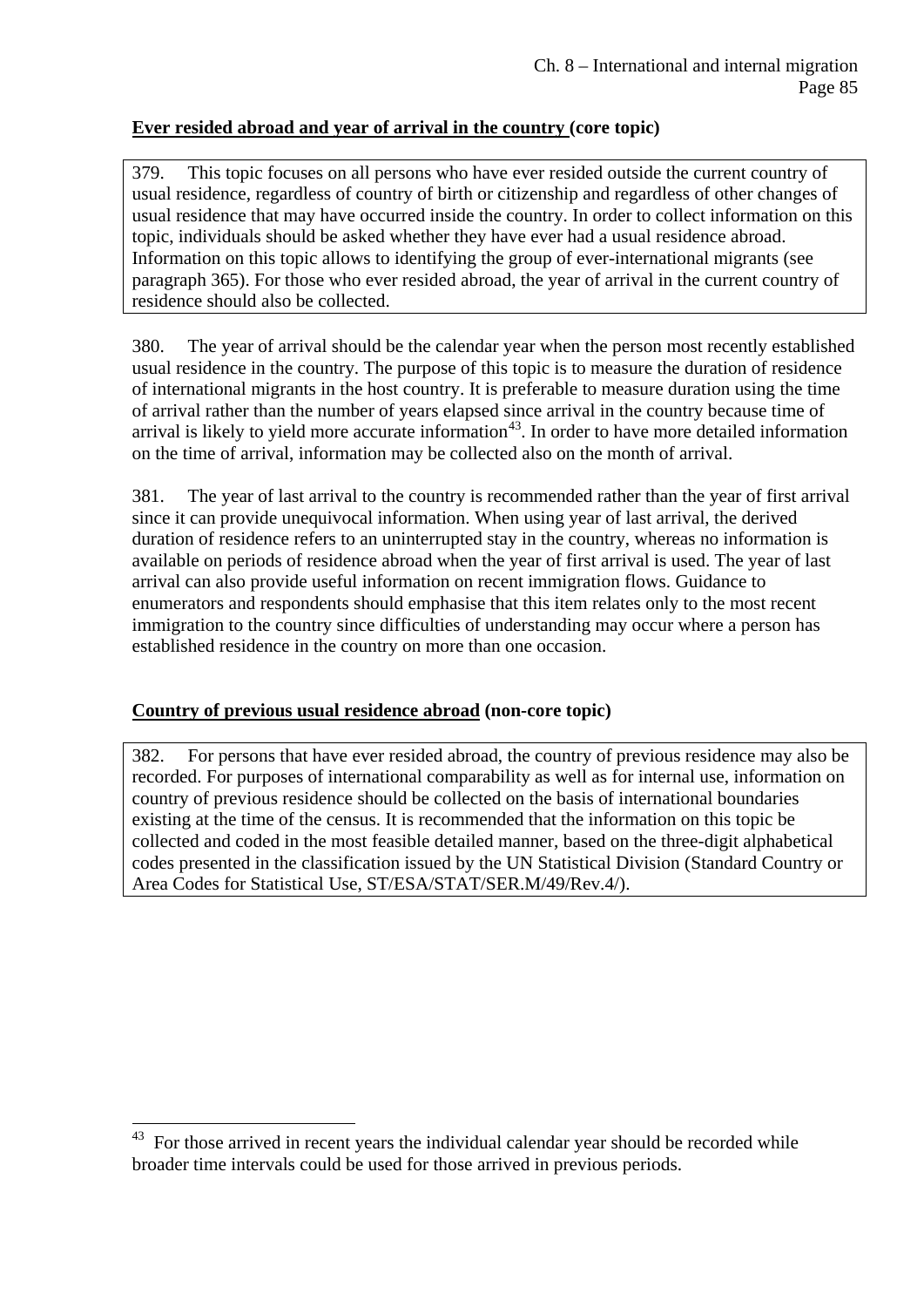### <span id="page-84-0"></span>**Ever resided abroad and year of arrival in the country (core topic)**

379. This topic focuses on all persons who have ever resided outside the current country of usual residence, regardless of country of birth or citizenship and regardless of other changes of usual residence that may have occurred inside the country. In order to collect information on this topic, individuals should be asked whether they have ever had a usual residence abroad. Information on this topic allows to identifying the group of ever-international migrants (see paragraph [365](#page-81-0)). For those who ever resided abroad, the year of arrival in the current country of residence should also be collected.

380. The year of arrival should be the calendar year when the person most recently established usual residence in the country. The purpose of this topic is to measure the duration of residence of international migrants in the host country. It is preferable to measure duration using the time of arrival rather than the number of years elapsed since arrival in the country because time of arrival is likely to yield more accurate information<sup>[43](#page-84-0)</sup>. In order to have more detailed information on the time of arrival, information may be collected also on the month of arrival.

381. The year of last arrival to the country is recommended rather than the year of first arrival since it can provide unequivocal information. When using year of last arrival, the derived duration of residence refers to an uninterrupted stay in the country, whereas no information is available on periods of residence abroad when the year of first arrival is used. The year of last arrival can also provide useful information on recent immigration flows. Guidance to enumerators and respondents should emphasise that this item relates only to the most recent immigration to the country since difficulties of understanding may occur where a person has established residence in the country on more than one occasion.

### **Country of previous usual residence abroad (non-core topic)**

<u>.</u>

382. For persons that have ever resided abroad, the country of previous residence may also be recorded. For purposes of international comparability as well as for internal use, information on country of previous residence should be collected on the basis of international boundaries existing at the time of the census. It is recommended that the information on this topic be collected and coded in the most feasible detailed manner, based on the three-digit alphabetical codes presented in the classification issued by the UN Statistical Division (Standard Country or Area Codes for Statistical Use, ST/ESA/STAT/SER.M/49/Rev.4/).

 $43$  For those arrived in recent years the individual calendar year should be recorded while broader time intervals could be used for those arrived in previous periods.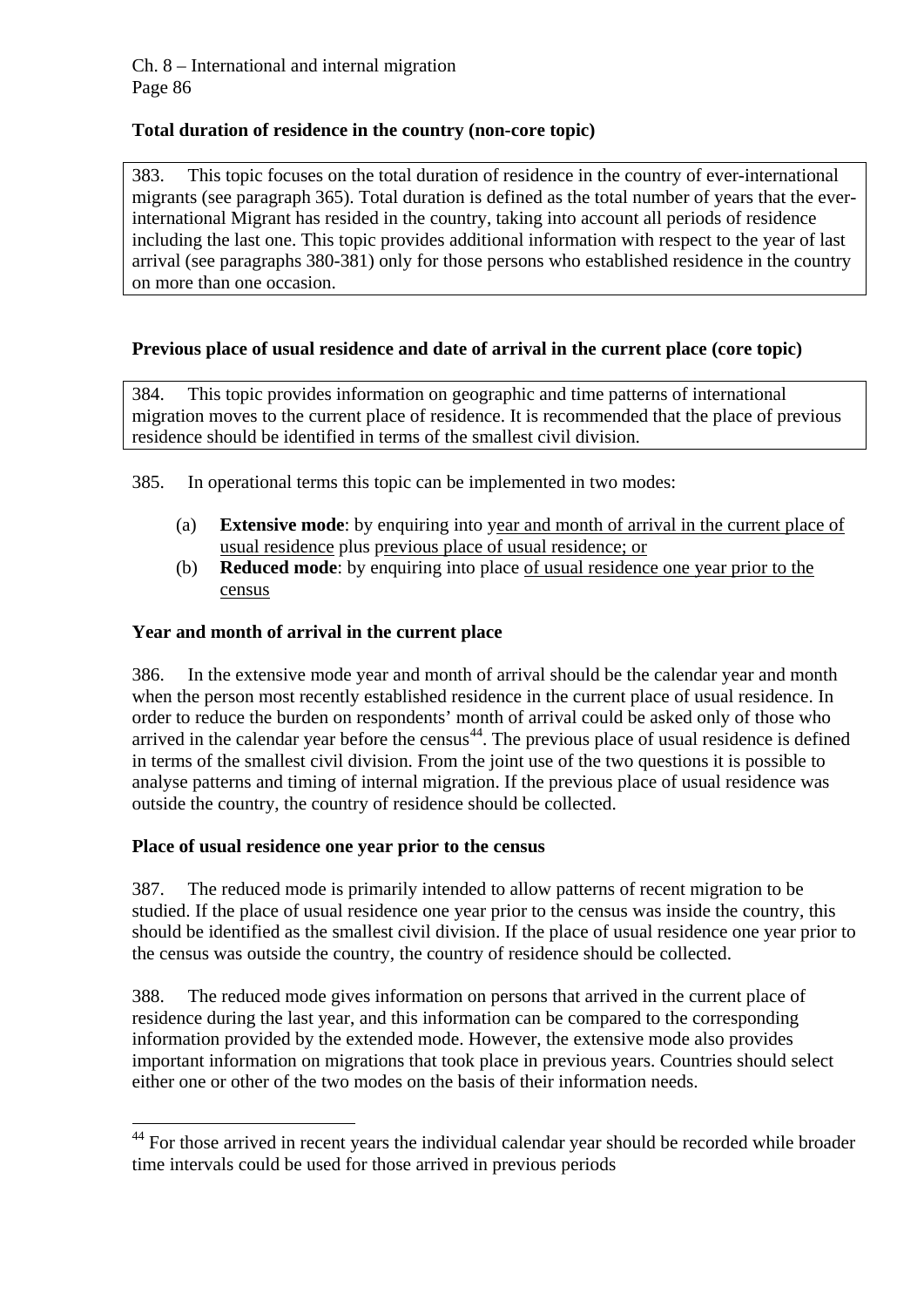### <span id="page-85-0"></span>**Total duration of residence in the country (non-core topic)**

383. This topic focuses on the total duration of residence in the country of ever-international migrants (see paragraph [365](#page-81-0)). Total duration is defined as the total number of years that the everinternational Migrant has resided in the country, taking into account all periods of residence including the last one. This topic provides additional information with respect to the year of last arrival (see paragraphs [380-381](#page-84-0)) only for those persons who established residence in the country on more than one occasion.

### **Previous place of usual residence and date of arrival in the current place (core topic)**

384. This topic provides information on geographic and time patterns of international migration moves to the current place of residence. It is recommended that the place of previous residence should be identified in terms of the smallest civil division.

- 385. In operational terms this topic can be implemented in two modes:
	- (a) **Extensive mode**: by enquiring into year and month of arrival in the current place of usual residence plus previous place of usual residence; or
	- (b) **Reduced mode**: by enquiring into place of usual residence one year prior to the census

### **Year and month of arrival in the current place**

386. In the extensive mode year and month of arrival should be the calendar year and month when the person most recently established residence in the current place of usual residence. In order to reduce the burden on respondents' month of arrival could be asked only of those who arrived in the calendar year before the census $44$  $44$ . The previous place of usual residence is defined in terms of the smallest civil division. From the joint use of the two questions it is possible to analyse patterns and timing of internal migration. If the previous place of usual residence was outside the country, the country of residence should be collected.

### **Place of usual residence one year prior to the census**

<u>.</u>

387. The reduced mode is primarily intended to allow patterns of recent migration to be studied. If the place of usual residence one year prior to the census was inside the country, this should be identified as the smallest civil division. If the place of usual residence one year prior to the census was outside the country, the country of residence should be collected.

388. The reduced mode gives information on persons that arrived in the current place of residence during the last year, and this information can be compared to the corresponding information provided by the extended mode. However, the extensive mode also provides important information on migrations that took place in previous years. Countries should select either one or other of the two modes on the basis of their information needs.

 $44$  For those arrived in recent years the individual calendar year should be recorded while broader time intervals could be used for those arrived in previous periods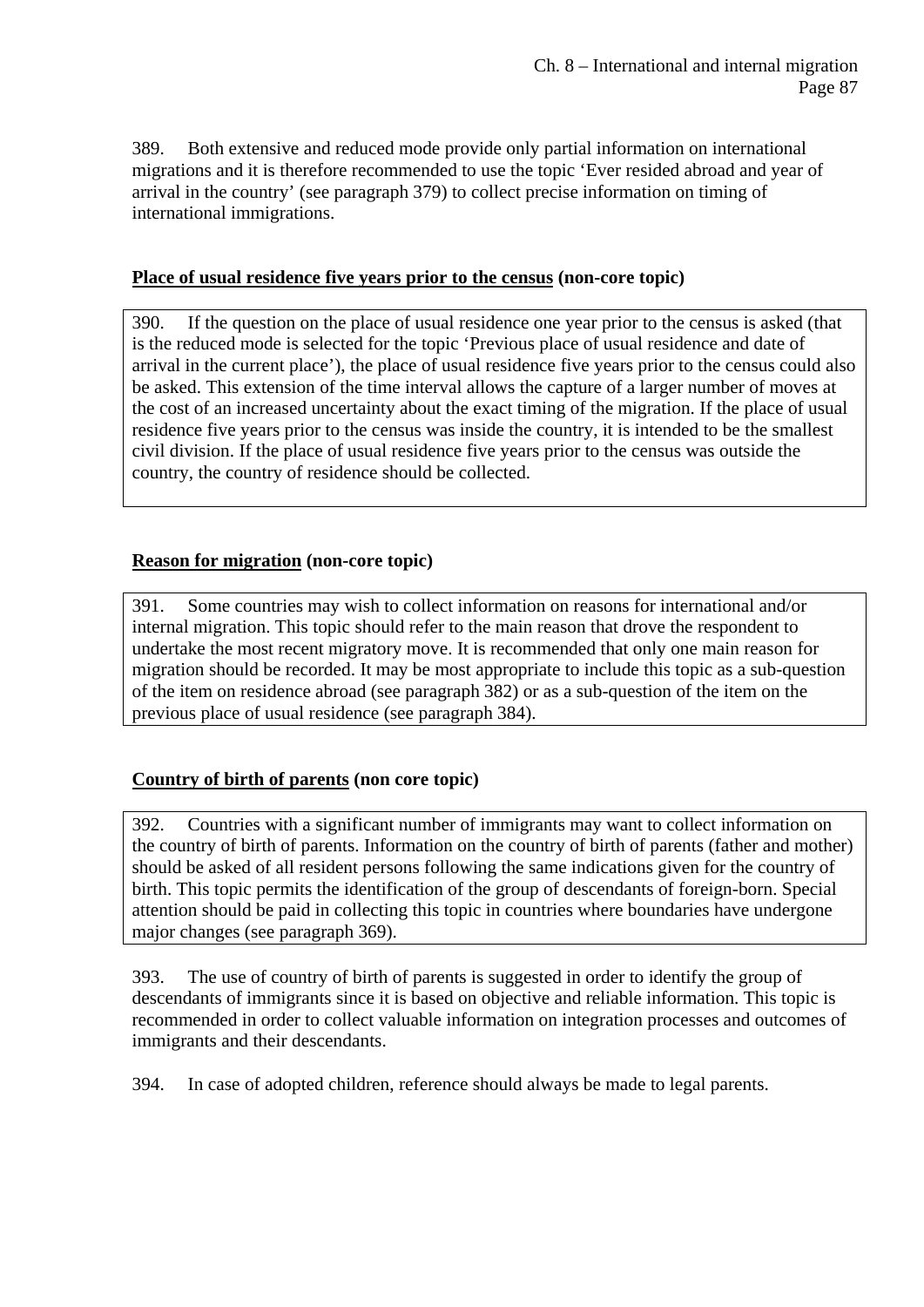389. Both extensive and reduced mode provide only partial information on international migrations and it is therefore recommended to use the topic 'Ever resided abroad and year of arrival in the country' (see paragraph [379](#page-84-0)) to collect precise information on timing of international immigrations.

#### **Place of usual residence five years prior to the census (non-core topic)**

390. If the question on the place of usual residence one year prior to the census is asked (that is the reduced mode is selected for the topic 'Previous place of usual residence and date of arrival in the current place'), the place of usual residence five years prior to the census could also be asked. This extension of the time interval allows the capture of a larger number of moves at the cost of an increased uncertainty about the exact timing of the migration. If the place of usual residence five years prior to the census was inside the country, it is intended to be the smallest civil division. If the place of usual residence five years prior to the census was outside the country, the country of residence should be collected.

#### **Reason for migration (non-core topic)**

391. Some countries may wish to collect information on reasons for international and/or internal migration. This topic should refer to the main reason that drove the respondent to undertake the most recent migratory move. It is recommended that only one main reason for migration should be recorded. It may be most appropriate to include this topic as a sub-question of the item on residence abroad (see paragraph [382](#page-84-0)) or as a sub-question of the item on the previous place of usual residence (see paragraph [384\)](#page-85-0).

### **Country of birth of parents (non core topic)**

392. Countries with a significant number of immigrants may want to collect information on the country of birth of parents. Information on the country of birth of parents (father and mother) should be asked of all resident persons following the same indications given for the country of birth. This topic permits the identification of the group of descendants of foreign-born. Special attention should be paid in collecting this topic in countries where boundaries have undergone major changes (see paragraph [369](#page-82-0)).

393. The use of country of birth of parents is suggested in order to identify the group of descendants of immigrants since it is based on objective and reliable information. This topic is recommended in order to collect valuable information on integration processes and outcomes of immigrants and their descendants.

394. In case of adopted children, reference should always be made to legal parents.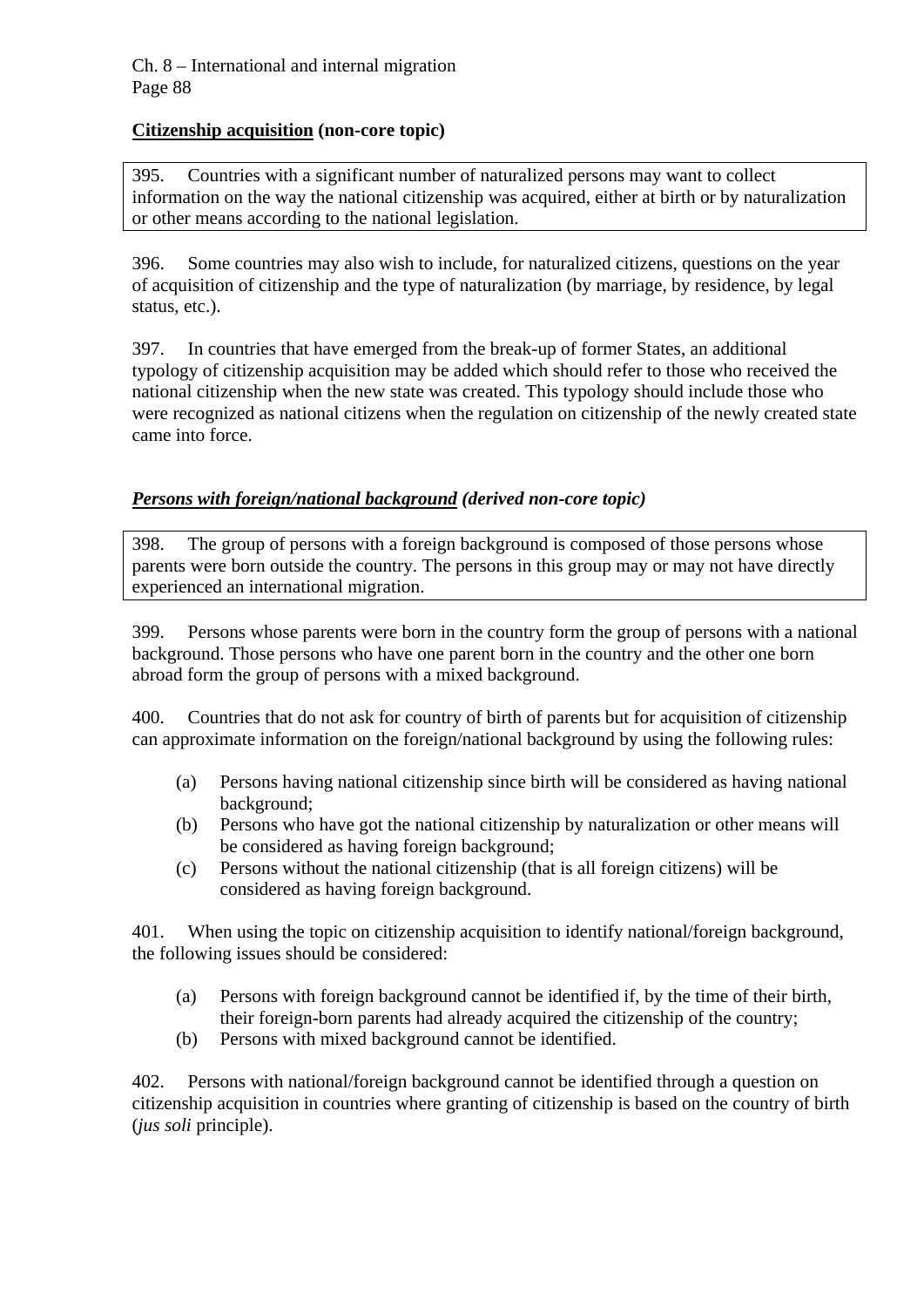<span id="page-87-0"></span>Ch. 8 – International and internal migration Page 88

### **Citizenship acquisition (non-core topic)**

395. Countries with a significant number of naturalized persons may want to collect information on the way the national citizenship was acquired, either at birth or by naturalization or other means according to the national legislation.

396. Some countries may also wish to include, for naturalized citizens, questions on the year of acquisition of citizenship and the type of naturalization (by marriage, by residence, by legal status, etc.).

397. In countries that have emerged from the break-up of former States, an additional typology of citizenship acquisition may be added which should refer to those who received the national citizenship when the new state was created. This typology should include those who were recognized as national citizens when the regulation on citizenship of the newly created state came into force.

### *Persons with foreign/national background (derived non-core topic)*

398. The group of persons with a foreign background is composed of those persons whose parents were born outside the country. The persons in this group may or may not have directly experienced an international migration.

399. Persons whose parents were born in the country form the group of persons with a national background. Those persons who have one parent born in the country and the other one born abroad form the group of persons with a mixed background.

400. Countries that do not ask for country of birth of parents but for acquisition of citizenship can approximate information on the foreign/national background by using the following rules:

- (a) Persons having national citizenship since birth will be considered as having national background;
- (b) Persons who have got the national citizenship by naturalization or other means will be considered as having foreign background;
- (c) Persons without the national citizenship (that is all foreign citizens) will be considered as having foreign background.

401. When using the topic on citizenship acquisition to identify national/foreign background, the following issues should be considered:

- (a) Persons with foreign background cannot be identified if, by the time of their birth, their foreign-born parents had already acquired the citizenship of the country;
- (b) Persons with mixed background cannot be identified.

402. Persons with national/foreign background cannot be identified through a question on citizenship acquisition in countries where granting of citizenship is based on the country of birth (*jus soli* principle).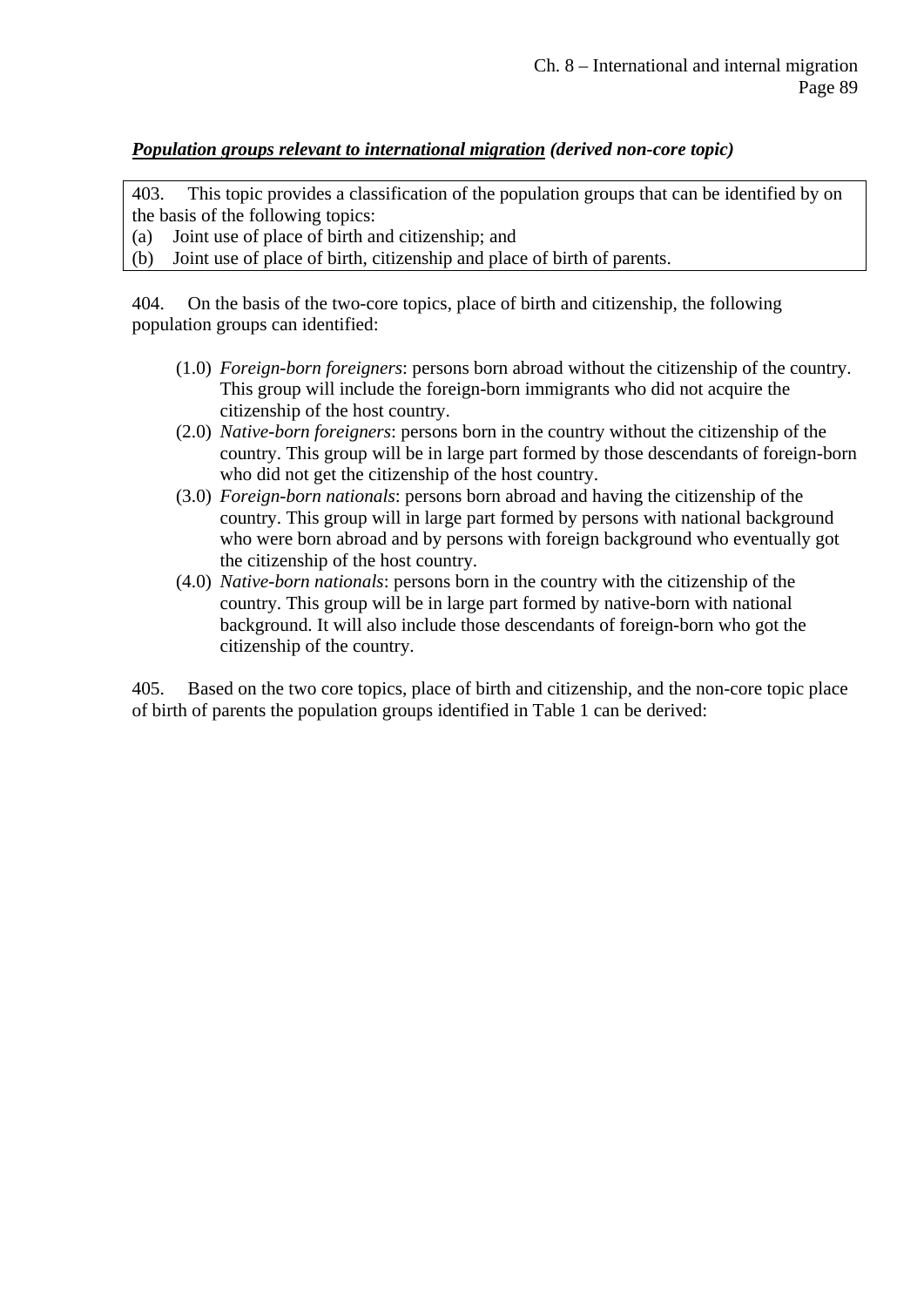### <span id="page-88-0"></span>*Population groups relevant to international migration (derived non-core topic)*

403. This topic provides a classification of the population groups that can be identified by on the basis of the following topics:

(a) Joint use of place of birth and citizenship; and

(b) Joint use of place of birth, citizenship and place of birth of parents.

404. On the basis of the two-core topics, place of birth and citizenship, the following population groups can identified:

- (1.0) *Foreign-born foreigners*: persons born abroad without the citizenship of the country. This group will include the foreign-born immigrants who did not acquire the citizenship of the host country.
- (2.0) *Native-born foreigners*: persons born in the country without the citizenship of the country. This group will be in large part formed by those descendants of foreign-born who did not get the citizenship of the host country.
- (3.0) *Foreign-born nationals*: persons born abroad and having the citizenship of the country. This group will in large part formed by persons with national background who were born abroad and by persons with foreign background who eventually got the citizenship of the host country.
- (4.0) *Native-born nationals*: persons born in the country with the citizenship of the country. This group will be in large part formed by native-born with national background. It will also include those descendants of foreign-born who got the citizenship of the country.

405. Based on the two core topics, place of birth and citizenship, and the non-core topic place of birth of parents the population groups identified in Table 1 can be derived: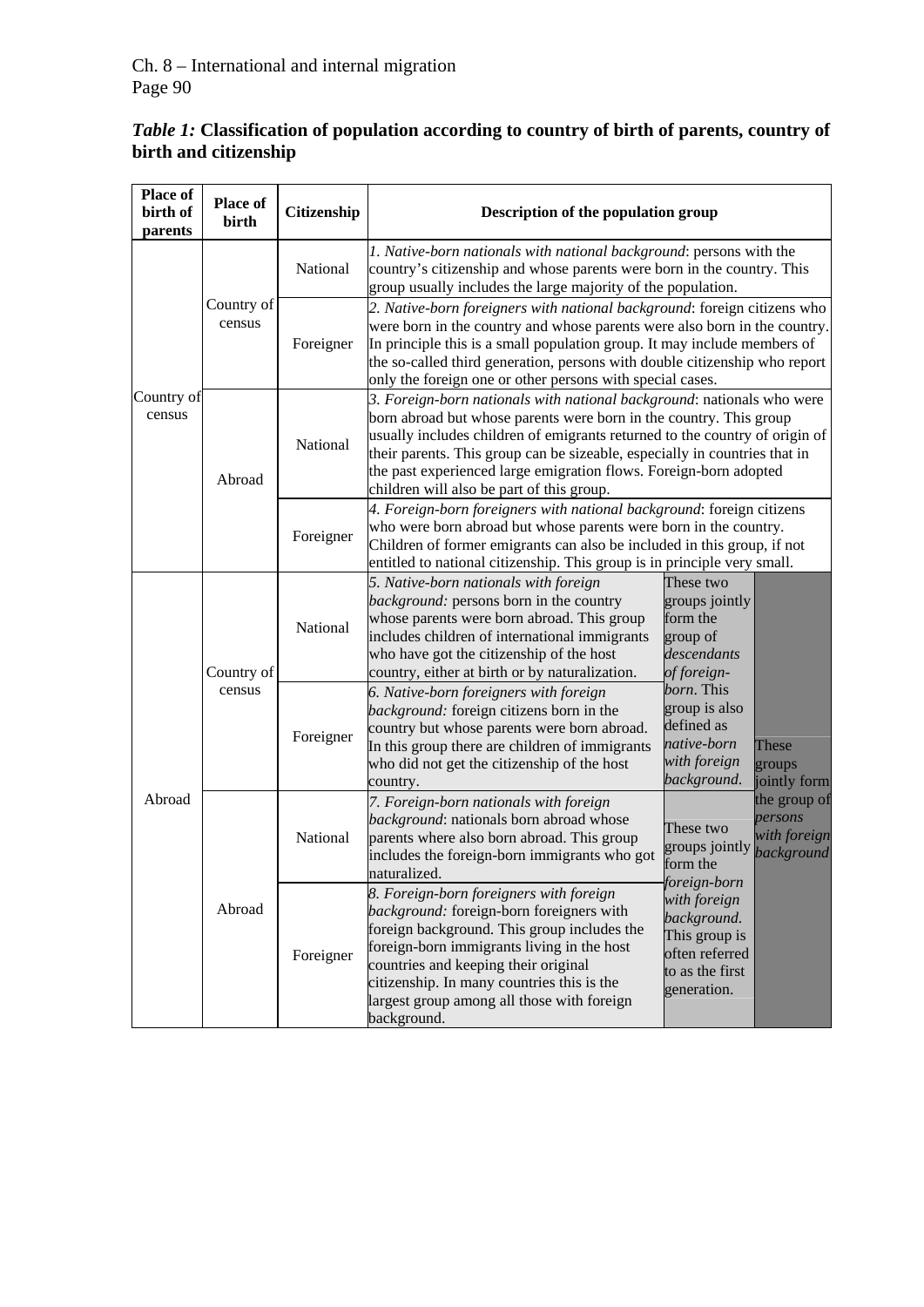# *Table 1:* **Classification of population according to country of birth of parents, country of birth and citizenship**

| Place of<br>birth of<br>parents | <b>Place of</b><br>birth | Citizenship | Description of the population group                                                                                                                                                                                                                                                                                                                                                                                         |                                                                                                                                                                                                                                                                                                                                             |                                                                                                 |
|---------------------------------|--------------------------|-------------|-----------------------------------------------------------------------------------------------------------------------------------------------------------------------------------------------------------------------------------------------------------------------------------------------------------------------------------------------------------------------------------------------------------------------------|---------------------------------------------------------------------------------------------------------------------------------------------------------------------------------------------------------------------------------------------------------------------------------------------------------------------------------------------|-------------------------------------------------------------------------------------------------|
| Country of<br>census            | Country of<br>census     | National    | 1. Native-born nationals with national background: persons with the<br>country's citizenship and whose parents were born in the country. This<br>group usually includes the large majority of the population.                                                                                                                                                                                                               |                                                                                                                                                                                                                                                                                                                                             |                                                                                                 |
|                                 |                          | Foreigner   | 2. Native-born foreigners with national background: foreign citizens who<br>were born in the country and whose parents were also born in the country.<br>In principle this is a small population group. It may include members of<br>the so-called third generation, persons with double citizenship who report<br>only the foreign one or other persons with special cases.                                                |                                                                                                                                                                                                                                                                                                                                             |                                                                                                 |
|                                 | Abroad                   | National    | 3. Foreign-born nationals with national background: nationals who were<br>born abroad but whose parents were born in the country. This group<br>usually includes children of emigrants returned to the country of origin of<br>their parents. This group can be sizeable, especially in countries that in<br>the past experienced large emigration flows. Foreign-born adopted<br>children will also be part of this group. |                                                                                                                                                                                                                                                                                                                                             |                                                                                                 |
|                                 |                          | Foreigner   | 4. Foreign-born foreigners with national background: foreign citizens<br>who were born abroad but whose parents were born in the country.<br>Children of former emigrants can also be included in this group, if not<br>entitled to national citizenship. This group is in principle very small.                                                                                                                            |                                                                                                                                                                                                                                                                                                                                             |                                                                                                 |
| Abroad                          | Country of<br>census     | National    | 5. Native-born nationals with foreign<br>background: persons born in the country<br>whose parents were born abroad. This group<br>includes children of international immigrants<br>who have got the citizenship of the host<br>country, either at birth or by naturalization.                                                                                                                                               | These two<br>groups jointly<br>form the<br>group of<br>descendants<br>of foreign-<br>born. This<br>group is also<br>defined as<br>native-born<br>with foreign<br>background.<br>These two<br>groups jointly<br>form the<br>foreign-born<br>with foreign<br>background.<br>This group is<br>often referred<br>to as the first<br>generation. |                                                                                                 |
|                                 |                          | Foreigner   | 6. Native-born foreigners with foreign<br>background: foreign citizens born in the<br>country but whose parents were born abroad.<br>In this group there are children of immigrants<br>who did not get the citizenship of the host<br>country.                                                                                                                                                                              |                                                                                                                                                                                                                                                                                                                                             | <b>These</b><br>groups<br>jointly form<br>the group of<br>persons<br>with foreign<br>background |
|                                 | Abroad                   | National    | 7. Foreign-born nationals with foreign<br>background: nationals born abroad whose<br>parents where also born abroad. This group<br>includes the foreign-born immigrants who got<br>naturalized.                                                                                                                                                                                                                             |                                                                                                                                                                                                                                                                                                                                             |                                                                                                 |
|                                 |                          | Foreigner   | 8. Foreign-born foreigners with foreign<br>background: foreign-born foreigners with<br>foreign background. This group includes the<br>foreign-born immigrants living in the host<br>countries and keeping their original<br>citizenship. In many countries this is the<br>largest group among all those with foreign<br>background.                                                                                         |                                                                                                                                                                                                                                                                                                                                             |                                                                                                 |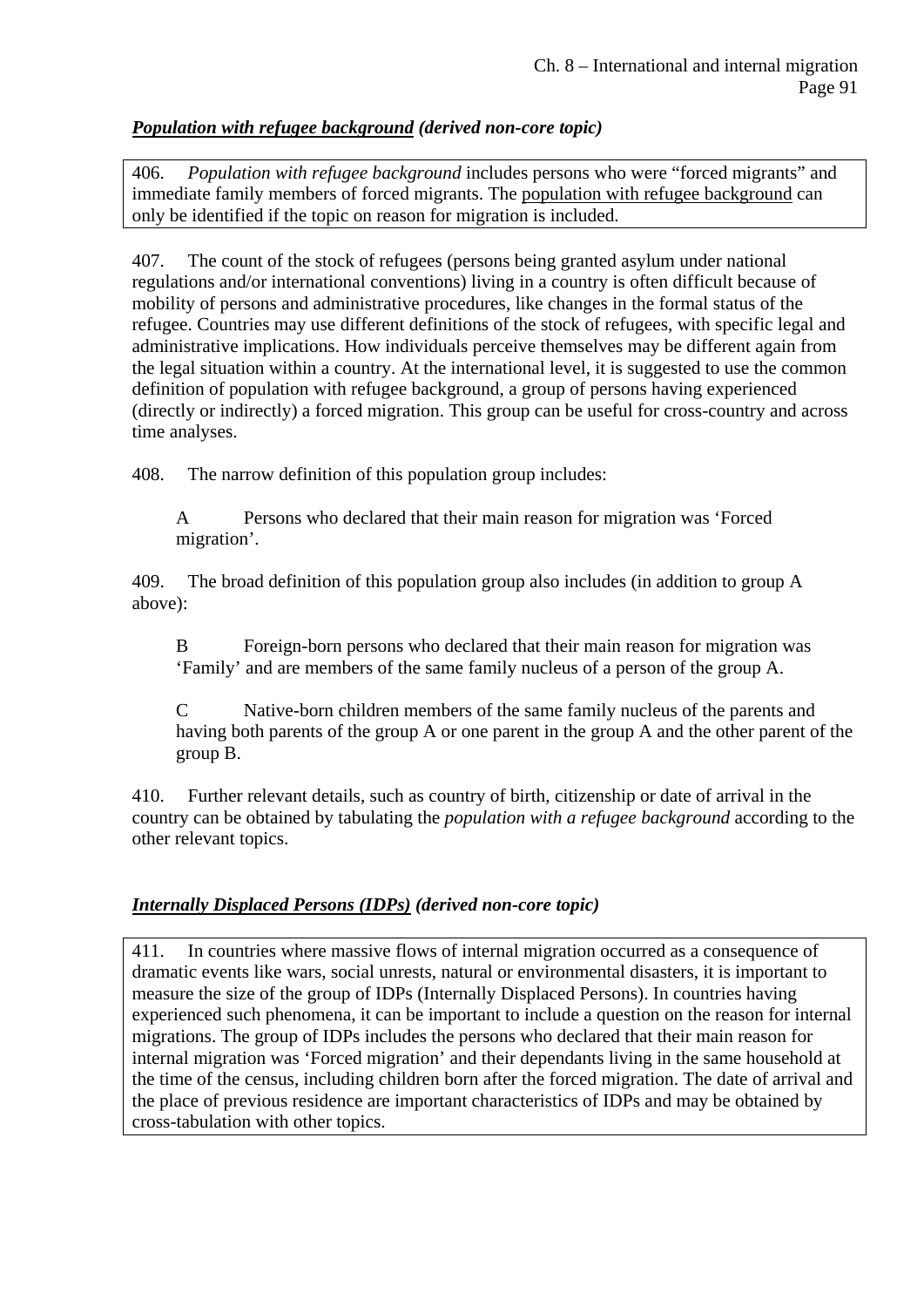# *Population with refugee background (derived non-core topic)*

406. *Population with refugee background* includes persons who were "forced migrants" and immediate family members of forced migrants. The population with refugee background can only be identified if the topic on reason for migration is included.

407. The count of the stock of refugees (persons being granted asylum under national regulations and/or international conventions) living in a country is often difficult because of mobility of persons and administrative procedures, like changes in the formal status of the refugee. Countries may use different definitions of the stock of refugees, with specific legal and administrative implications. How individuals perceive themselves may be different again from the legal situation within a country. At the international level, it is suggested to use the common definition of population with refugee background, a group of persons having experienced (directly or indirectly) a forced migration. This group can be useful for cross-country and across time analyses.

408. The narrow definition of this population group includes:

A Persons who declared that their main reason for migration was 'Forced migration'.

409. The broad definition of this population group also includes (in addition to group A above):

B Foreign-born persons who declared that their main reason for migration was 'Family' and are members of the same family nucleus of a person of the group A.

C Native-born children members of the same family nucleus of the parents and having both parents of the group A or one parent in the group A and the other parent of the group B.

410. Further relevant details, such as country of birth, citizenship or date of arrival in the country can be obtained by tabulating the *population with a refugee background* according to the other relevant topics.

# *Internally Displaced Persons (IDPs) (derived non-core topic)*

411. In countries where massive flows of internal migration occurred as a consequence of dramatic events like wars, social unrests, natural or environmental disasters, it is important to measure the size of the group of IDPs (Internally Displaced Persons). In countries having experienced such phenomena, it can be important to include a question on the reason for internal migrations. The group of IDPs includes the persons who declared that their main reason for internal migration was 'Forced migration' and their dependants living in the same household at the time of the census, including children born after the forced migration. The date of arrival and the place of previous residence are important characteristics of IDPs and may be obtained by cross-tabulation with other topics.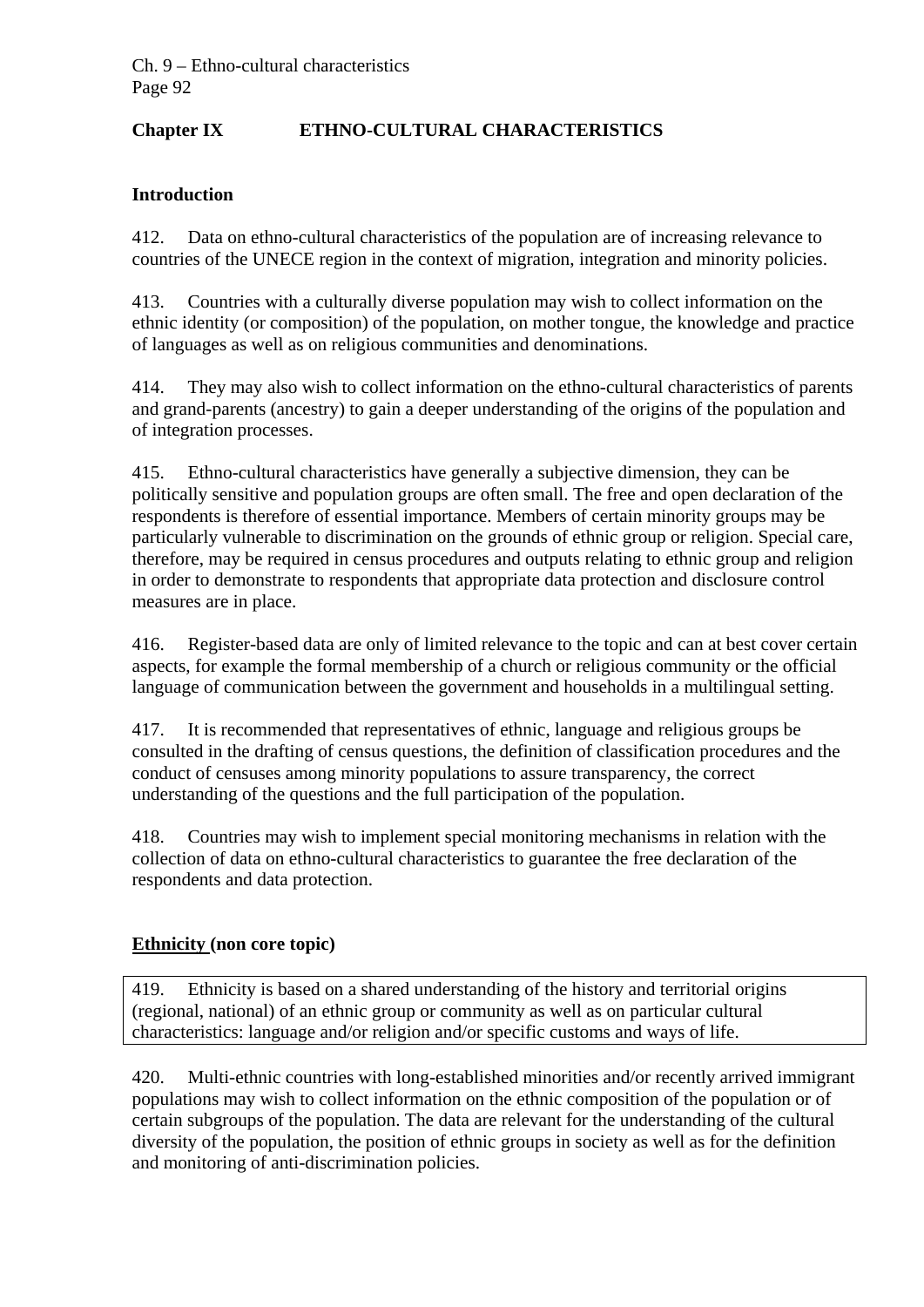# **Chapter IX ETHNO-CULTURAL CHARACTERISTICS**

# **Introduction**

412. Data on ethno-cultural characteristics of the population are of increasing relevance to countries of the UNECE region in the context of migration, integration and minority policies.

413. Countries with a culturally diverse population may wish to collect information on the ethnic identity (or composition) of the population, on mother tongue, the knowledge and practice of languages as well as on religious communities and denominations.

414. They may also wish to collect information on the ethno-cultural characteristics of parents and grand-parents (ancestry) to gain a deeper understanding of the origins of the population and of integration processes.

415. Ethno-cultural characteristics have generally a subjective dimension, they can be politically sensitive and population groups are often small. The free and open declaration of the respondents is therefore of essential importance. Members of certain minority groups may be particularly vulnerable to discrimination on the grounds of ethnic group or religion. Special care, therefore, may be required in census procedures and outputs relating to ethnic group and religion in order to demonstrate to respondents that appropriate data protection and disclosure control measures are in place.

416. Register-based data are only of limited relevance to the topic and can at best cover certain aspects, for example the formal membership of a church or religious community or the official language of communication between the government and households in a multilingual setting.

417. It is recommended that representatives of ethnic, language and religious groups be consulted in the drafting of census questions, the definition of classification procedures and the conduct of censuses among minority populations to assure transparency, the correct understanding of the questions and the full participation of the population.

418. Countries may wish to implement special monitoring mechanisms in relation with the collection of data on ethno-cultural characteristics to guarantee the free declaration of the respondents and data protection.

# **Ethnicity (non core topic)**

419. Ethnicity is based on a shared understanding of the history and territorial origins (regional, national) of an ethnic group or community as well as on particular cultural characteristics: language and/or religion and/or specific customs and ways of life.

420. Multi-ethnic countries with long-established minorities and/or recently arrived immigrant populations may wish to collect information on the ethnic composition of the population or of certain subgroups of the population. The data are relevant for the understanding of the cultural diversity of the population, the position of ethnic groups in society as well as for the definition and monitoring of anti-discrimination policies.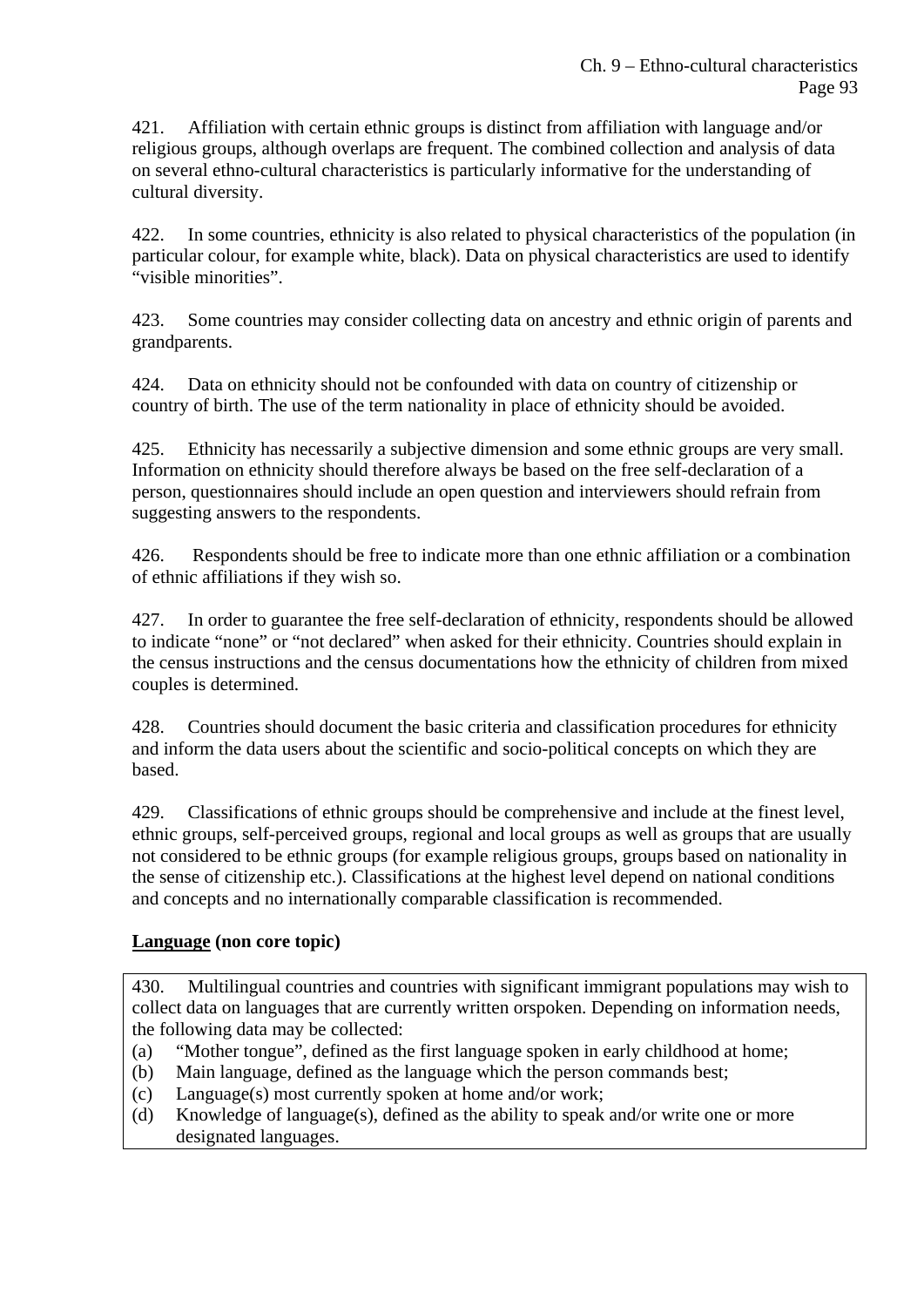421. Affiliation with certain ethnic groups is distinct from affiliation with language and/or religious groups, although overlaps are frequent. The combined collection and analysis of data on several ethno-cultural characteristics is particularly informative for the understanding of cultural diversity.

422. In some countries, ethnicity is also related to physical characteristics of the population (in particular colour, for example white, black). Data on physical characteristics are used to identify "visible minorities".

423. Some countries may consider collecting data on ancestry and ethnic origin of parents and grandparents.

424. Data on ethnicity should not be confounded with data on country of citizenship or country of birth. The use of the term nationality in place of ethnicity should be avoided.

425. Ethnicity has necessarily a subjective dimension and some ethnic groups are very small. Information on ethnicity should therefore always be based on the free self-declaration of a person, questionnaires should include an open question and interviewers should refrain from suggesting answers to the respondents.

426. Respondents should be free to indicate more than one ethnic affiliation or a combination of ethnic affiliations if they wish so.

427. In order to guarantee the free self-declaration of ethnicity, respondents should be allowed to indicate "none" or "not declared" when asked for their ethnicity. Countries should explain in the census instructions and the census documentations how the ethnicity of children from mixed couples is determined.

428. Countries should document the basic criteria and classification procedures for ethnicity and inform the data users about the scientific and socio-political concepts on which they are based.

429. Classifications of ethnic groups should be comprehensive and include at the finest level, ethnic groups, self-perceived groups, regional and local groups as well as groups that are usually not considered to be ethnic groups (for example religious groups, groups based on nationality in the sense of citizenship etc.). Classifications at the highest level depend on national conditions and concepts and no internationally comparable classification is recommended.

# **Language (non core topic)**

430. Multilingual countries and countries with significant immigrant populations may wish to collect data on languages that are currently written orspoken. Depending on information needs, the following data may be collected:

- (a) "Mother tongue", defined as the first language spoken in early childhood at home;
- (b) Main language, defined as the language which the person commands best;
- (c) Language(s) most currently spoken at home and/or work;
- (d) Knowledge of language(s), defined as the ability to speak and/or write one or more designated languages.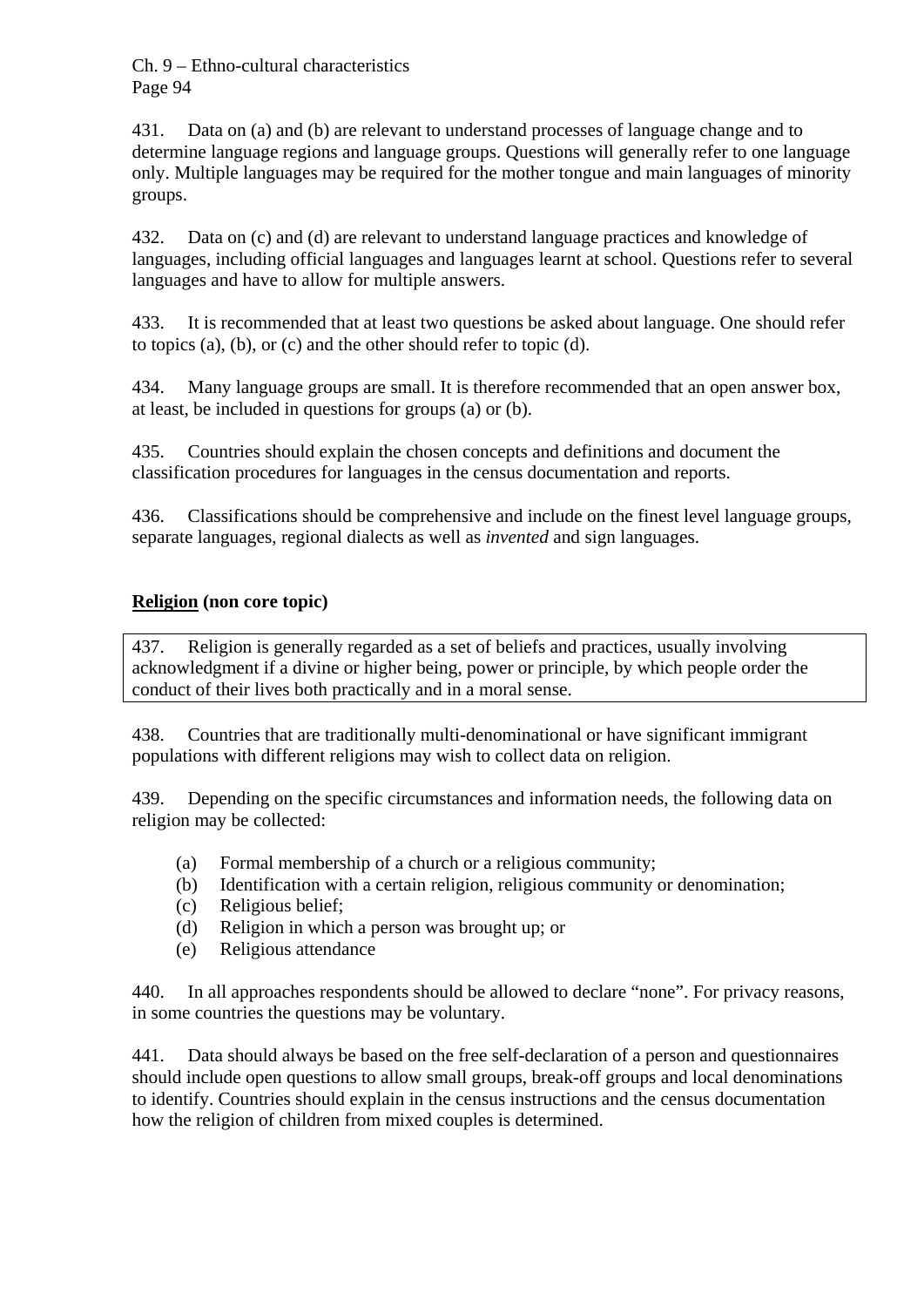Ch. 9 – Ethno-cultural characteristics Page 94

431. Data on (a) and (b) are relevant to understand processes of language change and to determine language regions and language groups. Questions will generally refer to one language only. Multiple languages may be required for the mother tongue and main languages of minority groups.

432. Data on (c) and (d) are relevant to understand language practices and knowledge of languages, including official languages and languages learnt at school. Questions refer to several languages and have to allow for multiple answers.

433. It is recommended that at least two questions be asked about language. One should refer to topics (a), (b), or (c) and the other should refer to topic (d).

434. Many language groups are small. It is therefore recommended that an open answer box, at least, be included in questions for groups (a) or (b).

435. Countries should explain the chosen concepts and definitions and document the classification procedures for languages in the census documentation and reports.

436. Classifications should be comprehensive and include on the finest level language groups, separate languages, regional dialects as well as *invented* and sign languages.

### **Religion (non core topic)**

437. Religion is generally regarded as a set of beliefs and practices, usually involving acknowledgment if a divine or higher being, power or principle, by which people order the conduct of their lives both practically and in a moral sense.

438. Countries that are traditionally multi-denominational or have significant immigrant populations with different religions may wish to collect data on religion.

439. Depending on the specific circumstances and information needs, the following data on religion may be collected:

- (a) Formal membership of a church or a religious community;
- (b) Identification with a certain religion, religious community or denomination;
- (c) Religious belief;
- (d) Religion in which a person was brought up; or
- (e) Religious attendance

440. In all approaches respondents should be allowed to declare "none". For privacy reasons, in some countries the questions may be voluntary.

441. Data should always be based on the free self-declaration of a person and questionnaires should include open questions to allow small groups, break-off groups and local denominations to identify. Countries should explain in the census instructions and the census documentation how the religion of children from mixed couples is determined.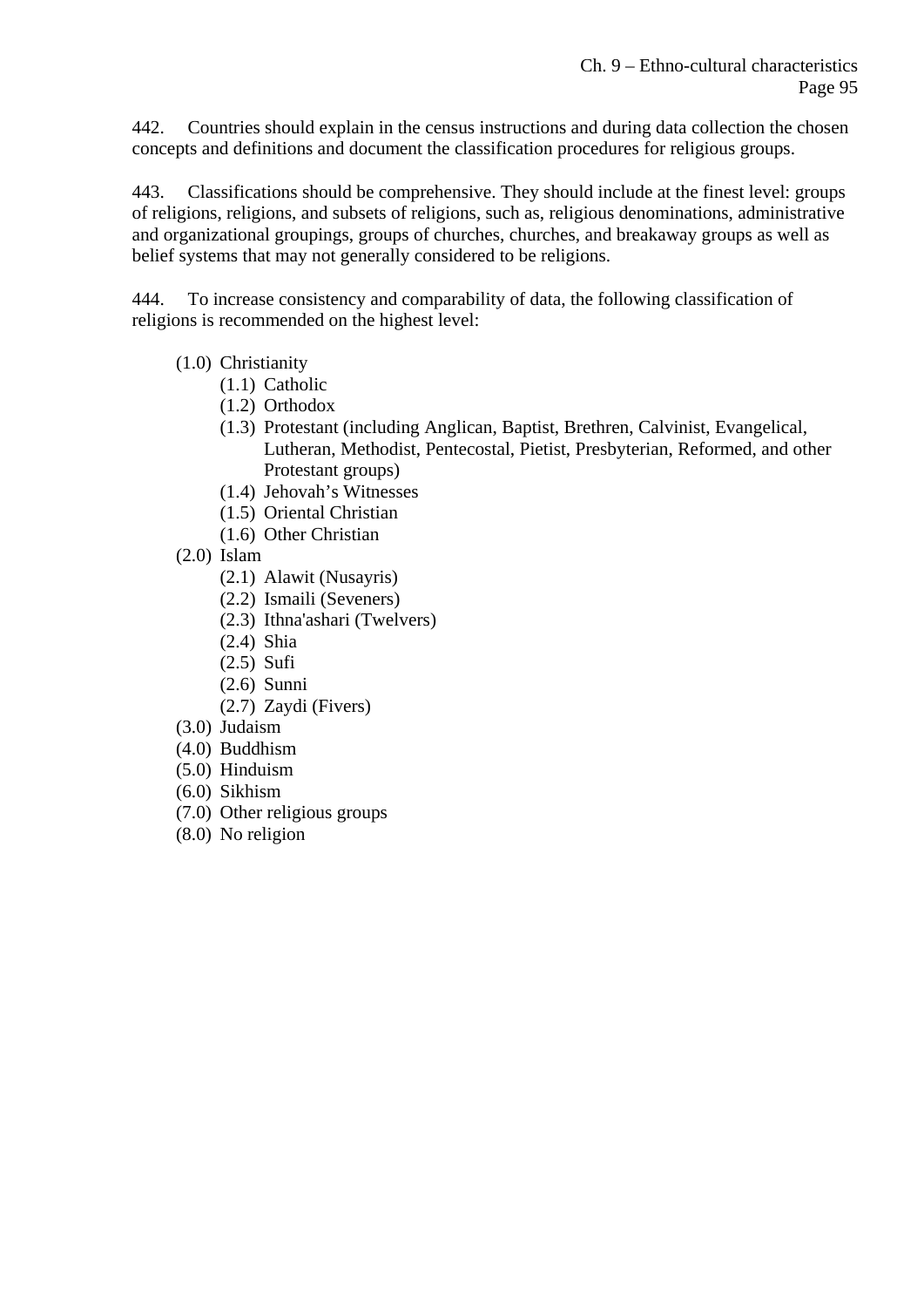442. Countries should explain in the census instructions and during data collection the chosen concepts and definitions and document the classification procedures for religious groups.

443. Classifications should be comprehensive. They should include at the finest level: groups of religions, religions, and subsets of religions, such as, religious denominations, administrative and organizational groupings, groups of churches, churches, and breakaway groups as well as belief systems that may not generally considered to be religions.

444. To increase consistency and comparability of data, the following classification of religions is recommended on the highest level:

#### (1.0) Christianity

- (1.1) Catholic
- (1.2) Orthodox
- (1.3) Protestant (including Anglican, Baptist, Brethren, Calvinist, Evangelical, Lutheran, Methodist, Pentecostal, Pietist, Presbyterian, Reformed, and other Protestant groups)
- (1.4) Jehovah's Witnesses
- (1.5) Oriental Christian
- (1.6) Other Christian
- (2.0) Islam
	- (2.1) Alawit (Nusayris)
	- (2.2) Ismaili (Seveners)
	- (2.3) Ithna'ashari (Twelvers)
	- (2.4) Shia
	- (2.5) Sufi
	- (2.6) Sunni
	- (2.7) Zaydi (Fivers)
- (3.0) Judaism
- (4.0) Buddhism
- (5.0) Hinduism
- (6.0) Sikhism
- (7.0) Other religious groups
- (8.0) No religion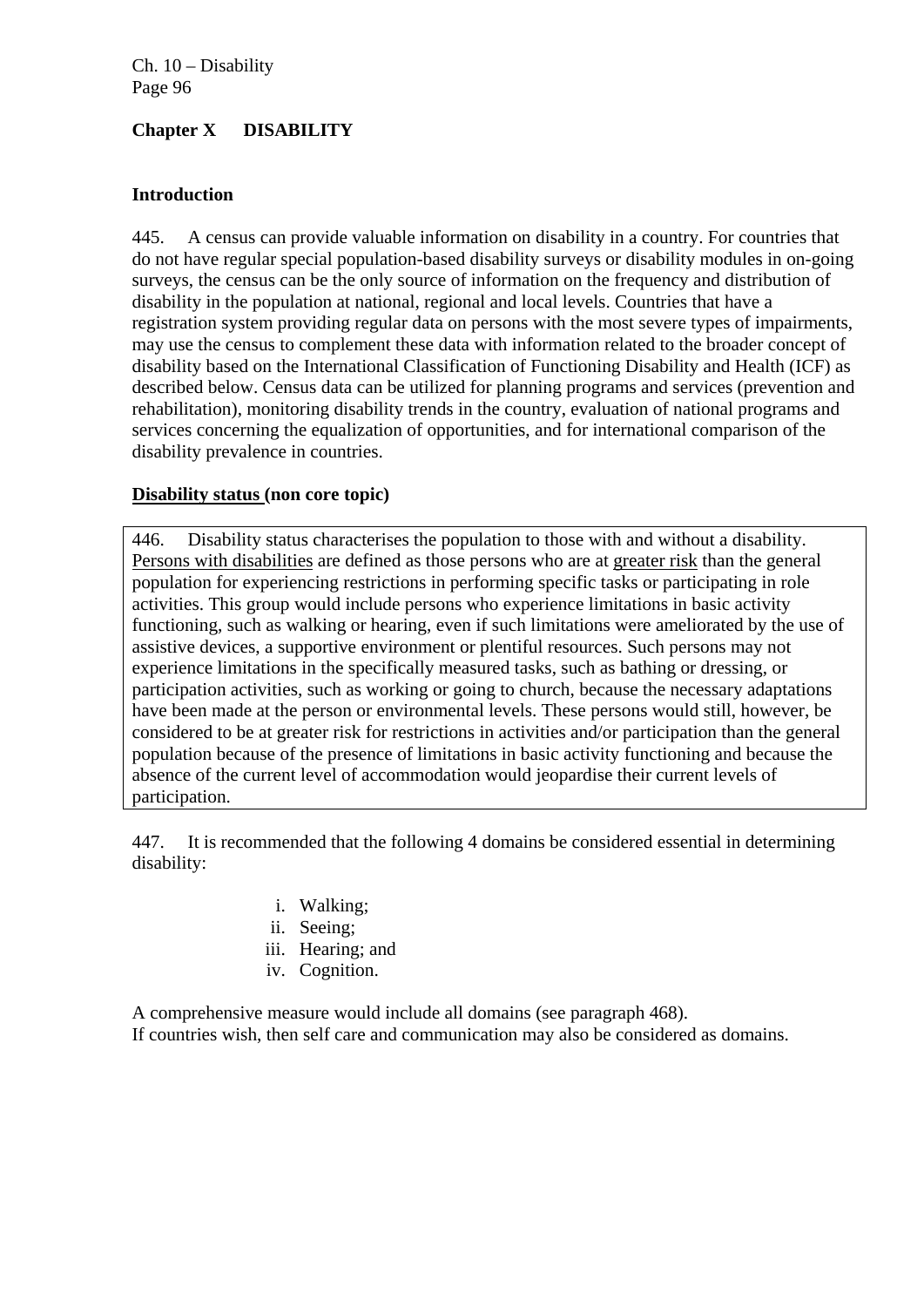<span id="page-95-0"></span>Ch. 10 – Disability Page 96

### **Chapter X DISABILITY**

#### **Introduction**

445. A census can provide valuable information on disability in a country. For countries that do not have regular special population-based disability surveys or disability modules in on-going surveys, the census can be the only source of information on the frequency and distribution of disability in the population at national, regional and local levels. Countries that have a registration system providing regular data on persons with the most severe types of impairments, may use the census to complement these data with information related to the broader concept of disability based on the International Classification of Functioning Disability and Health (ICF) as described below. Census data can be utilized for planning programs and services (prevention and rehabilitation), monitoring disability trends in the country, evaluation of national programs and services concerning the equalization of opportunities, and for international comparison of the disability prevalence in countries.

#### **Disability status (non core topic)**

446. Disability status characterises the population to those with and without a disability. Persons with disabilities are defined as those persons who are at greater risk than the general population for experiencing restrictions in performing specific tasks or participating in role activities. This group would include persons who experience limitations in basic activity functioning, such as walking or hearing, even if such limitations were ameliorated by the use of assistive devices, a supportive environment or plentiful resources. Such persons may not experience limitations in the specifically measured tasks, such as bathing or dressing, or participation activities, such as working or going to church, because the necessary adaptations have been made at the person or environmental levels. These persons would still, however, be considered to be at greater risk for restrictions in activities and/or participation than the general population because of the presence of limitations in basic activity functioning and because the absence of the current level of accommodation would jeopardise their current levels of participation.

447. It is recommended that the following 4 domains be considered essential in determining disability:

- i. Walking;
- ii. Seeing;
- iii. Hearing; and
- iv. Cognition.

A comprehensive measure would include all domains (see paragraph [468\)](#page-99-0). If countries wish, then self care and communication may also be considered as domains.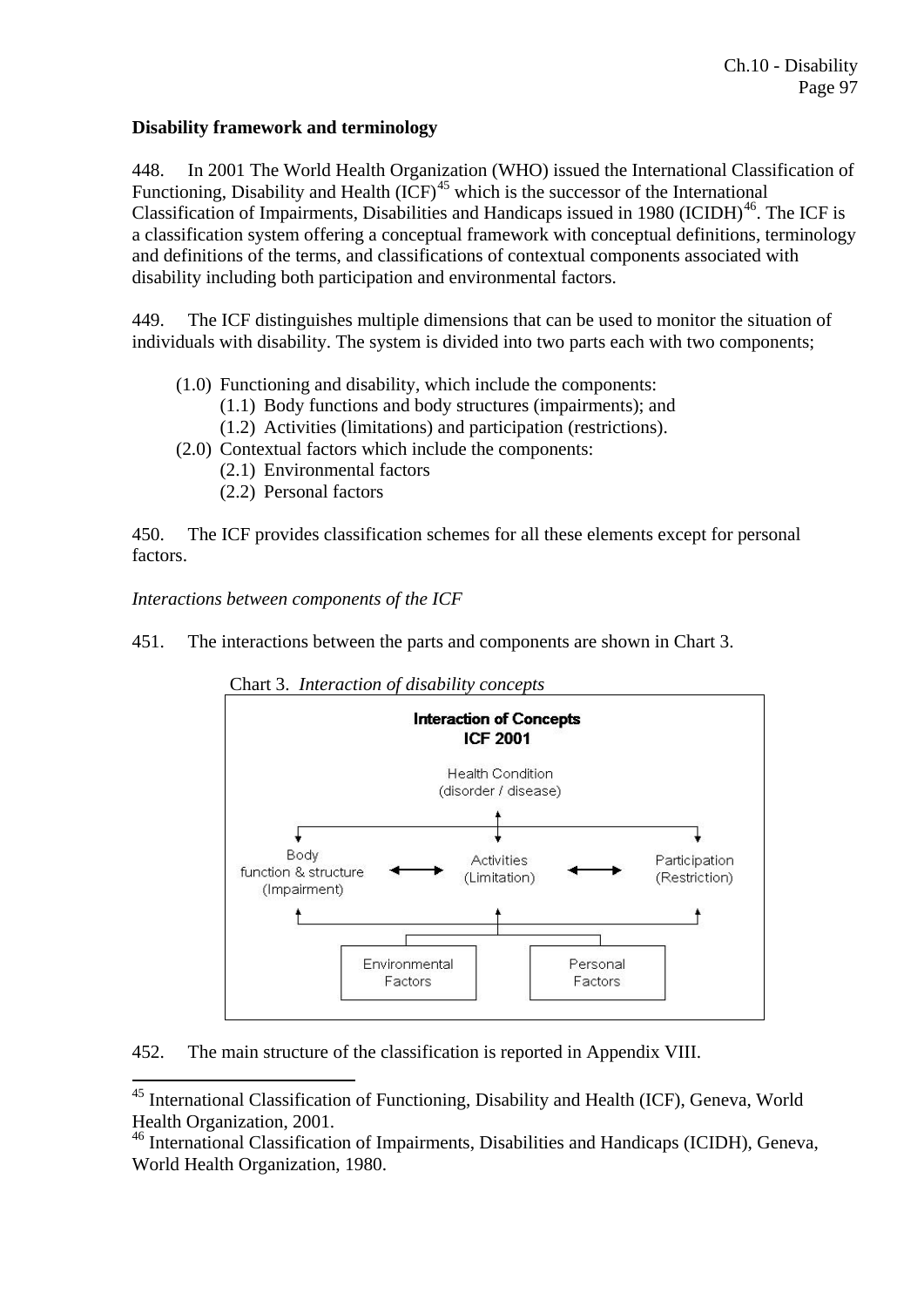### <span id="page-96-0"></span>**Disability framework and terminology**

448. In 2001 The World Health Organization (WHO) issued the International Classification of Functioning, Disability and Health  $\overline{(ICF)}^{45}$  $\overline{(ICF)}^{45}$  $\overline{(ICF)}^{45}$  which is the successor of the International Classification of Impairments, Disabilities and Handicaps issued in 1980 (ICIDH)<sup>[46](#page-96-0)</sup>. The ICF is a classification system offering a conceptual framework with conceptual definitions, terminology and definitions of the terms, and classifications of contextual components associated with disability including both participation and environmental factors.

449. The ICF distinguishes multiple dimensions that can be used to monitor the situation of individuals with disability. The system is divided into two parts each with two components;

- (1.0) Functioning and disability, which include the components:
	- (1.1) Body functions and body structures (impairments); and
	- (1.2) Activities (limitations) and participation (restrictions).
- (2.0) Contextual factors which include the components:
	- (2.1) Environmental factors
	- (2.2) Personal factors

450. The ICF provides classification schemes for all these elements except for personal factors.

*Interactions between components of the ICF* 

1

451. The interactions between the parts and components are shown in Chart 3.



Chart 3. *Interaction of disability concepts*

452. The main structure of the classification is reported in Appendix VIII.

<sup>&</sup>lt;sup>45</sup> International Classification of Functioning, Disability and Health (ICF), Geneva, World Health Organization, 2001.

<sup>46</sup> International Classification of Impairments, Disabilities and Handicaps (ICIDH), Geneva, World Health Organization, 1980.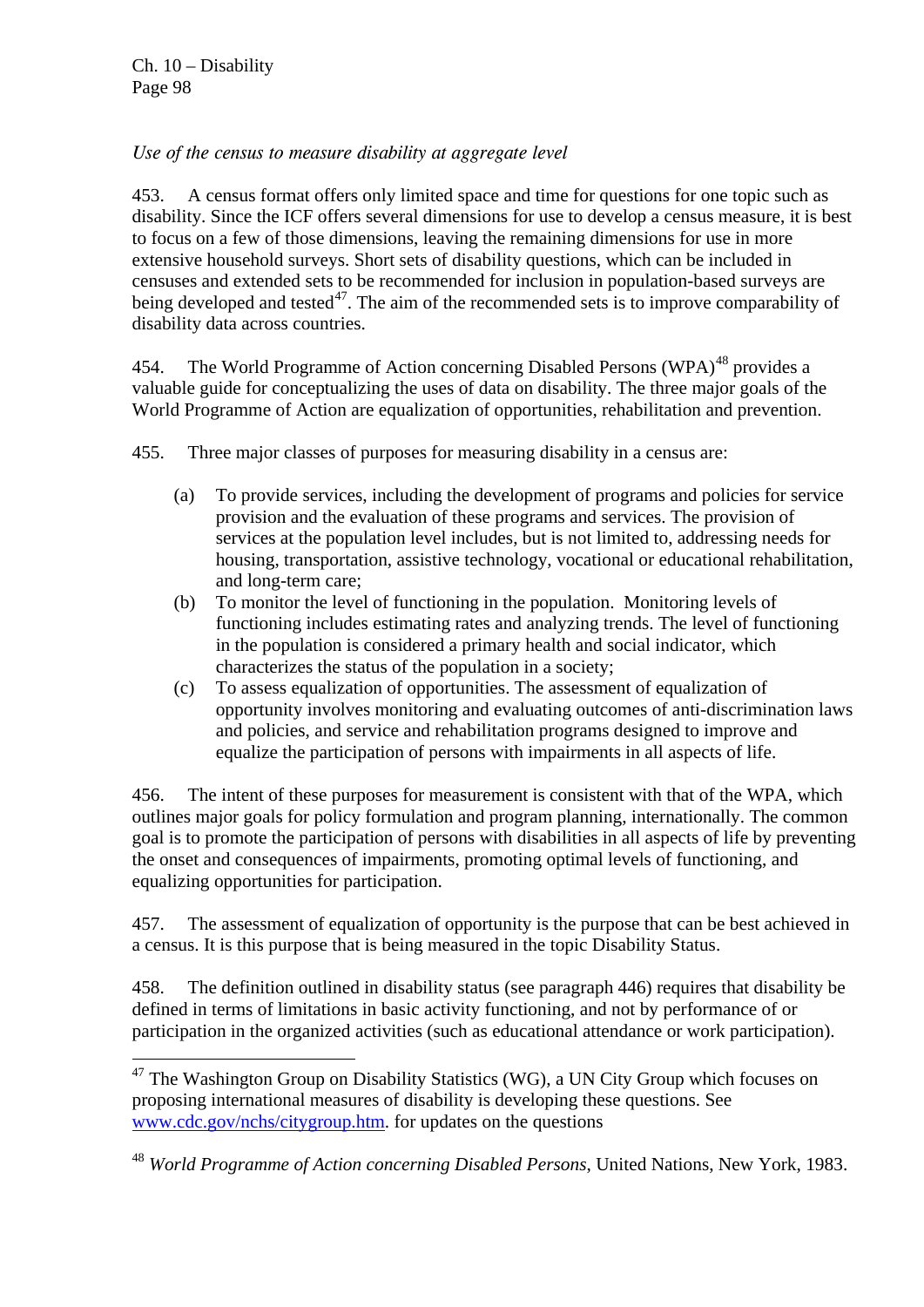1

# <span id="page-97-0"></span>*Use of the census to measure disability at aggregate level*

453. A census format offers only limited space and time for questions for one topic such as disability. Since the ICF offers several dimensions for use to develop a census measure, it is best to focus on a few of those dimensions, leaving the remaining dimensions for use in more extensive household surveys. Short sets of disability questions, which can be included in censuses and extended sets to be recommended for inclusion in population-based surveys are being developed and tested<sup>[47](#page-97-0)</sup>. The aim of the recommended sets is to improve comparability of disability data across countries.

454. The World Programme of Action concerning Disabled Persons (WPA)<sup>[48](#page-97-0)</sup> provides a valuable guide for conceptualizing the uses of data on disability. The three major goals of the World Programme of Action are equalization of opportunities, rehabilitation and prevention.

- 455. Three major classes of purposes for measuring disability in a census are:
	- (a) To provide services, including the development of programs and policies for service provision and the evaluation of these programs and services. The provision of services at the population level includes, but is not limited to, addressing needs for housing, transportation, assistive technology, vocational or educational rehabilitation, and long-term care;
	- (b) To monitor the level of functioning in the population. Monitoring levels of functioning includes estimating rates and analyzing trends. The level of functioning in the population is considered a primary health and social indicator, which characterizes the status of the population in a society;
	- (c) To assess equalization of opportunities. The assessment of equalization of opportunity involves monitoring and evaluating outcomes of anti-discrimination laws and policies, and service and rehabilitation programs designed to improve and equalize the participation of persons with impairments in all aspects of life.

456. The intent of these purposes for measurement is consistent with that of the WPA, which outlines major goals for policy formulation and program planning, internationally. The common goal is to promote the participation of persons with disabilities in all aspects of life by preventing the onset and consequences of impairments, promoting optimal levels of functioning, and equalizing opportunities for participation.

457. The assessment of equalization of opportunity is the purpose that can be best achieved in a census. It is this purpose that is being measured in the topic Disability Status.

458. The definition outlined in disability status (see paragraph [446](#page-95-0)) requires that disability be defined in terms of limitations in basic activity functioning, and not by performance of or participation in the organized activities (such as educational attendance or work participation).

 $47$  The Washington Group on Disability Statistics (WG), a UN City Group which focuses on proposing international measures of disability is developing these questions. See www.cdc.gov/nchs/citygroup.htm. for updates on the questions

<sup>48</sup> *World Programme of Action concerning Disabled Persons*, United Nations, New York, 1983.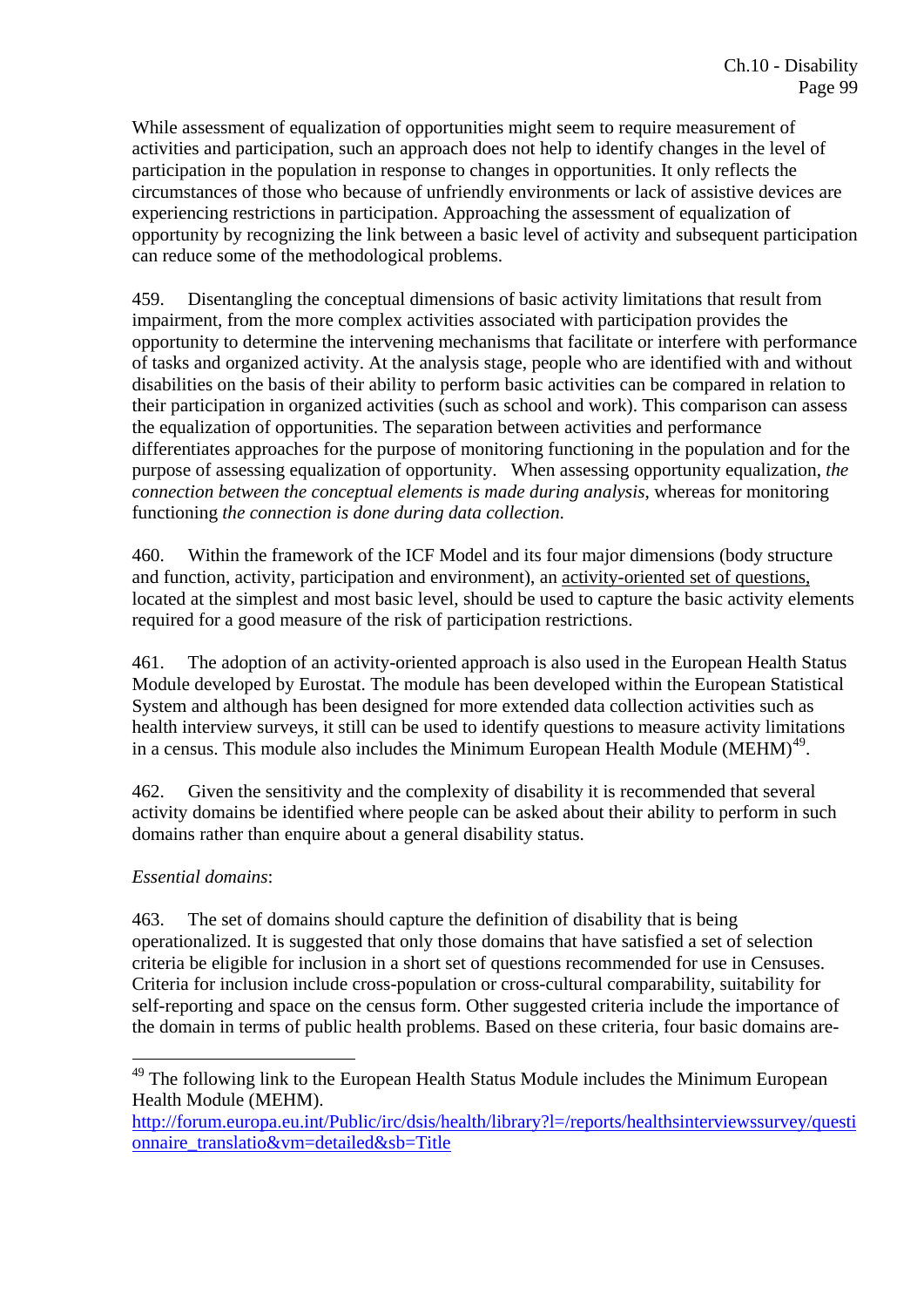<span id="page-98-0"></span>While assessment of equalization of opportunities might seem to require measurement of activities and participation, such an approach does not help to identify changes in the level of participation in the population in response to changes in opportunities. It only reflects the circumstances of those who because of unfriendly environments or lack of assistive devices are experiencing restrictions in participation. Approaching the assessment of equalization of opportunity by recognizing the link between a basic level of activity and subsequent participation can reduce some of the methodological problems.

459. Disentangling the conceptual dimensions of basic activity limitations that result from impairment, from the more complex activities associated with participation provides the opportunity to determine the intervening mechanisms that facilitate or interfere with performance of tasks and organized activity. At the analysis stage, people who are identified with and without disabilities on the basis of their ability to perform basic activities can be compared in relation to their participation in organized activities (such as school and work). This comparison can assess the equalization of opportunities. The separation between activities and performance differentiates approaches for the purpose of monitoring functioning in the population and for the purpose of assessing equalization of opportunity. When assessing opportunity equalization, *the connection between the conceptual elements is made during analysis*, whereas for monitoring functioning *the connection is done during data collection*.

460. Within the framework of the ICF Model and its four major dimensions (body structure and function, activity, participation and environment), an activity-oriented set of questions, located at the simplest and most basic level, should be used to capture the basic activity elements required for a good measure of the risk of participation restrictions.

461. The adoption of an activity-oriented approach is also used in the European Health Status Module developed by Eurostat. The module has been developed within the European Statistical System and although has been designed for more extended data collection activities such as health interview surveys, it still can be used to identify questions to measure activity limitations in a census. This module also includes the Minimum European Health Module (MEHM)<sup>[4](#page-98-0)9</sup>.

462. Given the sensitivity and the complexity of disability it is recommended that several activity domains be identified where people can be asked about their ability to perform in such domains rather than enquire about a general disability status.

### *Essential domains*:

1

463. The set of domains should capture the definition of disability that is being operationalized. It is suggested that only those domains that have satisfied a set of selection criteria be eligible for inclusion in a short set of questions recommended for use in Censuses. Criteria for inclusion include cross-population or cross-cultural comparability, suitability for self-reporting and space on the census form. Other suggested criteria include the importance of the domain in terms of public health problems. Based on these criteria, four basic domains are-

 $49$  The following link to the European Health Status Module includes the Minimum European Health Module (MEHM).

http://forum.europa.eu.int/Public/irc/dsis/health/library?l=/reports/healthsinterviewssurvey/questi onnaire\_translatio&vm=detailed&sb=Title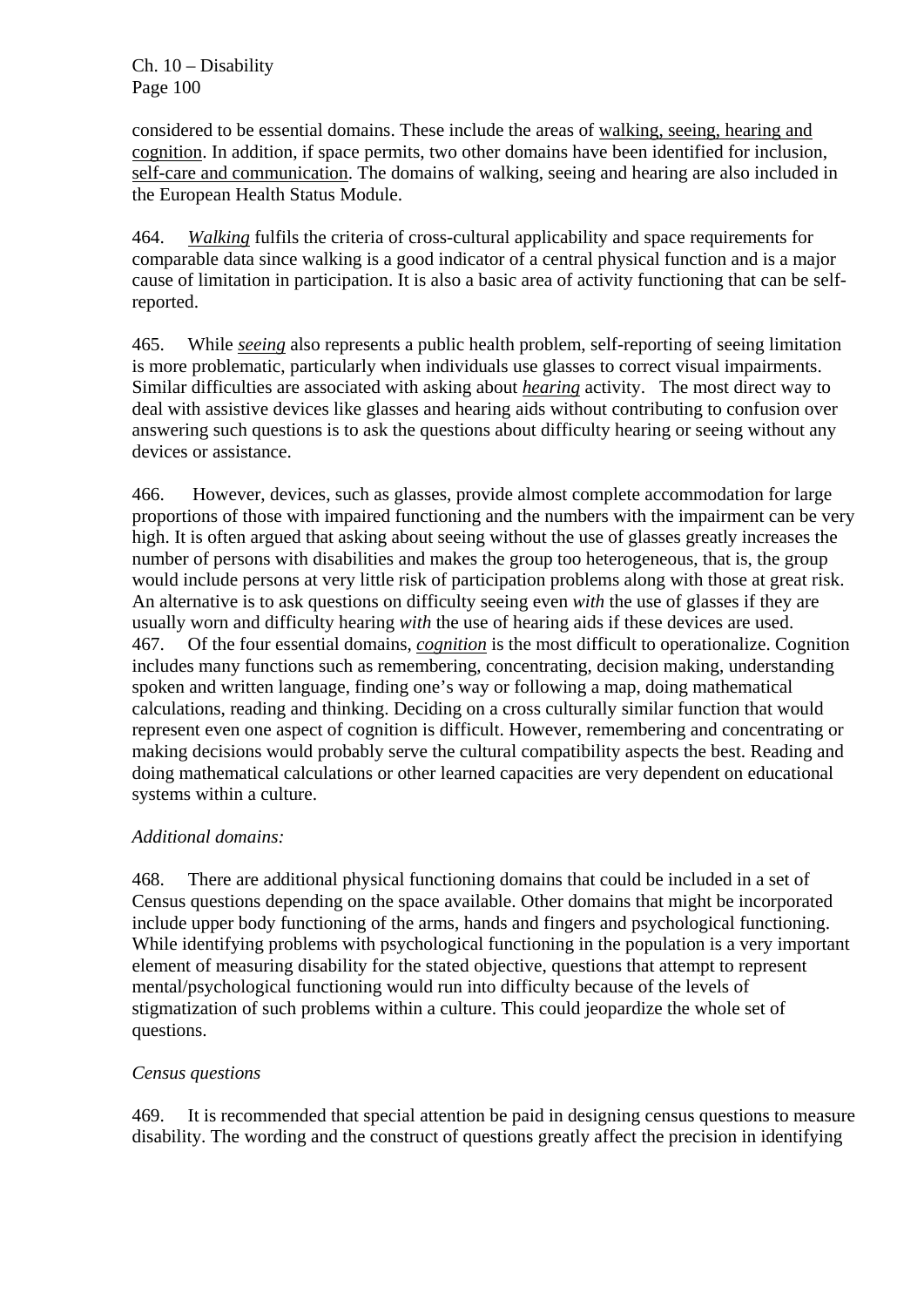<span id="page-99-0"></span>considered to be essential domains. These include the areas of walking, seeing, hearing and cognition. In addition, if space permits, two other domains have been identified for inclusion, self-care and communication. The domains of walking, seeing and hearing are also included in the European Health Status Module.

464. *Walking* fulfils the criteria of cross-cultural applicability and space requirements for comparable data since walking is a good indicator of a central physical function and is a major cause of limitation in participation. It is also a basic area of activity functioning that can be selfreported.

465. While *seeing* also represents a public health problem, self-reporting of seeing limitation is more problematic, particularly when individuals use glasses to correct visual impairments. Similar difficulties are associated with asking about *hearing* activity. The most direct way to deal with assistive devices like glasses and hearing aids without contributing to confusion over answering such questions is to ask the questions about difficulty hearing or seeing without any devices or assistance.

466. However, devices, such as glasses, provide almost complete accommodation for large proportions of those with impaired functioning and the numbers with the impairment can be very high. It is often argued that asking about seeing without the use of glasses greatly increases the number of persons with disabilities and makes the group too heterogeneous, that is, the group would include persons at very little risk of participation problems along with those at great risk. An alternative is to ask questions on difficulty seeing even *with* the use of glasses if they are usually worn and difficulty hearing *with* the use of hearing aids if these devices are used. 467. Of the four essential domains, *cognition* is the most difficult to operationalize. Cognition includes many functions such as remembering, concentrating, decision making, understanding spoken and written language, finding one's way or following a map, doing mathematical calculations, reading and thinking. Deciding on a cross culturally similar function that would represent even one aspect of cognition is difficult. However, remembering and concentrating or making decisions would probably serve the cultural compatibility aspects the best. Reading and doing mathematical calculations or other learned capacities are very dependent on educational systems within a culture.

### *Additional domains:*

468. There are additional physical functioning domains that could be included in a set of Census questions depending on the space available. Other domains that might be incorporated include upper body functioning of the arms, hands and fingers and psychological functioning. While identifying problems with psychological functioning in the population is a very important element of measuring disability for the stated objective, questions that attempt to represent mental/psychological functioning would run into difficulty because of the levels of stigmatization of such problems within a culture. This could jeopardize the whole set of questions.

# *Census questions*

469. It is recommended that special attention be paid in designing census questions to measure disability. The wording and the construct of questions greatly affect the precision in identifying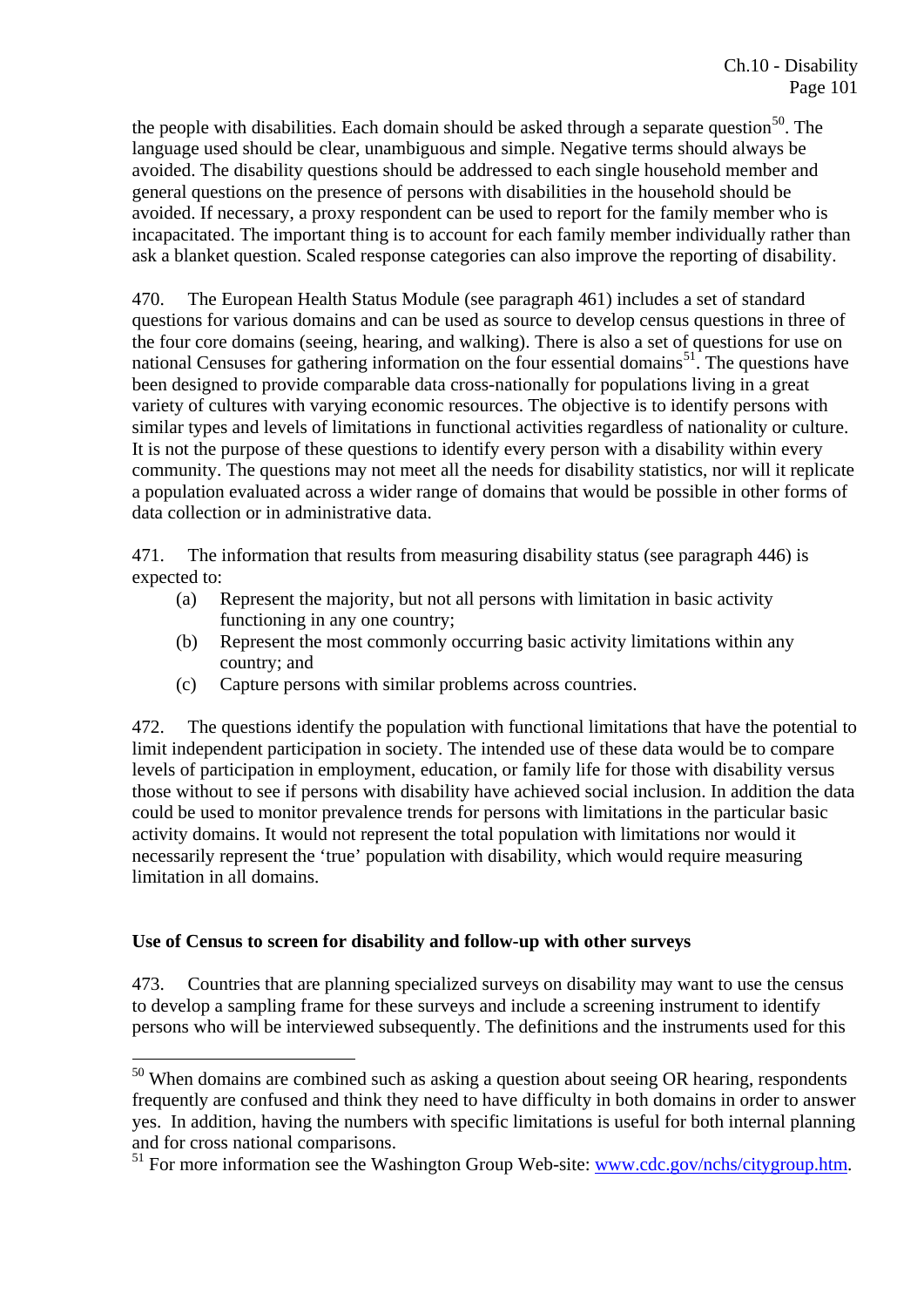<span id="page-100-0"></span>the people with disabilities. Each domain should be asked through a separate question<sup>[50](#page-100-0)</sup>. The language used should be clear, unambiguous and simple. Negative terms should always be avoided. The disability questions should be addressed to each single household member and general questions on the presence of persons with disabilities in the household should be avoided. If necessary, a proxy respondent can be used to report for the family member who is incapacitated. The important thing is to account for each family member individually rather than ask a blanket question. Scaled response categories can also improve the reporting of disability.

470. The European Health Status Module (see paragraph [461\)](#page-98-0) includes a set of standard questions for various domains and can be used as source to develop census questions in three of the four core domains (seeing, hearing, and walking). There is also a set of questions for use on national Censuses for gathering information on the four essential domains<sup>[51](#page-100-0)</sup>. The questions have been designed to provide comparable data cross-nationally for populations living in a great variety of cultures with varying economic resources. The objective is to identify persons with similar types and levels of limitations in functional activities regardless of nationality or culture. It is not the purpose of these questions to identify every person with a disability within every community. The questions may not meet all the needs for disability statistics, nor will it replicate a population evaluated across a wider range of domains that would be possible in other forms of data collection or in administrative data.

471. The information that results from measuring disability status (see paragraph [446](#page-95-0)) is expected to:

- (a) Represent the majority, but not all persons with limitation in basic activity functioning in any one country;
- (b) Represent the most commonly occurring basic activity limitations within any country; and
- (c) Capture persons with similar problems across countries.

472. The questions identify the population with functional limitations that have the potential to limit independent participation in society. The intended use of these data would be to compare levels of participation in employment, education, or family life for those with disability versus those without to see if persons with disability have achieved social inclusion. In addition the data could be used to monitor prevalence trends for persons with limitations in the particular basic activity domains. It would not represent the total population with limitations nor would it necessarily represent the 'true' population with disability, which would require measuring limitation in all domains.

#### **Use of Census to screen for disability and follow-up with other surveys**

1

473. Countries that are planning specialized surveys on disability may want to use the census to develop a sampling frame for these surveys and include a screening instrument to identify persons who will be interviewed subsequently. The definitions and the instruments used for this

 $50$  When domains are combined such as asking a question about seeing OR hearing, respondents frequently are confused and think they need to have difficulty in both domains in order to answer yes. In addition, having the numbers with specific limitations is useful for both internal planning and for cross national comparisons.

<sup>&</sup>lt;sup>51</sup> For more information see the Washington Group Web-site: <u>www.cdc.gov/nchs/citygroup.htm</u>.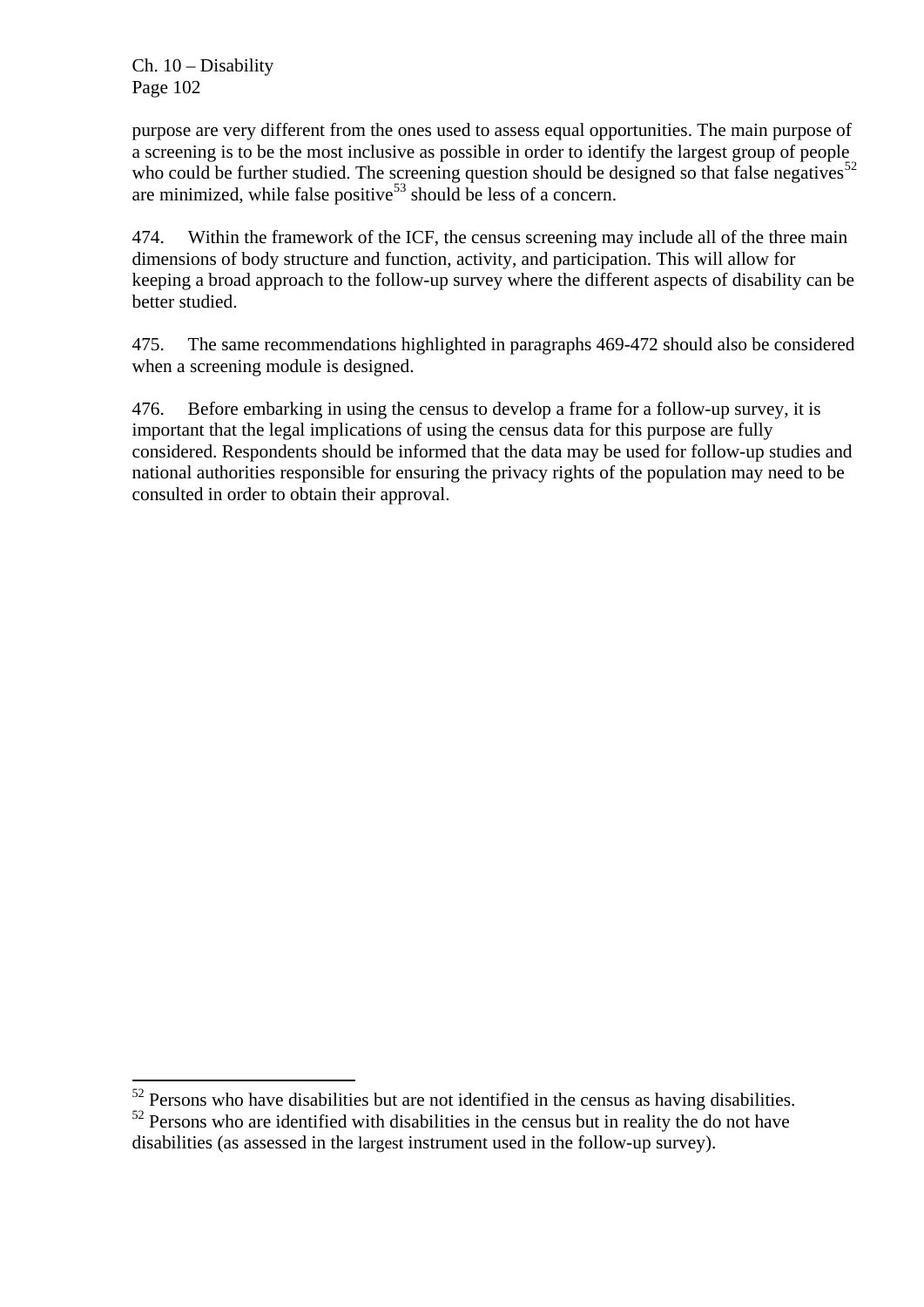<span id="page-101-0"></span>Ch. 10 – Disability Page 102

1

purpose are very different from the ones used to assess equal opportunities. The main purpose of a screening is to be the most inclusive as possible in order to identify the largest group of people who could be further studied. The screening question should be designed so that false negatives<sup>[5](#page-101-0)2</sup> are minimized, while false positive<sup>[53](#page-101-0)</sup> should be less of a concern.

474. Within the framework of the ICF, the census screening may include all of the three main dimensions of body structure and function, activity, and participation. This will allow for keeping a broad approach to the follow-up survey where the different aspects of disability can be better studied.

475. The same recommendations highlighted in paragraphs [469-472](#page-100-0) should also be considered when a screening module is designed.

476. Before embarking in using the census to develop a frame for a follow-up survey, it is important that the legal implications of using the census data for this purpose are fully considered. Respondents should be informed that the data may be used for follow-up studies and national authorities responsible for ensuring the privacy rights of the population may need to be consulted in order to obtain their approval.

 $52$  Persons who have disabilities but are not identified in the census as having disabilities.

 $52$  Persons who are identified with disabilities in the census but in reality the do not have disabilities (as assessed in the largest instrument used in the follow-up survey).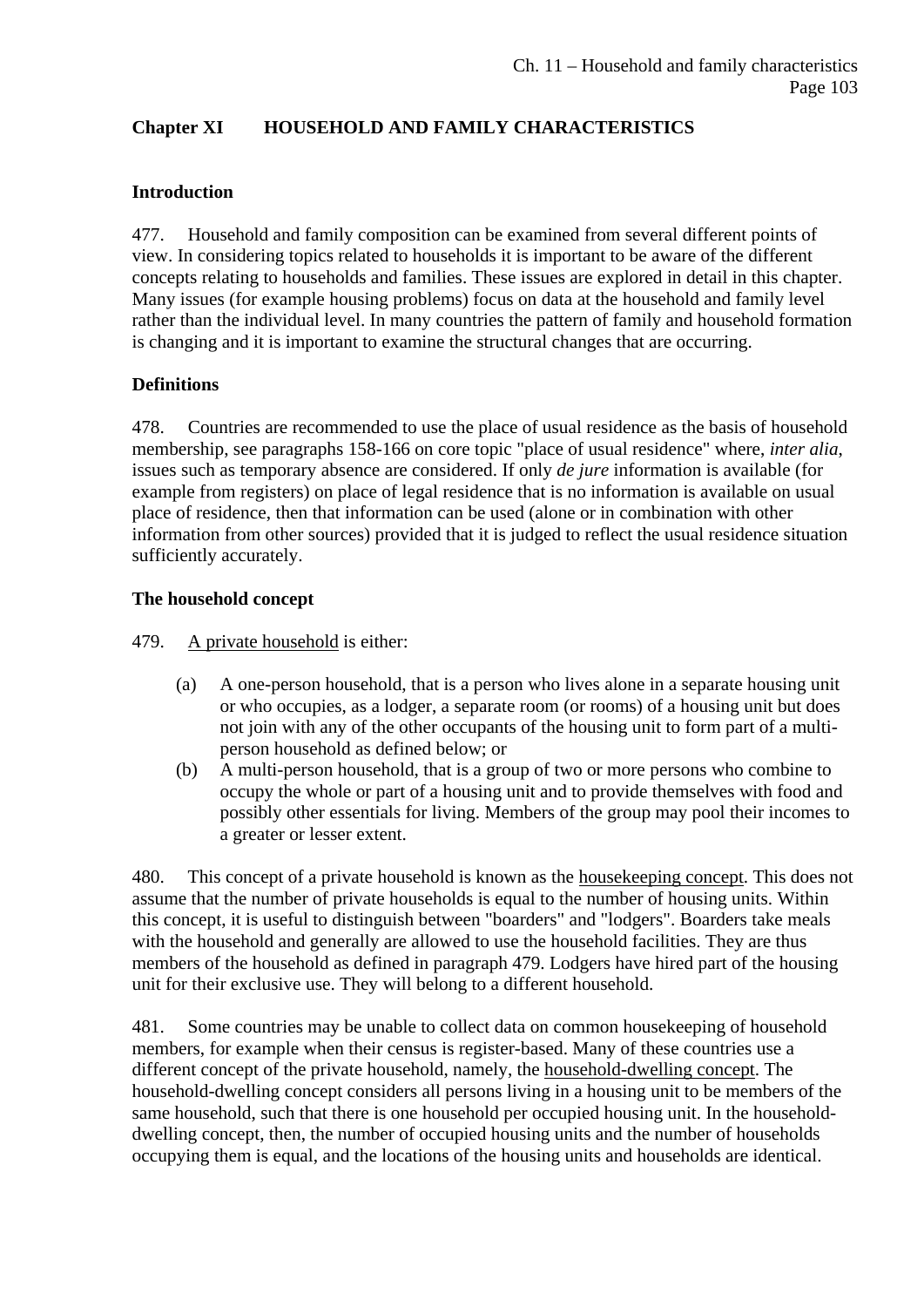# <span id="page-102-0"></span>**Chapter XI HOUSEHOLD AND FAMILY CHARACTERISTICS**

### **Introduction**

477. Household and family composition can be examined from several different points of view. In considering topics related to households it is important to be aware of the different concepts relating to households and families. These issues are explored in detail in this chapter. Many issues (for example housing problems) focus on data at the household and family level rather than the individual level. In many countries the pattern of family and household formation is changing and it is important to examine the structural changes that are occurring.

### **Definitions**

478. Countries are recommended to use the place of usual residence as the basis of household membership, see paragraphs [158](#page-36-0)[-166](#page-38-0) on core topic "place of usual residence" where, *inter alia*, issues such as temporary absence are considered. If only *de jure* information is available (for example from registers) on place of legal residence that is no information is available on usual place of residence, then that information can be used (alone or in combination with other information from other sources) provided that it is judged to reflect the usual residence situation sufficiently accurately.

### **The household concept**

479. A private household is either:

- (a) A one-person household, that is a person who lives alone in a separate housing unit or who occupies, as a lodger, a separate room (or rooms) of a housing unit but does not join with any of the other occupants of the housing unit to form part of a multiperson household as defined below; or
- (b) A multi-person household, that is a group of two or more persons who combine to occupy the whole or part of a housing unit and to provide themselves with food and possibly other essentials for living. Members of the group may pool their incomes to a greater or lesser extent.

480. This concept of a private household is known as the <u>housekeeping concept</u>. This does not assume that the number of private households is equal to the number of housing units. Within this concept, it is useful to distinguish between "boarders" and "lodgers". Boarders take meals with the household and generally are allowed to use the household facilities. They are thus members of the household as defined in paragraph [479](#page-102-0). Lodgers have hired part of the housing unit for their exclusive use. They will belong to a different household.

481. Some countries may be unable to collect data on common housekeeping of household members, for example when their census is register-based. Many of these countries use a different concept of the private household, namely, the household-dwelling concept. The household-dwelling concept considers all persons living in a housing unit to be members of the same household, such that there is one household per occupied housing unit. In the householddwelling concept, then, the number of occupied housing units and the number of households occupying them is equal, and the locations of the housing units and households are identical.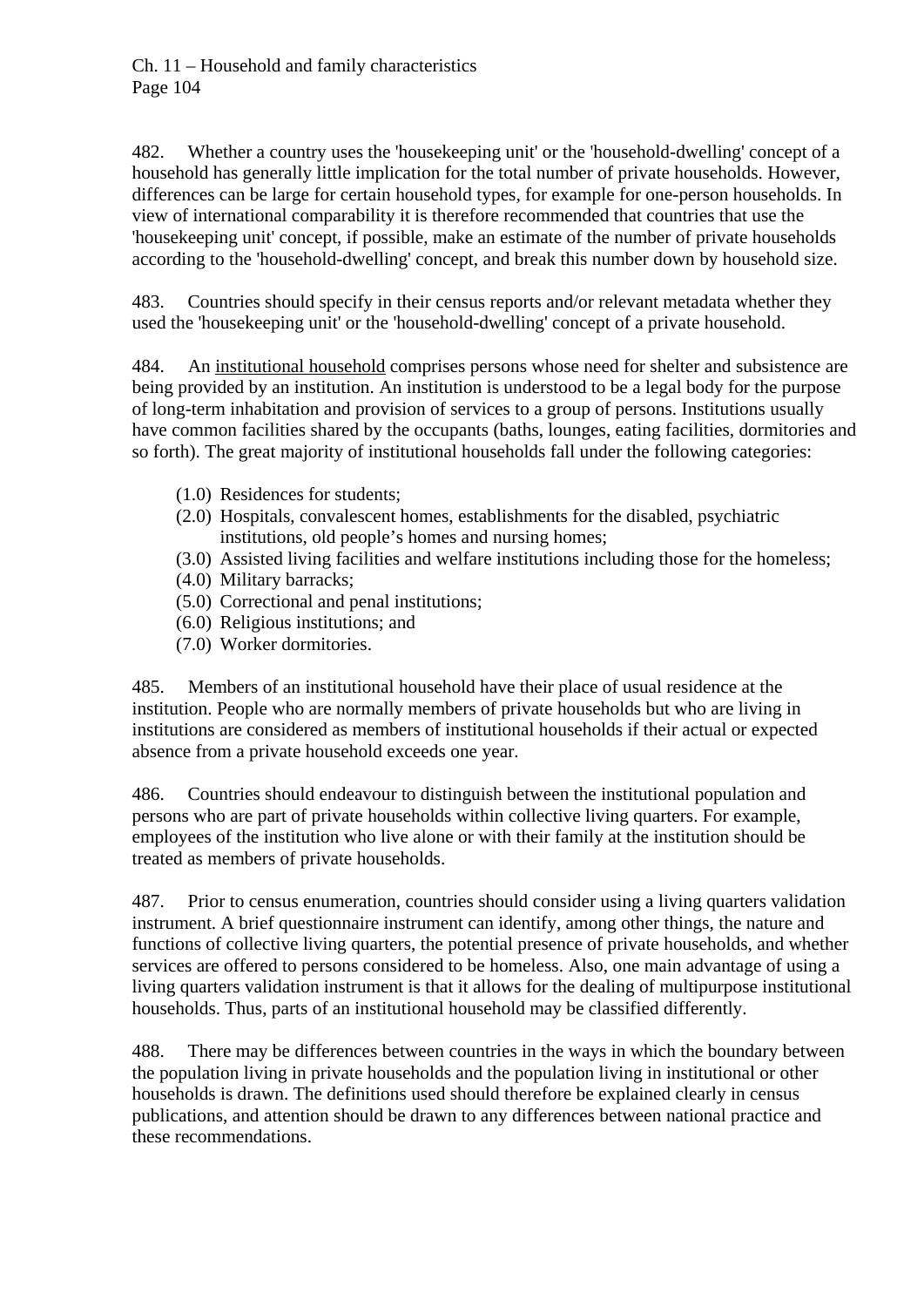482. Whether a country uses the 'housekeeping unit' or the 'household-dwelling' concept of a household has generally little implication for the total number of private households. However, differences can be large for certain household types, for example for one-person households. In view of international comparability it is therefore recommended that countries that use the 'housekeeping unit' concept, if possible, make an estimate of the number of private households according to the 'household-dwelling' concept, and break this number down by household size.

483. Countries should specify in their census reports and/or relevant metadata whether they used the 'housekeeping unit' or the 'household-dwelling' concept of a private household.

484. An institutional household comprises persons whose need for shelter and subsistence are being provided by an institution. An institution is understood to be a legal body for the purpose of long-term inhabitation and provision of services to a group of persons. Institutions usually have common facilities shared by the occupants (baths, lounges, eating facilities, dormitories and so forth). The great majority of institutional households fall under the following categories:

- (1.0) Residences for students;
- (2.0) Hospitals, convalescent homes, establishments for the disabled, psychiatric institutions, old people's homes and nursing homes;
- (3.0) Assisted living facilities and welfare institutions including those for the homeless;
- (4.0) Military barracks;
- (5.0) Correctional and penal institutions;
- (6.0) Religious institutions; and
- (7.0) Worker dormitories.

485. Members of an institutional household have their place of usual residence at the institution. People who are normally members of private households but who are living in institutions are considered as members of institutional households if their actual or expected absence from a private household exceeds one year.

486. Countries should endeavour to distinguish between the institutional population and persons who are part of private households within collective living quarters. For example, employees of the institution who live alone or with their family at the institution should be treated as members of private households.

487. Prior to census enumeration, countries should consider using a living quarters validation instrument. A brief questionnaire instrument can identify, among other things, the nature and functions of collective living quarters, the potential presence of private households, and whether services are offered to persons considered to be homeless. Also, one main advantage of using a living quarters validation instrument is that it allows for the dealing of multipurpose institutional households. Thus, parts of an institutional household may be classified differently.

488. There may be differences between countries in the ways in which the boundary between the population living in private households and the population living in institutional or other households is drawn. The definitions used should therefore be explained clearly in census publications, and attention should be drawn to any differences between national practice and these recommendations.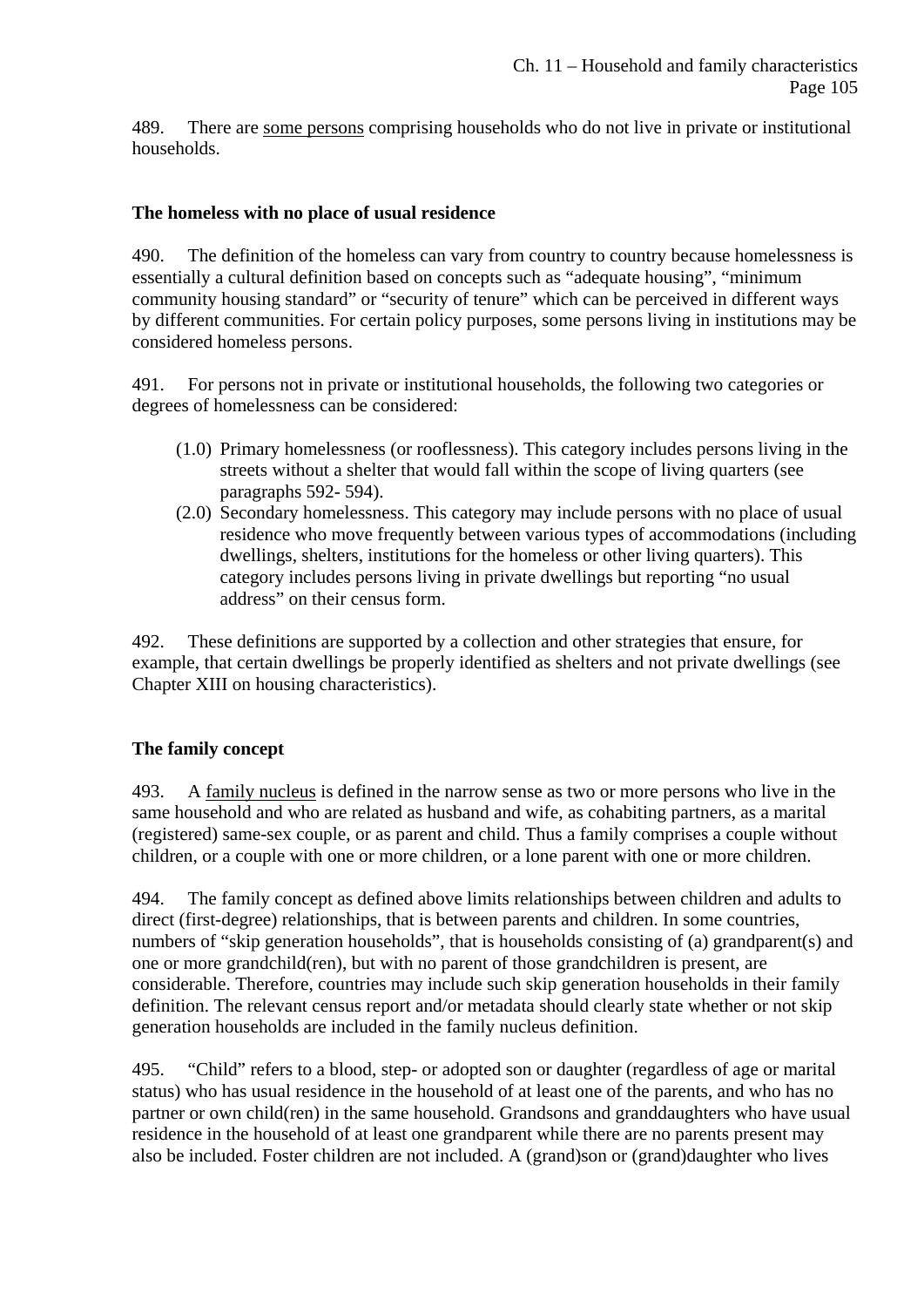489. There are some persons comprising households who do not live in private or institutional households.

#### **The homeless with no place of usual residence**

490. The definition of the homeless can vary from country to country because homelessness is essentially a cultural definition based on concepts such as "adequate housing", "minimum community housing standard" or "security of tenure" which can be perceived in different ways by different communities. For certain policy purposes, some persons living in institutions may be considered homeless persons.

491. For persons not in private or institutional households, the following two categories or degrees of homelessness can be considered:

- (1.0) Primary homelessness (or rooflessness). This category includes persons living in the streets without a shelter that would fall within the scope of living quarters (see paragraphs [592](#page-127-0)- [594](#page-127-0)).
- (2.0) Secondary homelessness. This category may include persons with no place of usual residence who move frequently between various types of accommodations (including dwellings, shelters, institutions for the homeless or other living quarters). This category includes persons living in private dwellings but reporting "no usual address" on their census form.

492. These definitions are supported by a collection and other strategies that ensure, for example, that certain dwellings be properly identified as shelters and not private dwellings (see Chapter XIII on housing characteristics).

### **The family concept**

493. A family nucleus is defined in the narrow sense as two or more persons who live in the same household and who are related as husband and wife, as cohabiting partners, as a marital (registered) same-sex couple, or as parent and child. Thus a family comprises a couple without children, or a couple with one or more children, or a lone parent with one or more children.

494. The family concept as defined above limits relationships between children and adults to direct (first-degree) relationships, that is between parents and children. In some countries, numbers of "skip generation households", that is households consisting of (a) grandparent(s) and one or more grandchild(ren), but with no parent of those grandchildren is present, are considerable. Therefore, countries may include such skip generation households in their family definition. The relevant census report and/or metadata should clearly state whether or not skip generation households are included in the family nucleus definition.

495. "Child" refers to a blood, step- or adopted son or daughter (regardless of age or marital status) who has usual residence in the household of at least one of the parents, and who has no partner or own child(ren) in the same household. Grandsons and granddaughters who have usual residence in the household of at least one grandparent while there are no parents present may also be included. Foster children are not included. A (grand)son or (grand)daughter who lives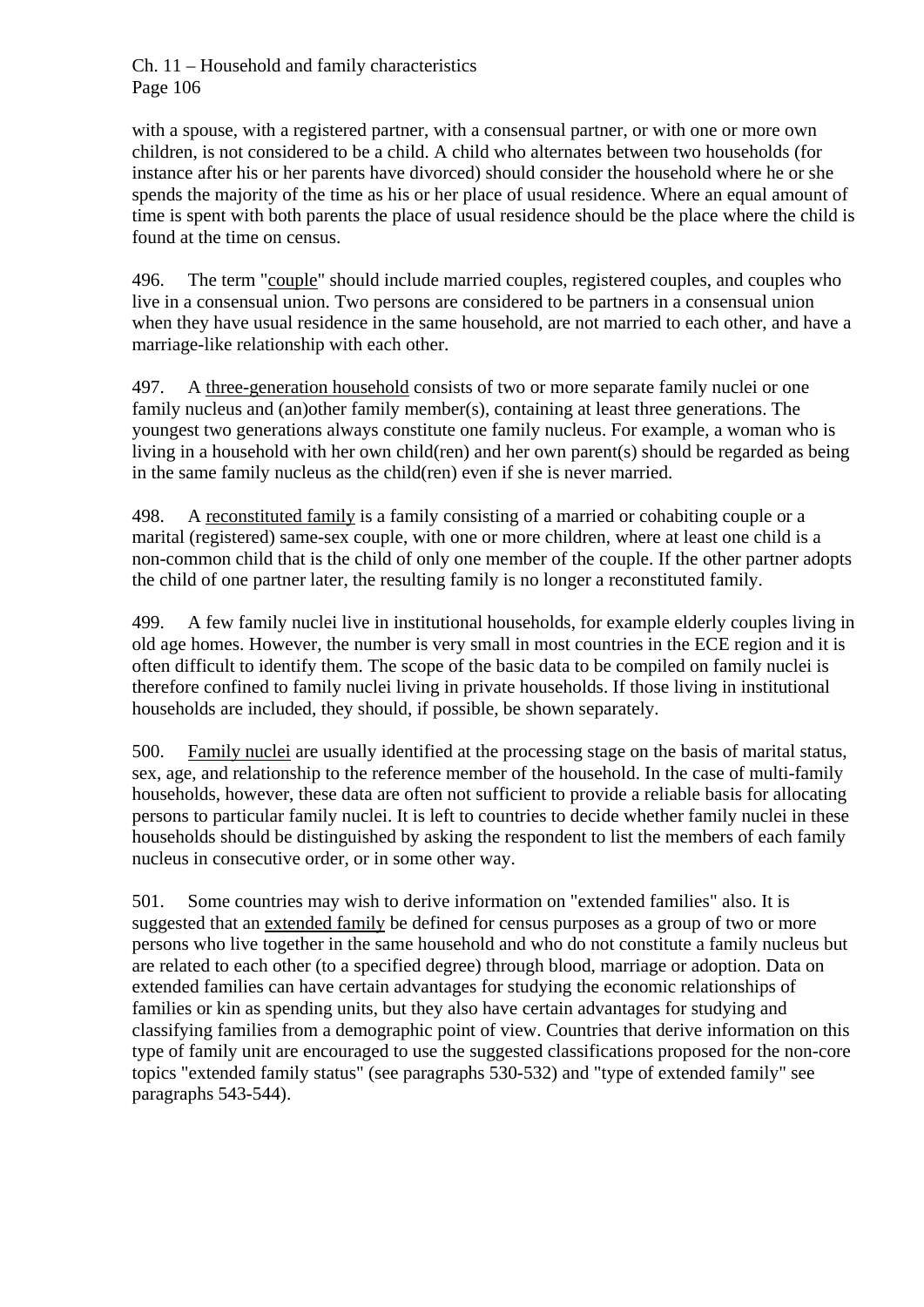Ch. 11 – Household and family characteristics Page 106

with a spouse, with a registered partner, with a consensual partner, or with one or more own children, is not considered to be a child. A child who alternates between two households (for instance after his or her parents have divorced) should consider the household where he or she spends the majority of the time as his or her place of usual residence. Where an equal amount of time is spent with both parents the place of usual residence should be the place where the child is found at the time on census.

496. The term "couple" should include married couples, registered couples, and couples who live in a consensual union. Two persons are considered to be partners in a consensual union when they have usual residence in the same household, are not married to each other, and have a marriage-like relationship with each other.

497. A three-generation household consists of two or more separate family nuclei or one family nucleus and (an)other family member(s), containing at least three generations. The youngest two generations always constitute one family nucleus. For example, a woman who is living in a household with her own child(ren) and her own parent(s) should be regarded as being in the same family nucleus as the child(ren) even if she is never married.

498. A reconstituted family is a family consisting of a married or cohabiting couple or a marital (registered) same-sex couple, with one or more children, where at least one child is a non-common child that is the child of only one member of the couple. If the other partner adopts the child of one partner later, the resulting family is no longer a reconstituted family.

499. A few family nuclei live in institutional households, for example elderly couples living in old age homes. However, the number is very small in most countries in the ECE region and it is often difficult to identify them. The scope of the basic data to be compiled on family nuclei is therefore confined to family nuclei living in private households. If those living in institutional households are included, they should, if possible, be shown separately.

500. Family nuclei are usually identified at the processing stage on the basis of marital status, sex, age, and relationship to the reference member of the household. In the case of multi-family households, however, these data are often not sufficient to provide a reliable basis for allocating persons to particular family nuclei. It is left to countries to decide whether family nuclei in these households should be distinguished by asking the respondent to list the members of each family nucleus in consecutive order, or in some other way.

501. Some countries may wish to derive information on "extended families" also. It is suggested that an extended family be defined for census purposes as a group of two or more persons who live together in the same household and who do not constitute a family nucleus but are related to each other (to a specified degree) through blood, marriage or adoption. Data on extended families can have certain advantages for studying the economic relationships of families or kin as spending units, but they also have certain advantages for studying and classifying families from a demographic point of view. Countries that derive information on this type of family unit are encouraged to use the suggested classifications proposed for the non-core topics "extended family status" (see paragraphs [530](#page-111-0)[-532](#page-112-0)) and "type of extended family" see paragraphs [543-544\)](#page-115-0).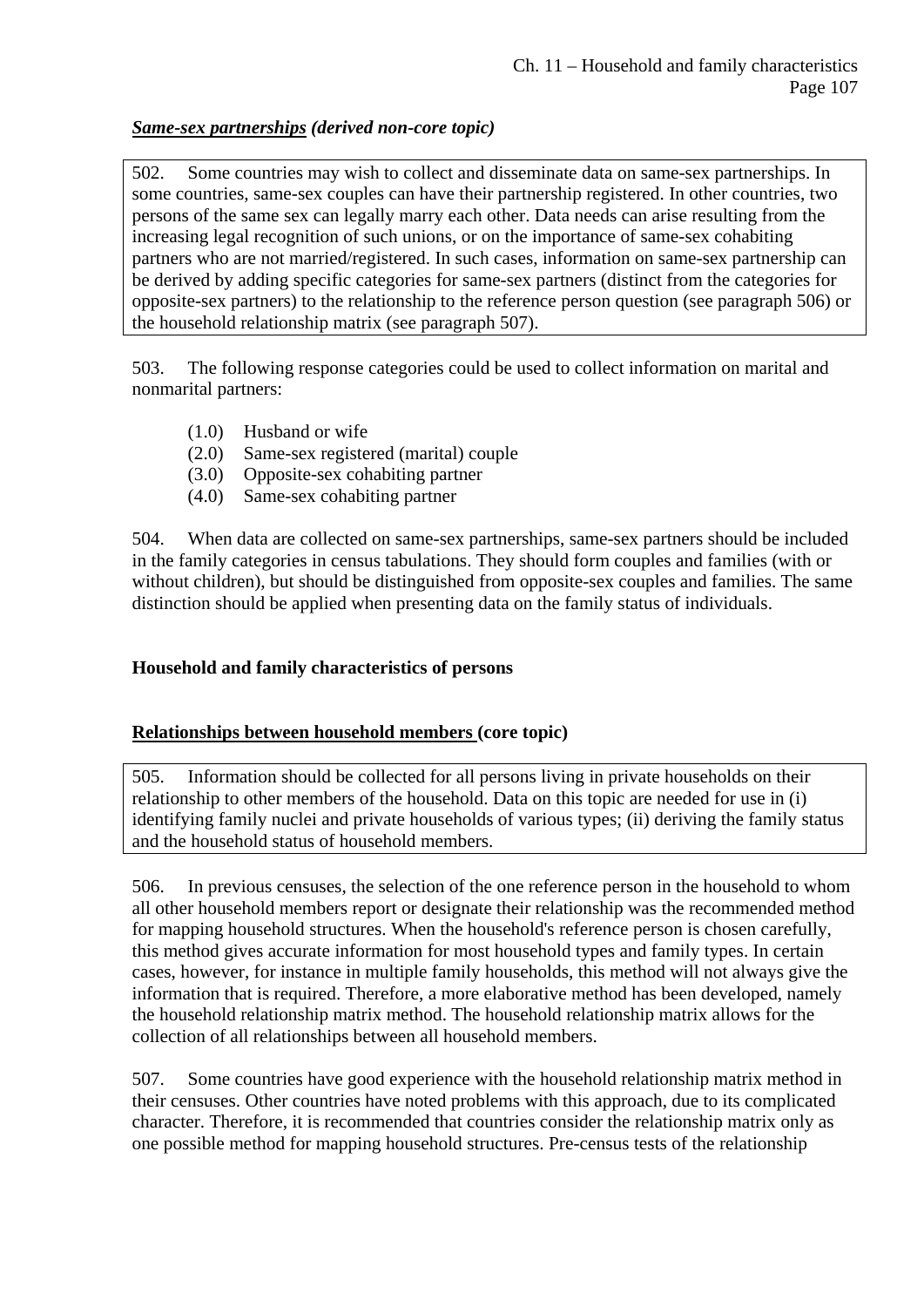# <span id="page-106-0"></span>*Same-sex partnerships (derived non-core topic)*

502. Some countries may wish to collect and disseminate data on same-sex partnerships. In some countries, same-sex couples can have their partnership registered. In other countries, two persons of the same sex can legally marry each other. Data needs can arise resulting from the increasing legal recognition of such unions, or on the importance of same-sex cohabiting partners who are not married/registered. In such cases, information on same-sex partnership can be derived by adding specific categories for same-sex partners (distinct from the categories for opposite-sex partners) to the relationship to the reference person question (see paragraph [506\)](#page-106-0) or the household relationship matrix (see paragraph [507](#page-107-0)).

503. The following response categories could be used to collect information on marital and nonmarital partners:

- (1.0) Husband or wife
- (2.0) Same-sex registered (marital) couple
- (3.0) Opposite-sex cohabiting partner
- (4.0) Same-sex cohabiting partner

504. When data are collected on same-sex partnerships, same-sex partners should be included in the family categories in census tabulations. They should form couples and families (with or without children), but should be distinguished from opposite-sex couples and families. The same distinction should be applied when presenting data on the family status of individuals.

### **Household and family characteristics of persons**

### **Relationships between household members (core topic)**

505. Information should be collected for all persons living in private households on their relationship to other members of the household. Data on this topic are needed for use in (i) identifying family nuclei and private households of various types; (ii) deriving the family status and the household status of household members.

506. In previous censuses, the selection of the one reference person in the household to whom all other household members report or designate their relationship was the recommended method for mapping household structures. When the household's reference person is chosen carefully, this method gives accurate information for most household types and family types. In certain cases, however, for instance in multiple family households, this method will not always give the information that is required. Therefore, a more elaborative method has been developed, namely the household relationship matrix method. The household relationship matrix allows for the collection of all relationships between all household members.

507. Some countries have good experience with the household relationship matrix method in their censuses. Other countries have noted problems with this approach, due to its complicated character. Therefore, it is recommended that countries consider the relationship matrix only as one possible method for mapping household structures. Pre-census tests of the relationship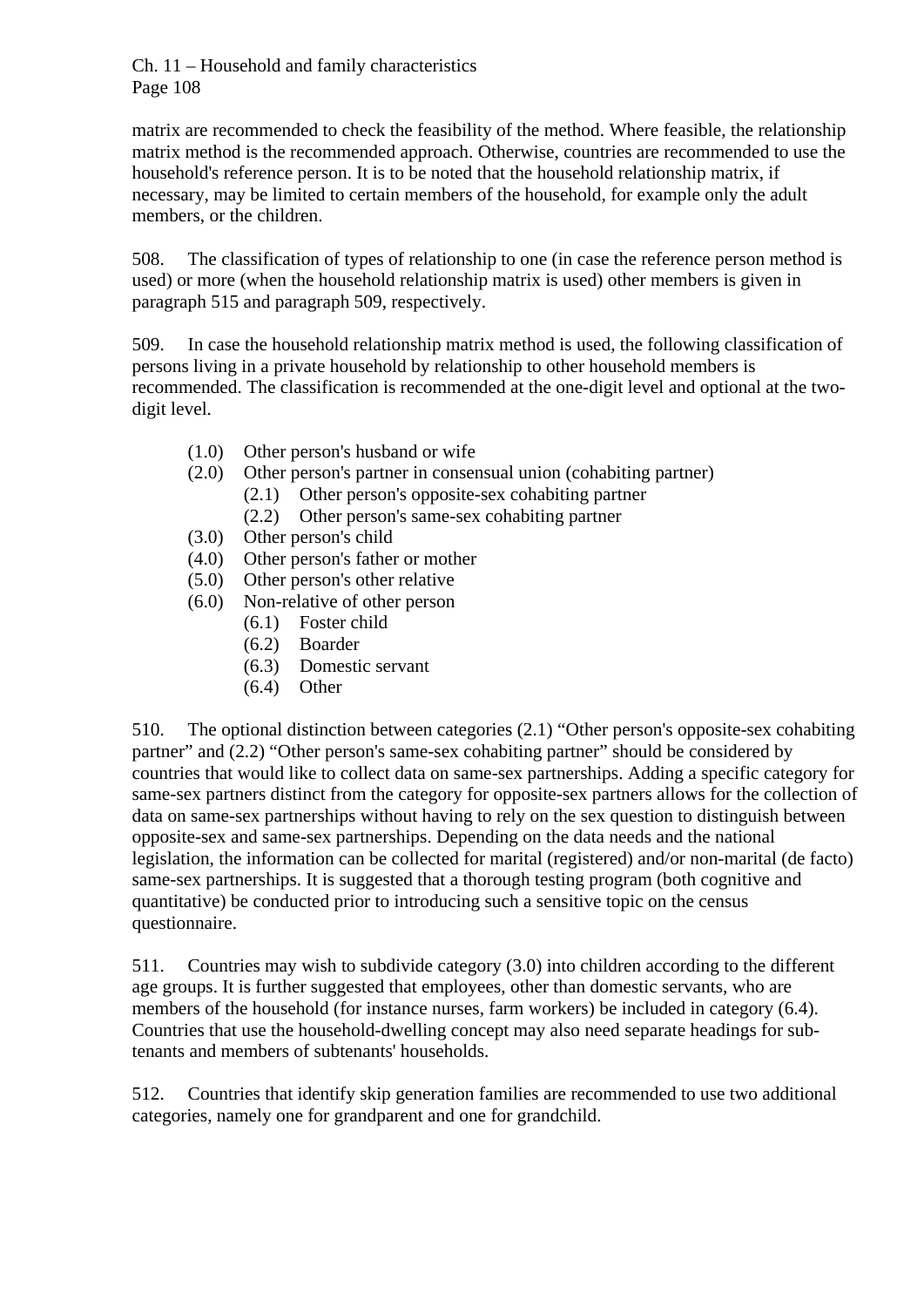<span id="page-107-0"></span>Ch. 11 – Household and family characteristics Page 108

matrix are recommended to check the feasibility of the method. Where feasible, the relationship matrix method is the recommended approach. Otherwise, countries are recommended to use the household's reference person. It is to be noted that the household relationship matrix, if necessary, may be limited to certain members of the household, for example only the adult members, or the children.

508. The classification of types of relationship to one (in case the reference person method is used) or more (when the household relationship matrix is used) other members is given in paragraph [515](#page-108-0) and paragraph [509](#page-107-0), respectively.

509. In case the household relationship matrix method is used, the following classification of persons living in a private household by relationship to other household members is recommended. The classification is recommended at the one-digit level and optional at the twodigit level.

- (1.0) Other person's husband or wife
- (2.0) Other person's partner in consensual union (cohabiting partner)
	- (2.1) Other person's opposite-sex cohabiting partner
	- (2.2) Other person's same-sex cohabiting partner
- (3.0) Other person's child
- (4.0) Other person's father or mother
- (5.0) Other person's other relative
- (6.0) Non-relative of other person
	- (6.1) Foster child
	- (6.2) Boarder
	- (6.3) Domestic servant
	- (6.4) Other

510. The optional distinction between categories (2.1) "Other person's opposite-sex cohabiting partner" and (2.2) "Other person's same-sex cohabiting partner" should be considered by countries that would like to collect data on same-sex partnerships. Adding a specific category for same-sex partners distinct from the category for opposite-sex partners allows for the collection of data on same-sex partnerships without having to rely on the sex question to distinguish between opposite-sex and same-sex partnerships. Depending on the data needs and the national legislation, the information can be collected for marital (registered) and/or non-marital (de facto) same-sex partnerships. It is suggested that a thorough testing program (both cognitive and quantitative) be conducted prior to introducing such a sensitive topic on the census questionnaire.

511. Countries may wish to subdivide category (3.0) into children according to the different age groups. It is further suggested that employees, other than domestic servants, who are members of the household (for instance nurses, farm workers) be included in category (6.4). Countries that use the household-dwelling concept may also need separate headings for subtenants and members of subtenants' households.

512. Countries that identify skip generation families are recommended to use two additional categories, namely one for grandparent and one for grandchild.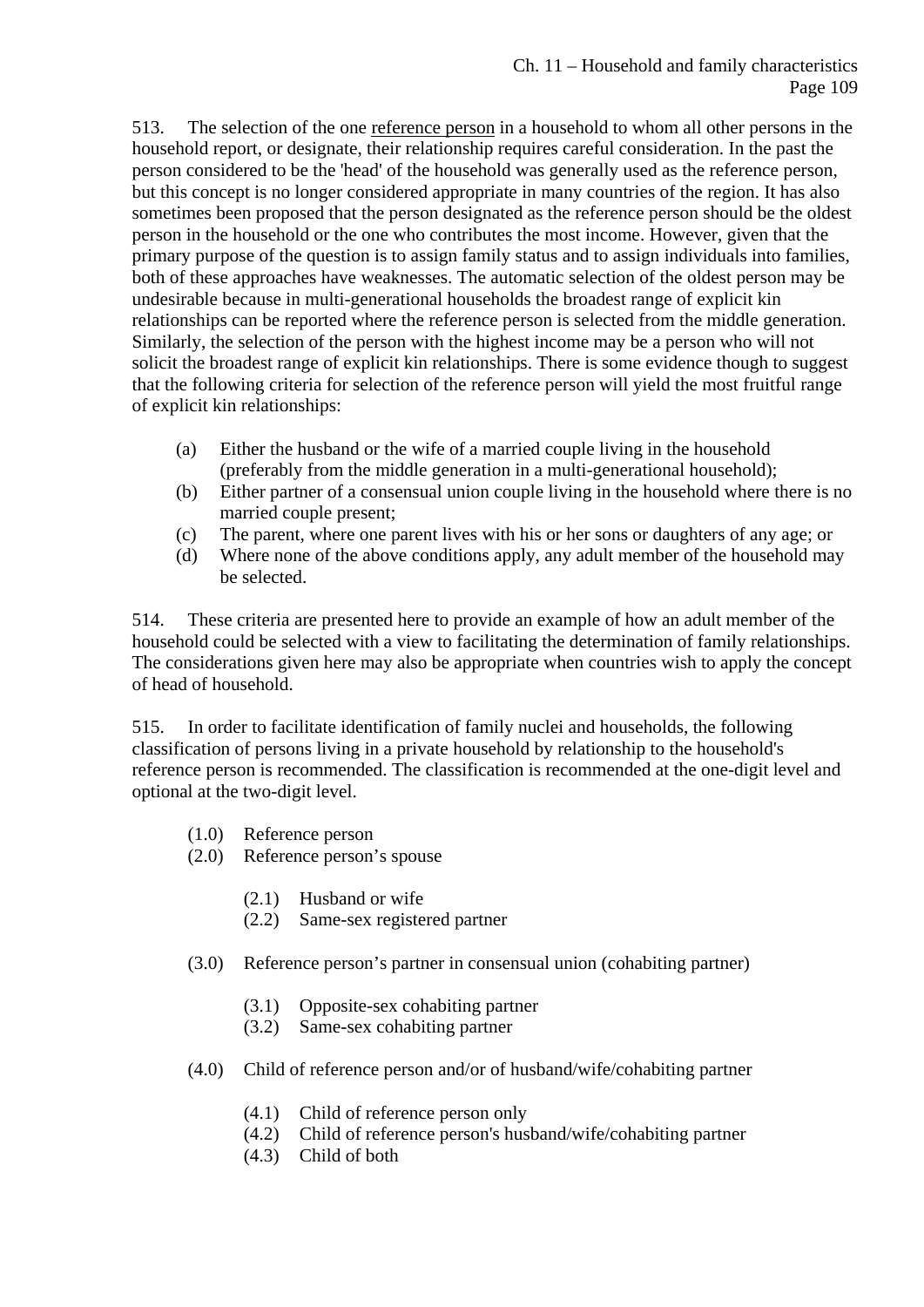513. The selection of the one reference person in a household to whom all other persons in the household report, or designate, their relationship requires careful consideration. In the past the person considered to be the 'head' of the household was generally used as the reference person, but this concept is no longer considered appropriate in many countries of the region. It has also sometimes been proposed that the person designated as the reference person should be the oldest person in the household or the one who contributes the most income. However, given that the primary purpose of the question is to assign family status and to assign individuals into families, both of these approaches have weaknesses. The automatic selection of the oldest person may be undesirable because in multi-generational households the broadest range of explicit kin relationships can be reported where the reference person is selected from the middle generation. Similarly, the selection of the person with the highest income may be a person who will not solicit the broadest range of explicit kin relationships. There is some evidence though to suggest that the following criteria for selection of the reference person will yield the most fruitful range of explicit kin relationships:

- (a) Either the husband or the wife of a married couple living in the household (preferably from the middle generation in a multi-generational household);
- (b) Either partner of a consensual union couple living in the household where there is no married couple present;
- (c) The parent, where one parent lives with his or her sons or daughters of any age; or
- (d) Where none of the above conditions apply, any adult member of the household may be selected.

514. These criteria are presented here to provide an example of how an adult member of the household could be selected with a view to facilitating the determination of family relationships. The considerations given here may also be appropriate when countries wish to apply the concept of head of household.

515. In order to facilitate identification of family nuclei and households, the following classification of persons living in a private household by relationship to the household's reference person is recommended. The classification is recommended at the one-digit level and optional at the two-digit level.

- (1.0) Reference person
- (2.0) Reference person's spouse
	- (2.1) Husband or wife
	- (2.2) Same-sex registered partner
- (3.0) Reference person's partner in consensual union (cohabiting partner)
	- (3.1) Opposite-sex cohabiting partner
	- (3.2) Same-sex cohabiting partner
- (4.0) Child of reference person and/or of husband/wife/cohabiting partner
	- (4.1) Child of reference person only
	- (4.2) Child of reference person's husband/wife/cohabiting partner
	- (4.3) Child of both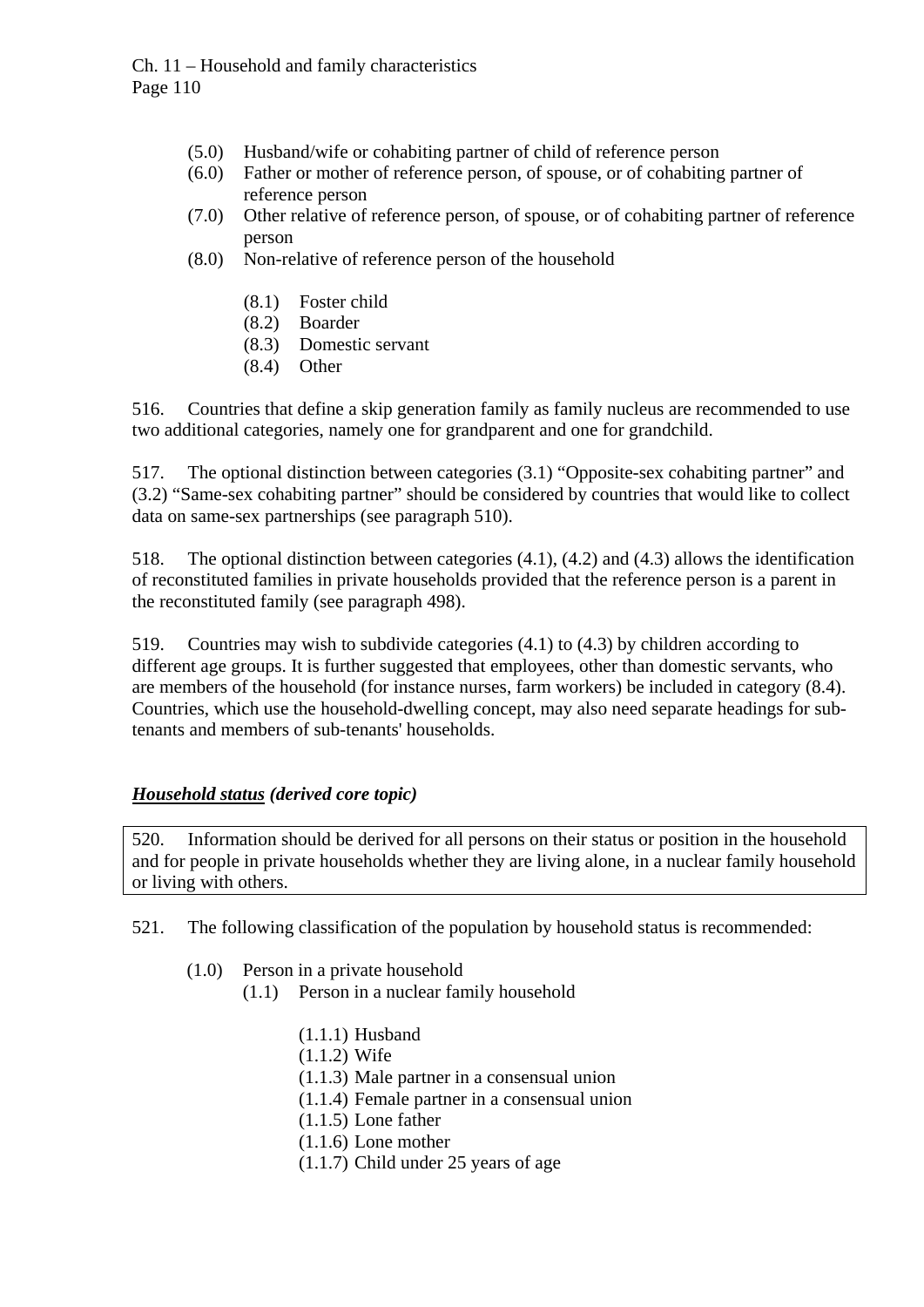- (5.0) Husband/wife or cohabiting partner of child of reference person
- (6.0) Father or mother of reference person, of spouse, or of cohabiting partner of reference person
- (7.0) Other relative of reference person, of spouse, or of cohabiting partner of reference person
- (8.0) Non-relative of reference person of the household
	- (8.1) Foster child
	- (8.2) Boarder
	- (8.3) Domestic servant
	- (8.4) Other

516. Countries that define a skip generation family as family nucleus are recommended to use two additional categories, namely one for grandparent and one for grandchild.

517. The optional distinction between categories (3.1) "Opposite-sex cohabiting partner" and (3.2) "Same-sex cohabiting partner" should be considered by countries that would like to collect data on same-sex partnerships (see paragraph [510\)](#page-107-0).

518. The optional distinction between categories (4.1), (4.2) and (4.3) allows the identification of reconstituted families in private households provided that the reference person is a parent in the reconstituted family (see paragraph [498](#page-105-0)).

519. Countries may wish to subdivide categories (4.1) to (4.3) by children according to different age groups. It is further suggested that employees, other than domestic servants, who are members of the household (for instance nurses, farm workers) be included in category (8.4). Countries, which use the household-dwelling concept, may also need separate headings for subtenants and members of sub-tenants' households.

## *Household status (derived core topic)*

520. Information should be derived for all persons on their status or position in the household and for people in private households whether they are living alone, in a nuclear family household or living with others.

- 521. The following classification of the population by household status is recommended:
	- (1.0) Person in a private household
		- (1.1) Person in a nuclear family household
			- (1.1.1) Husband
			- (1.1.2) Wife
			- (1.1.3) Male partner in a consensual union
			- (1.1.4) Female partner in a consensual union
			- (1.1.5) Lone father
			- (1.1.6) Lone mother
			- (1.1.7) Child under 25 years of age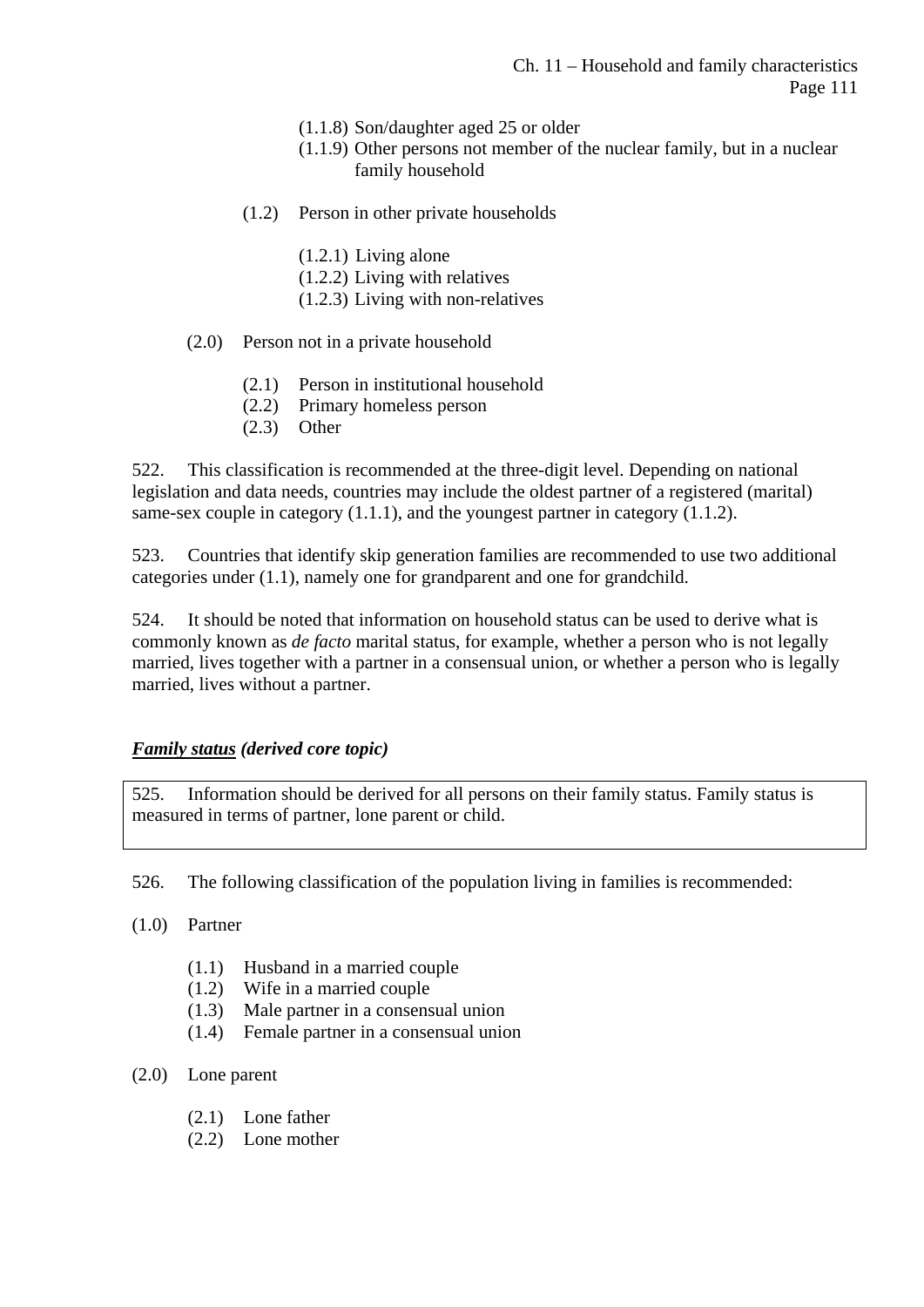- (1.1.8) Son/daughter aged 25 or older
- (1.1.9) Other persons not member of the nuclear family, but in a nuclear family household
- (1.2) Person in other private households
	- (1.2.1) Living alone
	- (1.2.2) Living with relatives
	- (1.2.3) Living with non-relatives
- (2.0) Person not in a private household
	- (2.1) Person in institutional household
	- (2.2) Primary homeless person
	- (2.3) Other

522. This classification is recommended at the three-digit level. Depending on national legislation and data needs, countries may include the oldest partner of a registered (marital) same-sex couple in category (1.1.1), and the youngest partner in category (1.1.2).

523. Countries that identify skip generation families are recommended to use two additional categories under (1.1), namely one for grandparent and one for grandchild.

524. It should be noted that information on household status can be used to derive what is commonly known as *de facto* marital status, for example, whether a person who is not legally married, lives together with a partner in a consensual union, or whether a person who is legally married, lives without a partner.

#### *Family status (derived core topic)*

525. Information should be derived for all persons on their family status. Family status is measured in terms of partner, lone parent or child.

526. The following classification of the population living in families is recommended:

- (1.0) Partner
	- (1.1) Husband in a married couple
	- (1.2) Wife in a married couple
	- (1.3) Male partner in a consensual union
	- (1.4) Female partner in a consensual union
- (2.0) Lone parent
	- (2.1) Lone father
	- (2.2) Lone mother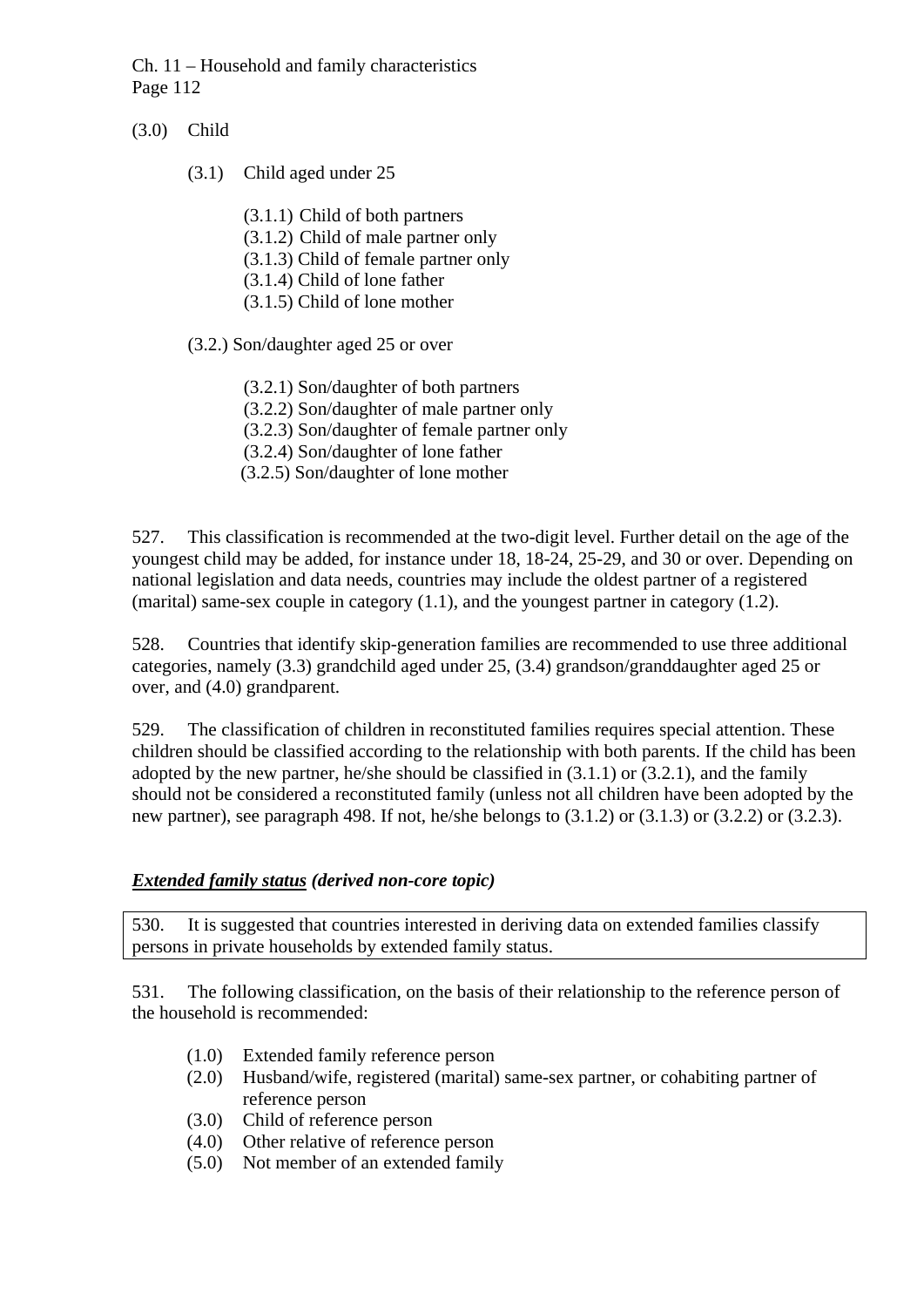Ch. 11 – Household and family characteristics Page 112

(3.0) Child

(3.1) Child aged under 25

(3.1.1) Child of both partners

(3.1.2) Child of male partner only

(3.1.3) Child of female partner only

- (3.1.4) Child of lone father
- (3.1.5) Child of lone mother

(3.2.) Son/daughter aged 25 or over

- (3.2.1) Son/daughter of both partners
- (3.2.2) Son/daughter of male partner only
- (3.2.3) Son/daughter of female partner only
- (3.2.4) Son/daughter of lone father
- (3.2.5) Son/daughter of lone mother

527. This classification is recommended at the two-digit level. Further detail on the age of the youngest child may be added, for instance under 18, 18-24, 25-29, and 30 or over. Depending on national legislation and data needs, countries may include the oldest partner of a registered (marital) same-sex couple in category (1.1), and the youngest partner in category (1.2).

528. Countries that identify skip-generation families are recommended to use three additional categories, namely (3.3) grandchild aged under 25, (3.4) grandson/granddaughter aged 25 or over, and (4.0) grandparent.

529. The classification of children in reconstituted families requires special attention. These children should be classified according to the relationship with both parents. If the child has been adopted by the new partner, he/she should be classified in  $(3.1.1)$  or  $(3.2.1)$ , and the family should not be considered a reconstituted family (unless not all children have been adopted by the new partner), see paragraph [498](#page-105-0). If not, he/she belongs to (3.1.2) or (3.1.3) or (3.2.2) or (3.2.3).

#### *Extended family status (derived non-core topic)*

530. It is suggested that countries interested in deriving data on extended families classify persons in private households by extended family status.

531. The following classification, on the basis of their relationship to the reference person of the household is recommended:

- (1.0) Extended family reference person
- (2.0) Husband/wife, registered (marital) same-sex partner, or cohabiting partner of reference person
- (3.0) Child of reference person
- (4.0) Other relative of reference person
- (5.0) Not member of an extended family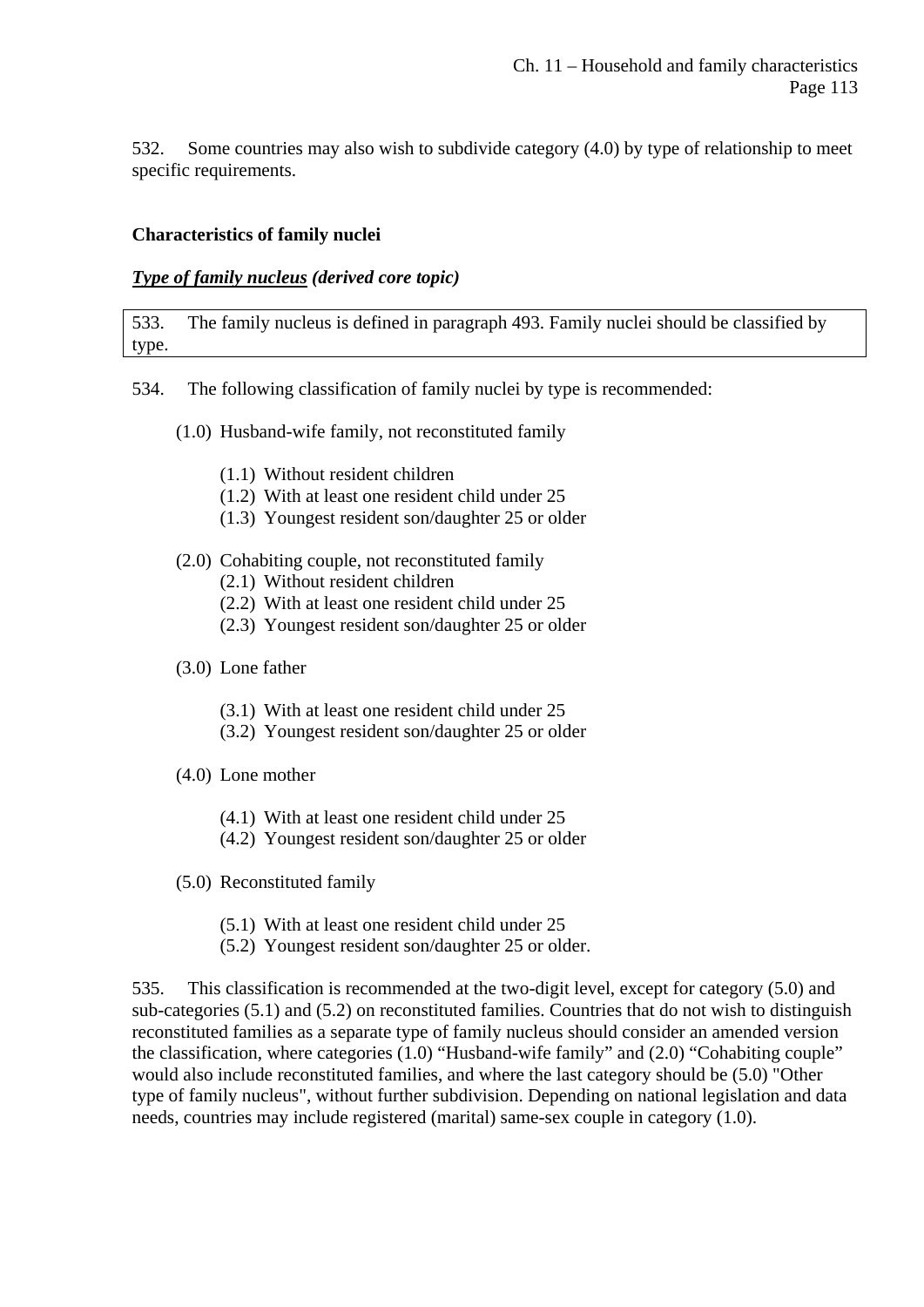532. Some countries may also wish to subdivide category (4.0) by type of relationship to meet specific requirements.

#### **Characteristics of family nuclei**

#### *Type of family nucleus (derived core topic)*

533. The family nucleus is defined in paragraph [493](#page-104-0). Family nuclei should be classified by type.

- 534. The following classification of family nuclei by type is recommended:
	- (1.0) Husband-wife family, not reconstituted family
		- (1.1) Without resident children
		- (1.2) With at least one resident child under 25
		- (1.3) Youngest resident son/daughter 25 or older

#### (2.0) Cohabiting couple, not reconstituted family

- (2.1) Without resident children
- (2.2) With at least one resident child under 25
- (2.3) Youngest resident son/daughter 25 or older

#### (3.0) Lone father

- (3.1) With at least one resident child under 25
- (3.2) Youngest resident son/daughter 25 or older
- (4.0) Lone mother
	- (4.1) With at least one resident child under 25
	- (4.2) Youngest resident son/daughter 25 or older
- (5.0) Reconstituted family
	- (5.1) With at least one resident child under 25
	- (5.2) Youngest resident son/daughter 25 or older.

535. This classification is recommended at the two-digit level, except for category (5.0) and sub-categories (5.1) and (5.2) on reconstituted families. Countries that do not wish to distinguish reconstituted families as a separate type of family nucleus should consider an amended version the classification, where categories (1.0) "Husband-wife family" and (2.0) "Cohabiting couple" would also include reconstituted families, and where the last category should be (5.0) "Other type of family nucleus", without further subdivision. Depending on national legislation and data needs, countries may include registered (marital) same-sex couple in category (1.0).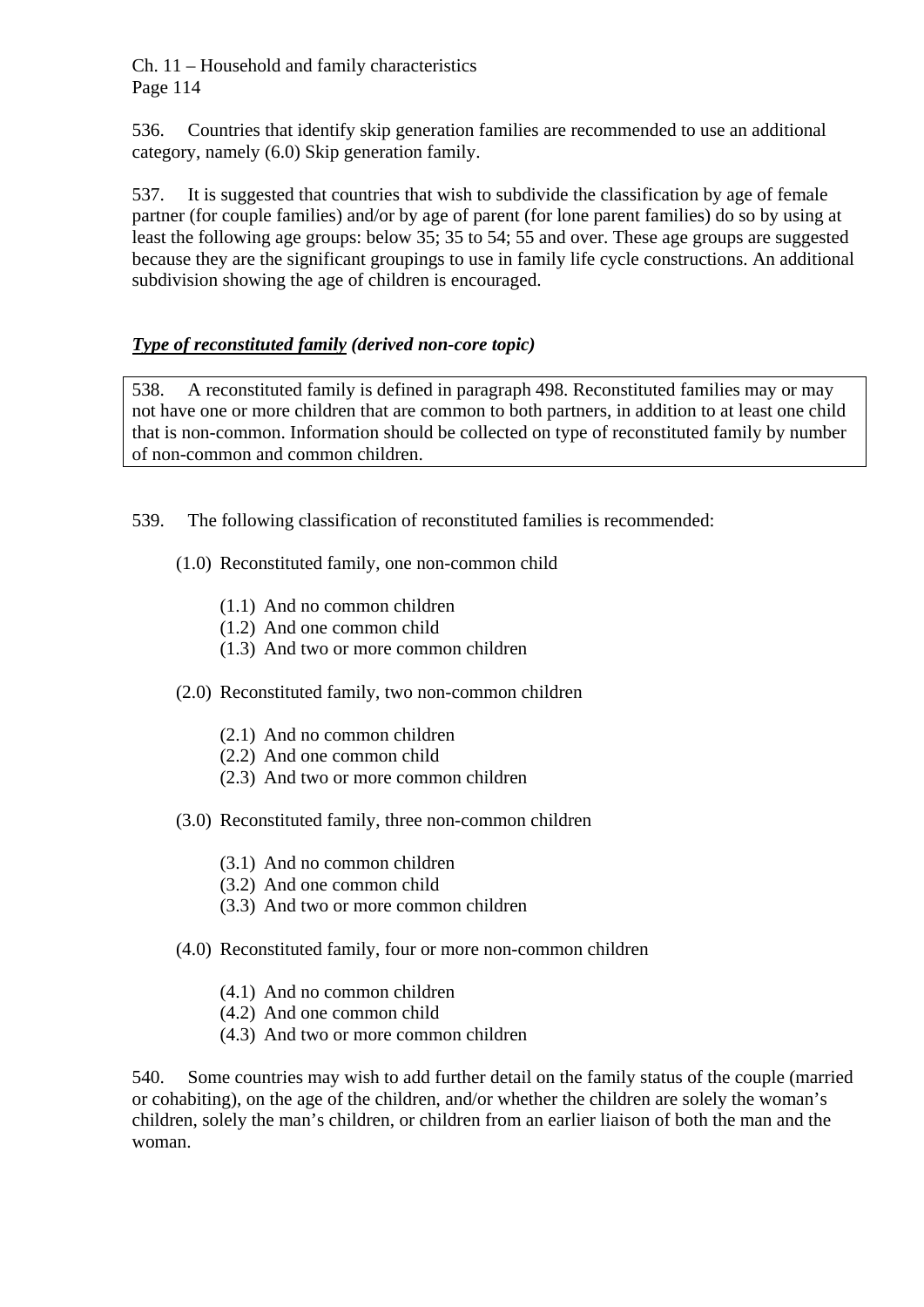Ch. 11 – Household and family characteristics Page 114

536. Countries that identify skip generation families are recommended to use an additional category, namely (6.0) Skip generation family.

537. It is suggested that countries that wish to subdivide the classification by age of female partner (for couple families) and/or by age of parent (for lone parent families) do so by using at least the following age groups: below 35; 35 to 54; 55 and over. These age groups are suggested because they are the significant groupings to use in family life cycle constructions. An additional subdivision showing the age of children is encouraged.

# *Type of reconstituted family (derived non-core topic)*

538. A reconstituted family is defined in paragraph [498](#page-105-0). Reconstituted families may or may not have one or more children that are common to both partners, in addition to at least one child that is non-common. Information should be collected on type of reconstituted family by number of non-common and common children.

- 539. The following classification of reconstituted families is recommended:
	- (1.0) Reconstituted family, one non-common child
		- (1.1) And no common children
		- (1.2) And one common child
		- (1.3) And two or more common children
	- (2.0) Reconstituted family, two non-common children
		- (2.1) And no common children
		- (2.2) And one common child
		- (2.3) And two or more common children
	- (3.0) Reconstituted family, three non-common children
		- (3.1) And no common children
		- (3.2) And one common child
		- (3.3) And two or more common children
	- (4.0) Reconstituted family, four or more non-common children
		- (4.1) And no common children
		- (4.2) And one common child
		- (4.3) And two or more common children

540. Some countries may wish to add further detail on the family status of the couple (married or cohabiting), on the age of the children, and/or whether the children are solely the woman's children, solely the man's children, or children from an earlier liaison of both the man and the woman.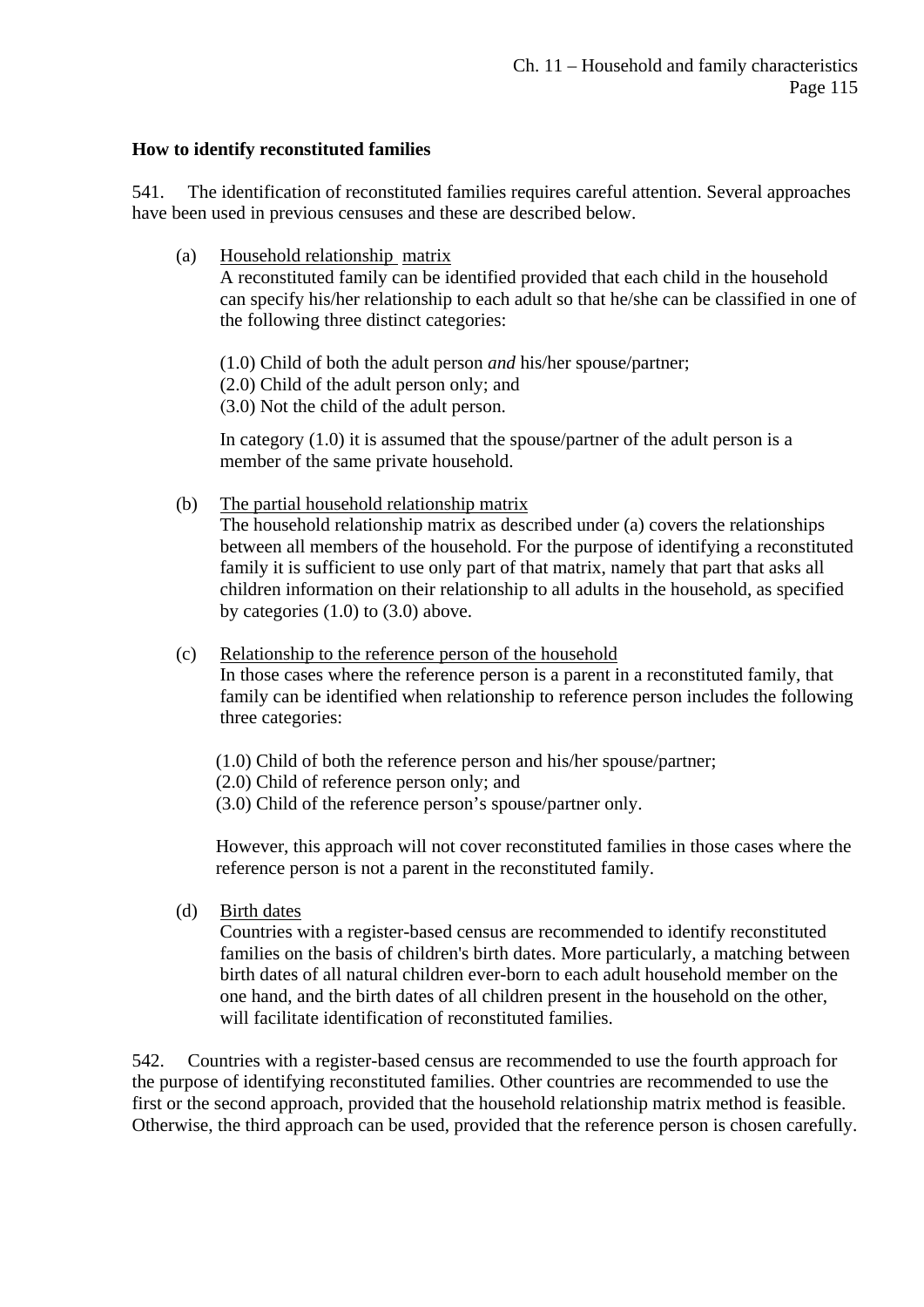#### **How to identify reconstituted families**

541. The identification of reconstituted families requires careful attention. Several approaches have been used in previous censuses and these are described below.

(a) Household relationship matrix

A reconstituted family can be identified provided that each child in the household can specify his/her relationship to each adult so that he/she can be classified in one of the following three distinct categories:

(1.0) Child of both the adult person *and* his/her spouse/partner;

(2.0) Child of the adult person only; and

(3.0) Not the child of the adult person.

In category (1.0) it is assumed that the spouse/partner of the adult person is a member of the same private household.

(b) The partial household relationship matrix

The household relationship matrix as described under (a) covers the relationships between all members of the household. For the purpose of identifying a reconstituted family it is sufficient to use only part of that matrix, namely that part that asks all children information on their relationship to all adults in the household, as specified by categories  $(1.0)$  to  $(3.0)$  above.

(c) Relationship to the reference person of the household

In those cases where the reference person is a parent in a reconstituted family, that family can be identified when relationship to reference person includes the following three categories:

(1.0) Child of both the reference person and his/her spouse/partner;

(2.0) Child of reference person only; and

(3.0) Child of the reference person's spouse/partner only.

However, this approach will not cover reconstituted families in those cases where the reference person is not a parent in the reconstituted family.

(d) Birth dates

Countries with a register-based census are recommended to identify reconstituted families on the basis of children's birth dates. More particularly, a matching between birth dates of all natural children ever-born to each adult household member on the one hand, and the birth dates of all children present in the household on the other, will facilitate identification of reconstituted families.

542. Countries with a register-based census are recommended to use the fourth approach for the purpose of identifying reconstituted families. Other countries are recommended to use the first or the second approach, provided that the household relationship matrix method is feasible. Otherwise, the third approach can be used, provided that the reference person is chosen carefully.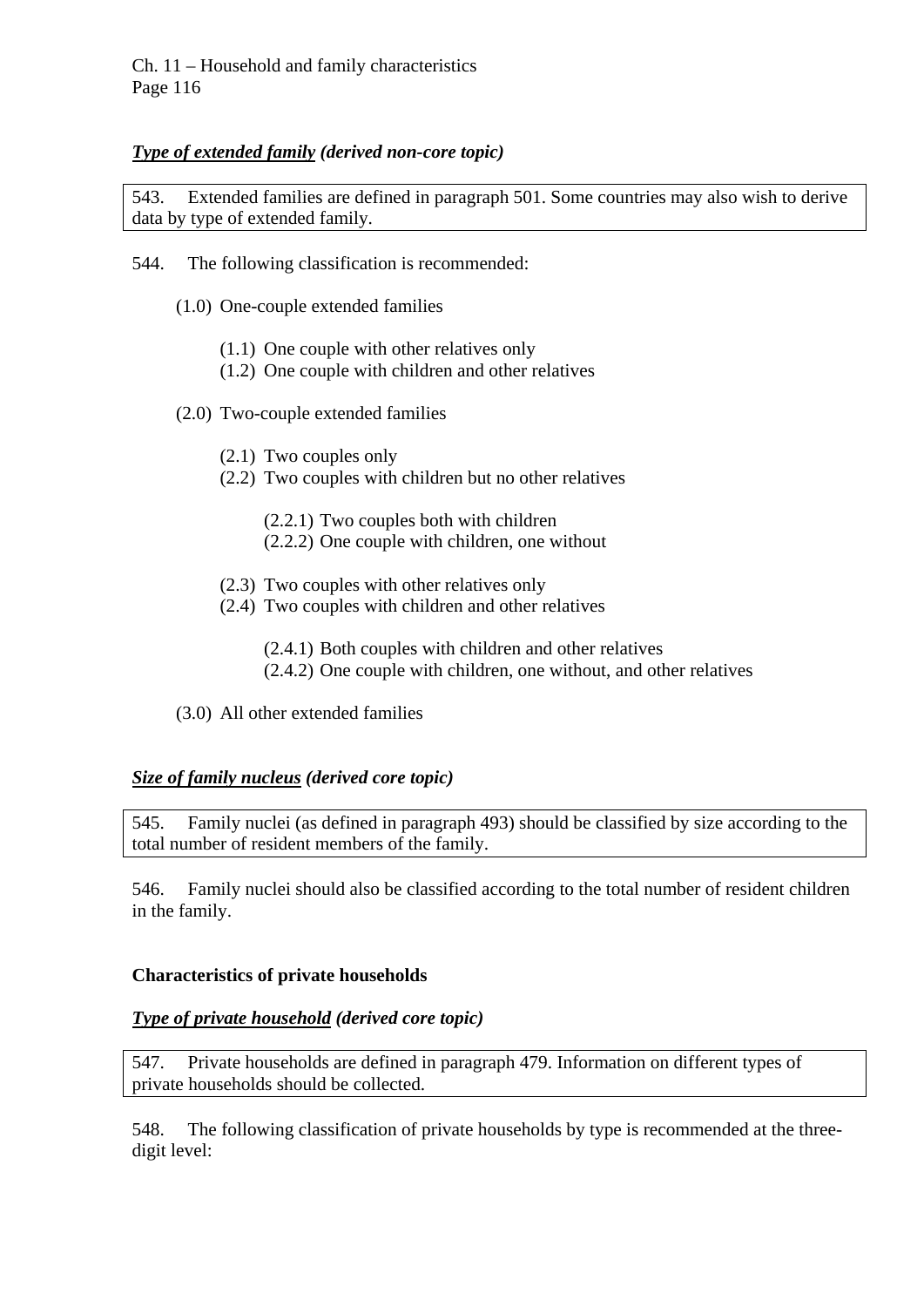# <span id="page-115-0"></span>*Type of extended family (derived non-core topic)*

543. Extended families are defined in paragraph [501](#page-105-0). Some countries may also wish to derive data by type of extended family.

- 544. The following classification is recommended:
	- (1.0) One-couple extended families
		- (1.1) One couple with other relatives only
		- (1.2) One couple with children and other relatives
	- (2.0) Two-couple extended families
		- (2.1) Two couples only
		- (2.2) Two couples with children but no other relatives
			- (2.2.1) Two couples both with children
			- (2.2.2) One couple with children, one without
		- (2.3) Two couples with other relatives only
		- (2.4) Two couples with children and other relatives
			- (2.4.1) Both couples with children and other relatives
			- (2.4.2) One couple with children, one without, and other relatives
	- (3.0) All other extended families

## *Size of family nucleus (derived core topic)*

545. Family nuclei (as defined in paragraph [493\)](#page-104-0) should be classified by size according to the total number of resident members of the family.

546. Family nuclei should also be classified according to the total number of resident children in the family.

## **Characteristics of private households**

## *Type of private household (derived core topic)*

547. Private households are defined in paragraph [479.](#page-102-0) Information on different types of private households should be collected.

548. The following classification of private households by type is recommended at the threedigit level: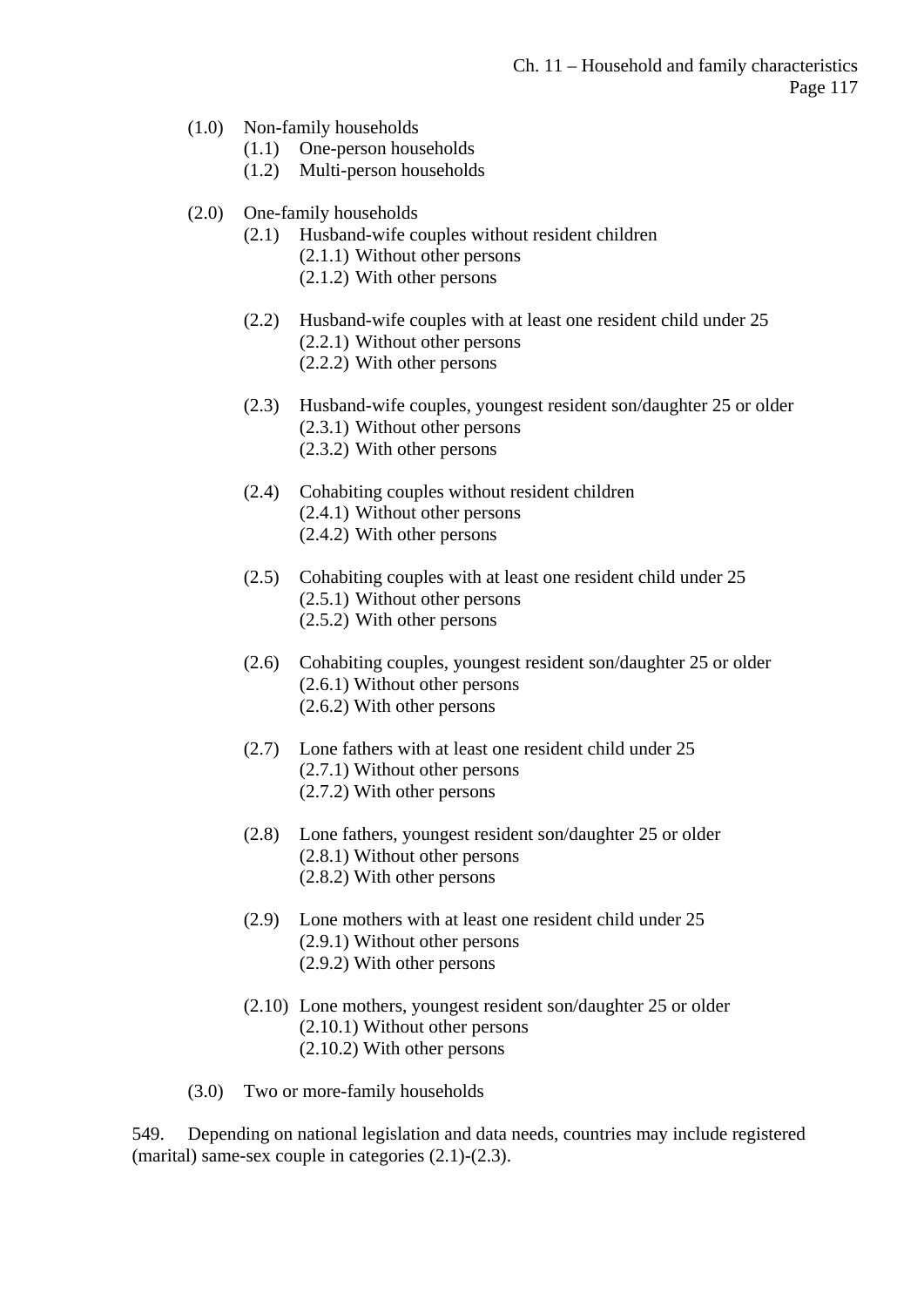- (1.0) Non-family households
	- (1.1) One-person households
	- (1.2) Multi-person households
- (2.0) One-family households
	- (2.1) Husband-wife couples without resident children (2.1.1) Without other persons
		- (2.1.2) With other persons
	- (2.2) Husband-wife couples with at least one resident child under 25 (2.2.1) Without other persons (2.2.2) With other persons
	- (2.3) Husband-wife couples, youngest resident son/daughter 25 or older (2.3.1) Without other persons (2.3.2) With other persons
	- (2.4) Cohabiting couples without resident children (2.4.1) Without other persons (2.4.2) With other persons
	- (2.5) Cohabiting couples with at least one resident child under 25 (2.5.1) Without other persons (2.5.2) With other persons
	- (2.6) Cohabiting couples, youngest resident son/daughter 25 or older (2.6.1) Without other persons (2.6.2) With other persons
	- (2.7) Lone fathers with at least one resident child under 25 (2.7.1) Without other persons (2.7.2) With other persons
	- (2.8) Lone fathers, youngest resident son/daughter 25 or older (2.8.1) Without other persons (2.8.2) With other persons
	- (2.9) Lone mothers with at least one resident child under 25 (2.9.1) Without other persons (2.9.2) With other persons
	- (2.10) Lone mothers, youngest resident son/daughter 25 or older (2.10.1) Without other persons (2.10.2) With other persons
- (3.0) Two or more-family households

549. Depending on national legislation and data needs, countries may include registered (marital) same-sex couple in categories (2.1)-(2.3).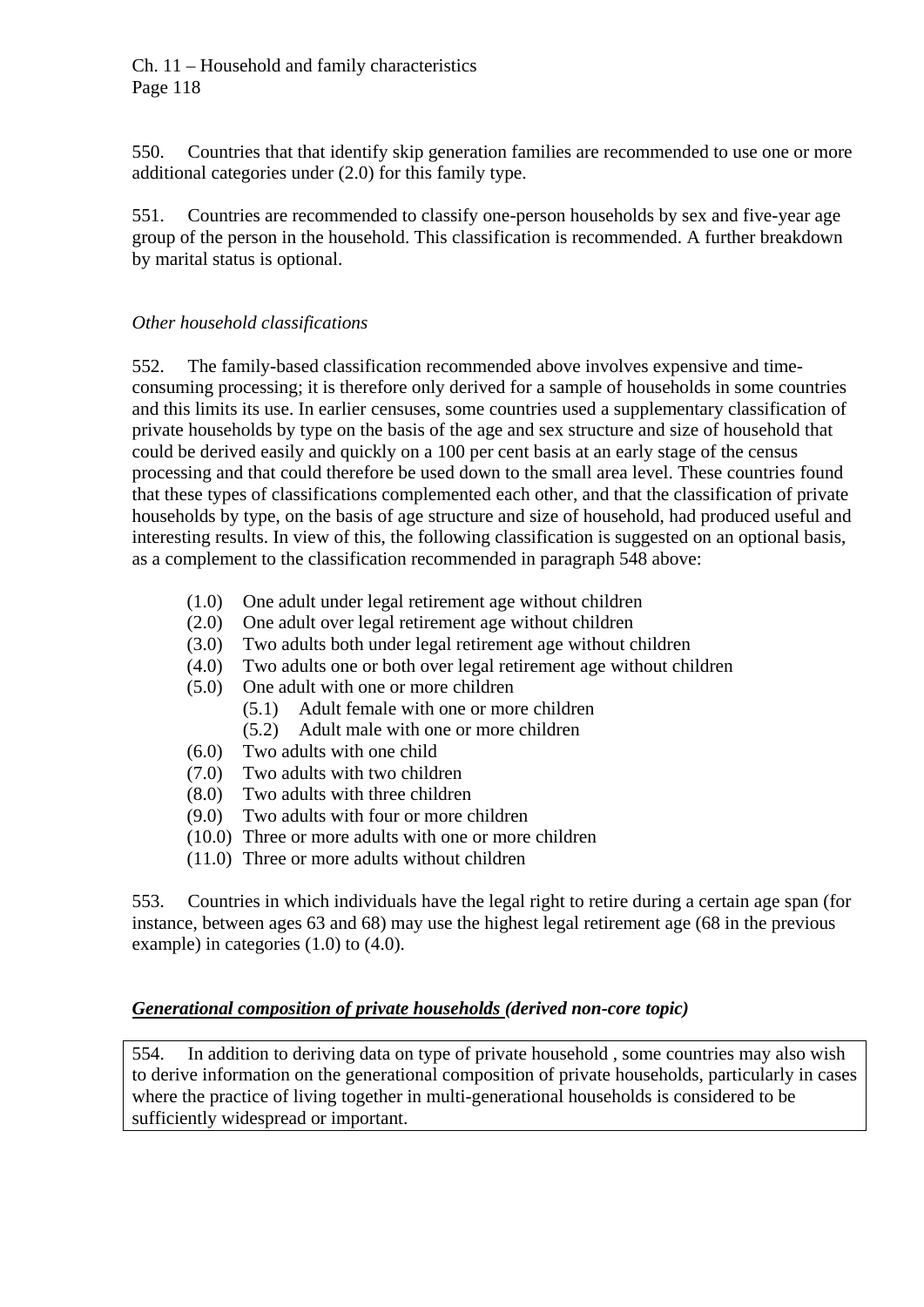550. Countries that that identify skip generation families are recommended to use one or more additional categories under (2.0) for this family type.

551. Countries are recommended to classify one-person households by sex and five-year age group of the person in the household. This classification is recommended. A further breakdown by marital status is optional.

#### *Other household classifications*

552. The family-based classification recommended above involves expensive and timeconsuming processing; it is therefore only derived for a sample of households in some countries and this limits its use. In earlier censuses, some countries used a supplementary classification of private households by type on the basis of the age and sex structure and size of household that could be derived easily and quickly on a 100 per cent basis at an early stage of the census processing and that could therefore be used down to the small area level. These countries found that these types of classifications complemented each other, and that the classification of private households by type, on the basis of age structure and size of household, had produced useful and interesting results. In view of this, the following classification is suggested on an optional basis, as a complement to the classification recommended in paragraph [548](#page-115-0) above:

- (1.0) One adult under legal retirement age without children
- (2.0) One adult over legal retirement age without children
- (3.0) Two adults both under legal retirement age without children
- (4.0) Two adults one or both over legal retirement age without children
- (5.0) One adult with one or more children
	- (5.1) Adult female with one or more children
	- (5.2) Adult male with one or more children
- (6.0) Two adults with one child
- (7.0) Two adults with two children
- (8.0) Two adults with three children
- (9.0) Two adults with four or more children
- (10.0) Three or more adults with one or more children
- (11.0) Three or more adults without children

553. Countries in which individuals have the legal right to retire during a certain age span (for instance, between ages 63 and 68) may use the highest legal retirement age (68 in the previous example) in categories (1.0) to (4.0).

## *Generational composition of private households (derived non-core topic)*

554. In addition to deriving data on type of private household , some countries may also wish to derive information on the generational composition of private households, particularly in cases where the practice of living together in multi-generational households is considered to be sufficiently widespread or important.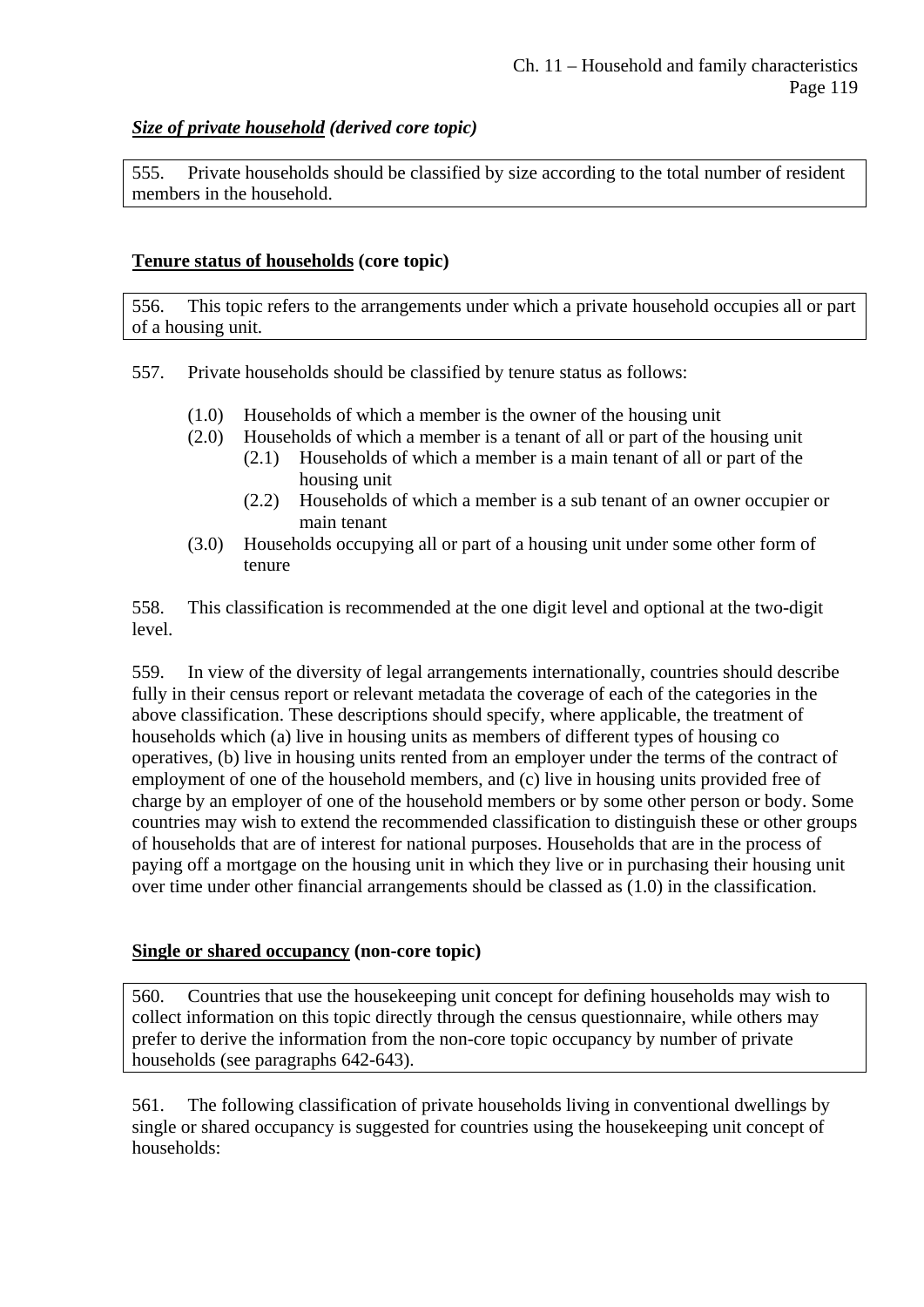# <span id="page-118-0"></span>*Size of private household (derived core topic)*

555. Private households should be classified by size according to the total number of resident members in the household.

## **Tenure status of households (core topic)**

556. This topic refers to the arrangements under which a private household occupies all or part of a housing unit.

557. Private households should be classified by tenure status as follows:

- (1.0) Households of which a member is the owner of the housing unit
- (2.0) Households of which a member is a tenant of all or part of the housing unit
	- (2.1) Households of which a member is a main tenant of all or part of the housing unit
	- (2.2) Households of which a member is a sub tenant of an owner occupier or main tenant
- (3.0) Households occupying all or part of a housing unit under some other form of tenure

558. This classification is recommended at the one digit level and optional at the two-digit level.

559. In view of the diversity of legal arrangements internationally, countries should describe fully in their census report or relevant metadata the coverage of each of the categories in the above classification. These descriptions should specify, where applicable, the treatment of households which (a) live in housing units as members of different types of housing co operatives, (b) live in housing units rented from an employer under the terms of the contract of employment of one of the household members, and (c) live in housing units provided free of charge by an employer of one of the household members or by some other person or body. Some countries may wish to extend the recommended classification to distinguish these or other groups of households that are of interest for national purposes. Households that are in the process of paying off a mortgage on the housing unit in which they live or in purchasing their housing unit over time under other financial arrangements should be classed as (1.0) in the classification.

## **Single or shared occupancy (non-core topic)**

560. Countries that use the housekeeping unit concept for defining households may wish to collect information on this topic directly through the census questionnaire, while others may prefer to derive the information from the non-core topic occupancy by number of private households (see paragraphs [642-643](#page-135-0)).

561. The following classification of private households living in conventional dwellings by single or shared occupancy is suggested for countries using the housekeeping unit concept of households: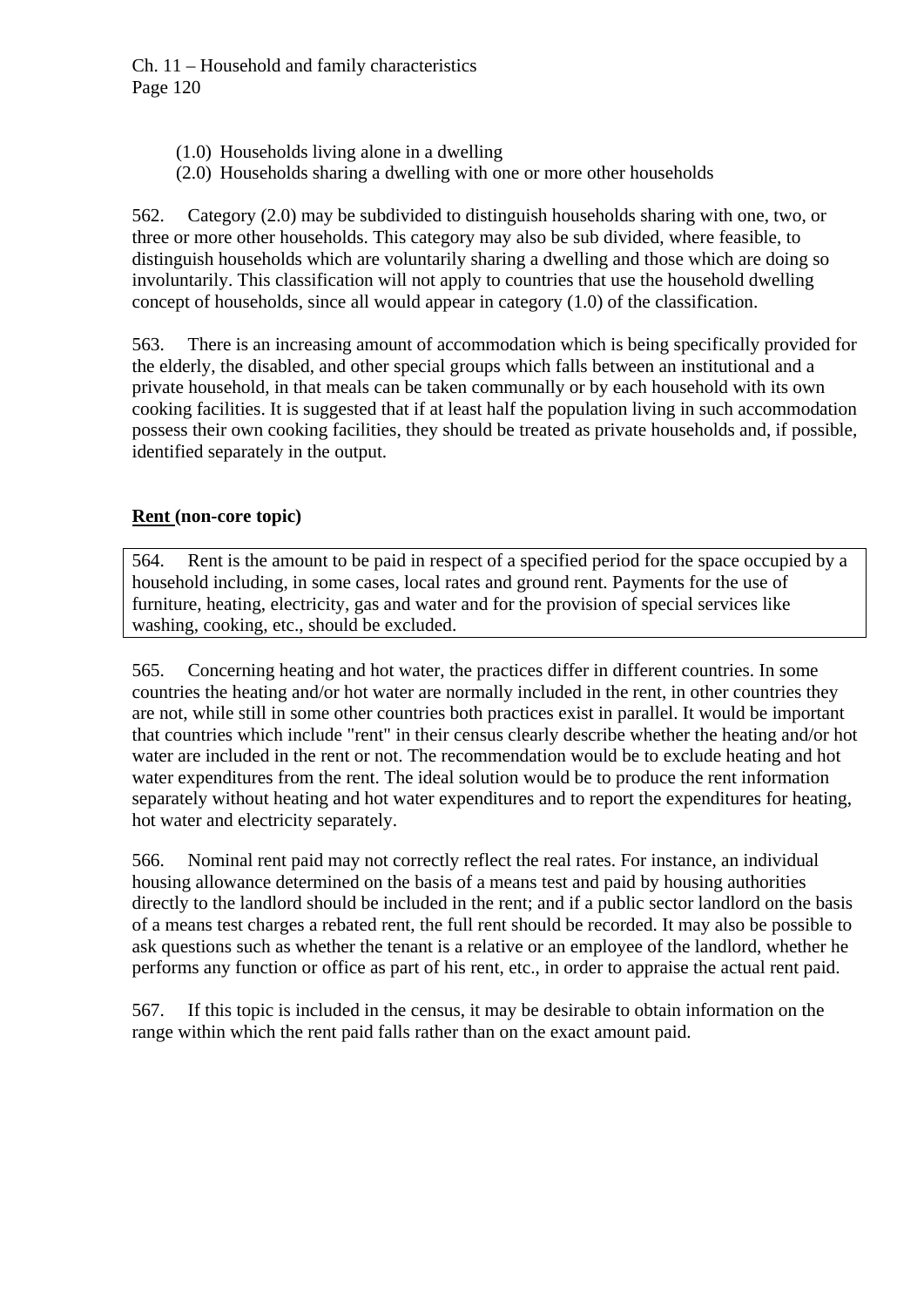Ch. 11 – Household and family characteristics Page 120

- (1.0) Households living alone in a dwelling
- (2.0) Households sharing a dwelling with one or more other households

562. Category (2.0) may be subdivided to distinguish households sharing with one, two, or three or more other households. This category may also be sub divided, where feasible, to distinguish households which are voluntarily sharing a dwelling and those which are doing so involuntarily. This classification will not apply to countries that use the household dwelling concept of households, since all would appear in category (1.0) of the classification.

563. There is an increasing amount of accommodation which is being specifically provided for the elderly, the disabled, and other special groups which falls between an institutional and a private household, in that meals can be taken communally or by each household with its own cooking facilities. It is suggested that if at least half the population living in such accommodation possess their own cooking facilities, they should be treated as private households and, if possible, identified separately in the output.

## **Rent (non-core topic)**

564. Rent is the amount to be paid in respect of a specified period for the space occupied by a household including, in some cases, local rates and ground rent. Payments for the use of furniture, heating, electricity, gas and water and for the provision of special services like washing, cooking, etc., should be excluded.

565. Concerning heating and hot water, the practices differ in different countries. In some countries the heating and/or hot water are normally included in the rent, in other countries they are not, while still in some other countries both practices exist in parallel. It would be important that countries which include "rent" in their census clearly describe whether the heating and/or hot water are included in the rent or not. The recommendation would be to exclude heating and hot water expenditures from the rent. The ideal solution would be to produce the rent information separately without heating and hot water expenditures and to report the expenditures for heating, hot water and electricity separately.

566. Nominal rent paid may not correctly reflect the real rates. For instance, an individual housing allowance determined on the basis of a means test and paid by housing authorities directly to the landlord should be included in the rent; and if a public sector landlord on the basis of a means test charges a rebated rent, the full rent should be recorded. It may also be possible to ask questions such as whether the tenant is a relative or an employee of the landlord, whether he performs any function or office as part of his rent, etc., in order to appraise the actual rent paid.

567. If this topic is included in the census, it may be desirable to obtain information on the range within which the rent paid falls rather than on the exact amount paid.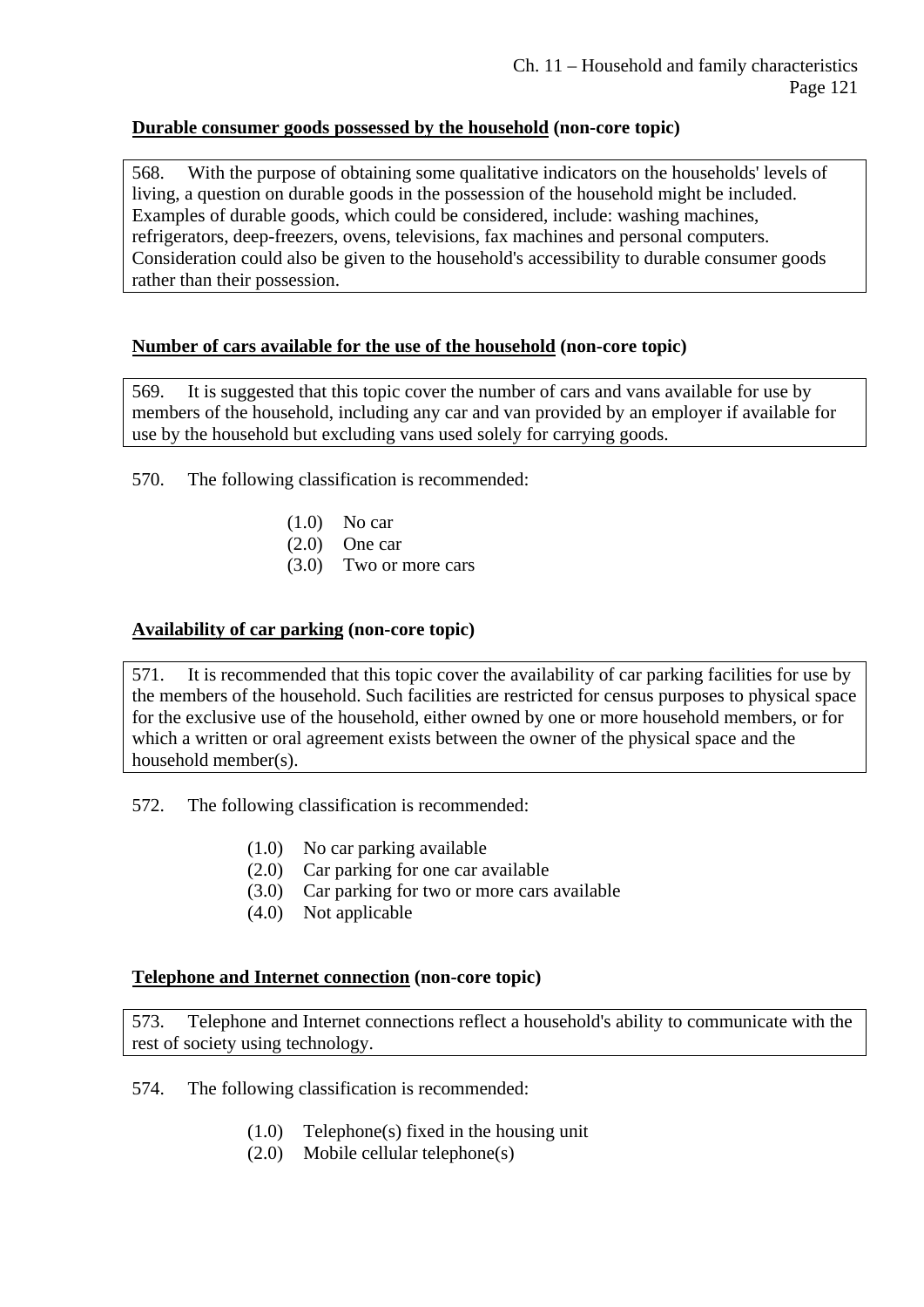## **Durable consumer goods possessed by the household (non-core topic)**

568. With the purpose of obtaining some qualitative indicators on the households' levels of living, a question on durable goods in the possession of the household might be included. Examples of durable goods, which could be considered, include: washing machines, refrigerators, deep-freezers, ovens, televisions, fax machines and personal computers. Consideration could also be given to the household's accessibility to durable consumer goods rather than their possession.

# **Number of cars available for the use of the household (non-core topic)**

569. It is suggested that this topic cover the number of cars and vans available for use by members of the household, including any car and van provided by an employer if available for use by the household but excluding vans used solely for carrying goods.

570. The following classification is recommended:

- $(1.0)$  No car
- (2.0) One car
- (3.0) Two or more cars

## **Availability of car parking (non-core topic)**

571. It is recommended that this topic cover the availability of car parking facilities for use by the members of the household. Such facilities are restricted for census purposes to physical space for the exclusive use of the household, either owned by one or more household members, or for which a written or oral agreement exists between the owner of the physical space and the household member(s).

- 572. The following classification is recommended:
	- (1.0) No car parking available
	- (2.0) Car parking for one car available
	- (3.0) Car parking for two or more cars available
	- (4.0) Not applicable

## **Telephone and Internet connection (non-core topic)**

573. Telephone and Internet connections reflect a household's ability to communicate with the rest of society using technology.

- 574. The following classification is recommended:
	- (1.0) Telephone(s) fixed in the housing unit
	- (2.0) Mobile cellular telephone(s)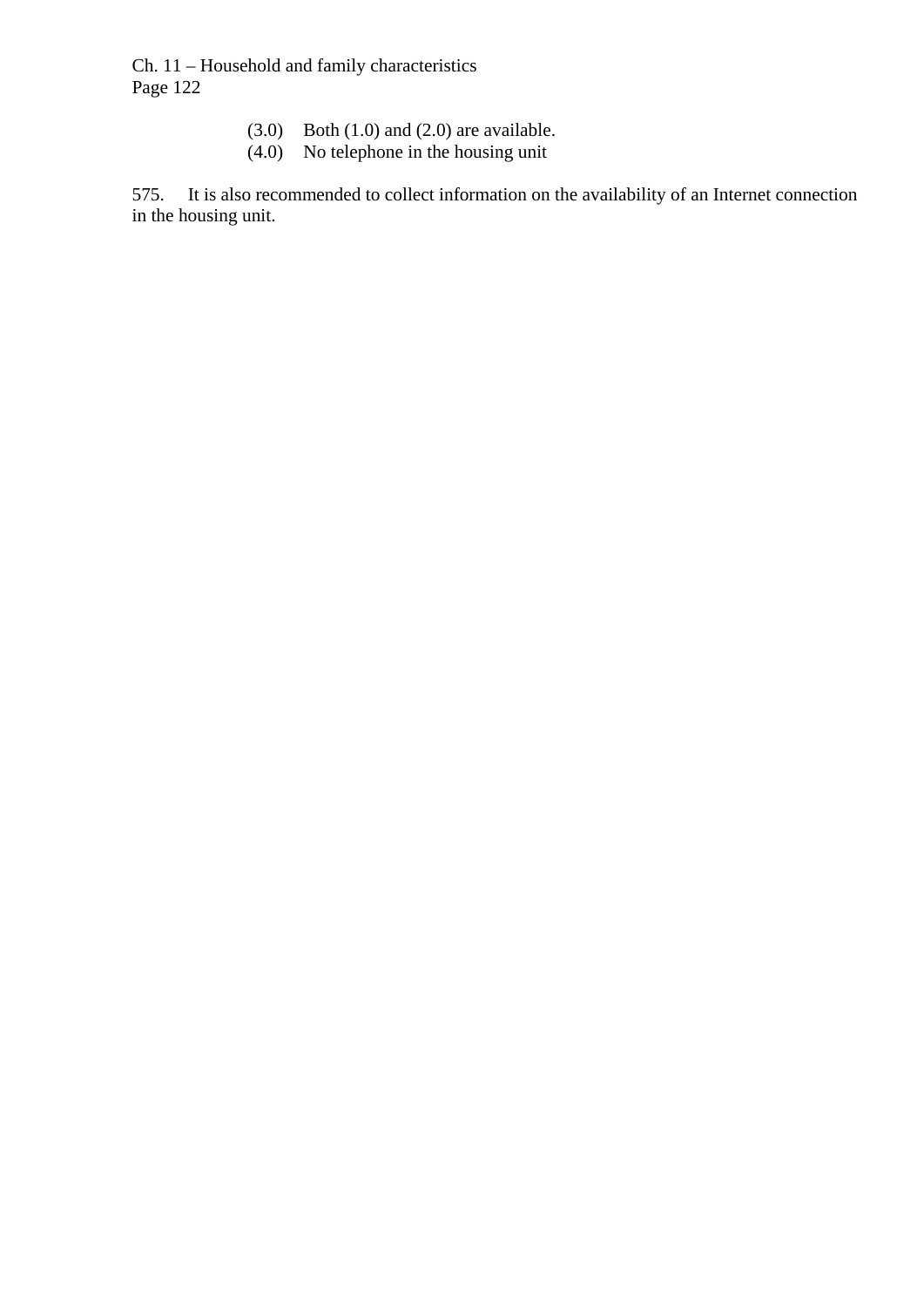Ch. 11 – Household and family characteristics Page 122

- (3.0) Both (1.0) and (2.0) are available.<br>(4.0) No telephone in the housing unit
- No telephone in the housing unit

575. It is also recommended to collect information on the availability of an Internet connection in the housing unit.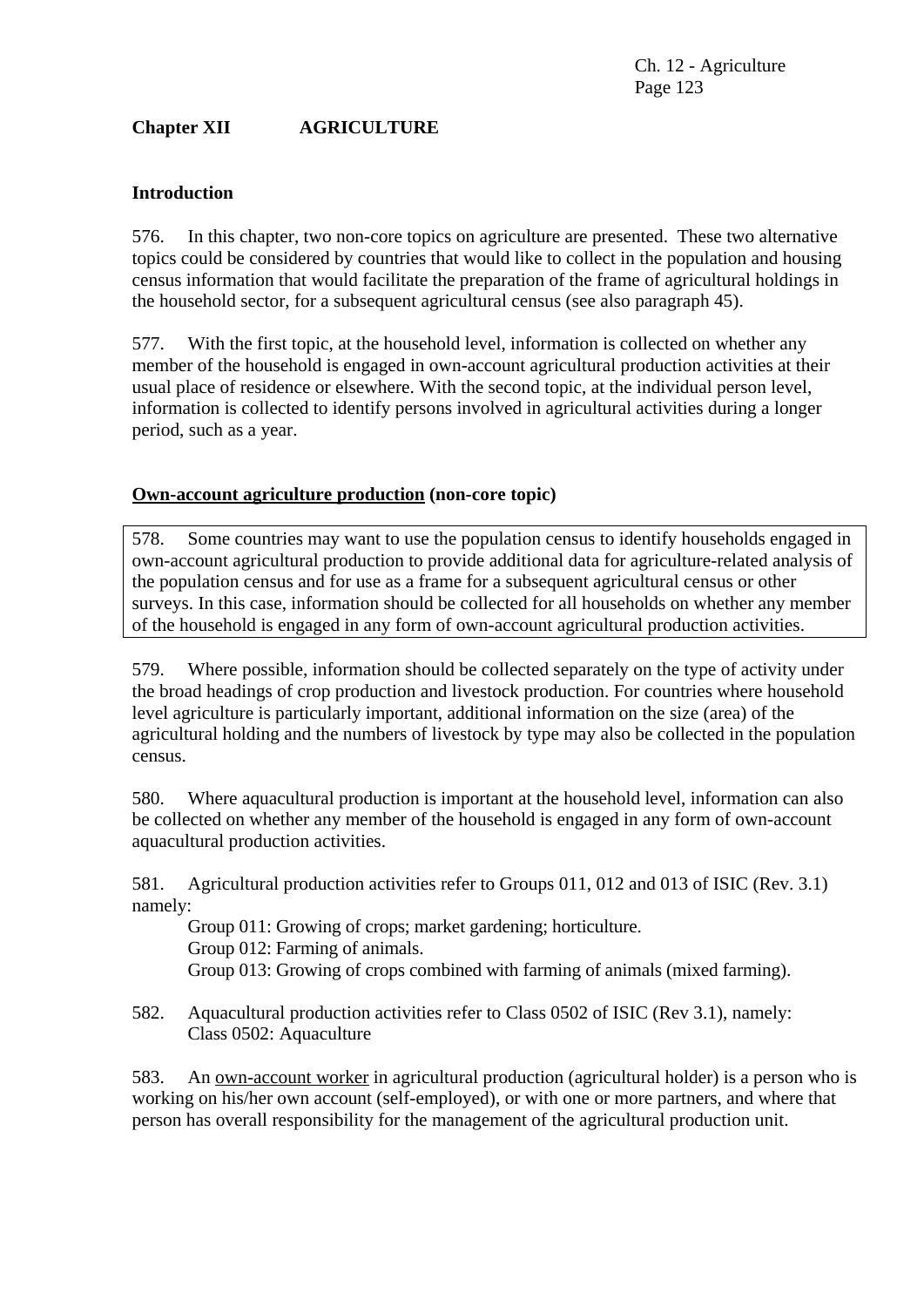# **Chapter XII AGRICULTURE**

# **Introduction**

576. In this chapter, two non-core topics on agriculture are presented. These two alternative topics could be considered by countries that would like to collect in the population and housing census information that would facilitate the preparation of the frame of agricultural holdings in the household sector, for a subsequent agricultural census (see also paragraph [45](#page-13-0)).

577. With the first topic, at the household level, information is collected on whether any member of the household is engaged in own-account agricultural production activities at their usual place of residence or elsewhere. With the second topic, at the individual person level, information is collected to identify persons involved in agricultural activities during a longer period, such as a year.

## **Own-account agriculture production (non-core topic)**

578. Some countries may want to use the population census to identify households engaged in own-account agricultural production to provide additional data for agriculture-related analysis of the population census and for use as a frame for a subsequent agricultural census or other surveys. In this case, information should be collected for all households on whether any member of the household is engaged in any form of own-account agricultural production activities.

579. Where possible, information should be collected separately on the type of activity under the broad headings of crop production and livestock production. For countries where household level agriculture is particularly important, additional information on the size (area) of the agricultural holding and the numbers of livestock by type may also be collected in the population census.

580. Where aquacultural production is important at the household level, information can also be collected on whether any member of the household is engaged in any form of own-account aquacultural production activities.

581. Agricultural production activities refer to Groups 011, 012 and 013 of ISIC (Rev. 3.1) namely:

Group 011: Growing of crops; market gardening; horticulture. Group 012: Farming of animals. Group 013: Growing of crops combined with farming of animals (mixed farming).

582. Aquacultural production activities refer to Class 0502 of ISIC (Rev 3.1), namely: Class 0502: Aquaculture

583. An own-account worker in agricultural production (agricultural holder) is a person who is working on his/her own account (self-employed), or with one or more partners, and where that person has overall responsibility for the management of the agricultural production unit.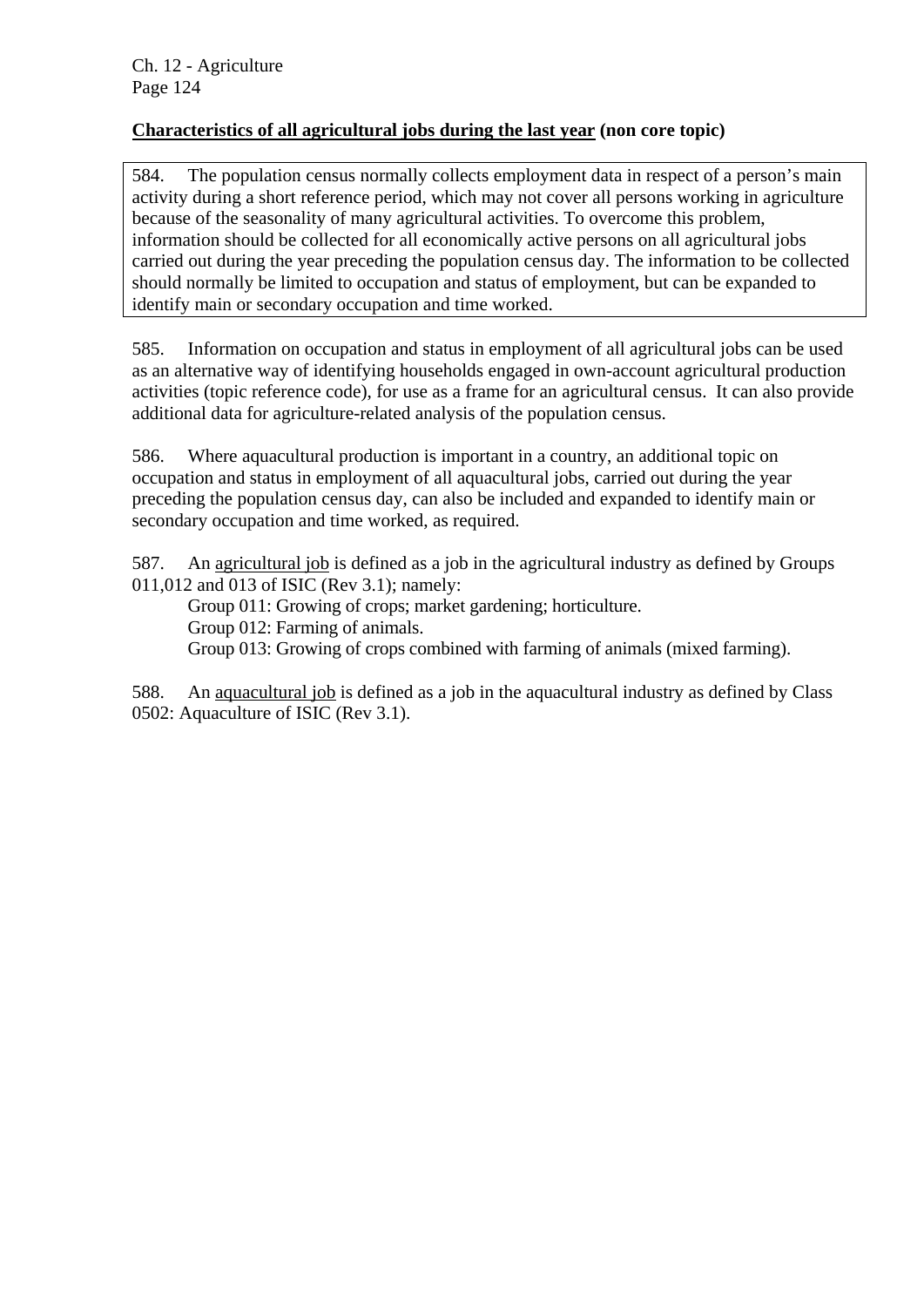## **Characteristics of all agricultural jobs during the last year (non core topic)**

584. The population census normally collects employment data in respect of a person's main activity during a short reference period, which may not cover all persons working in agriculture because of the seasonality of many agricultural activities. To overcome this problem, information should be collected for all economically active persons on all agricultural jobs carried out during the year preceding the population census day. The information to be collected should normally be limited to occupation and status of employment, but can be expanded to identify main or secondary occupation and time worked.

585. Information on occupation and status in employment of all agricultural jobs can be used as an alternative way of identifying households engaged in own-account agricultural production activities (topic reference code), for use as a frame for an agricultural census. It can also provide additional data for agriculture-related analysis of the population census.

586. Where aquacultural production is important in a country, an additional topic on occupation and status in employment of all aquacultural jobs, carried out during the year preceding the population census day, can also be included and expanded to identify main or secondary occupation and time worked, as required.

587. An agricultural job is defined as a job in the agricultural industry as defined by Groups 011,012 and 013 of ISIC (Rev 3.1); namely:

Group 011: Growing of crops; market gardening; horticulture.

Group 012: Farming of animals.

Group 013: Growing of crops combined with farming of animals (mixed farming).

588. An aquacultural job is defined as a job in the aquacultural industry as defined by Class 0502: Aquaculture of ISIC (Rev 3.1).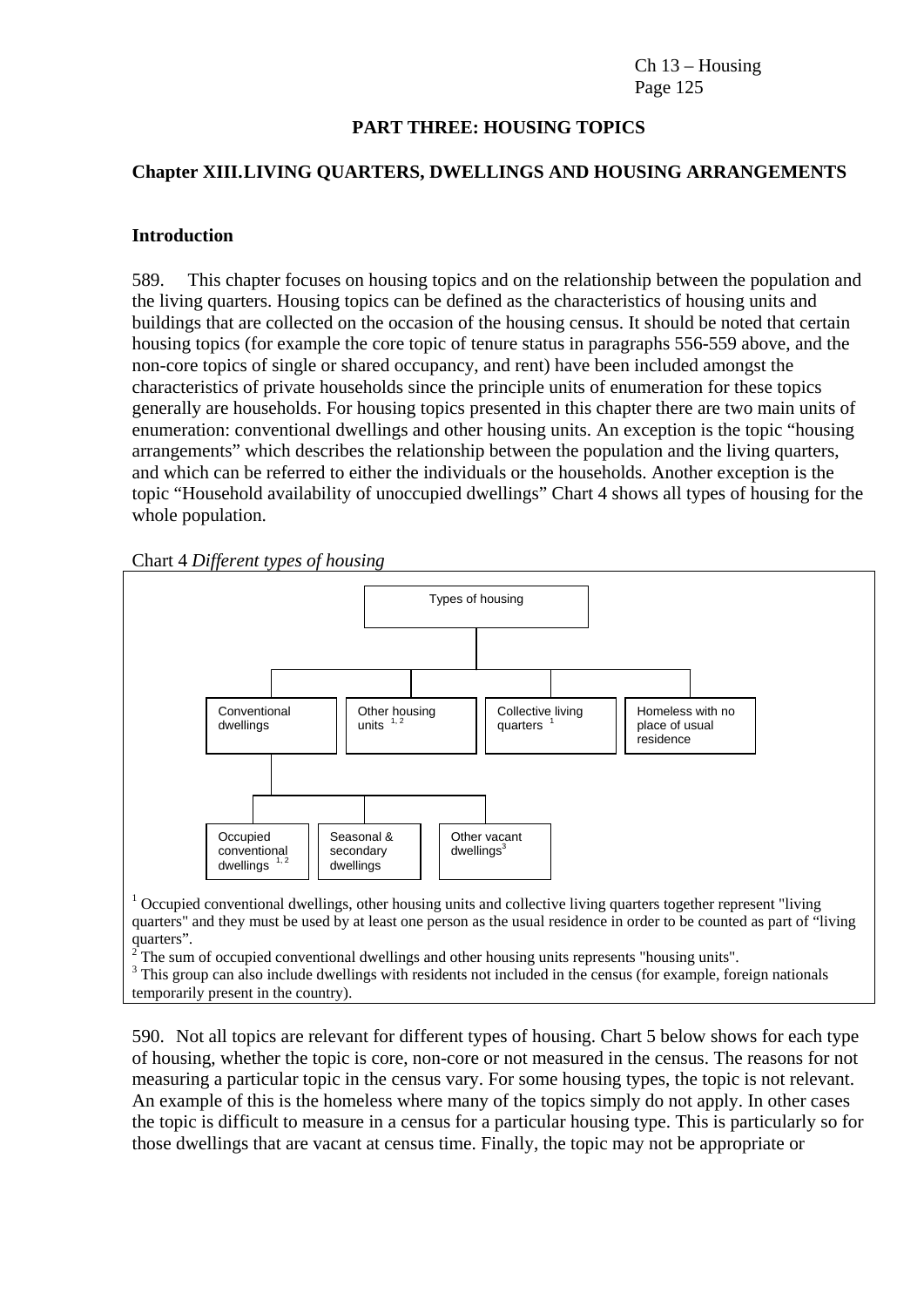Ch 13 – Housing Page 125

## **PART THREE: HOUSING TOPICS**

# **Chapter XIII. LIVING QUARTERS, DWELLINGS AND HOUSING ARRANGEMENTS**

#### **Introduction**

589. This chapter focuses on housing topics and on the relationship between the population and the living quarters. Housing topics can be defined as the characteristics of housing units and buildings that are collected on the occasion of the housing census. It should be noted that certain housing topics (for example the core topic of tenure status in paragraphs [556-559](#page-118-0) above, and the non-core topics of single or shared occupancy, and rent) have been included amongst the characteristics of private households since the principle units of enumeration for these topics generally are households. For housing topics presented in this chapter there are two main units of enumeration: conventional dwellings and other housing units. An exception is the topic "housing arrangements" which describes the relationship between the population and the living quarters, and which can be referred to either the individuals or the households. Another exception is the topic "Household availability of unoccupied dwellings" Chart 4 shows all types of housing for the whole population.





The sum of occupied conventional dwellings and other housing units represents "housing units".

<sup>3</sup> This group can also include dwellings with residents not included in the census (for example, foreign nationals temporarily present in the country).

590. Not all topics are relevant for different types of housing. Chart 5 below shows for each type of housing, whether the topic is core, non-core or not measured in the census. The reasons for not measuring a particular topic in the census vary. For some housing types, the topic is not relevant. An example of this is the homeless where many of the topics simply do not apply. In other cases the topic is difficult to measure in a census for a particular housing type. This is particularly so for those dwellings that are vacant at census time. Finally, the topic may not be appropriate or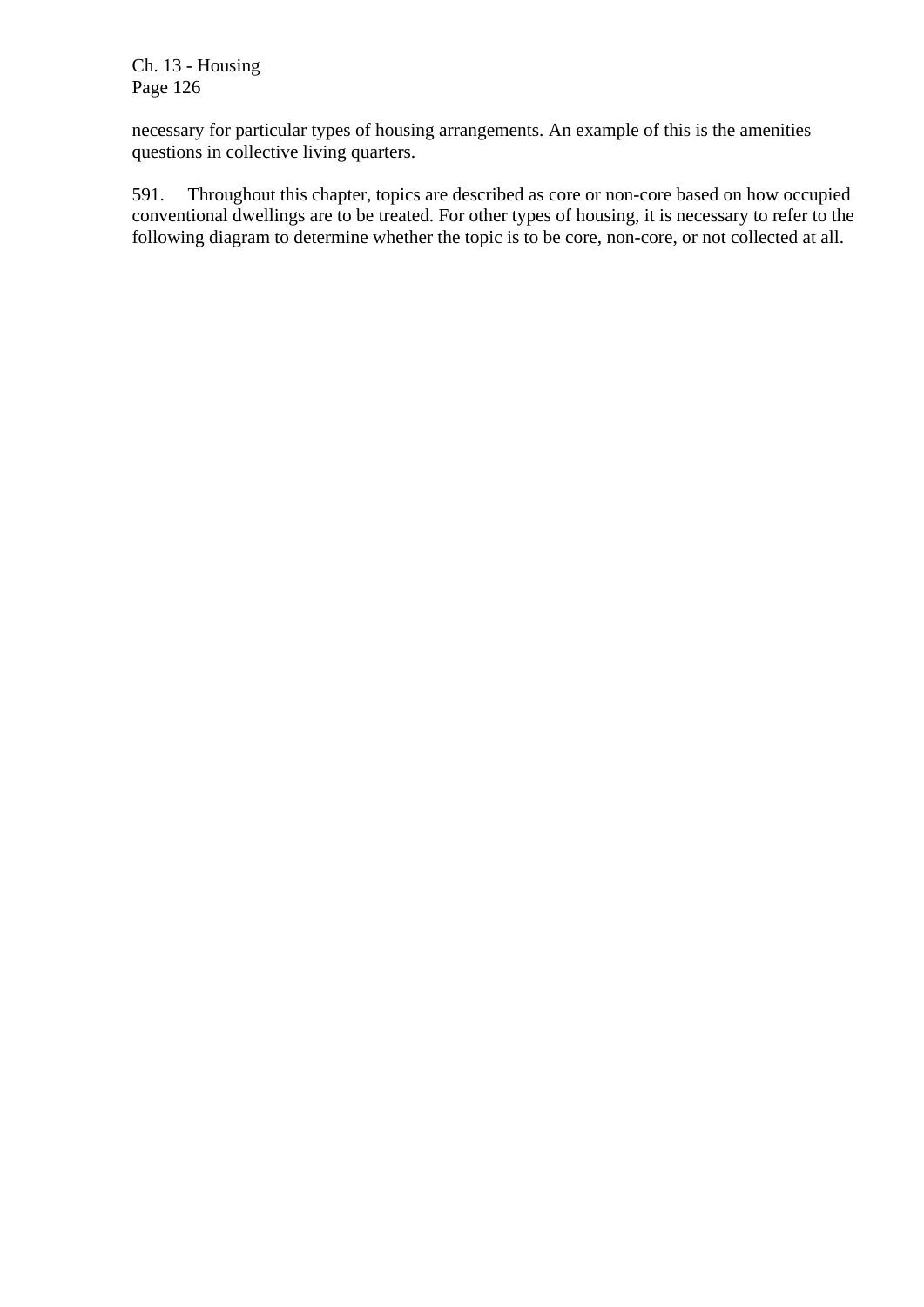Ch. 13 - Housing Page 126

necessary for particular types of housing arrangements. An example of this is the amenities questions in collective living quarters.

591. Throughout this chapter, topics are described as core or non-core based on how occupied conventional dwellings are to be treated. For other types of housing, it is necessary to refer to the following diagram to determine whether the topic is to be core, non-core, or not collected at all.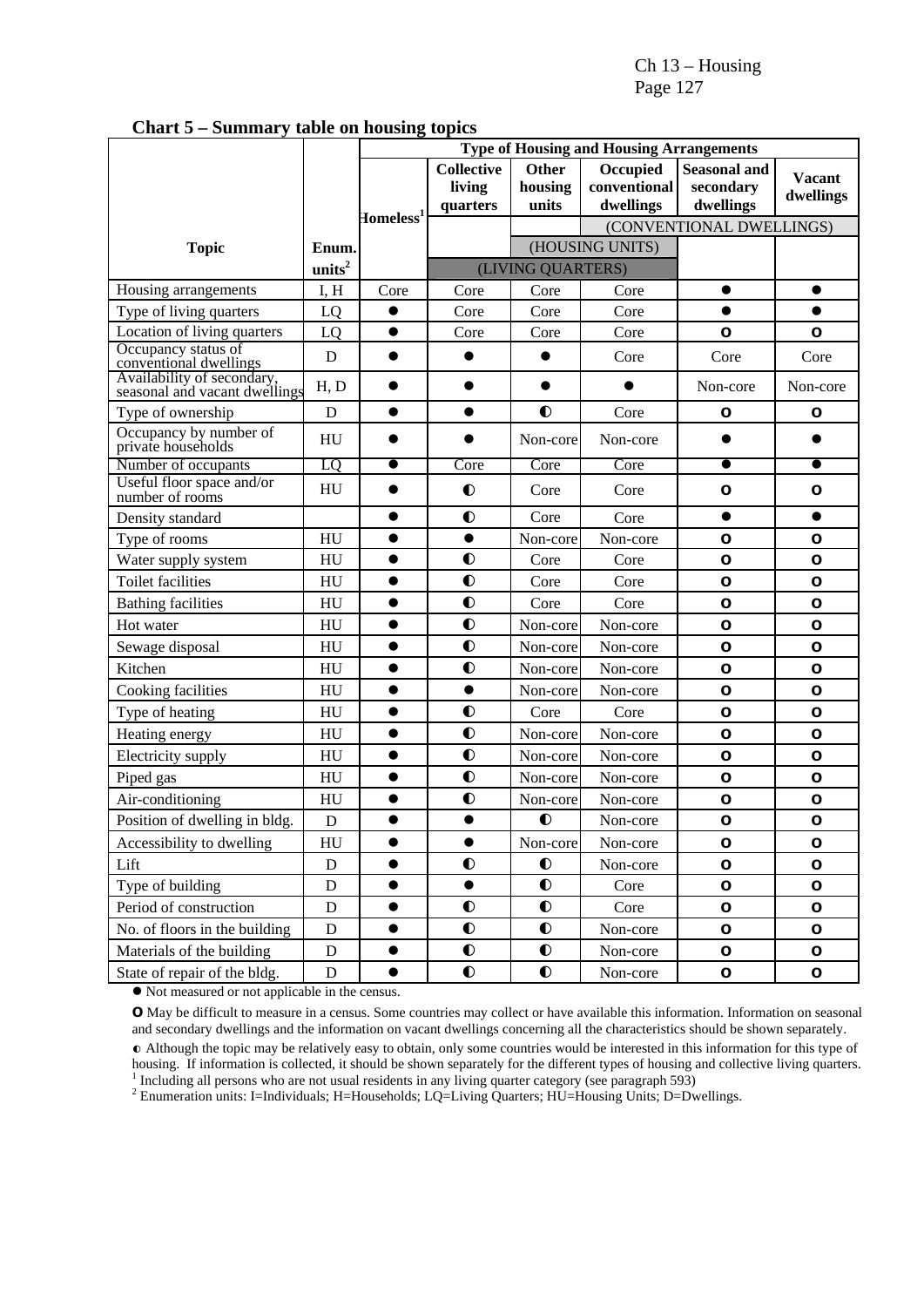|  | <b>Chart 5 – Summary table on housing topics</b> |  |  |
|--|--------------------------------------------------|--|--|

|                                                             |             | <b>Type of Housing and Housing Arrangements</b> |                                         |                           |                                       |                                               |                            |
|-------------------------------------------------------------|-------------|-------------------------------------------------|-----------------------------------------|---------------------------|---------------------------------------|-----------------------------------------------|----------------------------|
|                                                             |             | Homeless <sup>1</sup>                           | <b>Collective</b><br>living<br>quarters | Other<br>housing<br>units | Occupied<br>conventional<br>dwellings | <b>Seasonal and</b><br>secondary<br>dwellings | <b>Vacant</b><br>dwellings |
|                                                             |             |                                                 |                                         |                           |                                       | (CONVENTIONAL DWELLINGS)                      |                            |
| <b>Topic</b>                                                | Enum.       |                                                 |                                         | (HOUSING UNITS)           |                                       |                                               |                            |
|                                                             | units $2$   |                                                 | (LIVING QUARTERS)                       |                           |                                       |                                               |                            |
| Housing arrangements                                        | I, H        | Core                                            | Core                                    | Core                      | Core                                  | $\bullet$                                     | $\bullet$                  |
| Type of living quarters                                     | LQ          | $\bullet$                                       | Core                                    | Core                      | Core                                  | $\bullet$                                     | $\bullet$                  |
| Location of living quarters                                 | LQ          | $\bullet$                                       | Core                                    | Core                      | Core                                  | $\mathbf{o}$                                  | $\mathbf{o}$               |
| Occupancy status of<br>conventional dwellings               | D           | $\bullet$                                       | $\bullet$                               | $\bullet$                 | Core                                  | Core                                          | Core                       |
| Availability of secondary,<br>seasonal and vacant dwellings | H, D        | $\bullet$                                       | $\bullet$                               | $\bullet$                 | $\bullet$                             | Non-core                                      | Non-core                   |
| Type of ownership                                           | D           | $\bullet$                                       | $\bullet$                               | $\bullet$                 | Core                                  | $\mathbf{o}$                                  | $\mathbf{o}$               |
| Occupancy by number of<br>private households                | HU          |                                                 |                                         | Non-core                  | Non-core                              |                                               |                            |
| Number of occupants                                         | LQ          |                                                 | Core                                    | Core                      | Core                                  | $\bullet$                                     | $\bullet$                  |
| Useful floor space and/or<br>number of rooms                | HU          | $\bullet$                                       | $\bullet$                               | Core                      | Core                                  | $\mathbf{o}$                                  | $\mathbf{o}$               |
| Density standard                                            |             | $\bullet$                                       | $\bullet$                               | Core                      | Core                                  | $\bullet$                                     | $\bullet$                  |
| Type of rooms                                               | HU          | $\bullet$                                       | $\bullet$                               | Non-core                  | Non-core                              | $\mathbf{o}$                                  | $\mathbf{o}$               |
| Water supply system                                         | HU          | $\bullet$                                       | $\bullet$                               | Core                      | Core                                  | $\mathbf{o}$                                  | $\mathbf{o}$               |
| <b>Toilet facilities</b>                                    | HU          | $\bullet$                                       | $\bullet$                               | Core                      | Core                                  | $\mathbf{o}$                                  | $\mathbf{o}$               |
| <b>Bathing facilities</b>                                   | HU          | $\bullet$                                       | $\bullet$                               | Core                      | Core                                  | $\mathbf{o}$                                  | $\mathbf{o}$               |
| Hot water                                                   | HU          | $\bullet$                                       | $\bullet$                               | Non-core                  | Non-core                              | $\mathbf{o}$                                  | $\mathbf{o}$               |
| Sewage disposal                                             | HU          | $\bullet$                                       | $\bullet$                               | Non-core                  | Non-core                              | $\mathbf{o}$                                  | $\mathbf{o}$               |
| Kitchen                                                     | HU          | $\bullet$                                       | $\bullet$                               | Non-core                  | Non-core                              | $\mathbf{o}$                                  | $\mathbf{o}$               |
| Cooking facilities                                          | HU          | $\bullet$                                       | $\bullet$                               | Non-core                  | Non-core                              | $\mathbf{o}$                                  | $\mathbf{o}$               |
| Type of heating                                             | HU          | $\bullet$                                       | $\bullet$                               | Core                      | Core                                  | $\mathbf{o}$                                  | $\mathbf{o}$               |
| Heating energy                                              | HU          | $\bullet$                                       | $\bullet$                               | Non-core                  | Non-core                              | $\mathbf{o}$                                  | $\mathbf{o}$               |
| Electricity supply                                          | HU          | $\bullet$                                       | $\bullet$                               | Non-core                  | Non-core                              | $\mathbf{o}$                                  | $\mathbf{o}$               |
| Piped gas                                                   | HU          | $\bullet$                                       | $\bullet$                               | Non-core                  | Non-core                              | $\mathbf{o}$                                  | $\mathbf{o}$               |
| Air-conditioning                                            | HU          | $\bullet$                                       | $\bullet$                               | Non-core                  | Non-core                              | $\mathbf{o}$                                  | $\mathbf{o}$               |
| Position of dwelling in bldg.                               | D           | $\bullet$                                       | $\bullet$                               | $\bullet$                 | Non-core                              | $\mathbf{o}$                                  | $\mathbf{o}$               |
| Accessibility to dwelling                                   | HU          | $\bullet$                                       | $\bullet$                               | Non-core                  | Non-core                              | $\mathbf{o}$                                  | o                          |
| Lift                                                        | D           | $\bullet$                                       | $\bullet$                               | $\bullet$                 | Non-core                              | $\mathbf{o}$                                  | $\mathbf{o}$               |
| Type of building                                            | ${\bf D}$   | $\bullet$                                       |                                         | $\bullet$                 | Core                                  | $\mathbf{o}$                                  | O                          |
| Period of construction                                      | ${\bf D}$   | $\bullet$                                       | $\bullet$                               | $\bullet$                 | Core                                  | $\mathbf{o}$                                  | $\mathbf{o}$               |
| No. of floors in the building                               | $\mathbf D$ | $\bullet$                                       | $\bullet$                               | $\bullet$                 | Non-core                              | $\mathbf{o}$                                  | O                          |
| Materials of the building                                   | ${\bf D}$   | $\bullet$                                       | $\bullet$                               | $\bullet$                 | Non-core                              | $\mathbf{o}$                                  | $\mathbf{o}$               |
| State of repair of the bldg.                                | ${\bf D}$   | $\bullet$                                       | $\bullet$                               | $\bullet$                 | Non-core                              | $\mathbf{o}$                                  | $\mathbf{o}$               |

 $\bullet$  Not measured or not applicable in the census.

**o** May be difficult to measure in a census. Some countries may collect or have available this information. Information on seasonal and secondary dwellings and the information on vacant dwellings concerning all the characteristics should be shown separately.

◐ Although the topic may be relatively easy to obtain, only some countries would be interested in this information for this type of housing. If information is collected, it should be shown separately for the different types of housing and collective living quarters.<br><sup>1</sup> Including all persons who are not usual residents in any living quarter category (

<sup>2</sup> Enumeration units: I=Individuals; H=Households; LQ=Living Quarters; HU=Housing Units; D=Dwellings.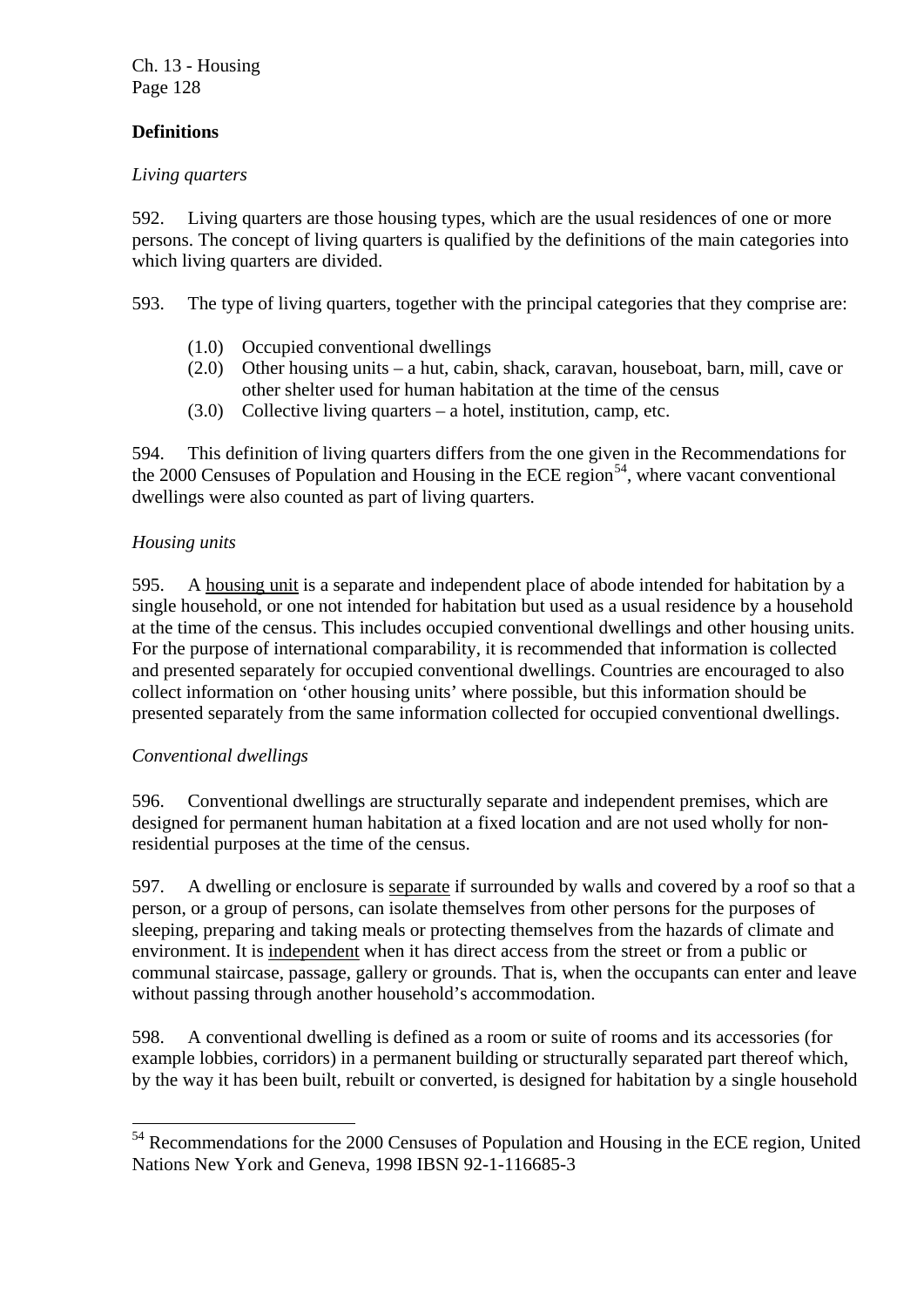<span id="page-127-0"></span>Ch. 13 - Housing Page 128

# **Definitions**

# *Living quarters*

592. Living quarters are those housing types, which are the usual residences of one or more persons. The concept of living quarters is qualified by the definitions of the main categories into which living quarters are divided.

593. The type of living quarters, together with the principal categories that they comprise are:

- (1.0) Occupied conventional dwellings
- (2.0) Other housing units a hut, cabin, shack, caravan, houseboat, barn, mill, cave or other shelter used for human habitation at the time of the census
- (3.0) Collective living quarters a hotel, institution, camp, etc.

594. This definition of living quarters differs from the one given in the Recommendations for the 2000 Censuses of Population and Housing in the ECE region<sup>[5](#page-127-0)4</sup>, where vacant conventional dwellings were also counted as part of living quarters.

# *Housing units*

595. A housing unit is a separate and independent place of abode intended for habitation by a single household, or one not intended for habitation but used as a usual residence by a household at the time of the census. This includes occupied conventional dwellings and other housing units. For the purpose of international comparability, it is recommended that information is collected and presented separately for occupied conventional dwellings. Countries are encouraged to also collect information on 'other housing units' where possible, but this information should be presented separately from the same information collected for occupied conventional dwellings.

# *Conventional dwellings*

596. Conventional dwellings are structurally separate and independent premises, which are designed for permanent human habitation at a fixed location and are not used wholly for nonresidential purposes at the time of the census.

597. A dwelling or enclosure is separate if surrounded by walls and covered by a roof so that a person, or a group of persons, can isolate themselves from other persons for the purposes of sleeping, preparing and taking meals or protecting themselves from the hazards of climate and environment. It is independent when it has direct access from the street or from a public or communal staircase, passage, gallery or grounds. That is, when the occupants can enter and leave without passing through another household's accommodation.

598. A conventional dwelling is defined as a room or suite of rooms and its accessories (for example lobbies, corridors) in a permanent building or structurally separated part thereof which, by the way it has been built, rebuilt or converted, is designed for habitation by a single household

<sup>&</sup>lt;u>.</u>  $54$  Recommendations for the 2000 Censuses of Population and Housing in the ECE region, United Nations New York and Geneva, 1998 IBSN 92-1-116685-3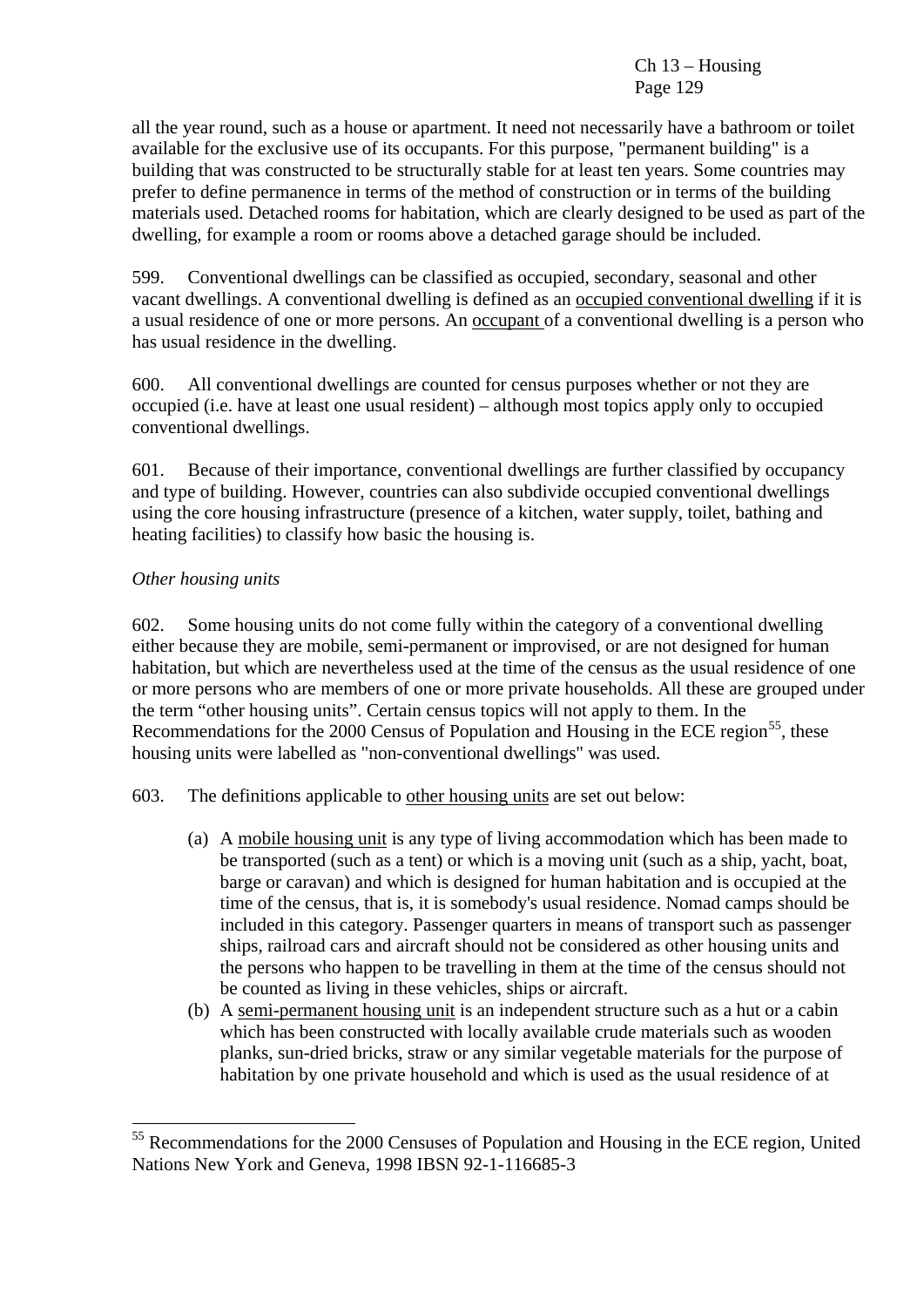Ch 13 – Housing Page 129

<span id="page-128-0"></span>all the year round, such as a house or apartment. It need not necessarily have a bathroom or toilet available for the exclusive use of its occupants. For this purpose, "permanent building" is a building that was constructed to be structurally stable for at least ten years. Some countries may prefer to define permanence in terms of the method of construction or in terms of the building materials used. Detached rooms for habitation, which are clearly designed to be used as part of the dwelling, for example a room or rooms above a detached garage should be included.

599. Conventional dwellings can be classified as occupied, secondary, seasonal and other vacant dwellings. A conventional dwelling is defined as an occupied conventional dwelling if it is a usual residence of one or more persons. An occupant of a conventional dwelling is a person who has usual residence in the dwelling.

600. All conventional dwellings are counted for census purposes whether or not they are occupied (i.e. have at least one usual resident) – although most topics apply only to occupied conventional dwellings.

601. Because of their importance, conventional dwellings are further classified by occupancy and type of building. However, countries can also subdivide occupied conventional dwellings using the core housing infrastructure (presence of a kitchen, water supply, toilet, bathing and heating facilities) to classify how basic the housing is.

## *Other housing units*

<u>.</u>

602. Some housing units do not come fully within the category of a conventional dwelling either because they are mobile, semi-permanent or improvised, or are not designed for human habitation, but which are nevertheless used at the time of the census as the usual residence of one or more persons who are members of one or more private households. All these are grouped under the term "other housing units". Certain census topics will not apply to them. In the Recommendations for the 2000 Census of Population and Housing in the ECE region<sup>[55](#page-128-0)</sup>, these housing units were labelled as "non-conventional dwellings" was used.

- 603. The definitions applicable to other housing units are set out below:
	- (a) A mobile housing unit is any type of living accommodation which has been made to be transported (such as a tent) or which is a moving unit (such as a ship, yacht, boat, barge or caravan) and which is designed for human habitation and is occupied at the time of the census, that is, it is somebody's usual residence. Nomad camps should be included in this category. Passenger quarters in means of transport such as passenger ships, railroad cars and aircraft should not be considered as other housing units and the persons who happen to be travelling in them at the time of the census should not be counted as living in these vehicles, ships or aircraft.
	- (b) A semi-permanent housing unit is an independent structure such as a hut or a cabin which has been constructed with locally available crude materials such as wooden planks, sun-dried bricks, straw or any similar vegetable materials for the purpose of habitation by one private household and which is used as the usual residence of at

 $55$  Recommendations for the 2000 Censuses of Population and Housing in the ECE region, United Nations New York and Geneva, 1998 IBSN 92-1-116685-3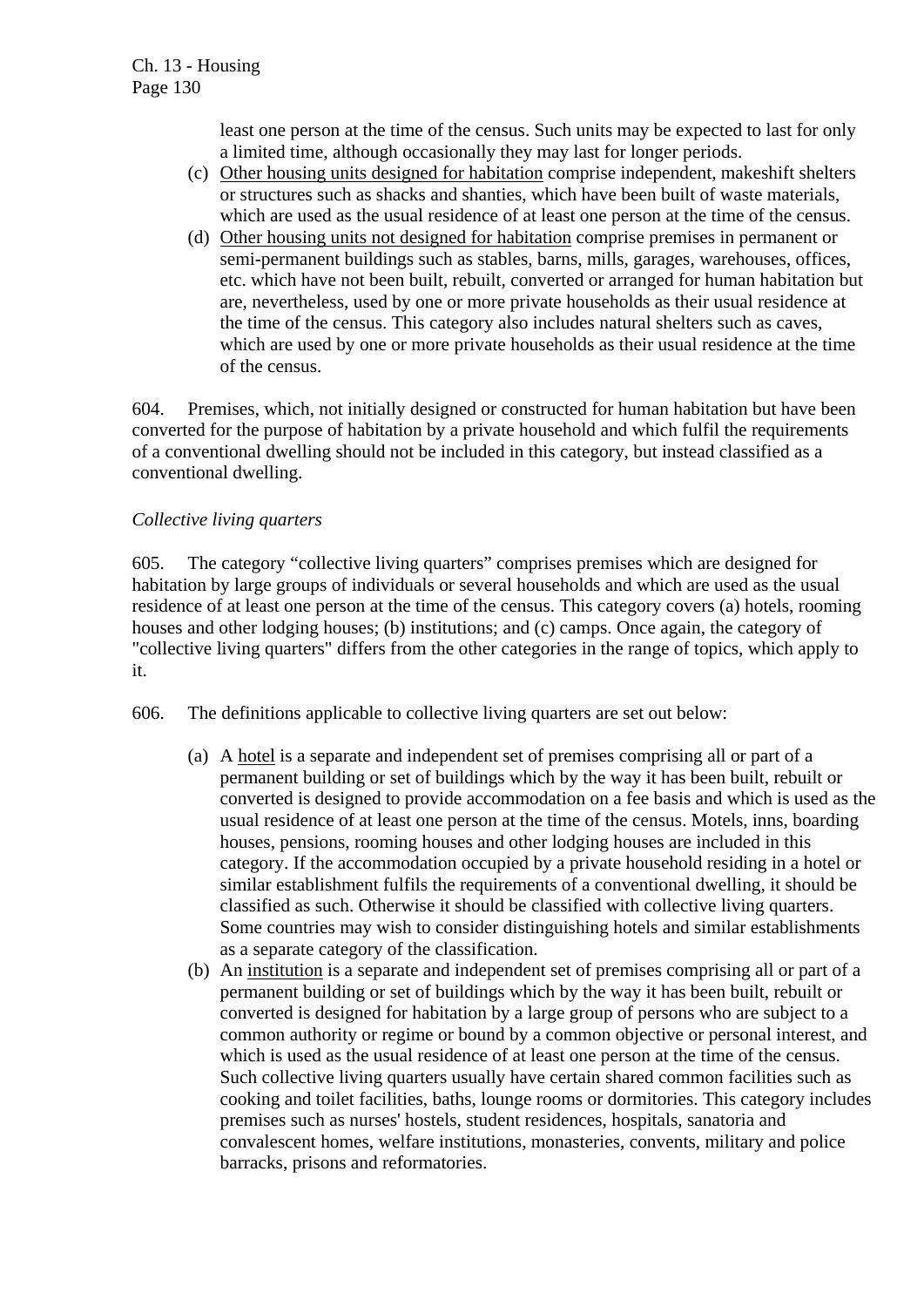least one person at the time of the census. Such units may be expected to last for only a limited time, although occasionally they may last for longer periods.

- <span id="page-129-0"></span>(c) Other housing units designed for habitation comprise independent, makeshift shelters or structures such as shacks and shanties, which have been built of waste materials, which are used as the usual residence of at least one person at the time of the census.
- (d) Other housing units not designed for habitation comprise premises in permanent or semi-permanent buildings such as stables, barns, mills, garages, warehouses, offices, etc. which have not been built, rebuilt, converted or arranged for human habitation but are, nevertheless, used by one or more private households as their usual residence at the time of the census. This category also includes natural shelters such as caves, which are used by one or more private households as their usual residence at the time of the census.

604. Premises, which, not initially designed or constructed for human habitation but have been converted for the purpose of habitation by a private household and which fulfil the requirements of a conventional dwelling should not be included in this category, but instead classified as a conventional dwelling.

## *Collective living quarters*

605. The category "collective living quarters" comprises premises which are designed for habitation by large groups of individuals or several households and which are used as the usual residence of at least one person at the time of the census. This category covers (a) hotels, rooming houses and other lodging houses; (b) institutions; and (c) camps. Once again, the category of "collective living quarters" differs from the other categories in the range of topics, which apply to it.

- 606. The definitions applicable to collective living quarters are set out below:
	- (a) A hotel is a separate and independent set of premises comprising all or part of a permanent building or set of buildings which by the way it has been built, rebuilt or converted is designed to provide accommodation on a fee basis and which is used as the usual residence of at least one person at the time of the census. Motels, inns, boarding houses, pensions, rooming houses and other lodging houses are included in this category. If the accommodation occupied by a private household residing in a hotel or similar establishment fulfils the requirements of a conventional dwelling, it should be classified as such. Otherwise it should be classified with collective living quarters. Some countries may wish to consider distinguishing hotels and similar establishments as a separate category of the classification.
	- (b) An institution is a separate and independent set of premises comprising all or part of a permanent building or set of buildings which by the way it has been built, rebuilt or converted is designed for habitation by a large group of persons who are subject to a common authority or regime or bound by a common objective or personal interest, and which is used as the usual residence of at least one person at the time of the census. Such collective living quarters usually have certain shared common facilities such as cooking and toilet facilities, baths, lounge rooms or dormitories. This category includes premises such as nurses' hostels, student residences, hospitals, sanatoria and convalescent homes, welfare institutions, monasteries, convents, military and police barracks, prisons and reformatories.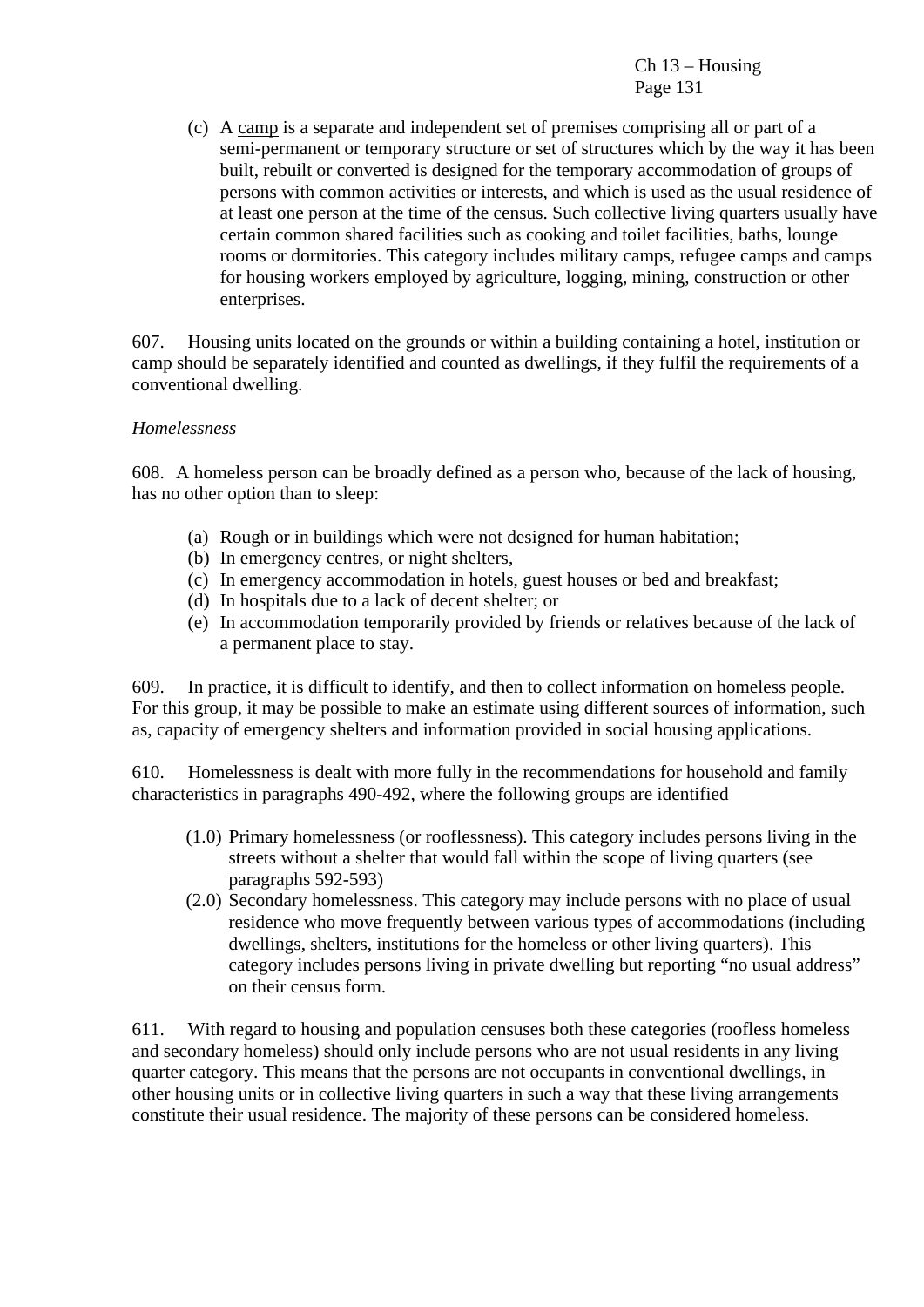Ch 13 – Housing Page 131

(c) A camp is a separate and independent set of premises comprising all or part of a semi-permanent or temporary structure or set of structures which by the way it has been built, rebuilt or converted is designed for the temporary accommodation of groups of persons with common activities or interests, and which is used as the usual residence of at least one person at the time of the census. Such collective living quarters usually have certain common shared facilities such as cooking and toilet facilities, baths, lounge rooms or dormitories. This category includes military camps, refugee camps and camps for housing workers employed by agriculture, logging, mining, construction or other enterprises.

607. Housing units located on the grounds or within a building containing a hotel, institution or camp should be separately identified and counted as dwellings, if they fulfil the requirements of a conventional dwelling.

#### *Homelessness*

608. A homeless person can be broadly defined as a person who, because of the lack of housing, has no other option than to sleep:

- (a) Rough or in buildings which were not designed for human habitation;
- (b) In emergency centres, or night shelters,
- (c) In emergency accommodation in hotels, guest houses or bed and breakfast;
- (d) In hospitals due to a lack of decent shelter; or
- (e) In accommodation temporarily provided by friends or relatives because of the lack of a permanent place to stay.

609. In practice, it is difficult to identify, and then to collect information on homeless people. For this group, it may be possible to make an estimate using different sources of information, such as, capacity of emergency shelters and information provided in social housing applications.

610. Homelessness is dealt with more fully in the recommendations for household and family characteristics in paragraphs [490-492,](#page-104-0) where the following groups are identified

- (1.0) Primary homelessness (or rooflessness). This category includes persons living in the streets without a shelter that would fall within the scope of living quarters (see paragraphs [592-593](#page-127-0))
- (2.0) Secondary homelessness. This category may include persons with no place of usual residence who move frequently between various types of accommodations (including dwellings, shelters, institutions for the homeless or other living quarters). This category includes persons living in private dwelling but reporting "no usual address" on their census form.

611. With regard to housing and population censuses both these categories (roofless homeless and secondary homeless) should only include persons who are not usual residents in any living quarter category. This means that the persons are not occupants in conventional dwellings, in other housing units or in collective living quarters in such a way that these living arrangements constitute their usual residence. The majority of these persons can be considered homeless.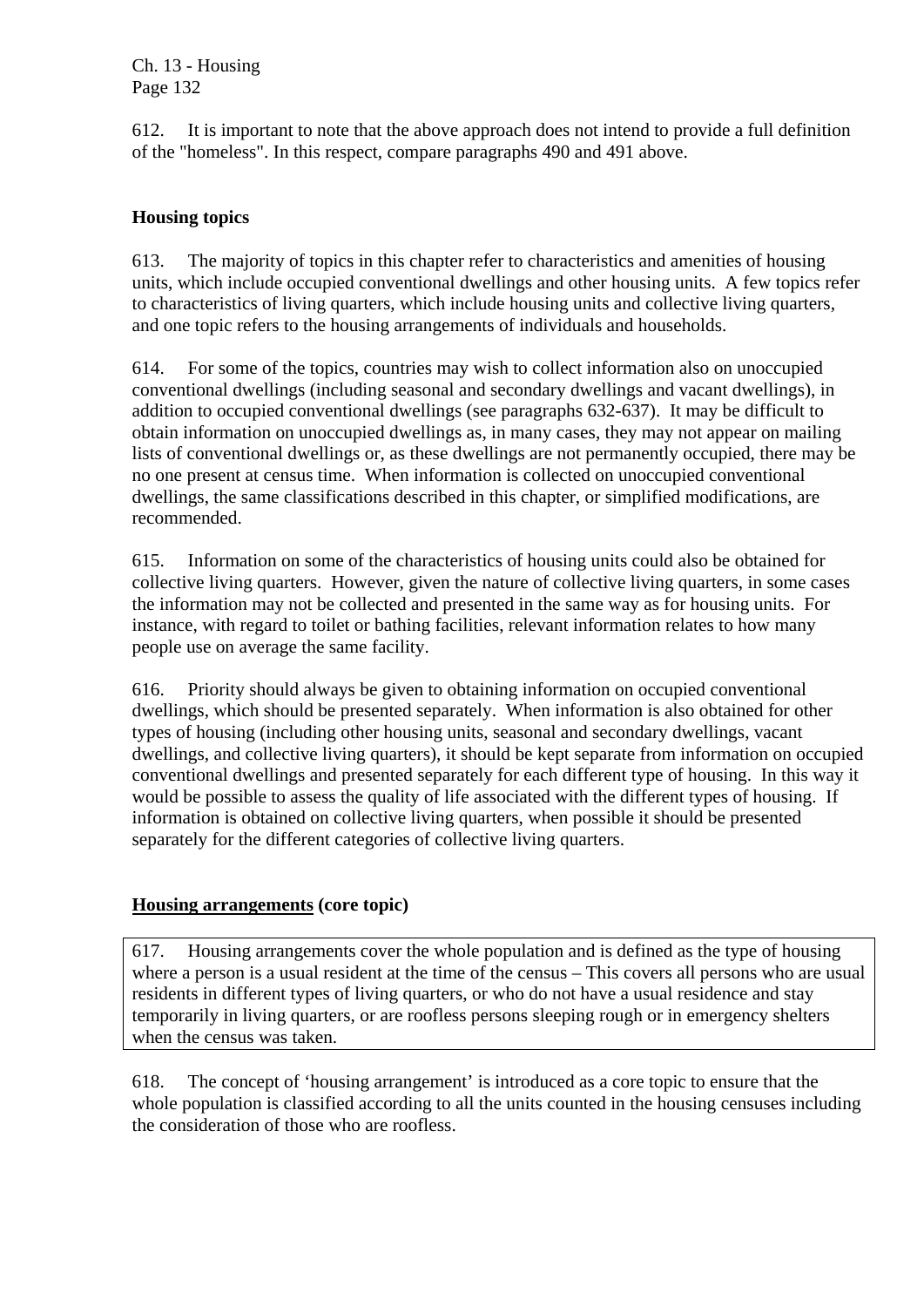Ch. 13 - Housing Page 132

612. It is important to note that the above approach does not intend to provide a full definition of the "homeless". In this respect, compare paragraphs [490](#page-104-0) and [491](#page-104-0) above.

# **Housing topics**

613. The majority of topics in this chapter refer to characteristics and amenities of housing units, which include occupied conventional dwellings and other housing units. A few topics refer to characteristics of living quarters, which include housing units and collective living quarters, and one topic refers to the housing arrangements of individuals and households.

614. For some of the topics, countries may wish to collect information also on unoccupied conventional dwellings (including seasonal and secondary dwellings and vacant dwellings), in addition to occupied conventional dwellings (see paragraphs [632-637\)](#page-134-0). It may be difficult to obtain information on unoccupied dwellings as, in many cases, they may not appear on mailing lists of conventional dwellings or, as these dwellings are not permanently occupied, there may be no one present at census time. When information is collected on unoccupied conventional dwellings, the same classifications described in this chapter, or simplified modifications, are recommended.

615. Information on some of the characteristics of housing units could also be obtained for collective living quarters. However, given the nature of collective living quarters, in some cases the information may not be collected and presented in the same way as for housing units. For instance, with regard to toilet or bathing facilities, relevant information relates to how many people use on average the same facility.

616. Priority should always be given to obtaining information on occupied conventional dwellings, which should be presented separately. When information is also obtained for other types of housing (including other housing units, seasonal and secondary dwellings, vacant dwellings, and collective living quarters), it should be kept separate from information on occupied conventional dwellings and presented separately for each different type of housing. In this way it would be possible to assess the quality of life associated with the different types of housing. If information is obtained on collective living quarters, when possible it should be presented separately for the different categories of collective living quarters.

## **Housing arrangements (core topic)**

617. Housing arrangements cover the whole population and is defined as the type of housing where a person is a usual resident at the time of the census – This covers all persons who are usual residents in different types of living quarters, or who do not have a usual residence and stay temporarily in living quarters, or are roofless persons sleeping rough or in emergency shelters when the census was taken.

618. The concept of 'housing arrangement' is introduced as a core topic to ensure that the whole population is classified according to all the units counted in the housing censuses including the consideration of those who are roofless.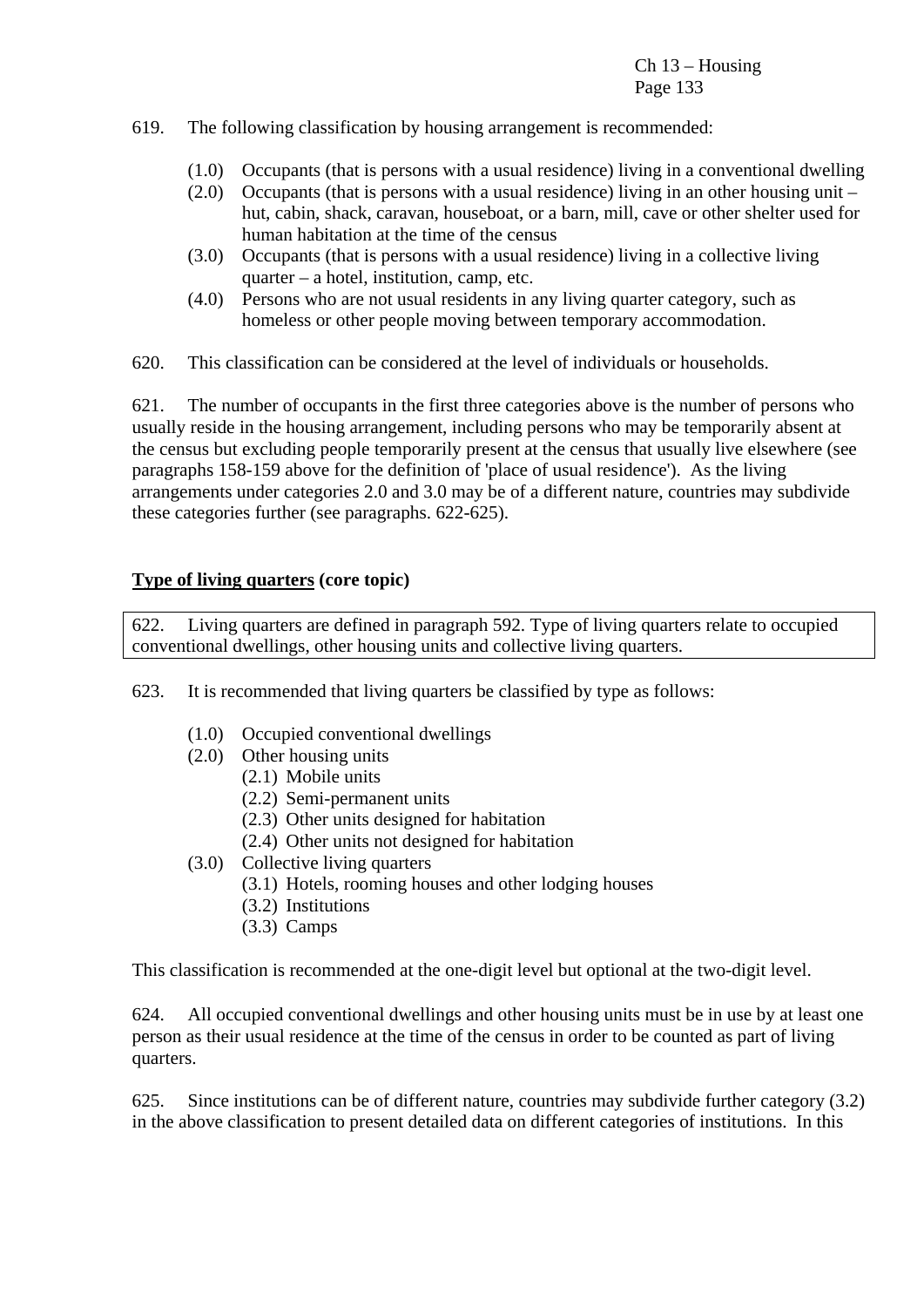#### <span id="page-132-0"></span>619. The following classification by housing arrangement is recommended:

- (1.0) Occupants (that is persons with a usual residence) living in a conventional dwelling
- (2.0) Occupants (that is persons with a usual residence) living in an other housing unit hut, cabin, shack, caravan, houseboat, or a barn, mill, cave or other shelter used for human habitation at the time of the census
- (3.0) Occupants (that is persons with a usual residence) living in a collective living quarter – a hotel, institution, camp, etc.
- (4.0) Persons who are not usual residents in any living quarter category, such as homeless or other people moving between temporary accommodation.
- 620. This classification can be considered at the level of individuals or households.

621. The number of occupants in the first three categories above is the number of persons who usually reside in the housing arrangement, including persons who may be temporarily absent at the census but excluding people temporarily present at the census that usually live elsewhere (see paragraphs [158-159](#page-36-0) above for the definition of 'place of usual residence'). As the living arrangements under categories 2.0 and 3.0 may be of a different nature, countries may subdivide these categories further (see paragraphs. [622-](#page-132-0)[625\)](#page-133-0).

## **Type of living quarters (core topic)**

622. Living quarters are defined in paragraph [592.](#page-127-0) Type of living quarters relate to occupied conventional dwellings, other housing units and collective living quarters.

- 623. It is recommended that living quarters be classified by type as follows:
	- (1.0) Occupied conventional dwellings
	- (2.0) Other housing units
		- (2.1) Mobile units
		- (2.2) Semi-permanent units
		- (2.3) Other units designed for habitation
		- (2.4) Other units not designed for habitation
	- (3.0) Collective living quarters
		- (3.1) Hotels, rooming houses and other lodging houses
		- (3.2) Institutions
		- (3.3) Camps

This classification is recommended at the one-digit level but optional at the two-digit level.

624. All occupied conventional dwellings and other housing units must be in use by at least one person as their usual residence at the time of the census in order to be counted as part of living quarters.

625. Since institutions can be of different nature, countries may subdivide further category (3.2) in the above classification to present detailed data on different categories of institutions. In this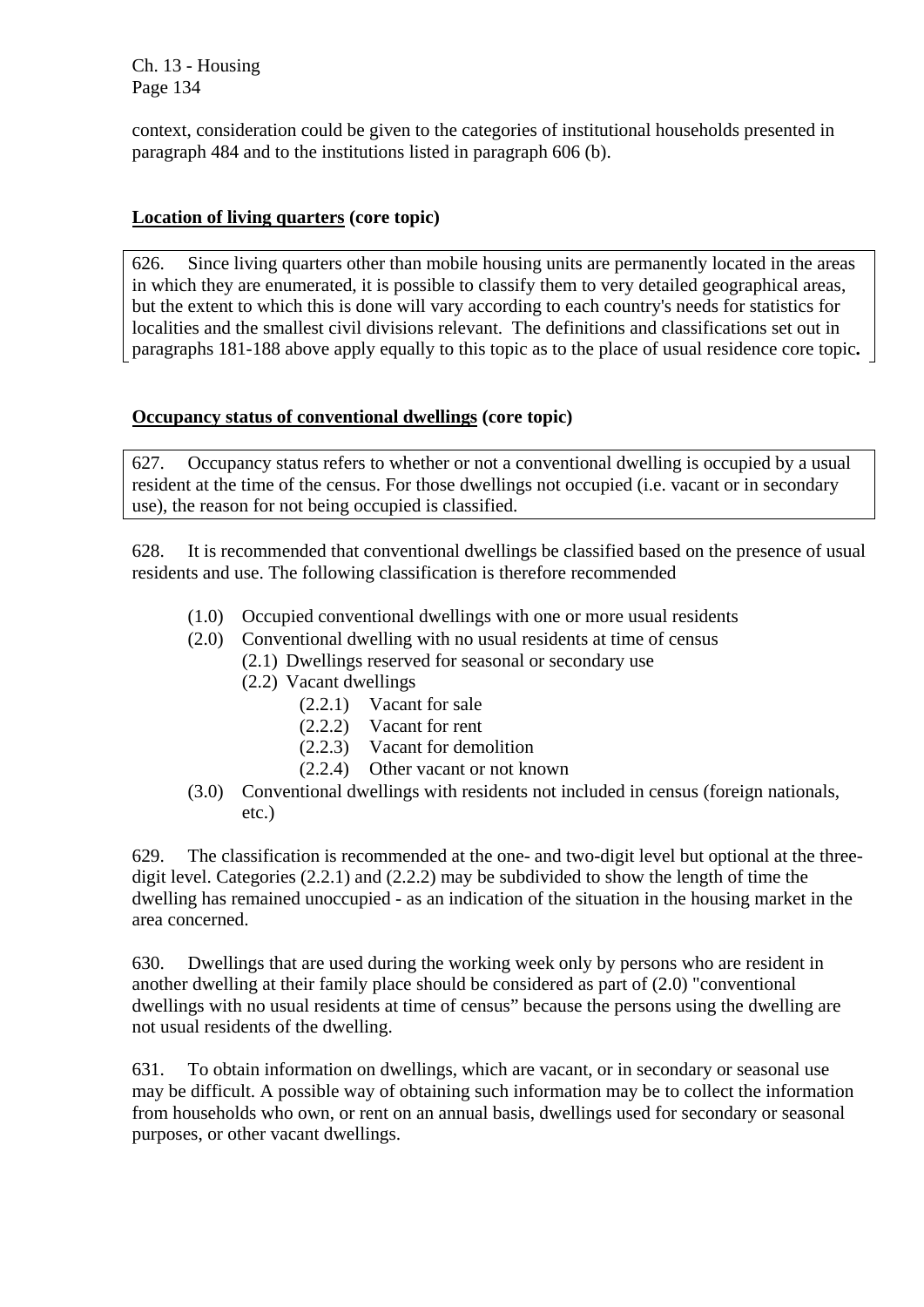<span id="page-133-0"></span>Ch. 13 - Housing Page 134

context, consideration could be given to the categories of institutional households presented in paragraph [484](#page-103-0) and to the institutions listed in paragraph [606 \(b\)](#page-129-0).

#### **Location of living quarters (core topic)**

626. Since living quarters other than mobile housing units are permanently located in the areas in which they are enumerated, it is possible to classify them to very detailed geographical areas, but the extent to which this is done will vary according to each country's needs for statistics for localities and the smallest civil divisions relevant. The definitions and classifications set out in paragraphs [181-](#page-41-0)[188](#page-42-0) above apply equally to this topic as to the place of usual residence core topic**.** 

## **Occupancy status of conventional dwellings (core topic)**

627. Occupancy status refers to whether or not a conventional dwelling is occupied by a usual resident at the time of the census. For those dwellings not occupied (i.e. vacant or in secondary use), the reason for not being occupied is classified.

628. It is recommended that conventional dwellings be classified based on the presence of usual residents and use. The following classification is therefore recommended

- (1.0) Occupied conventional dwellings with one or more usual residents
- (2.0) Conventional dwelling with no usual residents at time of census
	- (2.1) Dwellings reserved for seasonal or secondary use
	- (2.2) Vacant dwellings
		- (2.2.1) Vacant for sale
		- (2.2.2) Vacant for rent
		- (2.2.3) Vacant for demolition
		- (2.2.4) Other vacant or not known
- (3.0) Conventional dwellings with residents not included in census (foreign nationals, etc.)

629. The classification is recommended at the one- and two-digit level but optional at the threedigit level. Categories (2.2.1) and (2.2.2) may be subdivided to show the length of time the dwelling has remained unoccupied - as an indication of the situation in the housing market in the area concerned.

630. Dwellings that are used during the working week only by persons who are resident in another dwelling at their family place should be considered as part of (2.0) "conventional dwellings with no usual residents at time of census" because the persons using the dwelling are not usual residents of the dwelling.

631. To obtain information on dwellings, which are vacant, or in secondary or seasonal use may be difficult. A possible way of obtaining such information may be to collect the information from households who own, or rent on an annual basis, dwellings used for secondary or seasonal purposes, or other vacant dwellings.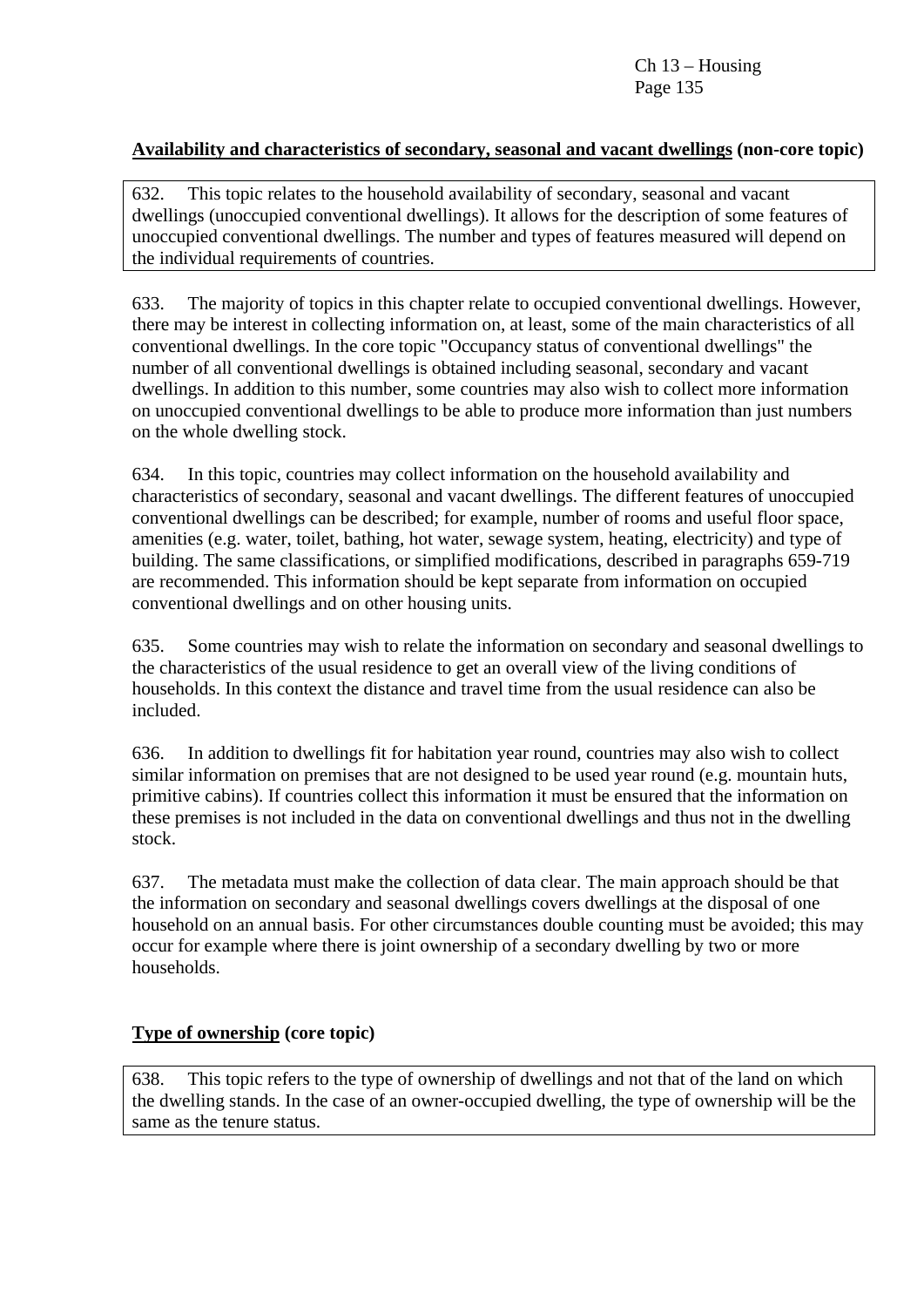Ch 13 – Housing Page 135

## <span id="page-134-0"></span>**Availability and characteristics of secondary, seasonal and vacant dwellings (non-core topic)**

632. This topic relates to the household availability of secondary, seasonal and vacant dwellings (unoccupied conventional dwellings). It allows for the description of some features of unoccupied conventional dwellings. The number and types of features measured will depend on the individual requirements of countries.

633. The majority of topics in this chapter relate to occupied conventional dwellings. However, there may be interest in collecting information on, at least, some of the main characteristics of all conventional dwellings. In the core topic "Occupancy status of conventional dwellings" the number of all conventional dwellings is obtained including seasonal, secondary and vacant dwellings. In addition to this number, some countries may also wish to collect more information on unoccupied conventional dwellings to be able to produce more information than just numbers on the whole dwelling stock.

634. In this topic, countries may collect information on the household availability and characteristics of secondary, seasonal and vacant dwellings. The different features of unoccupied conventional dwellings can be described; for example, number of rooms and useful floor space, amenities (e.g. water, toilet, bathing, hot water, sewage system, heating, electricity) and type of building. The same classifications, or simplified modifications, described in paragraphs [659-](#page-138-0)[719](#page-148-0)  are recommended. This information should be kept separate from information on occupied conventional dwellings and on other housing units.

635. Some countries may wish to relate the information on secondary and seasonal dwellings to the characteristics of the usual residence to get an overall view of the living conditions of households. In this context the distance and travel time from the usual residence can also be included.

636. In addition to dwellings fit for habitation year round, countries may also wish to collect similar information on premises that are not designed to be used year round (e.g. mountain huts, primitive cabins). If countries collect this information it must be ensured that the information on these premises is not included in the data on conventional dwellings and thus not in the dwelling stock.

637. The metadata must make the collection of data clear. The main approach should be that the information on secondary and seasonal dwellings covers dwellings at the disposal of one household on an annual basis. For other circumstances double counting must be avoided; this may occur for example where there is joint ownership of a secondary dwelling by two or more households.

## **Type of ownership (core topic)**

638. This topic refers to the type of ownership of dwellings and not that of the land on which the dwelling stands. In the case of an owner-occupied dwelling, the type of ownership will be the same as the tenure status.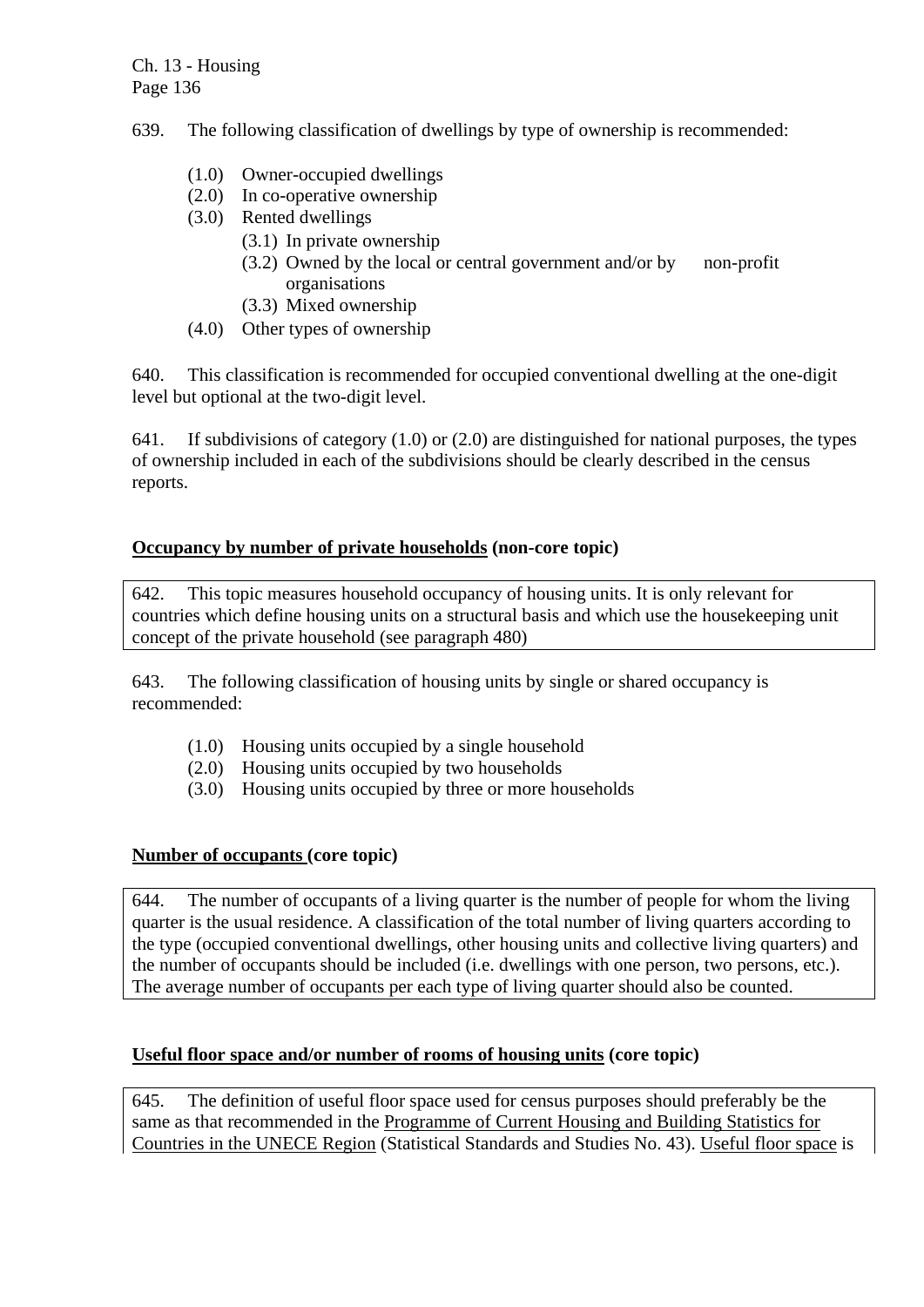<span id="page-135-0"></span>Ch. 13 - Housing Page 136

639. The following classification of dwellings by type of ownership is recommended:

- (1.0) Owner-occupied dwellings
- (2.0) In co-operative ownership
- (3.0) Rented dwellings
	- (3.1) In private ownership
	- (3.2) Owned by the local or central government and/or by non-profit organisations
	- (3.3) Mixed ownership
- (4.0) Other types of ownership

640. This classification is recommended for occupied conventional dwelling at the one-digit level but optional at the two-digit level.

641. If subdivisions of category (1.0) or (2.0) are distinguished for national purposes, the types of ownership included in each of the subdivisions should be clearly described in the census reports.

## **Occupancy by number of private households (non-core topic)**

642. This topic measures household occupancy of housing units. It is only relevant for countries which define housing units on a structural basis and which use the housekeeping unit concept of the private household (see paragraph [480\)](#page-102-0)

643. The following classification of housing units by single or shared occupancy is recommended:

- (1.0) Housing units occupied by a single household
- (2.0) Housing units occupied by two households
- (3.0) Housing units occupied by three or more households

#### **Number of occupants (core topic)**

644. The number of occupants of a living quarter is the number of people for whom the living quarter is the usual residence. A classification of the total number of living quarters according to the type (occupied conventional dwellings, other housing units and collective living quarters) and the number of occupants should be included (i.e. dwellings with one person, two persons, etc.). The average number of occupants per each type of living quarter should also be counted.

## **Useful floor space and/or number of rooms of housing units (core topic)**

645. The definition of useful floor space used for census purposes should preferably be the same as that recommended in the Programme of Current Housing and Building Statistics for Countries in the UNECE Region (Statistical Standards and Studies No. 43). Useful floor space is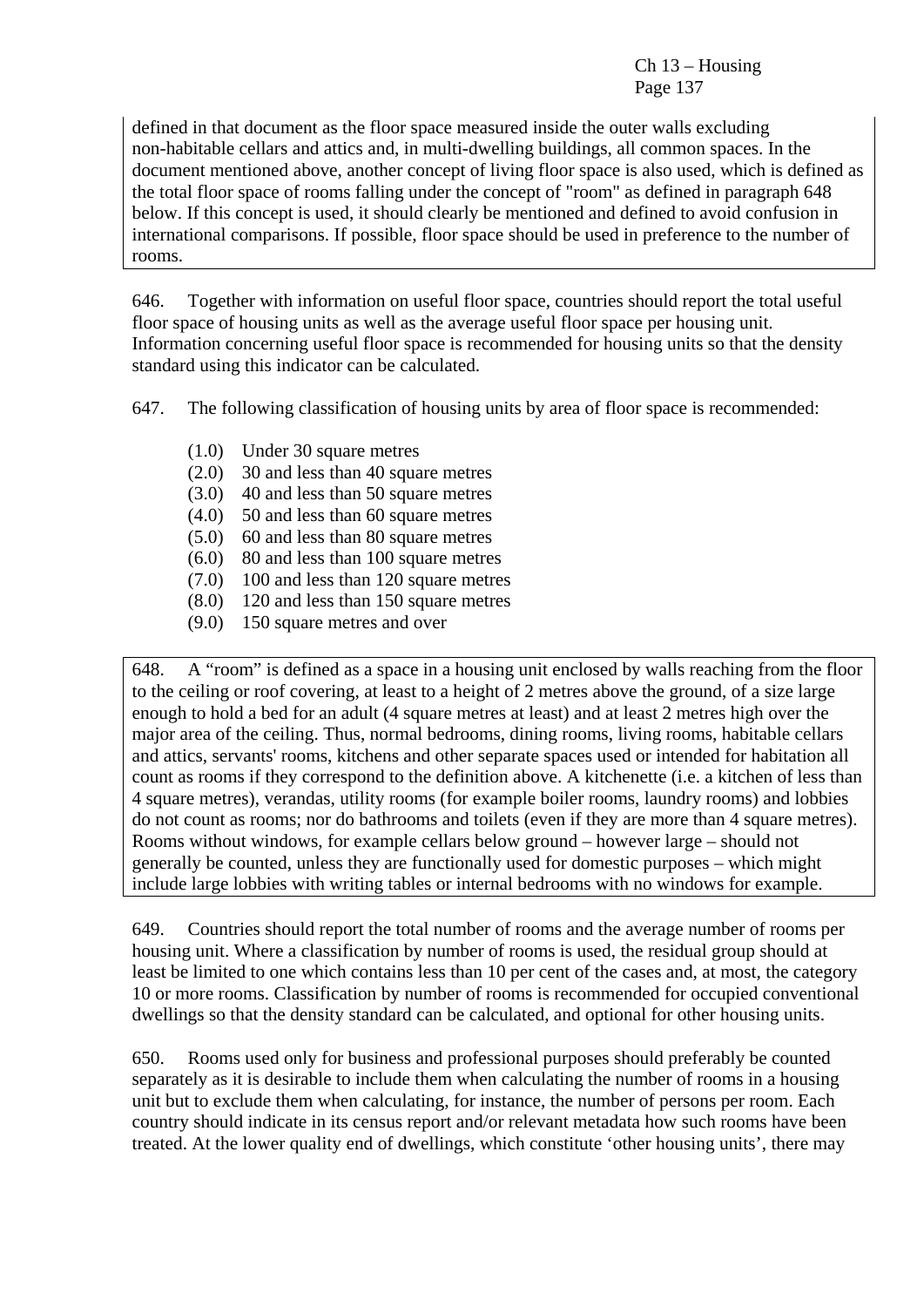Ch 13 – Housing Page 137

<span id="page-136-0"></span>defined in that document as the floor space measured inside the outer walls excluding non-habitable cellars and attics and, in multi-dwelling buildings, all common spaces. In the document mentioned above, another concept of living floor space is also used, which is defined as the total floor space of rooms falling under the concept of "room" as defined in paragraph [648](#page-136-0) below. If this concept is used, it should clearly be mentioned and defined to avoid confusion in international comparisons. If possible, floor space should be used in preference to the number of rooms.

646. Together with information on useful floor space, countries should report the total useful floor space of housing units as well as the average useful floor space per housing unit. Information concerning useful floor space is recommended for housing units so that the density standard using this indicator can be calculated.

647. The following classification of housing units by area of floor space is recommended:

- (1.0) Under 30 square metres
- (2.0) 30 and less than 40 square metres
- (3.0) 40 and less than 50 square metres
- (4.0) 50 and less than 60 square metres
- (5.0) 60 and less than 80 square metres
- (6.0) 80 and less than 100 square metres
- (7.0) 100 and less than 120 square metres
- (8.0) 120 and less than 150 square metres
- (9.0) 150 square metres and over

648. A "room" is defined as a space in a housing unit enclosed by walls reaching from the floor to the ceiling or roof covering, at least to a height of 2 metres above the ground, of a size large enough to hold a bed for an adult (4 square metres at least) and at least 2 metres high over the major area of the ceiling. Thus, normal bedrooms, dining rooms, living rooms, habitable cellars and attics, servants' rooms, kitchens and other separate spaces used or intended for habitation all count as rooms if they correspond to the definition above. A kitchenette (i.e. a kitchen of less than 4 square metres), verandas, utility rooms (for example boiler rooms, laundry rooms) and lobbies do not count as rooms; nor do bathrooms and toilets (even if they are more than 4 square metres). Rooms without windows, for example cellars below ground – however large – should not generally be counted, unless they are functionally used for domestic purposes – which might include large lobbies with writing tables or internal bedrooms with no windows for example.

649. Countries should report the total number of rooms and the average number of rooms per housing unit. Where a classification by number of rooms is used, the residual group should at least be limited to one which contains less than 10 per cent of the cases and, at most, the category 10 or more rooms. Classification by number of rooms is recommended for occupied conventional dwellings so that the density standard can be calculated, and optional for other housing units.

650. Rooms used only for business and professional purposes should preferably be counted separately as it is desirable to include them when calculating the number of rooms in a housing unit but to exclude them when calculating, for instance, the number of persons per room. Each country should indicate in its census report and/or relevant metadata how such rooms have been treated. At the lower quality end of dwellings, which constitute 'other housing units', there may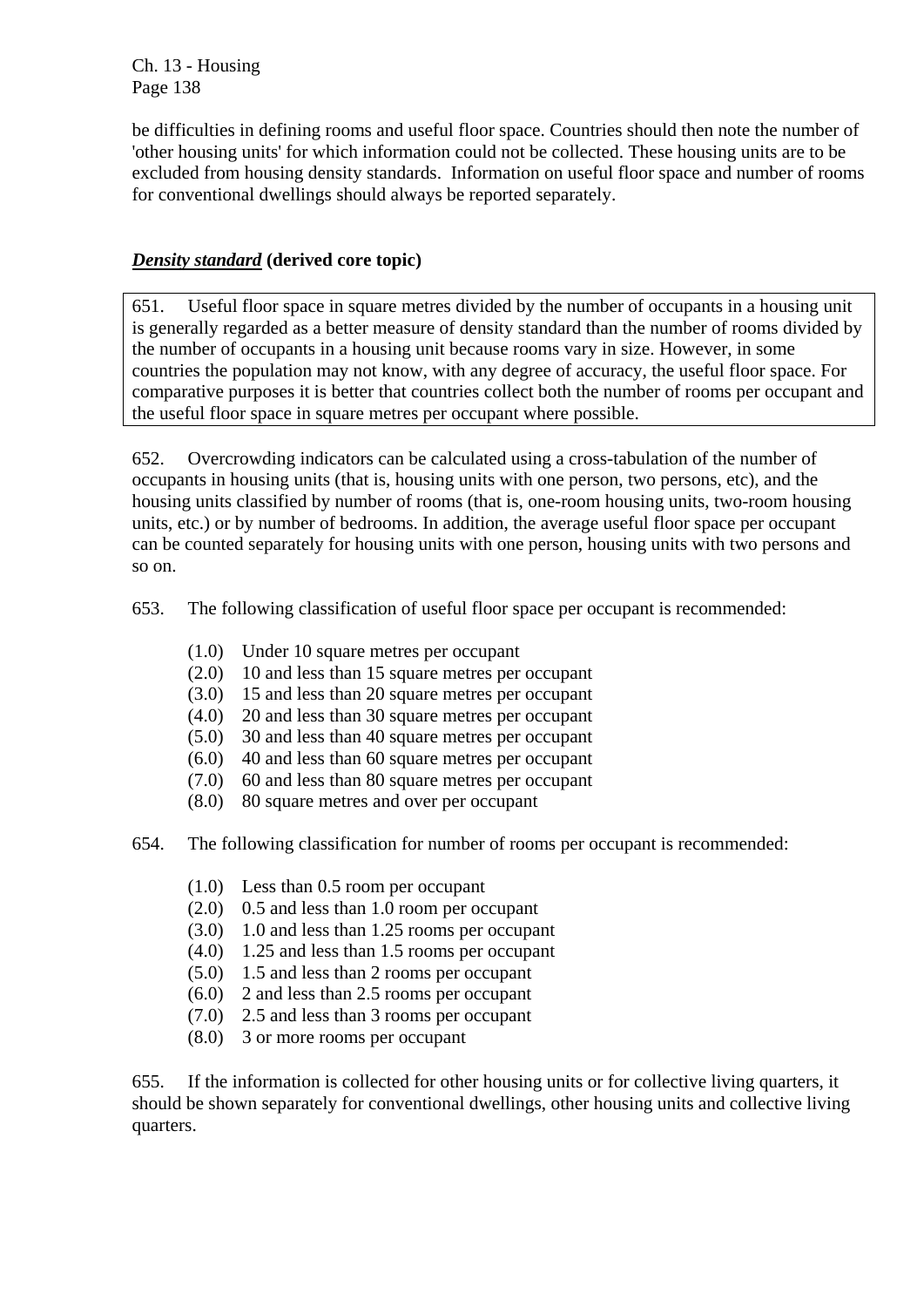Ch. 13 - Housing Page 138

be difficulties in defining rooms and useful floor space. Countries should then note the number of 'other housing units' for which information could not be collected. These housing units are to be excluded from housing density standards. Information on useful floor space and number of rooms for conventional dwellings should always be reported separately.

## *Density standard* **(derived core topic)**

651. Useful floor space in square metres divided by the number of occupants in a housing unit is generally regarded as a better measure of density standard than the number of rooms divided by the number of occupants in a housing unit because rooms vary in size. However, in some countries the population may not know, with any degree of accuracy, the useful floor space. For comparative purposes it is better that countries collect both the number of rooms per occupant and the useful floor space in square metres per occupant where possible.

652. Overcrowding indicators can be calculated using a cross-tabulation of the number of occupants in housing units (that is, housing units with one person, two persons, etc), and the housing units classified by number of rooms (that is, one-room housing units, two-room housing units, etc.) or by number of bedrooms. In addition, the average useful floor space per occupant can be counted separately for housing units with one person, housing units with two persons and so on.

653. The following classification of useful floor space per occupant is recommended:

- (1.0) Under 10 square metres per occupant
- (2.0) 10 and less than 15 square metres per occupant
- (3.0) 15 and less than 20 square metres per occupant
- (4.0) 20 and less than 30 square metres per occupant
- (5.0) 30 and less than 40 square metres per occupant
- (6.0) 40 and less than 60 square metres per occupant
- (7.0) 60 and less than 80 square metres per occupant
- (8.0) 80 square metres and over per occupant
- 654. The following classification for number of rooms per occupant is recommended:
	- (1.0) Less than 0.5 room per occupant
	- (2.0) 0.5 and less than 1.0 room per occupant
	- (3.0) 1.0 and less than 1.25 rooms per occupant
	- (4.0) 1.25 and less than 1.5 rooms per occupant
	- (5.0) 1.5 and less than 2 rooms per occupant
	- (6.0) 2 and less than 2.5 rooms per occupant
	- (7.0) 2.5 and less than 3 rooms per occupant
	- (8.0) 3 or more rooms per occupant

655. If the information is collected for other housing units or for collective living quarters, it should be shown separately for conventional dwellings, other housing units and collective living quarters.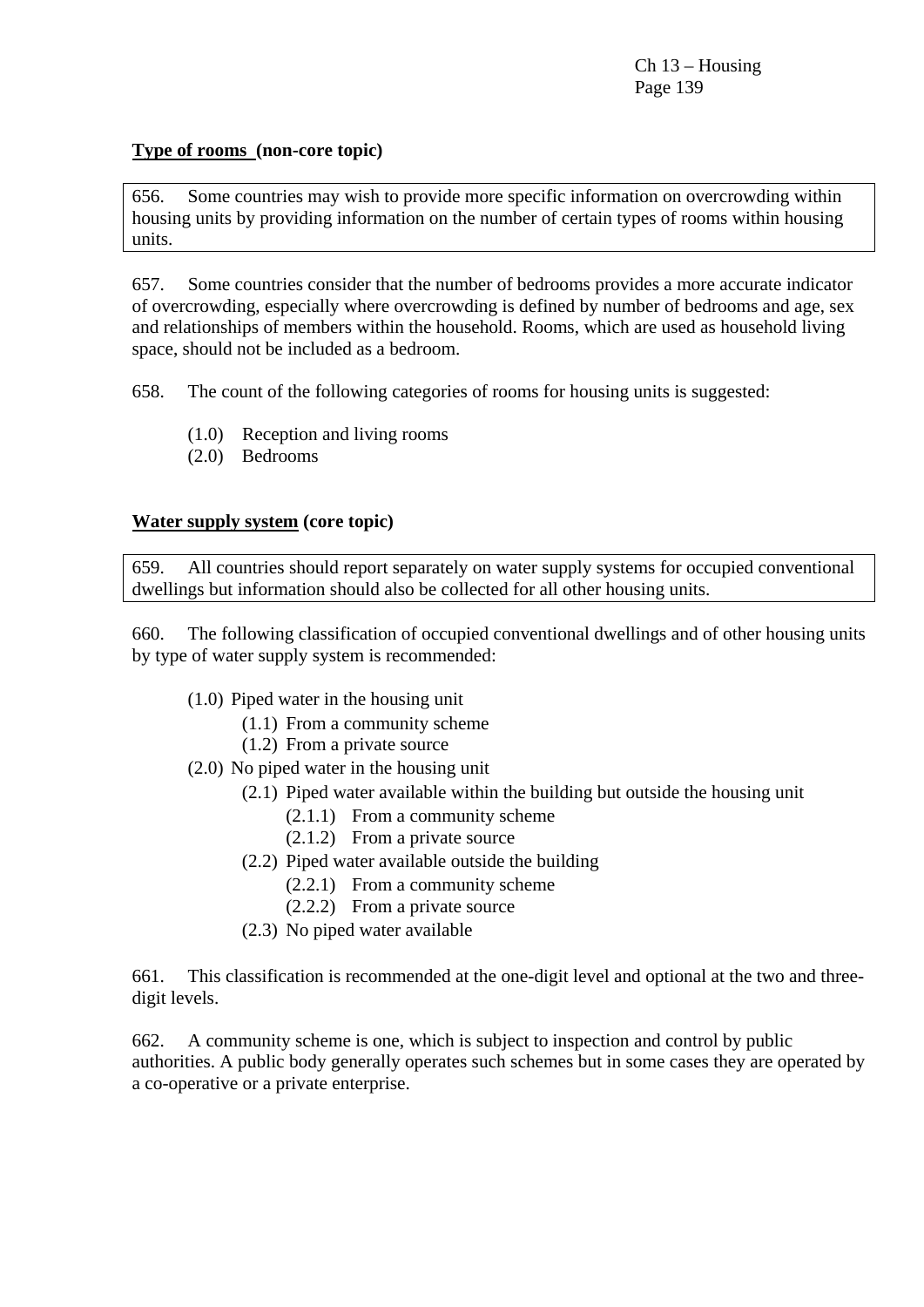#### <span id="page-138-0"></span>**Type of rooms (non-core topic)**

656. Some countries may wish to provide more specific information on overcrowding within housing units by providing information on the number of certain types of rooms within housing units.

657. Some countries consider that the number of bedrooms provides a more accurate indicator of overcrowding, especially where overcrowding is defined by number of bedrooms and age, sex and relationships of members within the household. Rooms, which are used as household living space, should not be included as a bedroom.

658. The count of the following categories of rooms for housing units is suggested:

- (1.0) Reception and living rooms
- (2.0) Bedrooms

## **Water supply system (core topic)**

659. All countries should report separately on water supply systems for occupied conventional dwellings but information should also be collected for all other housing units.

660. The following classification of occupied conventional dwellings and of other housing units by type of water supply system is recommended:

- (1.0) Piped water in the housing unit
	- (1.1) From a community scheme
	- (1.2) From a private source
- (2.0) No piped water in the housing unit
	- (2.1) Piped water available within the building but outside the housing unit
		- (2.1.1) From a community scheme
		- (2.1.2) From a private source
	- (2.2) Piped water available outside the building
		- (2.2.1) From a community scheme
		- (2.2.2) From a private source
	- (2.3) No piped water available

661. This classification is recommended at the one-digit level and optional at the two and threedigit levels.

662. A community scheme is one, which is subject to inspection and control by public authorities. A public body generally operates such schemes but in some cases they are operated by a co-operative or a private enterprise.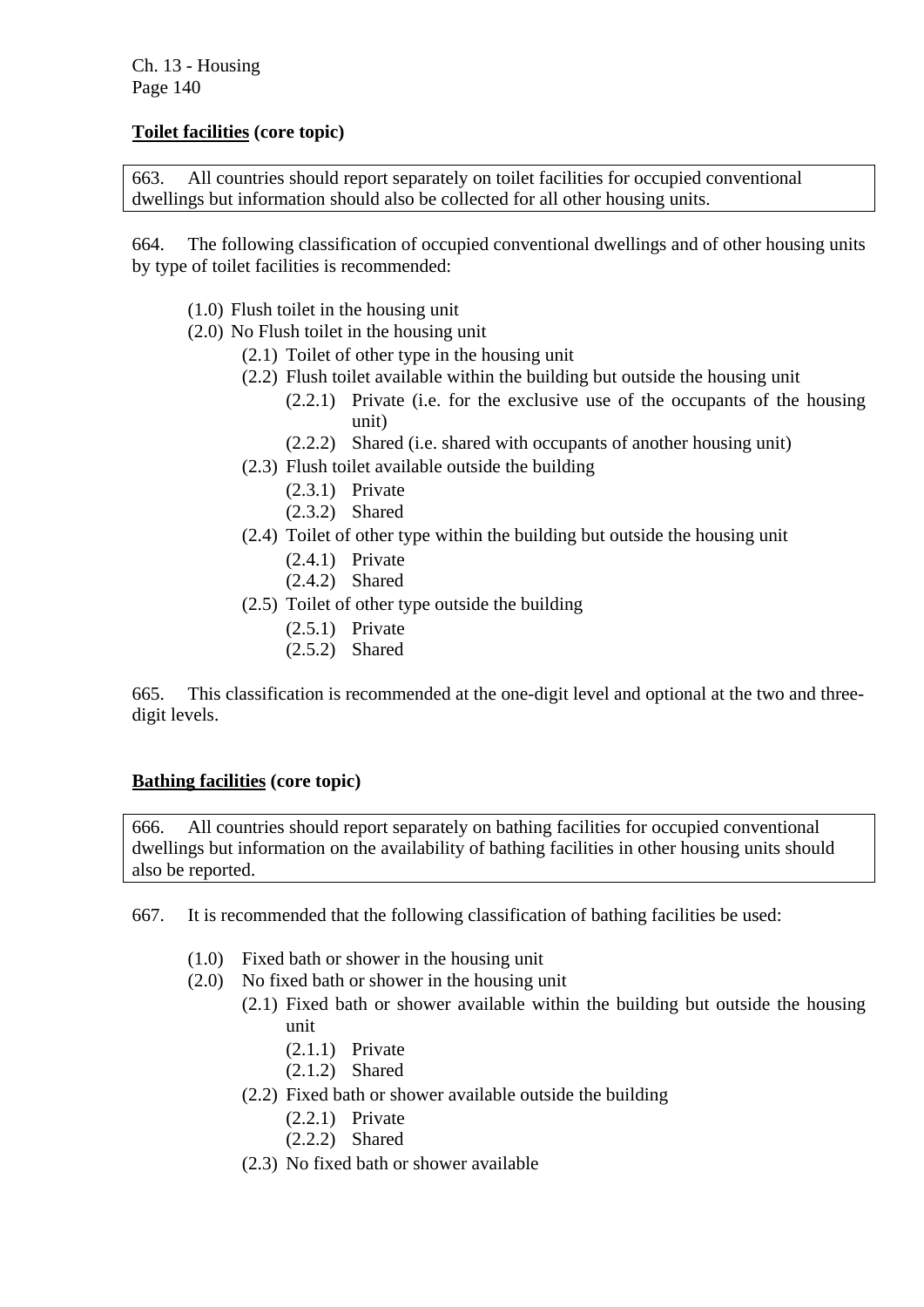## **Toilet facilities (core topic)**

663. All countries should report separately on toilet facilities for occupied conventional dwellings but information should also be collected for all other housing units.

664. The following classification of occupied conventional dwellings and of other housing units by type of toilet facilities is recommended:

- (1.0) Flush toilet in the housing unit
- (2.0) No Flush toilet in the housing unit
	- (2.1) Toilet of other type in the housing unit
	- (2.2) Flush toilet available within the building but outside the housing unit
		- (2.2.1) Private (i.e. for the exclusive use of the occupants of the housing unit)
			- (2.2.2) Shared (i.e. shared with occupants of another housing unit)
	- (2.3) Flush toilet available outside the building
		- (2.3.1) Private
		- (2.3.2) Shared
	- (2.4) Toilet of other type within the building but outside the housing unit
		- (2.4.1) Private
		- (2.4.2) Shared
	- (2.5) Toilet of other type outside the building
		- (2.5.1) Private
		- (2.5.2) Shared

665. This classification is recommended at the one-digit level and optional at the two and threedigit levels.

#### **Bathing facilities (core topic)**

666. All countries should report separately on bathing facilities for occupied conventional dwellings but information on the availability of bathing facilities in other housing units should also be reported.

- 667. It is recommended that the following classification of bathing facilities be used:
	- (1.0) Fixed bath or shower in the housing unit
	- (2.0) No fixed bath or shower in the housing unit
		- (2.1) Fixed bath or shower available within the building but outside the housing unit
			- (2.1.1) Private
			- (2.1.2) Shared
		- (2.2) Fixed bath or shower available outside the building
			- (2.2.1) Private
			- (2.2.2) Shared
		- (2.3) No fixed bath or shower available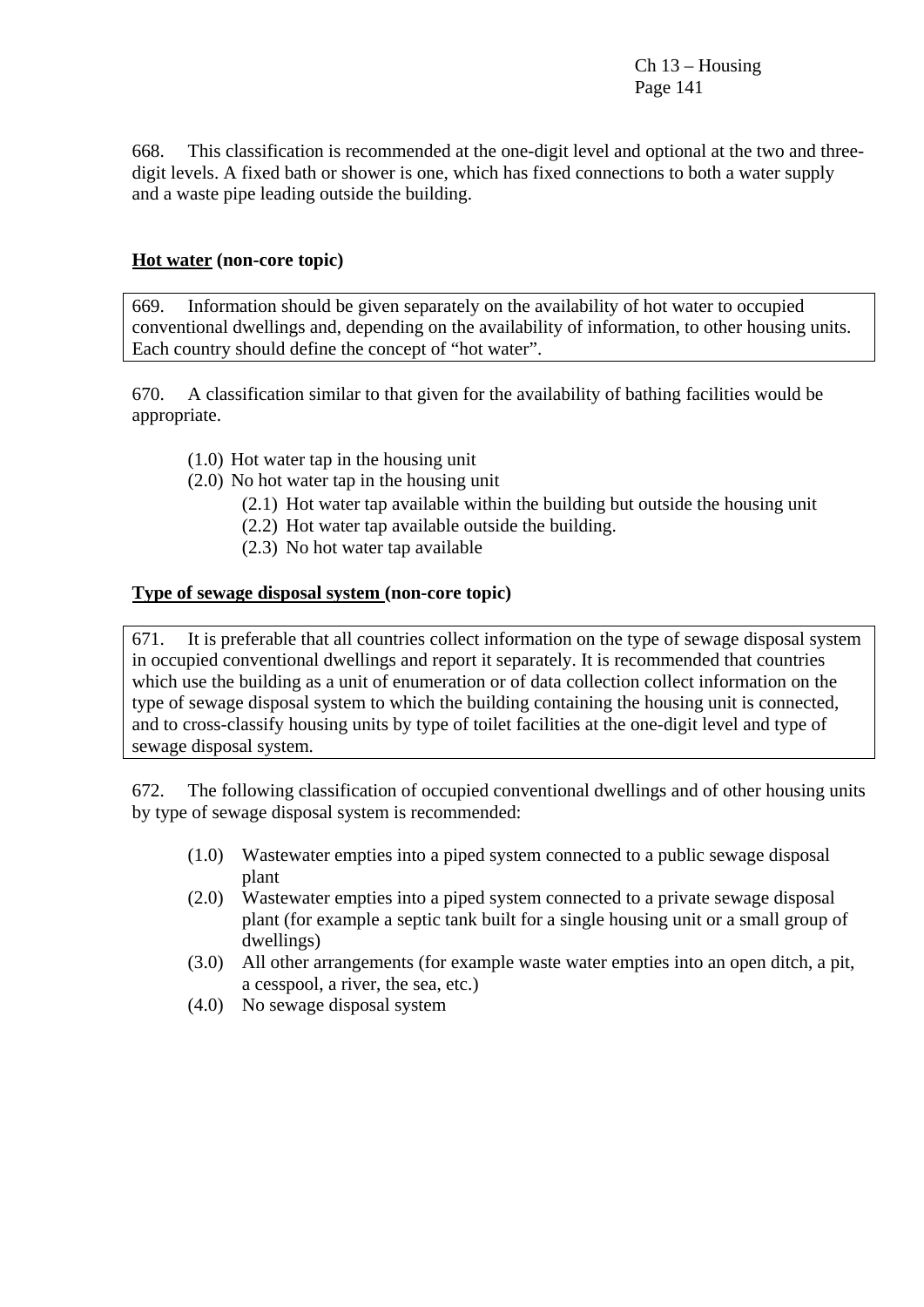Ch 13 – Housing Page 141

668. This classification is recommended at the one-digit level and optional at the two and threedigit levels. A fixed bath or shower is one, which has fixed connections to both a water supply and a waste pipe leading outside the building.

#### **Hot water (non-core topic)**

669. Information should be given separately on the availability of hot water to occupied conventional dwellings and, depending on the availability of information, to other housing units. Each country should define the concept of "hot water".

670. A classification similar to that given for the availability of bathing facilities would be appropriate.

- (1.0) Hot water tap in the housing unit
- (2.0) No hot water tap in the housing unit
	- (2.1) Hot water tap available within the building but outside the housing unit
	- (2.2) Hot water tap available outside the building.
	- (2.3) No hot water tap available

#### **Type of sewage disposal system (non-core topic)**

671. It is preferable that all countries collect information on the type of sewage disposal system in occupied conventional dwellings and report it separately. It is recommended that countries which use the building as a unit of enumeration or of data collection collect information on the type of sewage disposal system to which the building containing the housing unit is connected, and to cross-classify housing units by type of toilet facilities at the one-digit level and type of sewage disposal system.

672. The following classification of occupied conventional dwellings and of other housing units by type of sewage disposal system is recommended:

- (1.0) Wastewater empties into a piped system connected to a public sewage disposal plant
- (2.0) Wastewater empties into a piped system connected to a private sewage disposal plant (for example a septic tank built for a single housing unit or a small group of dwellings)
- (3.0) All other arrangements (for example waste water empties into an open ditch, a pit, a cesspool, a river, the sea, etc.)
- (4.0) No sewage disposal system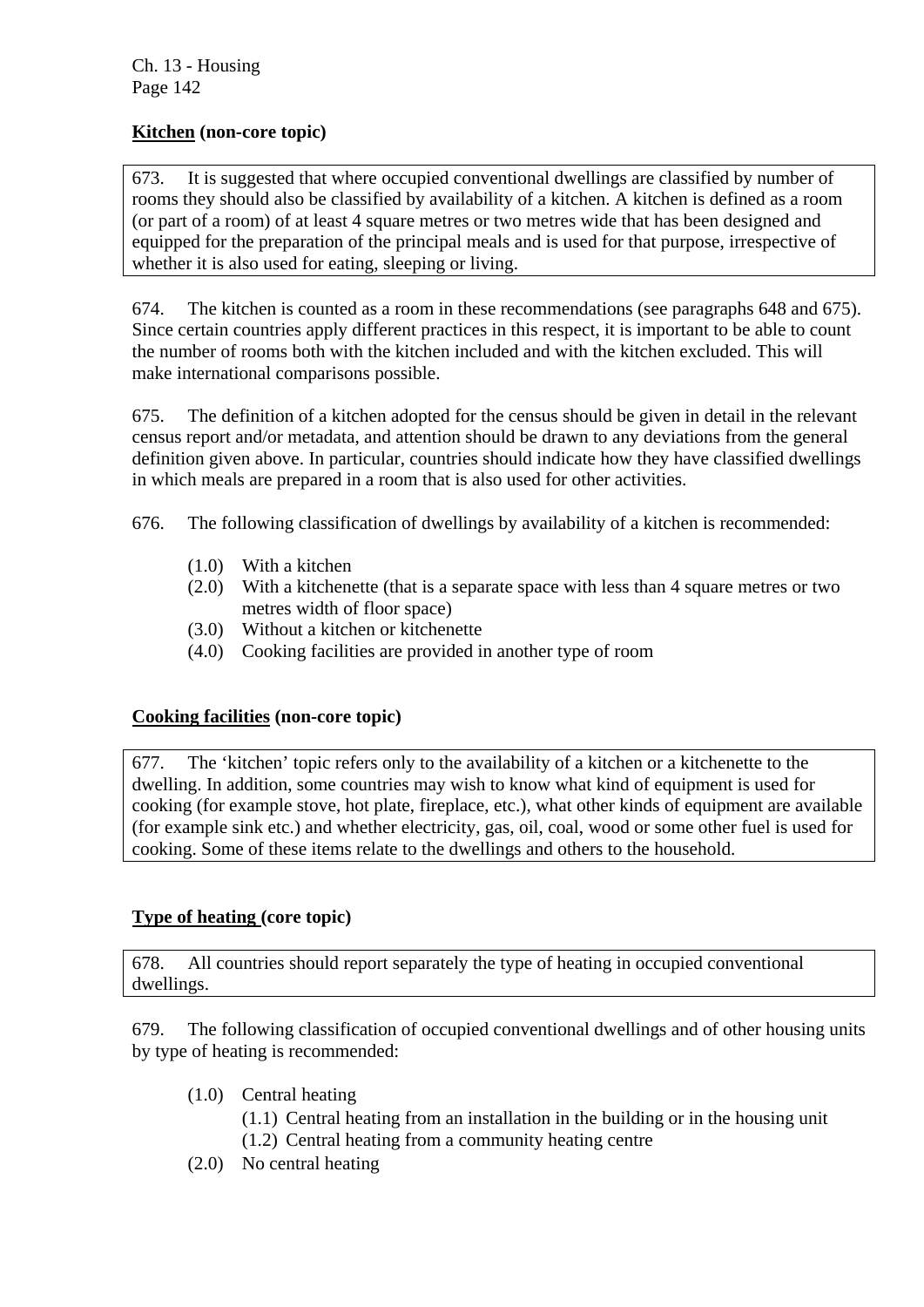# <span id="page-141-0"></span>**Kitchen (non-core topic)**

673. It is suggested that where occupied conventional dwellings are classified by number of rooms they should also be classified by availability of a kitchen. A kitchen is defined as a room (or part of a room) of at least 4 square metres or two metres wide that has been designed and equipped for the preparation of the principal meals and is used for that purpose, irrespective of whether it is also used for eating, sleeping or living.

674. The kitchen is counted as a room in these recommendations (see paragraphs [648](#page-136-0) and [675](#page-141-0)). Since certain countries apply different practices in this respect, it is important to be able to count the number of rooms both with the kitchen included and with the kitchen excluded. This will make international comparisons possible.

675. The definition of a kitchen adopted for the census should be given in detail in the relevant census report and/or metadata, and attention should be drawn to any deviations from the general definition given above. In particular, countries should indicate how they have classified dwellings in which meals are prepared in a room that is also used for other activities.

- 676. The following classification of dwellings by availability of a kitchen is recommended:
	- (1.0) With a kitchen
	- (2.0) With a kitchenette (that is a separate space with less than 4 square metres or two metres width of floor space)
	- (3.0) Without a kitchen or kitchenette
	- (4.0) Cooking facilities are provided in another type of room

# **Cooking facilities (non-core topic)**

677. The 'kitchen' topic refers only to the availability of a kitchen or a kitchenette to the dwelling. In addition, some countries may wish to know what kind of equipment is used for cooking (for example stove, hot plate, fireplace, etc.), what other kinds of equipment are available (for example sink etc.) and whether electricity, gas, oil, coal, wood or some other fuel is used for cooking. Some of these items relate to the dwellings and others to the household.

# **Type of heating (core topic)**

678. All countries should report separately the type of heating in occupied conventional dwellings.

679. The following classification of occupied conventional dwellings and of other housing units by type of heating is recommended:

- (1.0) Central heating
	- (1.1) Central heating from an installation in the building or in the housing unit
	- (1.2) Central heating from a community heating centre
- (2.0) No central heating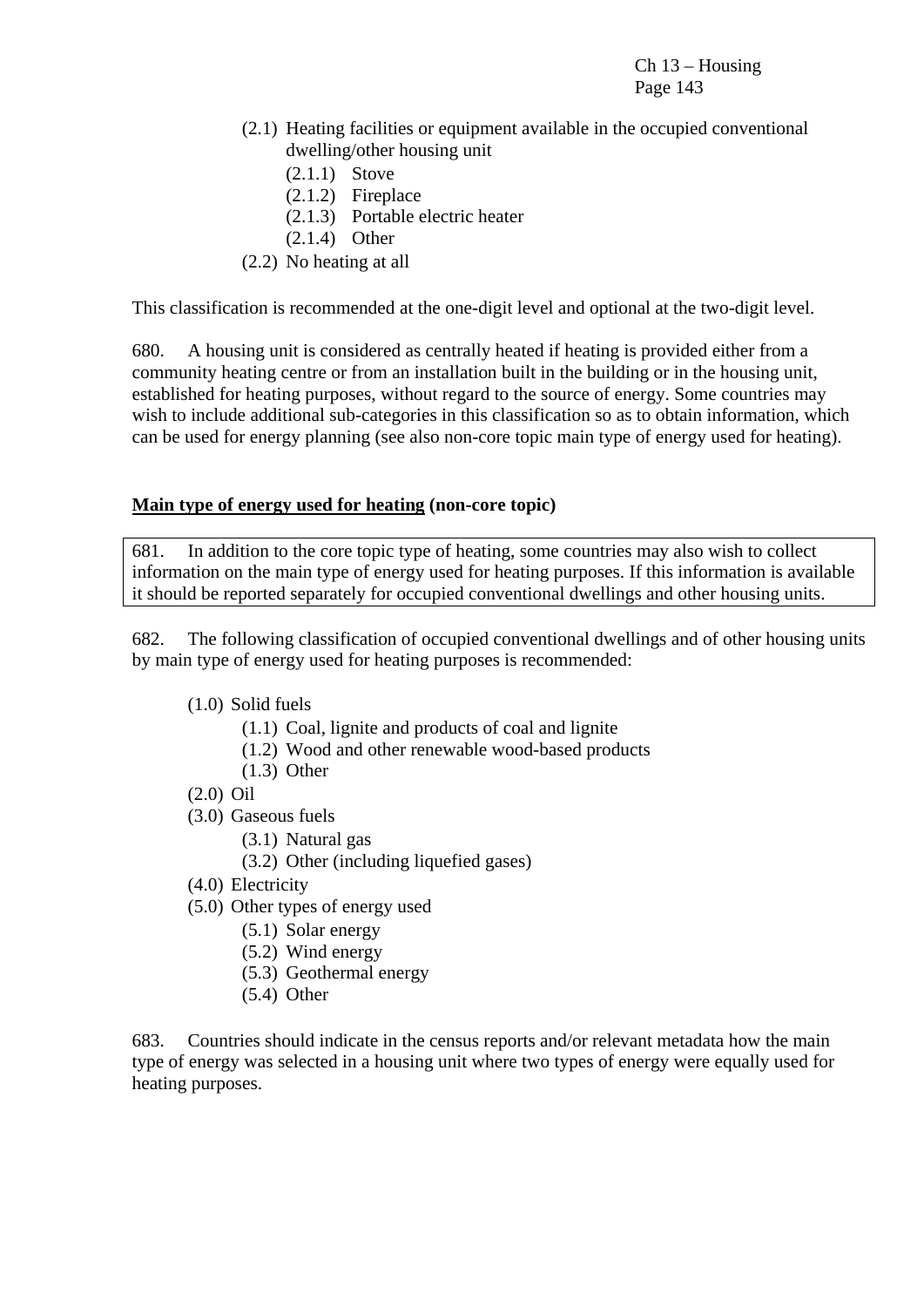Ch 13 – Housing Page 143

- (2.1) Heating facilities or equipment available in the occupied conventional dwelling/other housing unit
	- (2.1.1) Stove
	- (2.1.2) Fireplace
	- (2.1.3) Portable electric heater
	- (2.1.4) Other
- (2.2) No heating at all

This classification is recommended at the one-digit level and optional at the two-digit level.

680. A housing unit is considered as centrally heated if heating is provided either from a community heating centre or from an installation built in the building or in the housing unit, established for heating purposes, without regard to the source of energy. Some countries may wish to include additional sub-categories in this classification so as to obtain information, which can be used for energy planning (see also non-core topic main type of energy used for heating).

#### **Main type of energy used for heating (non-core topic)**

681. In addition to the core topic type of heating, some countries may also wish to collect information on the main type of energy used for heating purposes. If this information is available it should be reported separately for occupied conventional dwellings and other housing units.

682. The following classification of occupied conventional dwellings and of other housing units by main type of energy used for heating purposes is recommended:

- (1.0) Solid fuels
	- (1.1) Coal, lignite and products of coal and lignite
	- (1.2) Wood and other renewable wood-based products
	- (1.3) Other
- (2.0) Oil
- (3.0) Gaseous fuels
	- (3.1) Natural gas
	- (3.2) Other (including liquefied gases)
- (4.0) Electricity
- (5.0) Other types of energy used
	- (5.1) Solar energy
	- (5.2) Wind energy
	- (5.3) Geothermal energy
	- (5.4) Other

683. Countries should indicate in the census reports and/or relevant metadata how the main type of energy was selected in a housing unit where two types of energy were equally used for heating purposes.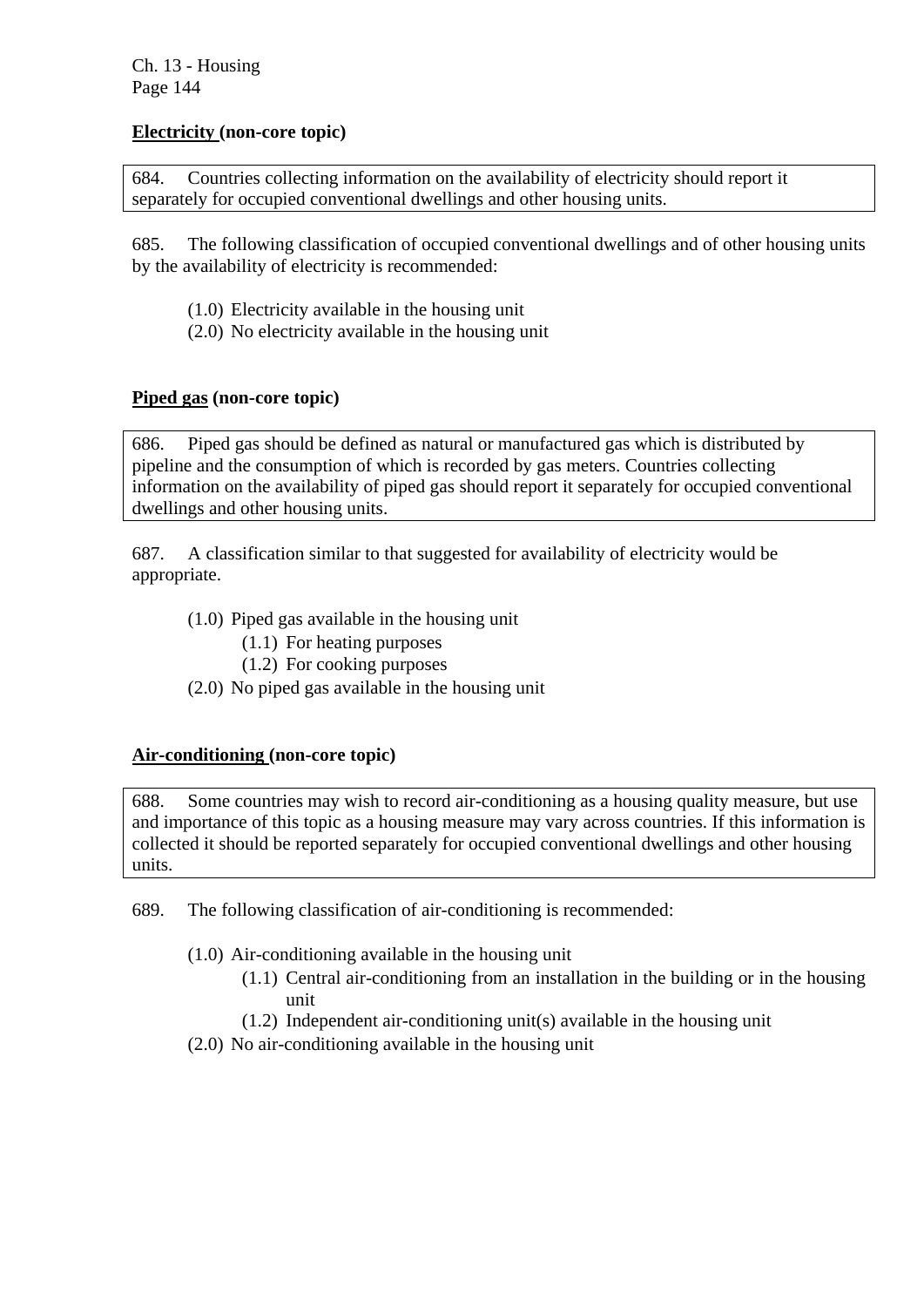Ch. 13 - Housing Page 144

#### **Electricity (non-core topic)**

684. Countries collecting information on the availability of electricity should report it separately for occupied conventional dwellings and other housing units.

685. The following classification of occupied conventional dwellings and of other housing units by the availability of electricity is recommended:

- (1.0) Electricity available in the housing unit
- (2.0) No electricity available in the housing unit

## **Piped gas (non-core topic)**

686. Piped gas should be defined as natural or manufactured gas which is distributed by pipeline and the consumption of which is recorded by gas meters. Countries collecting information on the availability of piped gas should report it separately for occupied conventional dwellings and other housing units.

687. A classification similar to that suggested for availability of electricity would be appropriate.

(1.0) Piped gas available in the housing unit

(1.1) For heating purposes

(1.2) For cooking purposes

(2.0) No piped gas available in the housing unit

## **Air-conditioning (non-core topic)**

688. Some countries may wish to record air-conditioning as a housing quality measure, but use and importance of this topic as a housing measure may vary across countries. If this information is collected it should be reported separately for occupied conventional dwellings and other housing units.

- 689. The following classification of air-conditioning is recommended:
	- (1.0) Air-conditioning available in the housing unit
		- (1.1) Central air-conditioning from an installation in the building or in the housing unit
		- (1.2) Independent air-conditioning unit(s) available in the housing unit
	- (2.0) No air-conditioning available in the housing unit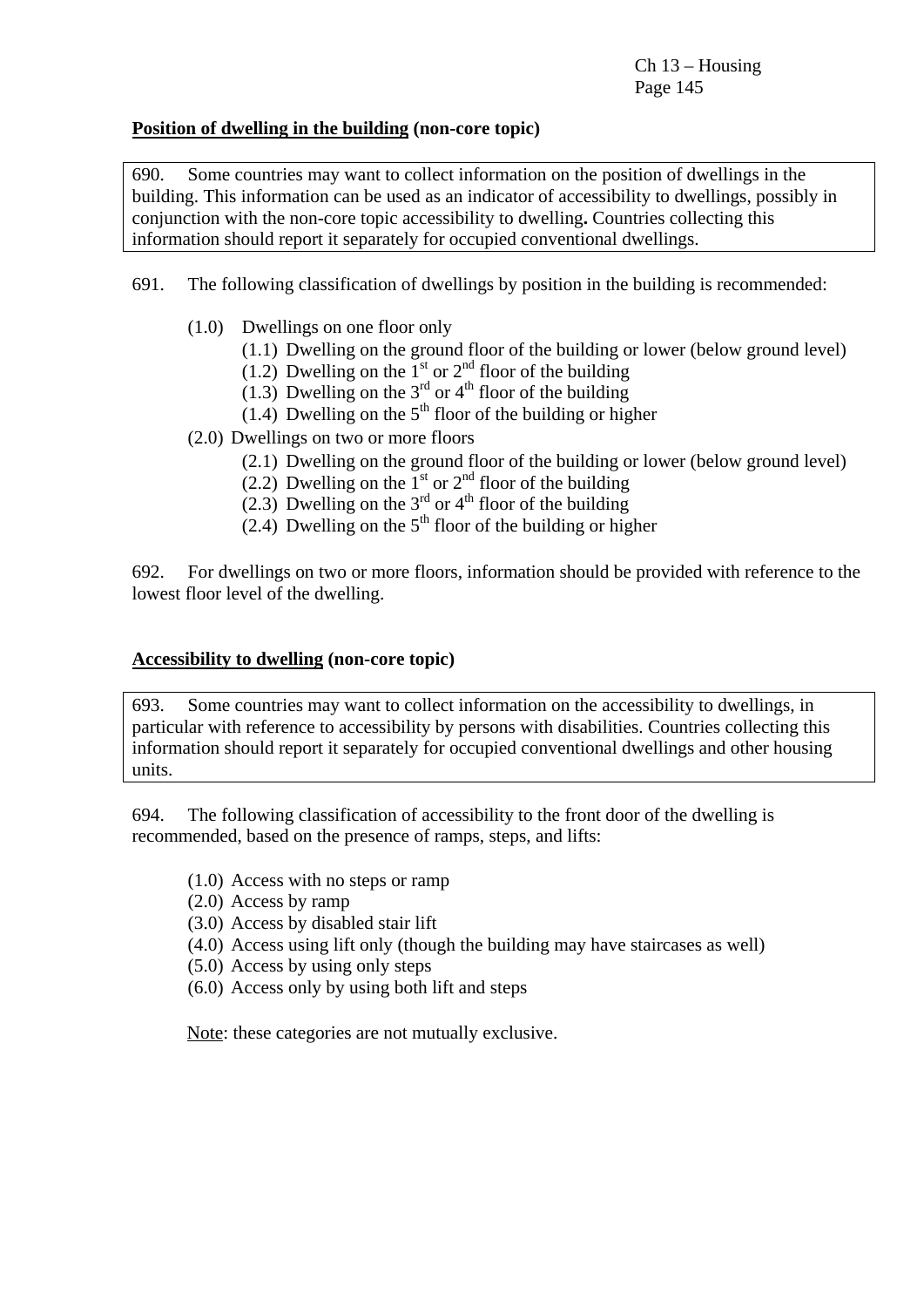#### <span id="page-144-0"></span>**Position of dwelling in the building (non-core topic)**

690. Some countries may want to collect information on the position of dwellings in the building. This information can be used as an indicator of accessibility to dwellings, possibly in conjunction with the non-core topic accessibility to dwelling**.** Countries collecting this information should report it separately for occupied conventional dwellings.

- 691. The following classification of dwellings by position in the building is recommended:
	- (1.0) Dwellings on one floor only
		- (1.1) Dwelling on the ground floor of the building or lower (below ground level)
		- (1.2) Dwelling on the  $1<sup>st</sup>$  or  $2<sup>nd</sup>$  floor of the building
		- (1.3) Dwelling on the  $3<sup>rd</sup>$  or  $4<sup>th</sup>$  floor of the building
		- (1.4) Dwelling on the  $5<sup>th</sup>$  floor of the building or higher
	- (2.0) Dwellings on two or more floors
		- (2.1) Dwelling on the ground floor of the building or lower (below ground level)
		- (2.2) Dwelling on the  $1<sup>st</sup>$  or  $2<sup>nd</sup>$  floor of the building
		- (2.3) Dwelling on the  $3<sup>rd</sup>$  or  $4<sup>th</sup>$  floor of the building
		- $(2.4)$  Dwelling on the 5<sup>th</sup> floor of the building or higher

692. For dwellings on two or more floors, information should be provided with reference to the lowest floor level of the dwelling.

#### **Accessibility to dwelling (non-core topic)**

693. Some countries may want to collect information on the accessibility to dwellings, in particular with reference to accessibility by persons with disabilities. Countries collecting this information should report it separately for occupied conventional dwellings and other housing units.

694. The following classification of accessibility to the front door of the dwelling is recommended, based on the presence of ramps, steps, and lifts:

- (1.0) Access with no steps or ramp
- (2.0) Access by ramp
- (3.0) Access by disabled stair lift
- (4.0) Access using lift only (though the building may have staircases as well)
- (5.0) Access by using only steps
- (6.0) Access only by using both lift and steps

Note: these categories are not mutually exclusive.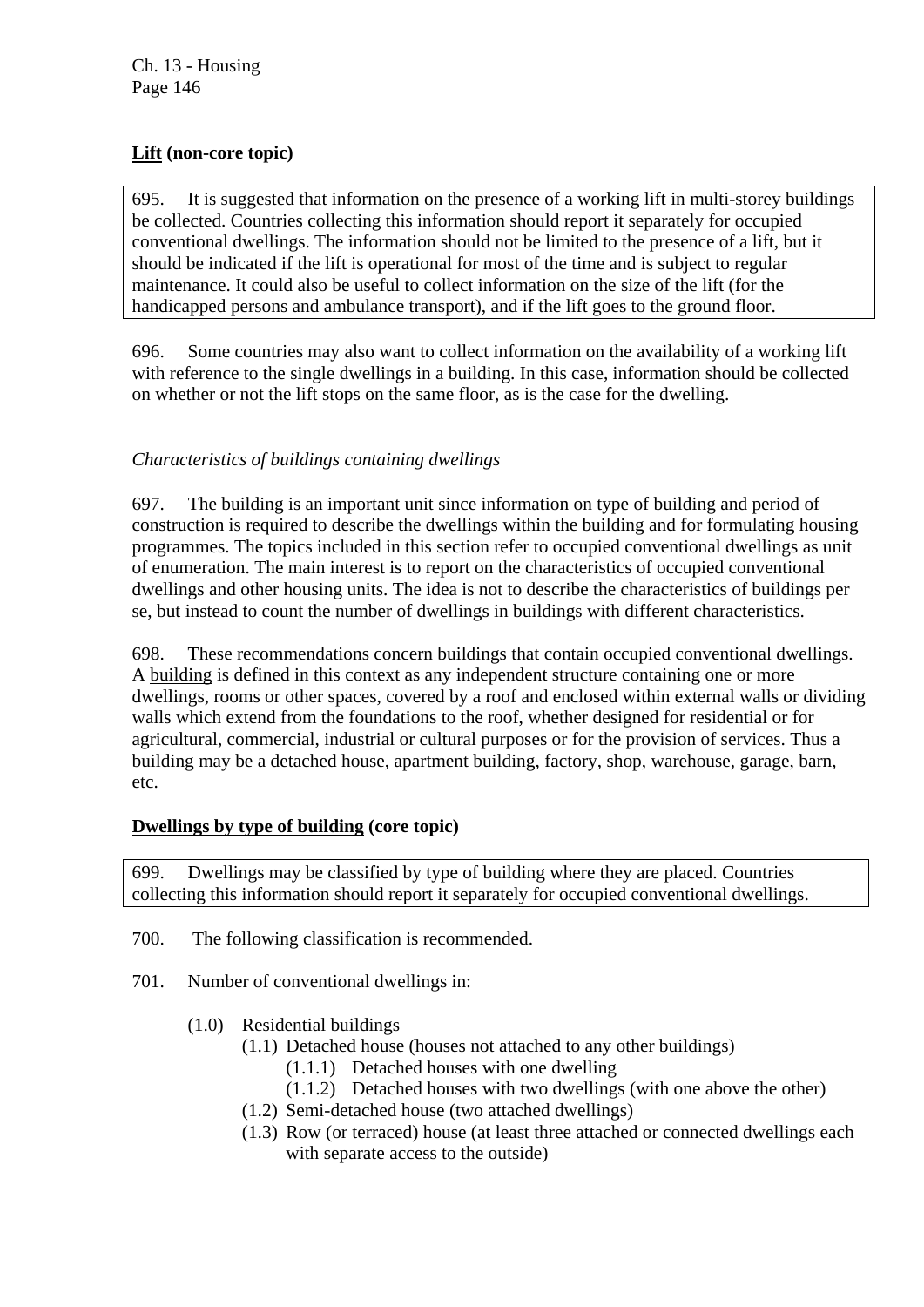## <span id="page-145-0"></span>**Lift (non-core topic)**

695. It is suggested that information on the presence of a working lift in multi-storey buildings be collected. Countries collecting this information should report it separately for occupied conventional dwellings. The information should not be limited to the presence of a lift, but it should be indicated if the lift is operational for most of the time and is subject to regular maintenance. It could also be useful to collect information on the size of the lift (for the handicapped persons and ambulance transport), and if the lift goes to the ground floor.

696. Some countries may also want to collect information on the availability of a working lift with reference to the single dwellings in a building. In this case, information should be collected on whether or not the lift stops on the same floor, as is the case for the dwelling.

## *Characteristics of buildings containing dwellings*

697. The building is an important unit since information on type of building and period of construction is required to describe the dwellings within the building and for formulating housing programmes. The topics included in this section refer to occupied conventional dwellings as unit of enumeration. The main interest is to report on the characteristics of occupied conventional dwellings and other housing units. The idea is not to describe the characteristics of buildings per se, but instead to count the number of dwellings in buildings with different characteristics.

698. These recommendations concern buildings that contain occupied conventional dwellings. A building is defined in this context as any independent structure containing one or more dwellings, rooms or other spaces, covered by a roof and enclosed within external walls or dividing walls which extend from the foundations to the roof, whether designed for residential or for agricultural, commercial, industrial or cultural purposes or for the provision of services. Thus a building may be a detached house, apartment building, factory, shop, warehouse, garage, barn, etc.

## **Dwellings by type of building (core topic)**

699. Dwellings may be classified by type of building where they are placed. Countries collecting this information should report it separately for occupied conventional dwellings.

- 700. The following classification is recommended.
- 701. Number of conventional dwellings in:
	- (1.0) Residential buildings
		- (1.1) Detached house (houses not attached to any other buildings)
			- (1.1.1) Detached houses with one dwelling
			- (1.1.2) Detached houses with two dwellings (with one above the other)
		- (1.2) Semi-detached house (two attached dwellings)
		- (1.3) Row (or terraced) house (at least three attached or connected dwellings each with separate access to the outside)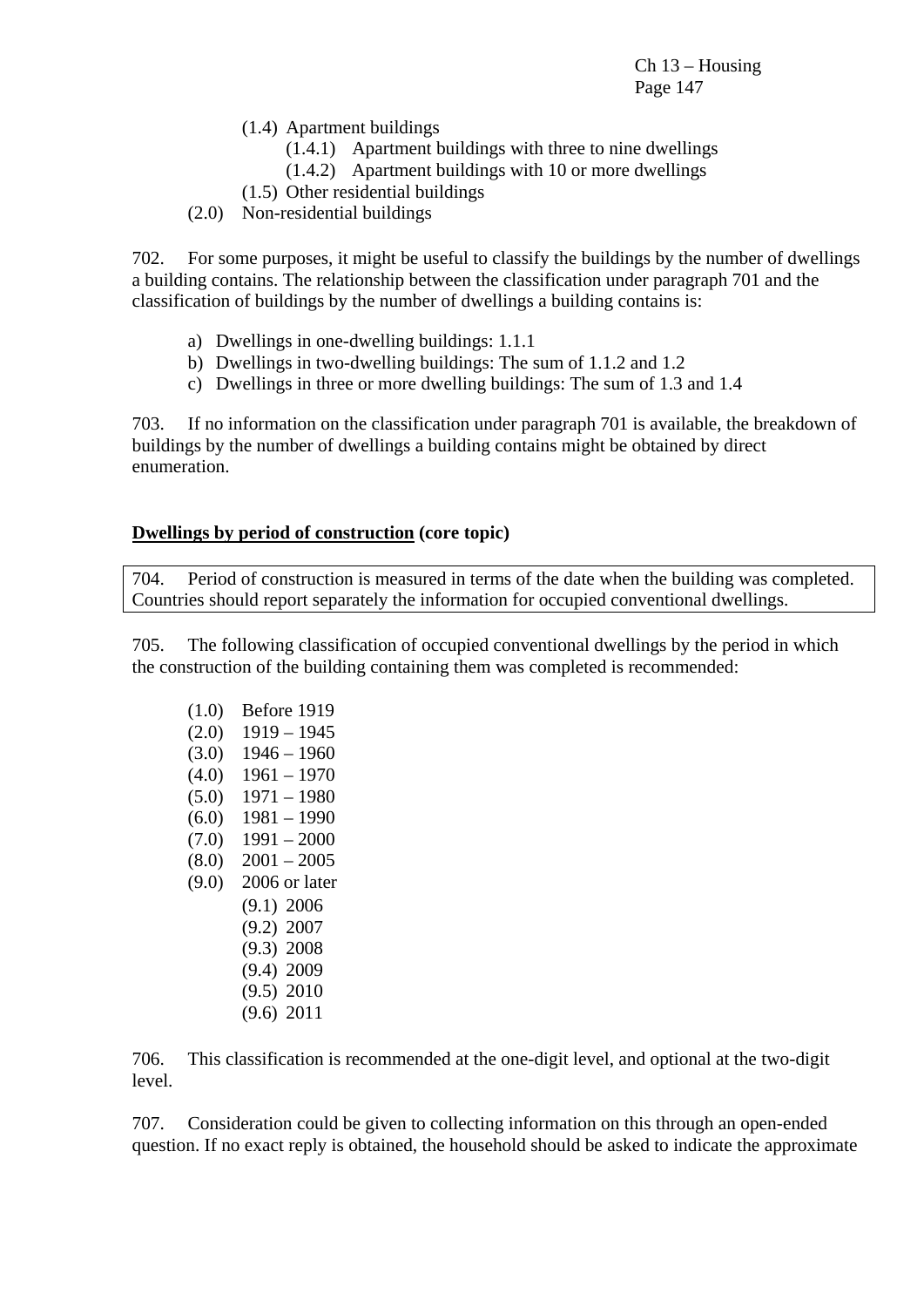- <span id="page-146-0"></span>(1.4) Apartment buildings
	- (1.4.1) Apartment buildings with three to nine dwellings
	- (1.4.2) Apartment buildings with 10 or more dwellings
- (1.5) Other residential buildings
- (2.0) Non-residential buildings

702. For some purposes, it might be useful to classify the buildings by the number of dwellings a building contains. The relationship between the classification under paragraph [701](#page-145-0) and the classification of buildings by the number of dwellings a building contains is:

- a) Dwellings in one-dwelling buildings: 1.1.1
- b) Dwellings in two-dwelling buildings: The sum of 1.1.2 and 1.2
- c) Dwellings in three or more dwelling buildings: The sum of 1.3 and 1.4

703. If no information on the classification under paragraph [701](#page-145-0) is available, the breakdown of buildings by the number of dwellings a building contains might be obtained by direct enumeration.

#### **Dwellings by period of construction (core topic)**

704. Period of construction is measured in terms of the date when the building was completed. Countries should report separately the information for occupied conventional dwellings.

705. The following classification of occupied conventional dwellings by the period in which the construction of the building containing them was completed is recommended:

| (1.0) | Before 1919   |
|-------|---------------|
| (2.0) | $1919 - 1945$ |
| (3.0) | $1946 - 1960$ |
| (4.0) | $1961 - 1970$ |
| (5.0) | 1971 - 1980   |
| (6.0) | $1981 - 1990$ |
| (7.0) | $1991 - 2000$ |
| (8.0) | 2001 – 2005   |
| (9.0) | 2006 or later |
|       | $(9.1)$ 2006  |
|       | (9.2) 2007    |
|       | $(9.3)$ 2008  |
|       | (9.4) 2009    |
|       | (9.5) 2010    |
|       | (9.6)<br>2011 |
|       |               |

706. This classification is recommended at the one-digit level, and optional at the two-digit level.

707. Consideration could be given to collecting information on this through an open-ended question. If no exact reply is obtained, the household should be asked to indicate the approximate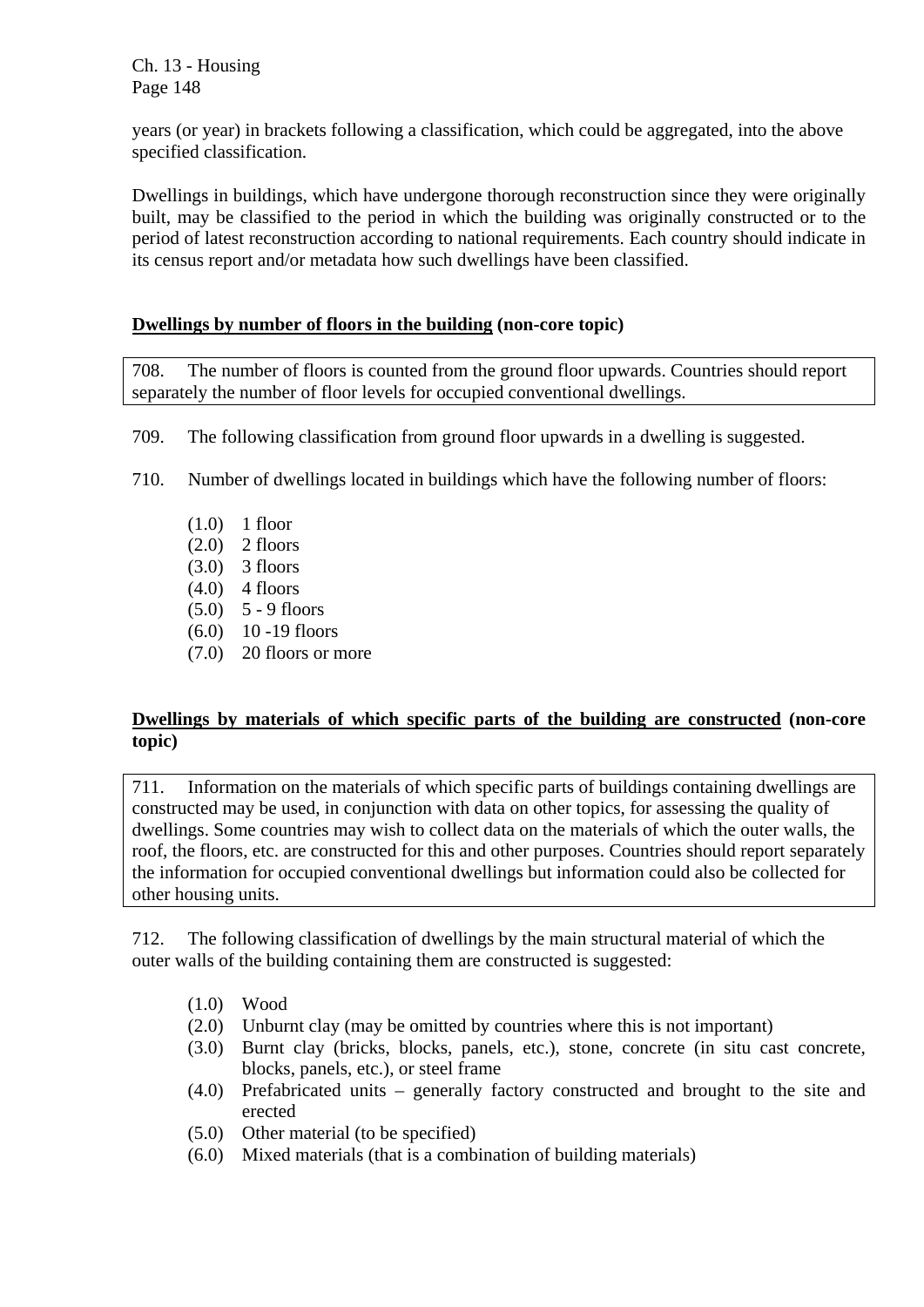<span id="page-147-0"></span>Ch. 13 - Housing Page 148

years (or year) in brackets following a classification, which could be aggregated, into the above specified classification.

Dwellings in buildings, which have undergone thorough reconstruction since they were originally built, may be classified to the period in which the building was originally constructed or to the period of latest reconstruction according to national requirements. Each country should indicate in its census report and/or metadata how such dwellings have been classified.

#### **Dwellings by number of floors in the building (non-core topic)**

708. The number of floors is counted from the ground floor upwards. Countries should report separately the number of floor levels for occupied conventional dwellings.

- 709. The following classification from ground floor upwards in a dwelling is suggested.
- 710. Number of dwellings located in buildings which have the following number of floors:
	- (1.0) 1 floor
	- $(2.0)$  2 floors
	- (3.0) 3 floors
	- $(4.0)$  4 floors
	- $(5.0)$  5 9 floors
	- (6.0) 10 -19 floors
	- (7.0) 20 floors or more

#### **Dwellings by materials of which specific parts of the building are constructed (non-core topic)**

711. Information on the materials of which specific parts of buildings containing dwellings are constructed may be used, in conjunction with data on other topics, for assessing the quality of dwellings. Some countries may wish to collect data on the materials of which the outer walls, the roof, the floors, etc. are constructed for this and other purposes. Countries should report separately the information for occupied conventional dwellings but information could also be collected for other housing units.

712. The following classification of dwellings by the main structural material of which the outer walls of the building containing them are constructed is suggested:

- (1.0) Wood
- (2.0) Unburnt clay (may be omitted by countries where this is not important)
- (3.0) Burnt clay (bricks, blocks, panels, etc.), stone, concrete (in situ cast concrete, blocks, panels, etc.), or steel frame
- (4.0) Prefabricated units generally factory constructed and brought to the site and erected
- (5.0) Other material (to be specified)
- (6.0) Mixed materials (that is a combination of building materials)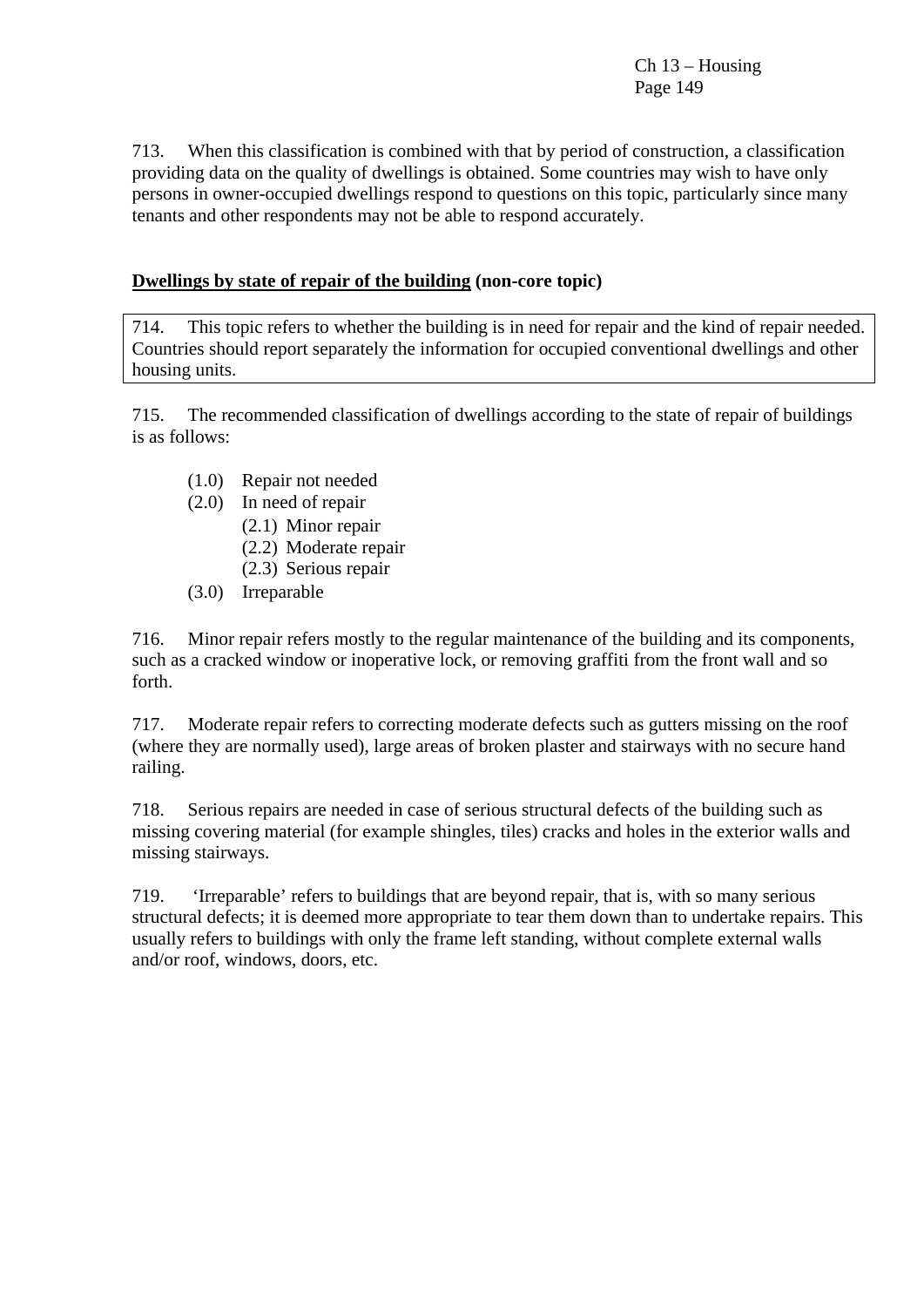Ch 13 – Housing Page 149

<span id="page-148-0"></span>713. When this classification is combined with that by period of construction, a classification providing data on the quality of dwellings is obtained. Some countries may wish to have only persons in owner-occupied dwellings respond to questions on this topic, particularly since many tenants and other respondents may not be able to respond accurately.

#### **Dwellings by state of repair of the building (non-core topic)**

714. This topic refers to whether the building is in need for repair and the kind of repair needed. Countries should report separately the information for occupied conventional dwellings and other housing units.

715. The recommended classification of dwellings according to the state of repair of buildings is as follows:

- (1.0) Repair not needed
- (2.0) In need of repair
	- (2.1) Minor repair
	- (2.2) Moderate repair
	- (2.3) Serious repair
- (3.0) Irreparable

716. Minor repair refers mostly to the regular maintenance of the building and its components, such as a cracked window or inoperative lock, or removing graffiti from the front wall and so forth.

717. Moderate repair refers to correcting moderate defects such as gutters missing on the roof (where they are normally used), large areas of broken plaster and stairways with no secure hand railing.

718. Serious repairs are needed in case of serious structural defects of the building such as missing covering material (for example shingles, tiles) cracks and holes in the exterior walls and missing stairways.

719. 'Irreparable' refers to buildings that are beyond repair, that is, with so many serious structural defects; it is deemed more appropriate to tear them down than to undertake repairs. This usually refers to buildings with only the frame left standing, without complete external walls and/or roof, windows, doors, etc.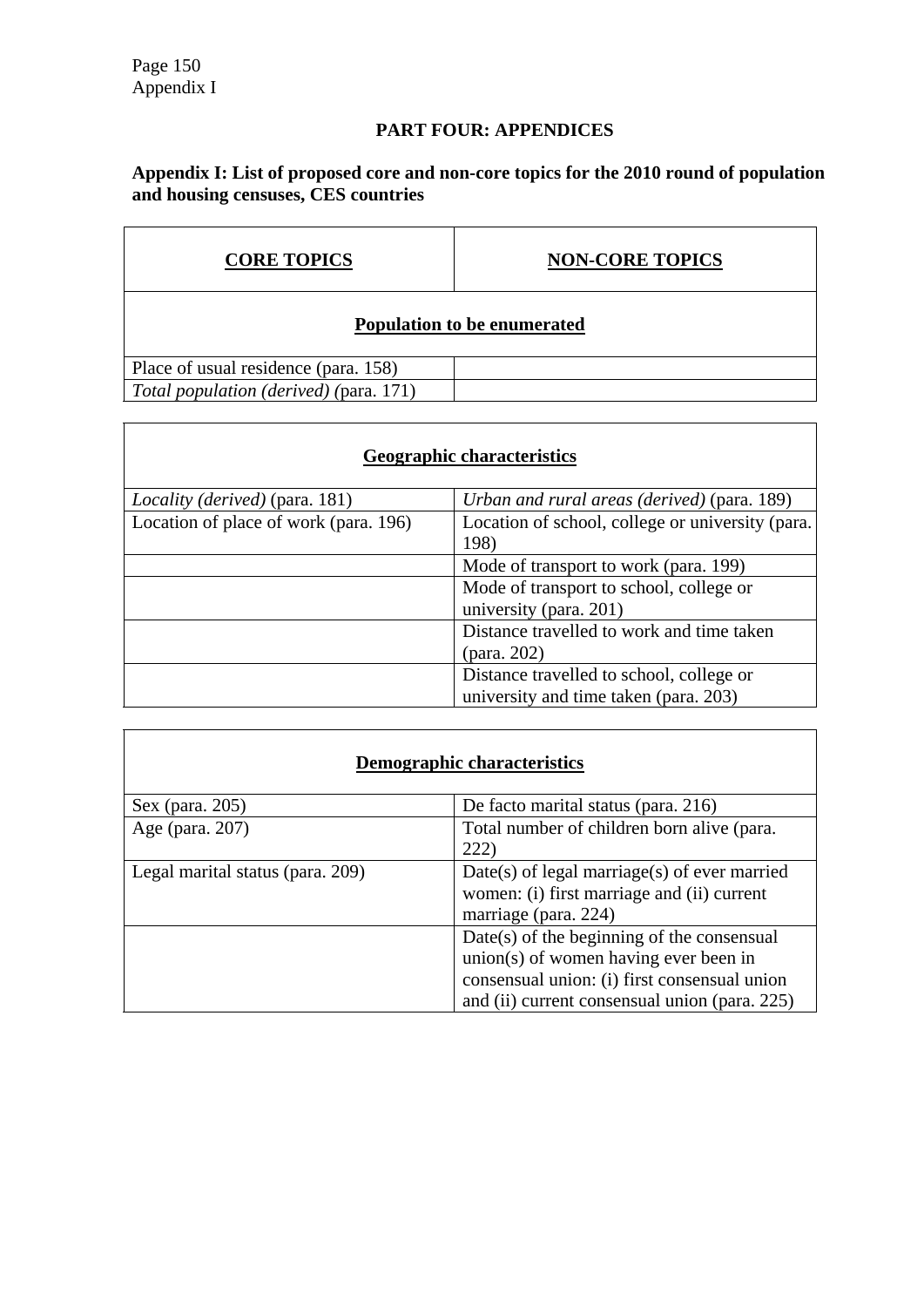## **PART FOUR: APPENDICES**

## **Appendix I: List of proposed core and non-core topics for the 2010 round of population and housing censuses, CES countries**

| <b>NON-CORE TOPICS</b>             |  |  |
|------------------------------------|--|--|
| <b>Population to be enumerated</b> |  |  |
|                                    |  |  |
|                                    |  |  |
|                                    |  |  |

| <b>Geographic characteristics</b>     |                                                                                   |
|---------------------------------------|-----------------------------------------------------------------------------------|
| <i>Locality (derived)</i> (para. 181) | Urban and rural areas (derived) (para. 189)                                       |
| Location of place of work (para. 196) | Location of school, college or university (para.<br>198)                          |
|                                       | Mode of transport to work (para. 199)                                             |
|                                       | Mode of transport to school, college or<br>university (para. 201)                 |
|                                       | Distance travelled to work and time taken<br>(para. 202)                          |
|                                       | Distance travelled to school, college or<br>university and time taken (para. 203) |

| Demographic characteristics      |                                                                                                                                                                                        |  |
|----------------------------------|----------------------------------------------------------------------------------------------------------------------------------------------------------------------------------------|--|
| Sex (para. 205)                  | De facto marital status (para. 216)                                                                                                                                                    |  |
| Age (para. 207)                  | Total number of children born alive (para.<br>222)                                                                                                                                     |  |
| Legal marital status (para. 209) | $Date(s)$ of legal marriage(s) of ever married<br>women: (i) first marriage and (ii) current<br>marriage (para. 224)                                                                   |  |
|                                  | $Date(s)$ of the beginning of the consensual<br>union(s) of women having ever been in<br>consensual union: (i) first consensual union<br>and (ii) current consensual union (para. 225) |  |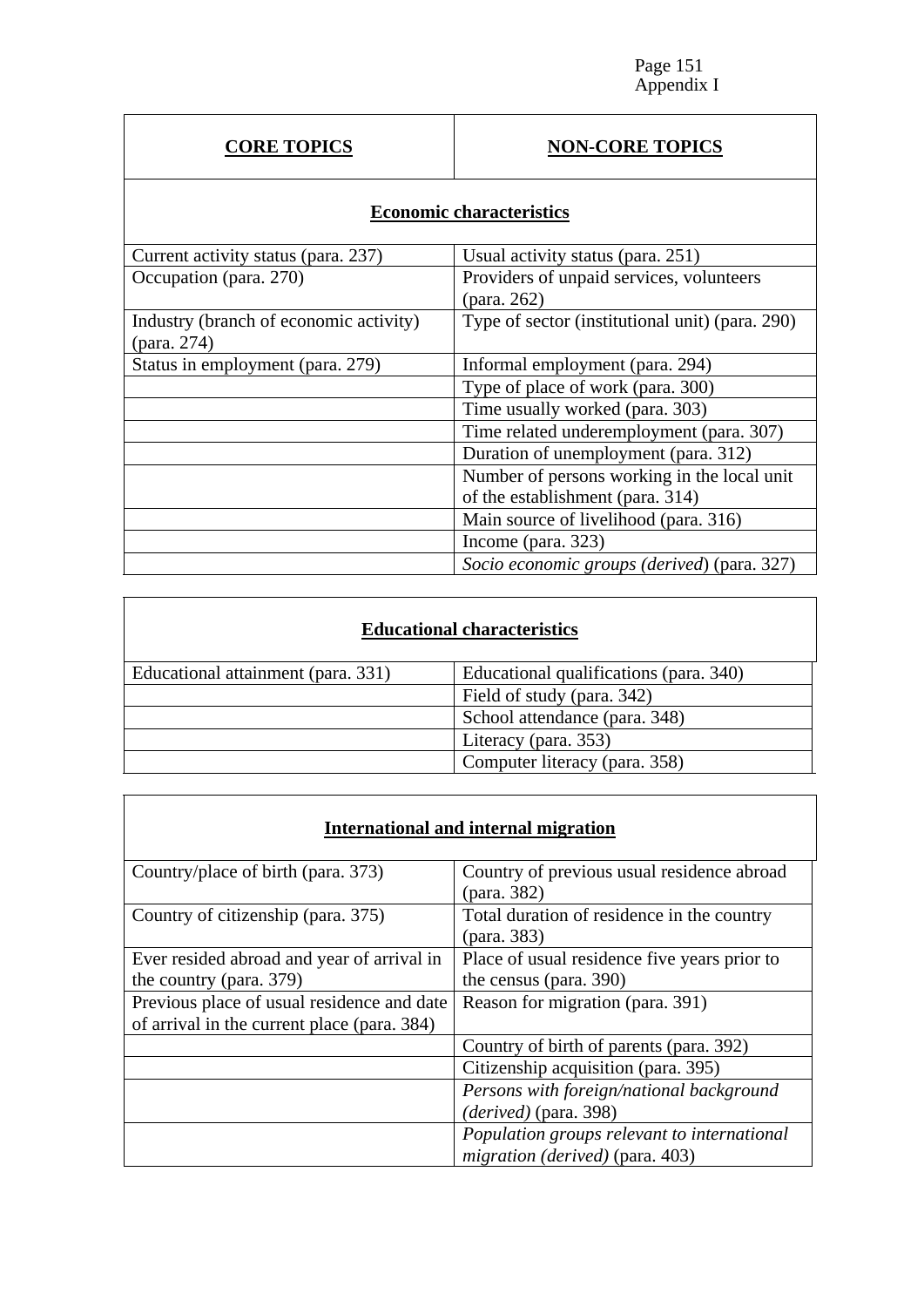# **CORE TOPICS NON-CORE TOPICS**

## **Economic characteristics**

| Current activity status (para. 237)    | Usual activity status (para. 251)               |
|----------------------------------------|-------------------------------------------------|
| Occupation (para. 270)                 | Providers of unpaid services, volunteers        |
|                                        |                                                 |
| Industry (branch of economic activity) | Type of sector (institutional unit) (para. 290) |
| (para. 274)                            |                                                 |
| Status in employment (para. 279)       | Informal employment (para. 294)                 |
|                                        | Type of place of work (para. 300)               |
|                                        | Time usually worked (para. 303)                 |
|                                        | Time related underemployment (para. 307)        |
|                                        | Duration of unemployment (para. 312)            |
|                                        | Number of persons working in the local unit     |
|                                        | of the establishment (para. 314)                |
|                                        | Main source of livelihood (para. 316)           |
|                                        | Income (para. 323)                              |
|                                        | Socio economic groups (derived) (para. 327)     |

| <b>Educational characteristics</b> |                                        |
|------------------------------------|----------------------------------------|
| Educational attainment (para. 331) | Educational qualifications (para. 340) |
|                                    | Field of study (para. 342)             |
|                                    | School attendance (para. 348)          |
|                                    | Literacy (para. 353)                   |
|                                    | Computer literacy (para. 358)          |

| <b>International and internal migration</b>                                               |                                                                                       |  |
|-------------------------------------------------------------------------------------------|---------------------------------------------------------------------------------------|--|
| Country/place of birth (para. 373)                                                        | Country of previous usual residence abroad<br>(para. 382)                             |  |
| Country of citizenship (para. 375)                                                        | Total duration of residence in the country<br>(para. 383)                             |  |
| Ever resided abroad and year of arrival in                                                | Place of usual residence five years prior to                                          |  |
| the country (para. 379)                                                                   | the census (para. 390)                                                                |  |
| Previous place of usual residence and date<br>of arrival in the current place (para. 384) | Reason for migration (para. 391)                                                      |  |
|                                                                                           | Country of birth of parents (para. 392)                                               |  |
|                                                                                           | Citizenship acquisition (para. 395)                                                   |  |
|                                                                                           | Persons with foreign/national background<br><i>(derived)</i> (para. 398)              |  |
|                                                                                           | Population groups relevant to international<br><i>migration (derived)</i> (para. 403) |  |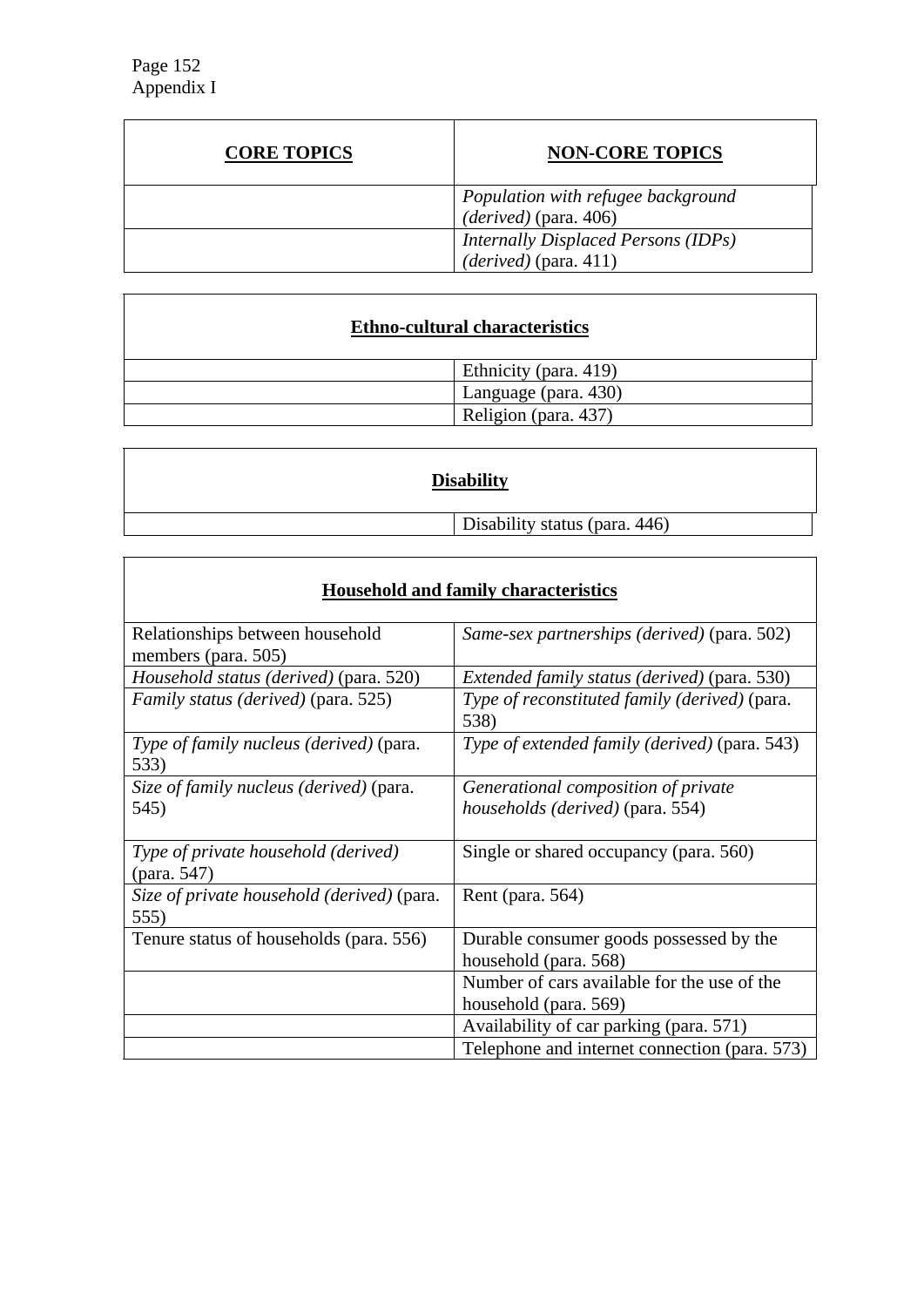| <b>CORE TOPICS</b> | <b>NON-CORE TOPICS</b>                                                |
|--------------------|-----------------------------------------------------------------------|
|                    | Population with refugee background<br>$(derived)$ (para. 406)         |
|                    | <b>Internally Displaced Persons (IDPs)</b><br>$(derived)$ (para. 411) |

| <b>Ethno-cultural characteristics</b> |                       |
|---------------------------------------|-----------------------|
|                                       | Ethnicity (para. 419) |
|                                       | Language (para. 430)  |
|                                       | Religion (para. 437)  |

| <b>Disability</b> |                               |  |
|-------------------|-------------------------------|--|
|                   | Disability status (para. 446) |  |

┑

| <b>Household and family characteristics</b>            |                                                                         |  |
|--------------------------------------------------------|-------------------------------------------------------------------------|--|
| Relationships between household<br>members (para. 505) | Same-sex partnerships (derived) (para. 502)                             |  |
| Household status (derived) (para. 520)                 | <i>Extended family status (derived)</i> (para. 530)                     |  |
| Family status (derived) (para. 525)                    | Type of reconstituted family (derived) (para.<br>538)                   |  |
| <i>Type of family nucleus (derived)</i> (para.<br>533) | Type of extended family (derived) (para. 543)                           |  |
| Size of family nucleus (derived) (para.<br>545)        | Generational composition of private<br>households (derived) (para. 554) |  |
| Type of private household (derived)<br>(para. 547)     | Single or shared occupancy (para. 560)                                  |  |
| Size of private household (derived) (para.<br>555)     | Rent (para. 564)                                                        |  |
| Tenure status of households (para. 556)                | Durable consumer goods possessed by the<br>household (para. 568)        |  |
|                                                        | Number of cars available for the use of the<br>household (para. 569)    |  |
|                                                        | Availability of car parking (para. 571)                                 |  |
|                                                        | Telephone and internet connection (para. 573)                           |  |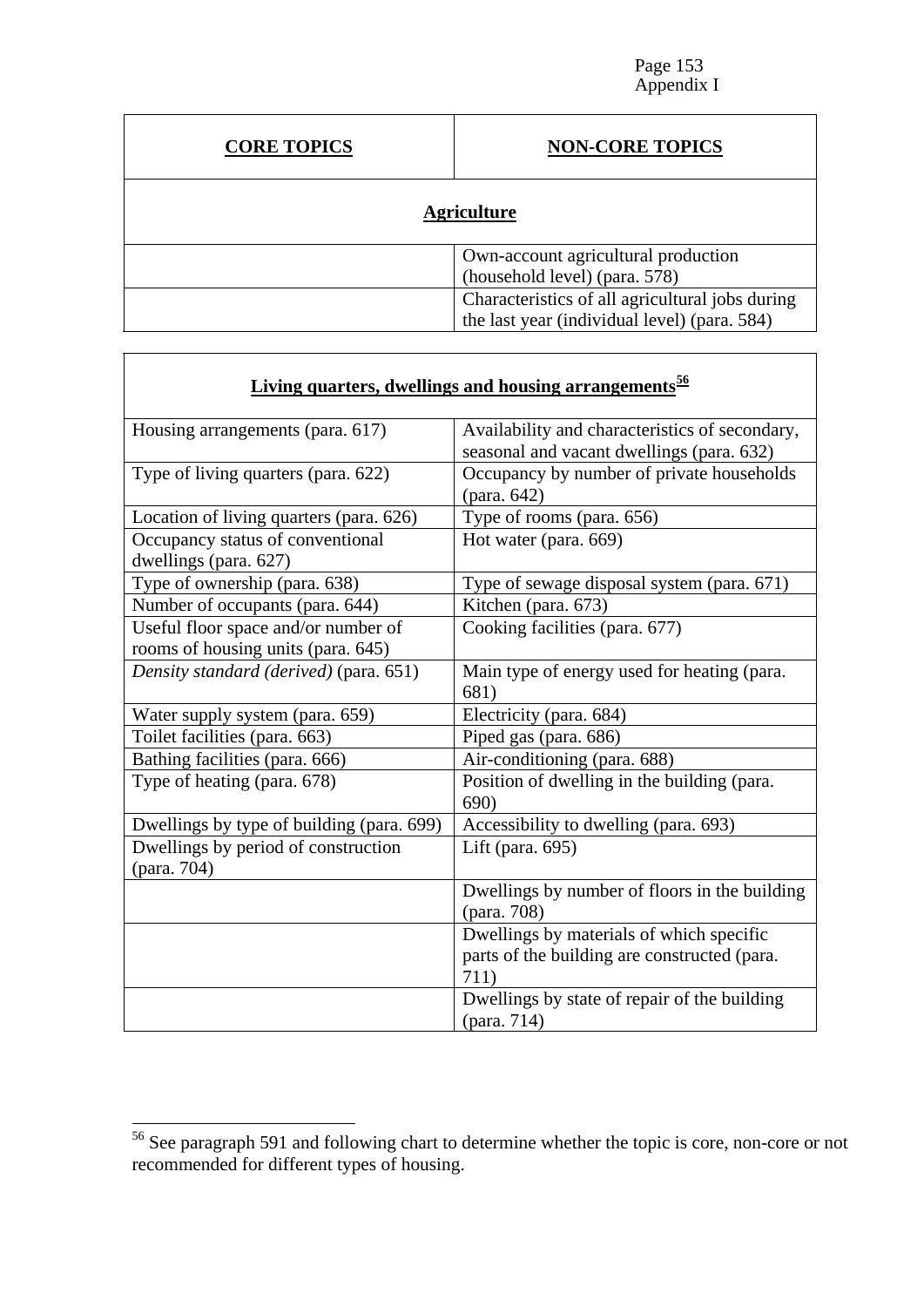<span id="page-152-0"></span>

| <b>CORE TOPICS</b> | <b>NON-CORE TOPICS</b>                                                                          |  |
|--------------------|-------------------------------------------------------------------------------------------------|--|
| <b>Agriculture</b> |                                                                                                 |  |
|                    | Own-account agricultural production<br>(household level) (para. 578)                            |  |
|                    | Characteristics of all agricultural jobs during<br>the last year (individual level) (para. 584) |  |

| <b>Living quarters, dwellings and housing arrangements</b> <sup>56</sup>  |                                                                                                  |  |
|---------------------------------------------------------------------------|--------------------------------------------------------------------------------------------------|--|
| Housing arrangements (para. 617)                                          | Availability and characteristics of secondary,<br>seasonal and vacant dwellings (para. 632)      |  |
| Type of living quarters (para. 622)                                       | Occupancy by number of private households<br>(para. 642)                                         |  |
| Location of living quarters (para. 626)                                   | Type of rooms (para. 656)                                                                        |  |
| Occupancy status of conventional<br>dwellings (para. 627)                 | Hot water (para. 669)                                                                            |  |
| Type of ownership (para. 638)                                             | Type of sewage disposal system (para. 671)                                                       |  |
| Number of occupants (para. 644)                                           | Kitchen (para. 673)                                                                              |  |
| Useful floor space and/or number of<br>rooms of housing units (para. 645) | Cooking facilities (para. 677)                                                                   |  |
| Density standard (derived) (para. 651)                                    | Main type of energy used for heating (para.<br>681)                                              |  |
| Water supply system (para. 659)                                           | Electricity (para. 684)                                                                          |  |
| Toilet facilities (para. 663)                                             | Piped gas (para. 686)                                                                            |  |
| Bathing facilities (para. 666)                                            | Air-conditioning (para. 688)                                                                     |  |
| Type of heating (para. 678)                                               | Position of dwelling in the building (para.<br>690)                                              |  |
| Dwellings by type of building (para. 699)                                 | Accessibility to dwelling (para. 693)                                                            |  |
| Dwellings by period of construction<br>(para. 704)                        | Lift (para. 695)                                                                                 |  |
|                                                                           | Dwellings by number of floors in the building<br>(para. 708)                                     |  |
|                                                                           | Dwellings by materials of which specific<br>parts of the building are constructed (para.<br>711) |  |
|                                                                           | Dwellings by state of repair of the building<br>(para. 714)                                      |  |

<u>.</u>

 $\Gamma$ 

<sup>&</sup>lt;sup>56</sup> See paragraph 591 and following chart to determine whether the topic is core, non-core or not recommended for different types of housing.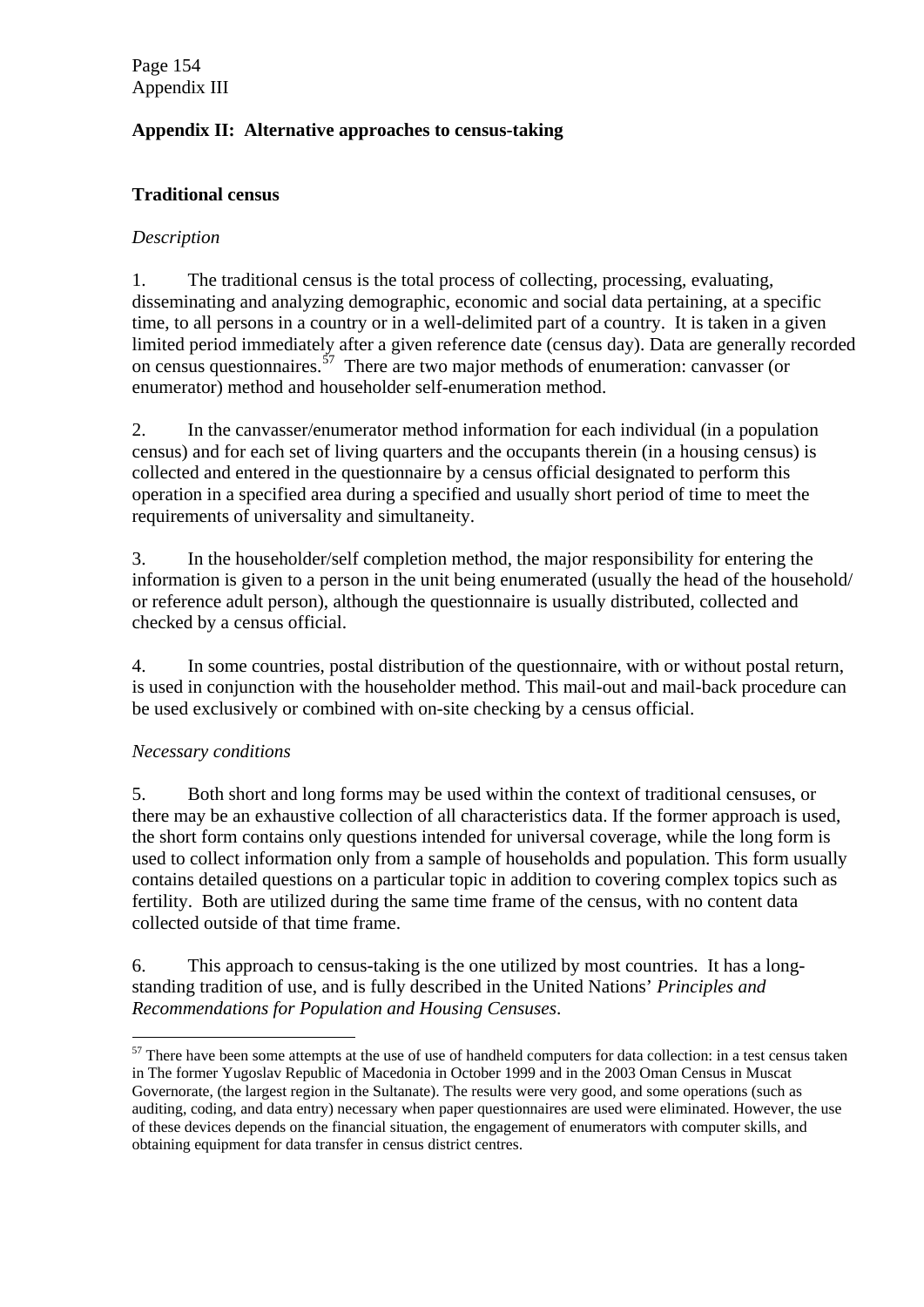<span id="page-153-0"></span>Page 154 Appendix III

## **Appendix II: Alternative approaches to census-taking**

## **Traditional census**

## *Description*

1. The traditional census is the total process of collecting, processing, evaluating, disseminating and analyzing demographic, economic and social data pertaining, at a specific time, to all persons in a country or in a well-delimited part of a country. It is taken in a given limited period immediately after a given reference date (census day). Data are generally recorded on census questionnaires.<sup> $57$ </sup> There are two major methods of enumeration: canvasser (or enumerator) method and householder self-enumeration method.

2. In the canvasser/enumerator method information for each individual (in a population census) and for each set of living quarters and the occupants therein (in a housing census) is collected and entered in the questionnaire by a census official designated to perform this operation in a specified area during a specified and usually short period of time to meet the requirements of universality and simultaneity.

3. In the householder/self completion method, the major responsibility for entering the information is given to a person in the unit being enumerated (usually the head of the household/ or reference adult person), although the questionnaire is usually distributed, collected and checked by a census official.

4. In some countries, postal distribution of the questionnaire, with or without postal return, is used in conjunction with the householder method. This mail-out and mail-back procedure can be used exclusively or combined with on-site checking by a census official.

#### *Necessary conditions*

1

5. Both short and long forms may be used within the context of traditional censuses, or there may be an exhaustive collection of all characteristics data. If the former approach is used, the short form contains only questions intended for universal coverage, while the long form is used to collect information only from a sample of households and population. This form usually contains detailed questions on a particular topic in addition to covering complex topics such as fertility. Both are utilized during the same time frame of the census, with no content data collected outside of that time frame.

6. This approach to census-taking is the one utilized by most countries. It has a longstanding tradition of use, and is fully described in the United Nations' *Principles and Recommendations for Population and Housing Censuses*.

 $57$  There have been some attempts at the use of use of handheld computers for data collection: in a test census taken in The former Yugoslav Republic of Macedonia in October 1999 and in the 2003 Oman Census in Muscat Governorate, (the largest region in the Sultanate). The results were very good, and some operations (such as auditing, coding, and data entry) necessary when paper questionnaires are used were eliminated. However, the use of these devices depends on the financial situation, the engagement of enumerators with computer skills, and obtaining equipment for data transfer in census district centres.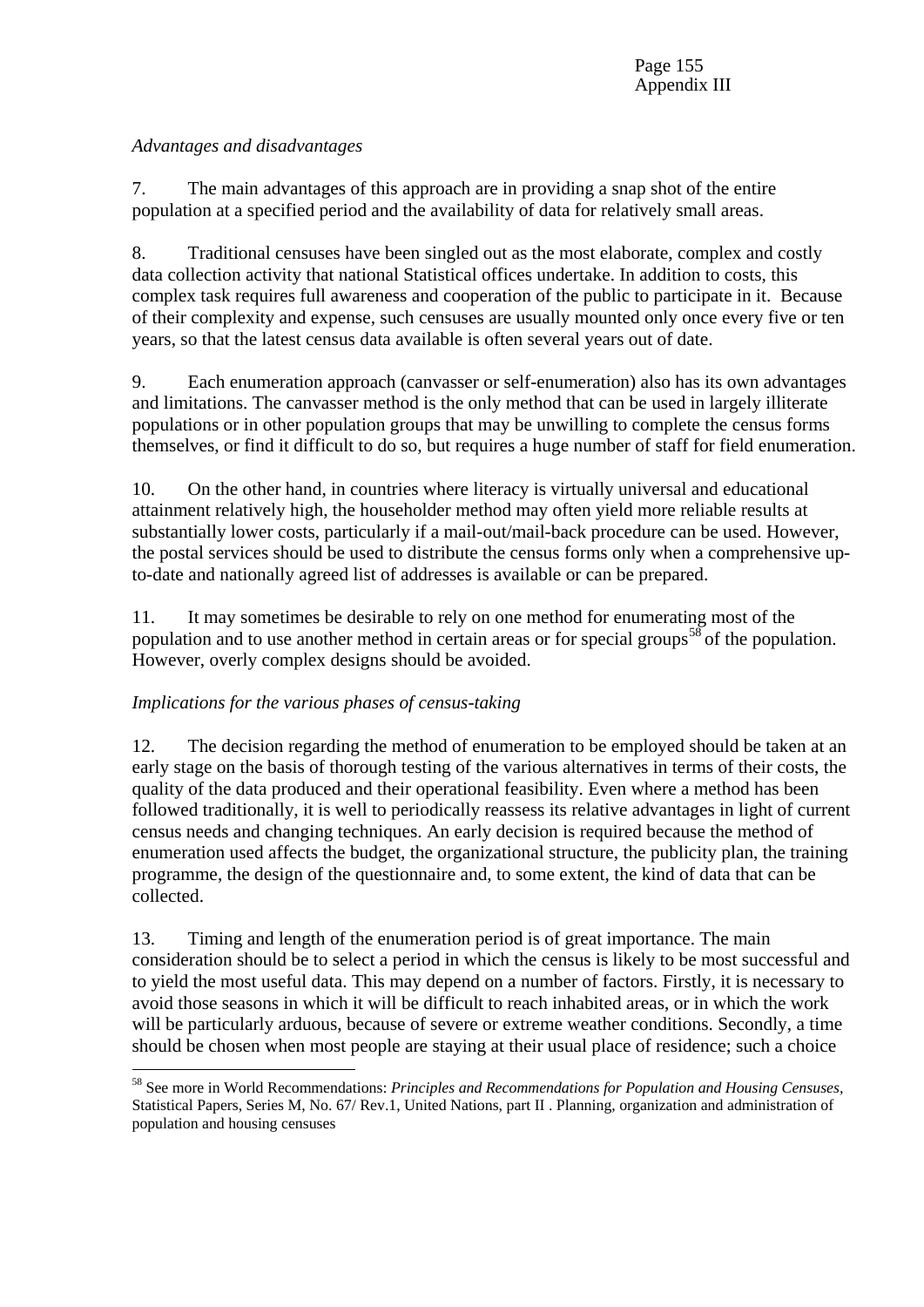## <span id="page-154-0"></span>*Advantages and disadvantages*

7. The main advantages of this approach are in providing a snap shot of the entire population at a specified period and the availability of data for relatively small areas.

8. Traditional censuses have been singled out as the most elaborate, complex and costly data collection activity that national Statistical offices undertake. In addition to costs, this complex task requires full awareness and cooperation of the public to participate in it. Because of their complexity and expense, such censuses are usually mounted only once every five or ten years, so that the latest census data available is often several years out of date.

9. Each enumeration approach (canvasser or self-enumeration) also has its own advantages and limitations. The canvasser method is the only method that can be used in largely illiterate populations or in other population groups that may be unwilling to complete the census forms themselves, or find it difficult to do so, but requires a huge number of staff for field enumeration.

10. On the other hand, in countries where literacy is virtually universal and educational attainment relatively high, the householder method may often yield more reliable results at substantially lower costs, particularly if a mail-out/mail-back procedure can be used. However, the postal services should be used to distribute the census forms only when a comprehensive upto-date and nationally agreed list of addresses is available or can be prepared.

11. It may sometimes be desirable to rely on one method for enumerating most of the population and to use another method in certain areas or for special groups<sup>[5](#page-154-0)8</sup> of the population. However, overly complex designs should be avoided.

## *Implications for the various phases of census-taking*

<u>.</u>

12. The decision regarding the method of enumeration to be employed should be taken at an early stage on the basis of thorough testing of the various alternatives in terms of their costs, the quality of the data produced and their operational feasibility. Even where a method has been followed traditionally, it is well to periodically reassess its relative advantages in light of current census needs and changing techniques. An early decision is required because the method of enumeration used affects the budget, the organizational structure, the publicity plan, the training programme, the design of the questionnaire and, to some extent, the kind of data that can be collected.

13. Timing and length of the enumeration period is of great importance. The main consideration should be to select a period in which the census is likely to be most successful and to yield the most useful data. This may depend on a number of factors. Firstly, it is necessary to avoid those seasons in which it will be difficult to reach inhabited areas, or in which the work will be particularly arduous, because of severe or extreme weather conditions. Secondly, a time should be chosen when most people are staying at their usual place of residence; such a choice

<sup>58</sup> See more in World Recommendations: *Principles and Recommendations for Population and Housing Censuses,* Statistical Papers, Series M, No. 67/ Rev.1, United Nations, part II . Planning, organization and administration of population and housing censuses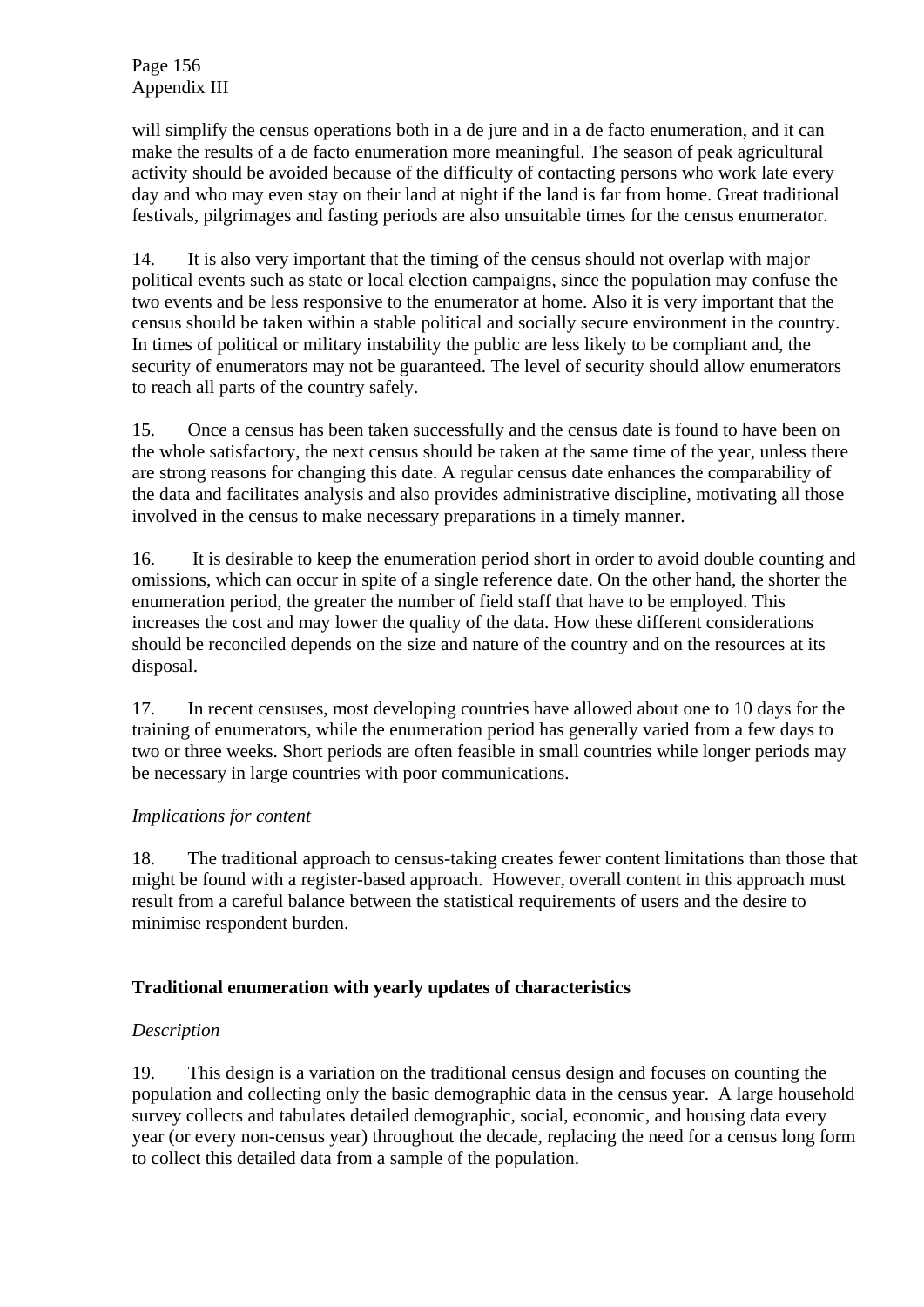will simplify the census operations both in a de jure and in a de facto enumeration, and it can make the results of a de facto enumeration more meaningful. The season of peak agricultural activity should be avoided because of the difficulty of contacting persons who work late every day and who may even stay on their land at night if the land is far from home. Great traditional festivals, pilgrimages and fasting periods are also unsuitable times for the census enumerator.

14. It is also very important that the timing of the census should not overlap with major political events such as state or local election campaigns, since the population may confuse the two events and be less responsive to the enumerator at home. Also it is very important that the census should be taken within a stable political and socially secure environment in the country. In times of political or military instability the public are less likely to be compliant and, the security of enumerators may not be guaranteed. The level of security should allow enumerators to reach all parts of the country safely.

15. Once a census has been taken successfully and the census date is found to have been on the whole satisfactory, the next census should be taken at the same time of the year, unless there are strong reasons for changing this date. A regular census date enhances the comparability of the data and facilitates analysis and also provides administrative discipline, motivating all those involved in the census to make necessary preparations in a timely manner.

16. It is desirable to keep the enumeration period short in order to avoid double counting and omissions, which can occur in spite of a single reference date. On the other hand, the shorter the enumeration period, the greater the number of field staff that have to be employed. This increases the cost and may lower the quality of the data. How these different considerations should be reconciled depends on the size and nature of the country and on the resources at its disposal.

17. In recent censuses, most developing countries have allowed about one to 10 days for the training of enumerators, while the enumeration period has generally varied from a few days to two or three weeks. Short periods are often feasible in small countries while longer periods may be necessary in large countries with poor communications.

## *Implications for content*

18. The traditional approach to census-taking creates fewer content limitations than those that might be found with a register-based approach. However, overall content in this approach must result from a careful balance between the statistical requirements of users and the desire to minimise respondent burden.

## **Traditional enumeration with yearly updates of characteristics**

## *Description*

19. This design is a variation on the traditional census design and focuses on counting the population and collecting only the basic demographic data in the census year. A large household survey collects and tabulates detailed demographic, social, economic, and housing data every year (or every non-census year) throughout the decade, replacing the need for a census long form to collect this detailed data from a sample of the population.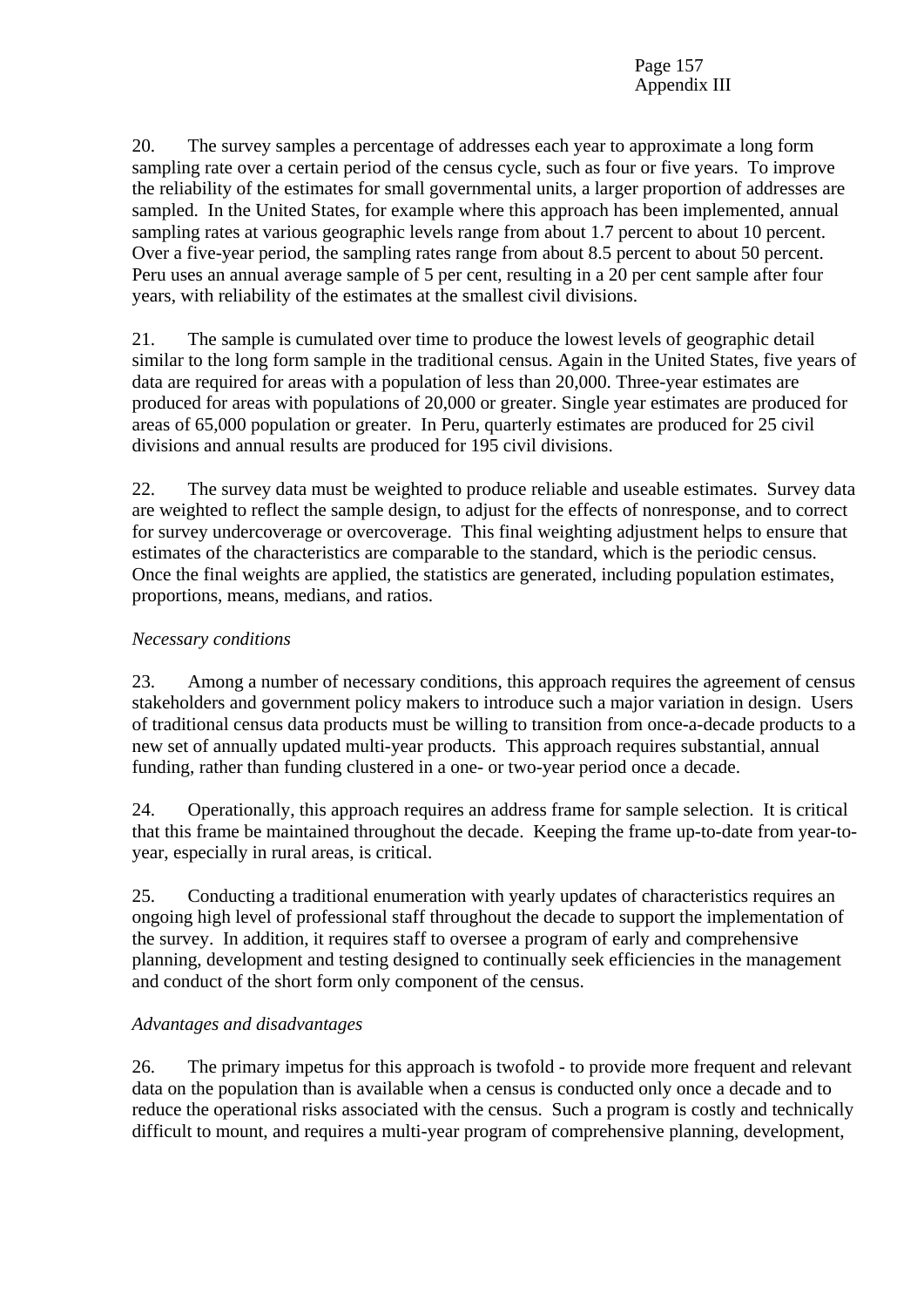20. The survey samples a percentage of addresses each year to approximate a long form sampling rate over a certain period of the census cycle, such as four or five years. To improve the reliability of the estimates for small governmental units, a larger proportion of addresses are sampled. In the United States, for example where this approach has been implemented, annual sampling rates at various geographic levels range from about 1.7 percent to about 10 percent. Over a five-year period, the sampling rates range from about 8.5 percent to about 50 percent. Peru uses an annual average sample of 5 per cent, resulting in a 20 per cent sample after four years, with reliability of the estimates at the smallest civil divisions.

21. The sample is cumulated over time to produce the lowest levels of geographic detail similar to the long form sample in the traditional census. Again in the United States, five years of data are required for areas with a population of less than 20,000. Three-year estimates are produced for areas with populations of 20,000 or greater. Single year estimates are produced for areas of 65,000 population or greater. In Peru, quarterly estimates are produced for 25 civil divisions and annual results are produced for 195 civil divisions.

22. The survey data must be weighted to produce reliable and useable estimates. Survey data are weighted to reflect the sample design, to adjust for the effects of nonresponse, and to correct for survey undercoverage or overcoverage. This final weighting adjustment helps to ensure that estimates of the characteristics are comparable to the standard, which is the periodic census. Once the final weights are applied, the statistics are generated, including population estimates, proportions, means, medians, and ratios.

## *Necessary conditions*

23. Among a number of necessary conditions, this approach requires the agreement of census stakeholders and government policy makers to introduce such a major variation in design. Users of traditional census data products must be willing to transition from once-a-decade products to a new set of annually updated multi-year products. This approach requires substantial, annual funding, rather than funding clustered in a one- or two-year period once a decade.

24. Operationally, this approach requires an address frame for sample selection. It is critical that this frame be maintained throughout the decade. Keeping the frame up-to-date from year-toyear, especially in rural areas, is critical.

25. Conducting a traditional enumeration with yearly updates of characteristics requires an ongoing high level of professional staff throughout the decade to support the implementation of the survey. In addition, it requires staff to oversee a program of early and comprehensive planning, development and testing designed to continually seek efficiencies in the management and conduct of the short form only component of the census.

## *Advantages and disadvantages*

26. The primary impetus for this approach is twofold - to provide more frequent and relevant data on the population than is available when a census is conducted only once a decade and to reduce the operational risks associated with the census. Such a program is costly and technically difficult to mount, and requires a multi-year program of comprehensive planning, development,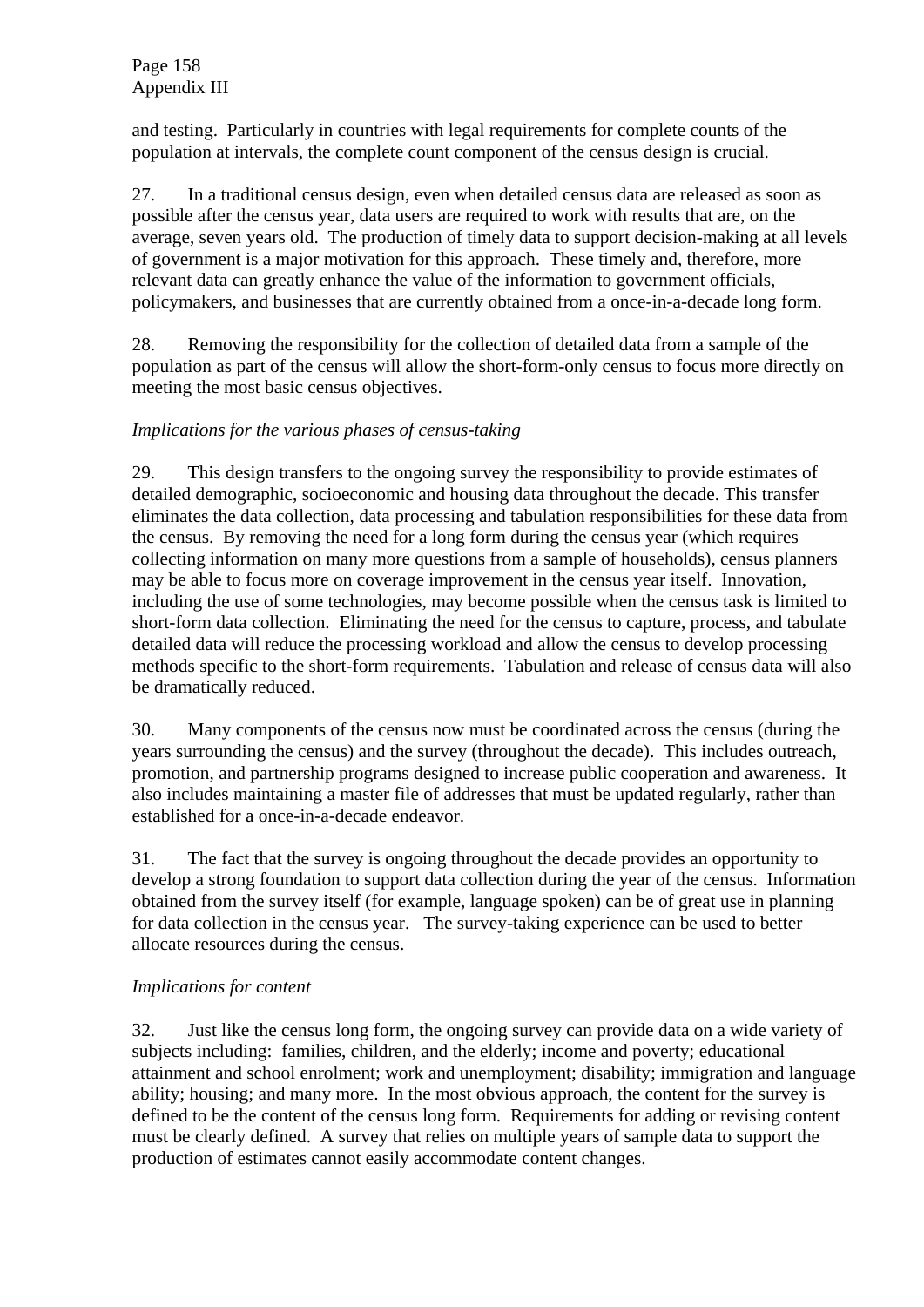and testing. Particularly in countries with legal requirements for complete counts of the population at intervals, the complete count component of the census design is crucial.

27. In a traditional census design, even when detailed census data are released as soon as possible after the census year, data users are required to work with results that are, on the average, seven years old. The production of timely data to support decision-making at all levels of government is a major motivation for this approach. These timely and, therefore, more relevant data can greatly enhance the value of the information to government officials, policymakers, and businesses that are currently obtained from a once-in-a-decade long form.

28. Removing the responsibility for the collection of detailed data from a sample of the population as part of the census will allow the short-form-only census to focus more directly on meeting the most basic census objectives.

## *Implications for the various phases of census-taking*

29. This design transfers to the ongoing survey the responsibility to provide estimates of detailed demographic, socioeconomic and housing data throughout the decade. This transfer eliminates the data collection, data processing and tabulation responsibilities for these data from the census. By removing the need for a long form during the census year (which requires collecting information on many more questions from a sample of households), census planners may be able to focus more on coverage improvement in the census year itself. Innovation, including the use of some technologies, may become possible when the census task is limited to short-form data collection. Eliminating the need for the census to capture, process, and tabulate detailed data will reduce the processing workload and allow the census to develop processing methods specific to the short-form requirements. Tabulation and release of census data will also be dramatically reduced.

30. Many components of the census now must be coordinated across the census (during the years surrounding the census) and the survey (throughout the decade). This includes outreach, promotion, and partnership programs designed to increase public cooperation and awareness. It also includes maintaining a master file of addresses that must be updated regularly, rather than established for a once-in-a-decade endeavor.

31. The fact that the survey is ongoing throughout the decade provides an opportunity to develop a strong foundation to support data collection during the year of the census. Information obtained from the survey itself (for example, language spoken) can be of great use in planning for data collection in the census year. The survey-taking experience can be used to better allocate resources during the census.

#### *Implications for content*

32. Just like the census long form, the ongoing survey can provide data on a wide variety of subjects including: families, children, and the elderly; income and poverty; educational attainment and school enrolment; work and unemployment; disability; immigration and language ability; housing; and many more. In the most obvious approach, the content for the survey is defined to be the content of the census long form. Requirements for adding or revising content must be clearly defined. A survey that relies on multiple years of sample data to support the production of estimates cannot easily accommodate content changes.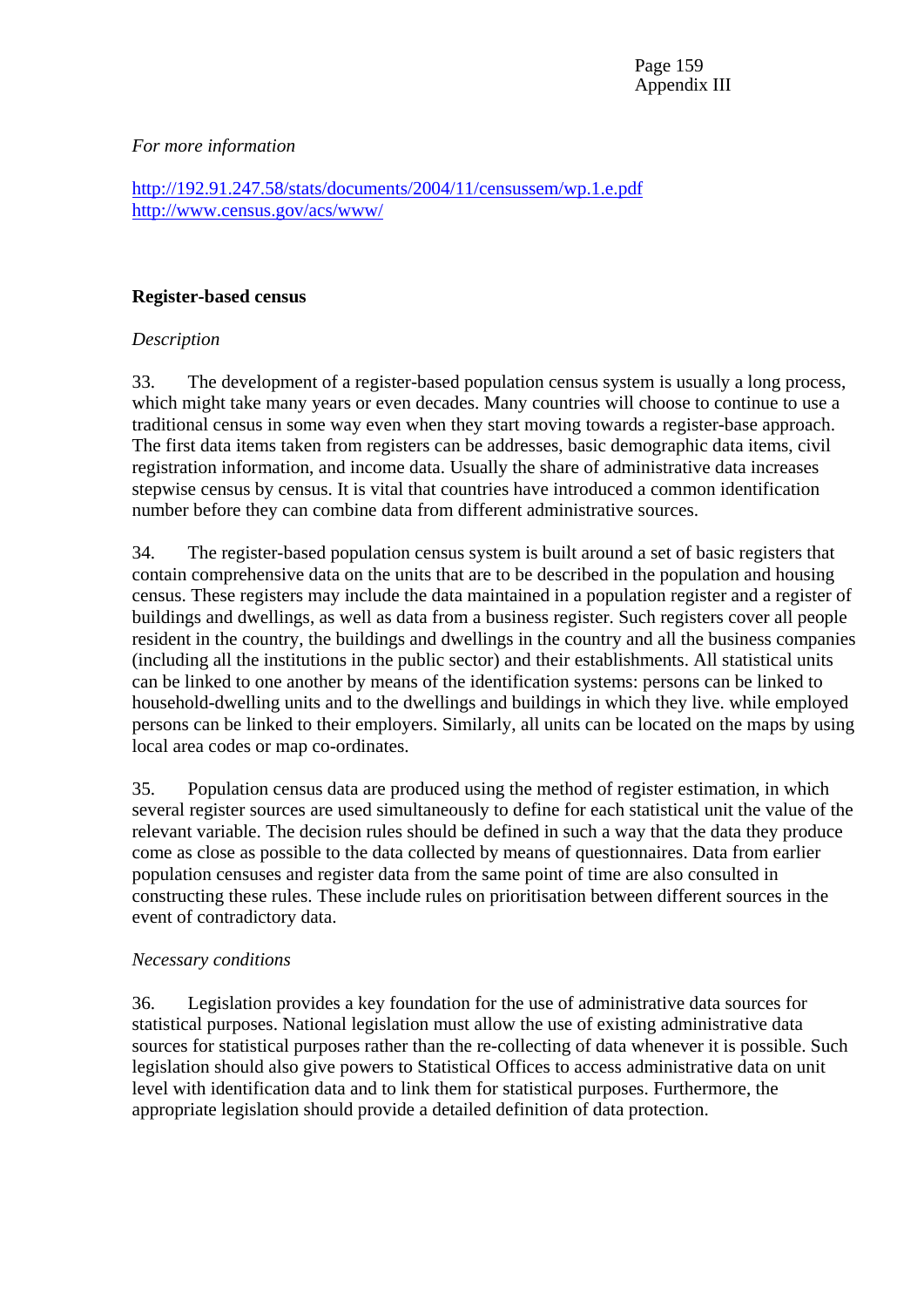*For more information* 

<http://192.91.247.58/stats/documents/2004/11/censussem/wp.1.e.pdf> <http://www.census.gov/acs/www/>

## **Register-based census**

## *Description*

33. The development of a register-based population census system is usually a long process, which might take many years or even decades. Many countries will choose to continue to use a traditional census in some way even when they start moving towards a register-base approach. The first data items taken from registers can be addresses, basic demographic data items, civil registration information, and income data. Usually the share of administrative data increases stepwise census by census. It is vital that countries have introduced a common identification number before they can combine data from different administrative sources.

34. The register-based population census system is built around a set of basic registers that contain comprehensive data on the units that are to be described in the population and housing census. These registers may include the data maintained in a population register and a register of buildings and dwellings, as well as data from a business register. Such registers cover all people resident in the country, the buildings and dwellings in the country and all the business companies (including all the institutions in the public sector) and their establishments. All statistical units can be linked to one another by means of the identification systems: persons can be linked to household-dwelling units and to the dwellings and buildings in which they live. while employed persons can be linked to their employers. Similarly, all units can be located on the maps by using local area codes or map co-ordinates.

35. Population census data are produced using the method of register estimation, in which several register sources are used simultaneously to define for each statistical unit the value of the relevant variable. The decision rules should be defined in such a way that the data they produce come as close as possible to the data collected by means of questionnaires. Data from earlier population censuses and register data from the same point of time are also consulted in constructing these rules. These include rules on prioritisation between different sources in the event of contradictory data.

#### *Necessary conditions*

36. Legislation provides a key foundation for the use of administrative data sources for statistical purposes. National legislation must allow the use of existing administrative data sources for statistical purposes rather than the re-collecting of data whenever it is possible. Such legislation should also give powers to Statistical Offices to access administrative data on unit level with identification data and to link them for statistical purposes. Furthermore, the appropriate legislation should provide a detailed definition of data protection.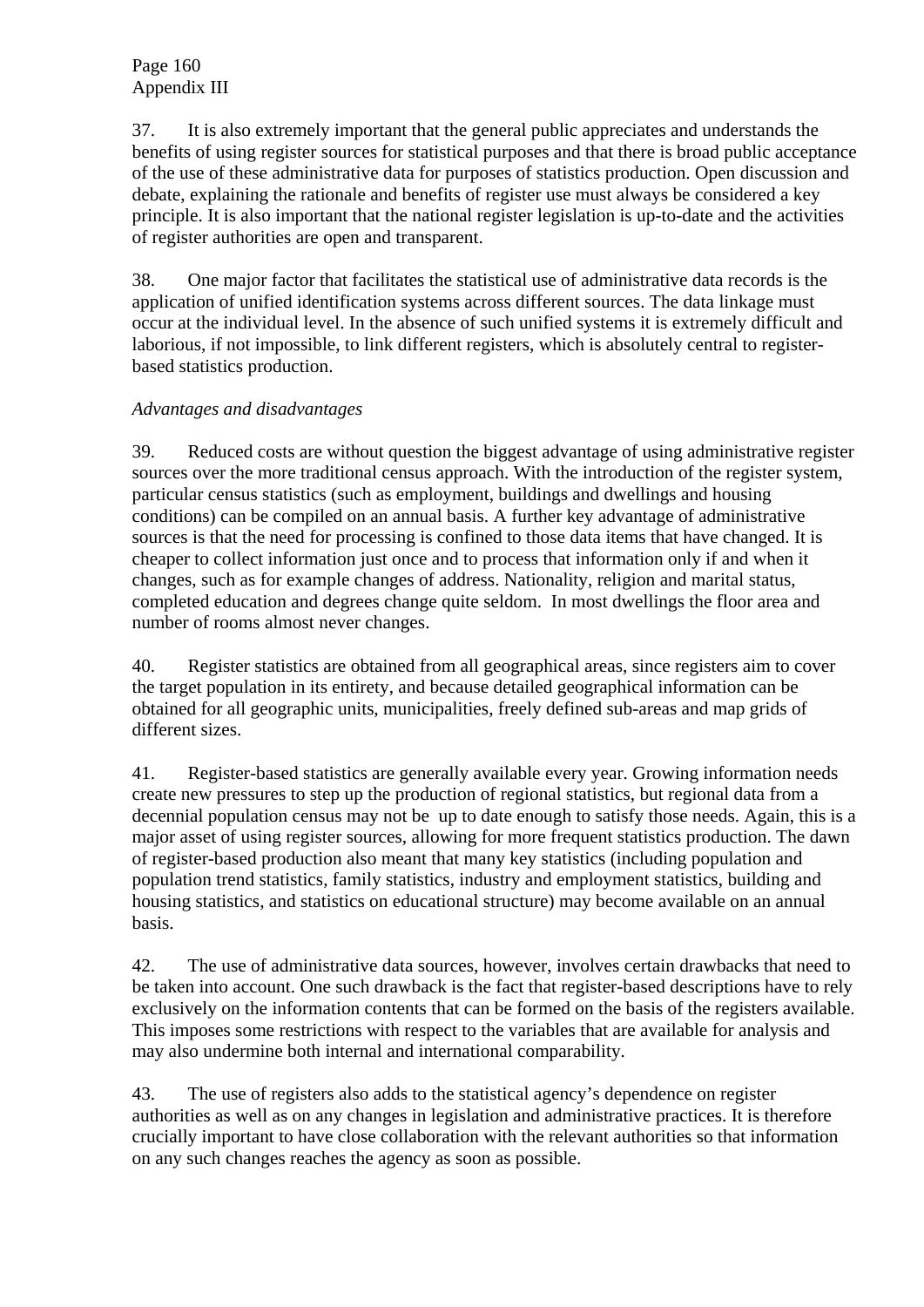37. It is also extremely important that the general public appreciates and understands the benefits of using register sources for statistical purposes and that there is broad public acceptance of the use of these administrative data for purposes of statistics production. Open discussion and debate, explaining the rationale and benefits of register use must always be considered a key principle. It is also important that the national register legislation is up-to-date and the activities of register authorities are open and transparent.

38. One major factor that facilitates the statistical use of administrative data records is the application of unified identification systems across different sources. The data linkage must occur at the individual level. In the absence of such unified systems it is extremely difficult and laborious, if not impossible, to link different registers, which is absolutely central to registerbased statistics production.

## *Advantages and disadvantages*

39. Reduced costs are without question the biggest advantage of using administrative register sources over the more traditional census approach. With the introduction of the register system, particular census statistics (such as employment, buildings and dwellings and housing conditions) can be compiled on an annual basis. A further key advantage of administrative sources is that the need for processing is confined to those data items that have changed. It is cheaper to collect information just once and to process that information only if and when it changes, such as for example changes of address. Nationality, religion and marital status, completed education and degrees change quite seldom. In most dwellings the floor area and number of rooms almost never changes.

40. Register statistics are obtained from all geographical areas, since registers aim to cover the target population in its entirety, and because detailed geographical information can be obtained for all geographic units, municipalities, freely defined sub-areas and map grids of different sizes.

41. Register-based statistics are generally available every year. Growing information needs create new pressures to step up the production of regional statistics, but regional data from a decennial population census may not be up to date enough to satisfy those needs. Again, this is a major asset of using register sources, allowing for more frequent statistics production. The dawn of register-based production also meant that many key statistics (including population and population trend statistics, family statistics, industry and employment statistics, building and housing statistics, and statistics on educational structure) may become available on an annual basis.

42. The use of administrative data sources, however, involves certain drawbacks that need to be taken into account. One such drawback is the fact that register-based descriptions have to rely exclusively on the information contents that can be formed on the basis of the registers available. This imposes some restrictions with respect to the variables that are available for analysis and may also undermine both internal and international comparability.

43. The use of registers also adds to the statistical agency's dependence on register authorities as well as on any changes in legislation and administrative practices. It is therefore crucially important to have close collaboration with the relevant authorities so that information on any such changes reaches the agency as soon as possible.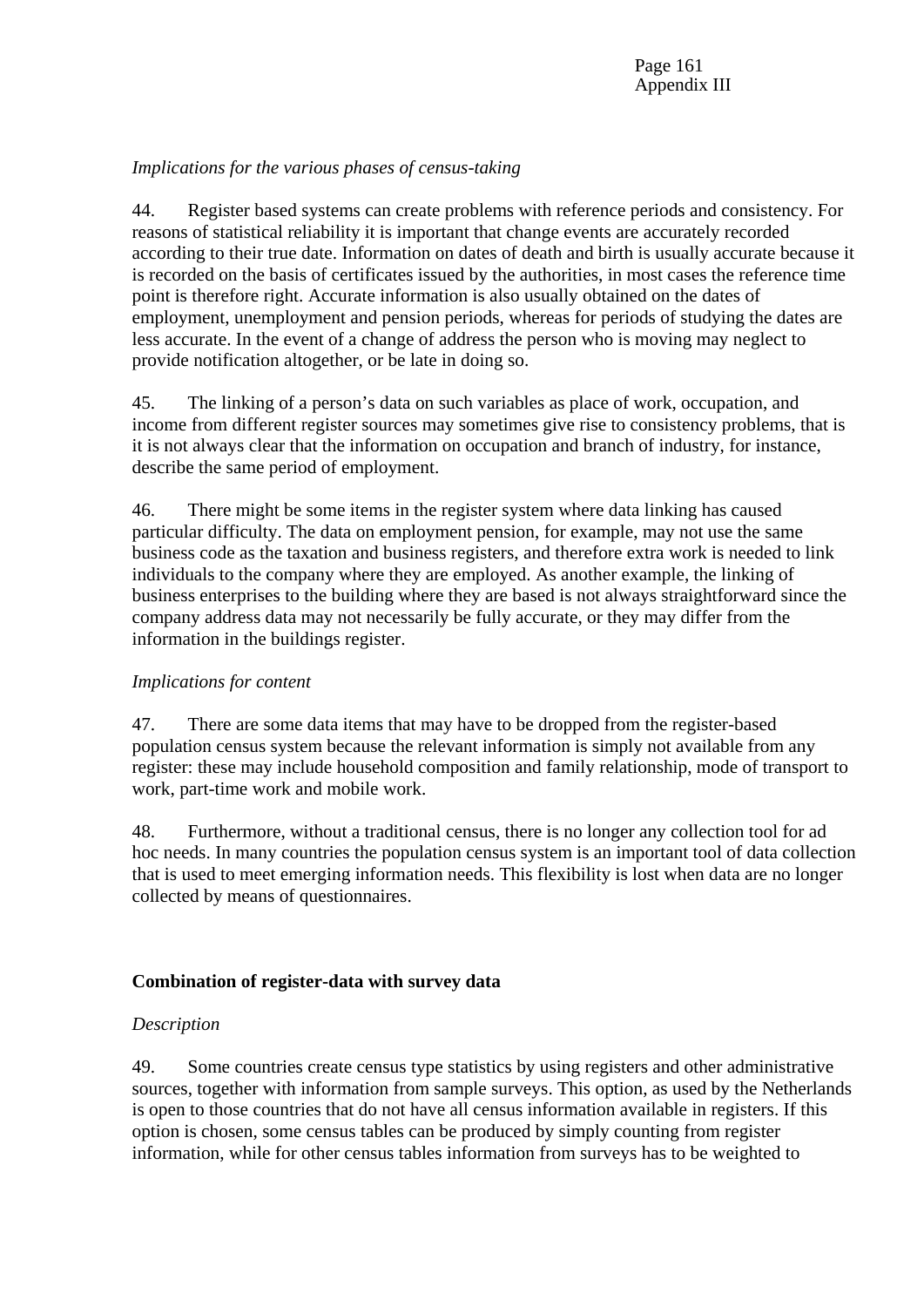## *Implications for the various phases of census-taking*

44. Register based systems can create problems with reference periods and consistency. For reasons of statistical reliability it is important that change events are accurately recorded according to their true date. Information on dates of death and birth is usually accurate because it is recorded on the basis of certificates issued by the authorities, in most cases the reference time point is therefore right. Accurate information is also usually obtained on the dates of employment, unemployment and pension periods, whereas for periods of studying the dates are less accurate. In the event of a change of address the person who is moving may neglect to provide notification altogether, or be late in doing so.

45. The linking of a person's data on such variables as place of work, occupation, and income from different register sources may sometimes give rise to consistency problems, that is it is not always clear that the information on occupation and branch of industry, for instance, describe the same period of employment.

46. There might be some items in the register system where data linking has caused particular difficulty. The data on employment pension, for example, may not use the same business code as the taxation and business registers, and therefore extra work is needed to link individuals to the company where they are employed. As another example, the linking of business enterprises to the building where they are based is not always straightforward since the company address data may not necessarily be fully accurate, or they may differ from the information in the buildings register.

#### *Implications for content*

47. There are some data items that may have to be dropped from the register-based population census system because the relevant information is simply not available from any register: these may include household composition and family relationship, mode of transport to work, part-time work and mobile work.

48. Furthermore, without a traditional census, there is no longer any collection tool for ad hoc needs. In many countries the population census system is an important tool of data collection that is used to meet emerging information needs. This flexibility is lost when data are no longer collected by means of questionnaires.

## **Combination of register-data with survey data**

#### *Description*

49. Some countries create census type statistics by using registers and other administrative sources, together with information from sample surveys. This option, as used by the Netherlands is open to those countries that do not have all census information available in registers. If this option is chosen, some census tables can be produced by simply counting from register information, while for other census tables information from surveys has to be weighted to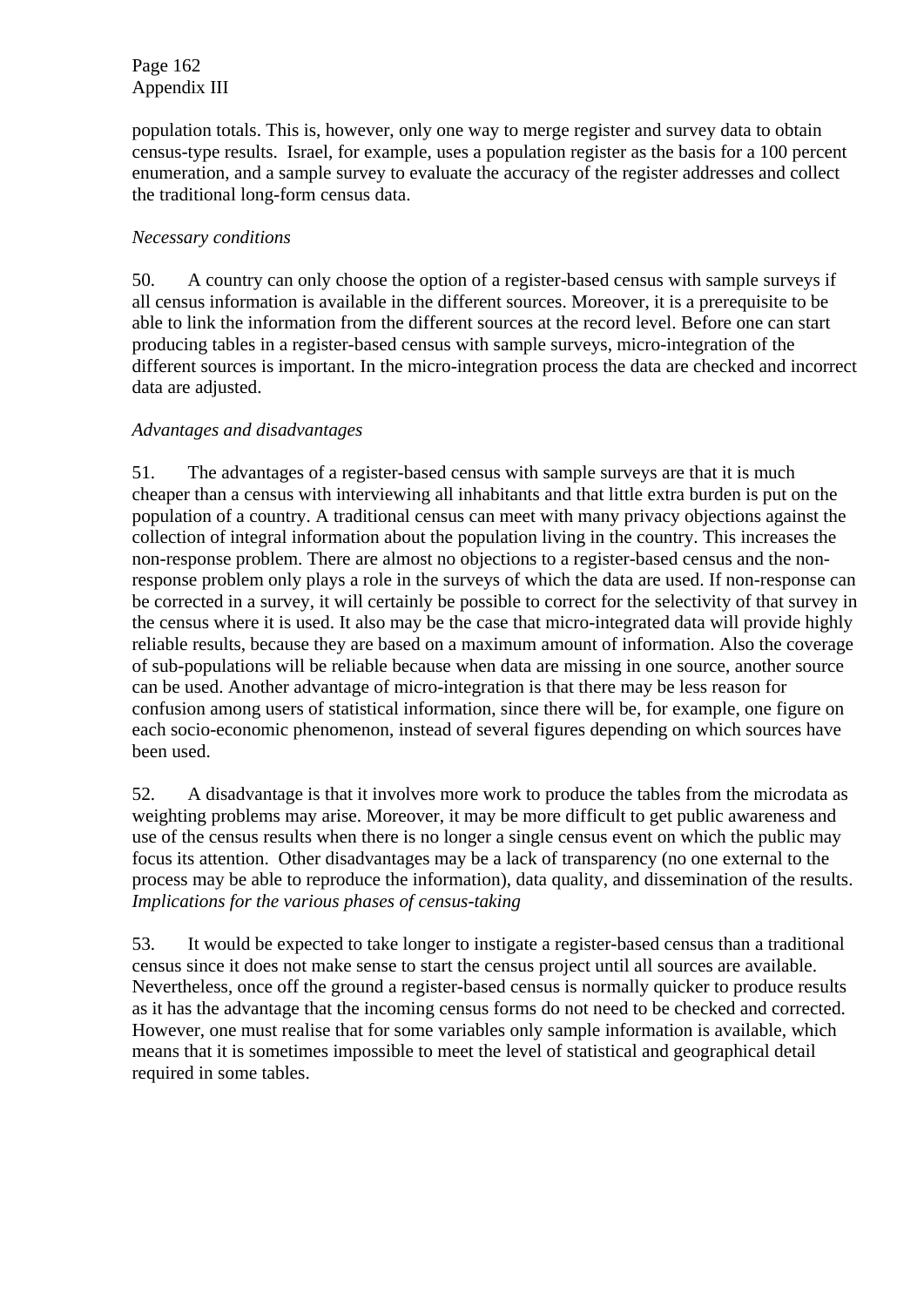population totals. This is, however, only one way to merge register and survey data to obtain census-type results. Israel, for example, uses a population register as the basis for a 100 percent enumeration, and a sample survey to evaluate the accuracy of the register addresses and collect the traditional long-form census data.

## *Necessary conditions*

50. A country can only choose the option of a register-based census with sample surveys if all census information is available in the different sources. Moreover, it is a prerequisite to be able to link the information from the different sources at the record level. Before one can start producing tables in a register-based census with sample surveys, micro-integration of the different sources is important. In the micro-integration process the data are checked and incorrect data are adjusted.

## *Advantages and disadvantages*

51. The advantages of a register-based census with sample surveys are that it is much cheaper than a census with interviewing all inhabitants and that little extra burden is put on the population of a country. A traditional census can meet with many privacy objections against the collection of integral information about the population living in the country. This increases the non-response problem. There are almost no objections to a register-based census and the nonresponse problem only plays a role in the surveys of which the data are used. If non-response can be corrected in a survey, it will certainly be possible to correct for the selectivity of that survey in the census where it is used. It also may be the case that micro-integrated data will provide highly reliable results, because they are based on a maximum amount of information. Also the coverage of sub-populations will be reliable because when data are missing in one source, another source can be used. Another advantage of micro-integration is that there may be less reason for confusion among users of statistical information, since there will be, for example, one figure on each socio-economic phenomenon, instead of several figures depending on which sources have been used.

52. A disadvantage is that it involves more work to produce the tables from the microdata as weighting problems may arise. Moreover, it may be more difficult to get public awareness and use of the census results when there is no longer a single census event on which the public may focus its attention. Other disadvantages may be a lack of transparency (no one external to the process may be able to reproduce the information), data quality, and dissemination of the results. *Implications for the various phases of census-taking* 

53. It would be expected to take longer to instigate a register-based census than a traditional census since it does not make sense to start the census project until all sources are available. Nevertheless, once off the ground a register-based census is normally quicker to produce results as it has the advantage that the incoming census forms do not need to be checked and corrected. However, one must realise that for some variables only sample information is available, which means that it is sometimes impossible to meet the level of statistical and geographical detail required in some tables.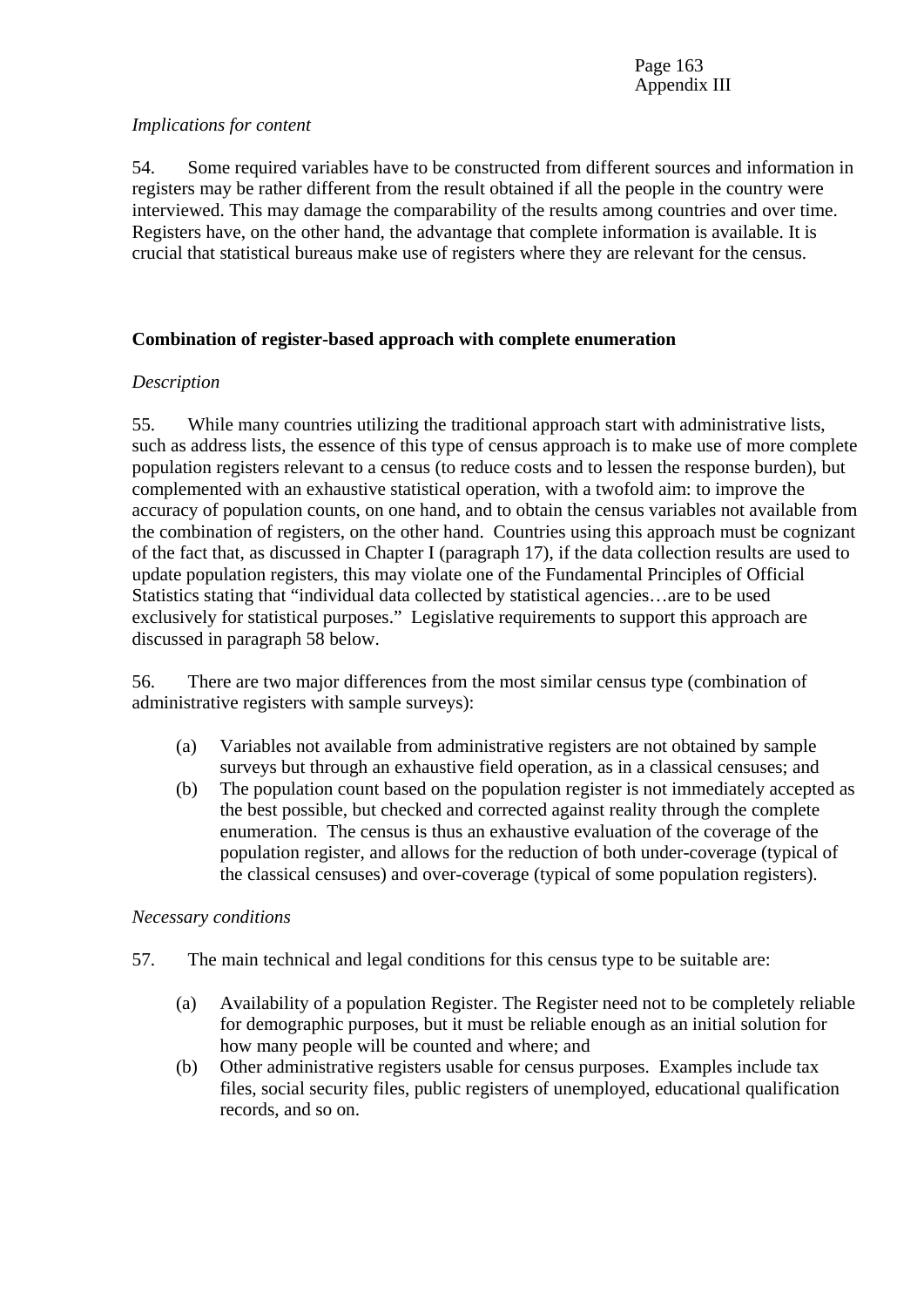#### *Implications for content*

54. Some required variables have to be constructed from different sources and information in registers may be rather different from the result obtained if all the people in the country were interviewed. This may damage the comparability of the results among countries and over time. Registers have, on the other hand, the advantage that complete information is available. It is crucial that statistical bureaus make use of registers where they are relevant for the census.

#### **Combination of register-based approach with complete enumeration**

## *Description*

55. While many countries utilizing the traditional approach start with administrative lists, such as address lists, the essence of this type of census approach is to make use of more complete population registers relevant to a census (to reduce costs and to lessen the response burden), but complemented with an exhaustive statistical operation, with a twofold aim: to improve the accuracy of population counts, on one hand, and to obtain the census variables not available from the combination of registers, on the other hand. Countries using this approach must be cognizant of the fact that, as discussed in Chapter I (paragraph [17\)](#page-7-0), if the data collection results are used to update population registers, this may violate one of the Fundamental Principles of Official Statistics stating that "individual data collected by statistical agencies…are to be used exclusively for statistical purposes." Legislative requirements to support this approach are discussed in paragraph [58](#page-163-0) below.

56. There are two major differences from the most similar census type (combination of administrative registers with sample surveys):

- (a) Variables not available from administrative registers are not obtained by sample surveys but through an exhaustive field operation, as in a classical censuses; and
- (b) The population count based on the population register is not immediately accepted as the best possible, but checked and corrected against reality through the complete enumeration. The census is thus an exhaustive evaluation of the coverage of the population register, and allows for the reduction of both under-coverage (typical of the classical censuses) and over-coverage (typical of some population registers).

#### *Necessary conditions*

- 57. The main technical and legal conditions for this census type to be suitable are:
	- (a) Availability of a population Register. The Register need not to be completely reliable for demographic purposes, but it must be reliable enough as an initial solution for how many people will be counted and where; and
	- (b) Other administrative registers usable for census purposes. Examples include tax files, social security files, public registers of unemployed, educational qualification records, and so on.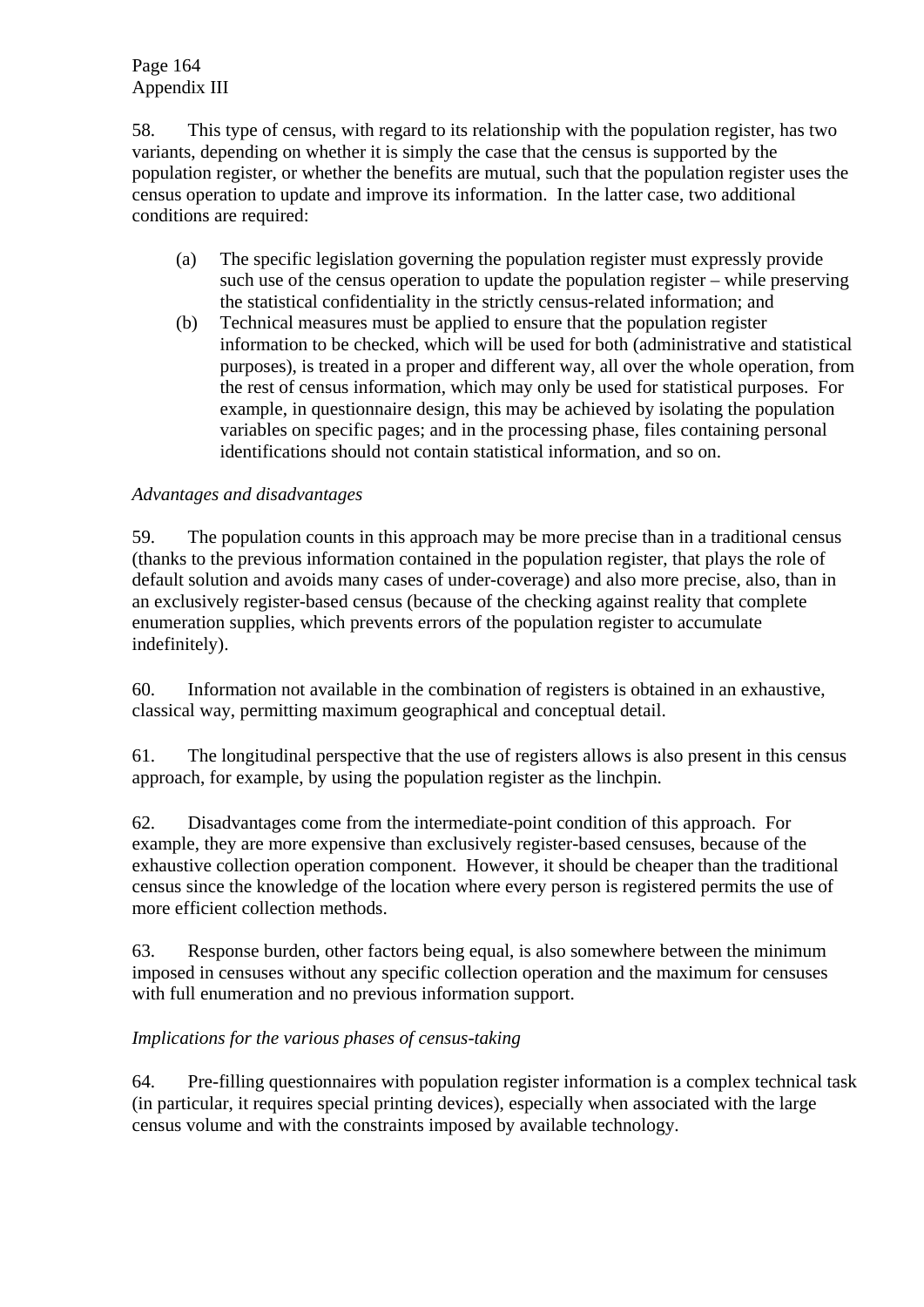<span id="page-163-0"></span>Page 164 Appendix III

58. This type of census, with regard to its relationship with the population register, has two variants, depending on whether it is simply the case that the census is supported by the population register, or whether the benefits are mutual, such that the population register uses the census operation to update and improve its information. In the latter case, two additional conditions are required:

- (a) The specific legislation governing the population register must expressly provide such use of the census operation to update the population register – while preserving the statistical confidentiality in the strictly census-related information; and
- (b) Technical measures must be applied to ensure that the population register information to be checked, which will be used for both (administrative and statistical purposes), is treated in a proper and different way, all over the whole operation, from the rest of census information, which may only be used for statistical purposes. For example, in questionnaire design, this may be achieved by isolating the population variables on specific pages; and in the processing phase, files containing personal identifications should not contain statistical information, and so on.

#### *Advantages and disadvantages*

59. The population counts in this approach may be more precise than in a traditional census (thanks to the previous information contained in the population register, that plays the role of default solution and avoids many cases of under-coverage) and also more precise, also, than in an exclusively register-based census (because of the checking against reality that complete enumeration supplies, which prevents errors of the population register to accumulate indefinitely).

60. Information not available in the combination of registers is obtained in an exhaustive, classical way, permitting maximum geographical and conceptual detail.

61. The longitudinal perspective that the use of registers allows is also present in this census approach, for example, by using the population register as the linchpin.

62. Disadvantages come from the intermediate-point condition of this approach. For example, they are more expensive than exclusively register-based censuses, because of the exhaustive collection operation component. However, it should be cheaper than the traditional census since the knowledge of the location where every person is registered permits the use of more efficient collection methods.

63. Response burden, other factors being equal, is also somewhere between the minimum imposed in censuses without any specific collection operation and the maximum for censuses with full enumeration and no previous information support.

#### *Implications for the various phases of census-taking*

64. Pre-filling questionnaires with population register information is a complex technical task (in particular, it requires special printing devices), especially when associated with the large census volume and with the constraints imposed by available technology.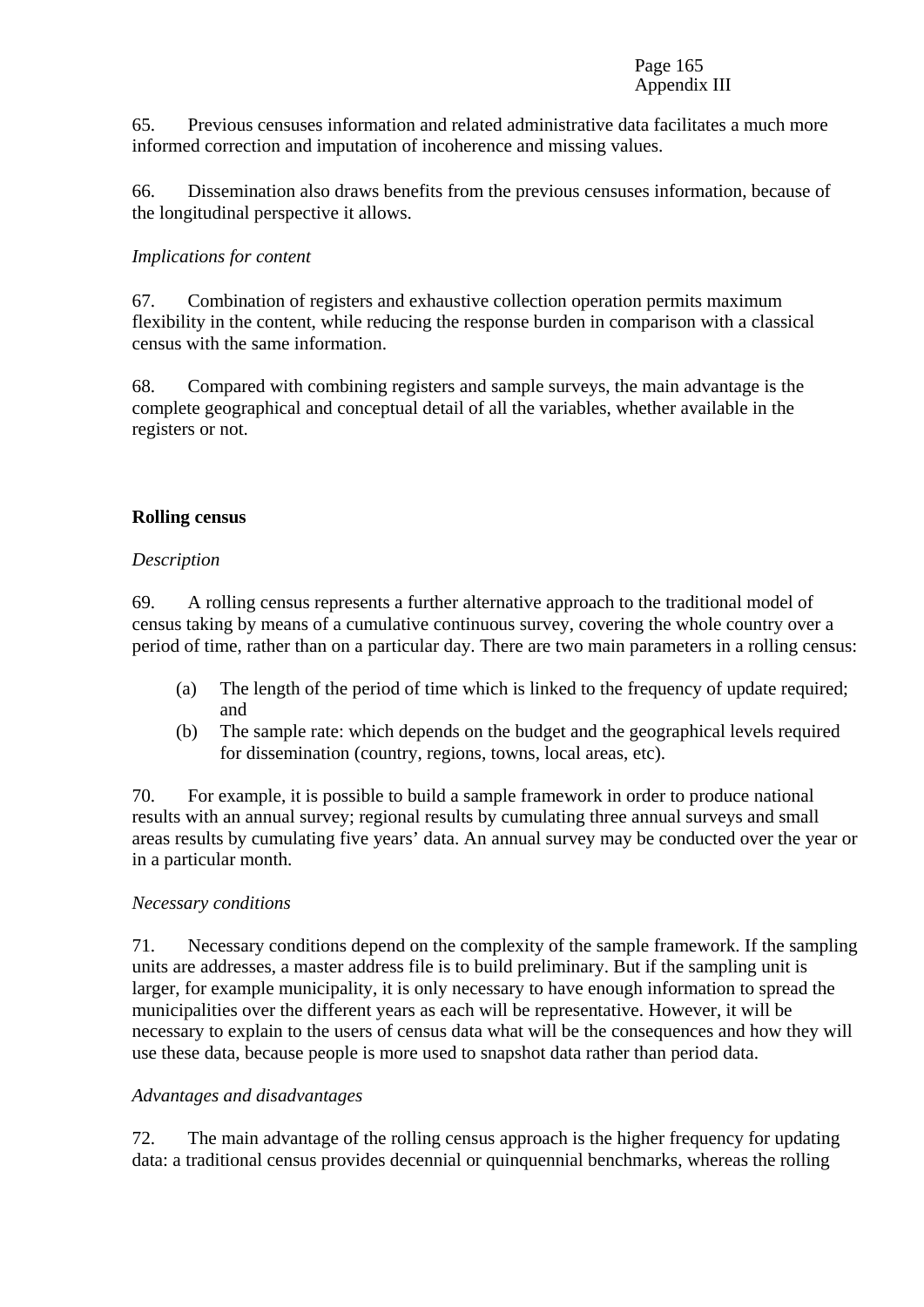#### Page 165 Appendix III

65. Previous censuses information and related administrative data facilitates a much more informed correction and imputation of incoherence and missing values.

66. Dissemination also draws benefits from the previous censuses information, because of the longitudinal perspective it allows.

## *Implications for content*

67. Combination of registers and exhaustive collection operation permits maximum flexibility in the content, while reducing the response burden in comparison with a classical census with the same information.

68. Compared with combining registers and sample surveys, the main advantage is the complete geographical and conceptual detail of all the variables, whether available in the registers or not.

## **Rolling census**

#### *Description*

69. A rolling census represents a further alternative approach to the traditional model of census taking by means of a cumulative continuous survey, covering the whole country over a period of time, rather than on a particular day. There are two main parameters in a rolling census:

- (a) The length of the period of time which is linked to the frequency of update required; and
- (b) The sample rate: which depends on the budget and the geographical levels required for dissemination (country, regions, towns, local areas, etc).

70. For example, it is possible to build a sample framework in order to produce national results with an annual survey; regional results by cumulating three annual surveys and small areas results by cumulating five years' data. An annual survey may be conducted over the year or in a particular month.

#### *Necessary conditions*

71. Necessary conditions depend on the complexity of the sample framework. If the sampling units are addresses, a master address file is to build preliminary. But if the sampling unit is larger, for example municipality, it is only necessary to have enough information to spread the municipalities over the different years as each will be representative. However, it will be necessary to explain to the users of census data what will be the consequences and how they will use these data, because people is more used to snapshot data rather than period data.

#### *Advantages and disadvantages*

72. The main advantage of the rolling census approach is the higher frequency for updating data: a traditional census provides decennial or quinquennial benchmarks, whereas the rolling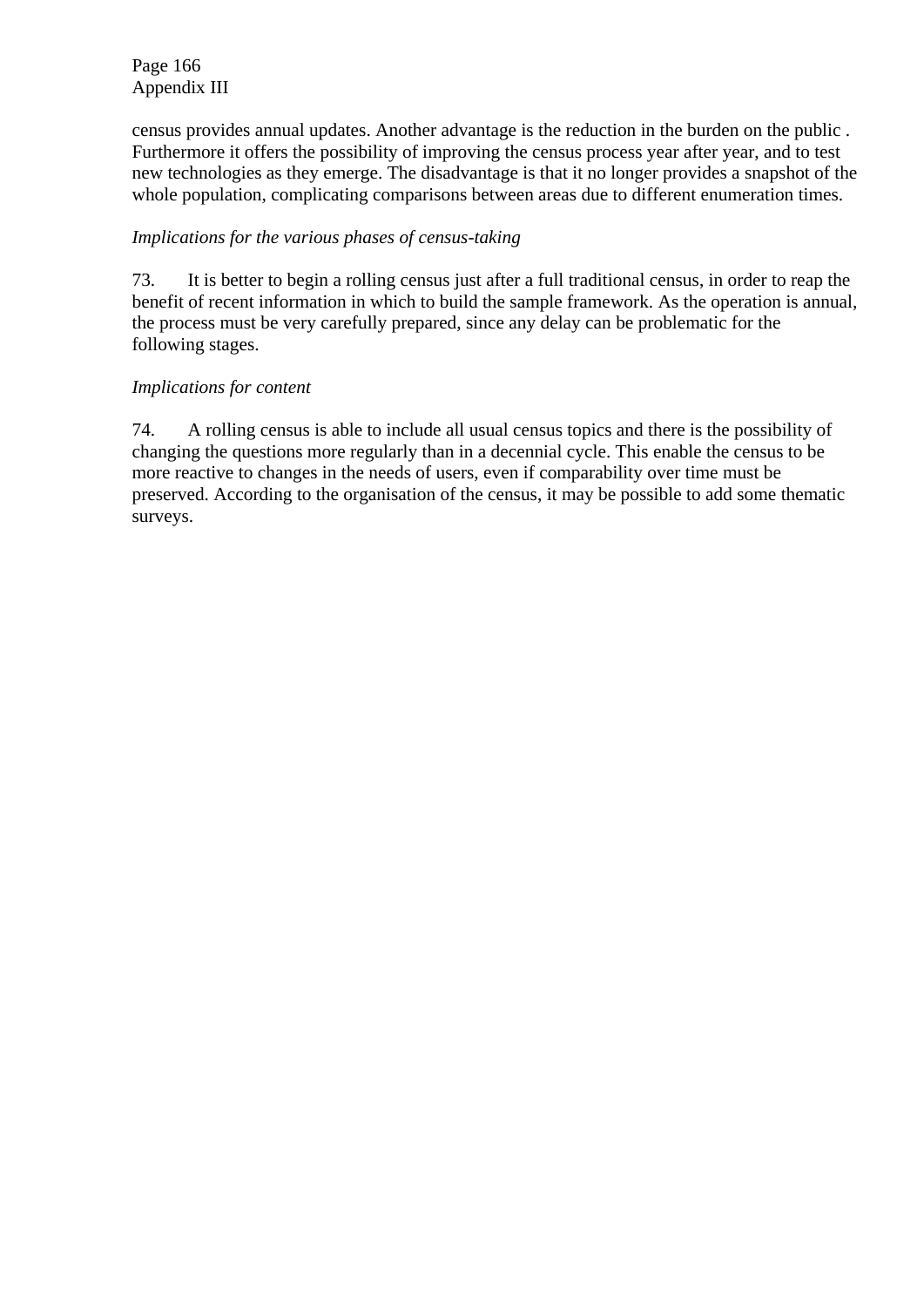Page 166 Appendix III

census provides annual updates. Another advantage is the reduction in the burden on the public . Furthermore it offers the possibility of improving the census process year after year, and to test new technologies as they emerge. The disadvantage is that it no longer provides a snapshot of the whole population, complicating comparisons between areas due to different enumeration times.

#### *Implications for the various phases of census-taking*

73. It is better to begin a rolling census just after a full traditional census, in order to reap the benefit of recent information in which to build the sample framework. As the operation is annual, the process must be very carefully prepared, since any delay can be problematic for the following stages.

#### *Implications for content*

74. A rolling census is able to include all usual census topics and there is the possibility of changing the questions more regularly than in a decennial cycle. This enable the census to be more reactive to changes in the needs of users, even if comparability over time must be preserved. According to the organisation of the census, it may be possible to add some thematic surveys.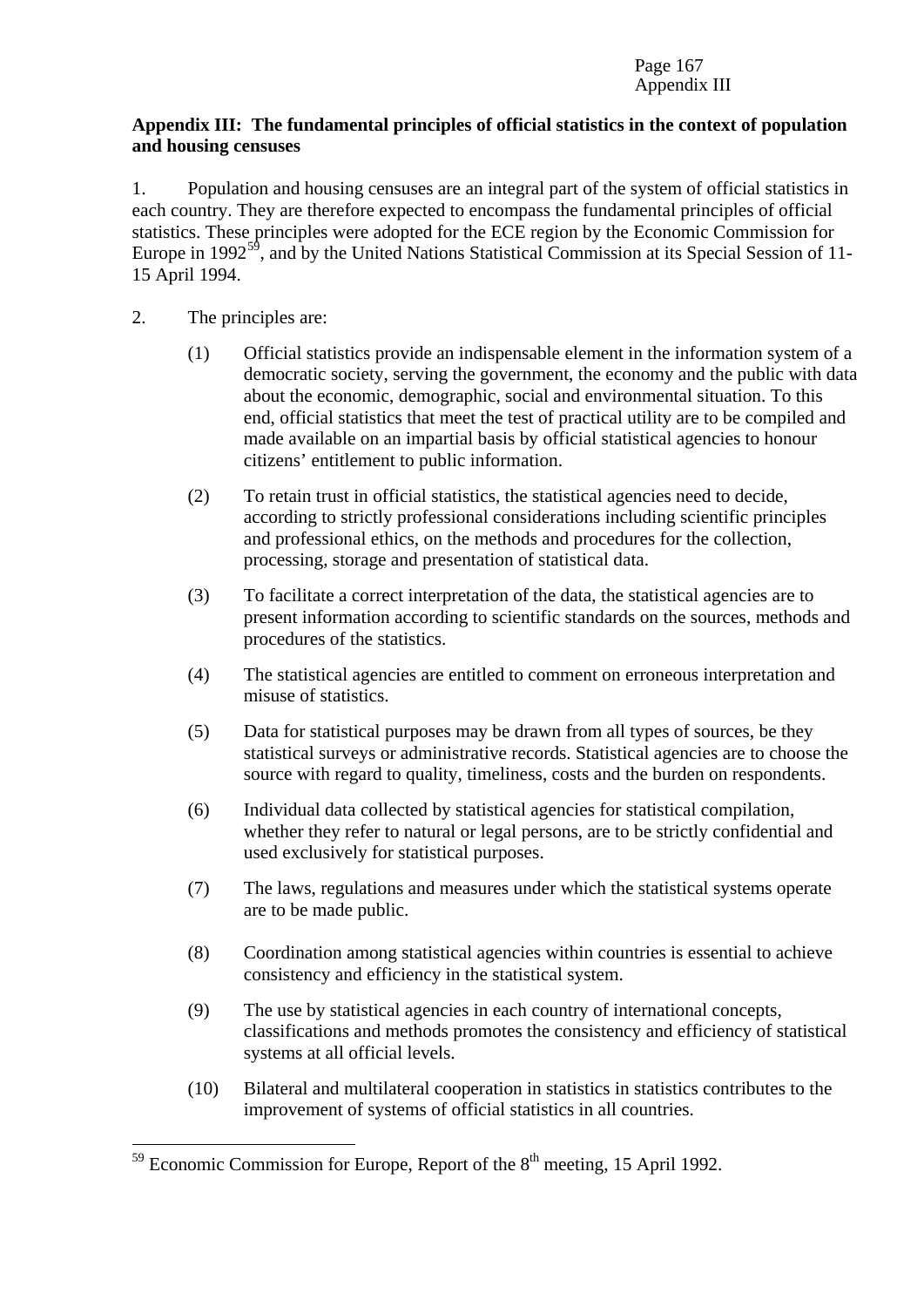Page 167 Appendix III

#### <span id="page-166-0"></span>**Appendix III: The fundamental principles of official statistics in the context of population and housing censuses**

1. Population and housing censuses are an integral part of the system of official statistics in each country. They are therefore expected to encompass the fundamental principles of official statistics. These principles were adopted for the ECE region by the Economic Commission for Europe in 1992<sup>[59](#page-166-0)</sup>, and by the United Nations Statistical Commission at its Special Session of 11-15 April 1994.

2. The principles are:

1

- (1) Official statistics provide an indispensable element in the information system of a democratic society, serving the government, the economy and the public with data about the economic, demographic, social and environmental situation. To this end, official statistics that meet the test of practical utility are to be compiled and made available on an impartial basis by official statistical agencies to honour citizens' entitlement to public information.
- (2) To retain trust in official statistics, the statistical agencies need to decide, according to strictly professional considerations including scientific principles and professional ethics, on the methods and procedures for the collection, processing, storage and presentation of statistical data.
- (3) To facilitate a correct interpretation of the data, the statistical agencies are to present information according to scientific standards on the sources, methods and procedures of the statistics.
- (4) The statistical agencies are entitled to comment on erroneous interpretation and misuse of statistics.
- (5) Data for statistical purposes may be drawn from all types of sources, be they statistical surveys or administrative records. Statistical agencies are to choose the source with regard to quality, timeliness, costs and the burden on respondents.
- (6) Individual data collected by statistical agencies for statistical compilation, whether they refer to natural or legal persons, are to be strictly confidential and used exclusively for statistical purposes.
- (7) The laws, regulations and measures under which the statistical systems operate are to be made public.
- (8) Coordination among statistical agencies within countries is essential to achieve consistency and efficiency in the statistical system.
- (9) The use by statistical agencies in each country of international concepts, classifications and methods promotes the consistency and efficiency of statistical systems at all official levels.
- (10) Bilateral and multilateral cooperation in statistics in statistics contributes to the improvement of systems of official statistics in all countries.

 $59$  Economic Commission for Europe, Report of the  $8<sup>th</sup>$  meeting, 15 April 1992.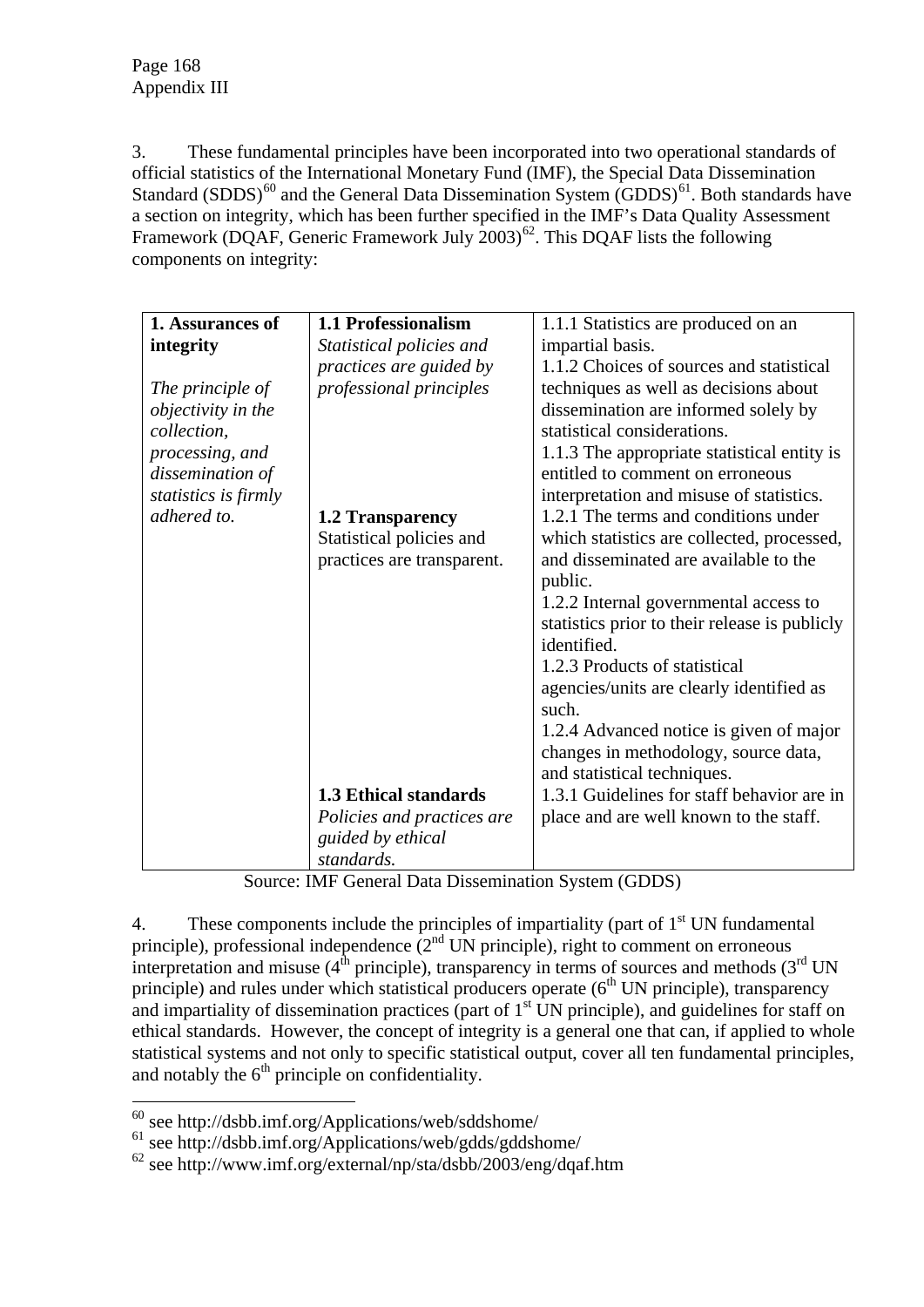<span id="page-167-0"></span>3. These fundamental principles have been incorporated into two operational standards of official statistics of the International Monetary Fund (IMF), the Special Data Dissemination Standard (SDDS)<sup>[60](#page-167-0)</sup> and the General Data Dissemination System (GDDS)<sup>[6](#page-167-0)1</sup>. Both standards have a section on integrity, which has been further specified in the IMF's Data Quality Assessment Framework (DQAF, Generic Framework July  $2003$ )<sup>[62](#page-167-0)</sup>. This DQAF lists the following components on integrity:

| 1. Assurances of          | 1.1 Professionalism          | 1.1.1 Statistics are produced on an           |
|---------------------------|------------------------------|-----------------------------------------------|
| integrity                 | Statistical policies and     | impartial basis.                              |
|                           | practices are guided by      | 1.1.2 Choices of sources and statistical      |
| The principle of          | professional principles      | techniques as well as decisions about         |
| <i>objectivity in the</i> |                              | dissemination are informed solely by          |
| collection,               |                              | statistical considerations.                   |
| processing, and           |                              | 1.1.3 The appropriate statistical entity is   |
| dissemination of          |                              | entitled to comment on erroneous              |
| statistics is firmly      |                              | interpretation and misuse of statistics.      |
| adhered to.               | 1.2 Transparency             | 1.2.1 The terms and conditions under          |
|                           | Statistical policies and     | which statistics are collected, processed,    |
|                           | practices are transparent.   | and disseminated are available to the         |
|                           |                              | public.                                       |
|                           |                              | 1.2.2 Internal governmental access to         |
|                           |                              | statistics prior to their release is publicly |
|                           |                              | identified.                                   |
|                           |                              | 1.2.3 Products of statistical                 |
|                           |                              | agencies/units are clearly identified as      |
|                           |                              | such.                                         |
|                           |                              | 1.2.4 Advanced notice is given of major       |
|                           |                              | changes in methodology, source data,          |
|                           |                              | and statistical techniques.                   |
|                           | <b>1.3 Ethical standards</b> | 1.3.1 Guidelines for staff behavior are in    |
|                           | Policies and practices are   | place and are well known to the staff.        |
|                           | guided by ethical            |                                               |
|                           | standards.                   |                                               |

Source: IMF General Data Dissemination System (GDDS)

4. These components include the principles of impartiality (part of  $1<sup>st</sup> UN fundamental$ ) principle), professional independence  $(2<sup>nd</sup> UN principle)$ , right to comment on erroneous interpretation and misuse  $(4<sup>th</sup>$  principle), transparency in terms of sources and methods  $(3<sup>rd</sup> UN)$ principle) and rules under which statistical producers operate ( $6<sup>th</sup> UN principle$ ), transparency and impartiality of dissemination practices (part of  $1<sup>st</sup>$  UN principle), and guidelines for staff on ethical standards. However, the concept of integrity is a general one that can, if applied to whole statistical systems and not only to specific statistical output, cover all ten fundamental principles, and notably the  $6<sup>th</sup>$  principle on confidentiality.

1

 $60$  see http://dsbb.imf.org/Applications/web/sddshome/

 $61$  see http://dsbb.imf.org/Applications/web/gdds/gddshome/

 $^{62}$  see http://www.imf.org/external/np/sta/dsbb/2003/eng/dqaf.htm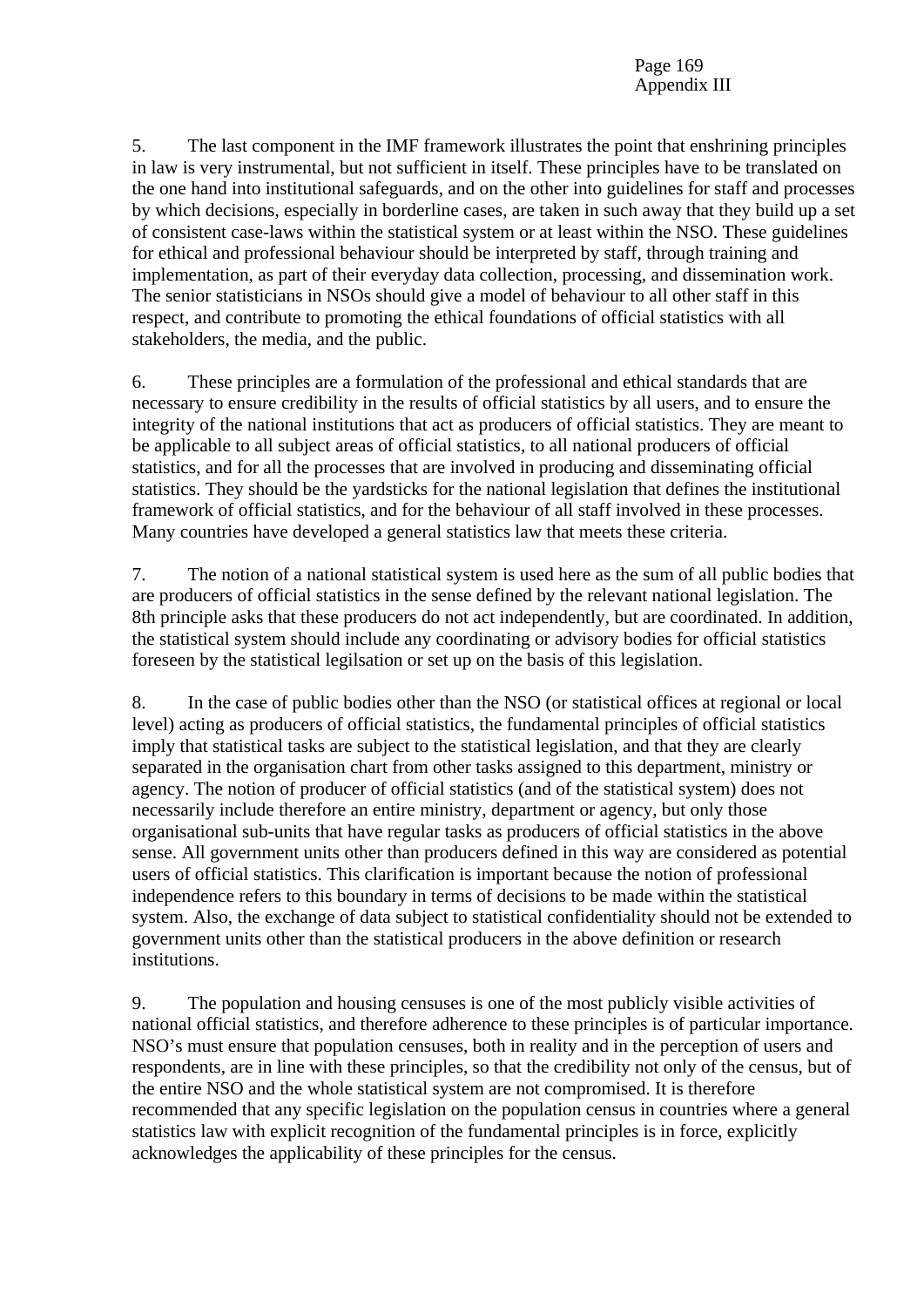Page 169 Appendix III

5. The last component in the IMF framework illustrates the point that enshrining principles in law is very instrumental, but not sufficient in itself. These principles have to be translated on the one hand into institutional safeguards, and on the other into guidelines for staff and processes by which decisions, especially in borderline cases, are taken in such away that they build up a set of consistent case-laws within the statistical system or at least within the NSO. These guidelines for ethical and professional behaviour should be interpreted by staff, through training and implementation, as part of their everyday data collection, processing, and dissemination work. The senior statisticians in NSOs should give a model of behaviour to all other staff in this respect, and contribute to promoting the ethical foundations of official statistics with all stakeholders, the media, and the public.

6. These principles are a formulation of the professional and ethical standards that are necessary to ensure credibility in the results of official statistics by all users, and to ensure the integrity of the national institutions that act as producers of official statistics. They are meant to be applicable to all subject areas of official statistics, to all national producers of official statistics, and for all the processes that are involved in producing and disseminating official statistics. They should be the yardsticks for the national legislation that defines the institutional framework of official statistics, and for the behaviour of all staff involved in these processes. Many countries have developed a general statistics law that meets these criteria.

7. The notion of a national statistical system is used here as the sum of all public bodies that are producers of official statistics in the sense defined by the relevant national legislation. The 8th principle asks that these producers do not act independently, but are coordinated. In addition, the statistical system should include any coordinating or advisory bodies for official statistics foreseen by the statistical legilsation or set up on the basis of this legislation.

8. In the case of public bodies other than the NSO (or statistical offices at regional or local level) acting as producers of official statistics, the fundamental principles of official statistics imply that statistical tasks are subject to the statistical legislation, and that they are clearly separated in the organisation chart from other tasks assigned to this department, ministry or agency. The notion of producer of official statistics (and of the statistical system) does not necessarily include therefore an entire ministry, department or agency, but only those organisational sub-units that have regular tasks as producers of official statistics in the above sense. All government units other than producers defined in this way are considered as potential users of official statistics. This clarification is important because the notion of professional independence refers to this boundary in terms of decisions to be made within the statistical system. Also, the exchange of data subject to statistical confidentiality should not be extended to government units other than the statistical producers in the above definition or research institutions.

9. The population and housing censuses is one of the most publicly visible activities of national official statistics, and therefore adherence to these principles is of particular importance. NSO's must ensure that population censuses, both in reality and in the perception of users and respondents, are in line with these principles, so that the credibility not only of the census, but of the entire NSO and the whole statistical system are not compromised. It is therefore recommended that any specific legislation on the population census in countries where a general statistics law with explicit recognition of the fundamental principles is in force, explicitly acknowledges the applicability of these principles for the census.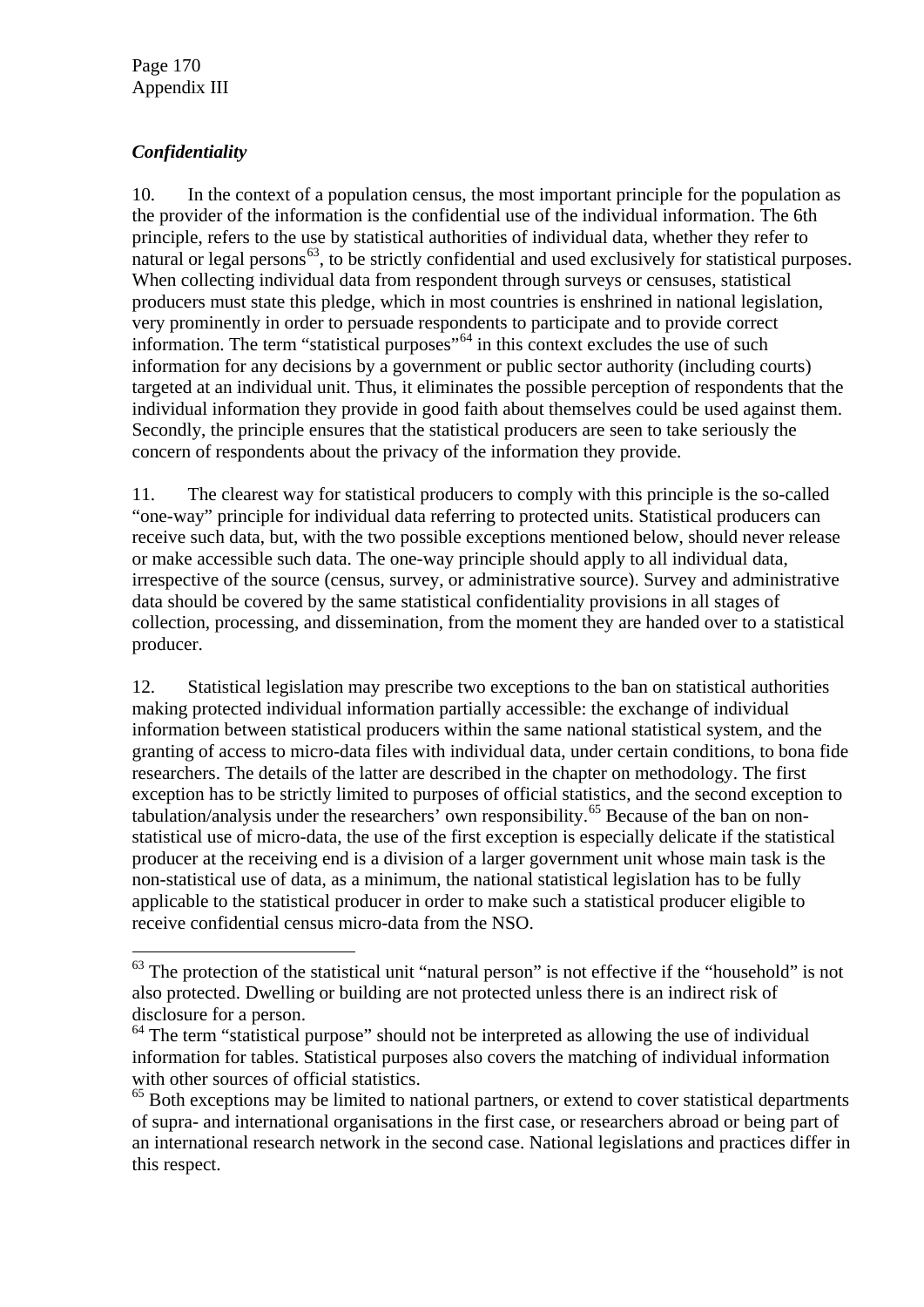# <span id="page-169-0"></span>*Confidentiality*

1

10. In the context of a population census, the most important principle for the population as the provider of the information is the confidential use of the individual information. The 6th principle, refers to the use by statistical authorities of individual data, whether they refer to natural or legal persons<sup>[63](#page-169-0)</sup>, to be strictly confidential and used exclusively for statistical purposes. When collecting individual data from respondent through surveys or censuses, statistical producers must state this pledge, which in most countries is enshrined in national legislation, very prominently in order to persuade respondents to participate and to provide correct information. The term "statistical purposes"[64](#page-169-0) in this context excludes the use of such information for any decisions by a government or public sector authority (including courts) targeted at an individual unit. Thus, it eliminates the possible perception of respondents that the individual information they provide in good faith about themselves could be used against them. Secondly, the principle ensures that the statistical producers are seen to take seriously the concern of respondents about the privacy of the information they provide.

11. The clearest way for statistical producers to comply with this principle is the so-called "one-way" principle for individual data referring to protected units. Statistical producers can receive such data, but, with the two possible exceptions mentioned below, should never release or make accessible such data. The one-way principle should apply to all individual data, irrespective of the source (census, survey, or administrative source). Survey and administrative data should be covered by the same statistical confidentiality provisions in all stages of collection, processing, and dissemination, from the moment they are handed over to a statistical producer.

12. Statistical legislation may prescribe two exceptions to the ban on statistical authorities making protected individual information partially accessible: the exchange of individual information between statistical producers within the same national statistical system, and the granting of access to micro-data files with individual data, under certain conditions, to bona fide researchers. The details of the latter are described in the chapter on methodology. The first exception has to be strictly limited to purposes of official statistics, and the second exception to tabulation/analysis under the researchers' own responsibility.<sup>[65](#page-169-0)</sup> Because of the ban on nonstatistical use of micro-data, the use of the first exception is especially delicate if the statistical producer at the receiving end is a division of a larger government unit whose main task is the non-statistical use of data, as a minimum, the national statistical legislation has to be fully applicable to the statistical producer in order to make such a statistical producer eligible to receive confidential census micro-data from the NSO.

 $63$  The protection of the statistical unit "natural person" is not effective if the "household" is not also protected. Dwelling or building are not protected unless there is an indirect risk of disclosure for a person.

 $64$  The term "statistical purpose" should not be interpreted as allowing the use of individual information for tables. Statistical purposes also covers the matching of individual information with other sources of official statistics.

<sup>&</sup>lt;sup>65</sup> Both exceptions may be limited to national partners, or extend to cover statistical departments of supra- and international organisations in the first case, or researchers abroad or being part of an international research network in the second case. National legislations and practices differ in this respect.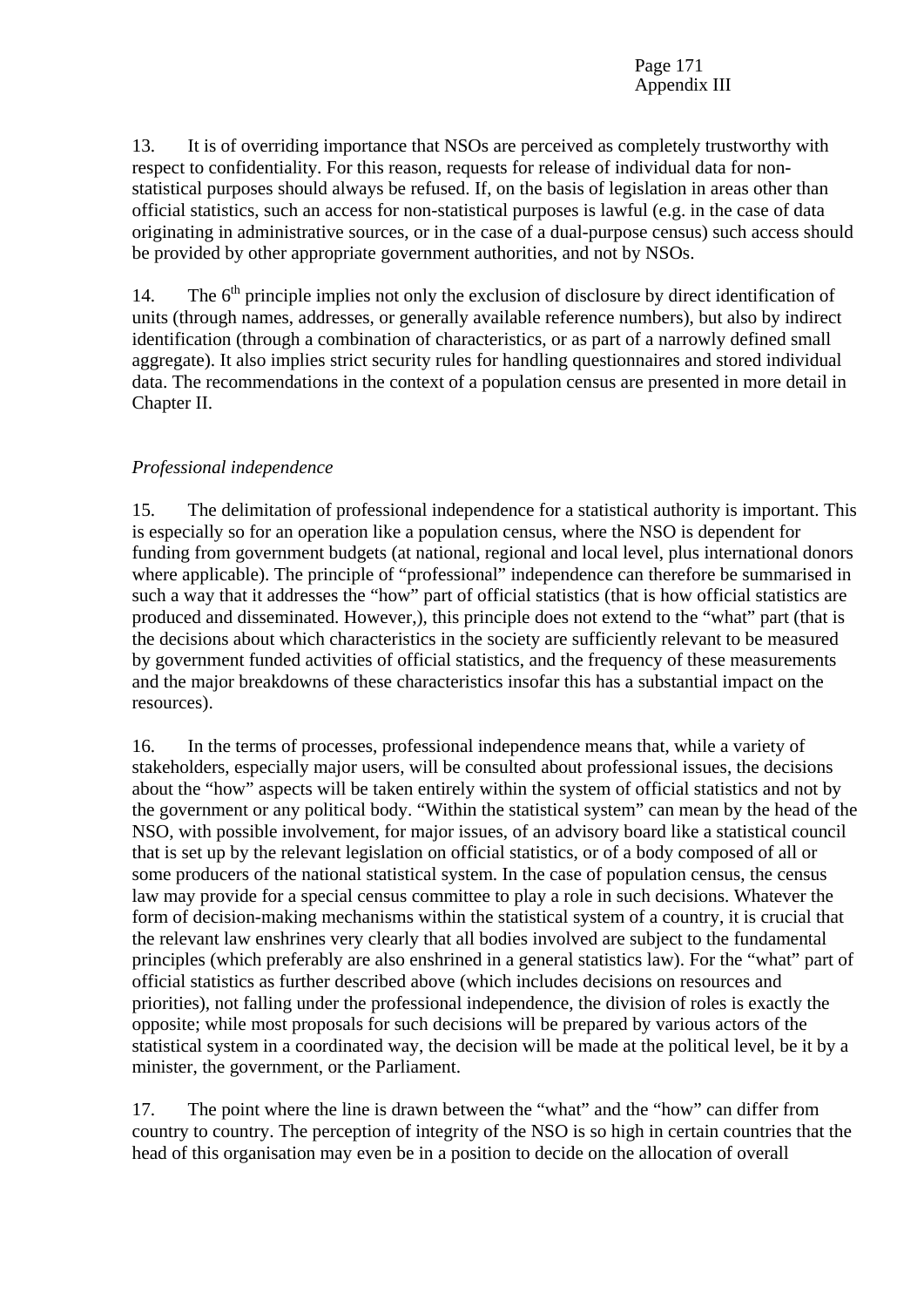13. It is of overriding importance that NSOs are perceived as completely trustworthy with respect to confidentiality. For this reason, requests for release of individual data for nonstatistical purposes should always be refused. If, on the basis of legislation in areas other than official statistics, such an access for non-statistical purposes is lawful (e.g. in the case of data originating in administrative sources, or in the case of a dual-purpose census) such access should be provided by other appropriate government authorities, and not by NSOs.

14. The  $6<sup>th</sup>$  principle implies not only the exclusion of disclosure by direct identification of units (through names, addresses, or generally available reference numbers), but also by indirect identification (through a combination of characteristics, or as part of a narrowly defined small aggregate). It also implies strict security rules for handling questionnaires and stored individual data. The recommendations in the context of a population census are presented in more detail in Chapter II.

#### *Professional independence*

15. The delimitation of professional independence for a statistical authority is important. This is especially so for an operation like a population census, where the NSO is dependent for funding from government budgets (at national, regional and local level, plus international donors where applicable). The principle of "professional" independence can therefore be summarised in such a way that it addresses the "how" part of official statistics (that is how official statistics are produced and disseminated. However,), this principle does not extend to the "what" part (that is the decisions about which characteristics in the society are sufficiently relevant to be measured by government funded activities of official statistics, and the frequency of these measurements and the major breakdowns of these characteristics insofar this has a substantial impact on the resources).

16. In the terms of processes, professional independence means that, while a variety of stakeholders, especially major users, will be consulted about professional issues, the decisions about the "how" aspects will be taken entirely within the system of official statistics and not by the government or any political body. "Within the statistical system" can mean by the head of the NSO, with possible involvement, for major issues, of an advisory board like a statistical council that is set up by the relevant legislation on official statistics, or of a body composed of all or some producers of the national statistical system. In the case of population census, the census law may provide for a special census committee to play a role in such decisions. Whatever the form of decision-making mechanisms within the statistical system of a country, it is crucial that the relevant law enshrines very clearly that all bodies involved are subject to the fundamental principles (which preferably are also enshrined in a general statistics law). For the "what" part of official statistics as further described above (which includes decisions on resources and priorities), not falling under the professional independence, the division of roles is exactly the opposite; while most proposals for such decisions will be prepared by various actors of the statistical system in a coordinated way, the decision will be made at the political level, be it by a minister, the government, or the Parliament.

17. The point where the line is drawn between the "what" and the "how" can differ from country to country. The perception of integrity of the NSO is so high in certain countries that the head of this organisation may even be in a position to decide on the allocation of overall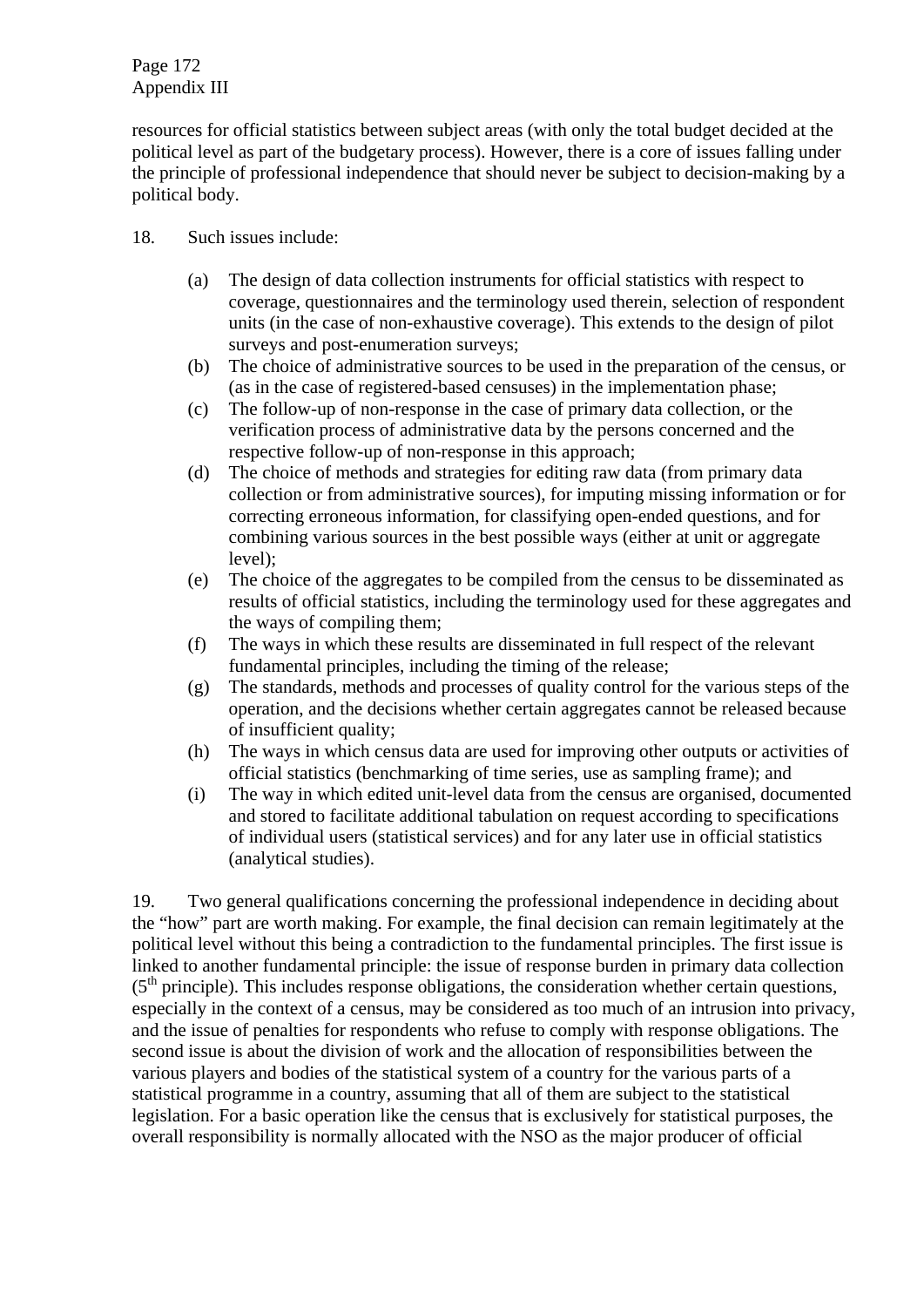Page 172 Appendix III

resources for official statistics between subject areas (with only the total budget decided at the political level as part of the budgetary process). However, there is a core of issues falling under the principle of professional independence that should never be subject to decision-making by a political body.

- 18. Such issues include:
	- (a) The design of data collection instruments for official statistics with respect to coverage, questionnaires and the terminology used therein, selection of respondent units (in the case of non-exhaustive coverage). This extends to the design of pilot surveys and post-enumeration surveys;
	- (b) The choice of administrative sources to be used in the preparation of the census, or (as in the case of registered-based censuses) in the implementation phase;
	- (c) The follow-up of non-response in the case of primary data collection, or the verification process of administrative data by the persons concerned and the respective follow-up of non-response in this approach;
	- (d) The choice of methods and strategies for editing raw data (from primary data collection or from administrative sources), for imputing missing information or for correcting erroneous information, for classifying open-ended questions, and for combining various sources in the best possible ways (either at unit or aggregate level);
	- (e) The choice of the aggregates to be compiled from the census to be disseminated as results of official statistics, including the terminology used for these aggregates and the ways of compiling them;
	- (f) The ways in which these results are disseminated in full respect of the relevant fundamental principles, including the timing of the release;
	- (g) The standards, methods and processes of quality control for the various steps of the operation, and the decisions whether certain aggregates cannot be released because of insufficient quality;
	- (h) The ways in which census data are used for improving other outputs or activities of official statistics (benchmarking of time series, use as sampling frame); and
	- (i) The way in which edited unit-level data from the census are organised, documented and stored to facilitate additional tabulation on request according to specifications of individual users (statistical services) and for any later use in official statistics (analytical studies).

19. Two general qualifications concerning the professional independence in deciding about the "how" part are worth making. For example, the final decision can remain legitimately at the political level without this being a contradiction to the fundamental principles. The first issue is linked to another fundamental principle: the issue of response burden in primary data collection  $(5<sup>th</sup> principle)$ . This includes response obligations, the consideration whether certain questions, especially in the context of a census, may be considered as too much of an intrusion into privacy, and the issue of penalties for respondents who refuse to comply with response obligations. The second issue is about the division of work and the allocation of responsibilities between the various players and bodies of the statistical system of a country for the various parts of a statistical programme in a country, assuming that all of them are subject to the statistical legislation. For a basic operation like the census that is exclusively for statistical purposes, the overall responsibility is normally allocated with the NSO as the major producer of official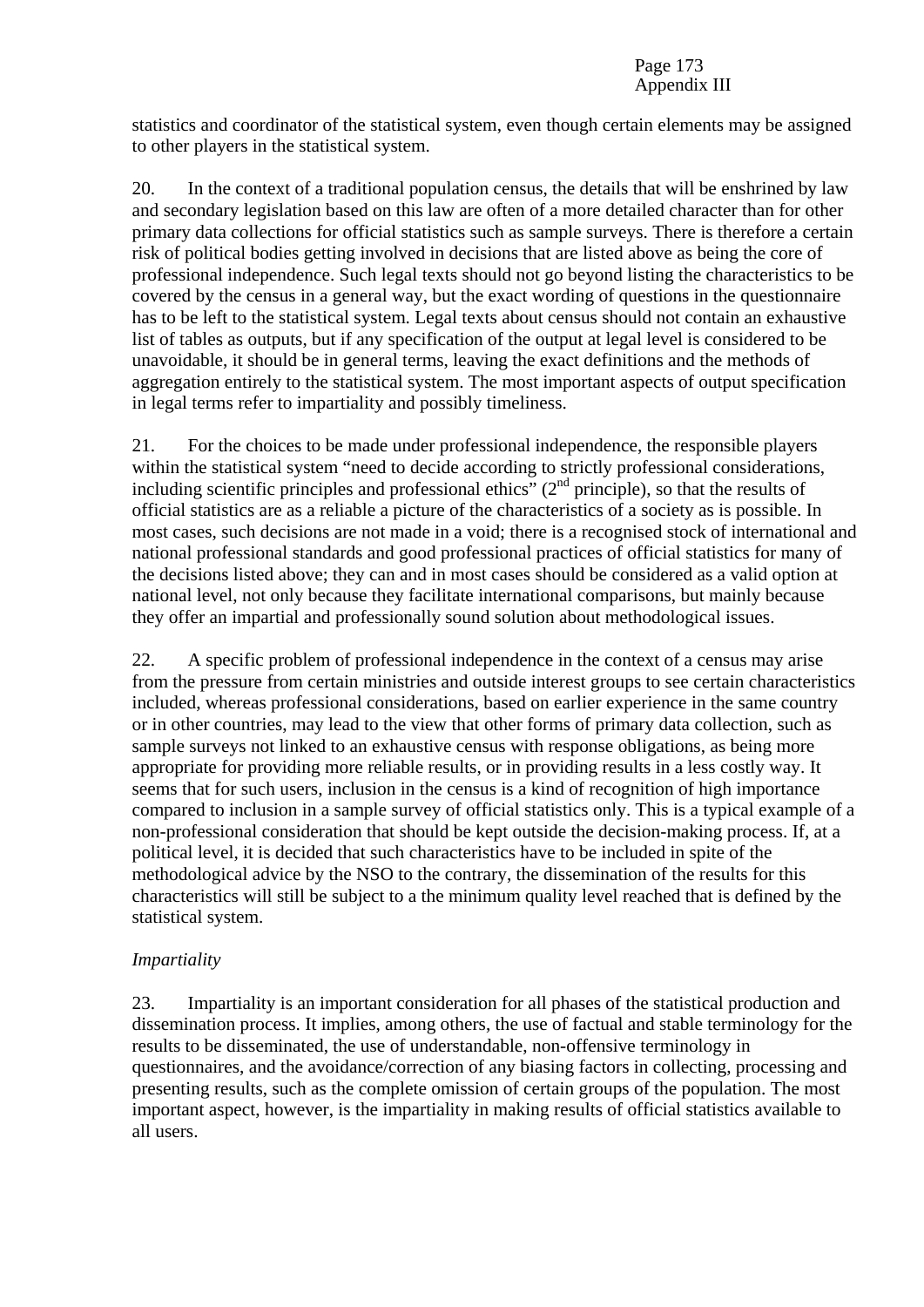statistics and coordinator of the statistical system, even though certain elements may be assigned to other players in the statistical system.

20. In the context of a traditional population census, the details that will be enshrined by law and secondary legislation based on this law are often of a more detailed character than for other primary data collections for official statistics such as sample surveys. There is therefore a certain risk of political bodies getting involved in decisions that are listed above as being the core of professional independence. Such legal texts should not go beyond listing the characteristics to be covered by the census in a general way, but the exact wording of questions in the questionnaire has to be left to the statistical system. Legal texts about census should not contain an exhaustive list of tables as outputs, but if any specification of the output at legal level is considered to be unavoidable, it should be in general terms, leaving the exact definitions and the methods of aggregation entirely to the statistical system. The most important aspects of output specification in legal terms refer to impartiality and possibly timeliness.

21. For the choices to be made under professional independence, the responsible players within the statistical system "need to decide according to strictly professional considerations, including scientific principles and professional ethics"  $(2<sup>nd</sup>$  principle), so that the results of official statistics are as a reliable a picture of the characteristics of a society as is possible. In most cases, such decisions are not made in a void; there is a recognised stock of international and national professional standards and good professional practices of official statistics for many of the decisions listed above; they can and in most cases should be considered as a valid option at national level, not only because they facilitate international comparisons, but mainly because they offer an impartial and professionally sound solution about methodological issues.

22. A specific problem of professional independence in the context of a census may arise from the pressure from certain ministries and outside interest groups to see certain characteristics included, whereas professional considerations, based on earlier experience in the same country or in other countries, may lead to the view that other forms of primary data collection, such as sample surveys not linked to an exhaustive census with response obligations, as being more appropriate for providing more reliable results, or in providing results in a less costly way. It seems that for such users, inclusion in the census is a kind of recognition of high importance compared to inclusion in a sample survey of official statistics only. This is a typical example of a non-professional consideration that should be kept outside the decision-making process. If, at a political level, it is decided that such characteristics have to be included in spite of the methodological advice by the NSO to the contrary, the dissemination of the results for this characteristics will still be subject to a the minimum quality level reached that is defined by the statistical system.

#### *Impartiality*

23. Impartiality is an important consideration for all phases of the statistical production and dissemination process. It implies, among others, the use of factual and stable terminology for the results to be disseminated, the use of understandable, non-offensive terminology in questionnaires, and the avoidance/correction of any biasing factors in collecting, processing and presenting results, such as the complete omission of certain groups of the population. The most important aspect, however, is the impartiality in making results of official statistics available to all users.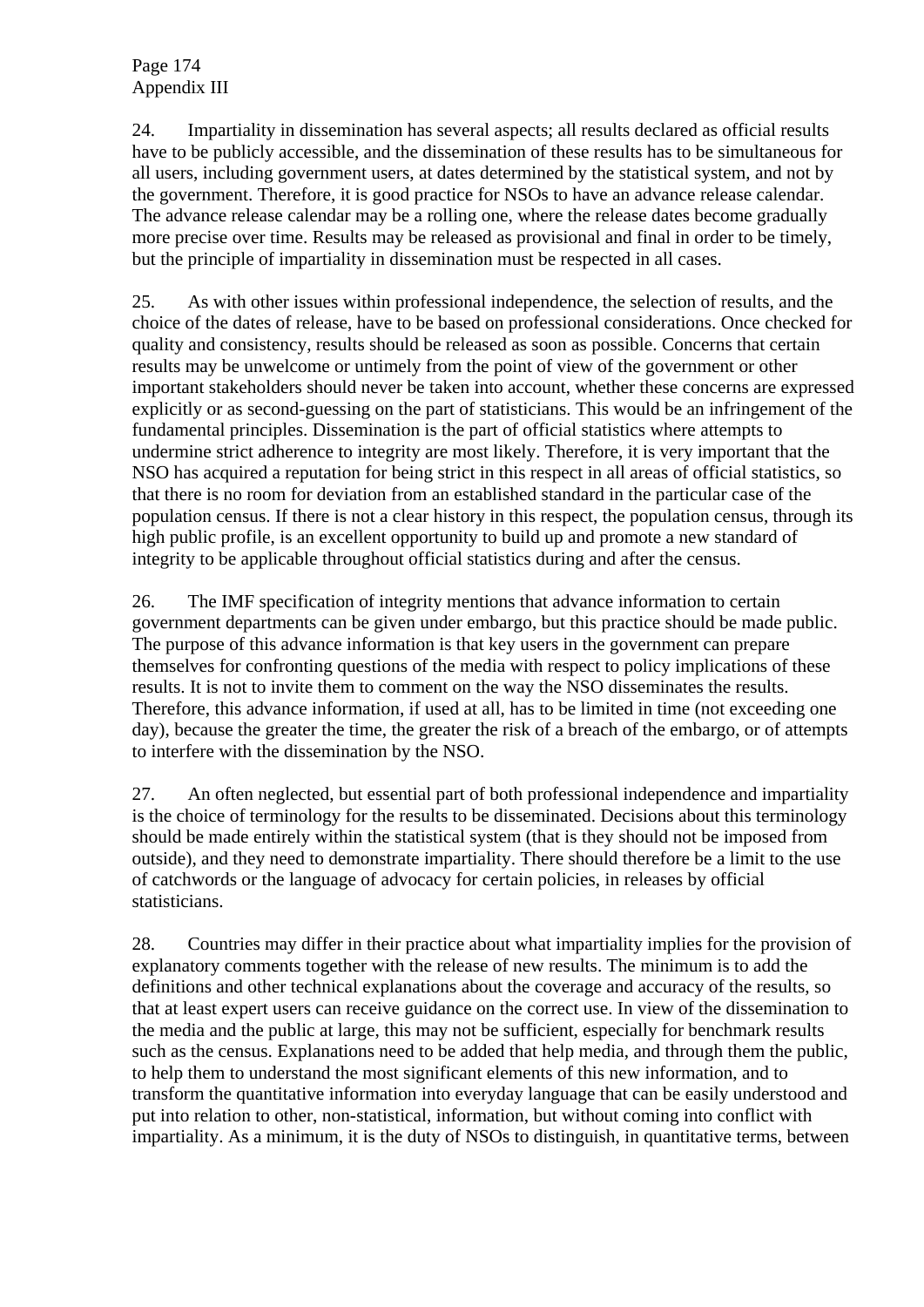24. Impartiality in dissemination has several aspects; all results declared as official results have to be publicly accessible, and the dissemination of these results has to be simultaneous for all users, including government users, at dates determined by the statistical system, and not by the government. Therefore, it is good practice for NSOs to have an advance release calendar. The advance release calendar may be a rolling one, where the release dates become gradually more precise over time. Results may be released as provisional and final in order to be timely, but the principle of impartiality in dissemination must be respected in all cases.

25. As with other issues within professional independence, the selection of results, and the choice of the dates of release, have to be based on professional considerations. Once checked for quality and consistency, results should be released as soon as possible. Concerns that certain results may be unwelcome or untimely from the point of view of the government or other important stakeholders should never be taken into account, whether these concerns are expressed explicitly or as second-guessing on the part of statisticians. This would be an infringement of the fundamental principles. Dissemination is the part of official statistics where attempts to undermine strict adherence to integrity are most likely. Therefore, it is very important that the NSO has acquired a reputation for being strict in this respect in all areas of official statistics, so that there is no room for deviation from an established standard in the particular case of the population census. If there is not a clear history in this respect, the population census, through its high public profile, is an excellent opportunity to build up and promote a new standard of integrity to be applicable throughout official statistics during and after the census.

26. The IMF specification of integrity mentions that advance information to certain government departments can be given under embargo, but this practice should be made public. The purpose of this advance information is that key users in the government can prepare themselves for confronting questions of the media with respect to policy implications of these results. It is not to invite them to comment on the way the NSO disseminates the results. Therefore, this advance information, if used at all, has to be limited in time (not exceeding one day), because the greater the time, the greater the risk of a breach of the embargo, or of attempts to interfere with the dissemination by the NSO.

27. An often neglected, but essential part of both professional independence and impartiality is the choice of terminology for the results to be disseminated. Decisions about this terminology should be made entirely within the statistical system (that is they should not be imposed from outside), and they need to demonstrate impartiality. There should therefore be a limit to the use of catchwords or the language of advocacy for certain policies, in releases by official statisticians.

28. Countries may differ in their practice about what impartiality implies for the provision of explanatory comments together with the release of new results. The minimum is to add the definitions and other technical explanations about the coverage and accuracy of the results, so that at least expert users can receive guidance on the correct use. In view of the dissemination to the media and the public at large, this may not be sufficient, especially for benchmark results such as the census. Explanations need to be added that help media, and through them the public, to help them to understand the most significant elements of this new information, and to transform the quantitative information into everyday language that can be easily understood and put into relation to other, non-statistical, information, but without coming into conflict with impartiality. As a minimum, it is the duty of NSOs to distinguish, in quantitative terms, between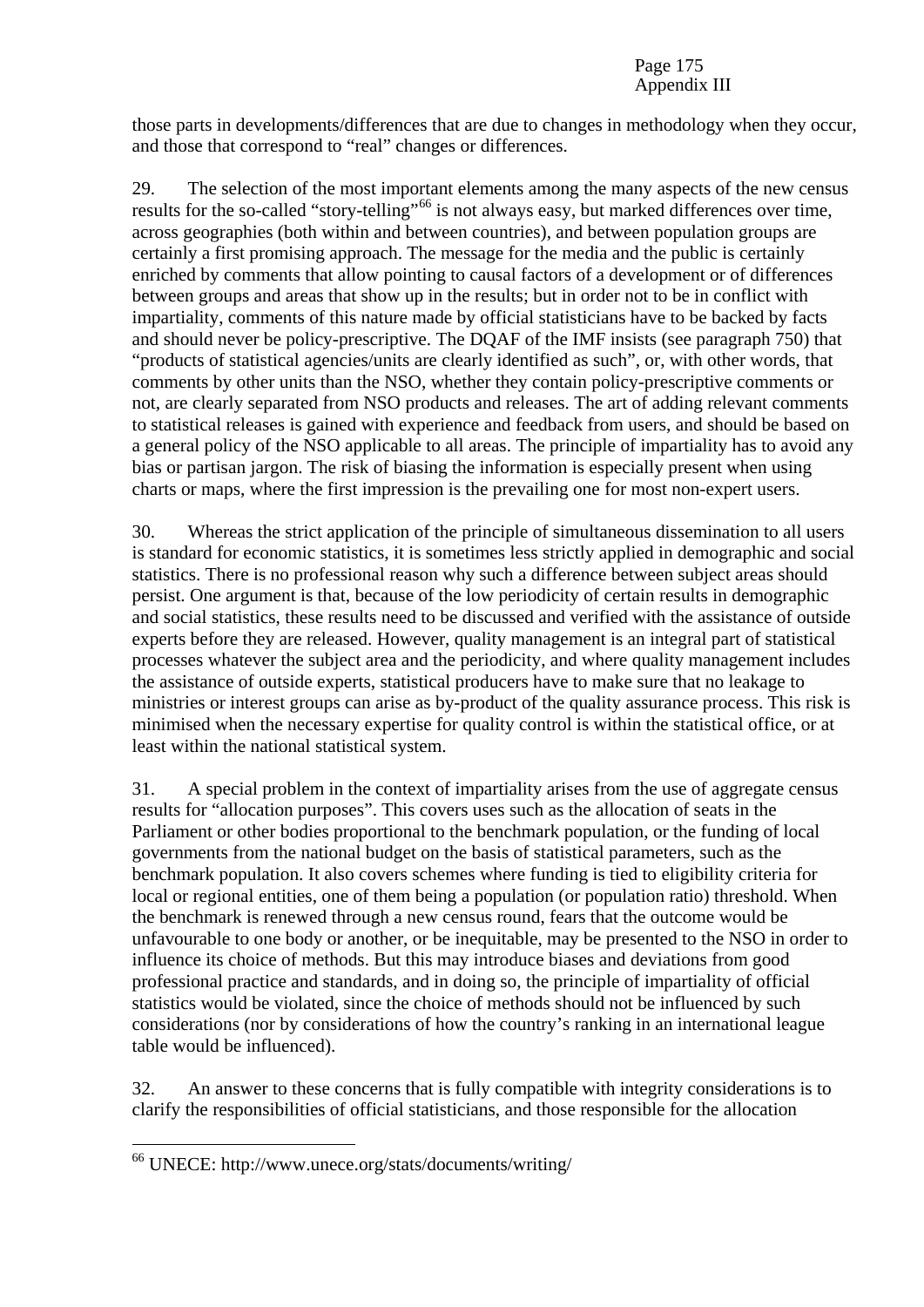<span id="page-174-0"></span>those parts in developments/differences that are due to changes in methodology when they occur, and those that correspond to "real" changes or differences.

29. The selection of the most important elements among the many aspects of the new census results for the so-called "story-telling"<sup>[6](#page-174-0)6</sup> is not always easy, but marked differences over time, across geographies (both within and between countries), and between population groups are certainly a first promising approach. The message for the media and the public is certainly enriched by comments that allow pointing to causal factors of a development or of differences between groups and areas that show up in the results; but in order not to be in conflict with impartiality, comments of this nature made by official statisticians have to be backed by facts and should never be policy-prescriptive. The DQAF of the IMF insists (see paragraph 750) that "products of statistical agencies/units are clearly identified as such", or, with other words, that comments by other units than the NSO, whether they contain policy-prescriptive comments or not, are clearly separated from NSO products and releases. The art of adding relevant comments to statistical releases is gained with experience and feedback from users, and should be based on a general policy of the NSO applicable to all areas. The principle of impartiality has to avoid any bias or partisan jargon. The risk of biasing the information is especially present when using charts or maps, where the first impression is the prevailing one for most non-expert users.

30. Whereas the strict application of the principle of simultaneous dissemination to all users is standard for economic statistics, it is sometimes less strictly applied in demographic and social statistics. There is no professional reason why such a difference between subject areas should persist. One argument is that, because of the low periodicity of certain results in demographic and social statistics, these results need to be discussed and verified with the assistance of outside experts before they are released. However, quality management is an integral part of statistical processes whatever the subject area and the periodicity, and where quality management includes the assistance of outside experts, statistical producers have to make sure that no leakage to ministries or interest groups can arise as by-product of the quality assurance process. This risk is minimised when the necessary expertise for quality control is within the statistical office, or at least within the national statistical system.

31. A special problem in the context of impartiality arises from the use of aggregate census results for "allocation purposes". This covers uses such as the allocation of seats in the Parliament or other bodies proportional to the benchmark population, or the funding of local governments from the national budget on the basis of statistical parameters, such as the benchmark population. It also covers schemes where funding is tied to eligibility criteria for local or regional entities, one of them being a population (or population ratio) threshold. When the benchmark is renewed through a new census round, fears that the outcome would be unfavourable to one body or another, or be inequitable, may be presented to the NSO in order to influence its choice of methods. But this may introduce biases and deviations from good professional practice and standards, and in doing so, the principle of impartiality of official statistics would be violated, since the choice of methods should not be influenced by such considerations (nor by considerations of how the country's ranking in an international league table would be influenced).

32. An answer to these concerns that is fully compatible with integrity considerations is to clarify the responsibilities of official statisticians, and those responsible for the allocation

1

<sup>66</sup> UNECE: http://www.unece.org/stats/documents/writing/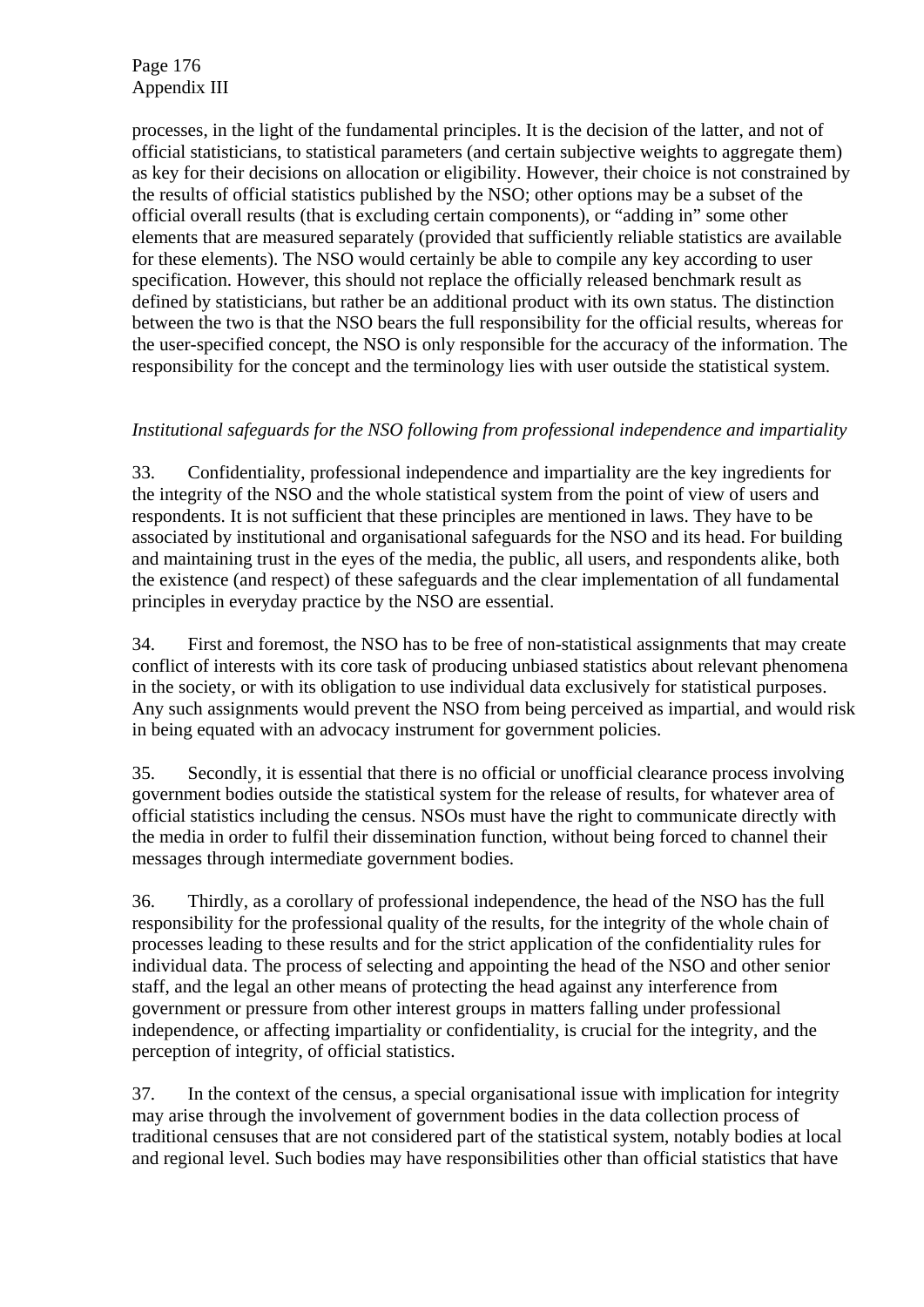Page 176 Appendix III

processes, in the light of the fundamental principles. It is the decision of the latter, and not of official statisticians, to statistical parameters (and certain subjective weights to aggregate them) as key for their decisions on allocation or eligibility. However, their choice is not constrained by the results of official statistics published by the NSO; other options may be a subset of the official overall results (that is excluding certain components), or "adding in" some other elements that are measured separately (provided that sufficiently reliable statistics are available for these elements). The NSO would certainly be able to compile any key according to user specification. However, this should not replace the officially released benchmark result as defined by statisticians, but rather be an additional product with its own status. The distinction between the two is that the NSO bears the full responsibility for the official results, whereas for the user-specified concept, the NSO is only responsible for the accuracy of the information. The responsibility for the concept and the terminology lies with user outside the statistical system.

## *Institutional safeguards for the NSO following from professional independence and impartiality*

33. Confidentiality, professional independence and impartiality are the key ingredients for the integrity of the NSO and the whole statistical system from the point of view of users and respondents. It is not sufficient that these principles are mentioned in laws. They have to be associated by institutional and organisational safeguards for the NSO and its head. For building and maintaining trust in the eyes of the media, the public, all users, and respondents alike, both the existence (and respect) of these safeguards and the clear implementation of all fundamental principles in everyday practice by the NSO are essential.

34. First and foremost, the NSO has to be free of non-statistical assignments that may create conflict of interests with its core task of producing unbiased statistics about relevant phenomena in the society, or with its obligation to use individual data exclusively for statistical purposes. Any such assignments would prevent the NSO from being perceived as impartial, and would risk in being equated with an advocacy instrument for government policies.

35. Secondly, it is essential that there is no official or unofficial clearance process involving government bodies outside the statistical system for the release of results, for whatever area of official statistics including the census. NSOs must have the right to communicate directly with the media in order to fulfil their dissemination function, without being forced to channel their messages through intermediate government bodies.

36. Thirdly, as a corollary of professional independence, the head of the NSO has the full responsibility for the professional quality of the results, for the integrity of the whole chain of processes leading to these results and for the strict application of the confidentiality rules for individual data. The process of selecting and appointing the head of the NSO and other senior staff, and the legal an other means of protecting the head against any interference from government or pressure from other interest groups in matters falling under professional independence, or affecting impartiality or confidentiality, is crucial for the integrity, and the perception of integrity, of official statistics.

37. In the context of the census, a special organisational issue with implication for integrity may arise through the involvement of government bodies in the data collection process of traditional censuses that are not considered part of the statistical system, notably bodies at local and regional level. Such bodies may have responsibilities other than official statistics that have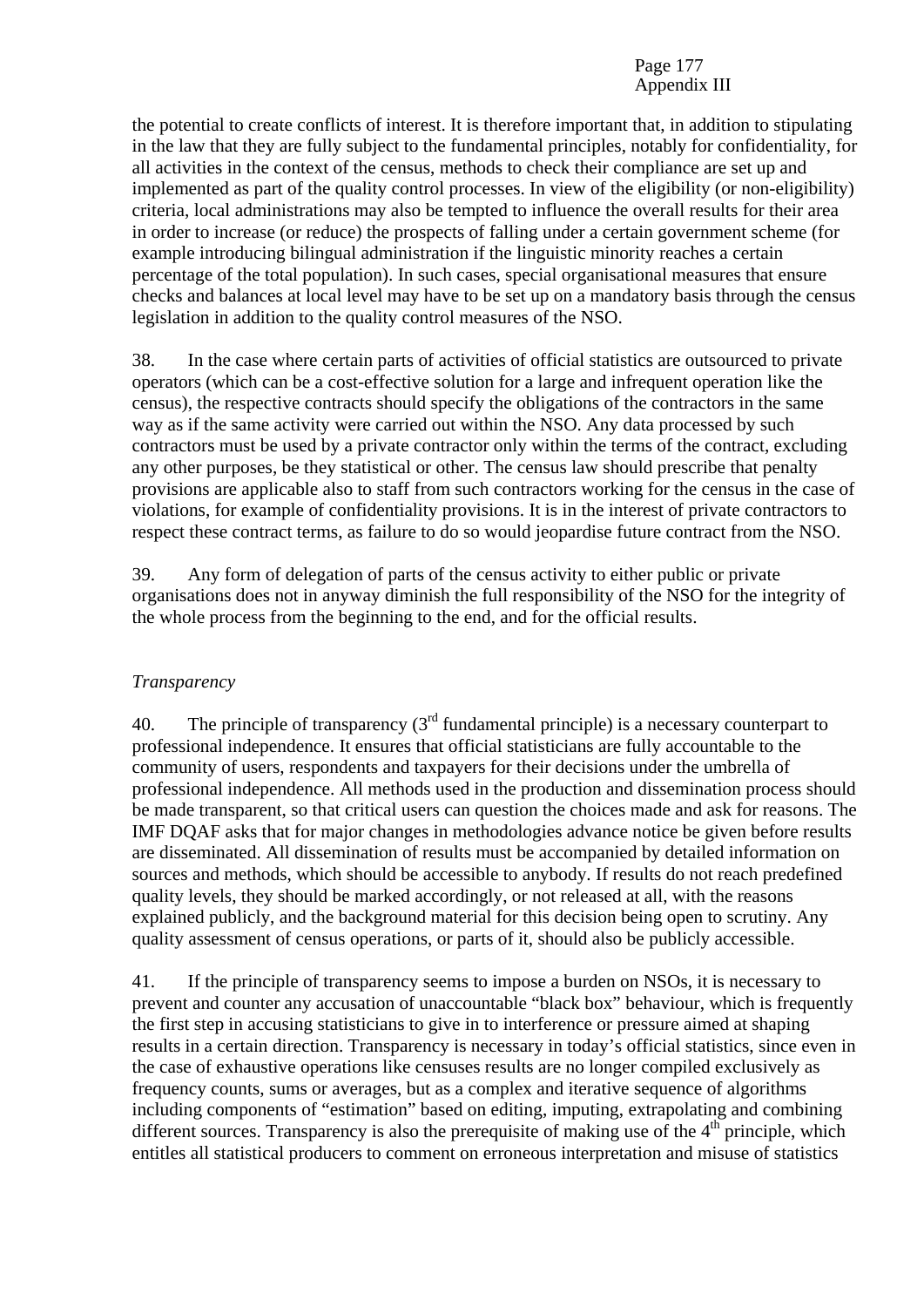the potential to create conflicts of interest. It is therefore important that, in addition to stipulating in the law that they are fully subject to the fundamental principles, notably for confidentiality, for all activities in the context of the census, methods to check their compliance are set up and implemented as part of the quality control processes. In view of the eligibility (or non-eligibility) criteria, local administrations may also be tempted to influence the overall results for their area in order to increase (or reduce) the prospects of falling under a certain government scheme (for example introducing bilingual administration if the linguistic minority reaches a certain percentage of the total population). In such cases, special organisational measures that ensure checks and balances at local level may have to be set up on a mandatory basis through the census legislation in addition to the quality control measures of the NSO.

38. In the case where certain parts of activities of official statistics are outsourced to private operators (which can be a cost-effective solution for a large and infrequent operation like the census), the respective contracts should specify the obligations of the contractors in the same way as if the same activity were carried out within the NSO. Any data processed by such contractors must be used by a private contractor only within the terms of the contract, excluding any other purposes, be they statistical or other. The census law should prescribe that penalty provisions are applicable also to staff from such contractors working for the census in the case of violations, for example of confidentiality provisions. It is in the interest of private contractors to respect these contract terms, as failure to do so would jeopardise future contract from the NSO.

39. Any form of delegation of parts of the census activity to either public or private organisations does not in anyway diminish the full responsibility of the NSO for the integrity of the whole process from the beginning to the end, and for the official results.

#### *Transparency*

40. The principle of transparency  $3<sup>rd</sup>$  fundamental principle) is a necessary counterpart to professional independence. It ensures that official statisticians are fully accountable to the community of users, respondents and taxpayers for their decisions under the umbrella of professional independence. All methods used in the production and dissemination process should be made transparent, so that critical users can question the choices made and ask for reasons. The IMF DQAF asks that for major changes in methodologies advance notice be given before results are disseminated. All dissemination of results must be accompanied by detailed information on sources and methods, which should be accessible to anybody. If results do not reach predefined quality levels, they should be marked accordingly, or not released at all, with the reasons explained publicly, and the background material for this decision being open to scrutiny. Any quality assessment of census operations, or parts of it, should also be publicly accessible.

41. If the principle of transparency seems to impose a burden on NSOs, it is necessary to prevent and counter any accusation of unaccountable "black box" behaviour, which is frequently the first step in accusing statisticians to give in to interference or pressure aimed at shaping results in a certain direction. Transparency is necessary in today's official statistics, since even in the case of exhaustive operations like censuses results are no longer compiled exclusively as frequency counts, sums or averages, but as a complex and iterative sequence of algorithms including components of "estimation" based on editing, imputing, extrapolating and combining different sources. Transparency is also the prerequisite of making use of the  $4<sup>th</sup>$  principle, which entitles all statistical producers to comment on erroneous interpretation and misuse of statistics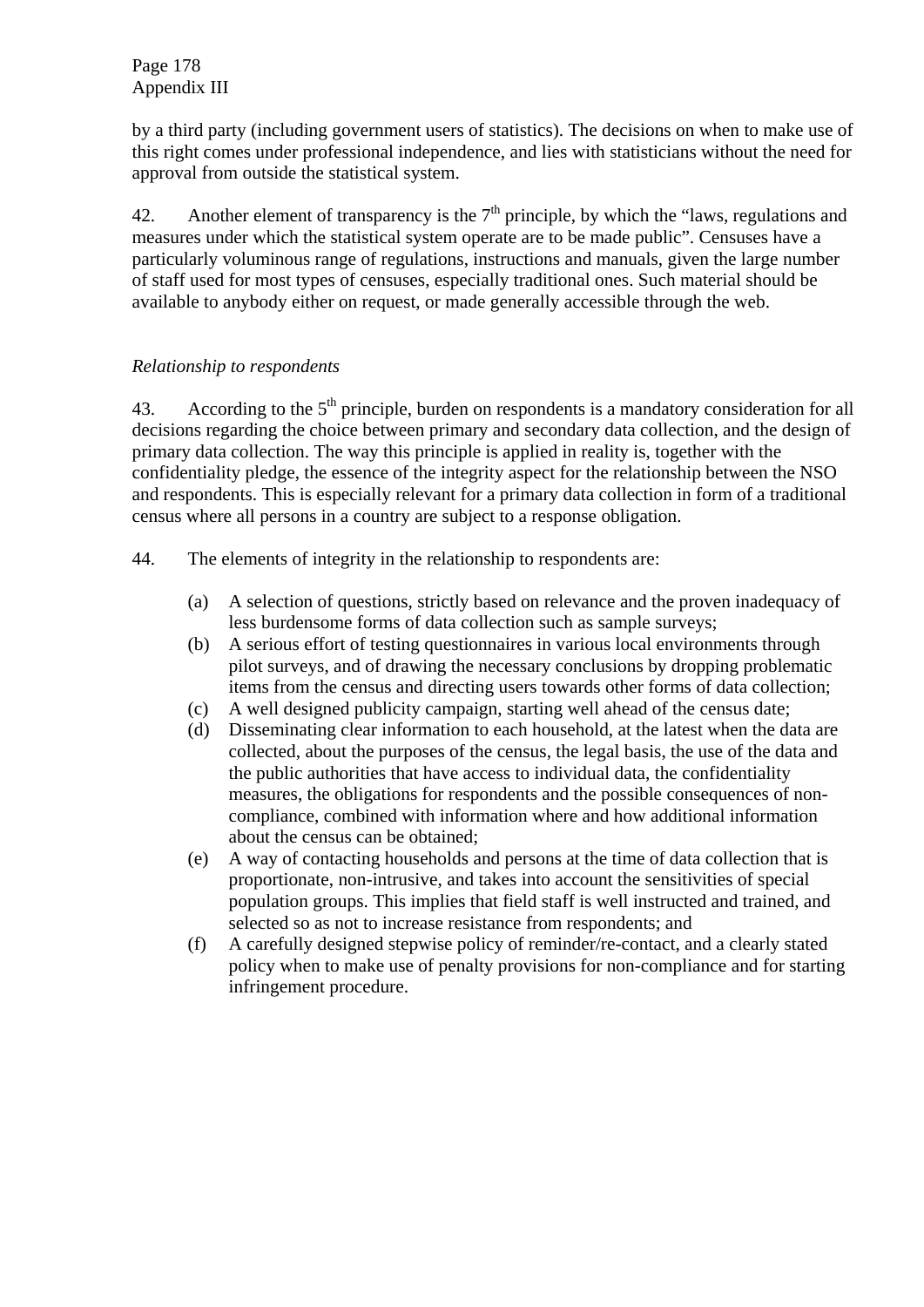by a third party (including government users of statistics). The decisions on when to make use of this right comes under professional independence, and lies with statisticians without the need for approval from outside the statistical system.

42. Another element of transparency is the  $7<sup>th</sup>$  principle, by which the "laws, regulations and measures under which the statistical system operate are to be made public". Censuses have a particularly voluminous range of regulations, instructions and manuals, given the large number of staff used for most types of censuses, especially traditional ones. Such material should be available to anybody either on request, or made generally accessible through the web.

## *Relationship to respondents*

43. According to the  $5<sup>th</sup>$  principle, burden on respondents is a mandatory consideration for all decisions regarding the choice between primary and secondary data collection, and the design of primary data collection. The way this principle is applied in reality is, together with the confidentiality pledge, the essence of the integrity aspect for the relationship between the NSO and respondents. This is especially relevant for a primary data collection in form of a traditional census where all persons in a country are subject to a response obligation.

- 44. The elements of integrity in the relationship to respondents are:
	- (a) A selection of questions, strictly based on relevance and the proven inadequacy of less burdensome forms of data collection such as sample surveys;
	- (b) A serious effort of testing questionnaires in various local environments through pilot surveys, and of drawing the necessary conclusions by dropping problematic items from the census and directing users towards other forms of data collection;
	- (c) A well designed publicity campaign, starting well ahead of the census date;
	- (d) Disseminating clear information to each household, at the latest when the data are collected, about the purposes of the census, the legal basis, the use of the data and the public authorities that have access to individual data, the confidentiality measures, the obligations for respondents and the possible consequences of noncompliance, combined with information where and how additional information about the census can be obtained;
	- (e) A way of contacting households and persons at the time of data collection that is proportionate, non-intrusive, and takes into account the sensitivities of special population groups. This implies that field staff is well instructed and trained, and selected so as not to increase resistance from respondents; and
	- (f) A carefully designed stepwise policy of reminder/re-contact, and a clearly stated policy when to make use of penalty provisions for non-compliance and for starting infringement procedure.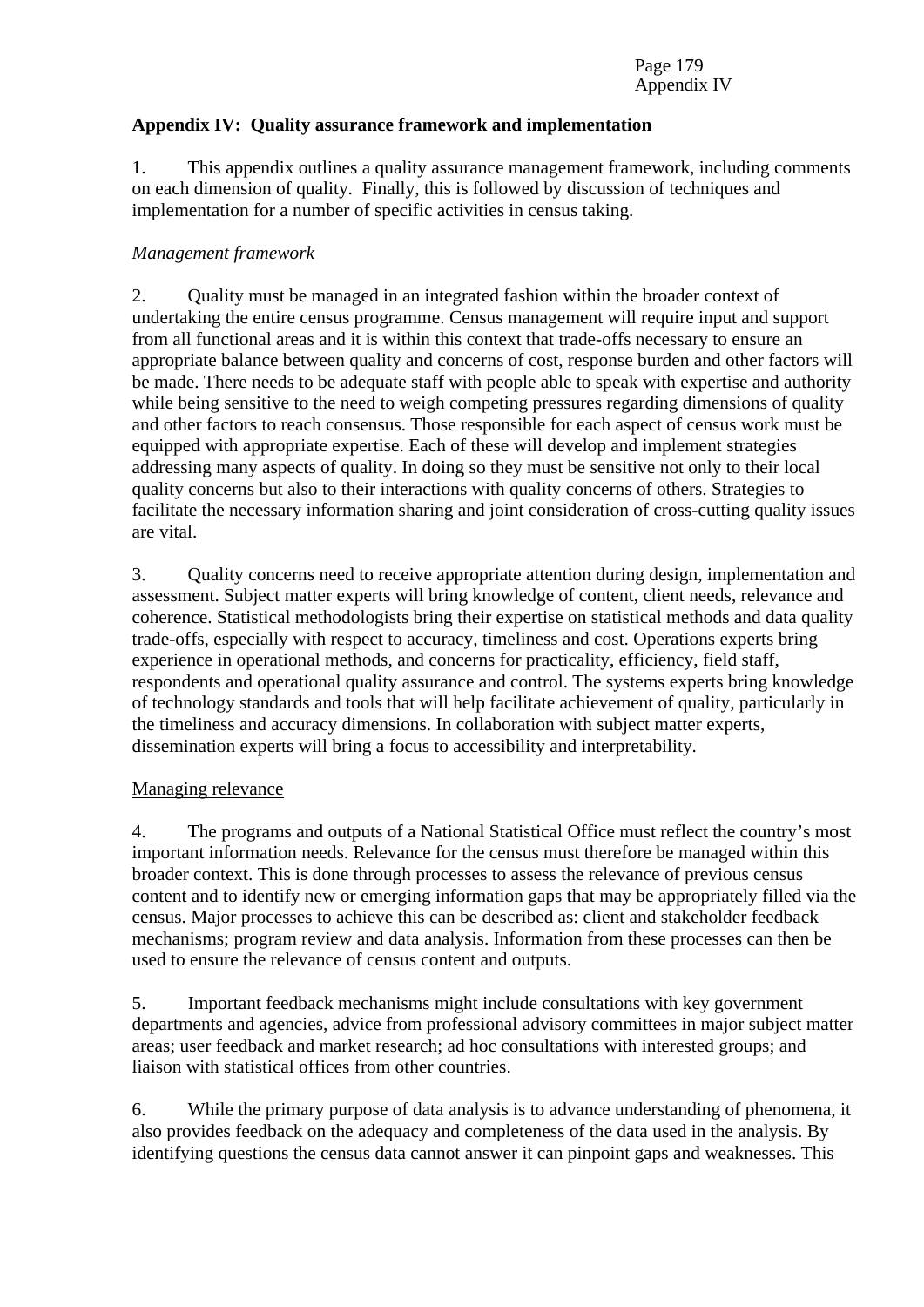## **Appendix IV: Quality assurance framework and implementation**

1. This appendix outlines a quality assurance management framework, including comments on each dimension of quality. Finally, this is followed by discussion of techniques and implementation for a number of specific activities in census taking.

#### *Management framework*

2. Quality must be managed in an integrated fashion within the broader context of undertaking the entire census programme. Census management will require input and support from all functional areas and it is within this context that trade-offs necessary to ensure an appropriate balance between quality and concerns of cost, response burden and other factors will be made. There needs to be adequate staff with people able to speak with expertise and authority while being sensitive to the need to weigh competing pressures regarding dimensions of quality and other factors to reach consensus. Those responsible for each aspect of census work must be equipped with appropriate expertise. Each of these will develop and implement strategies addressing many aspects of quality. In doing so they must be sensitive not only to their local quality concerns but also to their interactions with quality concerns of others. Strategies to facilitate the necessary information sharing and joint consideration of cross-cutting quality issues are vital.

3. Quality concerns need to receive appropriate attention during design, implementation and assessment. Subject matter experts will bring knowledge of content, client needs, relevance and coherence. Statistical methodologists bring their expertise on statistical methods and data quality trade-offs, especially with respect to accuracy, timeliness and cost. Operations experts bring experience in operational methods, and concerns for practicality, efficiency, field staff, respondents and operational quality assurance and control. The systems experts bring knowledge of technology standards and tools that will help facilitate achievement of quality, particularly in the timeliness and accuracy dimensions. In collaboration with subject matter experts, dissemination experts will bring a focus to accessibility and interpretability.

#### Managing relevance

4. The programs and outputs of a National Statistical Office must reflect the country's most important information needs. Relevance for the census must therefore be managed within this broader context. This is done through processes to assess the relevance of previous census content and to identify new or emerging information gaps that may be appropriately filled via the census. Major processes to achieve this can be described as: client and stakeholder feedback mechanisms; program review and data analysis. Information from these processes can then be used to ensure the relevance of census content and outputs.

5. Important feedback mechanisms might include consultations with key government departments and agencies, advice from professional advisory committees in major subject matter areas; user feedback and market research; ad hoc consultations with interested groups; and liaison with statistical offices from other countries.

6. While the primary purpose of data analysis is to advance understanding of phenomena, it also provides feedback on the adequacy and completeness of the data used in the analysis. By identifying questions the census data cannot answer it can pinpoint gaps and weaknesses. This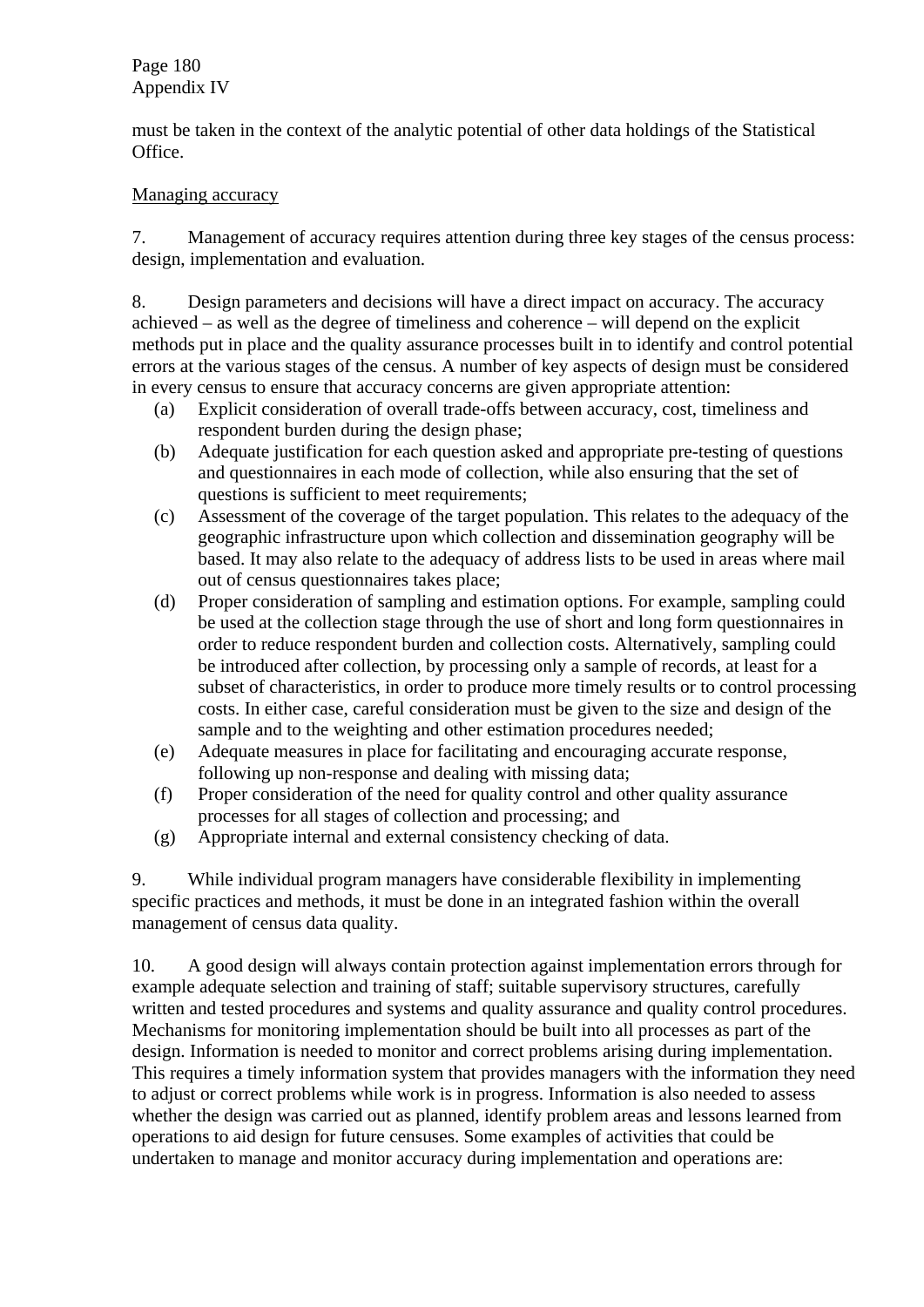Page 180 Appendix IV

must be taken in the context of the analytic potential of other data holdings of the Statistical Office.

## Managing accuracy

7. Management of accuracy requires attention during three key stages of the census process: design, implementation and evaluation.

8. Design parameters and decisions will have a direct impact on accuracy. The accuracy achieved – as well as the degree of timeliness and coherence – will depend on the explicit methods put in place and the quality assurance processes built in to identify and control potential errors at the various stages of the census. A number of key aspects of design must be considered in every census to ensure that accuracy concerns are given appropriate attention:

- (a) Explicit consideration of overall trade-offs between accuracy, cost, timeliness and respondent burden during the design phase;
- (b) Adequate justification for each question asked and appropriate pre-testing of questions and questionnaires in each mode of collection, while also ensuring that the set of questions is sufficient to meet requirements;
- (c) Assessment of the coverage of the target population. This relates to the adequacy of the geographic infrastructure upon which collection and dissemination geography will be based. It may also relate to the adequacy of address lists to be used in areas where mail out of census questionnaires takes place;
- (d) Proper consideration of sampling and estimation options. For example, sampling could be used at the collection stage through the use of short and long form questionnaires in order to reduce respondent burden and collection costs. Alternatively, sampling could be introduced after collection, by processing only a sample of records, at least for a subset of characteristics, in order to produce more timely results or to control processing costs. In either case, careful consideration must be given to the size and design of the sample and to the weighting and other estimation procedures needed;
- (e) Adequate measures in place for facilitating and encouraging accurate response, following up non-response and dealing with missing data;
- (f) Proper consideration of the need for quality control and other quality assurance processes for all stages of collection and processing; and
- (g) Appropriate internal and external consistency checking of data.

9. While individual program managers have considerable flexibility in implementing specific practices and methods, it must be done in an integrated fashion within the overall management of census data quality.

10. A good design will always contain protection against implementation errors through for example adequate selection and training of staff; suitable supervisory structures, carefully written and tested procedures and systems and quality assurance and quality control procedures. Mechanisms for monitoring implementation should be built into all processes as part of the design. Information is needed to monitor and correct problems arising during implementation. This requires a timely information system that provides managers with the information they need to adjust or correct problems while work is in progress. Information is also needed to assess whether the design was carried out as planned, identify problem areas and lessons learned from operations to aid design for future censuses. Some examples of activities that could be undertaken to manage and monitor accuracy during implementation and operations are: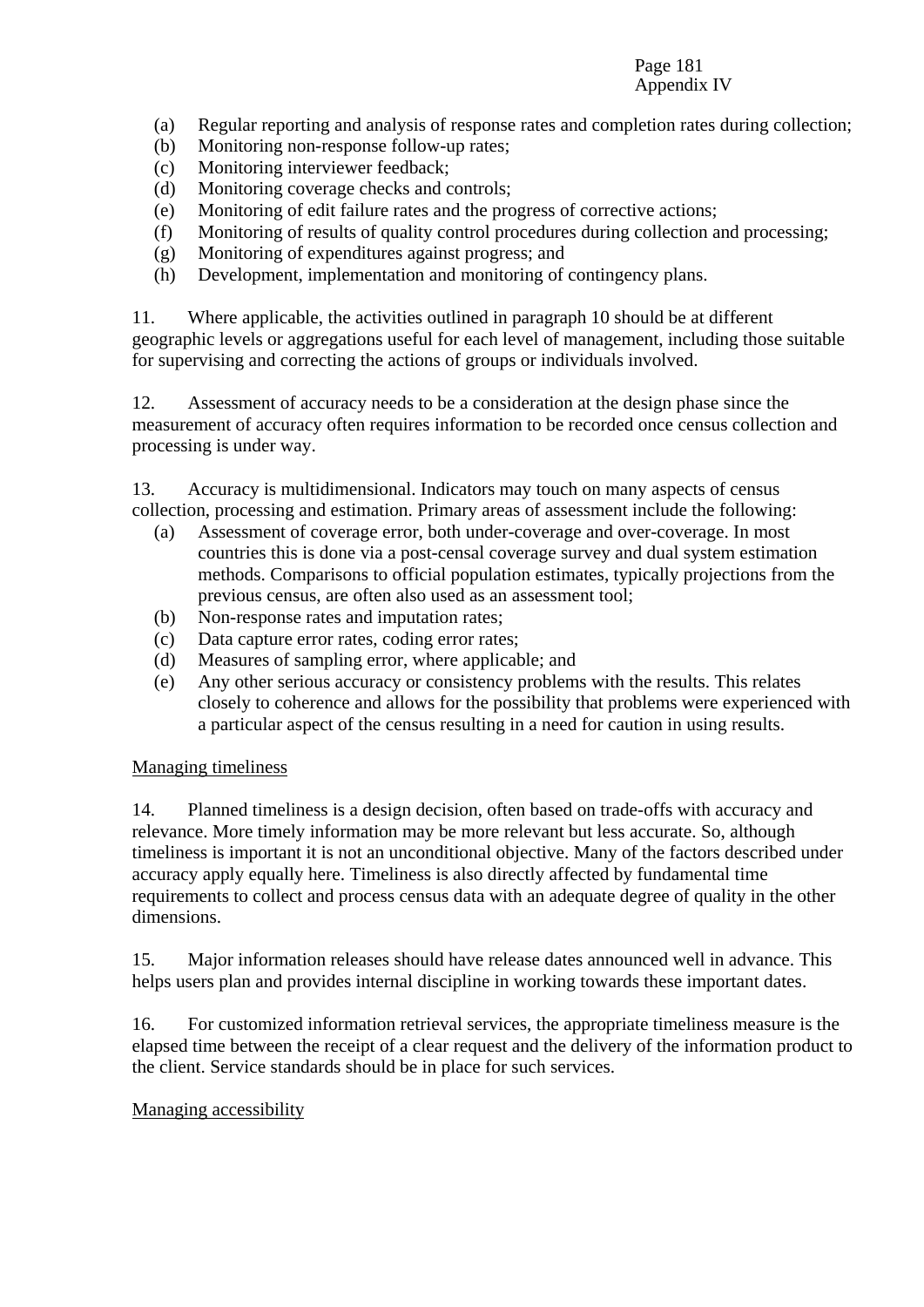#### Page 181 Appendix IV

- (a) Regular reporting and analysis of response rates and completion rates during collection;
- (b) Monitoring non-response follow-up rates;
- (c) Monitoring interviewer feedback;
- (d) Monitoring coverage checks and controls;
- (e) Monitoring of edit failure rates and the progress of corrective actions;
- (f) Monitoring of results of quality control procedures during collection and processing;
- (g) Monitoring of expenditures against progress; and
- (h) Development, implementation and monitoring of contingency plans.

11. Where applicable, the activities outlined in paragraph [10](#page-179-0) should be at different geographic levels or aggregations useful for each level of management, including those suitable for supervising and correcting the actions of groups or individuals involved.

12. Assessment of accuracy needs to be a consideration at the design phase since the measurement of accuracy often requires information to be recorded once census collection and processing is under way.

13. Accuracy is multidimensional. Indicators may touch on many aspects of census collection, processing and estimation. Primary areas of assessment include the following:

- (a) Assessment of coverage error, both under-coverage and over-coverage. In most countries this is done via a post-censal coverage survey and dual system estimation methods. Comparisons to official population estimates, typically projections from the previous census, are often also used as an assessment tool;
- (b) Non-response rates and imputation rates;
- (c) Data capture error rates, coding error rates;
- (d) Measures of sampling error, where applicable; and
- (e) Any other serious accuracy or consistency problems with the results. This relates closely to coherence and allows for the possibility that problems were experienced with a particular aspect of the census resulting in a need for caution in using results.

### Managing timeliness

14. Planned timeliness is a design decision, often based on trade-offs with accuracy and relevance. More timely information may be more relevant but less accurate. So, although timeliness is important it is not an unconditional objective. Many of the factors described under accuracy apply equally here. Timeliness is also directly affected by fundamental time requirements to collect and process census data with an adequate degree of quality in the other dimensions.

15. Major information releases should have release dates announced well in advance. This helps users plan and provides internal discipline in working towards these important dates.

16. For customized information retrieval services, the appropriate timeliness measure is the elapsed time between the receipt of a clear request and the delivery of the information product to the client. Service standards should be in place for such services.

### Managing accessibility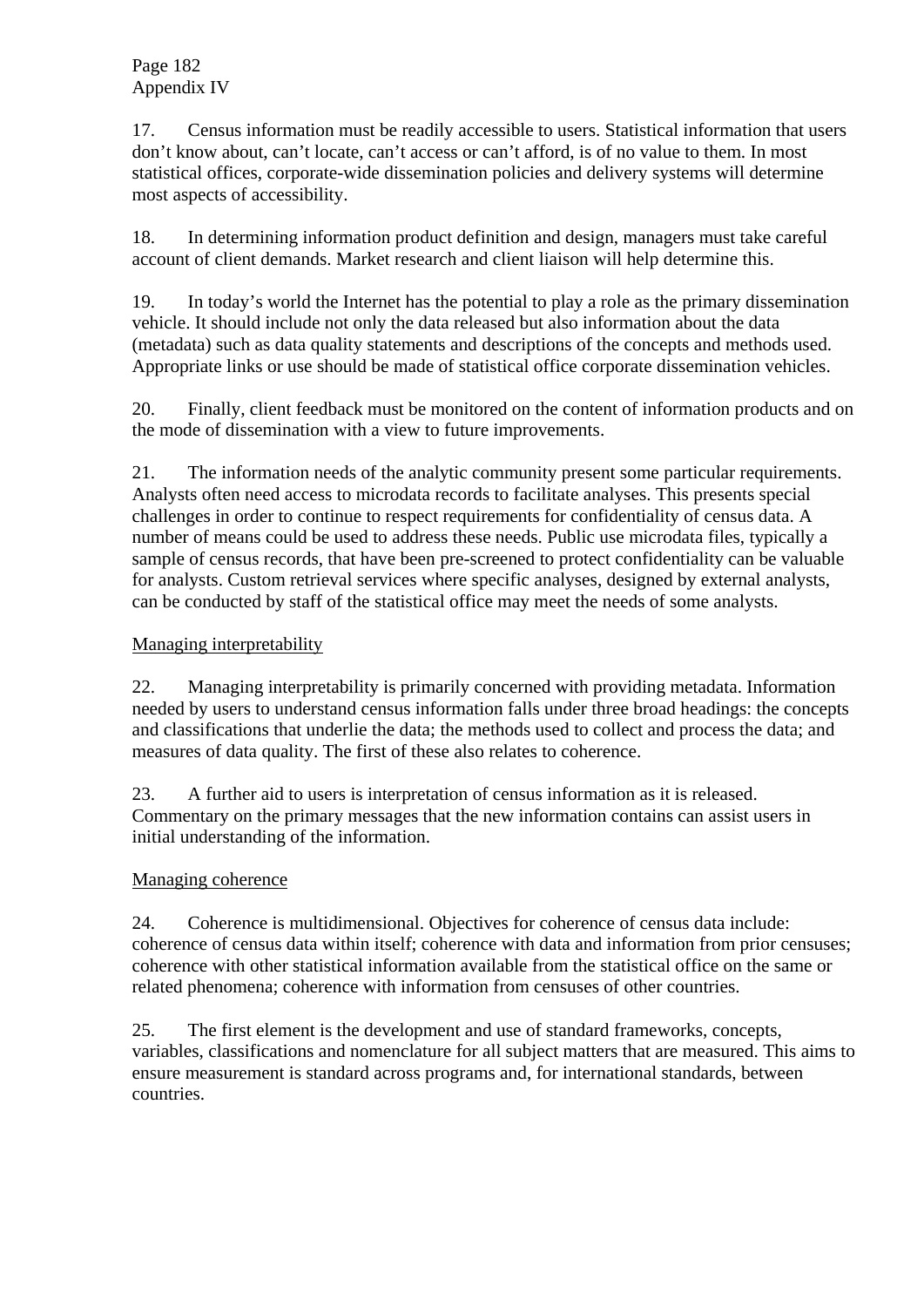17. Census information must be readily accessible to users. Statistical information that users don't know about, can't locate, can't access or can't afford, is of no value to them. In most statistical offices, corporate-wide dissemination policies and delivery systems will determine most aspects of accessibility.

18. In determining information product definition and design, managers must take careful account of client demands. Market research and client liaison will help determine this.

19. In today's world the Internet has the potential to play a role as the primary dissemination vehicle. It should include not only the data released but also information about the data (metadata) such as data quality statements and descriptions of the concepts and methods used. Appropriate links or use should be made of statistical office corporate dissemination vehicles.

20. Finally, client feedback must be monitored on the content of information products and on the mode of dissemination with a view to future improvements.

21. The information needs of the analytic community present some particular requirements. Analysts often need access to microdata records to facilitate analyses. This presents special challenges in order to continue to respect requirements for confidentiality of census data. A number of means could be used to address these needs. Public use microdata files, typically a sample of census records, that have been pre-screened to protect confidentiality can be valuable for analysts. Custom retrieval services where specific analyses, designed by external analysts, can be conducted by staff of the statistical office may meet the needs of some analysts.

# Managing interpretability

22. Managing interpretability is primarily concerned with providing metadata. Information needed by users to understand census information falls under three broad headings: the concepts and classifications that underlie the data; the methods used to collect and process the data; and measures of data quality. The first of these also relates to coherence.

23. A further aid to users is interpretation of census information as it is released. Commentary on the primary messages that the new information contains can assist users in initial understanding of the information.

# Managing coherence

24. Coherence is multidimensional. Objectives for coherence of census data include: coherence of census data within itself; coherence with data and information from prior censuses; coherence with other statistical information available from the statistical office on the same or related phenomena; coherence with information from censuses of other countries.

25. The first element is the development and use of standard frameworks, concepts, variables, classifications and nomenclature for all subject matters that are measured. This aims to ensure measurement is standard across programs and, for international standards, between countries.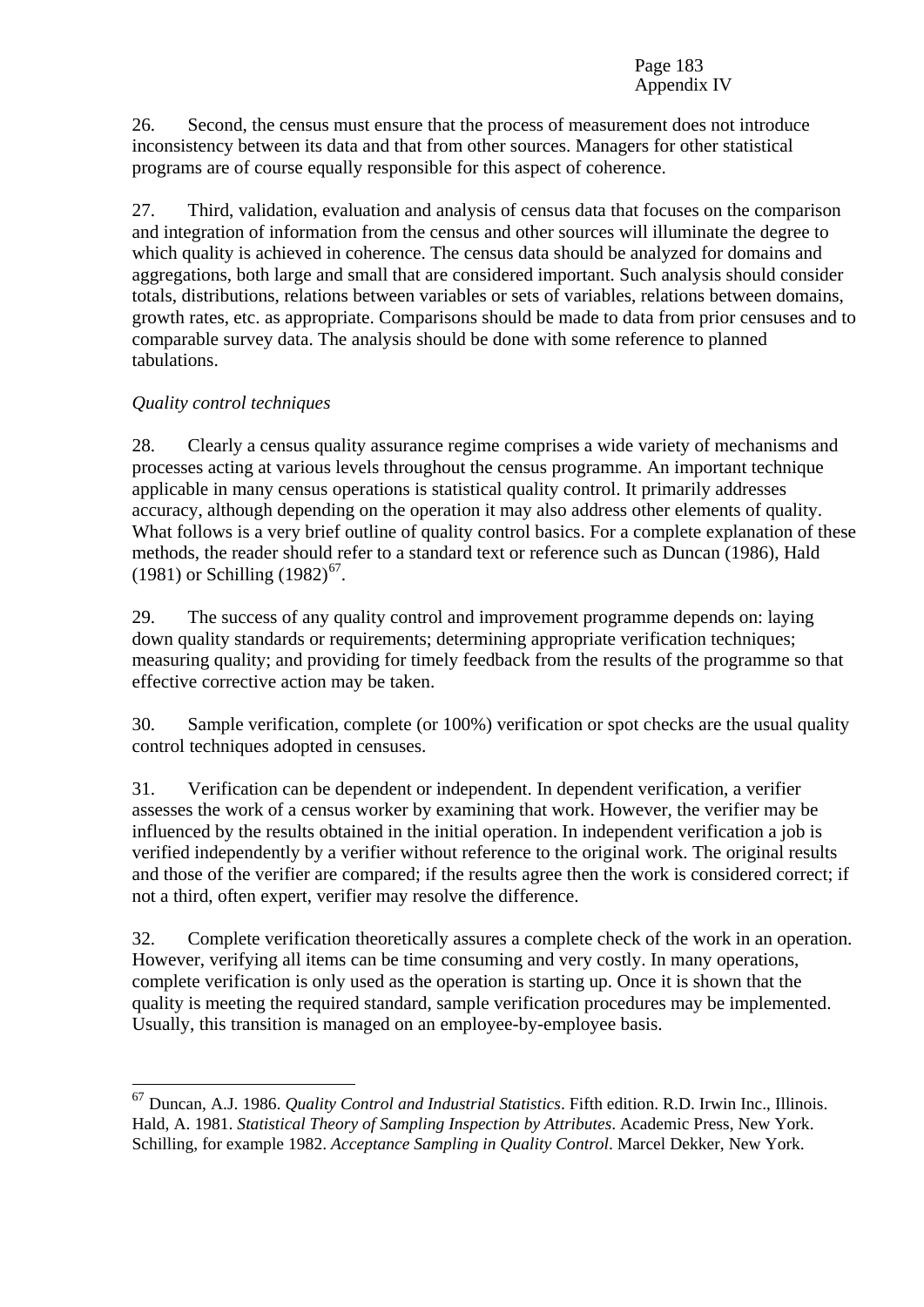<span id="page-182-0"></span>26. Second, the census must ensure that the process of measurement does not introduce inconsistency between its data and that from other sources. Managers for other statistical programs are of course equally responsible for this aspect of coherence.

27. Third, validation, evaluation and analysis of census data that focuses on the comparison and integration of information from the census and other sources will illuminate the degree to which quality is achieved in coherence. The census data should be analyzed for domains and aggregations, both large and small that are considered important. Such analysis should consider totals, distributions, relations between variables or sets of variables, relations between domains, growth rates, etc. as appropriate. Comparisons should be made to data from prior censuses and to comparable survey data. The analysis should be done with some reference to planned tabulations.

# *Quality control techniques*

1

28. Clearly a census quality assurance regime comprises a wide variety of mechanisms and processes acting at various levels throughout the census programme. An important technique applicable in many census operations is statistical quality control. It primarily addresses accuracy, although depending on the operation it may also address other elements of quality. What follows is a very brief outline of quality control basics. For a complete explanation of these methods, the reader should refer to a standard text or reference such as Duncan (1986), Hald  $(1981)$  or Schilling  $(1982)^{67}$  $(1982)^{67}$  $(1982)^{67}$ .

29. The success of any quality control and improvement programme depends on: laying down quality standards or requirements; determining appropriate verification techniques; measuring quality; and providing for timely feedback from the results of the programme so that effective corrective action may be taken.

30. Sample verification, complete (or 100%) verification or spot checks are the usual quality control techniques adopted in censuses.

31. Verification can be dependent or independent. In dependent verification, a verifier assesses the work of a census worker by examining that work. However, the verifier may be influenced by the results obtained in the initial operation. In independent verification a job is verified independently by a verifier without reference to the original work. The original results and those of the verifier are compared; if the results agree then the work is considered correct; if not a third, often expert, verifier may resolve the difference.

32. Complete verification theoretically assures a complete check of the work in an operation. However, verifying all items can be time consuming and very costly. In many operations, complete verification is only used as the operation is starting up. Once it is shown that the quality is meeting the required standard, sample verification procedures may be implemented. Usually, this transition is managed on an employee-by-employee basis.

<sup>67</sup> Duncan, A.J. 1986. *Quality Control and Industrial Statistics*. Fifth edition. R.D. Irwin Inc., Illinois. Hald, A. 1981. *Statistical Theory of Sampling Inspection by Attributes*. Academic Press, New York. Schilling, for example 1982. *Acceptance Sampling in Quality Control*. Marcel Dekker, New York.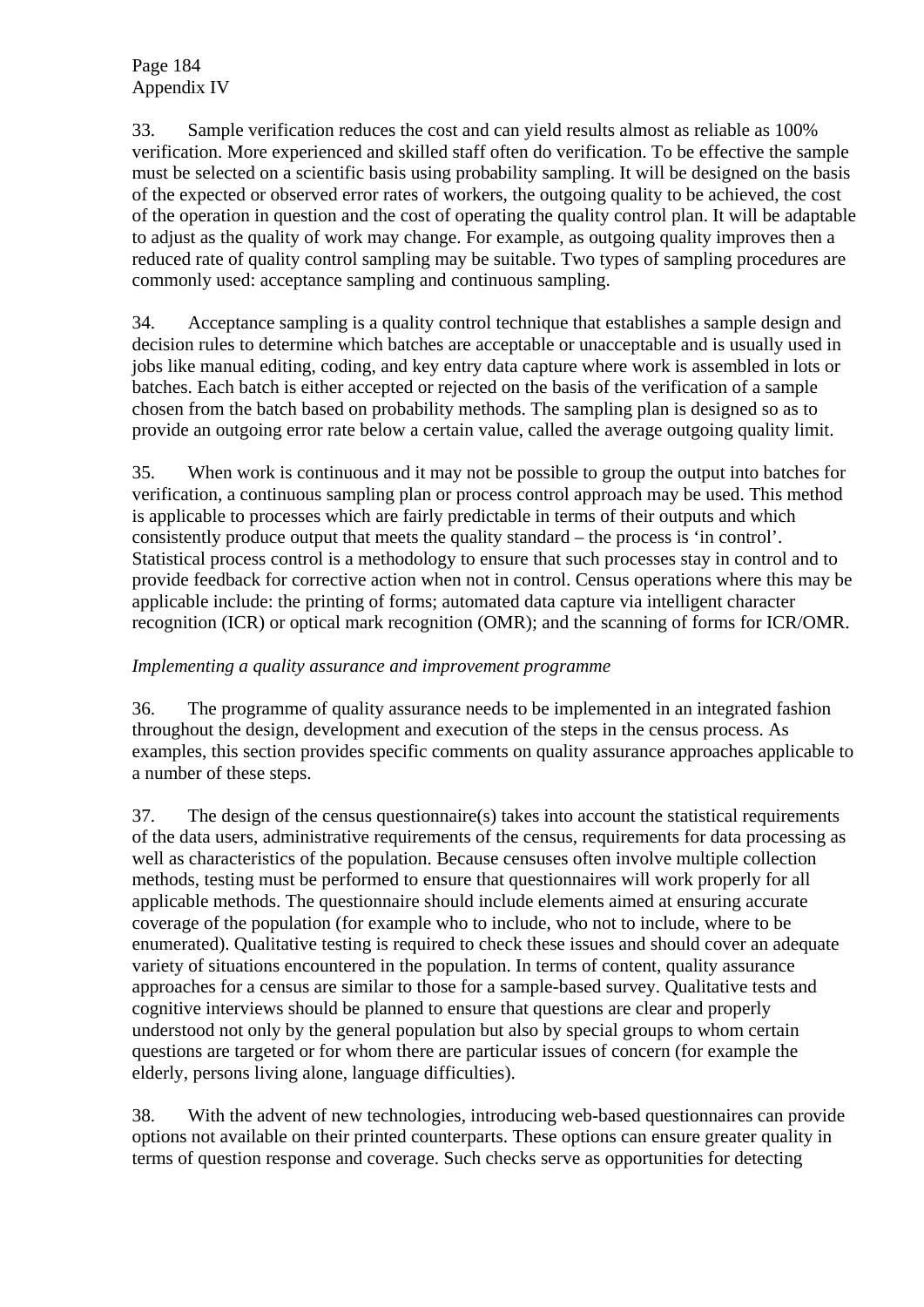33. Sample verification reduces the cost and can yield results almost as reliable as 100% verification. More experienced and skilled staff often do verification. To be effective the sample must be selected on a scientific basis using probability sampling. It will be designed on the basis of the expected or observed error rates of workers, the outgoing quality to be achieved, the cost of the operation in question and the cost of operating the quality control plan. It will be adaptable to adjust as the quality of work may change. For example, as outgoing quality improves then a reduced rate of quality control sampling may be suitable. Two types of sampling procedures are commonly used: acceptance sampling and continuous sampling.

34. Acceptance sampling is a quality control technique that establishes a sample design and decision rules to determine which batches are acceptable or unacceptable and is usually used in jobs like manual editing, coding, and key entry data capture where work is assembled in lots or batches. Each batch is either accepted or rejected on the basis of the verification of a sample chosen from the batch based on probability methods. The sampling plan is designed so as to provide an outgoing error rate below a certain value, called the average outgoing quality limit.

35. When work is continuous and it may not be possible to group the output into batches for verification, a continuous sampling plan or process control approach may be used. This method is applicable to processes which are fairly predictable in terms of their outputs and which consistently produce output that meets the quality standard – the process is 'in control'. Statistical process control is a methodology to ensure that such processes stay in control and to provide feedback for corrective action when not in control. Census operations where this may be applicable include: the printing of forms; automated data capture via intelligent character recognition (ICR) or optical mark recognition (OMR); and the scanning of forms for ICR/OMR.

# *Implementing a quality assurance and improvement programme*

36. The programme of quality assurance needs to be implemented in an integrated fashion throughout the design, development and execution of the steps in the census process. As examples, this section provides specific comments on quality assurance approaches applicable to a number of these steps.

37. The design of the census questionnaire(s) takes into account the statistical requirements of the data users, administrative requirements of the census, requirements for data processing as well as characteristics of the population. Because censuses often involve multiple collection methods, testing must be performed to ensure that questionnaires will work properly for all applicable methods. The questionnaire should include elements aimed at ensuring accurate coverage of the population (for example who to include, who not to include, where to be enumerated). Qualitative testing is required to check these issues and should cover an adequate variety of situations encountered in the population. In terms of content, quality assurance approaches for a census are similar to those for a sample-based survey. Qualitative tests and cognitive interviews should be planned to ensure that questions are clear and properly understood not only by the general population but also by special groups to whom certain questions are targeted or for whom there are particular issues of concern (for example the elderly, persons living alone, language difficulties).

38. With the advent of new technologies, introducing web-based questionnaires can provide options not available on their printed counterparts. These options can ensure greater quality in terms of question response and coverage. Such checks serve as opportunities for detecting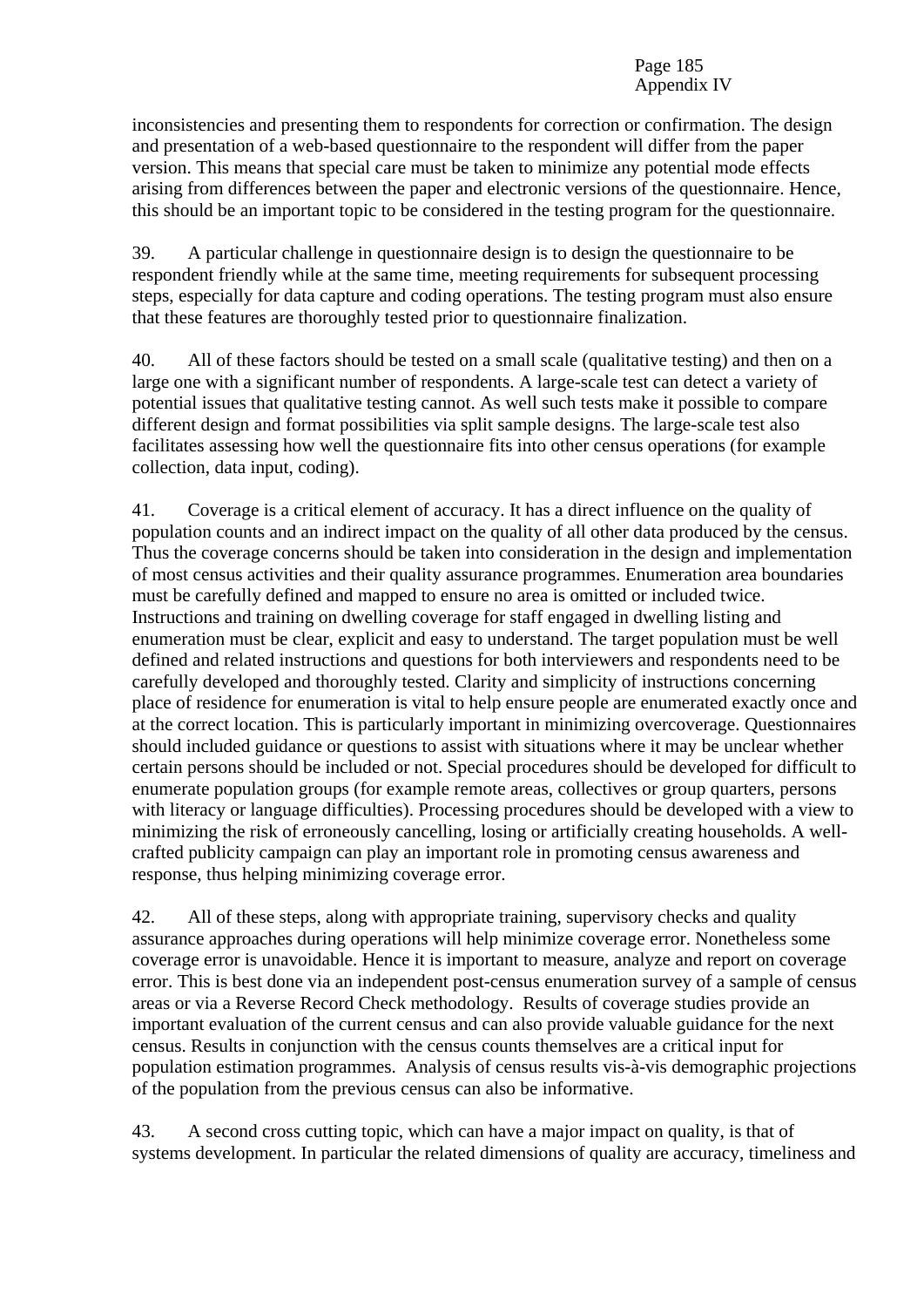inconsistencies and presenting them to respondents for correction or confirmation. The design and presentation of a web-based questionnaire to the respondent will differ from the paper version. This means that special care must be taken to minimize any potential mode effects arising from differences between the paper and electronic versions of the questionnaire. Hence, this should be an important topic to be considered in the testing program for the questionnaire.

39. A particular challenge in questionnaire design is to design the questionnaire to be respondent friendly while at the same time, meeting requirements for subsequent processing steps, especially for data capture and coding operations. The testing program must also ensure that these features are thoroughly tested prior to questionnaire finalization.

40. All of these factors should be tested on a small scale (qualitative testing) and then on a large one with a significant number of respondents. A large-scale test can detect a variety of potential issues that qualitative testing cannot. As well such tests make it possible to compare different design and format possibilities via split sample designs. The large-scale test also facilitates assessing how well the questionnaire fits into other census operations (for example collection, data input, coding).

41. Coverage is a critical element of accuracy. It has a direct influence on the quality of population counts and an indirect impact on the quality of all other data produced by the census. Thus the coverage concerns should be taken into consideration in the design and implementation of most census activities and their quality assurance programmes. Enumeration area boundaries must be carefully defined and mapped to ensure no area is omitted or included twice. Instructions and training on dwelling coverage for staff engaged in dwelling listing and enumeration must be clear, explicit and easy to understand. The target population must be well defined and related instructions and questions for both interviewers and respondents need to be carefully developed and thoroughly tested. Clarity and simplicity of instructions concerning place of residence for enumeration is vital to help ensure people are enumerated exactly once and at the correct location. This is particularly important in minimizing overcoverage. Questionnaires should included guidance or questions to assist with situations where it may be unclear whether certain persons should be included or not. Special procedures should be developed for difficult to enumerate population groups (for example remote areas, collectives or group quarters, persons with literacy or language difficulties). Processing procedures should be developed with a view to minimizing the risk of erroneously cancelling, losing or artificially creating households. A wellcrafted publicity campaign can play an important role in promoting census awareness and response, thus helping minimizing coverage error.

42. All of these steps, along with appropriate training, supervisory checks and quality assurance approaches during operations will help minimize coverage error. Nonetheless some coverage error is unavoidable. Hence it is important to measure, analyze and report on coverage error. This is best done via an independent post-census enumeration survey of a sample of census areas or via a Reverse Record Check methodology. Results of coverage studies provide an important evaluation of the current census and can also provide valuable guidance for the next census. Results in conjunction with the census counts themselves are a critical input for population estimation programmes. Analysis of census results vis-à-vis demographic projections of the population from the previous census can also be informative.

43. A second cross cutting topic, which can have a major impact on quality, is that of systems development. In particular the related dimensions of quality are accuracy, timeliness and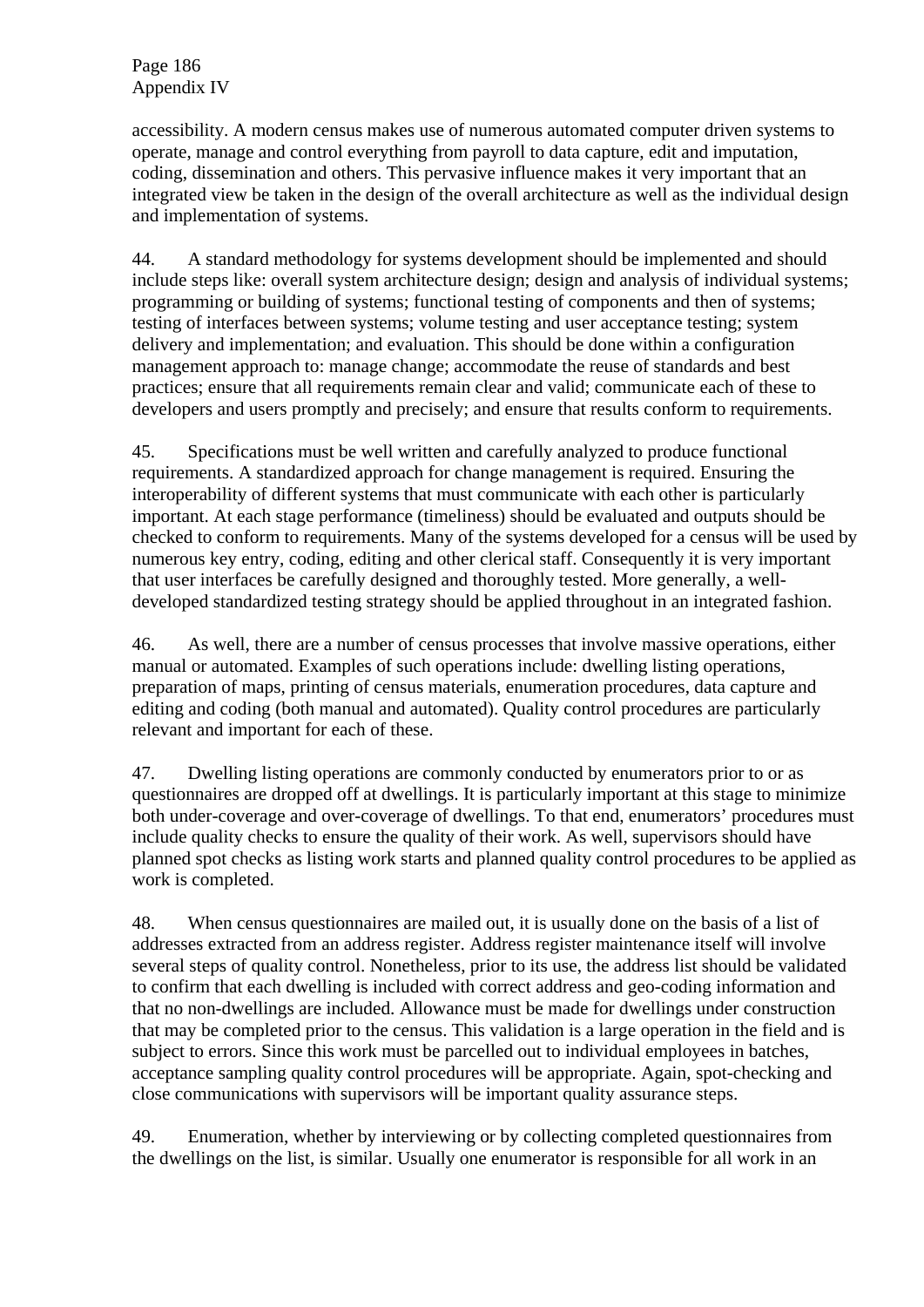accessibility. A modern census makes use of numerous automated computer driven systems to operate, manage and control everything from payroll to data capture, edit and imputation, coding, dissemination and others. This pervasive influence makes it very important that an integrated view be taken in the design of the overall architecture as well as the individual design and implementation of systems.

44. A standard methodology for systems development should be implemented and should include steps like: overall system architecture design; design and analysis of individual systems; programming or building of systems; functional testing of components and then of systems; testing of interfaces between systems; volume testing and user acceptance testing; system delivery and implementation; and evaluation. This should be done within a configuration management approach to: manage change; accommodate the reuse of standards and best practices; ensure that all requirements remain clear and valid; communicate each of these to developers and users promptly and precisely; and ensure that results conform to requirements.

45. Specifications must be well written and carefully analyzed to produce functional requirements. A standardized approach for change management is required. Ensuring the interoperability of different systems that must communicate with each other is particularly important. At each stage performance (timeliness) should be evaluated and outputs should be checked to conform to requirements. Many of the systems developed for a census will be used by numerous key entry, coding, editing and other clerical staff. Consequently it is very important that user interfaces be carefully designed and thoroughly tested. More generally, a welldeveloped standardized testing strategy should be applied throughout in an integrated fashion.

46. As well, there are a number of census processes that involve massive operations, either manual or automated. Examples of such operations include: dwelling listing operations, preparation of maps, printing of census materials, enumeration procedures, data capture and editing and coding (both manual and automated). Quality control procedures are particularly relevant and important for each of these.

47. Dwelling listing operations are commonly conducted by enumerators prior to or as questionnaires are dropped off at dwellings. It is particularly important at this stage to minimize both under-coverage and over-coverage of dwellings. To that end, enumerators' procedures must include quality checks to ensure the quality of their work. As well, supervisors should have planned spot checks as listing work starts and planned quality control procedures to be applied as work is completed.

48. When census questionnaires are mailed out, it is usually done on the basis of a list of addresses extracted from an address register. Address register maintenance itself will involve several steps of quality control. Nonetheless, prior to its use, the address list should be validated to confirm that each dwelling is included with correct address and geo-coding information and that no non-dwellings are included. Allowance must be made for dwellings under construction that may be completed prior to the census. This validation is a large operation in the field and is subject to errors. Since this work must be parcelled out to individual employees in batches, acceptance sampling quality control procedures will be appropriate. Again, spot-checking and close communications with supervisors will be important quality assurance steps.

49. Enumeration, whether by interviewing or by collecting completed questionnaires from the dwellings on the list, is similar. Usually one enumerator is responsible for all work in an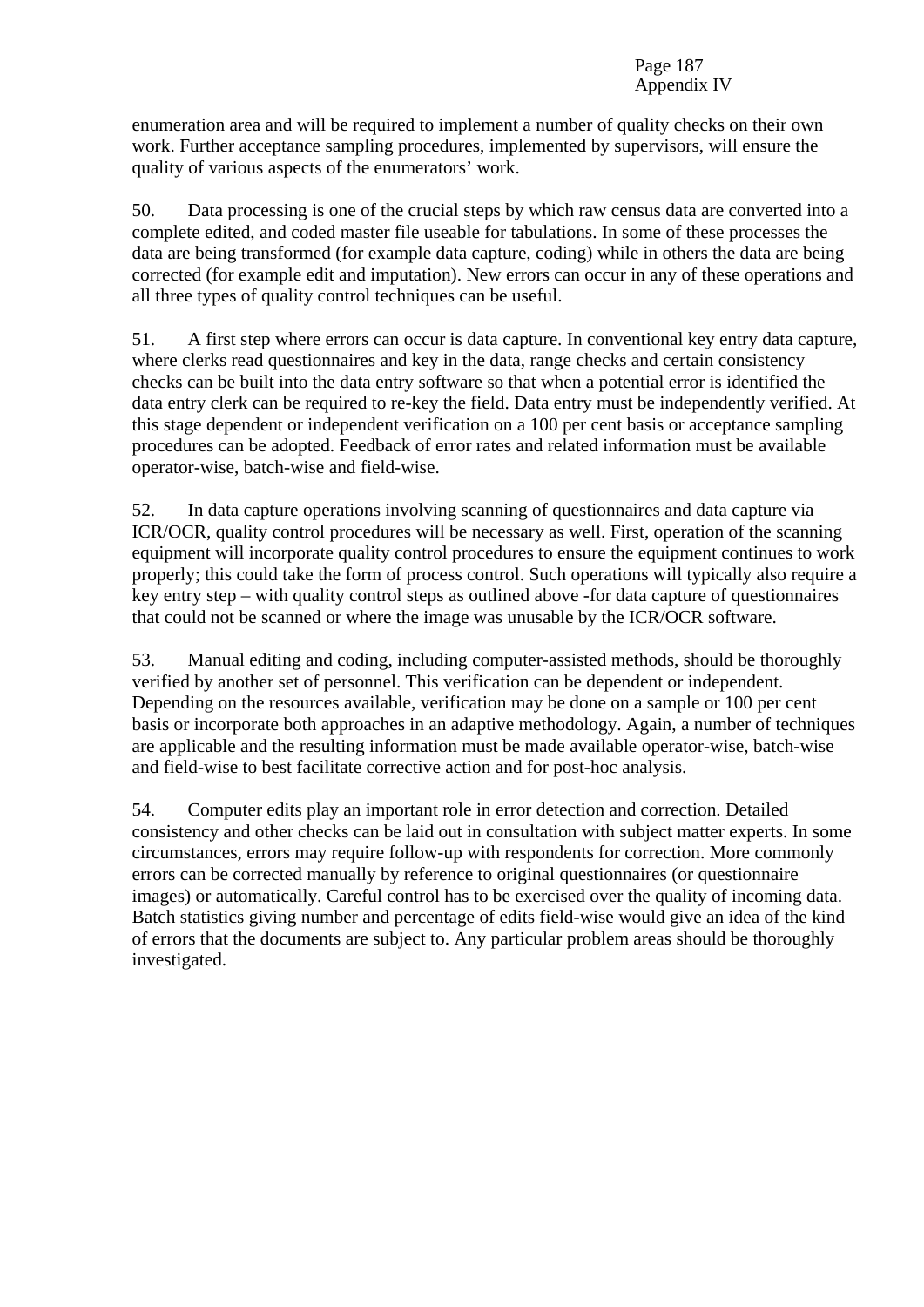enumeration area and will be required to implement a number of quality checks on their own work. Further acceptance sampling procedures, implemented by supervisors, will ensure the quality of various aspects of the enumerators' work.

50. Data processing is one of the crucial steps by which raw census data are converted into a complete edited, and coded master file useable for tabulations. In some of these processes the data are being transformed (for example data capture, coding) while in others the data are being corrected (for example edit and imputation). New errors can occur in any of these operations and all three types of quality control techniques can be useful.

51. A first step where errors can occur is data capture. In conventional key entry data capture, where clerks read questionnaires and key in the data, range checks and certain consistency checks can be built into the data entry software so that when a potential error is identified the data entry clerk can be required to re-key the field. Data entry must be independently verified. At this stage dependent or independent verification on a 100 per cent basis or acceptance sampling procedures can be adopted. Feedback of error rates and related information must be available operator-wise, batch-wise and field-wise.

52. In data capture operations involving scanning of questionnaires and data capture via ICR/OCR, quality control procedures will be necessary as well. First, operation of the scanning equipment will incorporate quality control procedures to ensure the equipment continues to work properly; this could take the form of process control. Such operations will typically also require a key entry step – with quality control steps as outlined above -for data capture of questionnaires that could not be scanned or where the image was unusable by the ICR/OCR software.

53. Manual editing and coding, including computer-assisted methods, should be thoroughly verified by another set of personnel. This verification can be dependent or independent. Depending on the resources available, verification may be done on a sample or 100 per cent basis or incorporate both approaches in an adaptive methodology. Again, a number of techniques are applicable and the resulting information must be made available operator-wise, batch-wise and field-wise to best facilitate corrective action and for post-hoc analysis.

54. Computer edits play an important role in error detection and correction. Detailed consistency and other checks can be laid out in consultation with subject matter experts. In some circumstances, errors may require follow-up with respondents for correction. More commonly errors can be corrected manually by reference to original questionnaires (or questionnaire images) or automatically. Careful control has to be exercised over the quality of incoming data. Batch statistics giving number and percentage of edits field-wise would give an idea of the kind of errors that the documents are subject to. Any particular problem areas should be thoroughly investigated.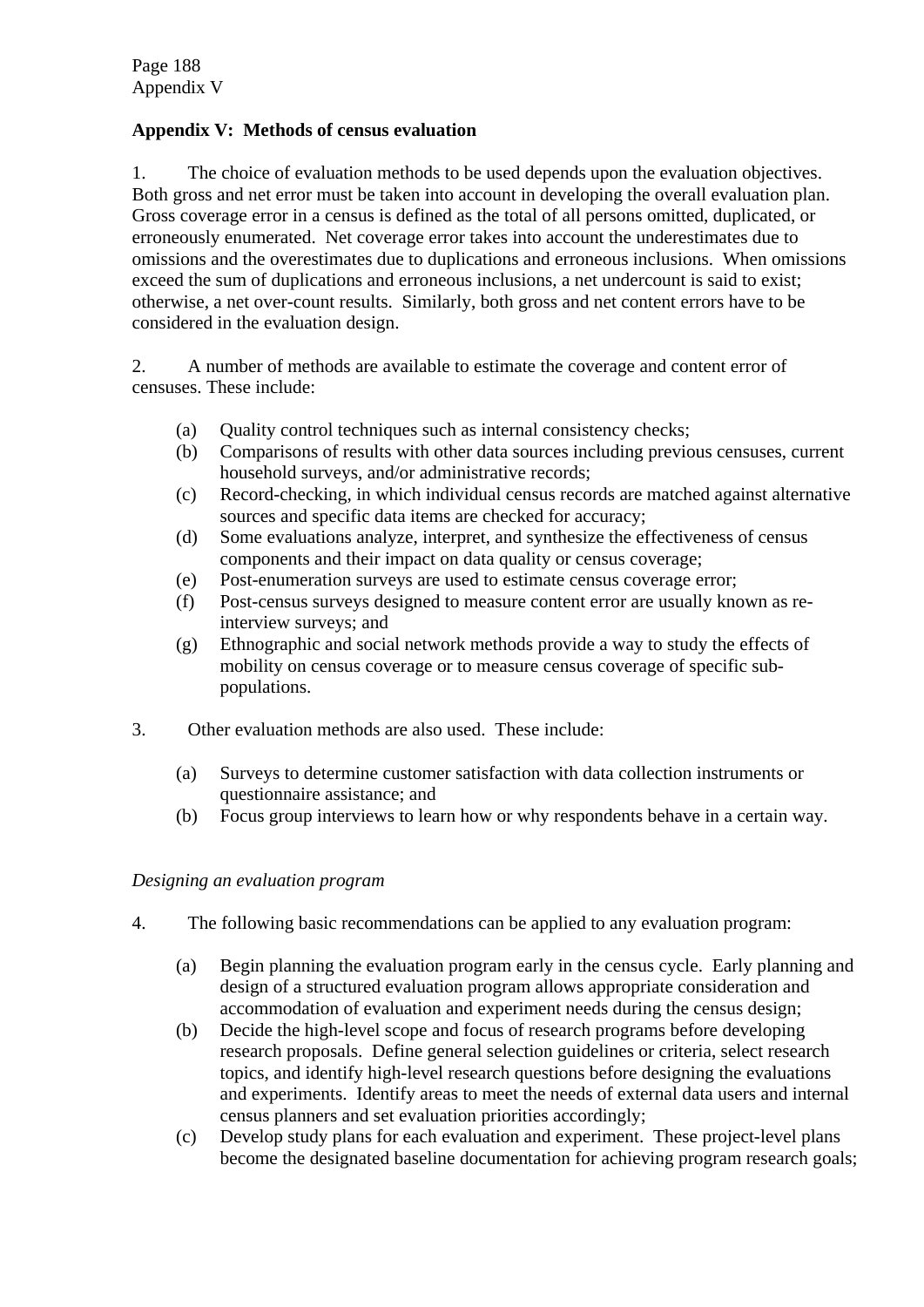### **Appendix V: Methods of census evaluation**

1. The choice of evaluation methods to be used depends upon the evaluation objectives. Both gross and net error must be taken into account in developing the overall evaluation plan. Gross coverage error in a census is defined as the total of all persons omitted, duplicated, or erroneously enumerated. Net coverage error takes into account the underestimates due to omissions and the overestimates due to duplications and erroneous inclusions. When omissions exceed the sum of duplications and erroneous inclusions, a net undercount is said to exist; otherwise, a net over-count results. Similarly, both gross and net content errors have to be considered in the evaluation design.

2. A number of methods are available to estimate the coverage and content error of censuses. These include:

- (a) Quality control techniques such as internal consistency checks;
- (b) Comparisons of results with other data sources including previous censuses, current household surveys, and/or administrative records;
- (c) Record-checking, in which individual census records are matched against alternative sources and specific data items are checked for accuracy;
- (d) Some evaluations analyze, interpret, and synthesize the effectiveness of census components and their impact on data quality or census coverage;
- (e) Post-enumeration surveys are used to estimate census coverage error;
- (f) Post-census surveys designed to measure content error are usually known as reinterview surveys; and
- (g) Ethnographic and social network methods provide a way to study the effects of mobility on census coverage or to measure census coverage of specific subpopulations.
- 3. Other evaluation methods are also used. These include:
	- (a) Surveys to determine customer satisfaction with data collection instruments or questionnaire assistance; and
	- (b) Focus group interviews to learn how or why respondents behave in a certain way.

### *Designing an evaluation program*

- 4. The following basic recommendations can be applied to any evaluation program:
	- (a) Begin planning the evaluation program early in the census cycle. Early planning and design of a structured evaluation program allows appropriate consideration and accommodation of evaluation and experiment needs during the census design;
	- (b) Decide the high-level scope and focus of research programs before developing research proposals. Define general selection guidelines or criteria, select research topics, and identify high-level research questions before designing the evaluations and experiments. Identify areas to meet the needs of external data users and internal census planners and set evaluation priorities accordingly;
	- (c) Develop study plans for each evaluation and experiment. These project-level plans become the designated baseline documentation for achieving program research goals;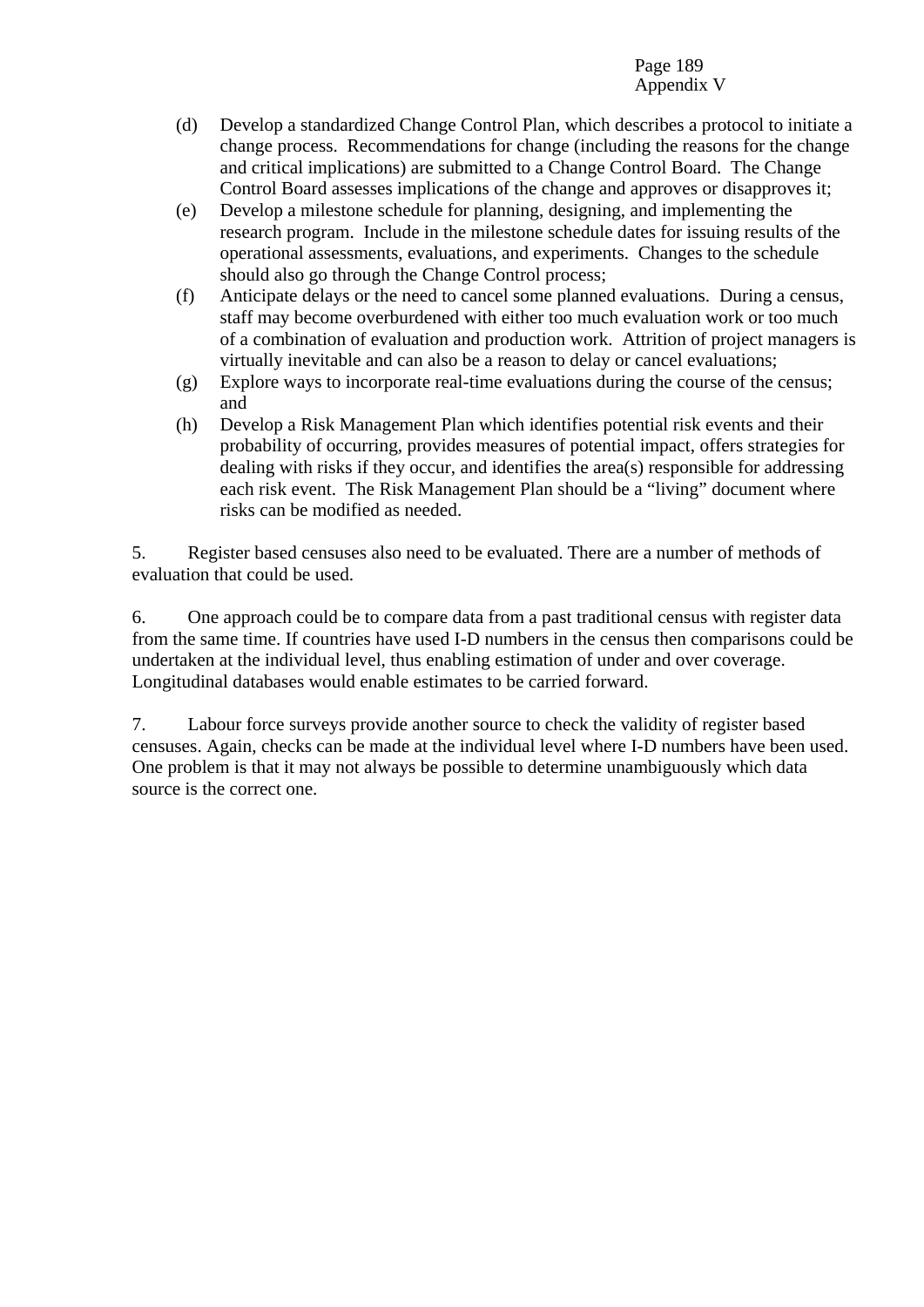Page 189 Appendix V

- (d) Develop a standardized Change Control Plan, which describes a protocol to initiate a change process. Recommendations for change (including the reasons for the change and critical implications) are submitted to a Change Control Board. The Change Control Board assesses implications of the change and approves or disapproves it;
- (e) Develop a milestone schedule for planning, designing, and implementing the research program. Include in the milestone schedule dates for issuing results of the operational assessments, evaluations, and experiments. Changes to the schedule should also go through the Change Control process;
- (f) Anticipate delays or the need to cancel some planned evaluations. During a census, staff may become overburdened with either too much evaluation work or too much of a combination of evaluation and production work. Attrition of project managers is virtually inevitable and can also be a reason to delay or cancel evaluations;
- (g) Explore ways to incorporate real-time evaluations during the course of the census; and
- (h) Develop a Risk Management Plan which identifies potential risk events and their probability of occurring, provides measures of potential impact, offers strategies for dealing with risks if they occur, and identifies the area(s) responsible for addressing each risk event. The Risk Management Plan should be a "living" document where risks can be modified as needed.

5. Register based censuses also need to be evaluated. There are a number of methods of evaluation that could be used.

6. One approach could be to compare data from a past traditional census with register data from the same time. If countries have used I-D numbers in the census then comparisons could be undertaken at the individual level, thus enabling estimation of under and over coverage. Longitudinal databases would enable estimates to be carried forward.

7. Labour force surveys provide another source to check the validity of register based censuses. Again, checks can be made at the individual level where I-D numbers have been used. One problem is that it may not always be possible to determine unambiguously which data source is the correct one.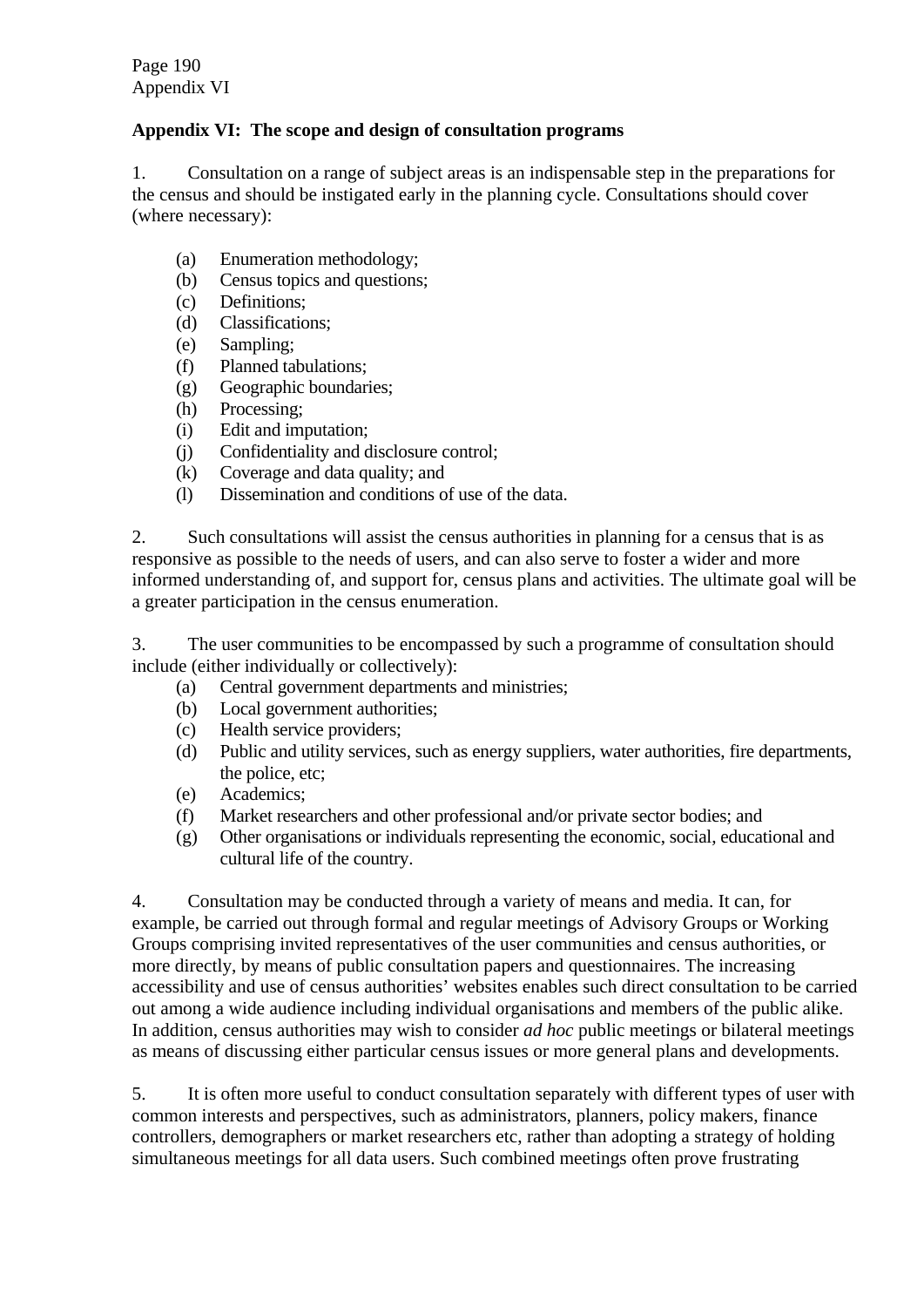# **Appendix VI: The scope and design of consultation programs**

1. Consultation on a range of subject areas is an indispensable step in the preparations for the census and should be instigated early in the planning cycle. Consultations should cover (where necessary):

- (a) Enumeration methodology;
- (b) Census topics and questions;
- (c) Definitions;
- (d) Classifications;
- (e) Sampling;
- (f) Planned tabulations;
- (g) Geographic boundaries;
- (h) Processing;
- (i) Edit and imputation;
- (j) Confidentiality and disclosure control;
- (k) Coverage and data quality; and
- (l) Dissemination and conditions of use of the data.

2. Such consultations will assist the census authorities in planning for a census that is as responsive as possible to the needs of users, and can also serve to foster a wider and more informed understanding of, and support for, census plans and activities. The ultimate goal will be a greater participation in the census enumeration.

3. The user communities to be encompassed by such a programme of consultation should include (either individually or collectively):

- (a) Central government departments and ministries;
- (b) Local government authorities;
- (c) Health service providers;
- (d) Public and utility services, such as energy suppliers, water authorities, fire departments, the police, etc;
- (e) Academics;
- (f) Market researchers and other professional and/or private sector bodies; and
- (g) Other organisations or individuals representing the economic, social, educational and cultural life of the country.

4. Consultation may be conducted through a variety of means and media. It can, for example, be carried out through formal and regular meetings of Advisory Groups or Working Groups comprising invited representatives of the user communities and census authorities, or more directly, by means of public consultation papers and questionnaires. The increasing accessibility and use of census authorities' websites enables such direct consultation to be carried out among a wide audience including individual organisations and members of the public alike. In addition, census authorities may wish to consider *ad hoc* public meetings or bilateral meetings as means of discussing either particular census issues or more general plans and developments.

5. It is often more useful to conduct consultation separately with different types of user with common interests and perspectives, such as administrators, planners, policy makers, finance controllers, demographers or market researchers etc, rather than adopting a strategy of holding simultaneous meetings for all data users. Such combined meetings often prove frustrating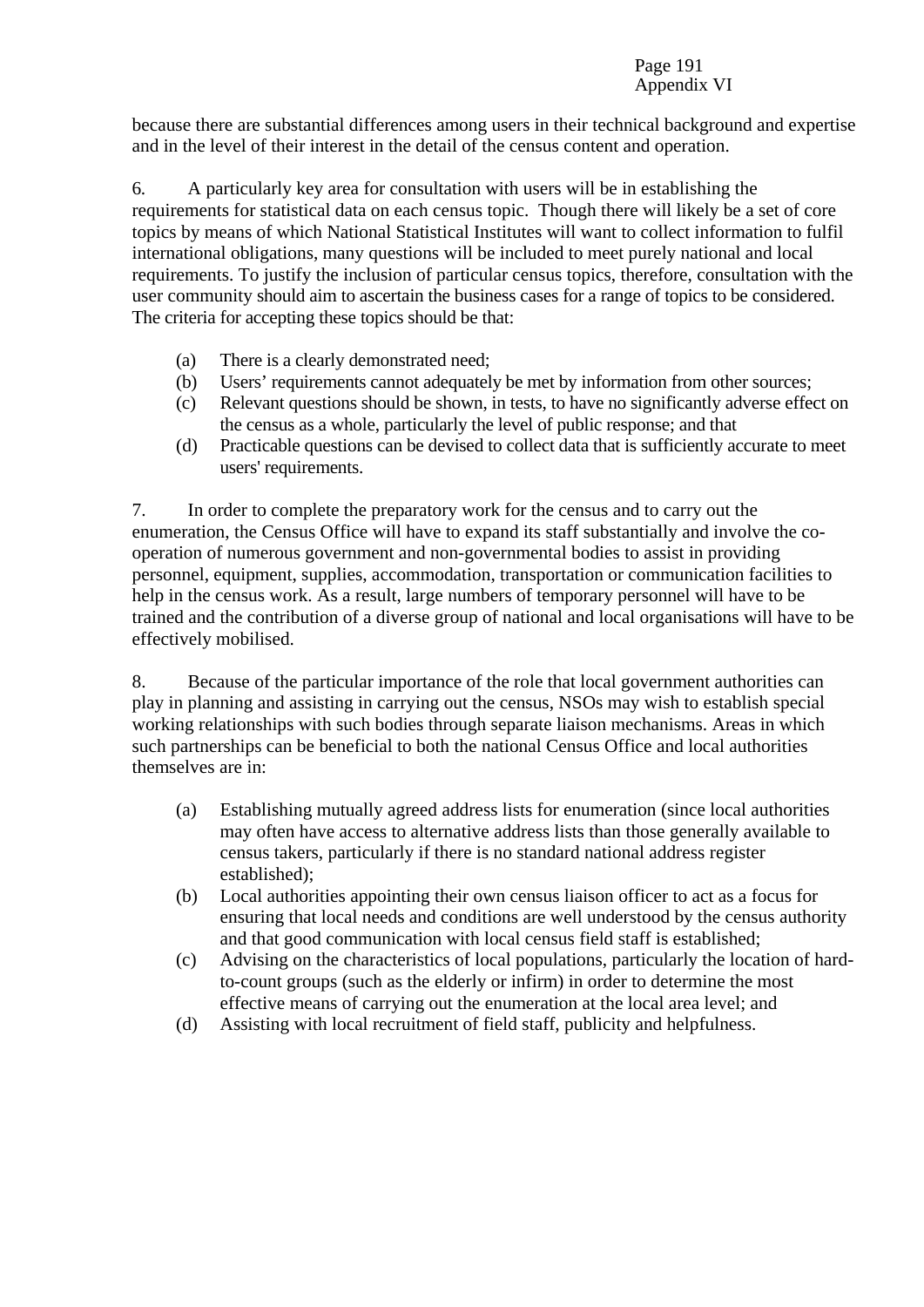#### Page 191 Appendix VI

because there are substantial differences among users in their technical background and expertise and in the level of their interest in the detail of the census content and operation.

6. A particularly key area for consultation with users will be in establishing the requirements for statistical data on each census topic. Though there will likely be a set of core topics by means of which National Statistical Institutes will want to collect information to fulfil international obligations, many questions will be included to meet purely national and local requirements. To justify the inclusion of particular census topics, therefore, consultation with the user community should aim to ascertain the business cases for a range of topics to be considered. The criteria for accepting these topics should be that:

- (a) There is a clearly demonstrated need;
- (b) Users' requirements cannot adequately be met by information from other sources;
- (c) Relevant questions should be shown, in tests, to have no significantly adverse effect on the census as a whole, particularly the level of public response; and that
- (d) Practicable questions can be devised to collect data that is sufficiently accurate to meet users' requirements.

7. In order to complete the preparatory work for the census and to carry out the enumeration, the Census Office will have to expand its staff substantially and involve the cooperation of numerous government and non-governmental bodies to assist in providing personnel, equipment, supplies, accommodation, transportation or communication facilities to help in the census work. As a result, large numbers of temporary personnel will have to be trained and the contribution of a diverse group of national and local organisations will have to be effectively mobilised.

8. Because of the particular importance of the role that local government authorities can play in planning and assisting in carrying out the census, NSOs may wish to establish special working relationships with such bodies through separate liaison mechanisms. Areas in which such partnerships can be beneficial to both the national Census Office and local authorities themselves are in:

- (a) Establishing mutually agreed address lists for enumeration (since local authorities may often have access to alternative address lists than those generally available to census takers, particularly if there is no standard national address register established);
- (b) Local authorities appointing their own census liaison officer to act as a focus for ensuring that local needs and conditions are well understood by the census authority and that good communication with local census field staff is established;
- (c) Advising on the characteristics of local populations, particularly the location of hardto-count groups (such as the elderly or infirm) in order to determine the most effective means of carrying out the enumeration at the local area level; and
- (d) Assisting with local recruitment of field staff, publicity and helpfulness.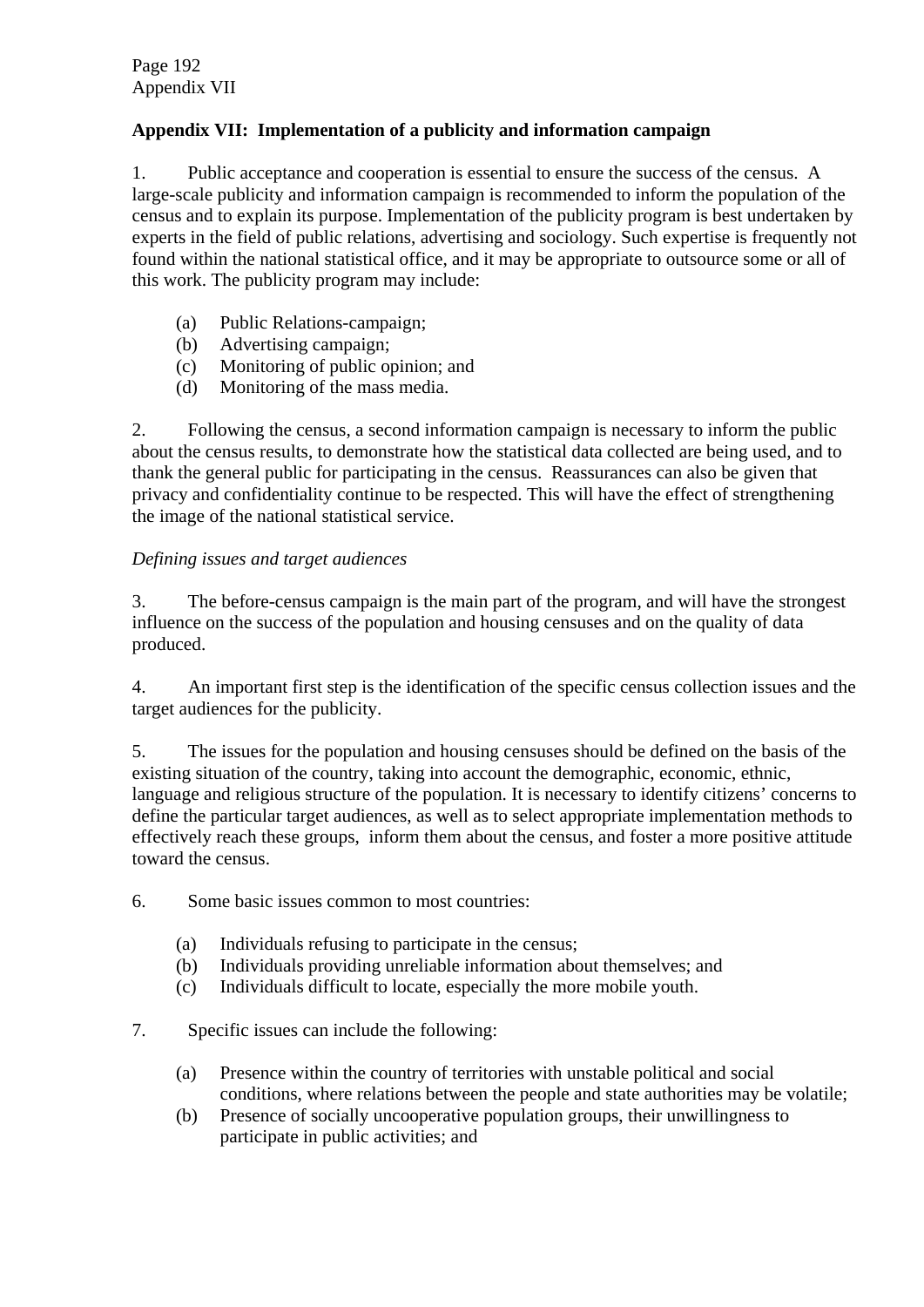## **Appendix VII: Implementation of a publicity and information campaign**

1. Public acceptance and cooperation is essential to ensure the success of the census. A large-scale publicity and information campaign is recommended to inform the population of the census and to explain its purpose. Implementation of the publicity program is best undertaken by experts in the field of public relations, advertising and sociology. Such expertise is frequently not found within the national statistical office, and it may be appropriate to outsource some or all of this work. The publicity program may include:

- (a) Public Relations-campaign;
- (b) Advertising campaign;
- (c) Monitoring of public opinion; and
- (d) Monitoring of the mass media.

2. Following the census, a second information campaign is necessary to inform the public about the census results, to demonstrate how the statistical data collected are being used, and to thank the general public for participating in the census. Reassurances can also be given that privacy and confidentiality continue to be respected. This will have the effect of strengthening the image of the national statistical service.

### *Defining issues and target audiences*

3. The before-census campaign is the main part of the program, and will have the strongest influence on the success of the population and housing censuses and on the quality of data produced.

4. An important first step is the identification of the specific census collection issues and the target audiences for the publicity.

5. The issues for the population and housing censuses should be defined on the basis of the existing situation of the country, taking into account the demographic, economic, ethnic, language and religious structure of the population. It is necessary to identify citizens' concerns to define the particular target audiences, as well as to select appropriate implementation methods to effectively reach these groups, inform them about the census, and foster a more positive attitude toward the census.

- 6. Some basic issues common to most countries:
	- (a) Individuals refusing to participate in the census;
	- (b) Individuals providing unreliable information about themselves; and
	- (c) Individuals difficult to locate, especially the more mobile youth.
- 7. Specific issues can include the following:
	- (a) Presence within the country of territories with unstable political and social conditions, where relations between the people and state authorities may be volatile;
	- (b) Presence of socially uncooperative population groups, their unwillingness to participate in public activities; and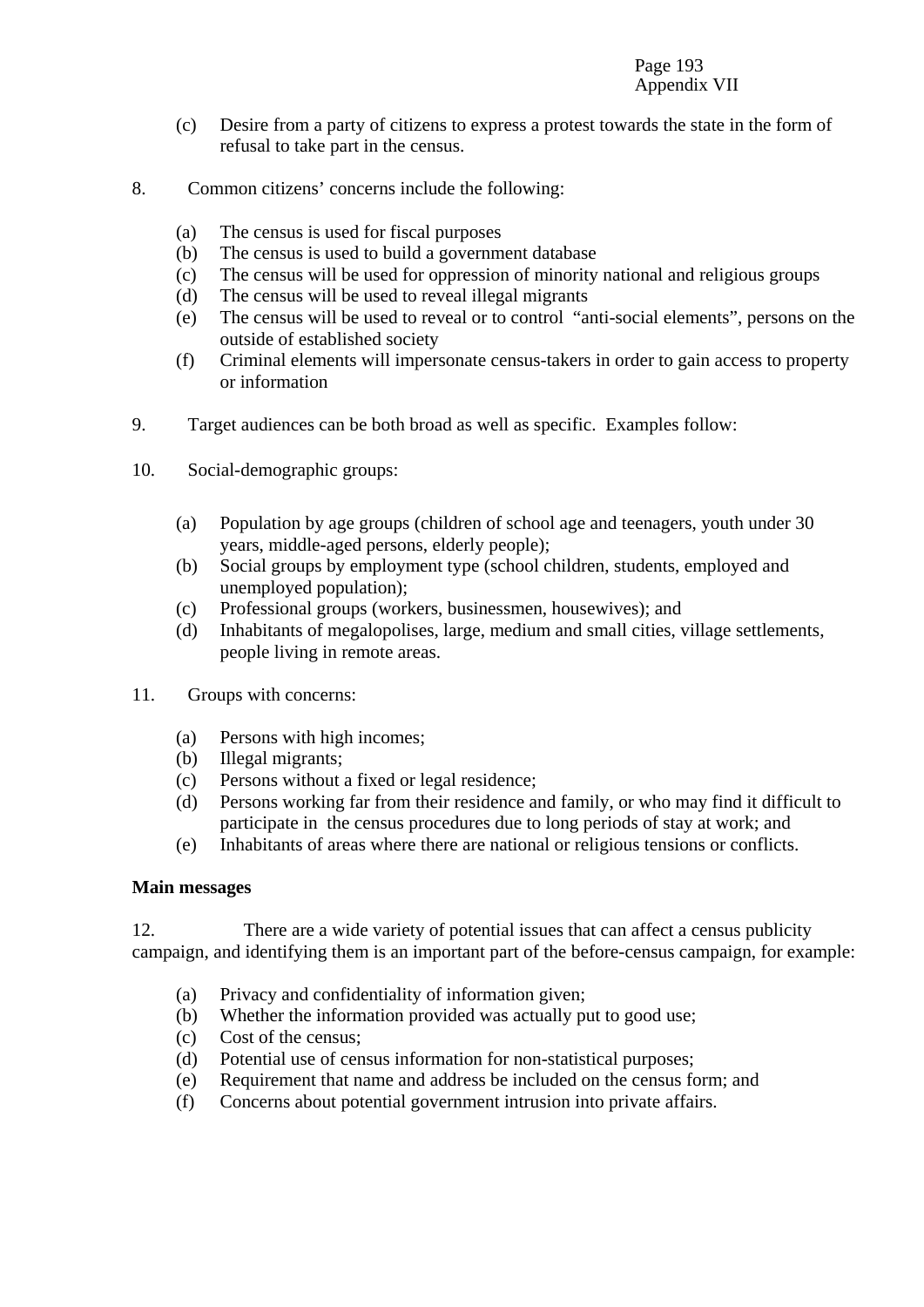#### Page 193 Appendix VII

- (c) Desire from a party of citizens to express a protest towards the state in the form of refusal to take part in the census.
- 8. Common citizens' concerns include the following:
	- (a) The census is used for fiscal purposes
	- (b) The census is used to build a government database
	- (c) The census will be used for oppression of minority national and religious groups
	- (d) The census will be used to reveal illegal migrants
	- (e) The census will be used to reveal or to control "anti-social elements", persons on the outside of established society
	- (f) Criminal elements will impersonate census-takers in order to gain access to property or information
- 9. Target audiences can be both broad as well as specific. Examples follow:
- 10. Social-demographic groups:
	- (a) Population by age groups (children of school age and teenagers, youth under 30 years, middle-aged persons, elderly people);
	- (b) Social groups by employment type (school children, students, employed and unemployed population);
	- (c) Professional groups (workers, businessmen, housewives); and
	- (d) Inhabitants of megalopolises, large, medium and small cities, village settlements, people living in remote areas.
- 11. Groups with concerns:
	- (a) Persons with high incomes;
	- (b) Illegal migrants;
	- (c) Persons without a fixed or legal residence;
	- (d) Persons working far from their residence and family, or who may find it difficult to participate in the census procedures due to long periods of stay at work; and
	- (e) Inhabitants of areas where there are national or religious tensions or conflicts.

#### **Main messages**

12. There are a wide variety of potential issues that can affect a census publicity campaign, and identifying them is an important part of the before-census campaign, for example:

- (a) Privacy and confidentiality of information given;
- (b) Whether the information provided was actually put to good use;
- (c) Cost of the census;
- (d) Potential use of census information for non-statistical purposes;
- (e) Requirement that name and address be included on the census form; and
- (f) Concerns about potential government intrusion into private affairs.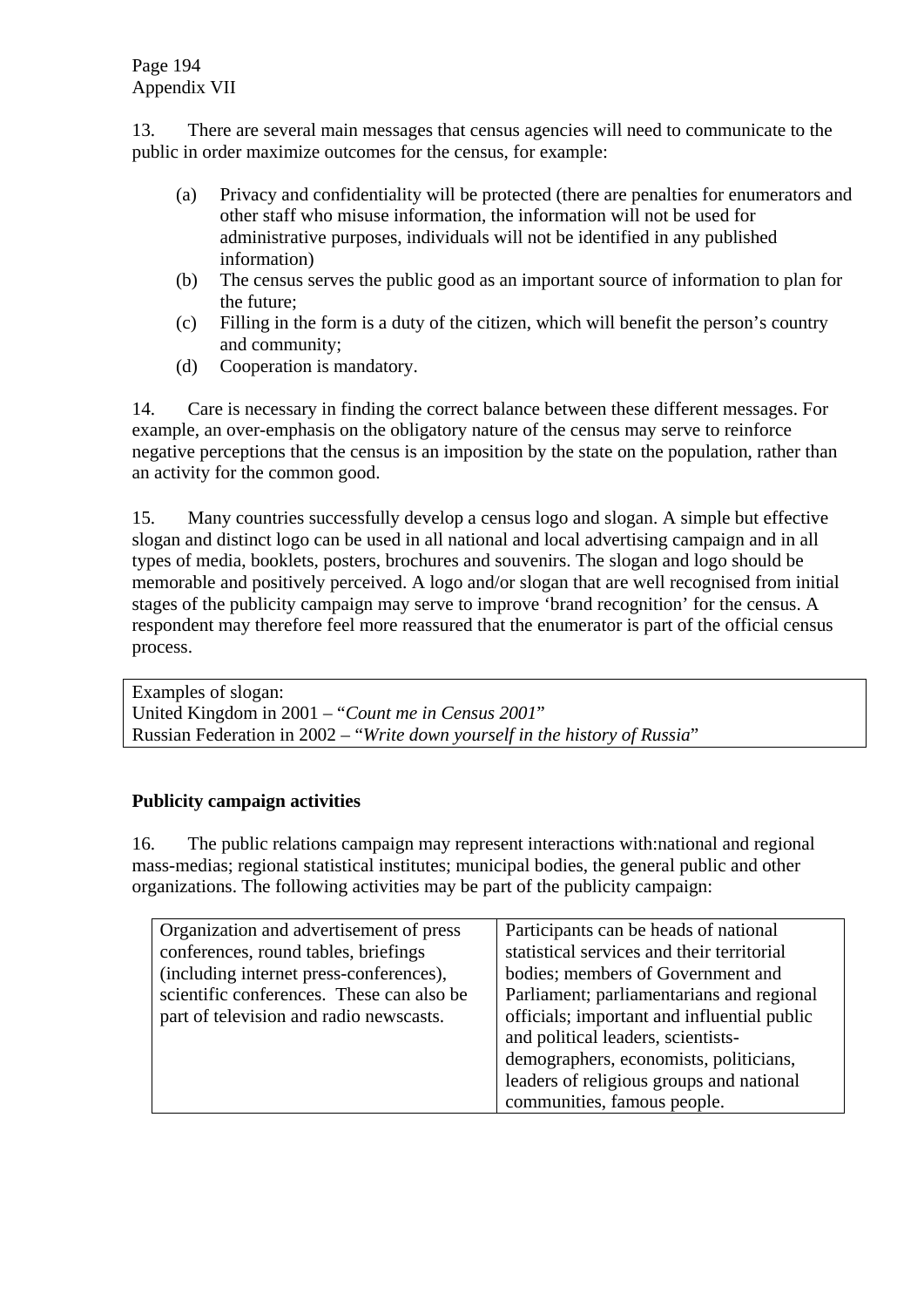13. There are several main messages that census agencies will need to communicate to the public in order maximize outcomes for the census, for example:

- (a) Privacy and confidentiality will be protected (there are penalties for enumerators and other staff who misuse information, the information will not be used for administrative purposes, individuals will not be identified in any published information)
- (b) The census serves the public good as an important source of information to plan for the future;
- (c) Filling in the form is a duty of the citizen, which will benefit the person's country and community;
- (d) Cooperation is mandatory.

14. Care is necessary in finding the correct balance between these different messages. For example, an over-emphasis on the obligatory nature of the census may serve to reinforce negative perceptions that the census is an imposition by the state on the population, rather than an activity for the common good.

15. Many countries successfully develop a census logo and slogan. A simple but effective slogan and distinct logo can be used in all national and local advertising campaign and in all types of media, booklets, posters, brochures and souvenirs. The slogan and logo should be memorable and positively perceived. A logo and/or slogan that are well recognised from initial stages of the publicity campaign may serve to improve 'brand recognition' for the census. A respondent may therefore feel more reassured that the enumerator is part of the official census process.

Examples of slogan: United Kingdom in 2001 – "*Count me in Census 2001*" Russian Federation in 2002 – "*Write down yourself in the history of Russia*"

# **Publicity campaign activities**

16. The public relations campaign may represent interactions with:national and regional mass-medias; regional statistical institutes; municipal bodies, the general public and other organizations. The following activities may be part of the publicity campaign:

| Organization and advertisement of press   | Participants can be heads of national       |
|-------------------------------------------|---------------------------------------------|
| conferences, round tables, briefings      | statistical services and their territorial  |
| (including internet press-conferences),   | bodies; members of Government and           |
| scientific conferences. These can also be | Parliament; parliamentarians and regional   |
| part of television and radio newscasts.   | officials; important and influential public |
|                                           | and political leaders, scientists-          |
|                                           | demographers, economists, politicians,      |
|                                           | leaders of religious groups and national    |
|                                           | communities, famous people.                 |
|                                           |                                             |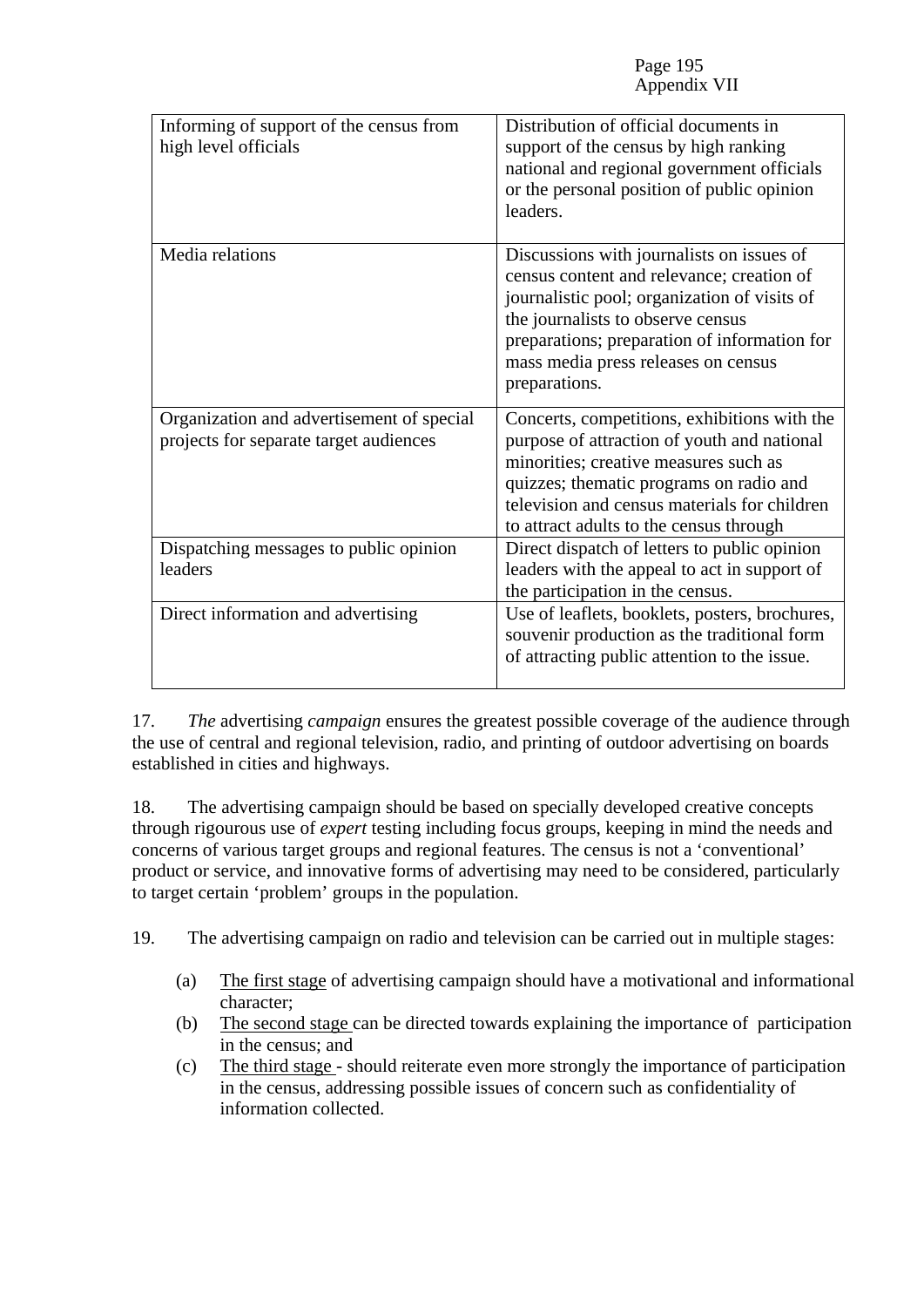| Informing of support of the census from<br>high level officials                     | Distribution of official documents in<br>support of the census by high ranking<br>national and regional government officials<br>or the personal position of public opinion<br>leaders.                                                                                              |
|-------------------------------------------------------------------------------------|-------------------------------------------------------------------------------------------------------------------------------------------------------------------------------------------------------------------------------------------------------------------------------------|
| Media relations                                                                     | Discussions with journalists on issues of<br>census content and relevance; creation of<br>journalistic pool; organization of visits of<br>the journalists to observe census<br>preparations; preparation of information for<br>mass media press releases on census<br>preparations. |
| Organization and advertisement of special<br>projects for separate target audiences | Concerts, competitions, exhibitions with the<br>purpose of attraction of youth and national<br>minorities; creative measures such as<br>quizzes; thematic programs on radio and<br>television and census materials for children<br>to attract adults to the census through          |
| Dispatching messages to public opinion<br>leaders                                   | Direct dispatch of letters to public opinion<br>leaders with the appeal to act in support of<br>the participation in the census.                                                                                                                                                    |
| Direct information and advertising                                                  | Use of leaflets, booklets, posters, brochures,<br>souvenir production as the traditional form<br>of attracting public attention to the issue.                                                                                                                                       |

17. *The* advertising *campaign* ensures the greatest possible coverage of the audience through the use of central and regional television, radio, and printing of outdoor advertising on boards established in cities and highways.

18. The advertising campaign should be based on specially developed creative concepts through rigourous use of *expert* testing including focus groups, keeping in mind the needs and concerns of various target groups and regional features. The census is not a 'conventional' product or service, and innovative forms of advertising may need to be considered, particularly to target certain 'problem' groups in the population.

19. The advertising campaign on radio and television can be carried out in multiple stages:

- (a) The first stage of advertising campaign should have a motivational and informational character;
- (b) The second stage can be directed towards explaining the importance of participation in the census; and
- (c) The third stage should reiterate even more strongly the importance of participation in the census, addressing possible issues of concern such as confidentiality of information collected.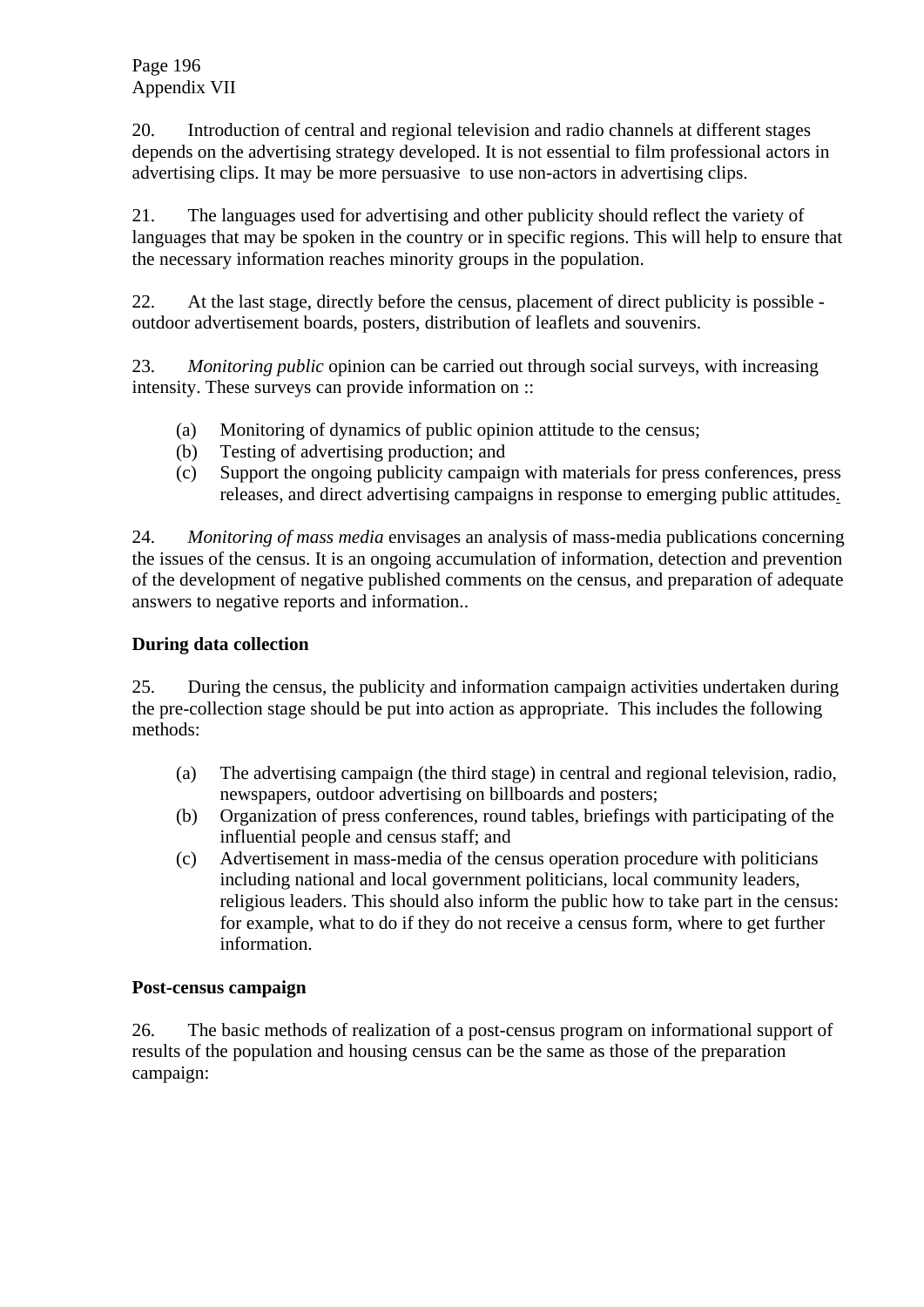20. Introduction of central and regional television and radio channels at different stages depends on the advertising strategy developed. It is not essential to film professional actors in advertising clips. It may be more persuasive to use non-actors in advertising clips.

21. The languages used for advertising and other publicity should reflect the variety of languages that may be spoken in the country or in specific regions. This will help to ensure that the necessary information reaches minority groups in the population.

22. At the last stage, directly before the census, placement of direct publicity is possible outdoor advertisement boards, posters, distribution of leaflets and souvenirs.

23. *Monitoring public* opinion can be carried out through social surveys, with increasing intensity. These surveys can provide information on ::

- (a) Monitoring of dynamics of public opinion attitude to the census;
- (b) Testing of advertising production; and
- (c) Support the ongoing publicity campaign with materials for press conferences, press releases, and direct advertising campaigns in response to emerging public attitudes.

24. *Monitoring of mass media* envisages an analysis of mass-media publications concerning the issues of the census. It is an ongoing accumulation of information, detection and prevention of the development of negative published comments on the census, and preparation of adequate answers to negative reports and information..

# **During data collection**

25. During the census, the publicity and information campaign activities undertaken during the pre-collection stage should be put into action as appropriate. This includes the following methods:

- (a) The advertising campaign (the third stage) in central and regional television, radio, newspapers, outdoor advertising on billboards and posters;
- (b) Organization of press conferences, round tables, briefings with participating of the influential people and census staff; and
- (c) Advertisement in mass-media of the census operation procedure with politicians including national and local government politicians, local community leaders, religious leaders. This should also inform the public how to take part in the census: for example, what to do if they do not receive a census form, where to get further information.

# **Post-census campaign**

26. The basic methods of realization of a post-census program on informational support of results of the population and housing census can be the same as those of the preparation campaign: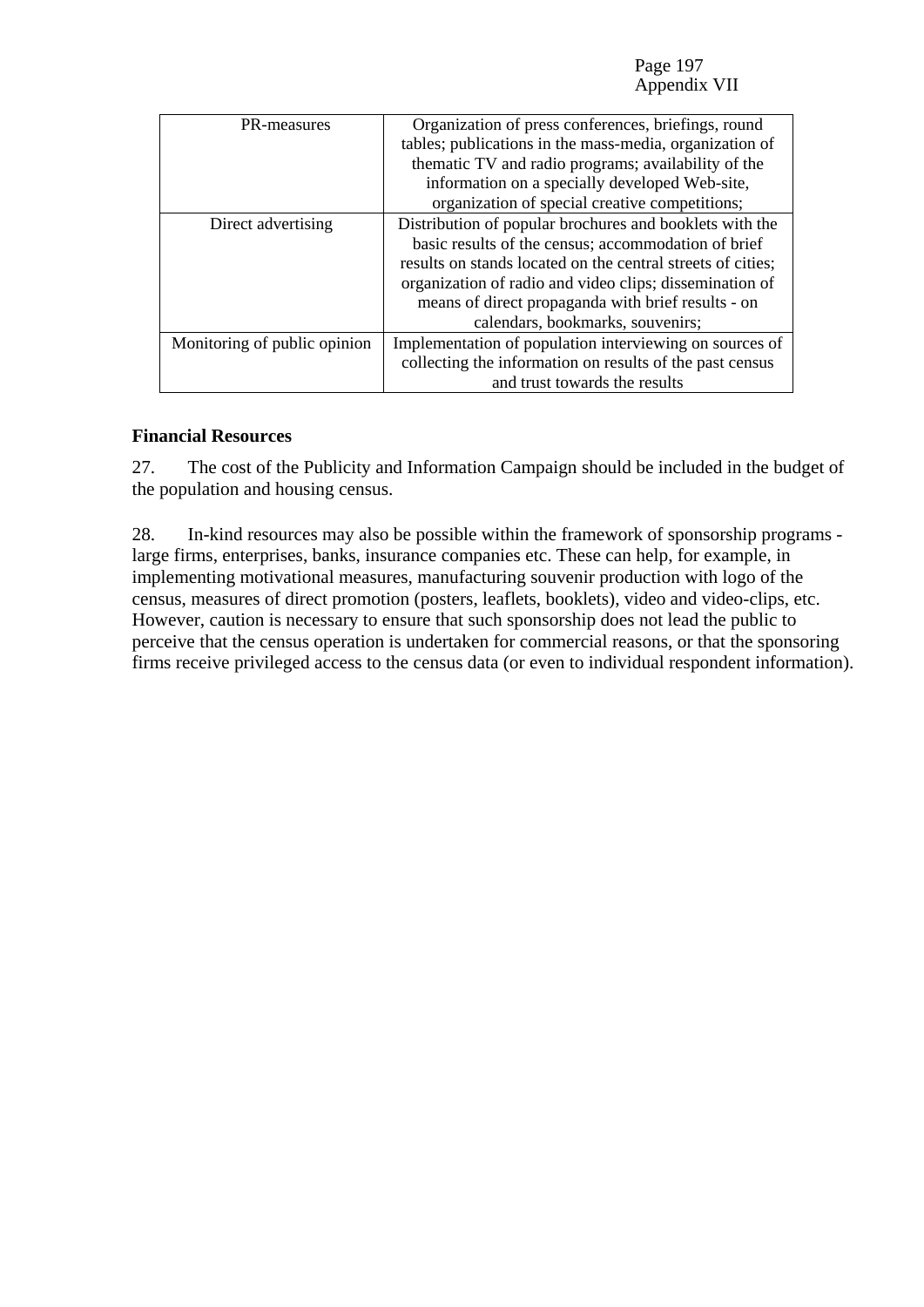Page 197 Appendix VII

| PR-measures                  | Organization of press conferences, briefings, round         |
|------------------------------|-------------------------------------------------------------|
|                              | tables; publications in the mass-media, organization of     |
|                              | thematic TV and radio programs; availability of the         |
|                              | information on a specially developed Web-site,              |
|                              | organization of special creative competitions;              |
| Direct advertising           | Distribution of popular brochures and booklets with the     |
|                              | basic results of the census; accommodation of brief         |
|                              | results on stands located on the central streets of cities; |
|                              | organization of radio and video clips; dissemination of     |
|                              | means of direct propaganda with brief results - on          |
|                              | calendars, bookmarks, souvenirs;                            |
| Monitoring of public opinion | Implementation of population interviewing on sources of     |
|                              | collecting the information on results of the past census    |
|                              | and trust towards the results                               |

#### **Financial Resources**

27. The cost of the Publicity and Information Campaign should be included in the budget of the population and housing census.

28. In-kind resources may also be possible within the framework of sponsorship programs large firms, enterprises, banks, insurance companies etc. These can help, for example, in implementing motivational measures, manufacturing souvenir production with logo of the census, measures of direct promotion (posters, leaflets, booklets), video and video-clips, etc. However, caution is necessary to ensure that such sponsorship does not lead the public to perceive that the census operation is undertaken for commercial reasons, or that the sponsoring firms receive privileged access to the census data (or even to individual respondent information).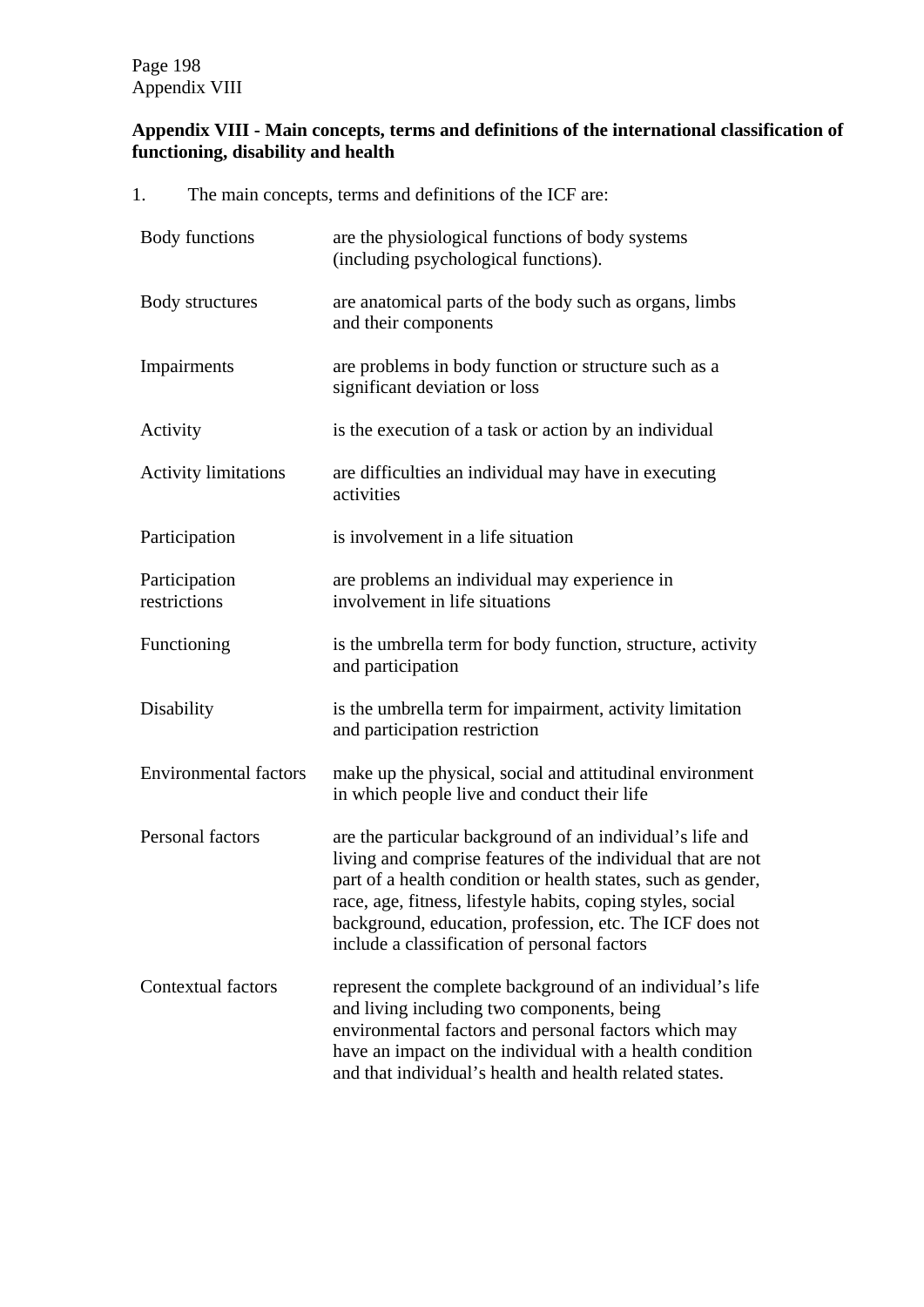## **Appendix VIII - Main concepts, terms and definitions of the international classification of functioning, disability and health**

1. The main concepts, terms and definitions of the ICF are:

| <b>Body functions</b>         | are the physiological functions of body systems<br>(including psychological functions).                                                                                                                                                                                                                                                                             |
|-------------------------------|---------------------------------------------------------------------------------------------------------------------------------------------------------------------------------------------------------------------------------------------------------------------------------------------------------------------------------------------------------------------|
| <b>Body structures</b>        | are anatomical parts of the body such as organs, limbs<br>and their components                                                                                                                                                                                                                                                                                      |
| Impairments                   | are problems in body function or structure such as a<br>significant deviation or loss                                                                                                                                                                                                                                                                               |
| Activity                      | is the execution of a task or action by an individual                                                                                                                                                                                                                                                                                                               |
| <b>Activity limitations</b>   | are difficulties an individual may have in executing<br>activities                                                                                                                                                                                                                                                                                                  |
| Participation                 | is involvement in a life situation                                                                                                                                                                                                                                                                                                                                  |
| Participation<br>restrictions | are problems an individual may experience in<br>involvement in life situations                                                                                                                                                                                                                                                                                      |
| Functioning                   | is the umbrella term for body function, structure, activity<br>and participation                                                                                                                                                                                                                                                                                    |
| Disability                    | is the umbrella term for impairment, activity limitation<br>and participation restriction                                                                                                                                                                                                                                                                           |
| <b>Environmental factors</b>  | make up the physical, social and attitudinal environment<br>in which people live and conduct their life                                                                                                                                                                                                                                                             |
| Personal factors              | are the particular background of an individual's life and<br>living and comprise features of the individual that are not<br>part of a health condition or health states, such as gender,<br>race, age, fitness, lifestyle habits, coping styles, social<br>background, education, profession, etc. The ICF does not<br>include a classification of personal factors |
| Contextual factors            | represent the complete background of an individual's life<br>and living including two components, being<br>environmental factors and personal factors which may<br>have an impact on the individual with a health condition<br>and that individual's health and health related states.                                                                              |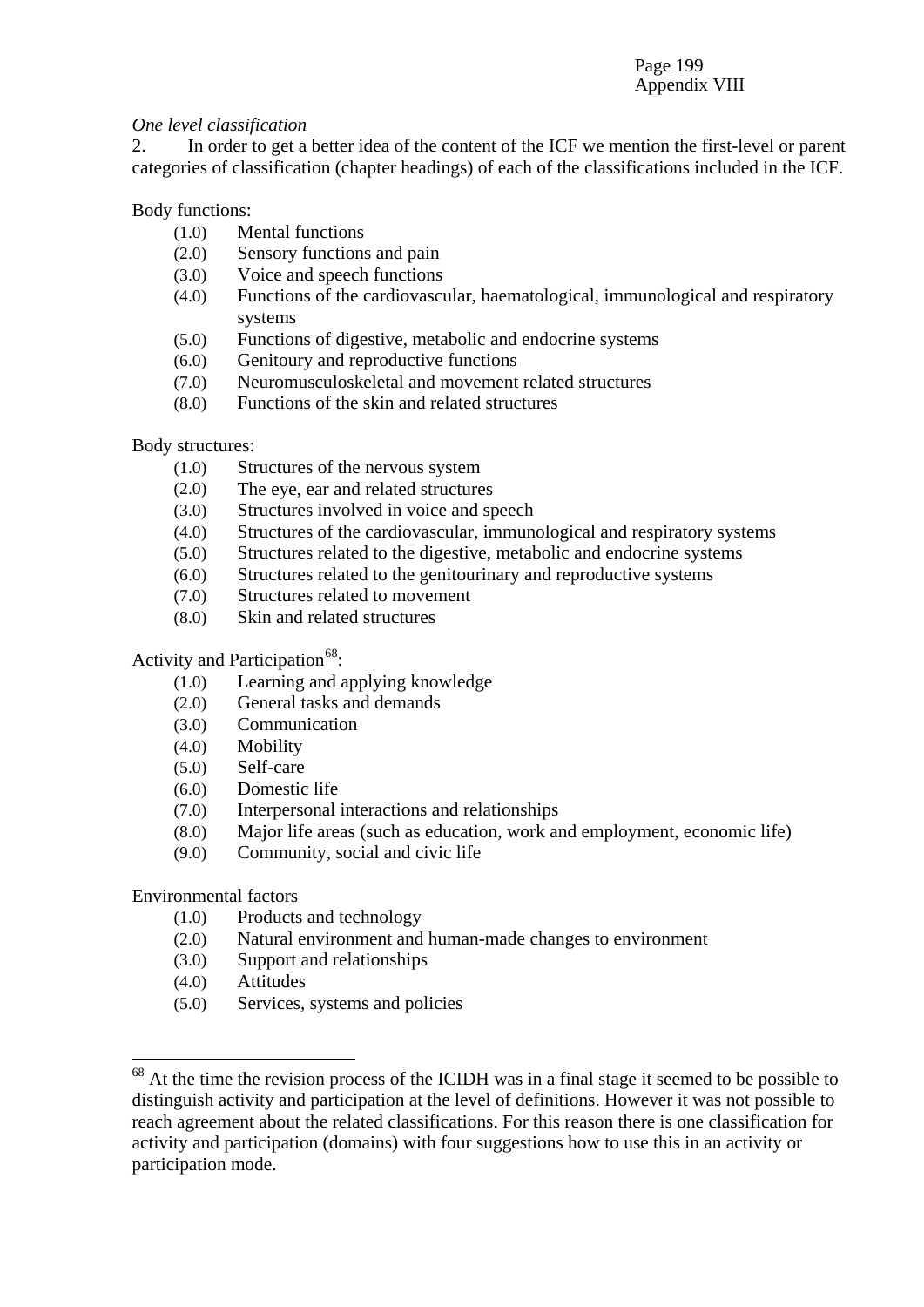#### Page 199 Appendix VIII

#### <span id="page-198-0"></span>*One level classification*

2. In order to get a better idea of the content of the ICF we mention the first-level or parent categories of classification (chapter headings) of each of the classifications included in the ICF.

### Body functions:

- (1.0) Mental functions
- (2.0) Sensory functions and pain
- (3.0) Voice and speech functions
- (4.0) Functions of the cardiovascular, haematological, immunological and respiratory systems
- (5.0) Functions of digestive, metabolic and endocrine systems
- (6.0) Genitoury and reproductive functions
- (7.0) Neuromusculoskeletal and movement related structures
- (8.0) Functions of the skin and related structures

### Body structures:

- (1.0) Structures of the nervous system
- (2.0) The eye, ear and related structures
- (3.0) Structures involved in voice and speech
- (4.0) Structures of the cardiovascular, immunological and respiratory systems
- (5.0) Structures related to the digestive, metabolic and endocrine systems
- (6.0) Structures related to the genitourinary and reproductive systems
- (7.0) Structures related to movement
- (8.0) Skin and related structures

## Activity and Participation<sup>[68](#page-198-0)</sup>:

- (1.0) Learning and applying knowledge
- (2.0) General tasks and demands
- (3.0) Communication
- (4.0) Mobility
- (5.0) Self-care
- (6.0) Domestic life
- (7.0) Interpersonal interactions and relationships
- (8.0) Major life areas (such as education, work and employment, economic life)
- (9.0) Community, social and civic life

Environmental factors

1

- (1.0) Products and technology
- (2.0) Natural environment and human-made changes to environment
- (3.0) Support and relationships
- (4.0) Attitudes
- (5.0) Services, systems and policies

 $68$  At the time the revision process of the ICIDH was in a final stage it seemed to be possible to distinguish activity and participation at the level of definitions. However it was not possible to reach agreement about the related classifications. For this reason there is one classification for activity and participation (domains) with four suggestions how to use this in an activity or participation mode.